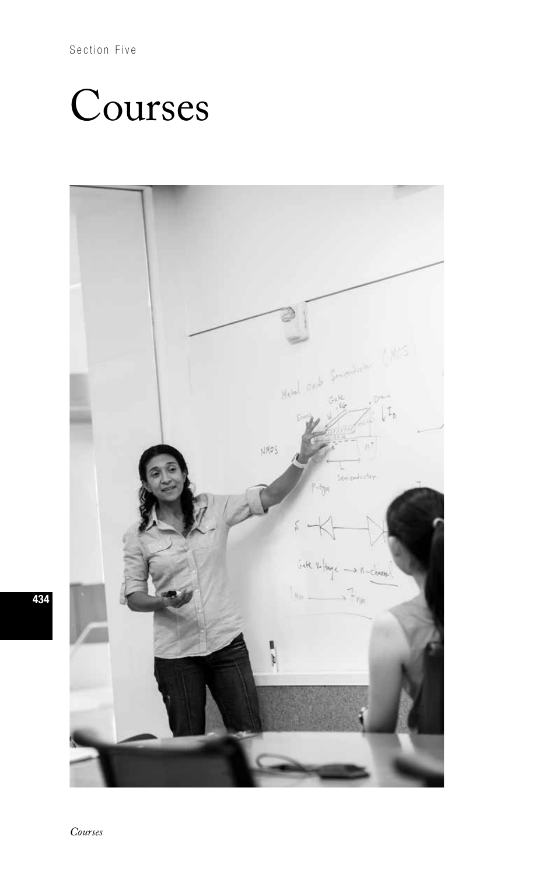Section Five

# Courses



434

*Courses*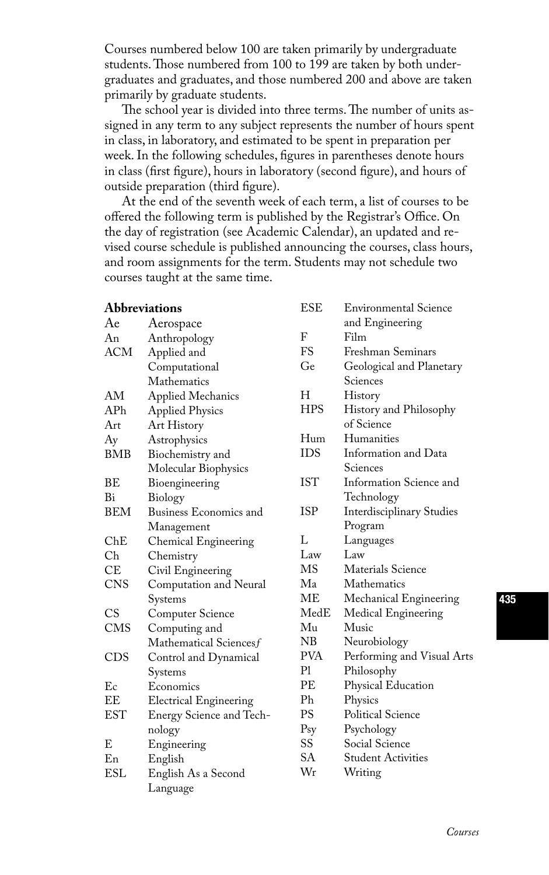Courses numbered below 100 are taken primarily by undergraduate students. Those numbered from 100 to 199 are taken by both undergraduates and graduates, and those numbered 200 and above are taken primarily by graduate students.

The school year is divided into three terms. The number of units assigned in any term to any subject represents the number of hours spent in class, in laboratory, and estimated to be spent in preparation per week. In the following schedules, figures in parentheses denote hours in class (first figure), hours in laboratory (second figure), and hours of outside preparation (third figure).

At the end of the seventh week of each term, a list of courses to be offered the following term is published by the Registrar's Office. On the day of registration (see Academic Calendar), an updated and revised course schedule is published announcing the courses, class hours, and room assignments for the term. Students may not schedule two courses taught at the same time.

| <b>Abbreviations</b> |                               | <b>ESE</b>      | Environmental Science            |
|----------------------|-------------------------------|-----------------|----------------------------------|
| Ae                   | Aerospace                     |                 | and Engineering                  |
| An                   | Anthropology                  | F               | Film                             |
| ACM                  | Applied and                   | FS              | Freshman Seminars                |
|                      | Computational                 | Ge              | Geological and Planetary         |
|                      | Mathematics                   |                 | Sciences                         |
| AM                   | Applied Mechanics             | Н               | History                          |
| AP <sub>h</sub>      | <b>Applied Physics</b>        | <b>HPS</b>      | History and Philosophy           |
| Art                  | Art History                   |                 | of Science                       |
| Ay                   | Astrophysics                  | Hum             | Humanities                       |
| <b>BMB</b>           | Biochemistry and              | <b>IDS</b>      | Information and Data             |
|                      | Molecular Biophysics          |                 | Sciences                         |
| ВE                   | Bioengineering                | IST             | Information Science and          |
| Bi                   | Biology                       |                 | Technology                       |
| <b>BEM</b>           | Business Economics and        | ISP             | <b>Interdisciplinary Studies</b> |
|                      | Management                    |                 | Program                          |
| ChE                  | Chemical Engineering          | L               | Languages                        |
| Ch                   | Chemistry                     | Law             | Law                              |
| CE.                  | Civil Engineering             | <b>MS</b>       | Materials Science                |
| <b>CNS</b>           | Computation and Neural        | Ma              | Mathematics                      |
|                      | Systems                       | ME              | Mechanical Engineering           |
| <b>CS</b>            | Computer Science              | $\rm MedE$      | Medical Engineering              |
| <b>CMS</b>           | Computing and                 | Mu              | Music                            |
|                      | Mathematical Sciencesf        | NB              | Neurobiology                     |
| <b>CDS</b>           | Control and Dynamical         | <b>PVA</b>      | Performing and Visual Arts       |
|                      | Systems                       | P1              | Philosophy                       |
| Ec                   | Economics                     | PE              | Physical Education               |
| EE                   | <b>Electrical Engineering</b> | Ph              | Physics                          |
| <b>EST</b>           | Energy Science and Tech-      | PS              | <b>Political Science</b>         |
|                      | nology                        | P <sub>sy</sub> | Psychology                       |
| E                    | Engineering                   | SS              | Social Science                   |
| En                   | English                       | SA              | <b>Student Activities</b>        |
| ESL                  | English As a Second           | Wr              | Writing                          |
|                      | Language                      |                 |                                  |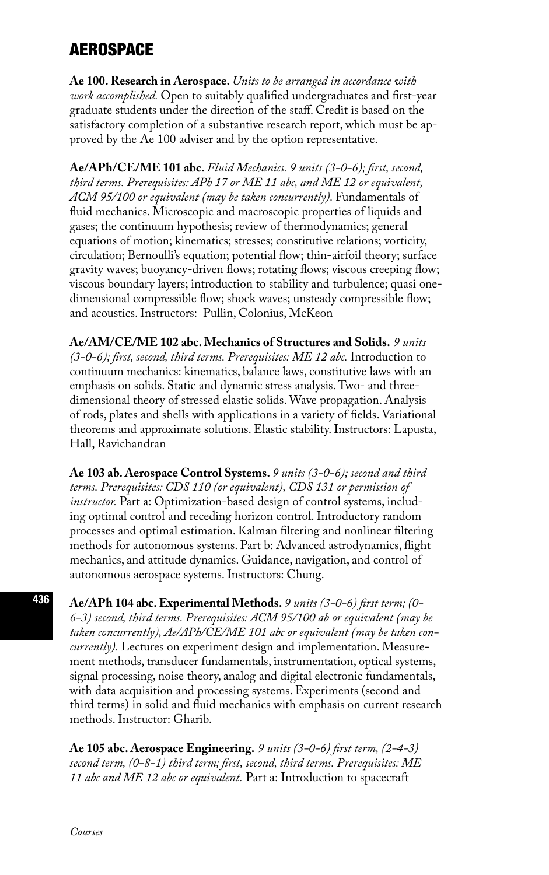# AEROSPACE

**Ae 100. Research in Aerospace.** *Units to be arranged in accordance with work accomplished.* Open to suitably qualified undergraduates and first-year graduate students under the direction of the staff. Credit is based on the satisfactory completion of a substantive research report, which must be approved by the Ae 100 adviser and by the option representative.

**Ae/APh/CE/ME 101 abc.** *Fluid Mechanics. 9 units (3-0-6); first, second, third terms. Prerequisites: APh 17 or ME 11 abc, and ME 12 or equivalent, ACM 95/100 or equivalent (may be taken concurrently).* Fundamentals of fluid mechanics. Microscopic and macroscopic properties of liquids and gases; the continuum hypothesis; review of thermodynamics; general equations of motion; kinematics; stresses; constitutive relations; vorticity, circulation; Bernoulli's equation; potential flow; thin-airfoil theory; surface gravity waves; buoyancy-driven flows; rotating flows; viscous creeping flow; viscous boundary layers; introduction to stability and turbulence; quasi onedimensional compressible flow; shock waves; unsteady compressible flow; and acoustics. Instructors: Pullin, Colonius, McKeon

**Ae/AM/CE/ME 102 abc. Mechanics of Structures and Solids.** *9 units (3-0-6); first, second, third terms. Prerequisites: ME 12 abc.* Introduction to continuum mechanics: kinematics, balance laws, constitutive laws with an emphasis on solids. Static and dynamic stress analysis. Two- and threedimensional theory of stressed elastic solids. Wave propagation. Analysis of rods, plates and shells with applications in a variety of fields. Variational theorems and approximate solutions. Elastic stability. Instructors: Lapusta, Hall, Ravichandran

**Ae 103 ab. Aerospace Control Systems.** *9 units (3-0-6); second and third terms. Prerequisites: CDS 110 (or equivalent), CDS 131 or permission of instructor.* Part a: Optimization-based design of control systems, including optimal control and receding horizon control. Introductory random processes and optimal estimation. Kalman filtering and nonlinear filtering methods for autonomous systems. Part b: Advanced astrodynamics, flight mechanics, and attitude dynamics. Guidance, navigation, and control of autonomous aerospace systems. Instructors: Chung.

**Ae/APh 104 abc. Experimental Methods.** *9 units (3-0-6) first term; (0- 6-3) second, third terms. Prerequisites: ACM 95/100 ab or equivalent (may be taken concurrently), Ae/APh/CE/ME 101 abc or equivalent (may be taken concurrently).* Lectures on experiment design and implementation. Measurement methods, transducer fundamentals, instrumentation, optical systems, signal processing, noise theory, analog and digital electronic fundamentals, with data acquisition and processing systems. Experiments (second and third terms) in solid and fluid mechanics with emphasis on current research methods. Instructor: Gharib.

**Ae 105 abc. Aerospace Engineering.** *9 units (3-0-6) first term, (2-4-3) second term, (0-8-1) third term; first, second, third terms. Prerequisites: ME 11 abc and ME 12 abc or equivalent.* Part a: Introduction to spacecraft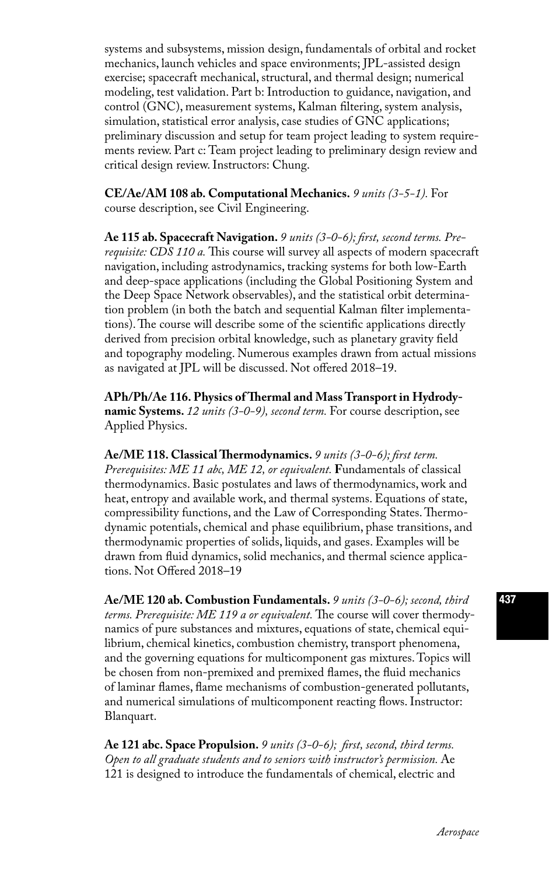systems and subsystems, mission design, fundamentals of orbital and rocket mechanics, launch vehicles and space environments; JPL-assisted design exercise; spacecraft mechanical, structural, and thermal design; numerical modeling, test validation. Part b: Introduction to guidance, navigation, and control (GNC), measurement systems, Kalman filtering, system analysis, simulation, statistical error analysis, case studies of GNC applications; preliminary discussion and setup for team project leading to system requirements review. Part c: Team project leading to preliminary design review and critical design review. Instructors: Chung.

**CE/Ae/AM 108 ab. Computational Mechanics.** *9 units (3-5-1).* For course description, see Civil Engineering.

**Ae 115 ab. Spacecraft Navigation.** *9 units (3-0-6); first, second terms. Prerequisite: CDS 110 a.* This course will survey all aspects of modern spacecraft navigation, including astrodynamics, tracking systems for both low-Earth and deep-space applications (including the Global Positioning System and the Deep Space Network observables), and the statistical orbit determination problem (in both the batch and sequential Kalman filter implementations). The course will describe some of the scientific applications directly derived from precision orbital knowledge, such as planetary gravity field and topography modeling. Numerous examples drawn from actual missions as navigated at JPL will be discussed. Not offered 2018–19.

**APh/Ph/Ae 116. Physics of Thermal and Mass Transport in Hydrodynamic Systems.** *12 units (3-0-9), second term.* For course description, see Applied Physics.

**Ae/ME 118. Classical Thermodynamics.** *9 units (3-0-6); first term. Prerequisites: ME 11 abc, ME 12, or equivalent.* **F**undamentals of classical thermodynamics. Basic postulates and laws of thermodynamics, work and heat, entropy and available work, and thermal systems. Equations of state, compressibility functions, and the Law of Corresponding States. Thermodynamic potentials, chemical and phase equilibrium, phase transitions, and thermodynamic properties of solids, liquids, and gases. Examples will be drawn from fluid dynamics, solid mechanics, and thermal science applications. Not Offered 2018–19

**Ae/ME 120 ab. Combustion Fundamentals.** *9 units (3-0-6); second, third terms. Prerequisite: ME 119 a or equivalent.* The course will cover thermodynamics of pure substances and mixtures, equations of state, chemical equilibrium, chemical kinetics, combustion chemistry, transport phenomena, and the governing equations for multicomponent gas mixtures. Topics will be chosen from non-premixed and premixed flames, the fluid mechanics of laminar flames, flame mechanisms of combustion-generated pollutants, and numerical simulations of multicomponent reacting flows. Instructor: Blanquart.

**Ae 121 abc. Space Propulsion.** *9 units (3-0-6); first, second, third terms. Open to all graduate students and to seniors with instructor's permission.* Ae 121 is designed to introduce the fundamentals of chemical, electric and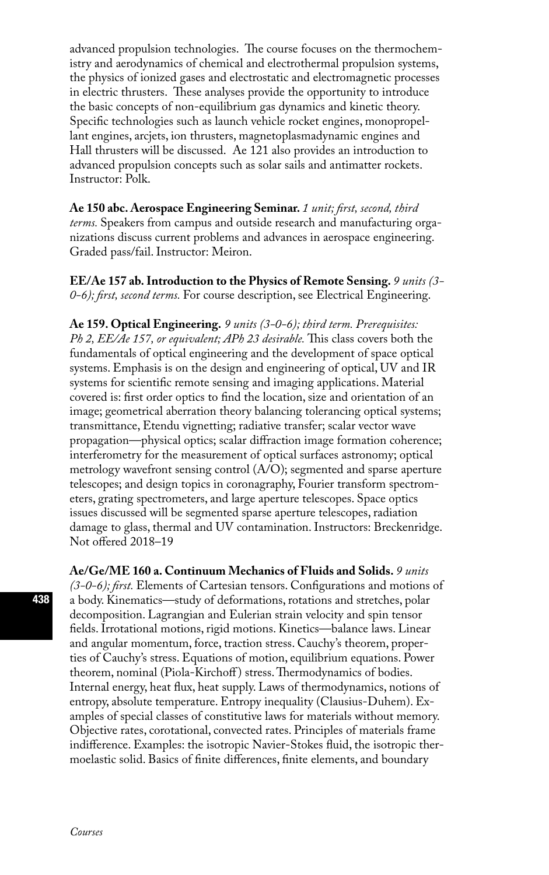advanced propulsion technologies. The course focuses on the thermochemistry and aerodynamics of chemical and electrothermal propulsion systems, the physics of ionized gases and electrostatic and electromagnetic processes in electric thrusters. These analyses provide the opportunity to introduce the basic concepts of non-equilibrium gas dynamics and kinetic theory. Specific technologies such as launch vehicle rocket engines, monopropellant engines, arcjets, ion thrusters, magnetoplasmadynamic engines and Hall thrusters will be discussed. Ae 121 also provides an introduction to advanced propulsion concepts such as solar sails and antimatter rockets. Instructor: Polk.

**Ae 150 abc. Aerospace Engineering Seminar.** *1 unit; first, second, third terms.* Speakers from campus and outside research and manufacturing organizations discuss current problems and advances in aerospace engineering. Graded pass/fail. Instructor: Meiron.

**EE/Ae 157 ab. Introduction to the Physics of Remote Sensing.** *9 units (3- 0-6); first, second terms.* For course description, see Electrical Engineering.

**Ae 159. Optical Engineering.** *9 units (3-0-6); third term. Prerequisites: Ph 2, EE/Ae 157, or equivalent; APh 23 desirable.* This class covers both the fundamentals of optical engineering and the development of space optical systems. Emphasis is on the design and engineering of optical, UV and IR systems for scientific remote sensing and imaging applications. Material covered is: first order optics to find the location, size and orientation of an image; geometrical aberration theory balancing tolerancing optical systems; transmittance, Etendu vignetting; radiative transfer; scalar vector wave propagation—physical optics; scalar diffraction image formation coherence; interferometry for the measurement of optical surfaces astronomy; optical metrology wavefront sensing control (A/O); segmented and sparse aperture telescopes; and design topics in coronagraphy, Fourier transform spectrometers, grating spectrometers, and large aperture telescopes. Space optics issues discussed will be segmented sparse aperture telescopes, radiation damage to glass, thermal and UV contamination. Instructors: Breckenridge. Not offered 2018–19

**Ae/Ge/ME 160 a. Continuum Mechanics of Fluids and Solids.** *9 units (3-0-6); first.* Elements of Cartesian tensors. Configurations and motions of a body. Kinematics—study of deformations, rotations and stretches, polar decomposition. Lagrangian and Eulerian strain velocity and spin tensor fields. Irrotational motions, rigid motions. Kinetics—balance laws. Linear and angular momentum, force, traction stress. Cauchy's theorem, properties of Cauchy's stress. Equations of motion, equilibrium equations. Power theorem, nominal (Piola-Kirchoff) stress. Thermodynamics of bodies. Internal energy, heat flux, heat supply. Laws of thermodynamics, notions of entropy, absolute temperature. Entropy inequality (Clausius-Duhem). Examples of special classes of constitutive laws for materials without memory. Objective rates, corotational, convected rates. Principles of materials frame indifference. Examples: the isotropic Navier-Stokes fluid, the isotropic thermoelastic solid. Basics of finite differences, finite elements, and boundary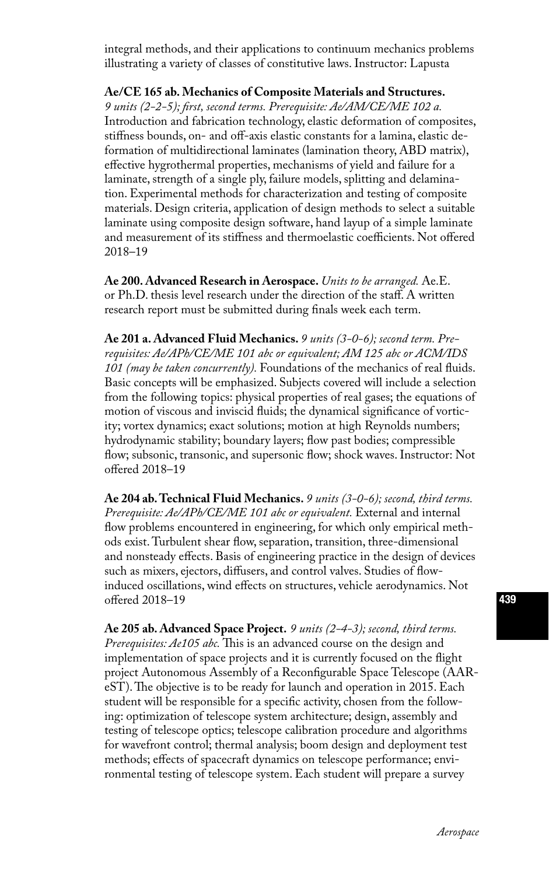integral methods, and their applications to continuum mechanics problems illustrating a variety of classes of constitutive laws. Instructor: Lapusta

**Ae/CE 165 ab. Mechanics of Composite Materials and Structures.**

*9 units (2-2-5); first, second terms. Prerequisite: Ae/AM/CE/ME 102 a.* Introduction and fabrication technology, elastic deformation of composites, stiffness bounds, on- and off-axis elastic constants for a lamina, elastic deformation of multidirectional laminates (lamination theory, ABD matrix), effective hygrothermal properties, mechanisms of yield and failure for a laminate, strength of a single ply, failure models, splitting and delamination. Experimental methods for characterization and testing of composite materials. Design criteria, application of design methods to select a suitable laminate using composite design software, hand layup of a simple laminate and measurement of its stiffness and thermoelastic coefficients. Not offered 2018–19

**Ae 200. Advanced Research in Aerospace.** *Units to be arranged.* Ae.E. or Ph.D. thesis level research under the direction of the staff. A written research report must be submitted during finals week each term.

**Ae 201 a. Advanced Fluid Mechanics.** *9 units (3-0-6); second term. Prerequisites: Ae/APh/CE/ME 101 abc or equivalent; AM 125 abc or ACM/IDS 101 (may be taken concurrently).* Foundations of the mechanics of real fluids. Basic concepts will be emphasized. Subjects covered will include a selection from the following topics: physical properties of real gases; the equations of motion of viscous and inviscid fluids; the dynamical significance of vorticity; vortex dynamics; exact solutions; motion at high Reynolds numbers; hydrodynamic stability; boundary layers; flow past bodies; compressible flow; subsonic, transonic, and supersonic flow; shock waves. Instructor: Not offered 2018–19

**Ae 204 ab. Technical Fluid Mechanics.** *9 units (3-0-6); second, third terms.*  Prerequisite: Ae/APh/CE/ME 101 abc or equivalent. External and internal flow problems encountered in engineering, for which only empirical methods exist. Turbulent shear flow, separation, transition, three-dimensional and nonsteady effects. Basis of engineering practice in the design of devices such as mixers, ejectors, diffusers, and control valves. Studies of flowinduced oscillations, wind effects on structures, vehicle aerodynamics. Not offered 2018–19

**Ae 205 ab. Advanced Space Project.** *9 units (2-4-3); second, third terms. Prerequisites: Ae105 abc.* This is an advanced course on the design and implementation of space projects and it is currently focused on the flight project Autonomous Assembly of a Reconfigurable Space Telescope (AAReST). The objective is to be ready for launch and operation in 2015. Each student will be responsible for a specific activity, chosen from the following: optimization of telescope system architecture; design, assembly and testing of telescope optics; telescope calibration procedure and algorithms for wavefront control; thermal analysis; boom design and deployment test methods; effects of spacecraft dynamics on telescope performance; environmental testing of telescope system. Each student will prepare a survey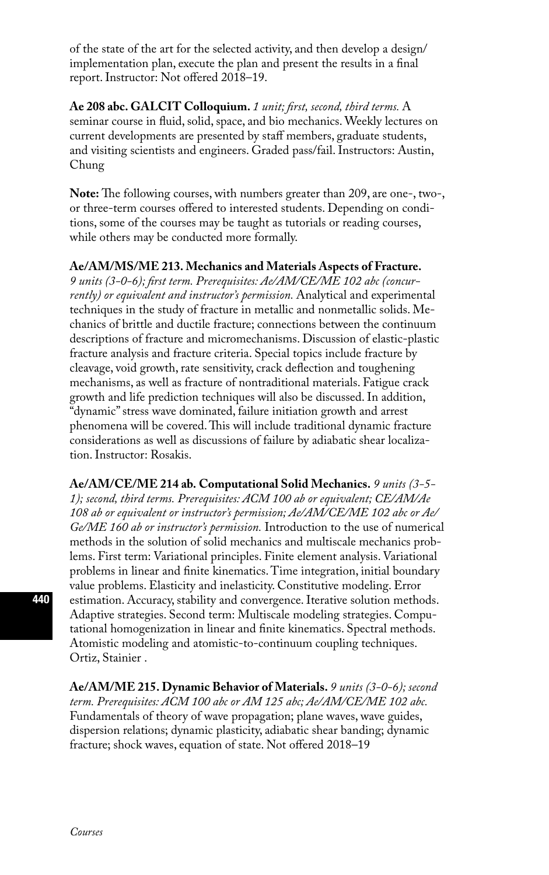of the state of the art for the selected activity, and then develop a design/ implementation plan, execute the plan and present the results in a final report. Instructor: Not offered 2018–19.

**Ae 208 abc. GALCIT Colloquium.** *1 unit; first, second, third terms.* A seminar course in fluid, solid, space, and bio mechanics. Weekly lectures on current developments are presented by staff members, graduate students, and visiting scientists and engineers. Graded pass/fail. Instructors: Austin, Chung

**Note:** The following courses, with numbers greater than 209, are one-, two-, or three-term courses offered to interested students. Depending on conditions, some of the courses may be taught as tutorials or reading courses, while others may be conducted more formally.

#### **Ae/AM/MS/ME 213. Mechanics and Materials Aspects of Fracture.**

*9 units (3-0-6); first term. Prerequisites: Ae/AM/CE/ME 102 abc (concurrently) or equivalent and instructor's permission.* Analytical and experimental techniques in the study of fracture in metallic and nonmetallic solids. Mechanics of brittle and ductile fracture; connections between the continuum descriptions of fracture and micromechanisms. Discussion of elastic-plastic fracture analysis and fracture criteria. Special topics include fracture by cleavage, void growth, rate sensitivity, crack deflection and toughening mechanisms, as well as fracture of nontraditional materials. Fatigue crack growth and life prediction techniques will also be discussed. In addition, "dynamic" stress wave dominated, failure initiation growth and arrest phenomena will be covered. This will include traditional dynamic fracture considerations as well as discussions of failure by adiabatic shear localization. Instructor: Rosakis.

**Ae/AM/CE/ME 214 ab. Computational Solid Mechanics.** *9 units (3-5- 1); second, third terms. Prerequisites: ACM 100 ab or equivalent; CE/AM/Ae 108 ab or equivalent or instructor's permission; Ae/AM/CE/ME 102 abc or Ae/ Ge/ME 160 ab or instructor's permission.* Introduction to the use of numerical methods in the solution of solid mechanics and multiscale mechanics problems. First term: Variational principles. Finite element analysis. Variational problems in linear and finite kinematics. Time integration, initial boundary value problems. Elasticity and inelasticity. Constitutive modeling. Error estimation. Accuracy, stability and convergence. Iterative solution methods. Adaptive strategies. Second term: Multiscale modeling strategies. Computational homogenization in linear and finite kinematics. Spectral methods. Atomistic modeling and atomistic-to-continuum coupling techniques. Ortiz, Stainier .

**Ae/AM/ME 215. Dynamic Behavior of Materials.** *9 units (3-0-6); second term. Prerequisites: ACM 100 abc or AM 125 abc; Ae/AM/CE/ME 102 abc.*  Fundamentals of theory of wave propagation; plane waves, wave guides, dispersion relations; dynamic plasticity, adiabatic shear banding; dynamic fracture; shock waves, equation of state. Not offered 2018–19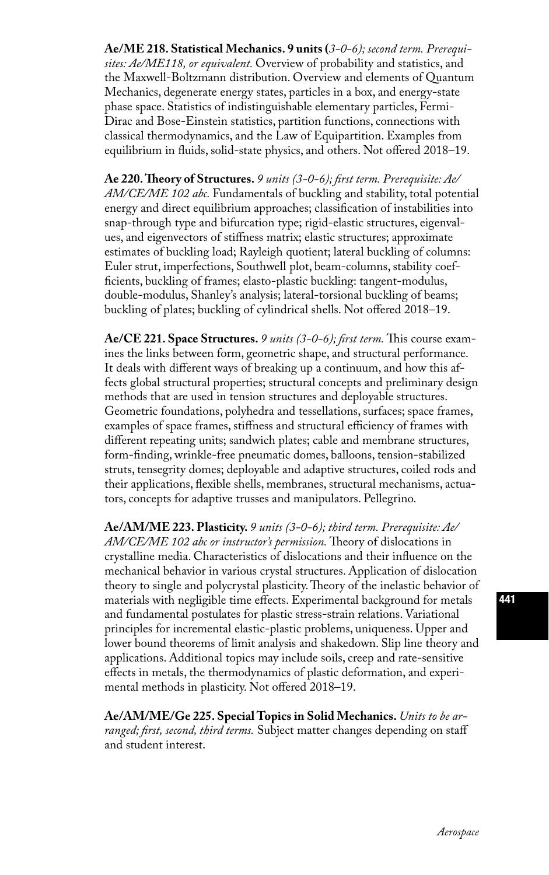**Ae/ME 218. Statistical Mechanics. 9 units (***3-0-6); second term. Prerequisites: Ae/ME118, or equivalent.* Overview of probability and statistics, and the Maxwell-Boltzmann distribution. Overview and elements of Quantum Mechanics, degenerate energy states, particles in a box, and energy-state phase space. Statistics of indistinguishable elementary particles, Fermi-Dirac and Bose-Einstein statistics, partition functions, connections with classical thermodynamics, and the Law of Equipartition. Examples from equilibrium in fluids, solid-state physics, and others. Not offered 2018–19.

**Ae 220. Theory of Structures.** *9 units (3-0-6); first term. Prerequisite: Ae/ AM/CE/ME 102 abc.* Fundamentals of buckling and stability, total potential energy and direct equilibrium approaches; classification of instabilities into snap-through type and bifurcation type; rigid-elastic structures, eigenvalues, and eigenvectors of stiffness matrix; elastic structures; approximate estimates of buckling load; Rayleigh quotient; lateral buckling of columns: Euler strut, imperfections, Southwell plot, beam-columns, stability coefficients, buckling of frames; elasto-plastic buckling: tangent-modulus, double-modulus, Shanley's analysis; lateral-torsional buckling of beams; buckling of plates; buckling of cylindrical shells. Not offered 2018–19.

**Ae/CE 221. Space Structures.** *9 units (3-0-6); first term.* This course examines the links between form, geometric shape, and structural performance. It deals with different ways of breaking up a continuum, and how this affects global structural properties; structural concepts and preliminary design methods that are used in tension structures and deployable structures. Geometric foundations, polyhedra and tessellations, surfaces; space frames, examples of space frames, stiffness and structural efficiency of frames with different repeating units; sandwich plates; cable and membrane structures, form-finding, wrinkle-free pneumatic domes, balloons, tension-stabilized struts, tensegrity domes; deployable and adaptive structures, coiled rods and their applications, flexible shells, membranes, structural mechanisms, actuators, concepts for adaptive trusses and manipulators. Pellegrino.

**Ae/AM/ME 223. Plasticity.** *9 units (3-0-6); third term. Prerequisite: Ae/ AM/CE/ME 102 abc or instructor's permission.* Theory of dislocations in crystalline media. Characteristics of dislocations and their influence on the mechanical behavior in various crystal structures. Application of dislocation theory to single and polycrystal plasticity. Theory of the inelastic behavior of materials with negligible time effects. Experimental background for metals and fundamental postulates for plastic stress-strain relations. Variational principles for incremental elastic-plastic problems, uniqueness. Upper and lower bound theorems of limit analysis and shakedown. Slip line theory and applications. Additional topics may include soils, creep and rate-sensitive effects in metals, the thermodynamics of plastic deformation, and experimental methods in plasticity. Not offered 2018–19.

**Ae/AM/ME/Ge 225. Special Topics in Solid Mechanics.** *Units to be arranged; first, second, third terms.* Subject matter changes depending on staff and student interest.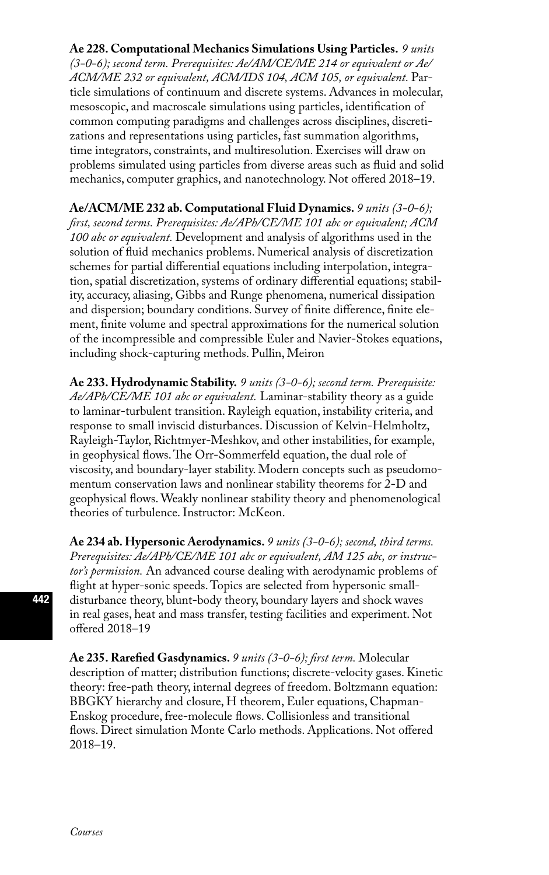**Ae 228. Computational Mechanics Simulations Using Particles.** *9 units (3-0-6); second term. Prerequisites: Ae/AM/CE/ME 214 or equivalent or Ae/ ACM/ME 232 or equivalent, ACM/IDS 104, ACM 105, or equivalent.* Particle simulations of continuum and discrete systems. Advances in molecular, mesoscopic, and macroscale simulations using particles, identification of common computing paradigms and challenges across disciplines, discretizations and representations using particles, fast summation algorithms, time integrators, constraints, and multiresolution. Exercises will draw on problems simulated using particles from diverse areas such as fluid and solid mechanics, computer graphics, and nanotechnology. Not offered 2018–19.

**Ae/ACM/ME 232 ab. Computational Fluid Dynamics.** *9 units (3-0-6); first, second terms. Prerequisites: Ae/APh/CE/ME 101 abc or equivalent; ACM 100 abc or equivalent.* Development and analysis of algorithms used in the solution of fluid mechanics problems. Numerical analysis of discretization schemes for partial differential equations including interpolation, integration, spatial discretization, systems of ordinary differential equations; stability, accuracy, aliasing, Gibbs and Runge phenomena, numerical dissipation and dispersion; boundary conditions. Survey of finite difference, finite element, finite volume and spectral approximations for the numerical solution of the incompressible and compressible Euler and Navier-Stokes equations, including shock-capturing methods. Pullin, Meiron

**Ae 233. Hydrodynamic Stability.** *9 units (3-0-6); second term. Prerequisite: Ae/APh/CE/ME 101 abc or equivalent.* Laminar-stability theory as a guide to laminar-turbulent transition. Rayleigh equation, instability criteria, and response to small inviscid disturbances. Discussion of Kelvin-Helmholtz, Rayleigh-Taylor, Richtmyer-Meshkov, and other instabilities, for example, in geophysical flows. The Orr-Sommerfeld equation, the dual role of viscosity, and boundary-layer stability. Modern concepts such as pseudomomentum conservation laws and nonlinear stability theorems for 2-D and geophysical flows. Weakly nonlinear stability theory and phenomenological theories of turbulence. Instructor: McKeon.

**Ae 234 ab. Hypersonic Aerodynamics.** *9 units (3-0-6); second, third terms. Prerequisites: Ae/APh/CE/ME 101 abc or equivalent, AM 125 abc, or instructor's permission.* An advanced course dealing with aerodynamic problems of flight at hyper-sonic speeds. Topics are selected from hypersonic smalldisturbance theory, blunt-body theory, boundary layers and shock waves in real gases, heat and mass transfer, testing facilities and experiment. Not offered 2018–19

**Ae 235. Rarefied Gasdynamics.** *9 units (3-0-6); first term.* Molecular description of matter; distribution functions; discrete-velocity gases. Kinetic theory: free-path theory, internal degrees of freedom. Boltzmann equation: BBGKY hierarchy and closure, H theorem, Euler equations, Chapman-Enskog procedure, free-molecule flows. Collisionless and transitional flows. Direct simulation Monte Carlo methods. Applications. Not offered 2018–19.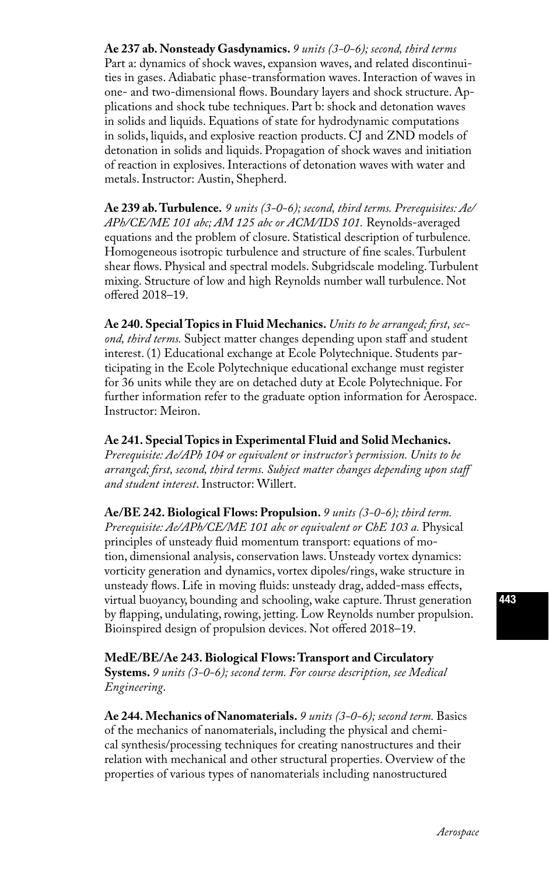**Ae 237 ab. Nonsteady Gasdynamics.** *9 units (3-0-6); second, third terms*  Part a: dynamics of shock waves, expansion waves, and related discontinuities in gases. Adiabatic phase-transformation waves. Interaction of waves in one- and two-dimensional flows. Boundary layers and shock structure. Applications and shock tube techniques. Part b: shock and detonation waves in solids and liquids. Equations of state for hydrodynamic computations in solids, liquids, and explosive reaction products. CJ and ZND models of detonation in solids and liquids. Propagation of shock waves and initiation of reaction in explosives. Interactions of detonation waves with water and metals. Instructor: Austin, Shepherd.

**Ae 239 ab. Turbulence.** *9 units (3-0-6); second, third terms. Prerequisites: Ae/ APh/CE/ME 101 abc; AM 125 abc or ACM/IDS 101.* Reynolds-averaged equations and the problem of closure. Statistical description of turbulence. Homogeneous isotropic turbulence and structure of fine scales. Turbulent shear flows. Physical and spectral models. Subgridscale modeling. Turbulent mixing. Structure of low and high Reynolds number wall turbulence. Not offered 2018–19.

**Ae 240. Special Topics in Fluid Mechanics.** *Units to be arranged; first, second, third terms.* Subject matter changes depending upon staff and student interest. (1) Educational exchange at Ecole Polytechnique. Students participating in the Ecole Polytechnique educational exchange must register for 36 units while they are on detached duty at Ecole Polytechnique. For further information refer to the graduate option information for Aerospace. Instructor: Meiron.

#### **Ae 241. Special Topics in Experimental Fluid and Solid Mechanics.**

*Prerequisite: Ae/APh 104 or equivalent or instructor's permission. Units to be arranged; first, second, third terms. Subject matter changes depending upon staff and student interest*. Instructor: Willert.

**Ae/BE 242. Biological Flows: Propulsion.** *9 units (3-0-6); third term.*  Prerequisite: Ae/APh/CE/ME 101 abc or equivalent or ChE 103 a. Physical principles of unsteady fluid momentum transport: equations of motion, dimensional analysis, conservation laws. Unsteady vortex dynamics: vorticity generation and dynamics, vortex dipoles/rings, wake structure in unsteady flows. Life in moving fluids: unsteady drag, added-mass effects, virtual buoyancy, bounding and schooling, wake capture. Thrust generation by flapping, undulating, rowing, jetting. Low Reynolds number propulsion. Bioinspired design of propulsion devices. Not offered 2018–19.

**MedE/BE/Ae 243. Biological Flows: Transport and Circulatory Systems.** *9 units (3-0-6); second term. For course description, see Medical Engineering*.

**Ae 244. Mechanics of Nanomaterials.** *9 units (3-0-6); second term.* Basics of the mechanics of nanomaterials, including the physical and chemical synthesis/processing techniques for creating nanostructures and their relation with mechanical and other structural properties. Overview of the properties of various types of nanomaterials including nanostructured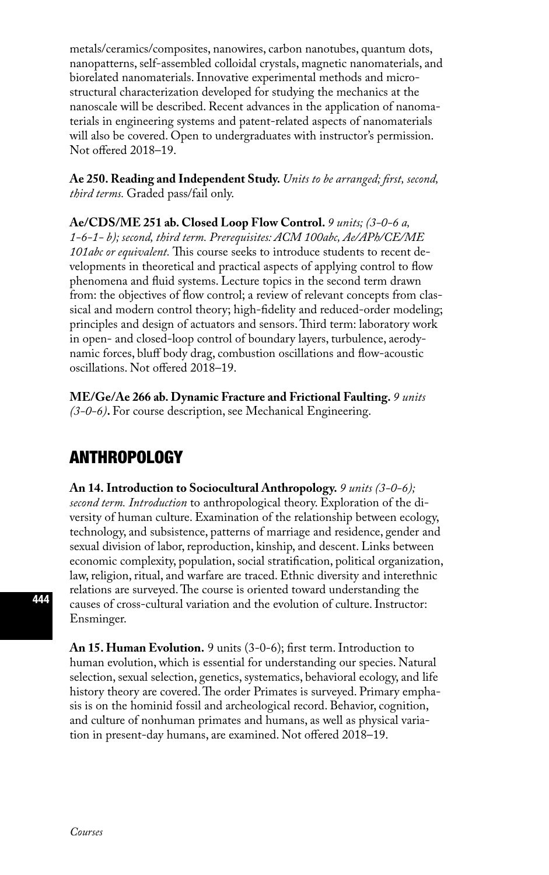metals/ceramics/composites, nanowires, carbon nanotubes, quantum dots, nanopatterns, self-assembled colloidal crystals, magnetic nanomaterials, and biorelated nanomaterials. Innovative experimental methods and microstructural characterization developed for studying the mechanics at the nanoscale will be described. Recent advances in the application of nanomaterials in engineering systems and patent-related aspects of nanomaterials will also be covered. Open to undergraduates with instructor's permission. Not offered 2018–19.

**Ae 250. Reading and Independent Study.** *Units to be arranged; first, second, third terms.* Graded pass/fail only.

**Ae/CDS/ME 251 ab. Closed Loop Flow Control.** *9 units; (3-0-6 a, 1-6-1- b); second, third term. Prerequisites: ACM 100abc, Ae/APh/CE/ME 101abc or equivalent.* This course seeks to introduce students to recent developments in theoretical and practical aspects of applying control to flow phenomena and fluid systems. Lecture topics in the second term drawn from: the objectives of flow control; a review of relevant concepts from classical and modern control theory; high-fidelity and reduced-order modeling; principles and design of actuators and sensors. Third term: laboratory work in open- and closed-loop control of boundary layers, turbulence, aerodynamic forces, bluff body drag, combustion oscillations and flow-acoustic oscillations. Not offered 2018–19.

**ME/Ge/Ae 266 ab. Dynamic Fracture and Frictional Faulting.** *9 units (3-0-6)***.** For course description, see Mechanical Engineering.

## ANTHROPOLOGY

**An 14. Introduction to Sociocultural Anthropology.** *9 units (3-0-6); second term. Introduction* to anthropological theory. Exploration of the diversity of human culture. Examination of the relationship between ecology, technology, and subsistence, patterns of marriage and residence, gender and sexual division of labor, reproduction, kinship, and descent. Links between economic complexity, population, social stratification, political organization, law, religion, ritual, and warfare are traced. Ethnic diversity and interethnic relations are surveyed. The course is oriented toward understanding the causes of cross-cultural variation and the evolution of culture. Instructor: Ensminger.

**An 15. Human Evolution.** 9 units (3-0-6); first term. Introduction to human evolution, which is essential for understanding our species. Natural selection, sexual selection, genetics, systematics, behavioral ecology, and life history theory are covered. The order Primates is surveyed. Primary emphasis is on the hominid fossil and archeological record. Behavior, cognition, and culture of nonhuman primates and humans, as well as physical variation in present-day humans, are examined. Not offered 2018–19.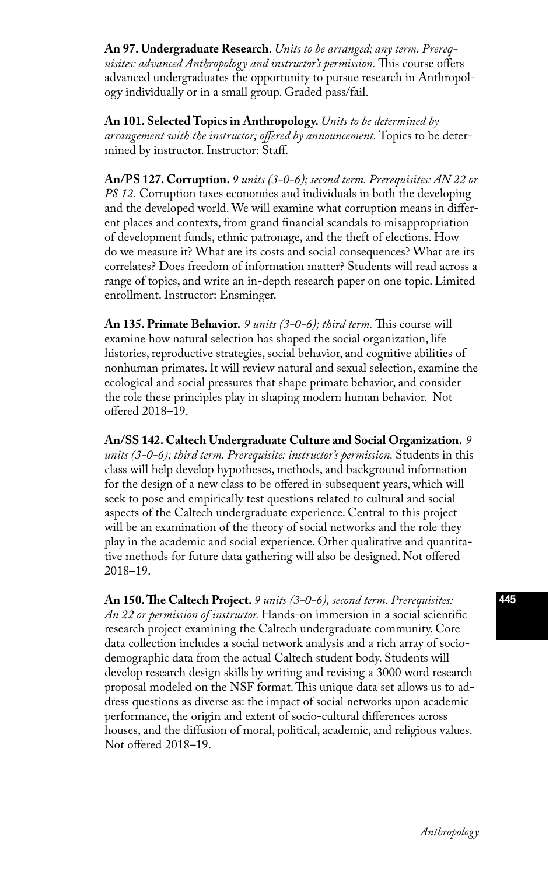**An 97. Undergraduate Research.** *Units to be arranged; any term. Prerequisites: advanced Anthropology and instructor's permission.* This course offers advanced undergraduates the opportunity to pursue research in Anthropology individually or in a small group. Graded pass/fail.

**An 101. Selected Topics in Anthropology.** *Units to be determined by arrangement with the instructor; offered by announcement.* Topics to be determined by instructor. Instructor: Staff.

**An/PS 127. Corruption.** *9 units (3-0-6); second term. Prerequisites: AN 22 or PS 12.* Corruption taxes economies and individuals in both the developing and the developed world. We will examine what corruption means in different places and contexts, from grand financial scandals to misappropriation of development funds, ethnic patronage, and the theft of elections. How do we measure it? What are its costs and social consequences? What are its correlates? Does freedom of information matter? Students will read across a range of topics, and write an in-depth research paper on one topic. Limited enrollment. Instructor: Ensminger.

**An 135. Primate Behavior.** *9 units (3-0-6); third term.* This course will examine how natural selection has shaped the social organization, life histories, reproductive strategies, social behavior, and cognitive abilities of nonhuman primates. It will review natural and sexual selection, examine the ecological and social pressures that shape primate behavior, and consider the role these principles play in shaping modern human behavior. Not offered 2018–19.

**An/SS 142. Caltech Undergraduate Culture and Social Organization.** *9 units (3-0-6); third term. Prerequisite: instructor's permission.* Students in this class will help develop hypotheses, methods, and background information for the design of a new class to be offered in subsequent years, which will seek to pose and empirically test questions related to cultural and social aspects of the Caltech undergraduate experience. Central to this project will be an examination of the theory of social networks and the role they play in the academic and social experience. Other qualitative and quantitative methods for future data gathering will also be designed. Not offered 2018–19.

**An 150. The Caltech Project.** *9 units (3-0-6), second term. Prerequisites: An 22 or permission of instructor.* Hands-on immersion in a social scientific research project examining the Caltech undergraduate community. Core data collection includes a social network analysis and a rich array of sociodemographic data from the actual Caltech student body. Students will develop research design skills by writing and revising a 3000 word research proposal modeled on the NSF format. This unique data set allows us to address questions as diverse as: the impact of social networks upon academic performance, the origin and extent of socio-cultural differences across houses, and the diffusion of moral, political, academic, and religious values. Not offered 2018–19.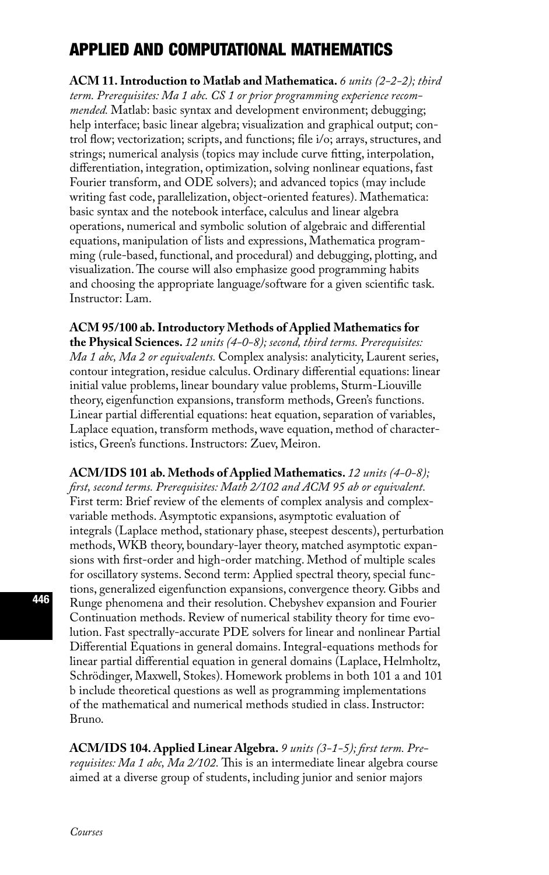# APPLIED AND COMPUTATIONAL MATHEMATICS

**ACM 11. Introduction to Matlab and Mathematica.** *6 units (2-2-2); third term. Prerequisites: Ma 1 abc. CS 1 or prior programming experience recommended.* Matlab: basic syntax and development environment; debugging; help interface; basic linear algebra; visualization and graphical output; control flow; vectorization; scripts, and functions; file i/o; arrays, structures, and strings; numerical analysis (topics may include curve fitting, interpolation, differentiation, integration, optimization, solving nonlinear equations, fast Fourier transform, and ODE solvers); and advanced topics (may include writing fast code, parallelization, object-oriented features). Mathematica: basic syntax and the notebook interface, calculus and linear algebra operations, numerical and symbolic solution of algebraic and differential equations, manipulation of lists and expressions, Mathematica programming (rule-based, functional, and procedural) and debugging, plotting, and visualization. The course will also emphasize good programming habits and choosing the appropriate language/software for a given scientific task. Instructor: Lam.

**ACM 95/100 ab. Introductory Methods of Applied Mathematics for** 

**the Physical Sciences.** *12 units (4-0-8); second, third terms. Prerequisites: Ma 1 abc, Ma 2 or equivalents.* Complex analysis: analyticity, Laurent series, contour integration, residue calculus. Ordinary differential equations: linear initial value problems, linear boundary value problems, Sturm-Liouville theory, eigenfunction expansions, transform methods, Green's functions. Linear partial differential equations: heat equation, separation of variables, Laplace equation, transform methods, wave equation, method of characteristics, Green's functions. Instructors: Zuev, Meiron.

**ACM/IDS 101 ab. Methods of Applied Mathematics.** *12 units (4-0-8); first, second terms. Prerequisites: Math 2/102 and ACM 95 ab or equivalent.* First term: Brief review of the elements of complex analysis and complexvariable methods. Asymptotic expansions, asymptotic evaluation of integrals (Laplace method, stationary phase, steepest descents), perturbation methods, WKB theory, boundary-layer theory, matched asymptotic expansions with first-order and high-order matching. Method of multiple scales for oscillatory systems. Second term: Applied spectral theory, special functions, generalized eigenfunction expansions, convergence theory. Gibbs and Runge phenomena and their resolution. Chebyshev expansion and Fourier Continuation methods. Review of numerical stability theory for time evolution. Fast spectrally-accurate PDE solvers for linear and nonlinear Partial Differential Equations in general domains. Integral-equations methods for linear partial differential equation in general domains (Laplace, Helmholtz, Schrödinger, Maxwell, Stokes). Homework problems in both 101 a and 101 b include theoretical questions as well as programming implementations of the mathematical and numerical methods studied in class. Instructor: Bruno.

**ACM/IDS 104. Applied Linear Algebra.** *9 units (3-1-5); first term. Prerequisites: Ma 1 abc, Ma 2/102.* This is an intermediate linear algebra course aimed at a diverse group of students, including junior and senior majors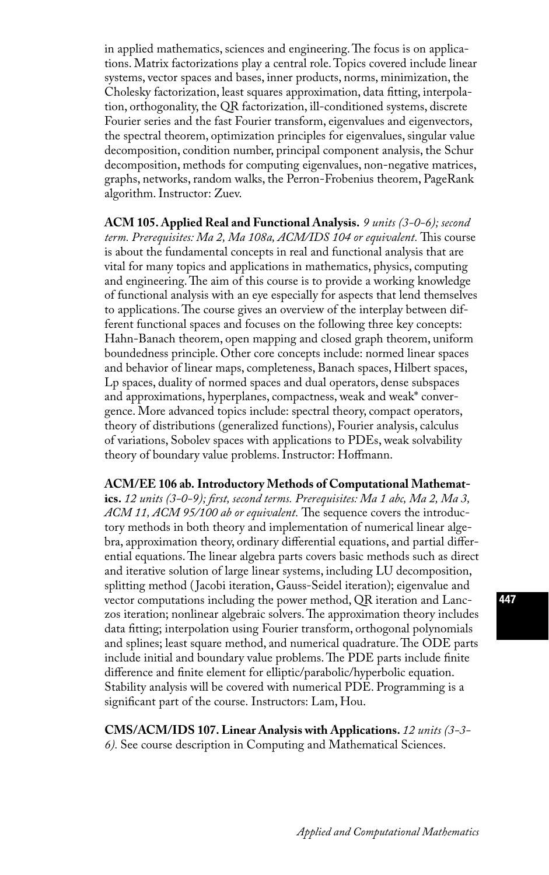in applied mathematics, sciences and engineering. The focus is on applications. Matrix factorizations play a central role. Topics covered include linear systems, vector spaces and bases, inner products, norms, minimization, the Cholesky factorization, least squares approximation, data fitting, interpolation, orthogonality, the QR factorization, ill-conditioned systems, discrete Fourier series and the fast Fourier transform, eigenvalues and eigenvectors, the spectral theorem, optimization principles for eigenvalues, singular value decomposition, condition number, principal component analysis, the Schur decomposition, methods for computing eigenvalues, non-negative matrices, graphs, networks, random walks, the Perron-Frobenius theorem, PageRank algorithm. Instructor: Zuev.

**ACM 105. Applied Real and Functional Analysis.** *9 units (3-0-6); second term. Prerequisites: Ma 2, Ma 108a, ACM/IDS 104 or equivalent.* This course is about the fundamental concepts in real and functional analysis that are vital for many topics and applications in mathematics, physics, computing and engineering. The aim of this course is to provide a working knowledge of functional analysis with an eye especially for aspects that lend themselves to applications. The course gives an overview of the interplay between different functional spaces and focuses on the following three key concepts: Hahn-Banach theorem, open mapping and closed graph theorem, uniform boundedness principle. Other core concepts include: normed linear spaces and behavior of linear maps, completeness, Banach spaces, Hilbert spaces, Lp spaces, duality of normed spaces and dual operators, dense subspaces and approximations, hyperplanes, compactness, weak and weak\* convergence. More advanced topics include: spectral theory, compact operators, theory of distributions (generalized functions), Fourier analysis, calculus of variations, Sobolev spaces with applications to PDEs, weak solvability theory of boundary value problems. Instructor: Hoffmann.

#### **ACM/EE 106 ab. Introductory Methods of Computational Mathemat-**

**ics.** *12 units (3-0-9); first, second terms. Prerequisites: Ma 1 abc, Ma 2, Ma 3, ACM 11, ACM 95/100 ab or equivalent.* The sequence covers the introductory methods in both theory and implementation of numerical linear algebra, approximation theory, ordinary differential equations, and partial differential equations. The linear algebra parts covers basic methods such as direct and iterative solution of large linear systems, including LU decomposition, splitting method ( Jacobi iteration, Gauss-Seidel iteration); eigenvalue and vector computations including the power method, QR iteration and Lanczos iteration; nonlinear algebraic solvers. The approximation theory includes data fitting; interpolation using Fourier transform, orthogonal polynomials and splines; least square method, and numerical quadrature. The ODE parts include initial and boundary value problems. The PDE parts include finite difference and finite element for elliptic/parabolic/hyperbolic equation. Stability analysis will be covered with numerical PDE. Programming is a significant part of the course. Instructors: Lam, Hou.

**CMS/ACM/IDS 107. Linear Analysis with Applications.** *12 units (3-3- 6).* See course description in Computing and Mathematical Sciences.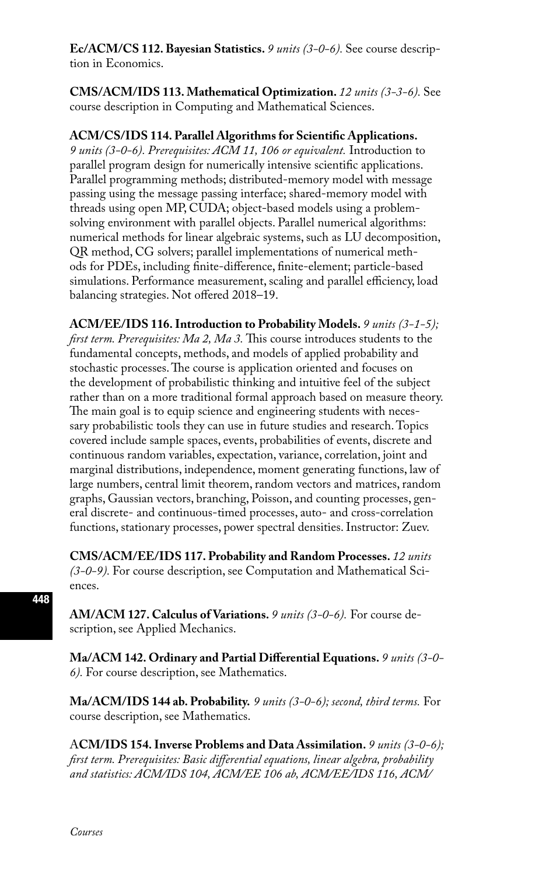**Ec/ACM/CS 112. Bayesian Statistics.** *9 units (3-0-6).* See course description in Economics.

**CMS/ACM/IDS 113. Mathematical Optimization.** *12 units (3-3-6).* See course description in Computing and Mathematical Sciences.

#### **ACM/CS/IDS 114. Parallel Algorithms for Scientific Applications.**

*9 units (3-0-6). Prerequisites: ACM 11, 106 or equivalent.* Introduction to parallel program design for numerically intensive scientific applications. Parallel programming methods; distributed-memory model with message passing using the message passing interface; shared-memory model with threads using open MP, CUDA; object-based models using a problemsolving environment with parallel objects. Parallel numerical algorithms: numerical methods for linear algebraic systems, such as LU decomposition, QR method, CG solvers; parallel implementations of numerical methods for PDEs, including finite-difference, finite-element; particle-based simulations. Performance measurement, scaling and parallel efficiency, load balancing strategies. Not offered 2018–19.

**ACM/EE/IDS 116. Introduction to Probability Models.** *9 units (3-1-5); first term. Prerequisites: Ma 2, Ma 3.* This course introduces students to the fundamental concepts, methods, and models of applied probability and stochastic processes. The course is application oriented and focuses on the development of probabilistic thinking and intuitive feel of the subject rather than on a more traditional formal approach based on measure theory. The main goal is to equip science and engineering students with necessary probabilistic tools they can use in future studies and research. Topics covered include sample spaces, events, probabilities of events, discrete and continuous random variables, expectation, variance, correlation, joint and marginal distributions, independence, moment generating functions, law of large numbers, central limit theorem, random vectors and matrices, random graphs, Gaussian vectors, branching, Poisson, and counting processes, general discrete- and continuous-timed processes, auto- and cross-correlation functions, stationary processes, power spectral densities. Instructor: Zuev.

**CMS/ACM/EE/IDS 117. Probability and Random Processes.** *12 units (3-0-9).* For course description, see Computation and Mathematical Sciences.

**AM/ACM 127. Calculus of Variations.** *9 units (3-0-6).* For course description, see Applied Mechanics.

**Ma/ACM 142. Ordinary and Partial Differential Equations.** *9 units (3-0- 6).* For course description, see Mathematics.

**Ma/ACM/IDS 144 ab. Probability.** *9 units (3-0-6); second, third terms.* For course description, see Mathematics.

A**CM/IDS 154. Inverse Problems and Data Assimilation.** *9 units (3-0-6); first term. Prerequisites: Basic differential equations, linear algebra, probability and statistics: ACM/IDS 104, ACM/EE 106 ab, ACM/EE/IDS 116, ACM/*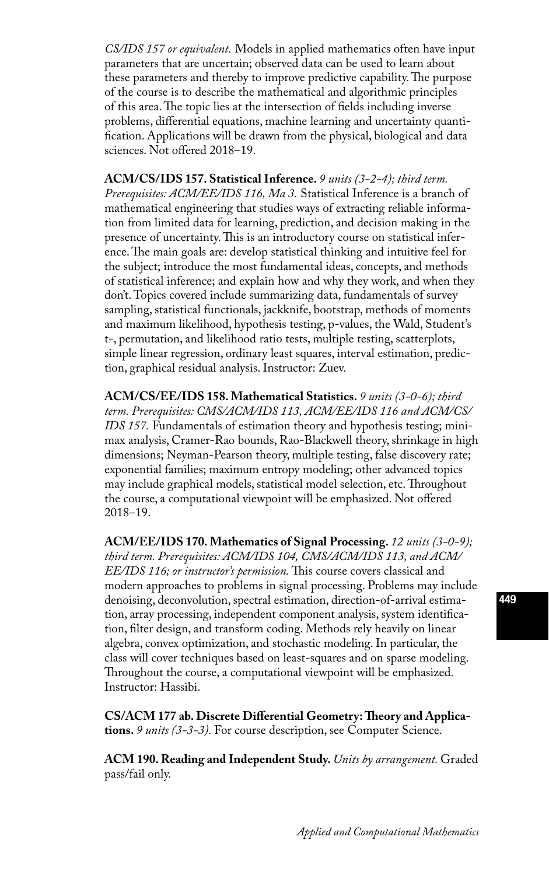*CS/IDS 157 or equivalent.* Models in applied mathematics often have input parameters that are uncertain; observed data can be used to learn about these parameters and thereby to improve predictive capability. The purpose of the course is to describe the mathematical and algorithmic principles of this area. The topic lies at the intersection of fields including inverse problems, differential equations, machine learning and uncertainty quantification. Applications will be drawn from the physical, biological and data sciences. Not offered 2018–19.

**ACM/CS/IDS 157. Statistical Inference.** *9 units (3-2-4); third term. Prerequisites: ACM/EE/IDS 116, Ma 3.* Statistical Inference is a branch of mathematical engineering that studies ways of extracting reliable information from limited data for learning, prediction, and decision making in the presence of uncertainty. This is an introductory course on statistical inference. The main goals are: develop statistical thinking and intuitive feel for the subject; introduce the most fundamental ideas, concepts, and methods of statistical inference; and explain how and why they work, and when they don't. Topics covered include summarizing data, fundamentals of survey sampling, statistical functionals, jackknife, bootstrap, methods of moments and maximum likelihood, hypothesis testing, p-values, the Wald, Student's t-, permutation, and likelihood ratio tests, multiple testing, scatterplots, simple linear regression, ordinary least squares, interval estimation, prediction, graphical residual analysis. Instructor: Zuev.

**ACM/CS/EE/IDS 158. Mathematical Statistics.** *9 units (3-0-6); third term. Prerequisites: CMS/ACM/IDS 113, ACM/EE/IDS 116 and ACM/CS/ IDS 157.* Fundamentals of estimation theory and hypothesis testing; minimax analysis, Cramer-Rao bounds, Rao-Blackwell theory, shrinkage in high dimensions; Neyman-Pearson theory, multiple testing, false discovery rate; exponential families; maximum entropy modeling; other advanced topics may include graphical models, statistical model selection, etc. Throughout the course, a computational viewpoint will be emphasized. Not offered 2018–19.

**ACM/EE/IDS 170. Mathematics of Signal Processing.** *12 units (3-0-9); third term. Prerequisites: ACM/IDS 104, CMS/ACM/IDS 113, and ACM/ EE/IDS 116; or instructor's permission.* This course covers classical and modern approaches to problems in signal processing. Problems may include denoising, deconvolution, spectral estimation, direction-of-arrival estimation, array processing, independent component analysis, system identification, filter design, and transform coding. Methods rely heavily on linear algebra, convex optimization, and stochastic modeling. In particular, the class will cover techniques based on least-squares and on sparse modeling. Throughout the course, a computational viewpoint will be emphasized. Instructor: Hassibi.

**CS/ACM 177 ab. Discrete Differential Geometry: Theory and Applications.** *9 units (3-3-3).* For course description, see Computer Science.

**ACM 190. Reading and Independent Study.** *Units by arrangement.* Graded pass/fail only.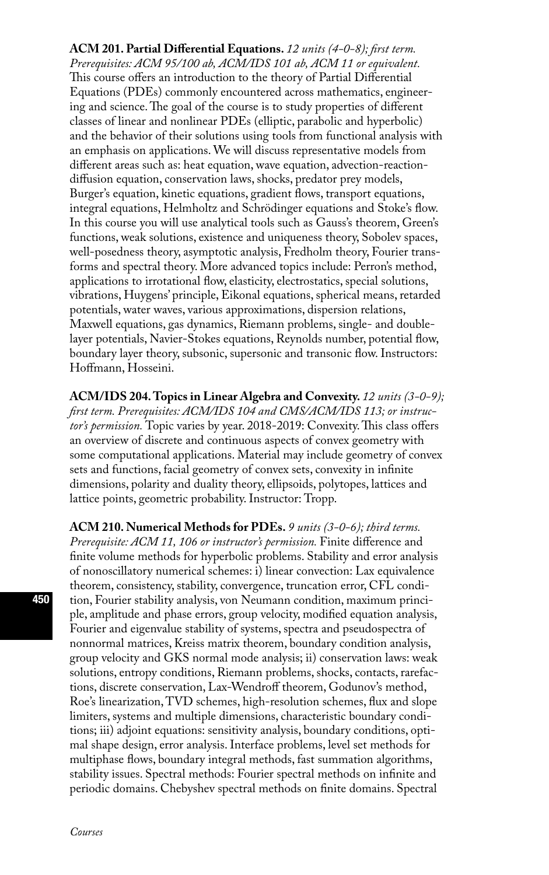**ACM 201. Partial Differential Equations.** *12 units (4-0-8); first term. Prerequisites: ACM 95/100 ab, ACM/IDS 101 ab, ACM 11 or equivalent.* This course offers an introduction to the theory of Partial Differential Equations (PDEs) commonly encountered across mathematics, engineering and science. The goal of the course is to study properties of different classes of linear and nonlinear PDEs (elliptic, parabolic and hyperbolic) and the behavior of their solutions using tools from functional analysis with an emphasis on applications. We will discuss representative models from different areas such as: heat equation, wave equation, advection-reactiondiffusion equation, conservation laws, shocks, predator prey models, Burger's equation, kinetic equations, gradient flows, transport equations, integral equations, Helmholtz and Schrödinger equations and Stoke's flow. In this course you will use analytical tools such as Gauss's theorem, Green's functions, weak solutions, existence and uniqueness theory, Sobolev spaces, well-posedness theory, asymptotic analysis, Fredholm theory, Fourier transforms and spectral theory. More advanced topics include: Perron's method, applications to irrotational flow, elasticity, electrostatics, special solutions, vibrations, Huygens' principle, Eikonal equations, spherical means, retarded potentials, water waves, various approximations, dispersion relations, Maxwell equations, gas dynamics, Riemann problems, single- and doublelayer potentials, Navier-Stokes equations, Reynolds number, potential flow, boundary layer theory, subsonic, supersonic and transonic flow. Instructors: Hoffmann, Hosseini.

**ACM/IDS 204. Topics in Linear Algebra and Convexity.** *12 units (3-0-9); first term. Prerequisites: ACM/IDS 104 and CMS/ACM/IDS 113; or instructor's permission.* Topic varies by year. 2018-2019: Convexity. This class offers an overview of discrete and continuous aspects of convex geometry with some computational applications. Material may include geometry of convex sets and functions, facial geometry of convex sets, convexity in infinite dimensions, polarity and duality theory, ellipsoids, polytopes, lattices and lattice points, geometric probability. Instructor: Tropp.

**ACM 210. Numerical Methods for PDEs.** *9 units (3-0-6); third terms. Prerequisite: ACM 11, 106 or instructor's permission.* Finite difference and finite volume methods for hyperbolic problems. Stability and error analysis of nonoscillatory numerical schemes: i) linear convection: Lax equivalence theorem, consistency, stability, convergence, truncation error, CFL condition, Fourier stability analysis, von Neumann condition, maximum principle, amplitude and phase errors, group velocity, modified equation analysis, Fourier and eigenvalue stability of systems, spectra and pseudospectra of nonnormal matrices, Kreiss matrix theorem, boundary condition analysis, group velocity and GKS normal mode analysis; ii) conservation laws: weak solutions, entropy conditions, Riemann problems, shocks, contacts, rarefactions, discrete conservation, Lax-Wendroff theorem, Godunov's method, Roe's linearization, TVD schemes, high-resolution schemes, flux and slope limiters, systems and multiple dimensions, characteristic boundary conditions; iii) adjoint equations: sensitivity analysis, boundary conditions, optimal shape design, error analysis. Interface problems, level set methods for multiphase flows, boundary integral methods, fast summation algorithms, stability issues. Spectral methods: Fourier spectral methods on infinite and periodic domains. Chebyshev spectral methods on finite domains. Spectral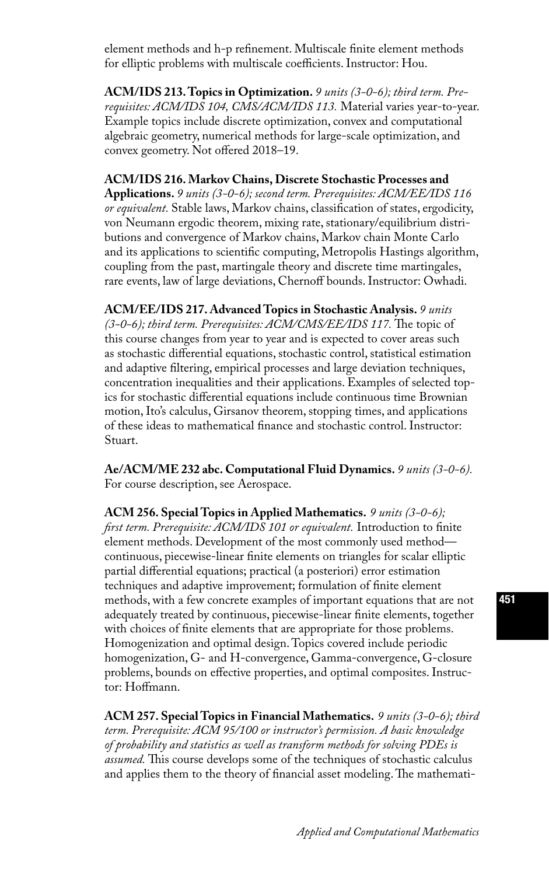element methods and h-p refinement. Multiscale finite element methods for elliptic problems with multiscale coefficients. Instructor: Hou.

**ACM/IDS 213. Topics in Optimization.** *9 units (3-0-6); third term. Prerequisites: ACM/IDS 104, CMS/ACM/IDS 113.* Material varies year-to-year. Example topics include discrete optimization, convex and computational algebraic geometry, numerical methods for large-scale optimization, and convex geometry. Not offered 2018–19.

#### **ACM/IDS 216. Markov Chains, Discrete Stochastic Processes and**

**Applications.** *9 units (3-0-6); second term. Prerequisites: ACM/EE/IDS 116 or equivalent.* Stable laws, Markov chains, classification of states, ergodicity, von Neumann ergodic theorem, mixing rate, stationary/equilibrium distributions and convergence of Markov chains, Markov chain Monte Carlo and its applications to scientific computing, Metropolis Hastings algorithm, coupling from the past, martingale theory and discrete time martingales, rare events, law of large deviations, Chernoff bounds. Instructor: Owhadi.

**ACM/EE/IDS 217. Advanced Topics in Stochastic Analysis.** *9 units (3-0-6); third term. Prerequisites: ACM/CMS/EE/IDS 117.* The topic of this course changes from year to year and is expected to cover areas such as stochastic differential equations, stochastic control, statistical estimation and adaptive filtering, empirical processes and large deviation techniques, concentration inequalities and their applications. Examples of selected topics for stochastic differential equations include continuous time Brownian motion, Ito's calculus, Girsanov theorem, stopping times, and applications of these ideas to mathematical finance and stochastic control. Instructor: Stuart.

**Ae/ACM/ME 232 abc. Computational Fluid Dynamics.** *9 units (3-0-6).*  For course description, see Aerospace.

**ACM 256. Special Topics in Applied Mathematics.** *9 units (3-0-6); first term. Prerequisite: ACM/IDS 101 or equivalent.* Introduction to finite element methods. Development of the most commonly used method continuous, piecewise-linear finite elements on triangles for scalar elliptic partial differential equations; practical (a posteriori) error estimation techniques and adaptive improvement; formulation of finite element methods, with a few concrete examples of important equations that are not adequately treated by continuous, piecewise-linear finite elements, together with choices of finite elements that are appropriate for those problems. Homogenization and optimal design. Topics covered include periodic homogenization, G- and H-convergence, Gamma-convergence, G-closure problems, bounds on effective properties, and optimal composites. Instructor: Hoffmann.

**ACM 257. Special Topics in Financial Mathematics.** *9 units (3-0-6); third term. Prerequisite: ACM 95/100 or instructor's permission. A basic knowledge of probability and statistics as well as transform methods for solving PDEs is assumed.* This course develops some of the techniques of stochastic calculus and applies them to the theory of financial asset modeling. The mathemati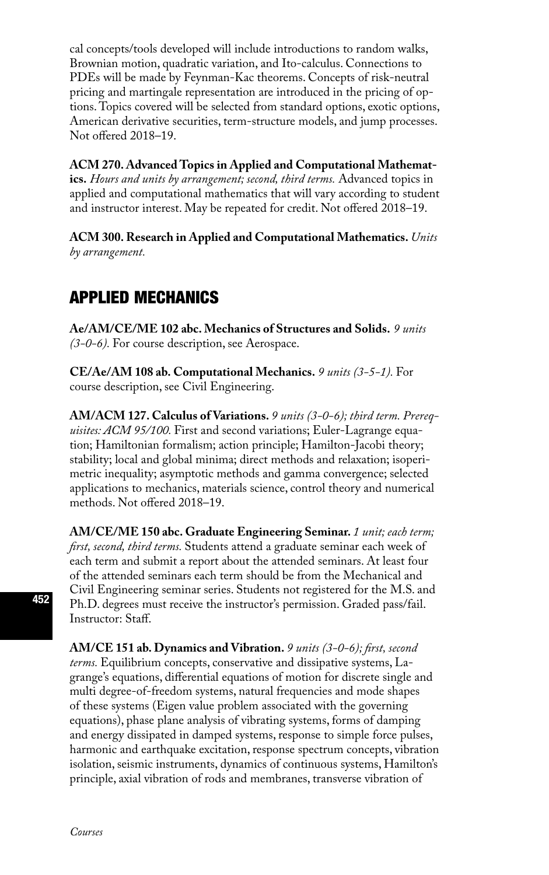cal concepts/tools developed will include introductions to random walks, Brownian motion, quadratic variation, and Ito-calculus. Connections to PDEs will be made by Feynman-Kac theorems. Concepts of risk-neutral pricing and martingale representation are introduced in the pricing of options. Topics covered will be selected from standard options, exotic options, American derivative securities, term-structure models, and jump processes. Not offered 2018–19.

**ACM 270. Advanced Topics in Applied and Computational Mathematics.** *Hours and units by arrangement; second, third terms.* Advanced topics in applied and computational mathematics that will vary according to student and instructor interest. May be repeated for credit. Not offered 2018–19.

**ACM 300. Research in Applied and Computational Mathematics.** *Units by arrangement.* 

# APPLIED MECHANICS

**Ae/AM/CE/ME 102 abc. Mechanics of Structures and Solids.** *9 units (3-0-6).* For course description, see Aerospace.

**CE/Ae/AM 108 ab. Computational Mechanics.** *9 units (3-5-1).* For course description, see Civil Engineering.

**AM/ACM 127. Calculus of Variations.** *9 units (3-0-6); third term. Prerequisites: ACM 95/100.* First and second variations; Euler-Lagrange equation; Hamiltonian formalism; action principle; Hamilton-Jacobi theory; stability; local and global minima; direct methods and relaxation; isoperimetric inequality; asymptotic methods and gamma convergence; selected applications to mechanics, materials science, control theory and numerical methods. Not offered 2018–19.

**AM/CE/ME 150 abc. Graduate Engineering Seminar.** *1 unit; each term; first, second, third terms.* Students attend a graduate seminar each week of each term and submit a report about the attended seminars. At least four of the attended seminars each term should be from the Mechanical and Civil Engineering seminar series. Students not registered for the M.S. and Ph.D. degrees must receive the instructor's permission. Graded pass/fail. Instructor: Staff.

**AM/CE 151 ab. Dynamics and Vibration.** *9 units (3-0-6); first, second terms.* Equilibrium concepts, conservative and dissipative systems, Lagrange's equations, differential equations of motion for discrete single and multi degree-of-freedom systems, natural frequencies and mode shapes of these systems (Eigen value problem associated with the governing equations), phase plane analysis of vibrating systems, forms of damping and energy dissipated in damped systems, response to simple force pulses, harmonic and earthquake excitation, response spectrum concepts, vibration isolation, seismic instruments, dynamics of continuous systems, Hamilton's principle, axial vibration of rods and membranes, transverse vibration of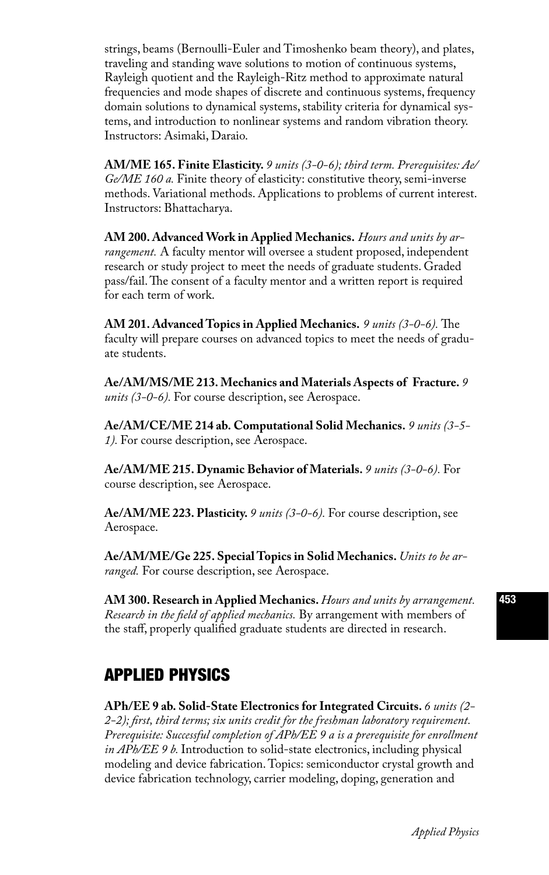strings, beams (Bernoulli-Euler and Timoshenko beam theory), and plates, traveling and standing wave solutions to motion of continuous systems, Rayleigh quotient and the Rayleigh-Ritz method to approximate natural frequencies and mode shapes of discrete and continuous systems, frequency domain solutions to dynamical systems, stability criteria for dynamical systems, and introduction to nonlinear systems and random vibration theory. Instructors: Asimaki, Daraio.

**AM/ME 165. Finite Elasticity.** *9 units (3-0-6); third term. Prerequisites: Ae/ Ge/ME 160 a.* Finite theory of elasticity: constitutive theory, semi-inverse methods. Variational methods. Applications to problems of current interest. Instructors: Bhattacharya.

**AM 200. Advanced Work in Applied Mechanics.** *Hours and units by arrangement.* A faculty mentor will oversee a student proposed, independent research or study project to meet the needs of graduate students. Graded pass/fail. The consent of a faculty mentor and a written report is required for each term of work.

**AM 201. Advanced Topics in Applied Mechanics.** *9 units (3-0-6).* The faculty will prepare courses on advanced topics to meet the needs of graduate students.

**Ae/AM/MS/ME 213. Mechanics and Materials Aspects of Fracture.** *9 units (3-0-6).* For course description, see Aerospace.

**Ae/AM/CE/ME 214 ab. Computational Solid Mechanics.** *9 units (3-5- 1).* For course description, see Aerospace.

**Ae/AM/ME 215. Dynamic Behavior of Materials.** *9 units (3-0-6).* For course description, see Aerospace.

**Ae/AM/ME 223. Plasticity.** *9 units (3-0-6).* For course description, see Aerospace.

**Ae/AM/ME/Ge 225. Special Topics in Solid Mechanics.** *Units to be arranged.* For course description, see Aerospace.

**AM 300. Research in Applied Mechanics.** *Hours and units by arrangement. Research in the field of applied mechanics.* By arrangement with members of the staff, properly qualified graduate students are directed in research.

## APPLIED PHYSICS

**APh/EE 9 ab. Solid-State Electronics for Integrated Circuits.** *6 units (2- 2-2); first, third terms; six units credit for the freshman laboratory requirement. Prerequisite: Successful completion of APh/EE 9 a is a prerequisite for enrollment in APh/EE 9 b.* Introduction to solid-state electronics, including physical modeling and device fabrication. Topics: semiconductor crystal growth and device fabrication technology, carrier modeling, doping, generation and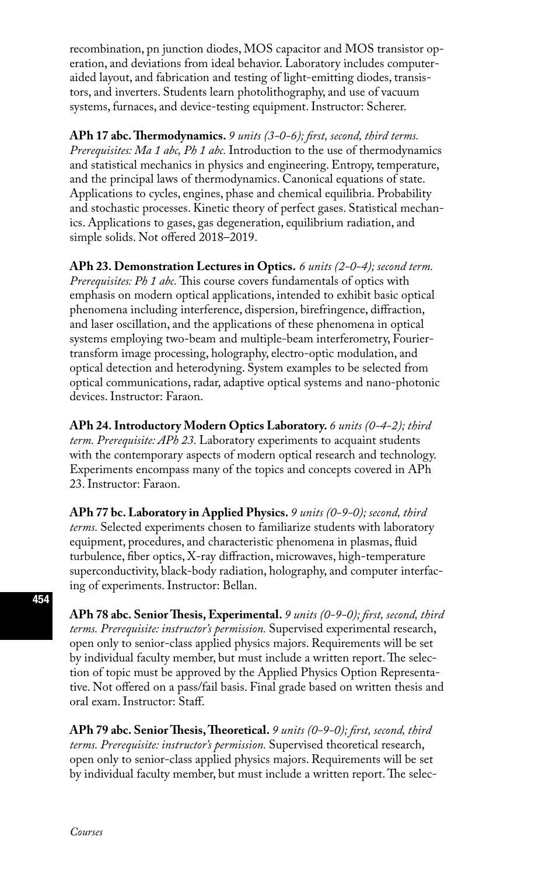recombination, pn junction diodes, MOS capacitor and MOS transistor operation, and deviations from ideal behavior. Laboratory includes computeraided layout, and fabrication and testing of light-emitting diodes, transistors, and inverters. Students learn photolithography, and use of vacuum systems, furnaces, and device-testing equipment. Instructor: Scherer.

**APh 17 abc. Thermodynamics.** *9 units (3-0-6); first, second, third terms. Prerequisites: Ma 1 abc, Ph 1 abc.* Introduction to the use of thermodynamics and statistical mechanics in physics and engineering. Entropy, temperature, and the principal laws of thermodynamics. Canonical equations of state. Applications to cycles, engines, phase and chemical equilibria. Probability and stochastic processes. Kinetic theory of perfect gases. Statistical mechanics. Applications to gases, gas degeneration, equilibrium radiation, and simple solids. Not offered 2018–2019.

**APh 23. Demonstration Lectures in Optics.** *6 units (2-0-4); second term. Prerequisites: Ph 1 abc.* This course covers fundamentals of optics with emphasis on modern optical applications, intended to exhibit basic optical phenomena including interference, dispersion, birefringence, diffraction, and laser oscillation, and the applications of these phenomena in optical systems employing two-beam and multiple-beam interferometry, Fouriertransform image processing, holography, electro-optic modulation, and optical detection and heterodyning. System examples to be selected from optical communications, radar, adaptive optical systems and nano-photonic devices. Instructor: Faraon.

**APh 24. Introductory Modern Optics Laboratory.** *6 units (0-4-2); third term. Prerequisite: APh 23.* Laboratory experiments to acquaint students with the contemporary aspects of modern optical research and technology. Experiments encompass many of the topics and concepts covered in APh 23. Instructor: Faraon.

**APh 77 bc. Laboratory in Applied Physics.** *9 units (0-9-0); second, third terms.* Selected experiments chosen to familiarize students with laboratory equipment, procedures, and characteristic phenomena in plasmas, fluid turbulence, fiber optics, X-ray diffraction, microwaves, high-temperature superconductivity, black-body radiation, holography, and computer interfacing of experiments. Instructor: Bellan.

**APh 78 abc. Senior Thesis, Experimental.** *9 units (0-9-0); first, second, third terms. Prerequisite: instructor's permission.* Supervised experimental research, open only to senior-class applied physics majors. Requirements will be set by individual faculty member, but must include a written report. The selection of topic must be approved by the Applied Physics Option Representative. Not offered on a pass/fail basis. Final grade based on written thesis and oral exam. Instructor: Staff.

**APh 79 abc. Senior Thesis, Theoretical.** *9 units (0-9-0); first, second, third terms. Prerequisite: instructor's permission.* Supervised theoretical research, open only to senior-class applied physics majors. Requirements will be set by individual faculty member, but must include a written report. The selec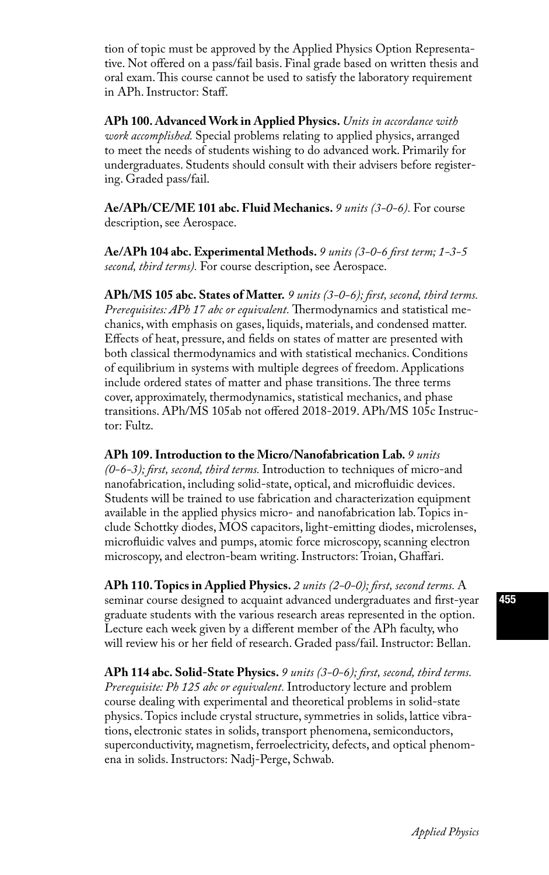tion of topic must be approved by the Applied Physics Option Representative. Not offered on a pass/fail basis. Final grade based on written thesis and oral exam. This course cannot be used to satisfy the laboratory requirement in APh. Instructor: Staff.

**APh 100. Advanced Work in Applied Physics.** *Units in accordance with work accomplished.* Special problems relating to applied physics, arranged to meet the needs of students wishing to do advanced work. Primarily for undergraduates. Students should consult with their advisers before registering. Graded pass/fail.

**Ae/APh/CE/ME 101 abc. Fluid Mechanics.** *9 units (3-0-6).* For course description, see Aerospace.

**Ae/APh 104 abc. Experimental Methods.** *9 units (3-0-6 first term; 1-3-5 second, third terms).* For course description, see Aerospace.

**APh/MS 105 abc. States of Matter.** *9 units (3-0-6); first, second, third terms. Prerequisites: APh 17 abc or equivalent.* Thermodynamics and statistical mechanics, with emphasis on gases, liquids, materials, and condensed matter. Effects of heat, pressure, and fields on states of matter are presented with both classical thermodynamics and with statistical mechanics. Conditions of equilibrium in systems with multiple degrees of freedom. Applications include ordered states of matter and phase transitions. The three terms cover, approximately, thermodynamics, statistical mechanics, and phase transitions. APh/MS 105ab not offered 2018-2019. APh/MS 105c Instructor: Fultz.

**APh 109. Introduction to the Micro/Nanofabrication Lab.** *9 units (0-6-3); first, second, third terms.* Introduction to techniques of micro-and nanofabrication, including solid-state, optical, and microfluidic devices. Students will be trained to use fabrication and characterization equipment available in the applied physics micro- and nanofabrication lab. Topics include Schottky diodes, MOS capacitors, light-emitting diodes, microlenses, microfluidic valves and pumps, atomic force microscopy, scanning electron microscopy, and electron-beam writing. Instructors: Troian, Ghaffari.

**APh 110. Topics in Applied Physics.** *2 units (2-0-0); first, second terms.* A seminar course designed to acquaint advanced undergraduates and first-year graduate students with the various research areas represented in the option. Lecture each week given by a different member of the APh faculty, who will review his or her field of research. Graded pass/fail. Instructor: Bellan.

**APh 114 abc. Solid-State Physics.** *9 units (3-0-6); first, second, third terms. Prerequisite: Ph 125 abc or equivalent.* Introductory lecture and problem course dealing with experimental and theoretical problems in solid-state physics. Topics include crystal structure, symmetries in solids, lattice vibrations, electronic states in solids, transport phenomena, semiconductors, superconductivity, magnetism, ferroelectricity, defects, and optical phenomena in solids. Instructors: Nadj-Perge, Schwab.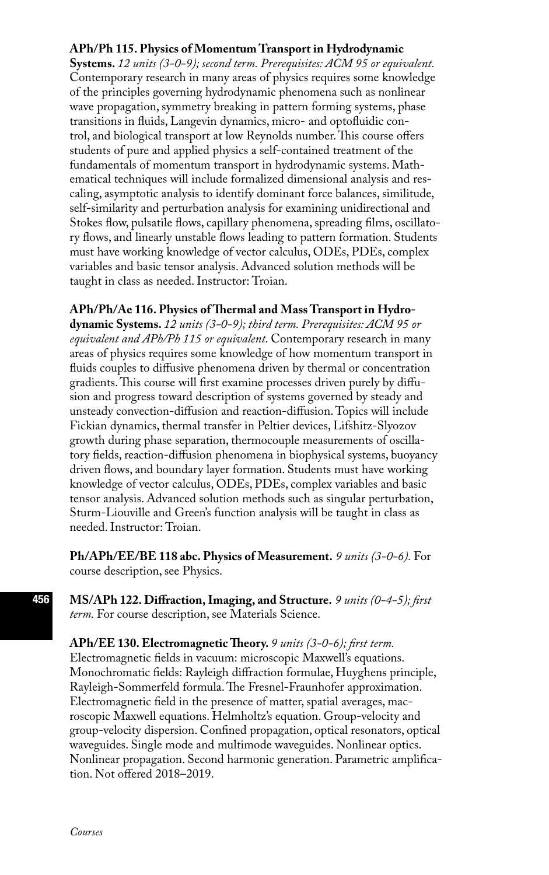#### **APh/Ph 115. Physics of Momentum Transport in Hydrodynamic**

**Systems.** *12 units (3-0-9); second term. Prerequisites: ACM 95 or equivalent.*  Contemporary research in many areas of physics requires some knowledge of the principles governing hydrodynamic phenomena such as nonlinear wave propagation, symmetry breaking in pattern forming systems, phase transitions in fluids, Langevin dynamics, micro- and optofluidic control, and biological transport at low Reynolds number. This course offers students of pure and applied physics a self-contained treatment of the fundamentals of momentum transport in hydrodynamic systems. Mathematical techniques will include formalized dimensional analysis and rescaling, asymptotic analysis to identify dominant force balances, similitude, self-similarity and perturbation analysis for examining unidirectional and Stokes flow, pulsatile flows, capillary phenomena, spreading films, oscillatory flows, and linearly unstable flows leading to pattern formation. Students must have working knowledge of vector calculus, ODEs, PDEs, complex variables and basic tensor analysis. Advanced solution methods will be taught in class as needed. Instructor: Troian.

#### **APh/Ph/Ae 116. Physics of Thermal and Mass Transport in Hydro-**

**dynamic Systems.** *12 units (3-0-9); third term. Prerequisites: ACM 95 or equivalent and APh/Ph 115 or equivalent.* Contemporary research in many areas of physics requires some knowledge of how momentum transport in fluids couples to diffusive phenomena driven by thermal or concentration gradients. This course will first examine processes driven purely by diffusion and progress toward description of systems governed by steady and unsteady convection-diffusion and reaction-diffusion. Topics will include Fickian dynamics, thermal transfer in Peltier devices, Lifshitz-Slyozov growth during phase separation, thermocouple measurements of oscillatory fields, reaction-diffusion phenomena in biophysical systems, buoyancy driven flows, and boundary layer formation. Students must have working knowledge of vector calculus, ODEs, PDEs, complex variables and basic tensor analysis. Advanced solution methods such as singular perturbation, Sturm-Liouville and Green's function analysis will be taught in class as needed. Instructor: Troian.

**Ph/APh/EE/BE 118 abc. Physics of Measurement.** *9 units (3-0-6).* For course description, see Physics.

**MS/APh 122. Diffraction, Imaging, and Structure.** *9 units (0-4-5); first term.* For course description, see Materials Science.

**APh/EE 130. Electromagnetic Theory.** *9 units (3-0-6); first term.*  Electromagnetic fields in vacuum: microscopic Maxwell's equations. Monochromatic fields: Rayleigh diffraction formulae, Huyghens principle, Rayleigh-Sommerfeld formula. The Fresnel-Fraunhofer approximation. Electromagnetic field in the presence of matter, spatial averages, macroscopic Maxwell equations. Helmholtz's equation. Group-velocity and group-velocity dispersion. Confined propagation, optical resonators, optical waveguides. Single mode and multimode waveguides. Nonlinear optics. Nonlinear propagation. Second harmonic generation. Parametric amplification. Not offered 2018–2019.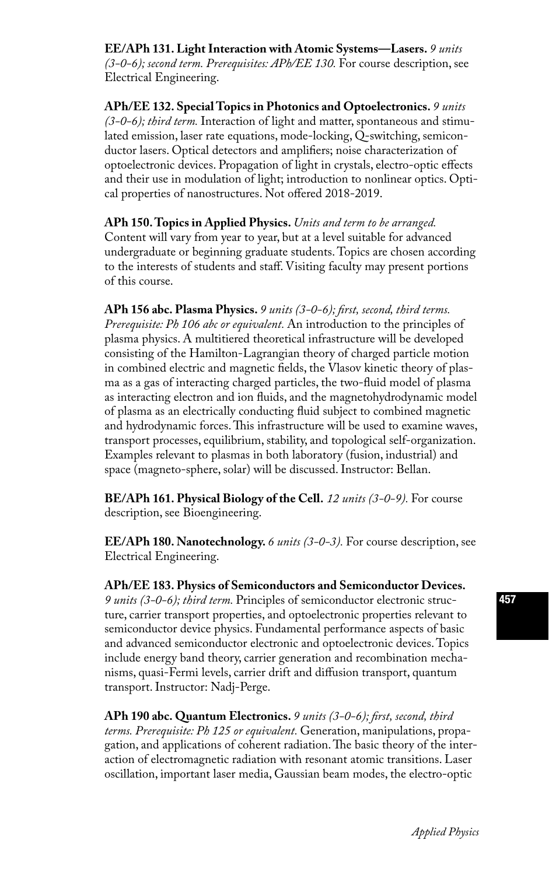**EE/APh 131. Light Interaction with Atomic Systems—Lasers.** *9 units (3-0-6); second term. Prerequisites: APh/EE 130.* For course description, see Electrical Engineering.

**APh/EE 132. Special Topics in Photonics and Optoelectronics.** *9 units (3-0-6); third term.* Interaction of light and matter, spontaneous and stimulated emission, laser rate equations, mode-locking, Q-switching, semiconductor lasers. Optical detectors and amplifiers; noise characterization of optoelectronic devices. Propagation of light in crystals, electro-optic effects and their use in modulation of light; introduction to nonlinear optics. Optical properties of nanostructures. Not offered 2018-2019.

**APh 150. Topics in Applied Physics.** *Units and term to be arranged.*  Content will vary from year to year, but at a level suitable for advanced undergraduate or beginning graduate students. Topics are chosen according to the interests of students and staff. Visiting faculty may present portions of this course.

**APh 156 abc. Plasma Physics.** *9 units (3-0-6); first, second, third terms. Prerequisite: Ph 106 abc or equivalent.* An introduction to the principles of plasma physics. A multitiered theoretical infrastructure will be developed consisting of the Hamilton-Lagrangian theory of charged particle motion in combined electric and magnetic fields, the Vlasov kinetic theory of plasma as a gas of interacting charged particles, the two-fluid model of plasma as interacting electron and ion fluids, and the magnetohydrodynamic model of plasma as an electrically conducting fluid subject to combined magnetic and hydrodynamic forces. This infrastructure will be used to examine waves, transport processes, equilibrium, stability, and topological self-organization. Examples relevant to plasmas in both laboratory (fusion, industrial) and space (magneto-sphere, solar) will be discussed. Instructor: Bellan.

**BE/APh 161. Physical Biology of the Cell.** *12 units (3-0-9).* For course description, see Bioengineering.

**EE/APh 180. Nanotechnology.** *6 units (3-0-3).* For course description, see Electrical Engineering.

**APh/EE 183. Physics of Semiconductors and Semiconductor Devices.**  *9 units (3-0-6); third term.* Principles of semiconductor electronic structure, carrier transport properties, and optoelectronic properties relevant to semiconductor device physics. Fundamental performance aspects of basic and advanced semiconductor electronic and optoelectronic devices. Topics include energy band theory, carrier generation and recombination mechanisms, quasi-Fermi levels, carrier drift and diffusion transport, quantum transport. Instructor: Nadj-Perge.

**APh 190 abc. Quantum Electronics.** *9 units (3-0-6); first, second, third terms. Prerequisite: Ph 125 or equivalent.* Generation, manipulations, propagation, and applications of coherent radiation. The basic theory of the interaction of electromagnetic radiation with resonant atomic transitions. Laser oscillation, important laser media, Gaussian beam modes, the electro-optic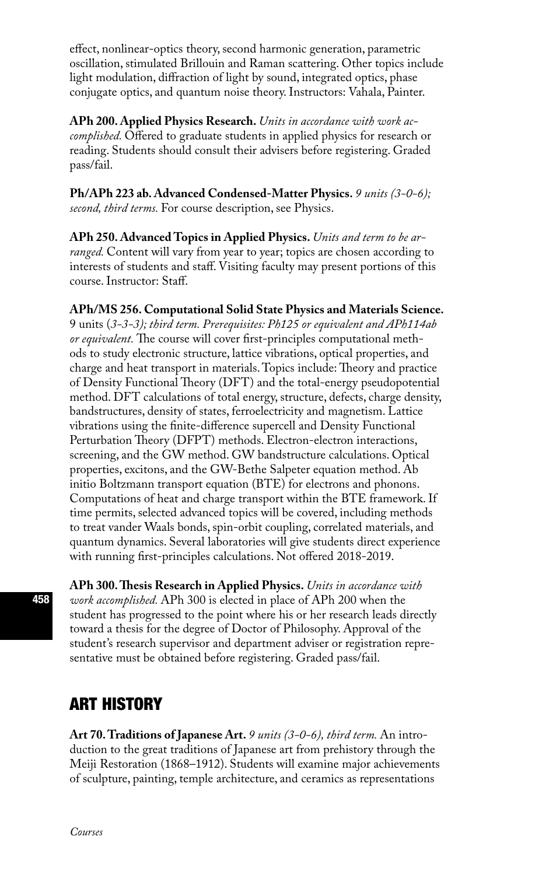effect, nonlinear-optics theory, second harmonic generation, parametric oscillation, stimulated Brillouin and Raman scattering. Other topics include light modulation, diffraction of light by sound, integrated optics, phase conjugate optics, and quantum noise theory. Instructors: Vahala, Painter.

**APh 200. Applied Physics Research.** *Units in accordance with work accomplished.* Offered to graduate students in applied physics for research or reading. Students should consult their advisers before registering. Graded pass/fail.

**Ph/APh 223 ab. Advanced Condensed-Matter Physics.** *9 units (3-0-6); second, third terms.* For course description, see Physics.

**APh 250. Advanced Topics in Applied Physics.** *Units and term to be arranged.* Content will vary from year to year; topics are chosen according to interests of students and staff. Visiting faculty may present portions of this course. Instructor: Staff.

#### **APh/MS 256. Computational Solid State Physics and Materials Science.**

9 units (*3-3-3); third term. Prerequisites: Ph125 or equivalent and APh114ab or equivalent.* The course will cover first-principles computational methods to study electronic structure, lattice vibrations, optical properties, and charge and heat transport in materials. Topics include: Theory and practice of Density Functional Theory (DFT) and the total-energy pseudopotential method. DFT calculations of total energy, structure, defects, charge density, bandstructures, density of states, ferroelectricity and magnetism. Lattice vibrations using the finite-difference supercell and Density Functional Perturbation Theory (DFPT) methods. Electron-electron interactions, screening, and the GW method. GW bandstructure calculations. Optical properties, excitons, and the GW-Bethe Salpeter equation method. Ab initio Boltzmann transport equation (BTE) for electrons and phonons. Computations of heat and charge transport within the BTE framework. If time permits, selected advanced topics will be covered, including methods to treat vander Waals bonds, spin-orbit coupling, correlated materials, and quantum dynamics. Several laboratories will give students direct experience with running first-principles calculations. Not offered 2018-2019.

**APh 300. Thesis Research in Applied Physics.** *Units in accordance with work accomplished.* APh 300 is elected in place of APh 200 when the student has progressed to the point where his or her research leads directly toward a thesis for the degree of Doctor of Philosophy. Approval of the student's research supervisor and department adviser or registration representative must be obtained before registering. Graded pass/fail.

## ART HISTORY

**Art 70. Traditions of Japanese Art.** *9 units (3-0-6), third term.* An introduction to the great traditions of Japanese art from prehistory through the Meiji Restoration (1868–1912). Students will examine major achievements of sculpture, painting, temple architecture, and ceramics as representations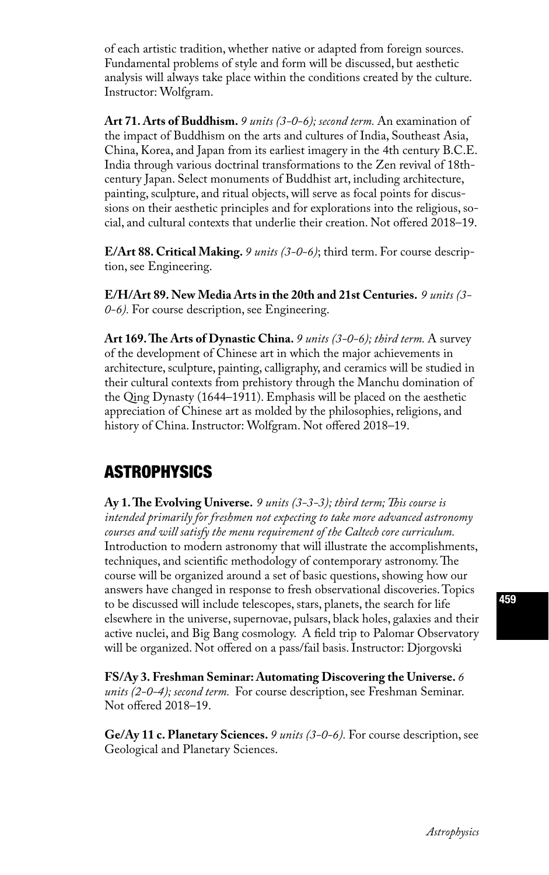of each artistic tradition, whether native or adapted from foreign sources. Fundamental problems of style and form will be discussed, but aesthetic analysis will always take place within the conditions created by the culture. Instructor: Wolfgram.

**Art 71. Arts of Buddhism.** *9 units (3-0-6); second term.* An examination of the impact of Buddhism on the arts and cultures of India, Southeast Asia, China, Korea, and Japan from its earliest imagery in the 4th century B.C.E. India through various doctrinal transformations to the Zen revival of 18thcentury Japan. Select monuments of Buddhist art, including architecture, painting, sculpture, and ritual objects, will serve as focal points for discussions on their aesthetic principles and for explorations into the religious, social, and cultural contexts that underlie their creation. Not offered 2018–19.

**E/Art 88. Critical Making.** *9 units (3-0-6)*; third term. For course description, see Engineering.

**E/H/Art 89. New Media Arts in the 20th and 21st Centuries.** *9 units (3- 0-6).* For course description, see Engineering.

**Art 169. The Arts of Dynastic China.** *9 units (3-0-6); third term.* A survey of the development of Chinese art in which the major achievements in architecture, sculpture, painting, calligraphy, and ceramics will be studied in their cultural contexts from prehistory through the Manchu domination of the Qing Dynasty (1644–1911). Emphasis will be placed on the aesthetic appreciation of Chinese art as molded by the philosophies, religions, and history of China. Instructor: Wolfgram. Not offered 2018–19.

# ASTROPHYSICS

**Ay 1. The Evolving Universe.** *9 units (3-3-3); third term; This course is intended primarily for freshmen not expecting to take more advanced astronomy courses and will satisfy the menu requirement of the Caltech core curriculum.* Introduction to modern astronomy that will illustrate the accomplishments, techniques, and scientific methodology of contemporary astronomy. The course will be organized around a set of basic questions, showing how our answers have changed in response to fresh observational discoveries. Topics to be discussed will include telescopes, stars, planets, the search for life elsewhere in the universe, supernovae, pulsars, black holes, galaxies and their active nuclei, and Big Bang cosmology. A field trip to Palomar Observatory will be organized. Not offered on a pass/fail basis. Instructor: Djorgovski

**FS/Ay 3. Freshman Seminar: Automating Discovering the Universe.** *6 units (2-0-4); second term.* For course description, see Freshman Seminar. Not offered 2018–19.

**Ge/Ay 11 c. Planetary Sciences.** *9 units (3-0-6).* For course description, see Geological and Planetary Sciences.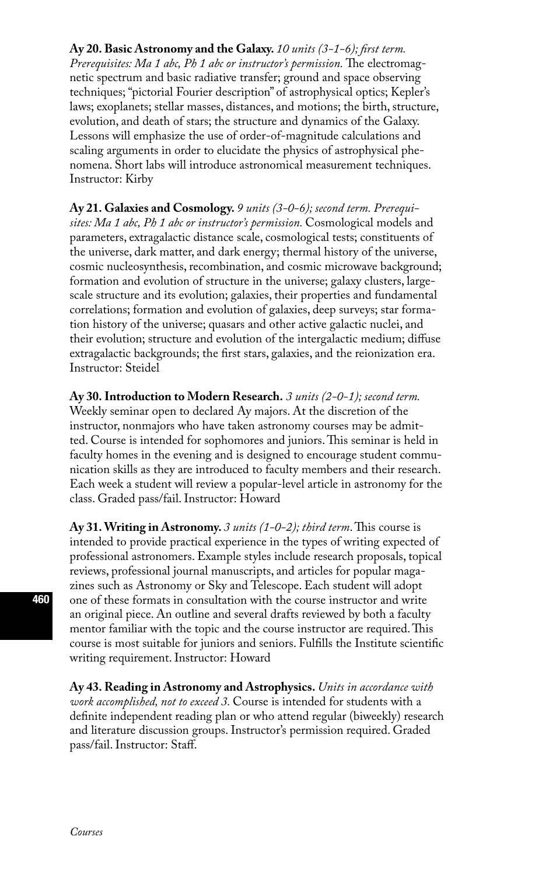#### **Ay 20. Basic Astronomy and the Galaxy.** *10 units (3-1-6); first term.*

*Prerequisites: Ma 1 abc, Ph 1 abc or instructor's permission.* The electromagnetic spectrum and basic radiative transfer; ground and space observing techniques; "pictorial Fourier description" of astrophysical optics; Kepler's laws; exoplanets; stellar masses, distances, and motions; the birth, structure, evolution, and death of stars; the structure and dynamics of the Galaxy. Lessons will emphasize the use of order-of-magnitude calculations and scaling arguments in order to elucidate the physics of astrophysical phenomena. Short labs will introduce astronomical measurement techniques. Instructor: Kirby

**Ay 21. Galaxies and Cosmology.** *9 units (3-0-6); second term. Prerequisites: Ma 1 abc, Ph 1 abc or instructor's permission.* Cosmological models and parameters, extragalactic distance scale, cosmological tests; constituents of the universe, dark matter, and dark energy; thermal history of the universe, cosmic nucleosynthesis, recombination, and cosmic microwave background; formation and evolution of structure in the universe; galaxy clusters, largescale structure and its evolution; galaxies, their properties and fundamental correlations; formation and evolution of galaxies, deep surveys; star formation history of the universe; quasars and other active galactic nuclei, and their evolution; structure and evolution of the intergalactic medium; diffuse extragalactic backgrounds; the first stars, galaxies, and the reionization era. Instructor: Steidel

**Ay 30. Introduction to Modern Research.** *3 units (2-0-1); second term.* 

Weekly seminar open to declared Ay majors. At the discretion of the instructor, nonmajors who have taken astronomy courses may be admitted. Course is intended for sophomores and juniors. This seminar is held in faculty homes in the evening and is designed to encourage student communication skills as they are introduced to faculty members and their research. Each week a student will review a popular-level article in astronomy for the class. Graded pass/fail. Instructor: Howard

**Ay 31. Writing in Astronomy.** *3 units (1-0-2); third term*. This course is intended to provide practical experience in the types of writing expected of professional astronomers. Example styles include research proposals, topical reviews, professional journal manuscripts, and articles for popular magazines such as Astronomy or Sky and Telescope. Each student will adopt one of these formats in consultation with the course instructor and write an original piece. An outline and several drafts reviewed by both a faculty mentor familiar with the topic and the course instructor are required. This course is most suitable for juniors and seniors. Fulfills the Institute scientific writing requirement. Instructor: Howard

**Ay 43. Reading in Astronomy and Astrophysics.** *Units in accordance with work accomplished, not to exceed 3.* Course is intended for students with a definite independent reading plan or who attend regular (biweekly) research and literature discussion groups. Instructor's permission required. Graded pass/fail. Instructor: Staff.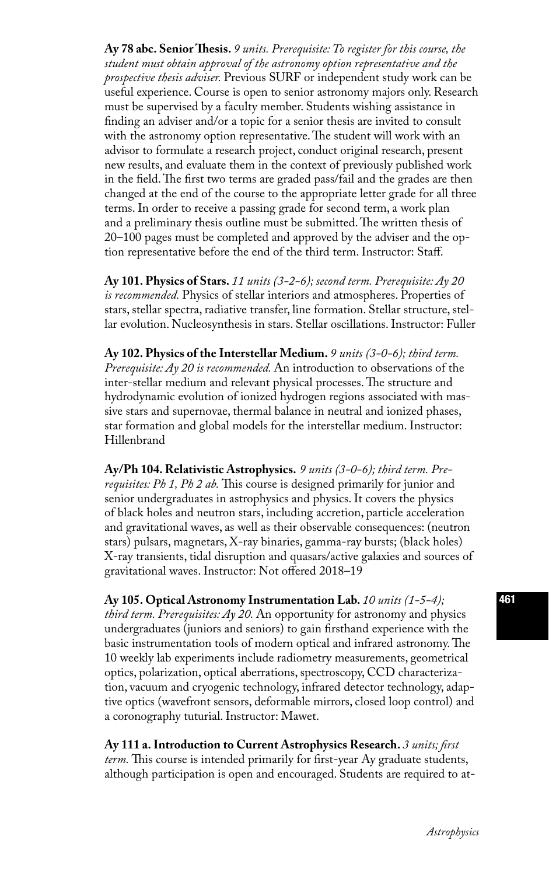**Ay 78 abc. Senior Thesis.** *9 units. Prerequisite: To register for this course, the student must obtain approval of the astronomy option representative and the prospective thesis adviser.* Previous SURF or independent study work can be useful experience. Course is open to senior astronomy majors only. Research must be supervised by a faculty member. Students wishing assistance in finding an adviser and/or a topic for a senior thesis are invited to consult with the astronomy option representative. The student will work with an advisor to formulate a research project, conduct original research, present new results, and evaluate them in the context of previously published work in the field. The first two terms are graded pass/fail and the grades are then changed at the end of the course to the appropriate letter grade for all three terms. In order to receive a passing grade for second term, a work plan and a preliminary thesis outline must be submitted. The written thesis of 20–100 pages must be completed and approved by the adviser and the option representative before the end of the third term. Instructor: Staff.

**Ay 101. Physics of Stars.** *11 units (3-2-6); second term. Prerequisite: Ay 20 is recommended.* Physics of stellar interiors and atmospheres. Properties of stars, stellar spectra, radiative transfer, line formation. Stellar structure, stellar evolution. Nucleosynthesis in stars. Stellar oscillations. Instructor: Fuller

**Ay 102. Physics of the Interstellar Medium.** *9 units (3-0-6); third term. Prerequisite: Ay 20 is recommended.* An introduction to observations of the inter-stellar medium and relevant physical processes. The structure and hydrodynamic evolution of ionized hydrogen regions associated with massive stars and supernovae, thermal balance in neutral and ionized phases, star formation and global models for the interstellar medium. Instructor: Hillenbrand

**Ay/Ph 104. Relativistic Astrophysics.** *9 units (3-0-6); third term. Prerequisites: Ph 1, Ph 2 ab.* This course is designed primarily for junior and senior undergraduates in astrophysics and physics. It covers the physics of black holes and neutron stars, including accretion, particle acceleration and gravitational waves, as well as their observable consequences: (neutron stars) pulsars, magnetars, X-ray binaries, gamma-ray bursts; (black holes) X-ray transients, tidal disruption and quasars/active galaxies and sources of gravitational waves. Instructor: Not offered 2018–19

**Ay 105. Optical Astronomy Instrumentation Lab.** *10 units (1-5-4); third term. Prerequisites: Ay 20.* An opportunity for astronomy and physics undergraduates (juniors and seniors) to gain firsthand experience with the basic instrumentation tools of modern optical and infrared astronomy. The 10 weekly lab experiments include radiometry measurements, geometrical optics, polarization, optical aberrations, spectroscopy, CCD characterization, vacuum and cryogenic technology, infrared detector technology, adaptive optics (wavefront sensors, deformable mirrors, closed loop control) and a coronography tuturial. Instructor: Mawet.

**Ay 111 a. Introduction to Current Astrophysics Research.** *3 units; first term.* This course is intended primarily for first-year Ay graduate students, although participation is open and encouraged. Students are required to at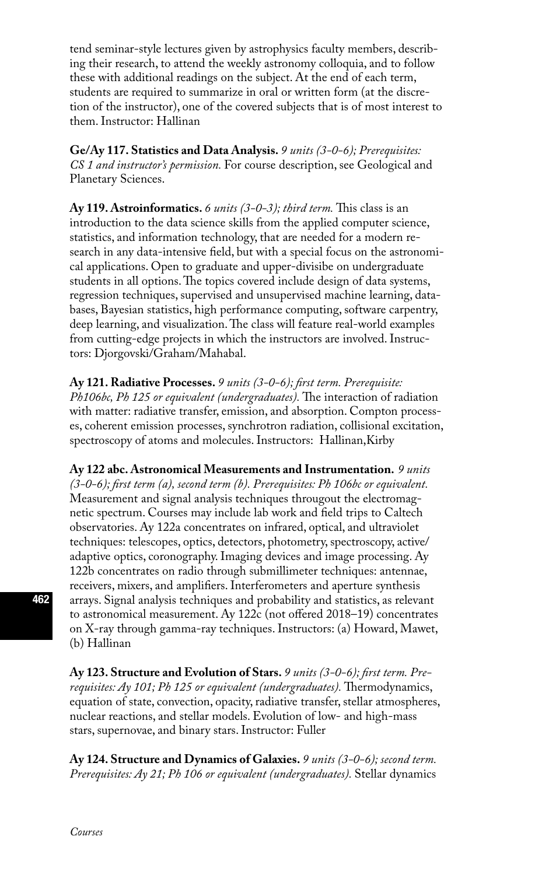tend seminar-style lectures given by astrophysics faculty members, describing their research, to attend the weekly astronomy colloquia, and to follow these with additional readings on the subject. At the end of each term, students are required to summarize in oral or written form (at the discretion of the instructor), one of the covered subjects that is of most interest to them. Instructor: Hallinan

**Ge/Ay 117. Statistics and Data Analysis.** *9 units (3-0-6); Prerequisites: CS 1 and instructor's permission.* For course description, see Geological and Planetary Sciences.

**Ay 119. Astroinformatics.** *6 units (3-0-3); third term.* This class is an introduction to the data science skills from the applied computer science, statistics, and information technology, that are needed for a modern research in any data-intensive field, but with a special focus on the astronomical applications. Open to graduate and upper-divisibe on undergraduate students in all options. The topics covered include design of data systems, regression techniques, supervised and unsupervised machine learning, databases, Bayesian statistics, high performance computing, software carpentry, deep learning, and visualization. The class will feature real-world examples from cutting-edge projects in which the instructors are involved. Instructors: Djorgovski/Graham/Mahabal.

**Ay 121. Radiative Processes.** *9 units (3-0-6); first term. Prerequisite: Ph106bc, Ph 125 or equivalent (undergraduates).* The interaction of radiation with matter: radiative transfer, emission, and absorption. Compton processes, coherent emission processes, synchrotron radiation, collisional excitation, spectroscopy of atoms and molecules. Instructors: Hallinan,Kirby

**Ay 122 abc. Astronomical Measurements and Instrumentation.** *9 units (3-0-6); first term (a), second term (b). Prerequisites: Ph 106bc or equivalent.* Measurement and signal analysis techniques througout the electromagnetic spectrum. Courses may include lab work and field trips to Caltech observatories. Ay 122a concentrates on infrared, optical, and ultraviolet techniques: telescopes, optics, detectors, photometry, spectroscopy, active/ adaptive optics, coronography. Imaging devices and image processing. Ay 122b concentrates on radio through submillimeter techniques: antennae, receivers, mixers, and amplifiers. Interferometers and aperture synthesis arrays. Signal analysis techniques and probability and statistics, as relevant to astronomical measurement. Ay 122c (not offered 2018–19) concentrates on X-ray through gamma-ray techniques. Instructors: (a) Howard, Mawet, (b) Hallinan

**Ay 123. Structure and Evolution of Stars.** *9 units (3-0-6); first term. Prerequisites: Ay 101; Ph 125 or equivalent (undergraduates).* Thermodynamics, equation of state, convection, opacity, radiative transfer, stellar atmospheres, nuclear reactions, and stellar models. Evolution of low- and high-mass stars, supernovae, and binary stars. Instructor: Fuller

**Ay 124. Structure and Dynamics of Galaxies.** *9 units (3-0-6); second term. Prerequisites: Ay 21; Ph 106 or equivalent (undergraduates).* Stellar dynamics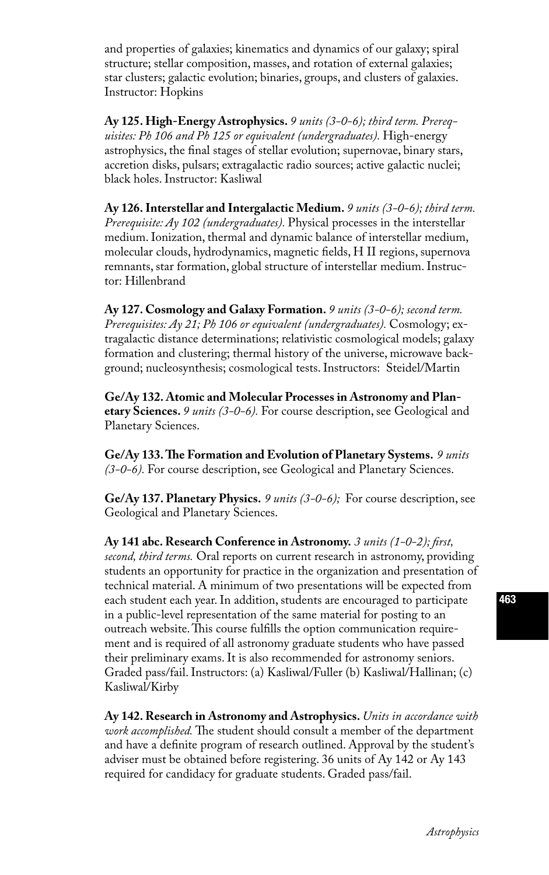and properties of galaxies; kinematics and dynamics of our galaxy; spiral structure; stellar composition, masses, and rotation of external galaxies; star clusters; galactic evolution; binaries, groups, and clusters of galaxies. Instructor: Hopkins

**Ay 125. High-Energy Astrophysics.** *9 units (3-0-6); third term. Prerequisites: Ph 106 and Ph 125 or equivalent (undergraduates).* High-energy astrophysics, the final stages of stellar evolution; supernovae, binary stars, accretion disks, pulsars; extragalactic radio sources; active galactic nuclei; black holes. Instructor: Kasliwal

**Ay 126. Interstellar and Intergalactic Medium.** *9 units (3-0-6); third term. Prerequisite: Ay 102 (undergraduates).* Physical processes in the interstellar medium. Ionization, thermal and dynamic balance of interstellar medium, molecular clouds, hydrodynamics, magnetic fields, H II regions, supernova remnants, star formation, global structure of interstellar medium. Instructor: Hillenbrand

**Ay 127. Cosmology and Galaxy Formation.** *9 units (3-0-6); second term. Prerequisites: Ay 21; Ph 106 or equivalent (undergraduates).* Cosmology; extragalactic distance determinations; relativistic cosmological models; galaxy formation and clustering; thermal history of the universe, microwave background; nucleosynthesis; cosmological tests. Instructors: Steidel/Martin

**Ge/Ay 132. Atomic and Molecular Processes in Astronomy and Planetary Sciences.** *9 units (3-0-6).* For course description, see Geological and Planetary Sciences.

**Ge/Ay 133. The Formation and Evolution of Planetary Systems.** *9 units (3-0-6).* For course description, see Geological and Planetary Sciences.

**Ge/Ay 137. Planetary Physics.** *9 units (3-0-6);* For course description, see Geological and Planetary Sciences.

**Ay 141 abc. Research Conference in Astronomy.** *3 units (1-0-2); first, second, third terms.* Oral reports on current research in astronomy, providing students an opportunity for practice in the organization and presentation of technical material. A minimum of two presentations will be expected from each student each year. In addition, students are encouraged to participate in a public-level representation of the same material for posting to an outreach website. This course fulfills the option communication requirement and is required of all astronomy graduate students who have passed their preliminary exams. It is also recommended for astronomy seniors. Graded pass/fail. Instructors: (a) Kasliwal/Fuller (b) Kasliwal/Hallinan; (c) Kasliwal/Kirby

**Ay 142. Research in Astronomy and Astrophysics.** *Units in accordance with work accomplished.* The student should consult a member of the department and have a definite program of research outlined. Approval by the student's adviser must be obtained before registering. 36 units of Ay 142 or Ay 143 required for candidacy for graduate students. Graded pass/fail.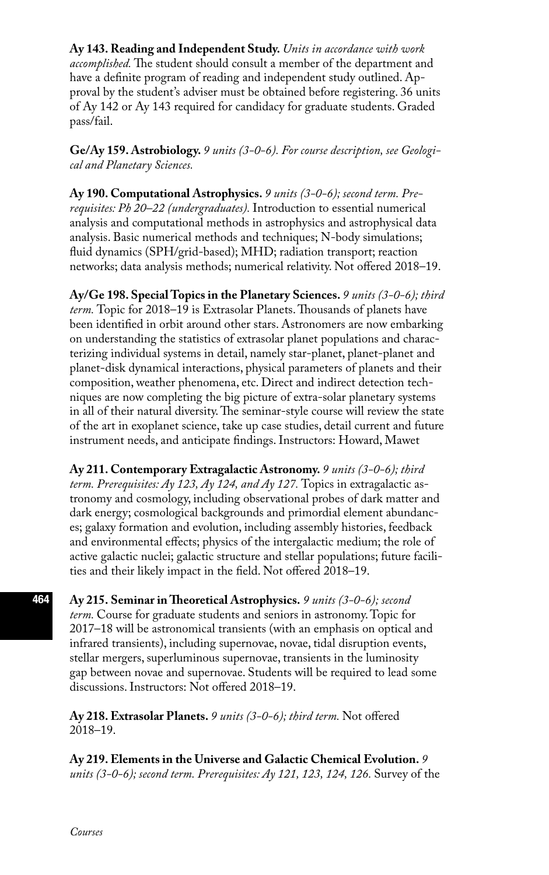**Ay 143. Reading and Independent Study.** *Units in accordance with work accomplished.* The student should consult a member of the department and have a definite program of reading and independent study outlined. Approval by the student's adviser must be obtained before registering. 36 units of Ay 142 or Ay 143 required for candidacy for graduate students. Graded pass/fail.

**Ge/Ay 159. Astrobiology.** *9 units (3-0-6). For course description, see Geological and Planetary Sciences.*

**Ay 190. Computational Astrophysics.** *9 units (3-0-6); second term. Prerequisites: Ph 20–22 (undergraduates).* Introduction to essential numerical analysis and computational methods in astrophysics and astrophysical data analysis. Basic numerical methods and techniques; N-body simulations; fluid dynamics (SPH/grid-based); MHD; radiation transport; reaction networks; data analysis methods; numerical relativity. Not offered 2018–19.

**Ay/Ge 198. Special Topics in the Planetary Sciences.** *9 units (3-0-6); third term.* Topic for 2018–19 is Extrasolar Planets. Thousands of planets have been identified in orbit around other stars. Astronomers are now embarking on understanding the statistics of extrasolar planet populations and characterizing individual systems in detail, namely star-planet, planet-planet and planet-disk dynamical interactions, physical parameters of planets and their composition, weather phenomena, etc. Direct and indirect detection techniques are now completing the big picture of extra-solar planetary systems in all of their natural diversity. The seminar-style course will review the state of the art in exoplanet science, take up case studies, detail current and future instrument needs, and anticipate findings. Instructors: Howard, Mawet

**Ay 211. Contemporary Extragalactic Astronomy.** *9 units (3-0-6); third term. Prerequisites: Ay 123, Ay 124, and Ay 127.* Topics in extragalactic astronomy and cosmology, including observational probes of dark matter and dark energy; cosmological backgrounds and primordial element abundances; galaxy formation and evolution, including assembly histories, feedback and environmental effects; physics of the intergalactic medium; the role of active galactic nuclei; galactic structure and stellar populations; future facilities and their likely impact in the field. Not offered 2018–19.

**Ay 215. Seminar in Theoretical Astrophysics.** *9 units (3-0-6); second term.* Course for graduate students and seniors in astronomy. Topic for 2017–18 will be astronomical transients (with an emphasis on optical and infrared transients), including supernovae, novae, tidal disruption events, stellar mergers, superluminous supernovae, transients in the luminosity gap between novae and supernovae. Students will be required to lead some discussions. Instructors: Not offered 2018–19.

**Ay 218. Extrasolar Planets.** *9 units (3-0-6); third term.* Not offered 2018–19.

**Ay 219. Elements in the Universe and Galactic Chemical Evolution.** *9 units (3-0-6); second term. Prerequisites: Ay 121, 123, 124, 126.* Survey of the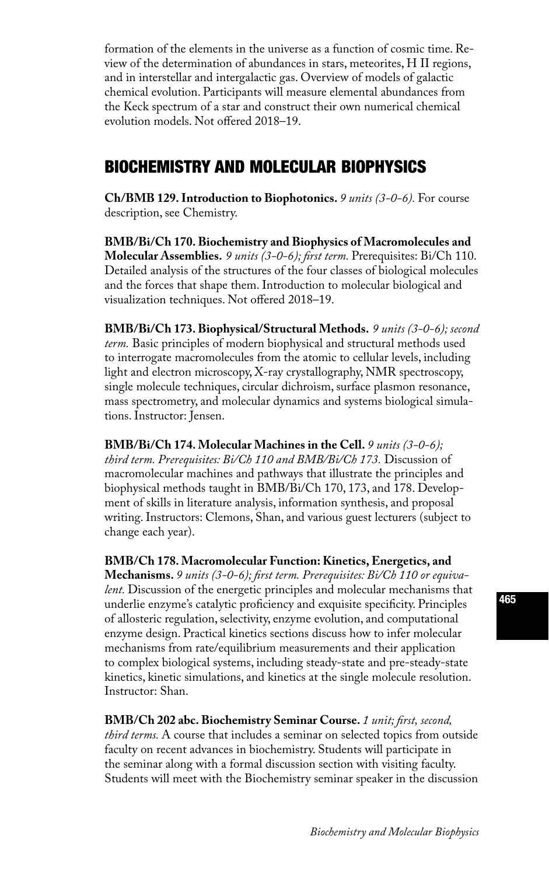formation of the elements in the universe as a function of cosmic time. Review of the determination of abundances in stars, meteorites, H II regions, and in interstellar and intergalactic gas. Overview of models of galactic chemical evolution. Participants will measure elemental abundances from the Keck spectrum of a star and construct their own numerical chemical evolution models. Not offered 2018–19.

# BIOCHEMISTRY AND MOLECULAR BIOPHYSICS

**Ch/BMB 129. Introduction to Biophotonics.** *9 units (3-0-6).* For course description, see Chemistry.

**BMB/Bi/Ch 170. Biochemistry and Biophysics of Macromolecules and Molecular Assemblies.** *9 units (3-0-6); first term.* Prerequisites: Bi/Ch 110. Detailed analysis of the structures of the four classes of biological molecules and the forces that shape them. Introduction to molecular biological and visualization techniques. Not offered 2018–19.

**BMB/Bi/Ch 173. Biophysical/Structural Methods.** *9 units (3-0-6); second term.* Basic principles of modern biophysical and structural methods used to interrogate macromolecules from the atomic to cellular levels, including light and electron microscopy, X-ray crystallography, NMR spectroscopy, single molecule techniques, circular dichroism, surface plasmon resonance, mass spectrometry, and molecular dynamics and systems biological simulations. Instructor: Jensen.

#### **BMB/Bi/Ch 174. Molecular Machines in the Cell.** *9 units (3-0-6);*

*third term. Prerequisites: Bi/Ch 110 and BMB/Bi/Ch 173.* Discussion of macromolecular machines and pathways that illustrate the principles and biophysical methods taught in BMB/Bi/Ch 170, 173, and 178. Development of skills in literature analysis, information synthesis, and proposal writing. Instructors: Clemons, Shan, and various guest lecturers (subject to change each year).

**BMB/Ch 178. Macromolecular Function: Kinetics, Energetics, and** 

**Mechanisms.** *9 units (3-0-6); first term. Prerequisites: Bi/Ch 110 or equivalent.* Discussion of the energetic principles and molecular mechanisms that underlie enzyme's catalytic proficiency and exquisite specificity. Principles of allosteric regulation, selectivity, enzyme evolution, and computational enzyme design. Practical kinetics sections discuss how to infer molecular mechanisms from rate/equilibrium measurements and their application to complex biological systems, including steady-state and pre-steady-state kinetics, kinetic simulations, and kinetics at the single molecule resolution. Instructor: Shan.

**BMB/Ch 202 abc. Biochemistry Seminar Course.** *1 unit; first, second, third terms.* A course that includes a seminar on selected topics from outside faculty on recent advances in biochemistry. Students will participate in the seminar along with a formal discussion section with visiting faculty. Students will meet with the Biochemistry seminar speaker in the discussion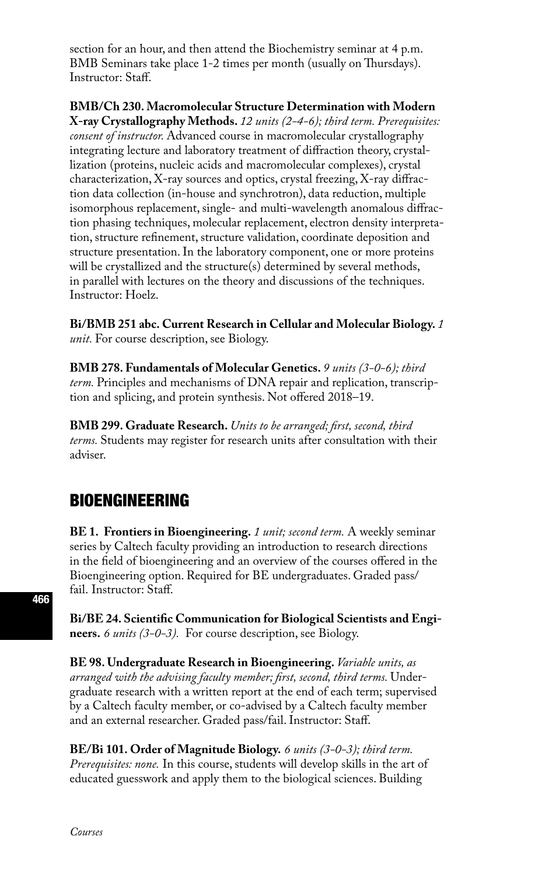section for an hour, and then attend the Biochemistry seminar at 4 p.m. BMB Seminars take place 1-2 times per month (usually on Thursdays). Instructor: Staff.

**BMB/Ch 230. Macromolecular Structure Determination with Modern X-ray Crystallography Methods.** *12 units (2-4-6); third term. Prerequisites: consent of instructor.* Advanced course in macromolecular crystallography integrating lecture and laboratory treatment of diffraction theory, crystallization (proteins, nucleic acids and macromolecular complexes), crystal characterization, X-ray sources and optics, crystal freezing, X-ray diffraction data collection (in-house and synchrotron), data reduction, multiple isomorphous replacement, single- and multi-wavelength anomalous diffraction phasing techniques, molecular replacement, electron density interpretation, structure refinement, structure validation, coordinate deposition and structure presentation. In the laboratory component, one or more proteins will be crystallized and the structure(s) determined by several methods, in parallel with lectures on the theory and discussions of the techniques. Instructor: Hoelz.

**Bi/BMB 251 abc. Current Research in Cellular and Molecular Biology.** *1 unit.* For course description, see Biology.

**BMB 278. Fundamentals of Molecular Genetics.** *9 units (3-0-6); third term.* Principles and mechanisms of DNA repair and replication, transcription and splicing, and protein synthesis. Not offered 2018–19.

**BMB 299. Graduate Research.** *Units to be arranged; first, second, third terms.* Students may register for research units after consultation with their adviser.

## BIOENGINEERING

**BE 1. Frontiers in Bioengineering.** *1 unit; second term.* A weekly seminar series by Caltech faculty providing an introduction to research directions in the field of bioengineering and an overview of the courses offered in the Bioengineering option. Required for BE undergraduates. Graded pass/ fail. Instructor: Staff.

**Bi/BE 24. Scientific Communication for Biological Scientists and Engineers.** *6 units (3-0-3).* For course description, see Biology.

**BE 98. Undergraduate Research in Bioengineering.** *Variable units, as arranged with the advising faculty member; first, second, third terms.* Undergraduate research with a written report at the end of each term; supervised by a Caltech faculty member, or co-advised by a Caltech faculty member and an external researcher. Graded pass/fail. Instructor: Staff.

**BE/Bi 101. Order of Magnitude Biology.** *6 units (3-0-3); third term. Prerequisites: none.* In this course, students will develop skills in the art of educated guesswork and apply them to the biological sciences. Building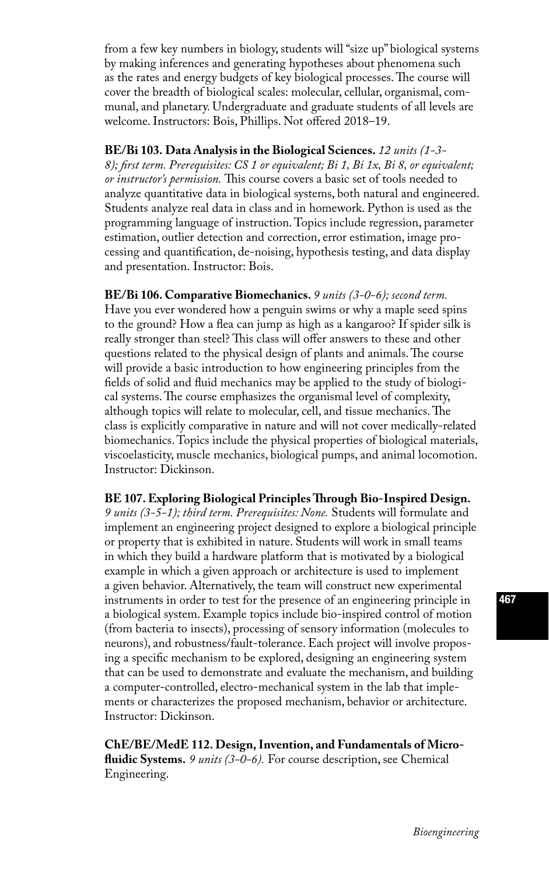from a few key numbers in biology, students will "size up" biological systems by making inferences and generating hypotheses about phenomena such as the rates and energy budgets of key biological processes. The course will cover the breadth of biological scales: molecular, cellular, organismal, communal, and planetary. Undergraduate and graduate students of all levels are welcome. Instructors: Bois, Phillips. Not offered 2018–19.

**BE/Bi 103. Data Analysis in the Biological Sciences.** *12 units (1-3- 8); first term. Prerequisites: CS 1 or equivalent; Bi 1, Bi 1x, Bi 8, or equivalent; or instructor's permission.* This course covers a basic set of tools needed to analyze quantitative data in biological systems, both natural and engineered. Students analyze real data in class and in homework. Python is used as the programming language of instruction. Topics include regression, parameter estimation, outlier detection and correction, error estimation, image processing and quantification, de-noising, hypothesis testing, and data display and presentation. Instructor: Bois.

**BE/Bi 106. Comparative Biomechanics.** *9 units (3-0-6); second term.*  Have you ever wondered how a penguin swims or why a maple seed spins to the ground? How a flea can jump as high as a kangaroo? If spider silk is really stronger than steel? This class will offer answers to these and other questions related to the physical design of plants and animals. The course will provide a basic introduction to how engineering principles from the fields of solid and fluid mechanics may be applied to the study of biological systems. The course emphasizes the organismal level of complexity, although topics will relate to molecular, cell, and tissue mechanics. The class is explicitly comparative in nature and will not cover medically-related biomechanics. Topics include the physical properties of biological materials, viscoelasticity, muscle mechanics, biological pumps, and animal locomotion. Instructor: Dickinson.

**BE 107. Exploring Biological Principles Through Bio-Inspired Design.**  *9 units (3-5-1); third term. Prerequisites: None.* Students will formulate and implement an engineering project designed to explore a biological principle or property that is exhibited in nature. Students will work in small teams in which they build a hardware platform that is motivated by a biological example in which a given approach or architecture is used to implement a given behavior. Alternatively, the team will construct new experimental instruments in order to test for the presence of an engineering principle in a biological system. Example topics include bio-inspired control of motion (from bacteria to insects), processing of sensory information (molecules to neurons), and robustness/fault-tolerance. Each project will involve proposing a specific mechanism to be explored, designing an engineering system that can be used to demonstrate and evaluate the mechanism, and building a computer-controlled, electro-mechanical system in the lab that implements or characterizes the proposed mechanism, behavior or architecture. Instructor: Dickinson.

**ChE/BE/MedE 112. Design, Invention, and Fundamentals of Microfluidic Systems.** *9 units (3-0-6).* For course description, see Chemical Engineering.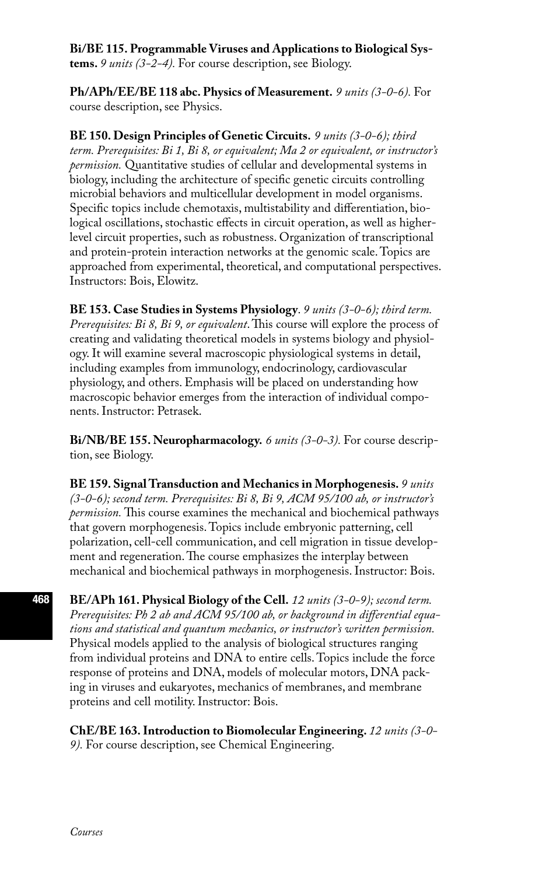#### **Bi/BE 115. Programmable Viruses and Applications to Biological Sys-**

**tems.** *9 units (3-2-4).* For course description, see Biology.

**Ph/APh/EE/BE 118 abc. Physics of Measurement.** *9 units (3-0-6).* For course description, see Physics.

**BE 150. Design Principles of Genetic Circuits.** *9 units (3-0-6); third term. Prerequisites: Bi 1, Bi 8, or equivalent; Ma 2 or equivalent, or instructor's permission.* Quantitative studies of cellular and developmental systems in biology, including the architecture of specific genetic circuits controlling microbial behaviors and multicellular development in model organisms. Specific topics include chemotaxis, multistability and differentiation, biological oscillations, stochastic effects in circuit operation, as well as higherlevel circuit properties, such as robustness. Organization of transcriptional and protein-protein interaction networks at the genomic scale. Topics are approached from experimental, theoretical, and computational perspectives. Instructors: Bois, Elowitz.

**BE 153. Case Studies in Systems Physiology**. *9 units (3-0-6); third term. Prerequisites: Bi 8, Bi 9, or equivalent*. This course will explore the process of creating and validating theoretical models in systems biology and physiology. It will examine several macroscopic physiological systems in detail, including examples from immunology, endocrinology, cardiovascular physiology, and others. Emphasis will be placed on understanding how macroscopic behavior emerges from the interaction of individual components. Instructor: Petrasek.

**Bi/NB/BE 155. Neuropharmacology.** *6 units (3-0-3).* For course description, see Biology.

**BE 159. Signal Transduction and Mechanics in Morphogenesis.** *9 units (3-0-6); second term. Prerequisites: Bi 8, Bi 9, ACM 95/100 ab, or instructor's permission.* This course examines the mechanical and biochemical pathways that govern morphogenesis. Topics include embryonic patterning, cell polarization, cell-cell communication, and cell migration in tissue development and regeneration. The course emphasizes the interplay between mechanical and biochemical pathways in morphogenesis. Instructor: Bois.

**BE/APh 161. Physical Biology of the Cell.** *12 units (3-0-9); second term. Prerequisites: Ph 2 ab and ACM 95/100 ab, or background in differential equations and statistical and quantum mechanics, or instructor's written permission.*  Physical models applied to the analysis of biological structures ranging from individual proteins and DNA to entire cells. Topics include the force response of proteins and DNA, models of molecular motors, DNA packing in viruses and eukaryotes, mechanics of membranes, and membrane proteins and cell motility. Instructor: Bois.

**ChE/BE 163. Introduction to Biomolecular Engineering.** *12 units (3-0- 9).* For course description, see Chemical Engineering.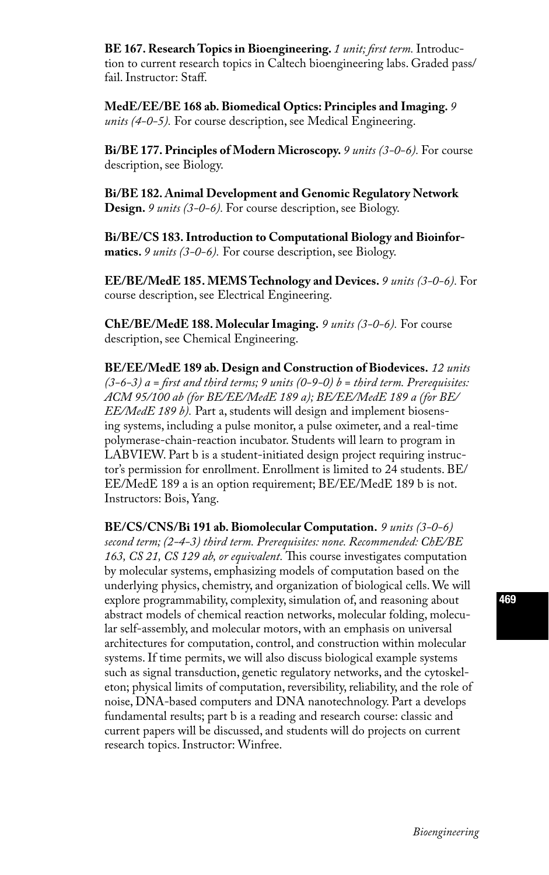**BE 167. Research Topics in Bioengineering.** *1 unit; first term.* Introduction to current research topics in Caltech bioengineering labs. Graded pass/ fail. Instructor: Staff.

**MedE/EE/BE 168 ab. Biomedical Optics: Principles and Imaging.** *9 units (4-0-5).* For course description, see Medical Engineering.

**Bi/BE 177. Principles of Modern Microscopy.** *9 units (3-0-6).* For course description, see Biology.

**Bi/BE 182. Animal Development and Genomic Regulatory Network Design.** *9 units (3-0-6).* For course description, see Biology.

**Bi/BE/CS 183. Introduction to Computational Biology and Bioinformatics.** *9 units (3-0-6).* For course description, see Biology.

**EE/BE/MedE 185. MEMS Technology and Devices.** *9 units (3-0-6).* For course description, see Electrical Engineering.

**ChE/BE/MedE 188. Molecular Imaging.** *9 units (3-0-6).* For course description, see Chemical Engineering.

**BE/EE/MedE 189 ab. Design and Construction of Biodevices.** *12 units (3-6-3) a = first and third terms; 9 units (0-9-0) b = third term. Prerequisites: ACM 95/100 ab (for BE/EE/MedE 189 a); BE/EE/MedE 189 a (for BE/ EE/MedE 189 b).* Part a, students will design and implement biosensing systems, including a pulse monitor, a pulse oximeter, and a real-time polymerase-chain-reaction incubator. Students will learn to program in LABVIEW. Part b is a student-initiated design project requiring instructor's permission for enrollment. Enrollment is limited to 24 students. BE/ EE/MedE 189 a is an option requirement; BE/EE/MedE 189 b is not. Instructors: Bois, Yang.

**BE/CS/CNS/Bi 191 ab. Biomolecular Computation.** *9 units (3-0-6) second term; (2-4-3) third term. Prerequisites: none. Recommended: ChE/BE 163, CS 21, CS 129 ab, or equivalent.* This course investigates computation by molecular systems, emphasizing models of computation based on the underlying physics, chemistry, and organization of biological cells. We will explore programmability, complexity, simulation of, and reasoning about abstract models of chemical reaction networks, molecular folding, molecular self-assembly, and molecular motors, with an emphasis on universal architectures for computation, control, and construction within molecular systems. If time permits, we will also discuss biological example systems such as signal transduction, genetic regulatory networks, and the cytoskeleton; physical limits of computation, reversibility, reliability, and the role of noise, DNA-based computers and DNA nanotechnology. Part a develops fundamental results; part b is a reading and research course: classic and current papers will be discussed, and students will do projects on current research topics. Instructor: Winfree.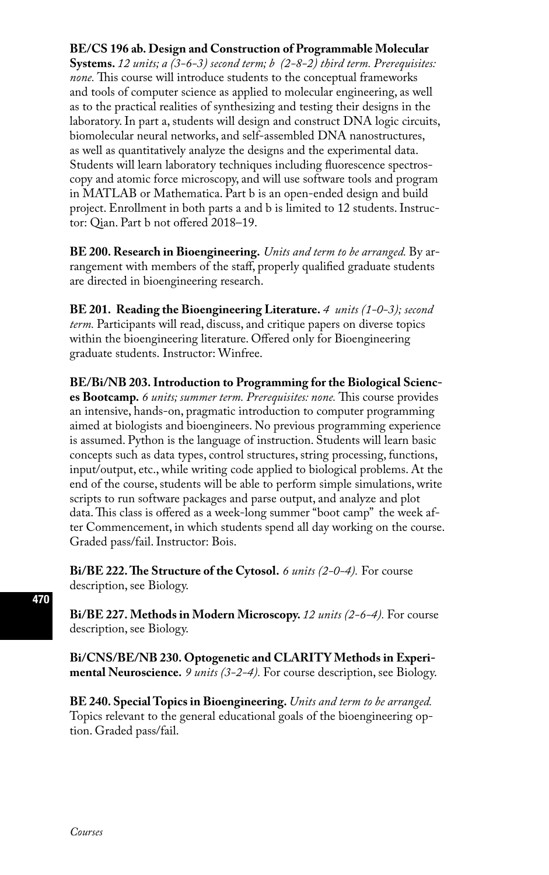### **BE/CS 196 ab. Design and Construction of Programmable Molecular**

**Systems.** *12 units; a (3-6-3) second term; b (2-8-2) third term. Prerequisites: none.* This course will introduce students to the conceptual frameworks and tools of computer science as applied to molecular engineering, as well as to the practical realities of synthesizing and testing their designs in the laboratory. In part a, students will design and construct DNA logic circuits, biomolecular neural networks, and self-assembled DNA nanostructures, as well as quantitatively analyze the designs and the experimental data. Students will learn laboratory techniques including fluorescence spectroscopy and atomic force microscopy, and will use software tools and program in MATLAB or Mathematica. Part b is an open-ended design and build project. Enrollment in both parts a and b is limited to 12 students. Instructor: Qian. Part b not offered 2018–19.

**BE 200. Research in Bioengineering.** *Units and term to be arranged.* By arrangement with members of the staff, properly qualified graduate students are directed in bioengineering research.

**BE 201. Reading the Bioengineering Literature.** *4 units (1-0-3); second term.* Participants will read, discuss, and critique papers on diverse topics within the bioengineering literature. Offered only for Bioengineering graduate students. Instructor: Winfree.

**BE/Bi/NB 203. Introduction to Programming for the Biological Sciences Bootcamp.** *6 units; summer term. Prerequisites: none.* This course provides an intensive, hands-on, pragmatic introduction to computer programming aimed at biologists and bioengineers. No previous programming experience is assumed. Python is the language of instruction. Students will learn basic concepts such as data types, control structures, string processing, functions, input/output, etc., while writing code applied to biological problems. At the end of the course, students will be able to perform simple simulations, write scripts to run software packages and parse output, and analyze and plot data. This class is offered as a week-long summer "boot camp" the week after Commencement, in which students spend all day working on the course. Graded pass/fail. Instructor: Bois.

**Bi/BE 222. The Structure of the Cytosol.** *6 units (2-0-4).* For course description, see Biology.

**Bi/BE 227. Methods in Modern Microscopy.** *12 units (2-6-4).* For course description, see Biology.

**Bi/CNS/BE/NB 230. Optogenetic and CLARITY Methods in Experimental Neuroscience.** *9 units (3-2-4).* For course description, see Biology.

**BE 240. Special Topics in Bioengineering.** *Units and term to be arranged.*  Topics relevant to the general educational goals of the bioengineering option. Graded pass/fail.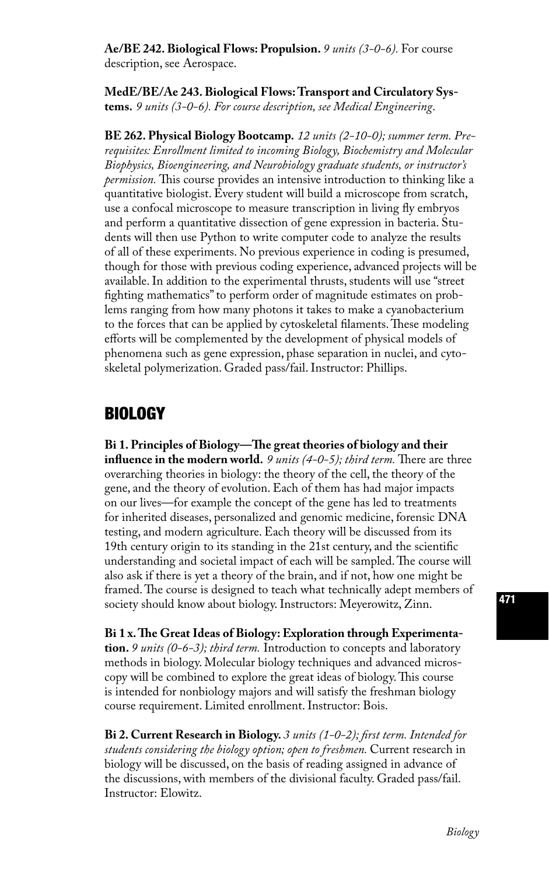**Ae/BE 242. Biological Flows: Propulsion.** *9 units (3-0-6).* For course description, see Aerospace.

**MedE/BE/Ae 243. Biological Flows: Transport and Circulatory Systems.** *9 units (3-0-6). For course description, see Medical Engineering*.

**BE 262. Physical Biology Bootcamp.** *12 units (2-10-0); summer term. Prerequisites: Enrollment limited to incoming Biology, Biochemistry and Molecular Biophysics, Bioengineering, and Neurobiology graduate students, or instructor's permission.* This course provides an intensive introduction to thinking like a quantitative biologist. Every student will build a microscope from scratch, use a confocal microscope to measure transcription in living fly embryos and perform a quantitative dissection of gene expression in bacteria. Students will then use Python to write computer code to analyze the results of all of these experiments. No previous experience in coding is presumed, though for those with previous coding experience, advanced projects will be available. In addition to the experimental thrusts, students will use "street fighting mathematics" to perform order of magnitude estimates on problems ranging from how many photons it takes to make a cyanobacterium to the forces that can be applied by cytoskeletal filaments. These modeling efforts will be complemented by the development of physical models of phenomena such as gene expression, phase separation in nuclei, and cytoskeletal polymerization. Graded pass/fail. Instructor: Phillips.

### BIOLOGY

**Bi 1. Principles of Biology—The great theories of biology and their influence in the modern world.** *9 units (4-0-5); third term.* There are three overarching theories in biology: the theory of the cell, the theory of the gene, and the theory of evolution. Each of them has had major impacts on our lives—for example the concept of the gene has led to treatments for inherited diseases, personalized and genomic medicine, forensic DNA testing, and modern agriculture. Each theory will be discussed from its 19th century origin to its standing in the 21st century, and the scientific understanding and societal impact of each will be sampled. The course will also ask if there is yet a theory of the brain, and if not, how one might be framed. The course is designed to teach what technically adept members of society should know about biology. Instructors: Meyerowitz, Zinn.

**Bi 1 x. The Great Ideas of Biology: Exploration through Experimentation.** *9 units (0-6-3); third term.* Introduction to concepts and laboratory methods in biology. Molecular biology techniques and advanced microscopy will be combined to explore the great ideas of biology. This course is intended for nonbiology majors and will satisfy the freshman biology course requirement. Limited enrollment. Instructor: Bois.

**Bi 2. Current Research in Biology.** *3 units (1-0-2); first term. Intended for students considering the biology option; open to freshmen.* Current research in biology will be discussed, on the basis of reading assigned in advance of the discussions, with members of the divisional faculty. Graded pass/fail. Instructor: Elowitz.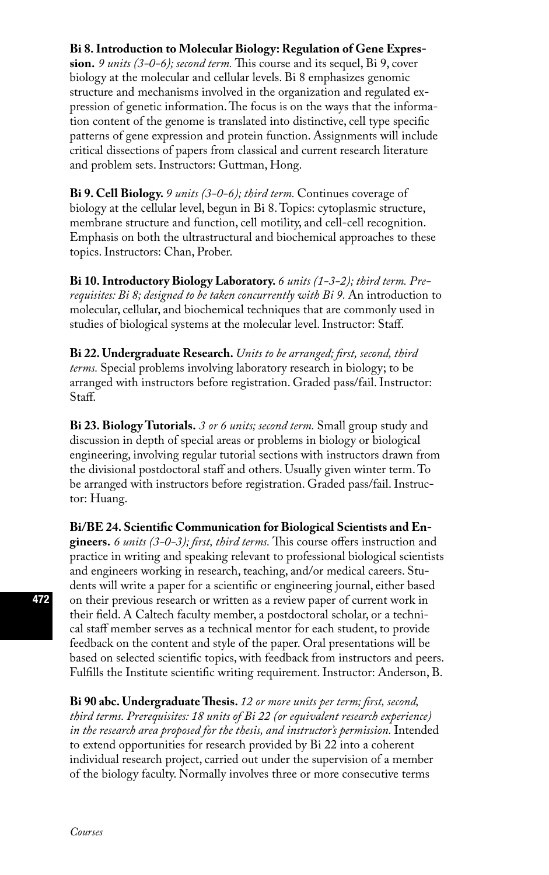#### **Bi 8. Introduction to Molecular Biology: Regulation of Gene Expres-**

**sion.** *9 units (3-0-6); second term.* This course and its sequel, Bi 9, cover biology at the molecular and cellular levels. Bi 8 emphasizes genomic structure and mechanisms involved in the organization and regulated expression of genetic information. The focus is on the ways that the information content of the genome is translated into distinctive, cell type specific patterns of gene expression and protein function. Assignments will include critical dissections of papers from classical and current research literature and problem sets. Instructors: Guttman, Hong.

**Bi 9. Cell Biology.** *9 units (3-0-6); third term.* Continues coverage of biology at the cellular level, begun in Bi 8. Topics: cytoplasmic structure, membrane structure and function, cell motility, and cell-cell recognition. Emphasis on both the ultrastructural and biochemical approaches to these topics. Instructors: Chan, Prober.

**Bi 10. Introductory Biology Laboratory.** *6 units (1-3-2); third term. Prerequisites: Bi 8; designed to be taken concurrently with Bi 9.* An introduction to molecular, cellular, and biochemical techniques that are commonly used in studies of biological systems at the molecular level. Instructor: Staff.

**Bi 22. Undergraduate Research.** *Units to be arranged; first, second, third terms.* Special problems involving laboratory research in biology; to be arranged with instructors before registration. Graded pass/fail. Instructor: Staff.

**Bi 23. Biology Tutorials.** *3 or 6 units; second term.* Small group study and discussion in depth of special areas or problems in biology or biological engineering, involving regular tutorial sections with instructors drawn from the divisional postdoctoral staff and others. Usually given winter term. To be arranged with instructors before registration. Graded pass/fail. Instructor: Huang.

**Bi/BE 24. Scientific Communication for Biological Scientists and Engineers.** *6 units (3-0-3); first, third terms.* This course offers instruction and practice in writing and speaking relevant to professional biological scientists and engineers working in research, teaching, and/or medical careers. Students will write a paper for a scientific or engineering journal, either based on their previous research or written as a review paper of current work in their field. A Caltech faculty member, a postdoctoral scholar, or a technical staff member serves as a technical mentor for each student, to provide feedback on the content and style of the paper. Oral presentations will be based on selected scientific topics, with feedback from instructors and peers. Fulfills the Institute scientific writing requirement. Instructor: Anderson, B.

**Bi 90 abc. Undergraduate Thesis.** *12 or more units per term; first, second, third terms. Prerequisites: 18 units of Bi 22 (or equivalent research experience) in the research area proposed for the thesis, and instructor's permission.* Intended to extend opportunities for research provided by Bi 22 into a coherent individual research project, carried out under the supervision of a member of the biology faculty. Normally involves three or more consecutive terms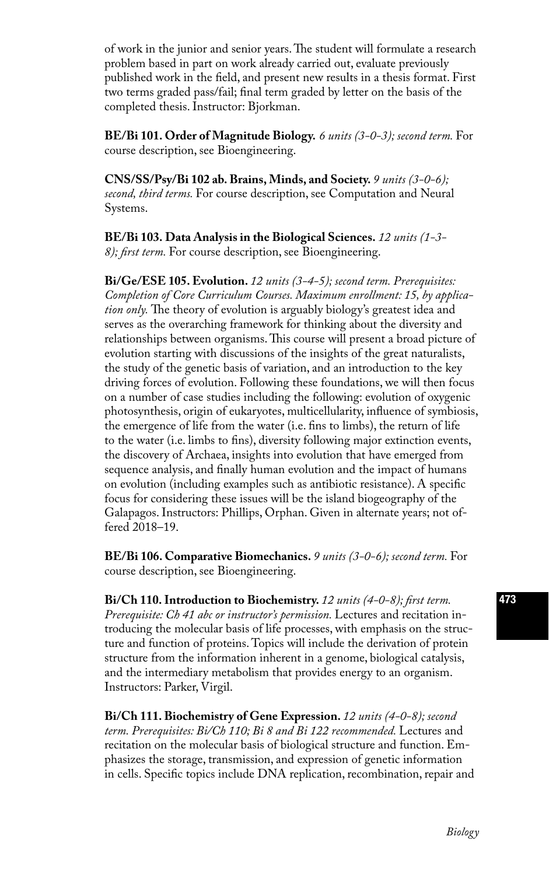of work in the junior and senior years. The student will formulate a research problem based in part on work already carried out, evaluate previously published work in the field, and present new results in a thesis format. First two terms graded pass/fail; final term graded by letter on the basis of the completed thesis. Instructor: Bjorkman.

**BE/Bi 101. Order of Magnitude Biology.** *6 units (3-0-3); second term.* For course description, see Bioengineering.

**CNS/SS/Psy/Bi 102 ab. Brains, Minds, and Society.** *9 units (3-0-6); second, third terms.* For course description, see Computation and Neural Systems.

**BE/Bi 103. Data Analysis in the Biological Sciences.** *12 units (1-3- 8); first term.* For course description, see Bioengineering.

**Bi/Ge/ESE 105. Evolution.** *12 units (3-4-5); second term. Prerequisites: Completion of Core Curriculum Courses. Maximum enrollment: 15, by application only.* The theory of evolution is arguably biology's greatest idea and serves as the overarching framework for thinking about the diversity and relationships between organisms. This course will present a broad picture of evolution starting with discussions of the insights of the great naturalists, the study of the genetic basis of variation, and an introduction to the key driving forces of evolution. Following these foundations, we will then focus on a number of case studies including the following: evolution of oxygenic photosynthesis, origin of eukaryotes, multicellularity, influence of symbiosis, the emergence of life from the water (i.e. fins to limbs), the return of life to the water (i.e. limbs to fins), diversity following major extinction events, the discovery of Archaea, insights into evolution that have emerged from sequence analysis, and finally human evolution and the impact of humans on evolution (including examples such as antibiotic resistance). A specific focus for considering these issues will be the island biogeography of the Galapagos. Instructors: Phillips, Orphan. Given in alternate years; not offered 2018–19.

**BE/Bi 106. Comparative Biomechanics.** *9 units (3-0-6); second term.* For course description, see Bioengineering.

**Bi/Ch 110. Introduction to Biochemistry.** *12 units (4-0-8); first term. Prerequisite: Ch 41 abc or instructor's permission.* Lectures and recitation introducing the molecular basis of life processes, with emphasis on the structure and function of proteins. Topics will include the derivation of protein structure from the information inherent in a genome, biological catalysis, and the intermediary metabolism that provides energy to an organism. Instructors: Parker, Virgil.

**Bi/Ch 111. Biochemistry of Gene Expression.** *12 units (4-0-8); second term. Prerequisites: Bi/Ch 110; Bi 8 and Bi 122 recommended.* Lectures and recitation on the molecular basis of biological structure and function. Emphasizes the storage, transmission, and expression of genetic information in cells. Specific topics include DNA replication, recombination, repair and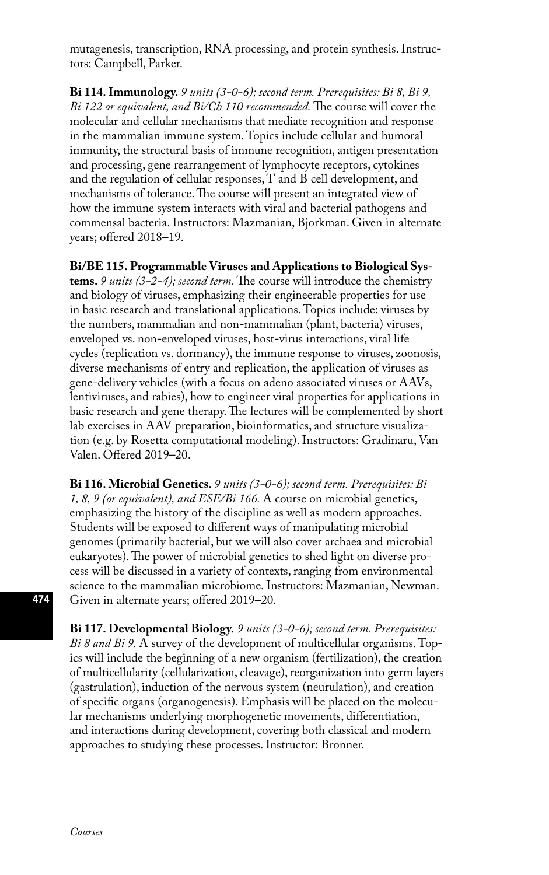mutagenesis, transcription, RNA processing, and protein synthesis. Instructors: Campbell, Parker.

**Bi 114. Immunology.** *9 units (3-0-6); second term. Prerequisites: Bi 8, Bi 9, Bi 122 or equivalent, and Bi/Ch 110 recommended.* The course will cover the molecular and cellular mechanisms that mediate recognition and response in the mammalian immune system. Topics include cellular and humoral immunity, the structural basis of immune recognition, antigen presentation and processing, gene rearrangement of lymphocyte receptors, cytokines and the regulation of cellular responses, T and B cell development, and mechanisms of tolerance. The course will present an integrated view of how the immune system interacts with viral and bacterial pathogens and commensal bacteria. Instructors: Mazmanian, Bjorkman. Given in alternate years; offered 2018–19.

**Bi/BE 115. Programmable Viruses and Applications to Biological Systems.** *9 units (3-2-4); second term.* The course will introduce the chemistry and biology of viruses, emphasizing their engineerable properties for use in basic research and translational applications. Topics include: viruses by the numbers, mammalian and non-mammalian (plant, bacteria) viruses, enveloped vs. non-enveloped viruses, host-virus interactions, viral life cycles (replication vs. dormancy), the immune response to viruses, zoonosis, diverse mechanisms of entry and replication, the application of viruses as gene-delivery vehicles (with a focus on adeno associated viruses or AAVs, lentiviruses, and rabies), how to engineer viral properties for applications in basic research and gene therapy. The lectures will be complemented by short lab exercises in AAV preparation, bioinformatics, and structure visualization (e.g. by Rosetta computational modeling). Instructors: Gradinaru, Van Valen. Offered 2019–20.

**Bi 116. Microbial Genetics.** *9 units (3-0-6); second term. Prerequisites: Bi 1, 8, 9 (or equivalent), and ESE/Bi 166.* A course on microbial genetics, emphasizing the history of the discipline as well as modern approaches. Students will be exposed to different ways of manipulating microbial genomes (primarily bacterial, but we will also cover archaea and microbial eukaryotes). The power of microbial genetics to shed light on diverse process will be discussed in a variety of contexts, ranging from environmental science to the mammalian microbiome. Instructors: Mazmanian, Newman. Given in alternate years; offered 2019–20.

**Bi 117. Developmental Biology.** *9 units (3-0-6); second term. Prerequisites: Bi 8 and Bi 9.* A survey of the development of multicellular organisms. Topics will include the beginning of a new organism (fertilization), the creation of multicellularity (cellularization, cleavage), reorganization into germ layers (gastrulation), induction of the nervous system (neurulation), and creation of specific organs (organogenesis). Emphasis will be placed on the molecular mechanisms underlying morphogenetic movements, differentiation, and interactions during development, covering both classical and modern approaches to studying these processes. Instructor: Bronner.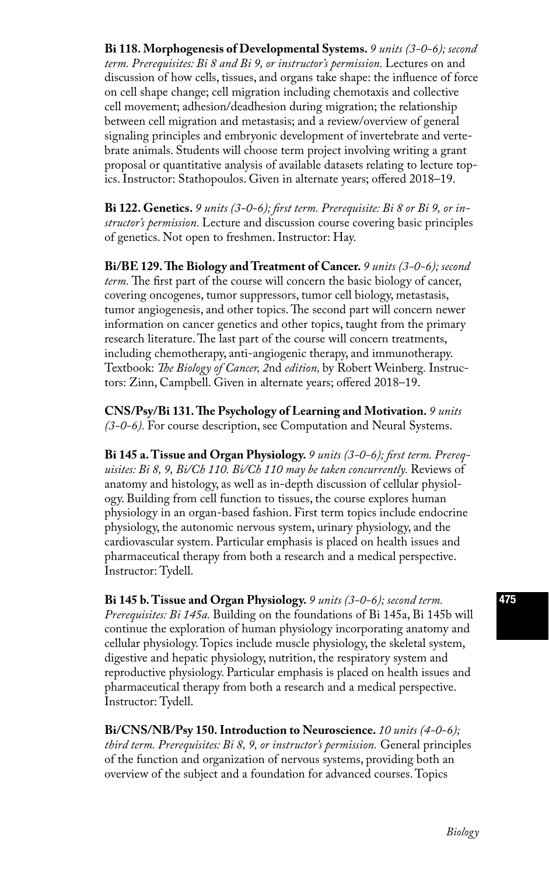**Bi 118. Morphogenesis of Developmental Systems.** *9 units (3-0-6); second*  term. Prerequisites: Bi 8 and Bi 9, or instructor's permission. Lectures on and discussion of how cells, tissues, and organs take shape: the influence of force on cell shape change; cell migration including chemotaxis and collective cell movement; adhesion/deadhesion during migration; the relationship between cell migration and metastasis; and a review/overview of general signaling principles and embryonic development of invertebrate and vertebrate animals. Students will choose term project involving writing a grant proposal or quantitative analysis of available datasets relating to lecture topics. Instructor: Stathopoulos. Given in alternate years; offered 2018–19.

**Bi 122. Genetics.** *9 units (3-0-6); first term. Prerequisite: Bi 8 or Bi 9, or instructor's permission.* Lecture and discussion course covering basic principles of genetics. Not open to freshmen. Instructor: Hay.

**Bi/BE 129. The Biology and Treatment of Cancer.** *9 units (3-0-6); second term.* The first part of the course will concern the basic biology of cancer, covering oncogenes, tumor suppressors, tumor cell biology, metastasis, tumor angiogenesis, and other topics. The second part will concern newer information on cancer genetics and other topics, taught from the primary research literature. The last part of the course will concern treatments, including chemotherapy, anti-angiogenic therapy, and immunotherapy. Textbook: *The Biology of Cancer, 2*nd *edition,* by Robert Weinberg*.* Instructors: Zinn, Campbell. Given in alternate years; offered 2018–19.

**CNS/Psy/Bi 131. The Psychology of Learning and Motivation.** *9 units (3-0-6).* For course description, see Computation and Neural Systems.

**Bi 145 a. Tissue and Organ Physiology.** *9 units (3-0-6); first term. Prerequisites: Bi 8, 9, Bi/Ch 110. Bi/Ch 110 may be taken concurrently.* Reviews of anatomy and histology, as well as in-depth discussion of cellular physiology. Building from cell function to tissues, the course explores human physiology in an organ-based fashion. First term topics include endocrine physiology, the autonomic nervous system, urinary physiology, and the cardiovascular system. Particular emphasis is placed on health issues and pharmaceutical therapy from both a research and a medical perspective. Instructor: Tydell.

**Bi 145 b. Tissue and Organ Physiology.** *9 units (3-0-6); second term. Prerequisites: Bi 145a.* Building on the foundations of Bi 145a, Bi 145b will continue the exploration of human physiology incorporating anatomy and cellular physiology. Topics include muscle physiology, the skeletal system, digestive and hepatic physiology, nutrition, the respiratory system and reproductive physiology. Particular emphasis is placed on health issues and pharmaceutical therapy from both a research and a medical perspective. Instructor: Tydell.

**Bi/CNS/NB/Psy 150. Introduction to Neuroscience.** *10 units (4-0-6); third term. Prerequisites: Bi 8, 9, or instructor's permission.* General principles of the function and organization of nervous systems, providing both an overview of the subject and a foundation for advanced courses. Topics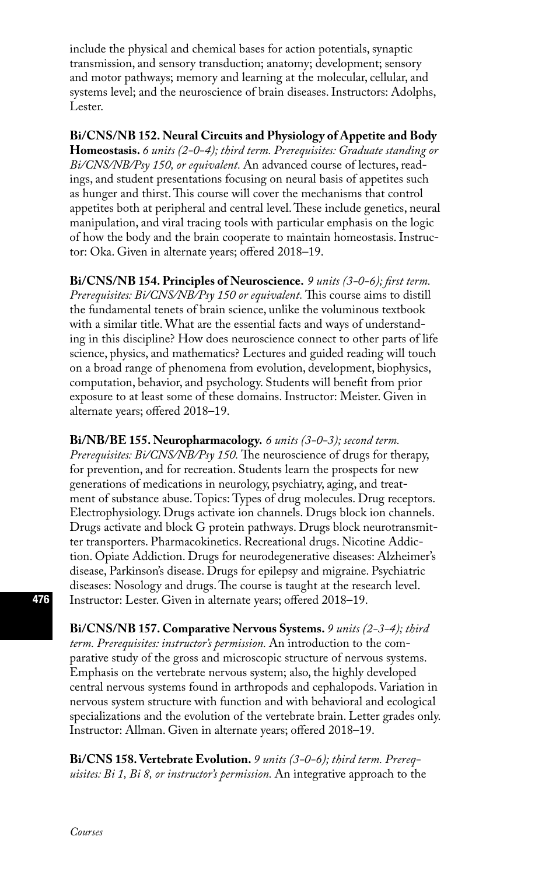include the physical and chemical bases for action potentials, synaptic transmission, and sensory transduction; anatomy; development; sensory and motor pathways; memory and learning at the molecular, cellular, and systems level; and the neuroscience of brain diseases. Instructors: Adolphs, Lester.

**Bi/CNS/NB 152. Neural Circuits and Physiology of Appetite and Body Homeostasis.** *6 units (2-0-4); third term. Prerequisites: Graduate standing or* 

*Bi/CNS/NB/Psy 150, or equivalent.* An advanced course of lectures, readings, and student presentations focusing on neural basis of appetites such as hunger and thirst. This course will cover the mechanisms that control appetites both at peripheral and central level. These include genetics, neural manipulation, and viral tracing tools with particular emphasis on the logic of how the body and the brain cooperate to maintain homeostasis. Instructor: Oka. Given in alternate years; offered 2018–19.

**Bi/CNS/NB 154. Principles of Neuroscience.** *9 units (3-0-6); first term. Prerequisites: Bi/CNS/NB/Psy 150 or equivalent.* This course aims to distill the fundamental tenets of brain science, unlike the voluminous textbook with a similar title. What are the essential facts and ways of understanding in this discipline? How does neuroscience connect to other parts of life science, physics, and mathematics? Lectures and guided reading will touch on a broad range of phenomena from evolution, development, biophysics, computation, behavior, and psychology. Students will benefit from prior exposure to at least some of these domains. Instructor: Meister. Given in alternate years; offered 2018–19.

**Bi/NB/BE 155. Neuropharmacology.** *6 units (3-0-3); second term. Prerequisites: Bi/CNS/NB/Psy 150.* The neuroscience of drugs for therapy, for prevention, and for recreation. Students learn the prospects for new generations of medications in neurology, psychiatry, aging, and treatment of substance abuse. Topics: Types of drug molecules. Drug receptors. Electrophysiology. Drugs activate ion channels. Drugs block ion channels. Drugs activate and block G protein pathways. Drugs block neurotransmitter transporters. Pharmacokinetics. Recreational drugs. Nicotine Addiction. Opiate Addiction. Drugs for neurodegenerative diseases: Alzheimer's disease, Parkinson's disease. Drugs for epilepsy and migraine. Psychiatric diseases: Nosology and drugs. The course is taught at the research level. Instructor: Lester. Given in alternate years; offered 2018–19.

**Bi/CNS/NB 157. Comparative Nervous Systems.** *9 units (2-3-4); third term. Prerequisites: instructor's permission.* An introduction to the comparative study of the gross and microscopic structure of nervous systems. Emphasis on the vertebrate nervous system; also, the highly developed central nervous systems found in arthropods and cephalopods. Variation in nervous system structure with function and with behavioral and ecological specializations and the evolution of the vertebrate brain. Letter grades only. Instructor: Allman. Given in alternate years; offered 2018–19.

**Bi/CNS 158. Vertebrate Evolution.** *9 units (3-0-6); third term. Prerequisites: Bi 1, Bi 8, or instructor's permission.* An integrative approach to the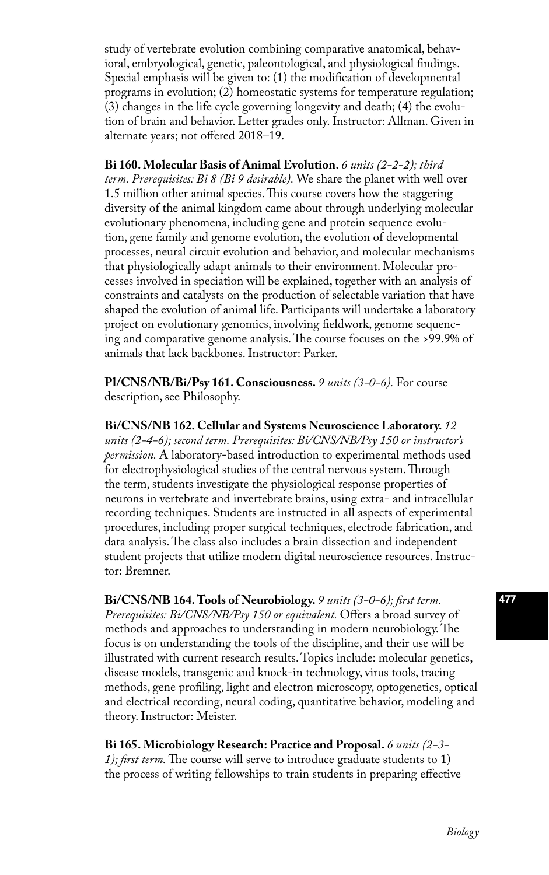study of vertebrate evolution combining comparative anatomical, behavioral, embryological, genetic, paleontological, and physiological findings. Special emphasis will be given to: (1) the modification of developmental programs in evolution; (2) homeostatic systems for temperature regulation; (3) changes in the life cycle governing longevity and death; (4) the evolution of brain and behavior. Letter grades only. Instructor: Allman. Given in alternate years; not offered 2018–19.

**Bi 160. Molecular Basis of Animal Evolution.** *6 units (2-2-2); third term. Prerequisites: Bi 8 (Bi 9 desirable).* We share the planet with well over 1.5 million other animal species. This course covers how the staggering diversity of the animal kingdom came about through underlying molecular evolutionary phenomena, including gene and protein sequence evolution, gene family and genome evolution, the evolution of developmental processes, neural circuit evolution and behavior, and molecular mechanisms that physiologically adapt animals to their environment. Molecular processes involved in speciation will be explained, together with an analysis of constraints and catalysts on the production of selectable variation that have shaped the evolution of animal life. Participants will undertake a laboratory project on evolutionary genomics, involving fieldwork, genome sequencing and comparative genome analysis. The course focuses on the >99.9% of animals that lack backbones. Instructor: Parker.

**Pl/CNS/NB/Bi/Psy 161. Consciousness.** *9 units (3-0-6).* For course description, see Philosophy.

**Bi/CNS/NB 162. Cellular and Systems Neuroscience Laboratory.** *12 units (2-4-6); second term. Prerequisites: Bi/CNS/NB/Psy 150 or instructor's permission.* A laboratory-based introduction to experimental methods used for electrophysiological studies of the central nervous system. Through the term, students investigate the physiological response properties of neurons in vertebrate and invertebrate brains, using extra- and intracellular recording techniques. Students are instructed in all aspects of experimental procedures, including proper surgical techniques, electrode fabrication, and data analysis. The class also includes a brain dissection and independent student projects that utilize modern digital neuroscience resources. Instructor: Bremner.

**Bi/CNS/NB 164. Tools of Neurobiology.** *9 units (3-0-6); first term. Prerequisites: Bi/CNS/NB/Psy 150 or equivalent.* Offers a broad survey of methods and approaches to understanding in modern neurobiology. The focus is on understanding the tools of the discipline, and their use will be illustrated with current research results. Topics include: molecular genetics, disease models, transgenic and knock-in technology, virus tools, tracing methods, gene profiling, light and electron microscopy, optogenetics, optical and electrical recording, neural coding, quantitative behavior, modeling and theory. Instructor: Meister.

**Bi 165. Microbiology Research: Practice and Proposal.** *6 units (2-3- 1); first term.* The course will serve to introduce graduate students to 1) the process of writing fellowships to train students in preparing effective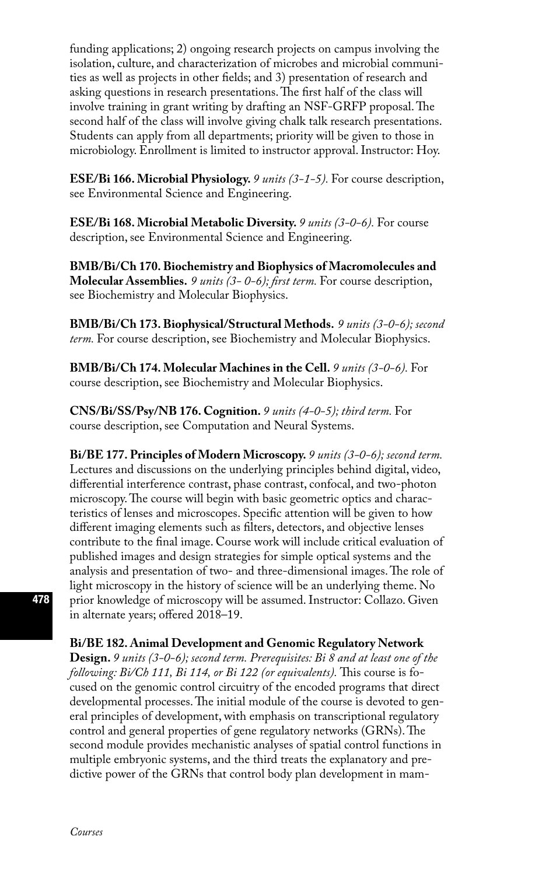funding applications; 2) ongoing research projects on campus involving the isolation, culture, and characterization of microbes and microbial communities as well as projects in other fields; and 3) presentation of research and asking questions in research presentations. The first half of the class will involve training in grant writing by drafting an NSF-GRFP proposal. The second half of the class will involve giving chalk talk research presentations. Students can apply from all departments; priority will be given to those in microbiology. Enrollment is limited to instructor approval. Instructor: Hoy.

**ESE/Bi 166. Microbial Physiology.** *9 units (3-1-5).* For course description, see Environmental Science and Engineering.

**ESE/Bi 168. Microbial Metabolic Diversity.** *9 units (3-0-6).* For course description, see Environmental Science and Engineering.

**BMB/Bi/Ch 170. Biochemistry and Biophysics of Macromolecules and Molecular Assemblies.** *9 units (3- 0-6); first term.* For course description, see Biochemistry and Molecular Biophysics.

**BMB/Bi/Ch 173. Biophysical/Structural Methods.** *9 units (3-0-6); second term.* For course description, see Biochemistry and Molecular Biophysics.

**BMB/Bi/Ch 174. Molecular Machines in the Cell.** *9 units (3-0-6).* For course description, see Biochemistry and Molecular Biophysics.

**CNS/Bi/SS/Psy/NB 176. Cognition.** *9 units (4-0-5); third term.* For course description, see Computation and Neural Systems.

**Bi/BE 177. Principles of Modern Microscopy.** *9 units (3-0-6); second term.* Lectures and discussions on the underlying principles behind digital, video, differential interference contrast, phase contrast, confocal, and two-photon microscopy. The course will begin with basic geometric optics and characteristics of lenses and microscopes. Specific attention will be given to how different imaging elements such as filters, detectors, and objective lenses contribute to the final image. Course work will include critical evaluation of published images and design strategies for simple optical systems and the analysis and presentation of two- and three-dimensional images. The role of light microscopy in the history of science will be an underlying theme. No prior knowledge of microscopy will be assumed. Instructor: Collazo. Given in alternate years; offered 2018–19.

**Bi/BE 182. Animal Development and Genomic Regulatory Network** 

**Design.** *9 units (3-0-6); second term. Prerequisites: Bi 8 and at least one of the following: Bi/Ch 111, Bi 114, or Bi 122 (or equivalents).* This course is focused on the genomic control circuitry of the encoded programs that direct developmental processes. The initial module of the course is devoted to general principles of development, with emphasis on transcriptional regulatory control and general properties of gene regulatory networks (GRNs). The second module provides mechanistic analyses of spatial control functions in multiple embryonic systems, and the third treats the explanatory and predictive power of the GRNs that control body plan development in mam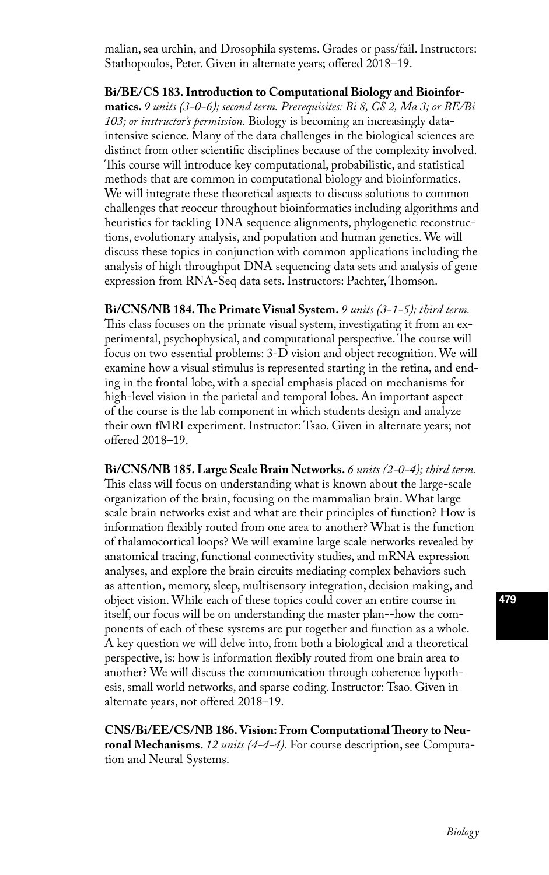malian, sea urchin, and Drosophila systems. Grades or pass/fail. Instructors: Stathopoulos, Peter. Given in alternate years; offered 2018–19.

**Bi/BE/CS 183. Introduction to Computational Biology and Bioinformatics.** *9 units (3-0-6); second term. Prerequisites: Bi 8, CS 2, Ma 3; or BE/Bi 103; or instructor's permission.* Biology is becoming an increasingly dataintensive science. Many of the data challenges in the biological sciences are distinct from other scientific disciplines because of the complexity involved. This course will introduce key computational, probabilistic, and statistical methods that are common in computational biology and bioinformatics. We will integrate these theoretical aspects to discuss solutions to common challenges that reoccur throughout bioinformatics including algorithms and heuristics for tackling DNA sequence alignments, phylogenetic reconstructions, evolutionary analysis, and population and human genetics. We will discuss these topics in conjunction with common applications including the analysis of high throughput DNA sequencing data sets and analysis of gene expression from RNA-Seq data sets. Instructors: Pachter, Thomson.

**Bi/CNS/NB 184. The Primate Visual System.** *9 units (3-1-5); third term.* This class focuses on the primate visual system, investigating it from an experimental, psychophysical, and computational perspective. The course will focus on two essential problems: 3-D vision and object recognition. We will examine how a visual stimulus is represented starting in the retina, and ending in the frontal lobe, with a special emphasis placed on mechanisms for high-level vision in the parietal and temporal lobes. An important aspect of the course is the lab component in which students design and analyze their own fMRI experiment. Instructor: Tsao. Given in alternate years; not offered 2018–19.

**Bi/CNS/NB 185. Large Scale Brain Networks.** *6 units (2-0-4); third term.* This class will focus on understanding what is known about the large-scale organization of the brain, focusing on the mammalian brain. What large scale brain networks exist and what are their principles of function? How is information flexibly routed from one area to another? What is the function of thalamocortical loops? We will examine large scale networks revealed by anatomical tracing, functional connectivity studies, and mRNA expression analyses, and explore the brain circuits mediating complex behaviors such as attention, memory, sleep, multisensory integration, decision making, and object vision. While each of these topics could cover an entire course in itself, our focus will be on understanding the master plan--how the components of each of these systems are put together and function as a whole. A key question we will delve into, from both a biological and a theoretical perspective, is: how is information flexibly routed from one brain area to another? We will discuss the communication through coherence hypothesis, small world networks, and sparse coding. Instructor: Tsao. Given in alternate years, not offered 2018–19.

**CNS/Bi/EE/CS/NB 186. Vision: From Computational Theory to Neuronal Mechanisms.** *12 units (4-4-4).* For course description, see Computation and Neural Systems.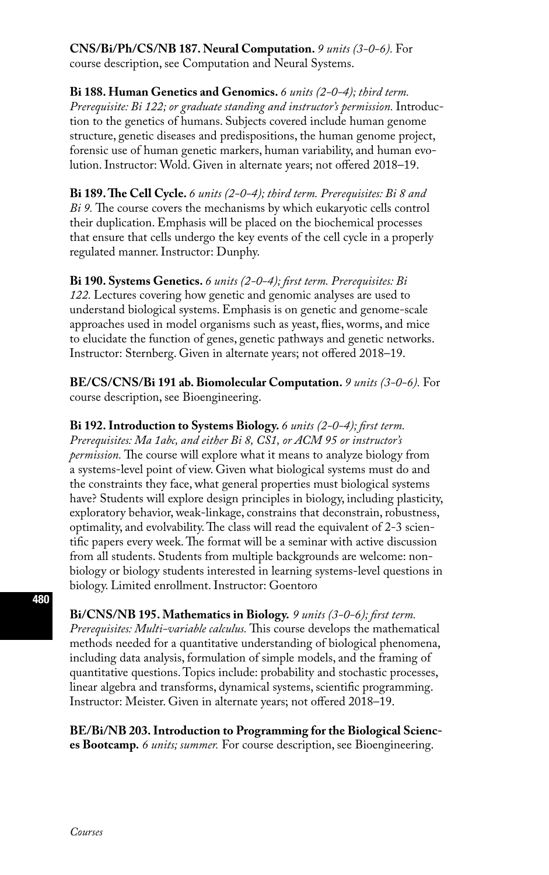**CNS/Bi/Ph/CS/NB 187. Neural Computation.** *9 units (3-0-6).* For course description, see Computation and Neural Systems.

**Bi 188. Human Genetics and Genomics.** *6 units (2-0-4); third term. Prerequisite: Bi 122; or graduate standing and instructor's permission.* Introduction to the genetics of humans. Subjects covered include human genome structure, genetic diseases and predispositions, the human genome project, forensic use of human genetic markers, human variability, and human evolution. Instructor: Wold. Given in alternate years; not offered 2018–19.

**Bi 189. The Cell Cycle.** *6 units (2-0-4); third term. Prerequisites: Bi 8 and Bi 9.* The course covers the mechanisms by which eukaryotic cells control their duplication. Emphasis will be placed on the biochemical processes that ensure that cells undergo the key events of the cell cycle in a properly regulated manner. Instructor: Dunphy.

**Bi 190. Systems Genetics.** *6 units (2-0-4); first term. Prerequisites: Bi 122.* Lectures covering how genetic and genomic analyses are used to understand biological systems. Emphasis is on genetic and genome-scale approaches used in model organisms such as yeast, flies, worms, and mice to elucidate the function of genes, genetic pathways and genetic networks. Instructor: Sternberg. Given in alternate years; not offered 2018–19.

**BE/CS/CNS/Bi 191 ab. Biomolecular Computation.** *9 units (3-0-6).* For course description, see Bioengineering.

**Bi 192. Introduction to Systems Biology.** *6 units (2-0-4); first term.* 

*Prerequisites: Ma 1abc, and either Bi 8, CS1, or ACM 95 or instructor's permission.* The course will explore what it means to analyze biology from a systems-level point of view. Given what biological systems must do and the constraints they face, what general properties must biological systems have? Students will explore design principles in biology, including plasticity, exploratory behavior, weak-linkage, constrains that deconstrain, robustness, optimality, and evolvability. The class will read the equivalent of 2-3 scientific papers every week. The format will be a seminar with active discussion from all students. Students from multiple backgrounds are welcome: nonbiology or biology students interested in learning systems-level questions in biology. Limited enrollment. Instructor: Goentoro

**Bi/CNS/NB 195. Mathematics in Biology.** *9 units (3-0-6); first term.* 

*Prerequisites: Multi-variable calculus.* This course develops the mathematical methods needed for a quantitative understanding of biological phenomena, including data analysis, formulation of simple models, and the framing of quantitative questions. Topics include: probability and stochastic processes, linear algebra and transforms, dynamical systems, scientific programming. Instructor: Meister. Given in alternate years; not offered 2018–19.

**BE/Bi/NB 203. Introduction to Programming for the Biological Sciences Bootcamp.** *6 units; summer.* For course description, see Bioengineering.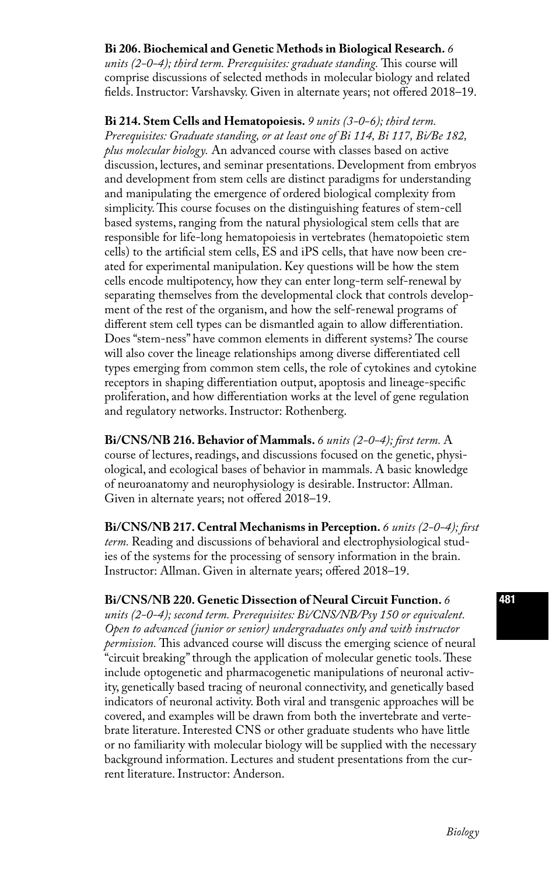### **Bi 206. Biochemical and Genetic Methods in Biological Research.** *6*

*units (2-0-4); third term. Prerequisites: graduate standing.* This course will comprise discussions of selected methods in molecular biology and related fields. Instructor: Varshavsky. Given in alternate years; not offered 2018–19.

**Bi 214. Stem Cells and Hematopoiesis.** *9 units (3-0-6); third term. Prerequisites: Graduate standing, or at least one of Bi 114, Bi 117, Bi/Be 182, plus molecular biology.* An advanced course with classes based on active discussion, lectures, and seminar presentations. Development from embryos and development from stem cells are distinct paradigms for understanding and manipulating the emergence of ordered biological complexity from simplicity. This course focuses on the distinguishing features of stem-cell based systems, ranging from the natural physiological stem cells that are responsible for life-long hematopoiesis in vertebrates (hematopoietic stem cells) to the artificial stem cells, ES and iPS cells, that have now been created for experimental manipulation. Key questions will be how the stem cells encode multipotency, how they can enter long-term self-renewal by separating themselves from the developmental clock that controls development of the rest of the organism, and how the self-renewal programs of different stem cell types can be dismantled again to allow differentiation. Does "stem-ness" have common elements in different systems? The course will also cover the lineage relationships among diverse differentiated cell types emerging from common stem cells, the role of cytokines and cytokine receptors in shaping differentiation output, apoptosis and lineage-specific proliferation, and how differentiation works at the level of gene regulation and regulatory networks. Instructor: Rothenberg.

**Bi/CNS/NB 216. Behavior of Mammals.** *6 units (2-0-4); first term.* A course of lectures, readings, and discussions focused on the genetic, physiological, and ecological bases of behavior in mammals. A basic knowledge of neuroanatomy and neurophysiology is desirable. Instructor: Allman. Given in alternate years; not offered 2018–19.

**Bi/CNS/NB 217. Central Mechanisms in Perception.** *6 units (2-0-4); first term.* Reading and discussions of behavioral and electrophysiological studies of the systems for the processing of sensory information in the brain. Instructor: Allman. Given in alternate years; offered 2018–19.

#### **Bi/CNS/NB 220. Genetic Dissection of Neural Circuit Function.** *6*

*units (2-0-4); second term. Prerequisites: Bi/CNS/NB/Psy 150 or equivalent. Open to advanced (junior or senior) undergraduates only and with instructor permission.* This advanced course will discuss the emerging science of neural "circuit breaking" through the application of molecular genetic tools. These include optogenetic and pharmacogenetic manipulations of neuronal activity, genetically based tracing of neuronal connectivity, and genetically based indicators of neuronal activity. Both viral and transgenic approaches will be covered, and examples will be drawn from both the invertebrate and vertebrate literature. Interested CNS or other graduate students who have little or no familiarity with molecular biology will be supplied with the necessary background information. Lectures and student presentations from the current literature. Instructor: Anderson.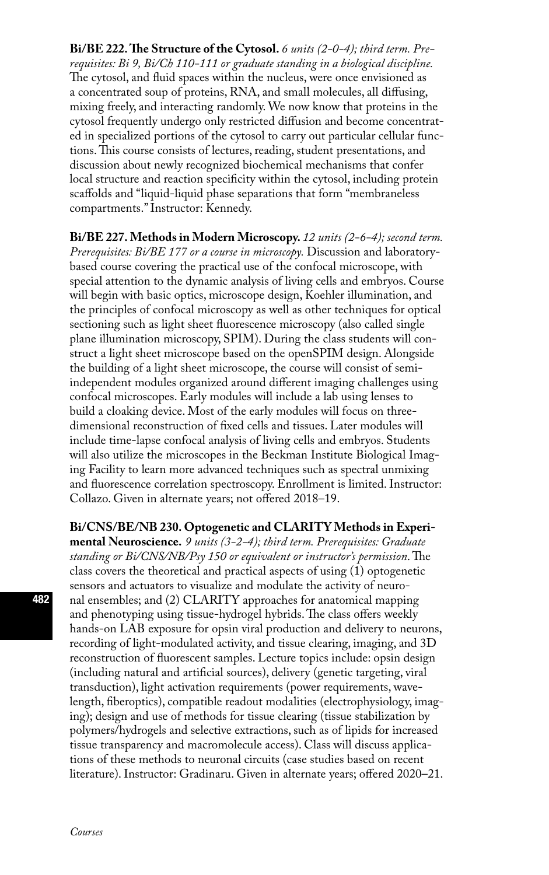**Bi/BE 222. The Structure of the Cytosol.** *6 units (2-0-4); third term. Prerequisites: Bi 9, Bi/Ch 110-111 or graduate standing in a biological discipline.*  The cytosol, and fluid spaces within the nucleus, were once envisioned as a concentrated soup of proteins, RNA, and small molecules, all diffusing, mixing freely, and interacting randomly. We now know that proteins in the cytosol frequently undergo only restricted diffusion and become concentrated in specialized portions of the cytosol to carry out particular cellular functions. This course consists of lectures, reading, student presentations, and discussion about newly recognized biochemical mechanisms that confer local structure and reaction specificity within the cytosol, including protein scaffolds and "liquid-liquid phase separations that form "membraneless compartments." Instructor: Kennedy.

**Bi/BE 227. Methods in Modern Microscopy.** *12 units (2-6-4); second term. Prerequisites: Bi/BE 177 or a course in microscopy.* Discussion and laboratorybased course covering the practical use of the confocal microscope, with special attention to the dynamic analysis of living cells and embryos. Course will begin with basic optics, microscope design, Koehler illumination, and the principles of confocal microscopy as well as other techniques for optical sectioning such as light sheet fluorescence microscopy (also called single plane illumination microscopy, SPIM). During the class students will construct a light sheet microscope based on the openSPIM design. Alongside the building of a light sheet microscope, the course will consist of semiindependent modules organized around different imaging challenges using confocal microscopes. Early modules will include a lab using lenses to build a cloaking device. Most of the early modules will focus on threedimensional reconstruction of fixed cells and tissues. Later modules will include time-lapse confocal analysis of living cells and embryos. Students will also utilize the microscopes in the Beckman Institute Biological Imaging Facility to learn more advanced techniques such as spectral unmixing and fluorescence correlation spectroscopy. Enrollment is limited. Instructor: Collazo. Given in alternate years; not offered 2018–19.

**Bi/CNS/BE/NB 230. Optogenetic and CLARITY Methods in Experimental Neuroscience.** *9 units (3-2-4); third term. Prerequisites: Graduate standing or Bi/CNS/NB/Psy 150 or equivalent or instructor's permission*. The class covers the theoretical and practical aspects of using  $(1)$  optogenetic sensors and actuators to visualize and modulate the activity of neuronal ensembles; and (2) CLARITY approaches for anatomical mapping and phenotyping using tissue-hydrogel hybrids. The class offers weekly hands-on LAB exposure for opsin viral production and delivery to neurons, recording of light-modulated activity, and tissue clearing, imaging, and 3D reconstruction of fluorescent samples. Lecture topics include: opsin design (including natural and artificial sources), delivery (genetic targeting, viral transduction), light activation requirements (power requirements, wavelength, fiberoptics), compatible readout modalities (electrophysiology, imaging); design and use of methods for tissue clearing (tissue stabilization by polymers/hydrogels and selective extractions, such as of lipids for increased tissue transparency and macromolecule access). Class will discuss applications of these methods to neuronal circuits (case studies based on recent literature). Instructor: Gradinaru. Given in alternate years; offered 2020–21.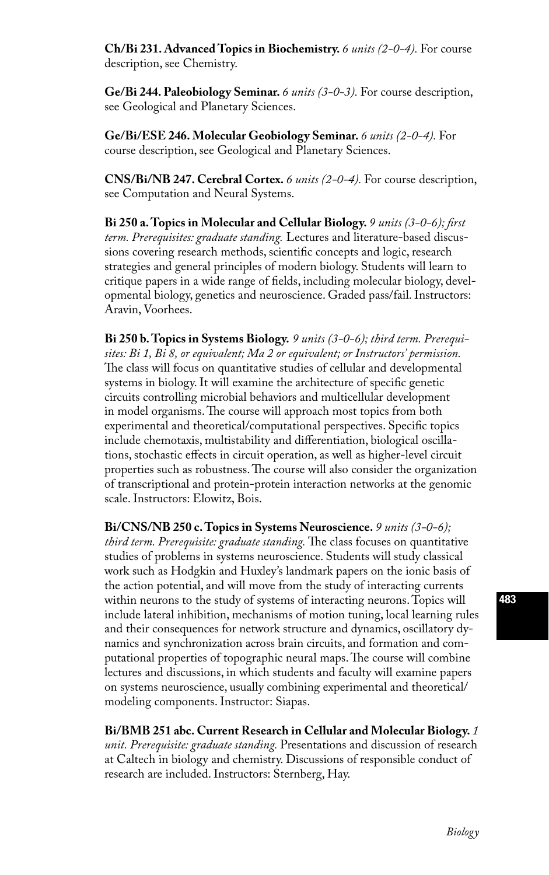**Ch/Bi 231. Advanced Topics in Biochemistry.** *6 units (2-0-4).* For course description, see Chemistry.

**Ge/Bi 244. Paleobiology Seminar.** *6 units (3-0-3).* For course description, see Geological and Planetary Sciences.

**Ge/Bi/ESE 246. Molecular Geobiology Seminar.** *6 units (2-0-4).* For course description, see Geological and Planetary Sciences.

**CNS/Bi/NB 247. Cerebral Cortex.** *6 units (2-0-4).* For course description, see Computation and Neural Systems.

**Bi 250 a. Topics in Molecular and Cellular Biology.** *9 units (3-0-6); first term. Prerequisites: graduate standing.* Lectures and literature-based discussions covering research methods, scientific concepts and logic, research strategies and general principles of modern biology. Students will learn to critique papers in a wide range of fields, including molecular biology, developmental biology, genetics and neuroscience. Graded pass/fail. Instructors: Aravin, Voorhees.

**Bi 250 b. Topics in Systems Biology.** *9 units (3-0-6); third term. Prerequisites: Bi 1, Bi 8, or equivalent; Ma 2 or equivalent; or Instructors' permission.* The class will focus on quantitative studies of cellular and developmental systems in biology. It will examine the architecture of specific genetic circuits controlling microbial behaviors and multicellular development in model organisms. The course will approach most topics from both experimental and theoretical/computational perspectives. Specific topics include chemotaxis, multistability and differentiation, biological oscillations, stochastic effects in circuit operation, as well as higher-level circuit properties such as robustness. The course will also consider the organization of transcriptional and protein-protein interaction networks at the genomic scale. Instructors: Elowitz, Bois.

**Bi/CNS/NB 250 c. Topics in Systems Neuroscience.** *9 units (3-0-6); third term. Prerequisite: graduate standing.* The class focuses on quantitative studies of problems in systems neuroscience. Students will study classical work such as Hodgkin and Huxley's landmark papers on the ionic basis of the action potential, and will move from the study of interacting currents within neurons to the study of systems of interacting neurons. Topics will include lateral inhibition, mechanisms of motion tuning, local learning rules and their consequences for network structure and dynamics, oscillatory dynamics and synchronization across brain circuits, and formation and computational properties of topographic neural maps. The course will combine lectures and discussions, in which students and faculty will examine papers on systems neuroscience, usually combining experimental and theoretical/ modeling components. Instructor: Siapas.

**Bi/BMB 251 abc. Current Research in Cellular and Molecular Biology.** *1 unit. Prerequisite: graduate standing.* Presentations and discussion of research at Caltech in biology and chemistry. Discussions of responsible conduct of research are included. Instructors: Sternberg, Hay.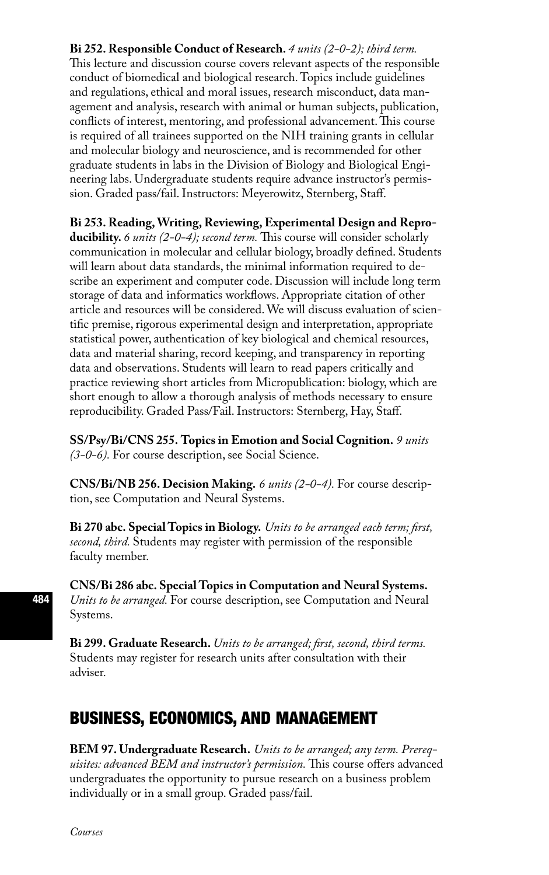### **Bi 252. Responsible Conduct of Research.** *4 units (2-0-2); third term.*

This lecture and discussion course covers relevant aspects of the responsible conduct of biomedical and biological research. Topics include guidelines and regulations, ethical and moral issues, research misconduct, data management and analysis, research with animal or human subjects, publication, conflicts of interest, mentoring, and professional advancement. This course is required of all trainees supported on the NIH training grants in cellular and molecular biology and neuroscience, and is recommended for other graduate students in labs in the Division of Biology and Biological Engineering labs. Undergraduate students require advance instructor's permission. Graded pass/fail. Instructors: Meyerowitz, Sternberg, Staff.

**Bi 253. Reading, Writing, Reviewing, Experimental Design and Reproducibility.** *6 units (2-0-4); second term.* This course will consider scholarly communication in molecular and cellular biology, broadly defined. Students will learn about data standards, the minimal information required to describe an experiment and computer code. Discussion will include long term storage of data and informatics workflows. Appropriate citation of other article and resources will be considered. We will discuss evaluation of scientific premise, rigorous experimental design and interpretation, appropriate statistical power, authentication of key biological and chemical resources, data and material sharing, record keeping, and transparency in reporting data and observations. Students will learn to read papers critically and practice reviewing short articles from Micropublication: biology, which are short enough to allow a thorough analysis of methods necessary to ensure reproducibility. Graded Pass/Fail. Instructors: Sternberg, Hay, Staff.

**SS/Psy/Bi/CNS 255. Topics in Emotion and Social Cognition.** *9 units (3-0-6).* For course description, see Social Science.

**CNS/Bi/NB 256. Decision Making.** *6 units (2-0-4).* For course description, see Computation and Neural Systems.

**Bi 270 abc. Special Topics in Biology.** *Units to be arranged each term; first, second, third.* Students may register with permission of the responsible faculty member.

**CNS/Bi 286 abc. Special Topics in Computation and Neural Systems.** *Units to be arranged.* For course description, see Computation and Neural Systems.

**Bi 299. Graduate Research.** *Units to be arranged; first, second, third terms.*  Students may register for research units after consultation with their adviser.

## BUSINESS, ECONOMICS, AND MANAGEMENT

**BEM 97. Undergraduate Research.** *Units to be arranged; any term. Prerequisites: advanced BEM and instructor's permission.* This course offers advanced undergraduates the opportunity to pursue research on a business problem individually or in a small group. Graded pass/fail.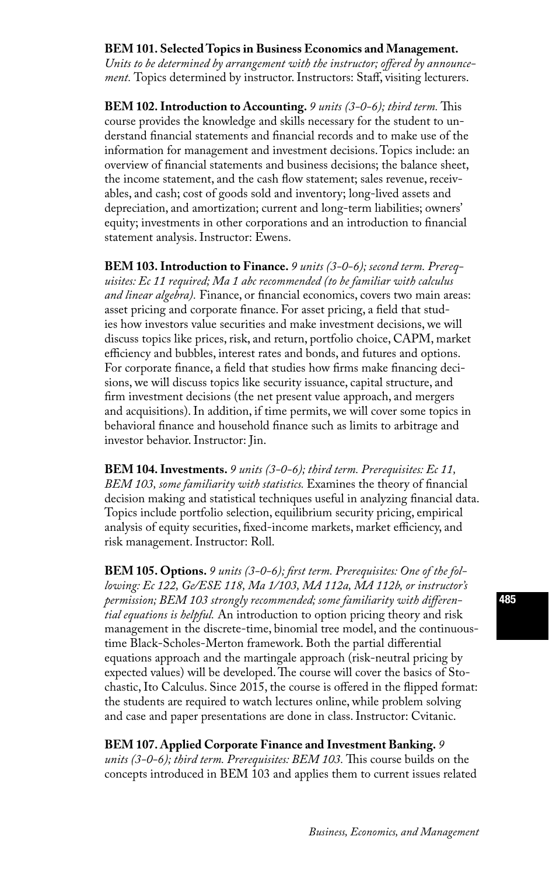### **BEM 101. Selected Topics in Business Economics and Management.**

*Units to be determined by arrangement with the instructor; offered by announcement.* Topics determined by instructor. Instructors: Staff, visiting lecturers.

**BEM 102. Introduction to Accounting.** *9 units (3-0-6); third term.* This course provides the knowledge and skills necessary for the student to understand financial statements and financial records and to make use of the information for management and investment decisions. Topics include: an overview of financial statements and business decisions; the balance sheet, the income statement, and the cash flow statement; sales revenue, receivables, and cash; cost of goods sold and inventory; long-lived assets and depreciation, and amortization; current and long-term liabilities; owners' equity; investments in other corporations and an introduction to financial statement analysis. Instructor: Ewens.

**BEM 103. Introduction to Finance.** *9 units (3-0-6); second term. Prerequisites: Ec 11 required; Ma 1 abc recommended (to be familiar with calculus and linear algebra).* Finance, or financial economics, covers two main areas: asset pricing and corporate finance. For asset pricing, a field that studies how investors value securities and make investment decisions, we will discuss topics like prices, risk, and return, portfolio choice, CAPM, market efficiency and bubbles, interest rates and bonds, and futures and options. For corporate finance, a field that studies how firms make financing decisions, we will discuss topics like security issuance, capital structure, and firm investment decisions (the net present value approach, and mergers and acquisitions). In addition, if time permits, we will cover some topics in behavioral finance and household finance such as limits to arbitrage and investor behavior. Instructor: Jin.

**BEM 104. Investments.** *9 units (3-0-6); third term. Prerequisites: Ec 11, BEM 103, some familiarity with statistics.* Examines the theory of financial decision making and statistical techniques useful in analyzing financial data. Topics include portfolio selection, equilibrium security pricing, empirical analysis of equity securities, fixed-income markets, market efficiency, and risk management. Instructor: Roll.

**BEM 105. Options.** *9 units (3-0-6); first term. Prerequisites: One of the following: Ec 122, Ge/ESE 118, Ma 1/103, MA 112a, MA 112b, or instructor's permission; BEM 103 strongly recommended; some familiarity with differential equations is helpful.* An introduction to option pricing theory and risk management in the discrete-time, binomial tree model, and the continuoustime Black-Scholes-Merton framework. Both the partial differential equations approach and the martingale approach (risk-neutral pricing by expected values) will be developed. The course will cover the basics of Stochastic, Ito Calculus. Since 2015, the course is offered in the flipped format: the students are required to watch lectures online, while problem solving and case and paper presentations are done in class. Instructor: Cvitanic.

**BEM 107. Applied Corporate Finance and Investment Banking.** *9 units (3-0-6); third term. Prerequisites: BEM 103.* This course builds on the concepts introduced in BEM 103 and applies them to current issues related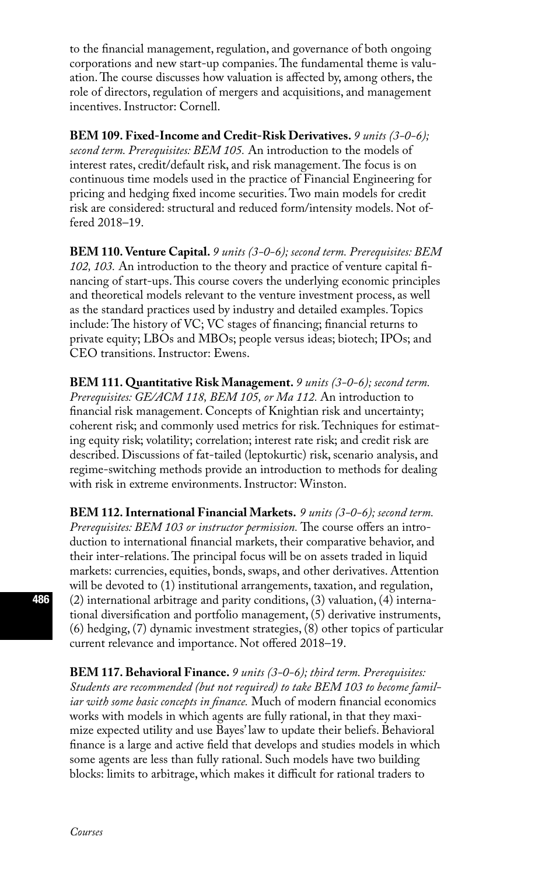to the financial management, regulation, and governance of both ongoing corporations and new start-up companies. The fundamental theme is valuation. The course discusses how valuation is affected by, among others, the role of directors, regulation of mergers and acquisitions, and management incentives. Instructor: Cornell.

**BEM 109. Fixed-Income and Credit-Risk Derivatives.** *9 units (3-0-6); second term. Prerequisites: BEM 105.* An introduction to the models of interest rates, credit/default risk, and risk management. The focus is on continuous time models used in the practice of Financial Engineering for pricing and hedging fixed income securities. Two main models for credit risk are considered: structural and reduced form/intensity models. Not offered 2018–19.

**BEM 110. Venture Capital.** *9 units (3-0-6); second term. Prerequisites: BEM 102, 103.* An introduction to the theory and practice of venture capital financing of start-ups. This course covers the underlying economic principles and theoretical models relevant to the venture investment process, as well as the standard practices used by industry and detailed examples. Topics include: The history of VC; VC stages of financing; financial returns to private equity; LBOs and MBOs; people versus ideas; biotech; IPOs; and CEO transitions. Instructor: Ewens.

**BEM 111. Quantitative Risk Management.** *9 units (3-0-6); second term. Prerequisites: GE/ACM 118, BEM 105, or Ma 112.* An introduction to financial risk management. Concepts of Knightian risk and uncertainty; coherent risk; and commonly used metrics for risk. Techniques for estimating equity risk; volatility; correlation; interest rate risk; and credit risk are described. Discussions of fat-tailed (leptokurtic) risk, scenario analysis, and regime-switching methods provide an introduction to methods for dealing with risk in extreme environments. Instructor: Winston.

**BEM 112. International Financial Markets.** *9 units (3-0-6); second term. Prerequisites: BEM 103 or instructor permission.* The course offers an introduction to international financial markets, their comparative behavior, and their inter-relations. The principal focus will be on assets traded in liquid markets: currencies, equities, bonds, swaps, and other derivatives. Attention will be devoted to (1) institutional arrangements, taxation, and regulation, (2) international arbitrage and parity conditions, (3) valuation, (4) international diversification and portfolio management, (5) derivative instruments, (6) hedging, (7) dynamic investment strategies, (8) other topics of particular current relevance and importance. Not offered 2018–19.

**BEM 117. Behavioral Finance.** *9 units (3-0-6); third term. Prerequisites: Students are recommended (but not required) to take BEM 103 to become familiar with some basic concepts in finance.* Much of modern financial economics works with models in which agents are fully rational, in that they maximize expected utility and use Bayes' law to update their beliefs. Behavioral finance is a large and active field that develops and studies models in which some agents are less than fully rational. Such models have two building blocks: limits to arbitrage, which makes it difficult for rational traders to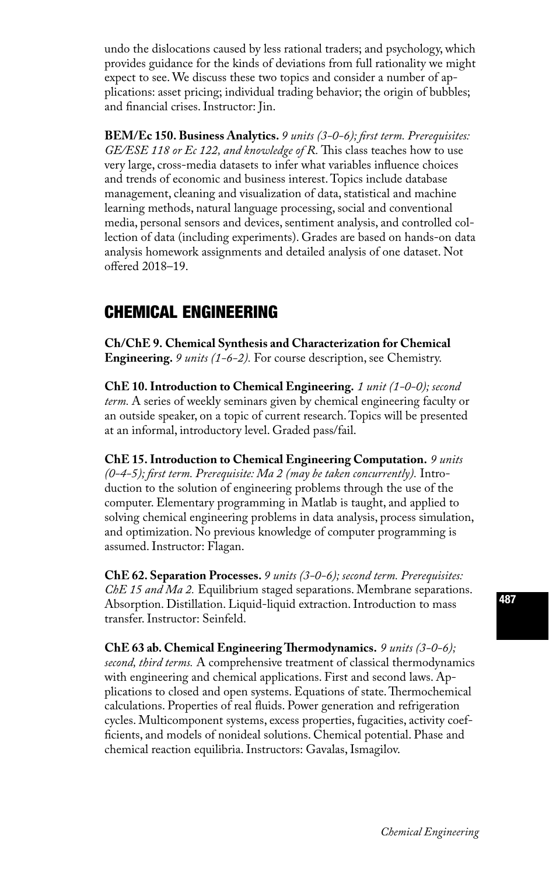undo the dislocations caused by less rational traders; and psychology, which provides guidance for the kinds of deviations from full rationality we might expect to see. We discuss these two topics and consider a number of applications: asset pricing; individual trading behavior; the origin of bubbles; and financial crises. Instructor: Jin.

**BEM/Ec 150. Business Analytics.** *9 units (3-0-6); first term. Prerequisites: GE/ESE 118 or Ec 122, and knowledge of R.* This class teaches how to use very large, cross-media datasets to infer what variables influence choices and trends of economic and business interest. Topics include database management, cleaning and visualization of data, statistical and machine learning methods, natural language processing, social and conventional media, personal sensors and devices, sentiment analysis, and controlled collection of data (including experiments). Grades are based on hands-on data analysis homework assignments and detailed analysis of one dataset. Not offered 2018–19.

# CHEMICAL ENGINEERING

**Ch/ChE 9. Chemical Synthesis and Characterization for Chemical Engineering.** *9 units (1-6-2).* For course description, see Chemistry.

**ChE 10. Introduction to Chemical Engineering.** *1 unit (1-0-0); second term.* A series of weekly seminars given by chemical engineering faculty or an outside speaker, on a topic of current research. Topics will be presented at an informal, introductory level. Graded pass/fail.

**ChE 15. Introduction to Chemical Engineering Computation.** *9 units (0-4-5); first term. Prerequisite: Ma 2 (may be taken concurrently).* Introduction to the solution of engineering problems through the use of the computer. Elementary programming in Matlab is taught, and applied to solving chemical engineering problems in data analysis, process simulation, and optimization. No previous knowledge of computer programming is assumed. Instructor: Flagan.

**ChE 62. Separation Processes.** *9 units (3-0-6); second term. Prerequisites: ChE 15 and Ma 2.* Equilibrium staged separations. Membrane separations. Absorption. Distillation. Liquid-liquid extraction. Introduction to mass transfer. Instructor: Seinfeld.

**ChE 63 ab. Chemical Engineering Thermodynamics.** *9 units (3-0-6); second, third terms.* A comprehensive treatment of classical thermodynamics with engineering and chemical applications. First and second laws. Applications to closed and open systems. Equations of state. Thermochemical calculations. Properties of real fluids. Power generation and refrigeration cycles. Multicomponent systems, excess properties, fugacities, activity coefficients, and models of nonideal solutions. Chemical potential. Phase and chemical reaction equilibria. Instructors: Gavalas, Ismagilov.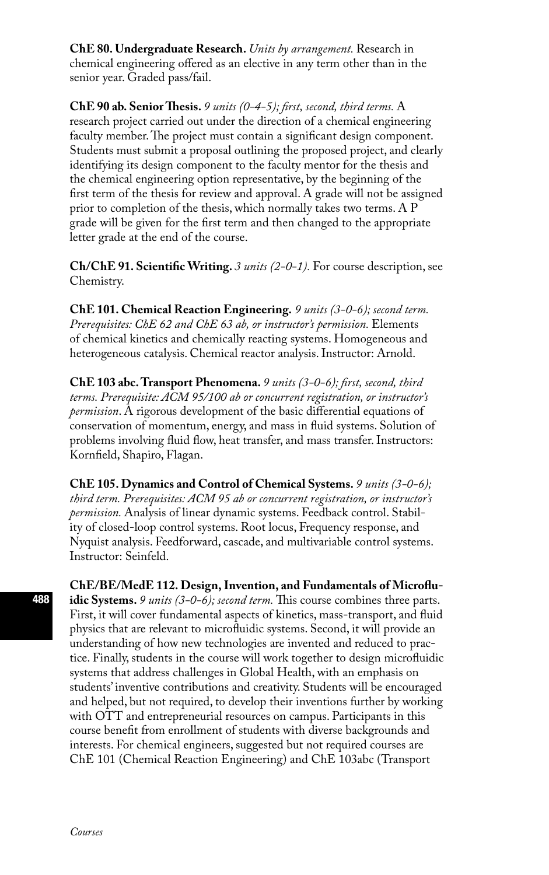**ChE 80. Undergraduate Research.** *Units by arrangement.* Research in chemical engineering offered as an elective in any term other than in the senior year. Graded pass/fail.

**ChE 90 ab. Senior Thesis.** *9 units (0-4-5); first, second, third terms.* A research project carried out under the direction of a chemical engineering faculty member. The project must contain a significant design component. Students must submit a proposal outlining the proposed project, and clearly identifying its design component to the faculty mentor for the thesis and the chemical engineering option representative, by the beginning of the first term of the thesis for review and approval. A grade will not be assigned prior to completion of the thesis, which normally takes two terms. A P grade will be given for the first term and then changed to the appropriate letter grade at the end of the course.

**Ch/ChE 91. Scientific Writing.** *3 units (2-0-1).* For course description, see Chemistry.

**ChE 101. Chemical Reaction Engineering.** *9 units (3-0-6); second term. Prerequisites: ChE 62 and ChE 63 ab, or instructor's permission.* Elements of chemical kinetics and chemically reacting systems. Homogeneous and heterogeneous catalysis. Chemical reactor analysis. Instructor: Arnold.

**ChE 103 abc. Transport Phenomena.** *9 units (3-0-6); first, second, third terms. Prerequisite: ACM 95/100 ab or concurrent registration, or instructor's permission*. A rigorous development of the basic differential equations of conservation of momentum, energy, and mass in fluid systems. Solution of problems involving fluid flow, heat transfer, and mass transfer. Instructors: Kornfield, Shapiro, Flagan.

**ChE 105. Dynamics and Control of Chemical Systems.** *9 units (3-0-6); third term. Prerequisites: ACM 95 ab or concurrent registration, or instructor's permission.* Analysis of linear dynamic systems. Feedback control. Stability of closed-loop control systems. Root locus, Frequency response, and Nyquist analysis. Feedforward, cascade, and multivariable control systems. Instructor: Seinfeld.

**ChE/BE/MedE 112. Design, Invention, and Fundamentals of Microfluidic Systems.** *9 units (3-0-6); second term.* This course combines three parts. First, it will cover fundamental aspects of kinetics, mass-transport, and fluid physics that are relevant to microfluidic systems. Second, it will provide an understanding of how new technologies are invented and reduced to practice. Finally, students in the course will work together to design microfluidic systems that address challenges in Global Health, with an emphasis on students' inventive contributions and creativity. Students will be encouraged and helped, but not required, to develop their inventions further by working with OTT and entrepreneurial resources on campus. Participants in this course benefit from enrollment of students with diverse backgrounds and interests. For chemical engineers, suggested but not required courses are ChE 101 (Chemical Reaction Engineering) and ChE 103abc (Transport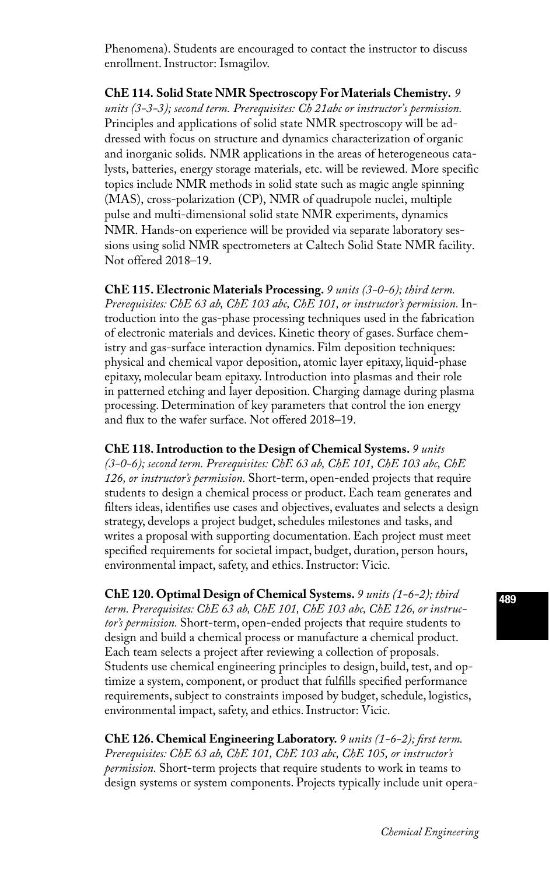Phenomena). Students are encouraged to contact the instructor to discuss enrollment. Instructor: Ismagilov.

**ChE 114. Solid State NMR Spectroscopy For Materials Chemistry.** *9 units (3-3-3); second term. Prerequisites: Ch 21abc or instructor's permission.*  Principles and applications of solid state NMR spectroscopy will be addressed with focus on structure and dynamics characterization of organic and inorganic solids. NMR applications in the areas of heterogeneous catalysts, batteries, energy storage materials, etc. will be reviewed. More specific topics include NMR methods in solid state such as magic angle spinning (MAS), cross-polarization (CP), NMR of quadrupole nuclei, multiple pulse and multi-dimensional solid state NMR experiments, dynamics NMR. Hands-on experience will be provided via separate laboratory sessions using solid NMR spectrometers at Caltech Solid State NMR facility. Not offered 2018–19.

**ChE 115. Electronic Materials Processing.** *9 units (3-0-6); third term. Prerequisites: ChE 63 ab, ChE 103 abc, ChE 101, or instructor's permission.* Introduction into the gas-phase processing techniques used in the fabrication of electronic materials and devices. Kinetic theory of gases. Surface chemistry and gas-surface interaction dynamics. Film deposition techniques: physical and chemical vapor deposition, atomic layer epitaxy, liquid-phase epitaxy, molecular beam epitaxy. Introduction into plasmas and their role in patterned etching and layer deposition. Charging damage during plasma processing. Determination of key parameters that control the ion energy and flux to the wafer surface. Not offered 2018–19.

**ChE 118. Introduction to the Design of Chemical Systems.** *9 units (3-0-6); second term. Prerequisites: ChE 63 ab, ChE 101, ChE 103 abc, ChE 126, or instructor's permission.* Short-term, open-ended projects that require students to design a chemical process or product. Each team generates and filters ideas, identifies use cases and objectives, evaluates and selects a design strategy, develops a project budget, schedules milestones and tasks, and writes a proposal with supporting documentation. Each project must meet specified requirements for societal impact, budget, duration, person hours, environmental impact, safety, and ethics. Instructor: Vicic.

**ChE 120. Optimal Design of Chemical Systems.** *9 units (1-6-2); third term. Prerequisites: ChE 63 ab, ChE 101, ChE 103 abc, ChE 126, or instructor's permission.* Short-term, open-ended projects that require students to design and build a chemical process or manufacture a chemical product. Each team selects a project after reviewing a collection of proposals. Students use chemical engineering principles to design, build, test, and optimize a system, component, or product that fulfills specified performance requirements, subject to constraints imposed by budget, schedule, logistics, environmental impact, safety, and ethics. Instructor: Vicic.

**ChE 126. Chemical Engineering Laboratory.** *9 units (1-6-2); first term. Prerequisites: ChE 63 ab, ChE 101, ChE 103 abc, ChE 105, or instructor's permission.* Short-term projects that require students to work in teams to design systems or system components. Projects typically include unit opera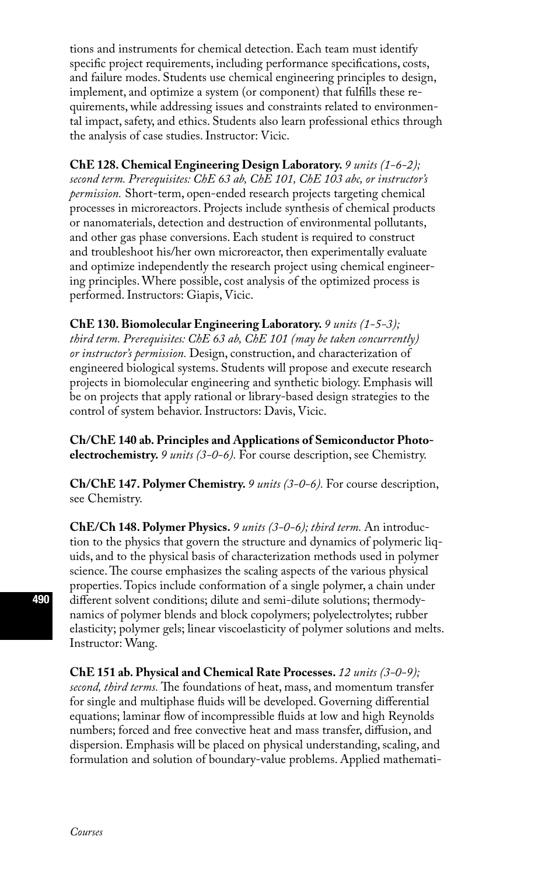tions and instruments for chemical detection. Each team must identify specific project requirements, including performance specifications, costs, and failure modes. Students use chemical engineering principles to design, implement, and optimize a system (or component) that fulfills these requirements, while addressing issues and constraints related to environmental impact, safety, and ethics. Students also learn professional ethics through the analysis of case studies. Instructor: Vicic.

**ChE 128. Chemical Engineering Design Laboratory.** *9 units (1-6-2); second term. Prerequisites: ChE 63 ab, ChE 101, ChE 103 abc, or instructor's permission.* Short-term, open-ended research projects targeting chemical processes in microreactors. Projects include synthesis of chemical products or nanomaterials, detection and destruction of environmental pollutants, and other gas phase conversions. Each student is required to construct and troubleshoot his/her own microreactor, then experimentally evaluate and optimize independently the research project using chemical engineering principles. Where possible, cost analysis of the optimized process is performed. Instructors: Giapis, Vicic.

**ChE 130. Biomolecular Engineering Laboratory.** *9 units (1-5-3);* 

*third term. Prerequisites: ChE 63 ab, ChE 101 (may be taken concurrently) or instructor's permission.* Design, construction, and characterization of engineered biological systems. Students will propose and execute research projects in biomolecular engineering and synthetic biology. Emphasis will be on projects that apply rational or library-based design strategies to the control of system behavior. Instructors: Davis, Vicic.

**Ch/ChE 140 ab. Principles and Applications of Semiconductor Photoelectrochemistry.** *9 units (3-0-6).* For course description, see Chemistry.

**Ch/ChE 147. Polymer Chemistry.** *9 units (3-0-6).* For course description, see Chemistry.

**ChE/Ch 148. Polymer Physics.** *9 units (3-0-6); third term.* An introduction to the physics that govern the structure and dynamics of polymeric liquids, and to the physical basis of characterization methods used in polymer science. The course emphasizes the scaling aspects of the various physical properties. Topics include conformation of a single polymer, a chain under different solvent conditions; dilute and semi-dilute solutions; thermodynamics of polymer blends and block copolymers; polyelectrolytes; rubber elasticity; polymer gels; linear viscoelasticity of polymer solutions and melts. Instructor: Wang.

**ChE 151 ab. Physical and Chemical Rate Processes.** *12 units (3-0-9); second, third terms.* The foundations of heat, mass, and momentum transfer for single and multiphase fluids will be developed. Governing differential equations; laminar flow of incompressible fluids at low and high Reynolds numbers; forced and free convective heat and mass transfer, diffusion, and dispersion. Emphasis will be placed on physical understanding, scaling, and formulation and solution of boundary-value problems. Applied mathemati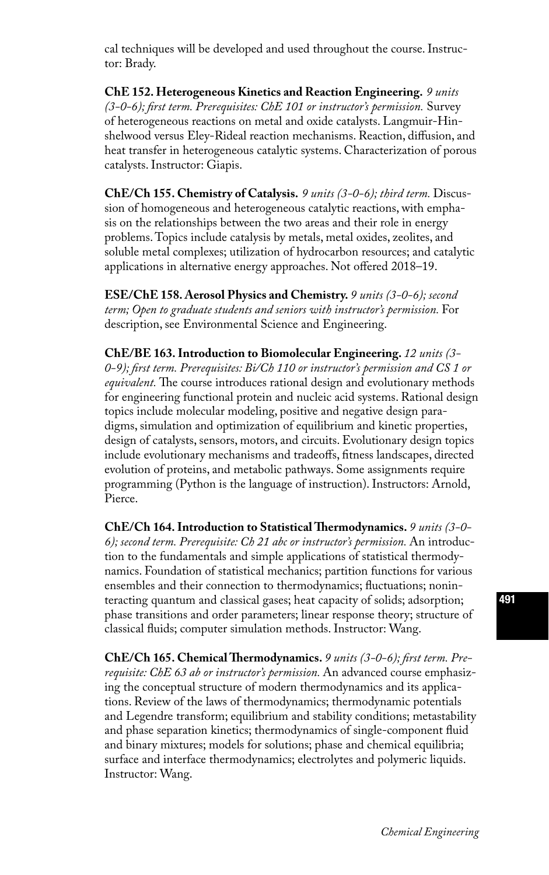cal techniques will be developed and used throughout the course. Instructor: Brady.

**ChE 152. Heterogeneous Kinetics and Reaction Engineering.** *9 units (3-0-6); first term. Prerequisites: ChE 101 or instructor's permission.* Survey of heterogeneous reactions on metal and oxide catalysts. Langmuir-Hinshelwood versus Eley-Rideal reaction mechanisms. Reaction, diffusion, and heat transfer in heterogeneous catalytic systems. Characterization of porous catalysts. Instructor: Giapis.

**ChE/Ch 155. Chemistry of Catalysis.** *9 units (3-0-6); third term.* Discussion of homogeneous and heterogeneous catalytic reactions, with emphasis on the relationships between the two areas and their role in energy problems. Topics include catalysis by metals, metal oxides, zeolites, and soluble metal complexes; utilization of hydrocarbon resources; and catalytic applications in alternative energy approaches. Not offered 2018–19.

**ESE/ChE 158. Aerosol Physics and Chemistry.** *9 units (3-0-6); second term; Open to graduate students and seniors with instructor's permission.* For description, see Environmental Science and Engineering.

**ChE/BE 163. Introduction to Biomolecular Engineering.** *12 units (3- 0-9); first term. Prerequisites: Bi/Ch 110 or instructor's permission and CS 1 or equivalent.* The course introduces rational design and evolutionary methods for engineering functional protein and nucleic acid systems. Rational design topics include molecular modeling, positive and negative design paradigms, simulation and optimization of equilibrium and kinetic properties, design of catalysts, sensors, motors, and circuits. Evolutionary design topics include evolutionary mechanisms and tradeoffs, fitness landscapes, directed evolution of proteins, and metabolic pathways. Some assignments require programming (Python is the language of instruction). Instructors: Arnold, Pierce.

**ChE/Ch 164. Introduction to Statistical Thermodynamics.** *9 units (3-0- 6); second term. Prerequisite: Ch 21 abc or instructor's permission.* An introduction to the fundamentals and simple applications of statistical thermodynamics. Foundation of statistical mechanics; partition functions for various ensembles and their connection to thermodynamics; fluctuations; noninteracting quantum and classical gases; heat capacity of solids; adsorption; phase transitions and order parameters; linear response theory; structure of classical fluids; computer simulation methods. Instructor: Wang.

**ChE/Ch 165. Chemical Thermodynamics.** *9 units (3-0-6); first term. Prerequisite: ChE 63 ab or instructor's permission.* An advanced course emphasizing the conceptual structure of modern thermodynamics and its applications. Review of the laws of thermodynamics; thermodynamic potentials and Legendre transform; equilibrium and stability conditions; metastability and phase separation kinetics; thermodynamics of single-component fluid and binary mixtures; models for solutions; phase and chemical equilibria; surface and interface thermodynamics; electrolytes and polymeric liquids. Instructor: Wang.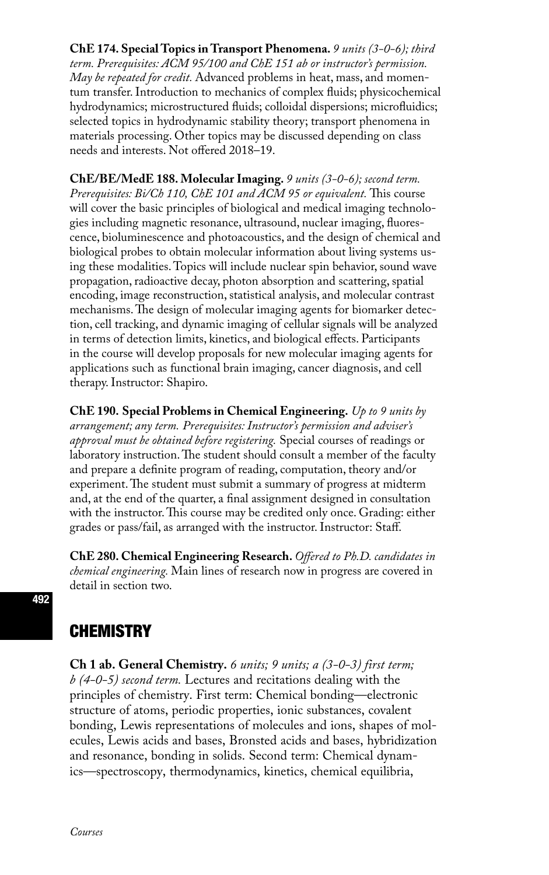**ChE 174. Special Topics in Transport Phenomena.** *9 units (3-0-6); third term. Prerequisites: ACM 95/100 and ChE 151 ab or instructor's permission. May be repeated for credit.* Advanced problems in heat, mass, and momentum transfer. Introduction to mechanics of complex fluids; physicochemical hydrodynamics; microstructured fluids; colloidal dispersions; microfluidics; selected topics in hydrodynamic stability theory; transport phenomena in materials processing. Other topics may be discussed depending on class needs and interests. Not offered 2018–19.

**ChE/BE/MedE 188. Molecular Imaging.** *9 units (3-0-6); second term. Prerequisites: Bi/Ch 110, ChE 101 and ACM 95 or equivalent.* This course will cover the basic principles of biological and medical imaging technologies including magnetic resonance, ultrasound, nuclear imaging, fluorescence, bioluminescence and photoacoustics, and the design of chemical and biological probes to obtain molecular information about living systems using these modalities. Topics will include nuclear spin behavior, sound wave propagation, radioactive decay, photon absorption and scattering, spatial encoding, image reconstruction, statistical analysis, and molecular contrast mechanisms. The design of molecular imaging agents for biomarker detection, cell tracking, and dynamic imaging of cellular signals will be analyzed in terms of detection limits, kinetics, and biological effects. Participants in the course will develop proposals for new molecular imaging agents for applications such as functional brain imaging, cancer diagnosis, and cell therapy. Instructor: Shapiro.

**ChE 190. Special Problems in Chemical Engineering.** *Up to 9 units by arrangement; any term. Prerequisites: Instructor's permission and adviser's approval must be obtained before registering.* Special courses of readings or laboratory instruction. The student should consult a member of the faculty and prepare a definite program of reading, computation, theory and/or experiment. The student must submit a summary of progress at midterm and, at the end of the quarter, a final assignment designed in consultation with the instructor. This course may be credited only once. Grading: either grades or pass/fail, as arranged with the instructor. Instructor: Staff.

**ChE 280. Chemical Engineering Research.** *Offered to Ph.D. candidates in chemical engineering.* Main lines of research now in progress are covered in detail in section two.

## **CHEMISTRY**

**Ch 1 ab. General Chemistry.** *6 units; 9 units; a (3-0-3) first term; b (4-0-5) second term.* Lectures and recitations dealing with the principles of chemistry. First term: Chemical bonding—electronic structure of atoms, periodic properties, ionic substances, covalent bonding, Lewis representations of molecules and ions, shapes of molecules, Lewis acids and bases, Bronsted acids and bases, hybridization and resonance, bonding in solids. Second term: Chemical dynamics—spectroscopy, thermodynamics, kinetics, chemical equilibria,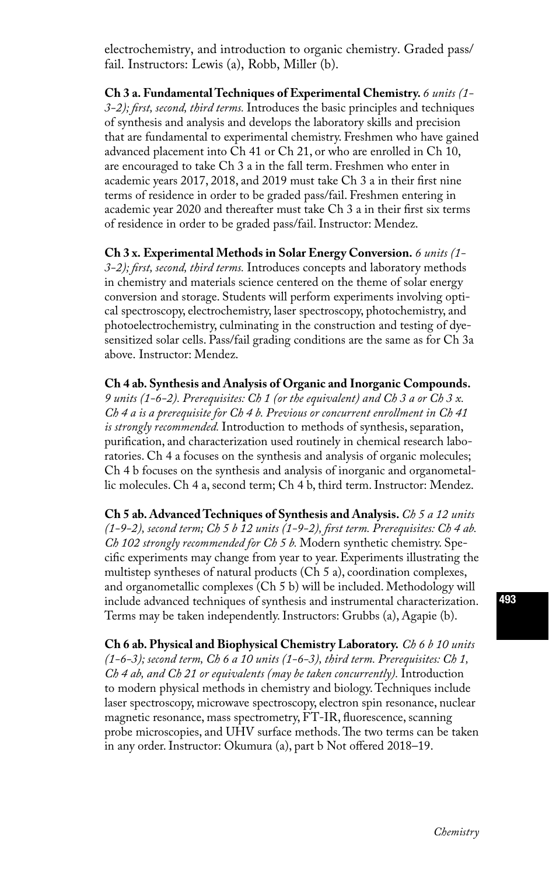electrochemistry, and introduction to organic chemistry. Graded pass/ fail. Instructors: Lewis (a), Robb, Miller (b).

**Ch 3 a. Fundamental Techniques of Experimental Chemistry.** *6 units (1- 3-2); first, second, third terms.* Introduces the basic principles and techniques of synthesis and analysis and develops the laboratory skills and precision that are fundamental to experimental chemistry. Freshmen who have gained advanced placement into Ch 41 or Ch 21, or who are enrolled in Ch 10, are encouraged to take Ch 3 a in the fall term. Freshmen who enter in academic years 2017, 2018, and 2019 must take Ch 3 a in their first nine terms of residence in order to be graded pass/fail. Freshmen entering in academic year 2020 and thereafter must take Ch 3 a in their first six terms of residence in order to be graded pass/fail. Instructor: Mendez.

**Ch 3 x. Experimental Methods in Solar Energy Conversion.** *6 units (1- 3-2); first, second, third terms.* Introduces concepts and laboratory methods in chemistry and materials science centered on the theme of solar energy conversion and storage. Students will perform experiments involving optical spectroscopy, electrochemistry, laser spectroscopy, photochemistry, and photoelectrochemistry, culminating in the construction and testing of dyesensitized solar cells. Pass/fail grading conditions are the same as for Ch 3a above. Instructor: Mendez.

**Ch 4 ab. Synthesis and Analysis of Organic and Inorganic Compounds.**  *9 units (1-6-2). Prerequisites: Ch 1 (or the equivalent) and Ch 3 a or Ch 3 x. Ch 4 a is a prerequisite for Ch 4 b. Previous or concurrent enrollment in Ch 41 is strongly recommended.* Introduction to methods of synthesis, separation, purification, and characterization used routinely in chemical research laboratories. Ch 4 a focuses on the synthesis and analysis of organic molecules; Ch 4 b focuses on the synthesis and analysis of inorganic and organometallic molecules. Ch 4 a, second term; Ch 4 b, third term. Instructor: Mendez.

**Ch 5 ab. Advanced Techniques of Synthesis and Analysis.** *Ch 5 a 12 units (1-9-2), second term; Ch 5 b 12 units (1-9-2), first term. Prerequisites: Ch 4 ab. Ch 102 strongly recommended for Ch 5 b.* Modern synthetic chemistry. Specific experiments may change from year to year. Experiments illustrating the multistep syntheses of natural products (Ch 5 a), coordination complexes, and organometallic complexes (Ch 5 b) will be included. Methodology will include advanced techniques of synthesis and instrumental characterization. Terms may be taken independently. Instructors: Grubbs (a), Agapie (b).

**Ch 6 ab. Physical and Biophysical Chemistry Laboratory.** *Ch 6 b 10 units (1-6-3); second term, Ch 6 a 10 units (1-6-3), third term. Prerequisites: Ch 1, Ch 4 ab, and Ch 21 or equivalents (may be taken concurrently).* Introduction to modern physical methods in chemistry and biology. Techniques include laser spectroscopy, microwave spectroscopy, electron spin resonance, nuclear magnetic resonance, mass spectrometry, FT-IR, fluorescence, scanning probe microscopies, and UHV surface methods. The two terms can be taken in any order. Instructor: Okumura (a), part b Not offered 2018–19.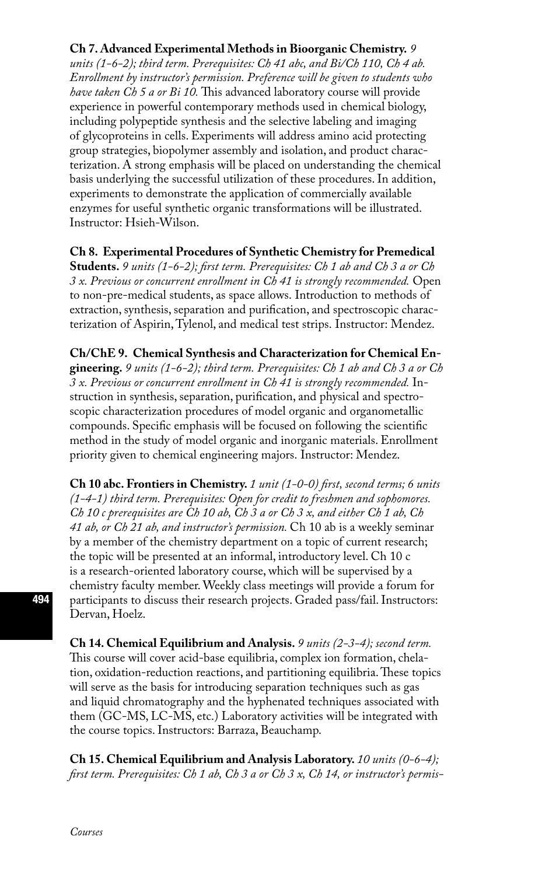#### **Ch 7. Advanced Experimental Methods in Bioorganic Chemistry.** *9*

*units (1-6-2); third term. Prerequisites: Ch 41 abc, and Bi/Ch 110, Ch 4 ab. Enrollment by instructor's permission. Preference will be given to students who have taken Ch 5 a or Bi 10.* This advanced laboratory course will provide experience in powerful contemporary methods used in chemical biology, including polypeptide synthesis and the selective labeling and imaging of glycoproteins in cells. Experiments will address amino acid protecting group strategies, biopolymer assembly and isolation, and product characterization. A strong emphasis will be placed on understanding the chemical basis underlying the successful utilization of these procedures. In addition, experiments to demonstrate the application of commercially available enzymes for useful synthetic organic transformations will be illustrated. Instructor: Hsieh-Wilson.

**Ch 8. Experimental Procedures of Synthetic Chemistry for Premedical Students.** *9 units (1-6-2); first term. Prerequisites: Ch 1 ab and Ch 3 a or Ch 3 x. Previous or concurrent enrollment in Ch 41 is strongly recommended.* Open to non-pre-medical students, as space allows. Introduction to methods of extraction, synthesis, separation and purification, and spectroscopic characterization of Aspirin, Tylenol, and medical test strips. Instructor: Mendez.

**Ch/ChE 9. Chemical Synthesis and Characterization for Chemical Engineering.** *9 units (1-6-2); third term. Prerequisites: Ch 1 ab and Ch 3 a or Ch 3 x. Previous or concurrent enrollment in Ch 41 is strongly recommended.* Instruction in synthesis, separation, purification, and physical and spectroscopic characterization procedures of model organic and organometallic compounds. Specific emphasis will be focused on following the scientific method in the study of model organic and inorganic materials. Enrollment priority given to chemical engineering majors. Instructor: Mendez.

**Ch 10 abc. Frontiers in Chemistry.** *1 unit (1-0-0) first, second terms; 6 units (1-4-1) third term. Prerequisites: Open for credit to freshmen and sophomores. Ch 10 c prerequisites are Ch 10 ab, Ch 3 a or Ch 3 x, and either Ch 1 ab, Ch 41 ab, or Ch 21 ab, and instructor's permission.* Ch 10 ab is a weekly seminar by a member of the chemistry department on a topic of current research; the topic will be presented at an informal, introductory level. Ch 10 c is a research-oriented laboratory course, which will be supervised by a chemistry faculty member. Weekly class meetings will provide a forum for participants to discuss their research projects. Graded pass/fail. Instructors: Dervan, Hoelz.

**Ch 14. Chemical Equilibrium and Analysis.** *9 units (2-3-4); second term.*  This course will cover acid-base equilibria, complex ion formation, chelation, oxidation-reduction reactions, and partitioning equilibria. These topics will serve as the basis for introducing separation techniques such as gas and liquid chromatography and the hyphenated techniques associated with them (GC-MS, LC-MS, etc.) Laboratory activities will be integrated with the course topics. Instructors: Barraza, Beauchamp.

**Ch 15. Chemical Equilibrium and Analysis Laboratory.** *10 units (0-6-4); first term. Prerequisites: Ch 1 ab, Ch 3 a or Ch 3 x, Ch 14, or instructor's permis-*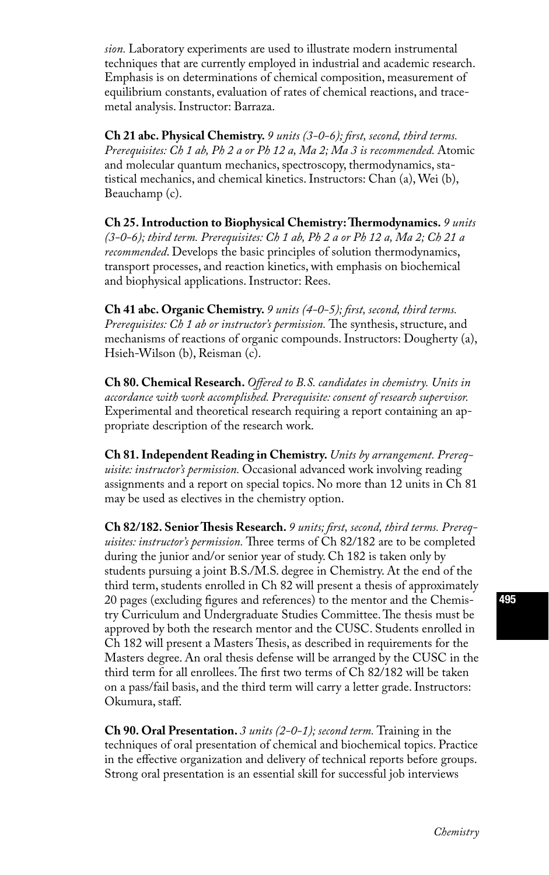*sion.* Laboratory experiments are used to illustrate modern instrumental techniques that are currently employed in industrial and academic research. Emphasis is on determinations of chemical composition, measurement of equilibrium constants, evaluation of rates of chemical reactions, and tracemetal analysis. Instructor: Barraza.

**Ch 21 abc. Physical Chemistry.** *9 units (3-0-6); first, second, third terms. Prerequisites: Ch 1 ab, Ph 2 a or Ph 12 a, Ma 2; Ma 3 is recommended.* Atomic and molecular quantum mechanics, spectroscopy, thermodynamics, statistical mechanics, and chemical kinetics. Instructors: Chan (a), Wei (b), Beauchamp (c).

**Ch 25. Introduction to Biophysical Chemistry: Thermodynamics.** *9 units (3-0-6); third term. Prerequisites: Ch 1 ab, Ph 2 a or Ph 12 a, Ma 2; Ch 21 a recommended*. Develops the basic principles of solution thermodynamics, transport processes, and reaction kinetics, with emphasis on biochemical and biophysical applications. Instructor: Rees.

**Ch 41 abc. Organic Chemistry.** *9 units (4-0-5); first, second, third terms. Prerequisites: Ch 1 ab or instructor's permission.* The synthesis, structure, and mechanisms of reactions of organic compounds. Instructors: Dougherty (a), Hsieh-Wilson (b), Reisman (c).

**Ch 80. Chemical Research.** *Offered to B.S. candidates in chemistry. Units in accordance with work accomplished. Prerequisite: consent of research supervisor.*  Experimental and theoretical research requiring a report containing an appropriate description of the research work.

**Ch 81. Independent Reading in Chemistry.** *Units by arrangement. Prerequisite: instructor's permission.* Occasional advanced work involving reading assignments and a report on special topics. No more than 12 units in Ch 81 may be used as electives in the chemistry option.

**Ch 82/182. Senior Thesis Research.** *9 units; first, second, third terms. Prerequisites: instructor's permission.* Three terms of Ch 82/182 are to be completed during the junior and/or senior year of study. Ch 182 is taken only by students pursuing a joint B.S./M.S. degree in Chemistry. At the end of the third term, students enrolled in Ch 82 will present a thesis of approximately 20 pages (excluding figures and references) to the mentor and the Chemistry Curriculum and Undergraduate Studies Committee. The thesis must be approved by both the research mentor and the CUSC. Students enrolled in Ch 182 will present a Masters Thesis, as described in requirements for the Masters degree. An oral thesis defense will be arranged by the CUSC in the third term for all enrollees. The first two terms of Ch 82/182 will be taken on a pass/fail basis, and the third term will carry a letter grade. Instructors: Okumura, staff.

**Ch 90. Oral Presentation.** *3 units (2-0-1); second term.* Training in the techniques of oral presentation of chemical and biochemical topics. Practice in the effective organization and delivery of technical reports before groups. Strong oral presentation is an essential skill for successful job interviews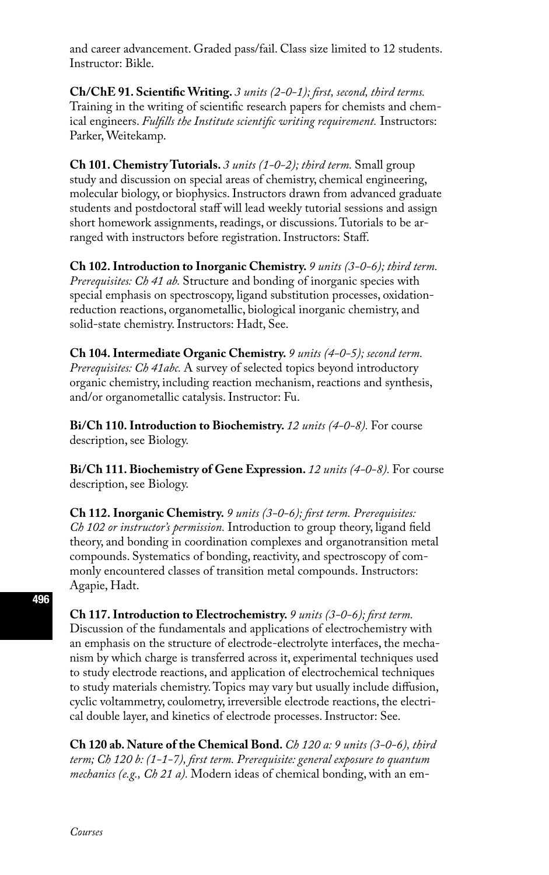and career advancement. Graded pass/fail. Class size limited to 12 students. Instructor: Bikle.

**Ch/ChE 91. Scientific Writing.** *3 units (2-0-1); first, second, third terms.*  Training in the writing of scientific research papers for chemists and chemical engineers. *Fulfills the Institute scientific writing requirement.* Instructors: Parker, Weitekamp.

**Ch 101. Chemistry Tutorials.** *3 units (1-0-2); third term.* Small group study and discussion on special areas of chemistry, chemical engineering, molecular biology, or biophysics. Instructors drawn from advanced graduate students and postdoctoral staff will lead weekly tutorial sessions and assign short homework assignments, readings, or discussions. Tutorials to be arranged with instructors before registration. Instructors: Staff.

**Ch 102. Introduction to Inorganic Chemistry.** *9 units (3-0-6); third term. Prerequisites: Ch 41 ab.* Structure and bonding of inorganic species with special emphasis on spectroscopy, ligand substitution processes, oxidationreduction reactions, organometallic, biological inorganic chemistry, and solid-state chemistry. Instructors: Hadt, See.

**Ch 104. Intermediate Organic Chemistry.** *9 units (4-0-5); second term. Prerequisites: Ch 41abc.* A survey of selected topics beyond introductory organic chemistry, including reaction mechanism, reactions and synthesis, and/or organometallic catalysis. Instructor: Fu.

**Bi/Ch 110. Introduction to Biochemistry.** *12 units (4-0-8).* For course description, see Biology.

**Bi/Ch 111. Biochemistry of Gene Expression.** *12 units (4-0-8).* For course description, see Biology.

**Ch 112. Inorganic Chemistry.** *9 units (3-0-6); first term. Prerequisites: Ch 102 or instructor's permission.* Introduction to group theory, ligand field theory, and bonding in coordination complexes and organotransition metal compounds. Systematics of bonding, reactivity, and spectroscopy of commonly encountered classes of transition metal compounds. Instructors: Agapie, Hadt.

**Ch 117. Introduction to Electrochemistry.** *9 units (3-0-6); first term.*  Discussion of the fundamentals and applications of electrochemistry with an emphasis on the structure of electrode-electrolyte interfaces, the mechanism by which charge is transferred across it, experimental techniques used to study electrode reactions, and application of electrochemical techniques to study materials chemistry. Topics may vary but usually include diffusion, cyclic voltammetry, coulometry, irreversible electrode reactions, the electrical double layer, and kinetics of electrode processes. Instructor: See.

**Ch 120 ab. Nature of the Chemical Bond.** *Ch 120 a: 9 units (3-0-6), third term; Ch 120 b: (1-1-7), first term. Prerequisite: general exposure to quantum mechanics (e.g., Ch 21 a).* Modern ideas of chemical bonding, with an em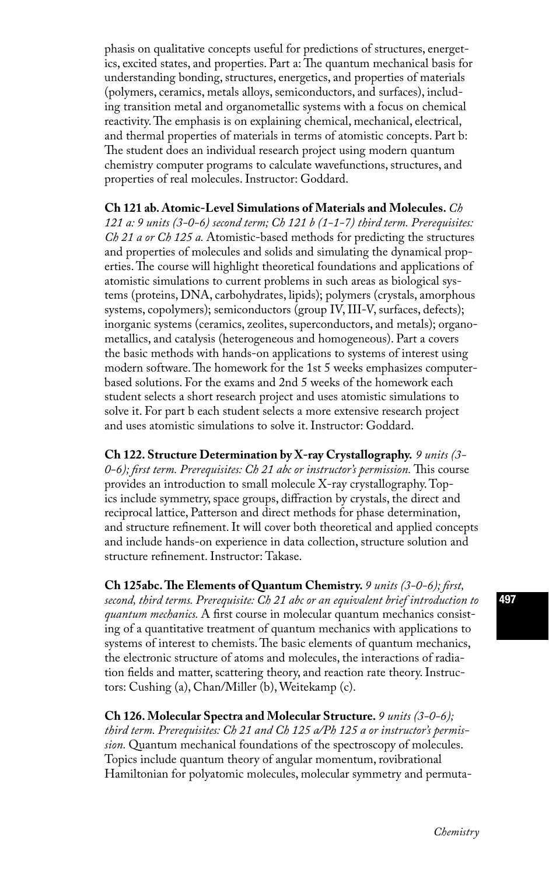phasis on qualitative concepts useful for predictions of structures, energetics, excited states, and properties. Part a: The quantum mechanical basis for understanding bonding, structures, energetics, and properties of materials (polymers, ceramics, metals alloys, semiconductors, and surfaces), including transition metal and organometallic systems with a focus on chemical reactivity. The emphasis is on explaining chemical, mechanical, electrical, and thermal properties of materials in terms of atomistic concepts. Part b: The student does an individual research project using modern quantum chemistry computer programs to calculate wavefunctions, structures, and properties of real molecules. Instructor: Goddard.

**Ch 121 ab. Atomic-Level Simulations of Materials and Molecules.** *Ch 121 a: 9 units (3-0-6) second term; Ch 121 b (1-1-7) third term. Prerequisites: Ch 21 a or Ch 125 a.* Atomistic-based methods for predicting the structures and properties of molecules and solids and simulating the dynamical properties. The course will highlight theoretical foundations and applications of atomistic simulations to current problems in such areas as biological systems (proteins, DNA, carbohydrates, lipids); polymers (crystals, amorphous systems, copolymers); semiconductors (group IV, III-V, surfaces, defects); inorganic systems (ceramics, zeolites, superconductors, and metals); organometallics, and catalysis (heterogeneous and homogeneous). Part a covers the basic methods with hands-on applications to systems of interest using modern software. The homework for the 1st 5 weeks emphasizes computerbased solutions. For the exams and 2nd 5 weeks of the homework each student selects a short research project and uses atomistic simulations to solve it. For part b each student selects a more extensive research project and uses atomistic simulations to solve it. Instructor: Goddard.

**Ch 122. Structure Determination by X-ray Crystallography.** *9 units (3- 0-6); first term. Prerequisites: Ch 21 abc or instructor's permission.* This course provides an introduction to small molecule X-ray crystallography. Topics include symmetry, space groups, diffraction by crystals, the direct and reciprocal lattice, Patterson and direct methods for phase determination, and structure refinement. It will cover both theoretical and applied concepts and include hands-on experience in data collection, structure solution and structure refinement. Instructor: Takase.

**Ch 125abc. The Elements of Quantum Chemistry.** *9 units (3-0-6); first, second, third terms. Prerequisite: Ch 21 abc or an equivalent brief introduction to quantum mechanics.* A first course in molecular quantum mechanics consisting of a quantitative treatment of quantum mechanics with applications to systems of interest to chemists. The basic elements of quantum mechanics, the electronic structure of atoms and molecules, the interactions of radiation fields and matter, scattering theory, and reaction rate theory. Instructors: Cushing (a), Chan/Miller (b), Weitekamp (c).

**Ch 126. Molecular Spectra and Molecular Structure.** *9 units (3-0-6); third term. Prerequisites: Ch 21 and Ch 125 a/Ph 125 a or instructor's permission.* Quantum mechanical foundations of the spectroscopy of molecules. Topics include quantum theory of angular momentum, rovibrational Hamiltonian for polyatomic molecules, molecular symmetry and permuta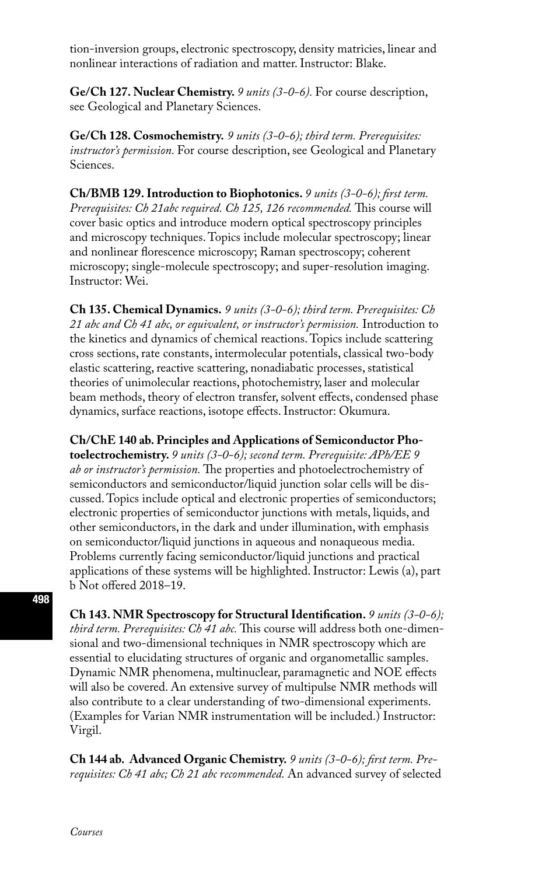tion-inversion groups, electronic spectroscopy, density matricies, linear and nonlinear interactions of radiation and matter. Instructor: Blake.

**Ge/Ch 127. Nuclear Chemistry.** *9 units (3-0-6).* For course description, see Geological and Planetary Sciences.

**Ge/Ch 128. Cosmochemistry.** *9 units (3-0-6); third term. Prerequisites: instructor's permission.* For course description, see Geological and Planetary Sciences.

**Ch/BMB 129. Introduction to Biophotonics.** *9 units (3-0-6); first term. Prerequisites: Ch 21abc required. Ch 125, 126 recommended.* This course will cover basic optics and introduce modern optical spectroscopy principles and microscopy techniques. Topics include molecular spectroscopy; linear and nonlinear florescence microscopy; Raman spectroscopy; coherent microscopy; single-molecule spectroscopy; and super-resolution imaging. Instructor: Wei.

**Ch 135. Chemical Dynamics.** *9 units (3-0-6); third term. Prerequisites: Ch 21 abc and Ch 41 abc, or equivalent, or instructor's permission.* Introduction to the kinetics and dynamics of chemical reactions. Topics include scattering cross sections, rate constants, intermolecular potentials, classical two-body elastic scattering, reactive scattering, nonadiabatic processes, statistical theories of unimolecular reactions, photochemistry, laser and molecular beam methods, theory of electron transfer, solvent effects, condensed phase dynamics, surface reactions, isotope effects. Instructor: Okumura.

**Ch/ChE 140 ab. Principles and Applications of Semiconductor Photoelectrochemistry.** *9 units (3-0-6); second term. Prerequisite: APh/EE 9 ab or instructor's permission.* The properties and photoelectrochemistry of semiconductors and semiconductor/liquid junction solar cells will be discussed. Topics include optical and electronic properties of semiconductors; electronic properties of semiconductor junctions with metals, liquids, and other semiconductors, in the dark and under illumination, with emphasis on semiconductor/liquid junctions in aqueous and nonaqueous media. Problems currently facing semiconductor/liquid junctions and practical applications of these systems will be highlighted. Instructor: Lewis (a), part b Not offered 2018–19.

**Ch 143. NMR Spectroscopy for Structural Identification.** *9 units (3-0-6); third term. Prerequisites: Ch 41 abc.* This course will address both one-dimensional and two-dimensional techniques in NMR spectroscopy which are essential to elucidating structures of organic and organometallic samples. Dynamic NMR phenomena, multinuclear, paramagnetic and NOE effects will also be covered. An extensive survey of multipulse NMR methods will also contribute to a clear understanding of two-dimensional experiments. (Examples for Varian NMR instrumentation will be included.) Instructor: Virgil.

**Ch 144 ab. Advanced Organic Chemistry.** *9 units (3-0-6); first term. Prerequisites: Ch 41 abc; Ch 21 abc recommended.* An advanced survey of selected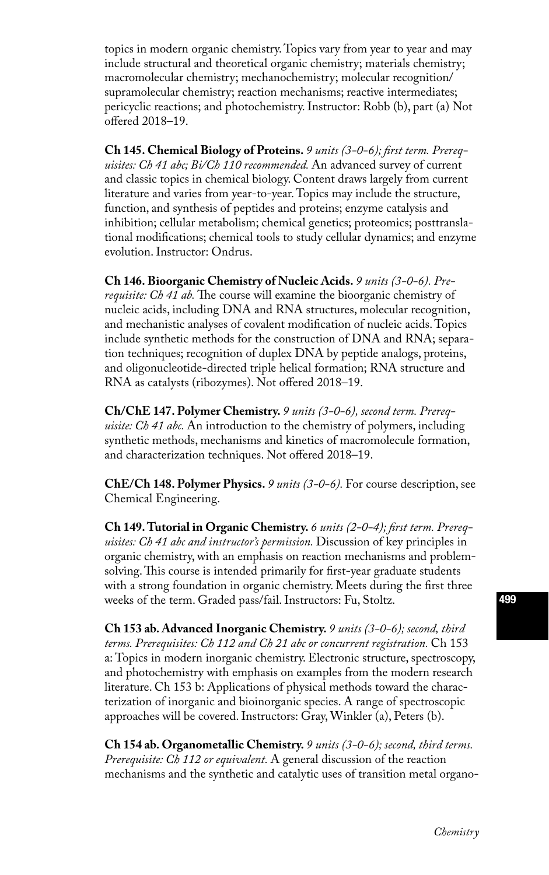topics in modern organic chemistry. Topics vary from year to year and may include structural and theoretical organic chemistry; materials chemistry; macromolecular chemistry; mechanochemistry; molecular recognition/ supramolecular chemistry; reaction mechanisms; reactive intermediates; pericyclic reactions; and photochemistry. Instructor: Robb (b), part (a) Not offered 2018–19.

**Ch 145. Chemical Biology of Proteins.** *9 units (3-0-6); first term. Prerequisites: Ch 41 abc; Bi/Ch 110 recommended.* An advanced survey of current and classic topics in chemical biology. Content draws largely from current literature and varies from year-to-year. Topics may include the structure, function, and synthesis of peptides and proteins; enzyme catalysis and inhibition; cellular metabolism; chemical genetics; proteomics; posttranslational modifications; chemical tools to study cellular dynamics; and enzyme evolution. Instructor: Ondrus.

**Ch 146. Bioorganic Chemistry of Nucleic Acids.** *9 units (3-0-6). Prerequisite: Ch 41 ab.* The course will examine the bioorganic chemistry of nucleic acids, including DNA and RNA structures, molecular recognition, and mechanistic analyses of covalent modification of nucleic acids. Topics include synthetic methods for the construction of DNA and RNA; separation techniques; recognition of duplex DNA by peptide analogs, proteins, and oligonucleotide-directed triple helical formation; RNA structure and RNA as catalysts (ribozymes). Not offered 2018–19.

**Ch/ChE 147. Polymer Chemistry.** *9 units (3-0-6), second term. Prerequisite: Ch 41 abc.* An introduction to the chemistry of polymers, including synthetic methods, mechanisms and kinetics of macromolecule formation, and characterization techniques. Not offered 2018–19.

**ChE/Ch 148. Polymer Physics.** *9 units (3-0-6).* For course description, see Chemical Engineering.

**Ch 149. Tutorial in Organic Chemistry.** *6 units (2-0-4); first term. Prerequisites: Ch 41 abc and instructor's permission.* Discussion of key principles in organic chemistry, with an emphasis on reaction mechanisms and problemsolving. This course is intended primarily for first-year graduate students with a strong foundation in organic chemistry. Meets during the first three weeks of the term. Graded pass/fail. Instructors: Fu, Stoltz.

**Ch 153 ab. Advanced Inorganic Chemistry.** *9 units (3-0-6); second, third terms. Prerequisites: Ch 112 and Ch 21 abc or concurrent registration.* Ch 153 a: Topics in modern inorganic chemistry. Electronic structure, spectroscopy, and photochemistry with emphasis on examples from the modern research literature. Ch 153 b: Applications of physical methods toward the characterization of inorganic and bioinorganic species. A range of spectroscopic approaches will be covered. Instructors: Gray, Winkler (a), Peters (b).

**Ch 154 ab. Organometallic Chemistry.** *9 units (3-0-6); second, third terms. Prerequisite: Ch 112 or equivalent.* A general discussion of the reaction mechanisms and the synthetic and catalytic uses of transition metal organo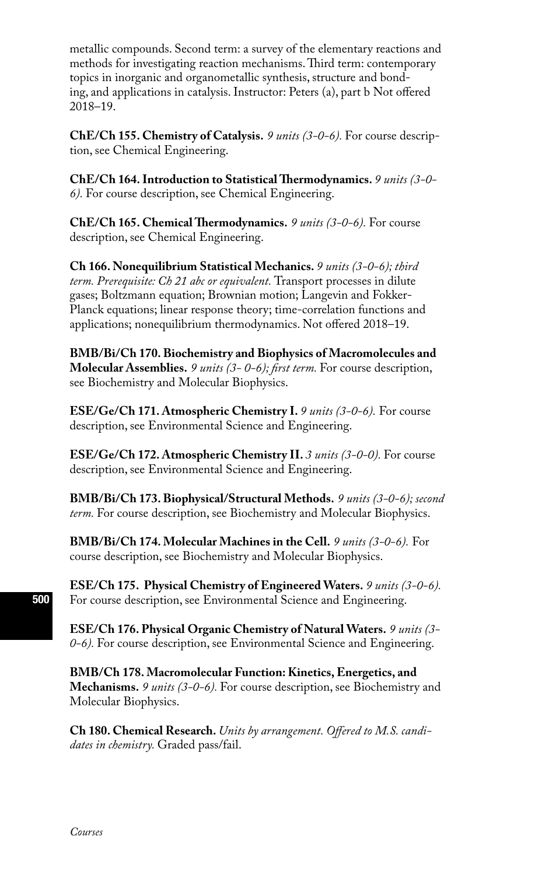metallic compounds. Second term: a survey of the elementary reactions and methods for investigating reaction mechanisms. Third term: contemporary topics in inorganic and organometallic synthesis, structure and bonding, and applications in catalysis. Instructor: Peters (a), part b Not offered 2018–19.

**ChE/Ch 155. Chemistry of Catalysis.** *9 units (3-0-6).* For course description, see Chemical Engineering.

**ChE/Ch 164. Introduction to Statistical Thermodynamics.** *9 units (3-0- 6).* For course description, see Chemical Engineering.

**ChE/Ch 165. Chemical Thermodynamics.** *9 units (3-0-6).* For course description, see Chemical Engineering.

**Ch 166. Nonequilibrium Statistical Mechanics.** *9 units (3-0-6); third term. Prerequisite: Ch 21 abc or equivalent.* Transport processes in dilute gases; Boltzmann equation; Brownian motion; Langevin and Fokker-Planck equations; linear response theory; time-correlation functions and applications; nonequilibrium thermodynamics. Not offered 2018–19.

**BMB/Bi/Ch 170. Biochemistry and Biophysics of Macromolecules and Molecular Assemblies.** *9 units (3- 0-6); first term.* For course description, see Biochemistry and Molecular Biophysics.

**ESE/Ge/Ch 171. Atmospheric Chemistry I.** *9 units (3-0-6).* For course description, see Environmental Science and Engineering.

**ESE/Ge/Ch 172. Atmospheric Chemistry II.** *3 units (3-0-0).* For course description, see Environmental Science and Engineering.

**BMB/Bi/Ch 173. Biophysical/Structural Methods.** *9 units (3-0-6); second term.* For course description, see Biochemistry and Molecular Biophysics.

**BMB/Bi/Ch 174. Molecular Machines in the Cell.** *9 units (3-0-6).* For course description, see Biochemistry and Molecular Biophysics.

**ESE/Ch 175. Physical Chemistry of Engineered Waters.** *9 units (3-0-6).*  For course description, see Environmental Science and Engineering.

**ESE/Ch 176. Physical Organic Chemistry of Natural Waters.** *9 units (3- 0-6).* For course description, see Environmental Science and Engineering.

**BMB/Ch 178. Macromolecular Function: Kinetics, Energetics, and Mechanisms.** *9 units (3-0-6).* For course description, see Biochemistry and Molecular Biophysics.

**Ch 180. Chemical Research.** *Units by arrangement. Offered to M.S. candidates in chemistry.* Graded pass/fail.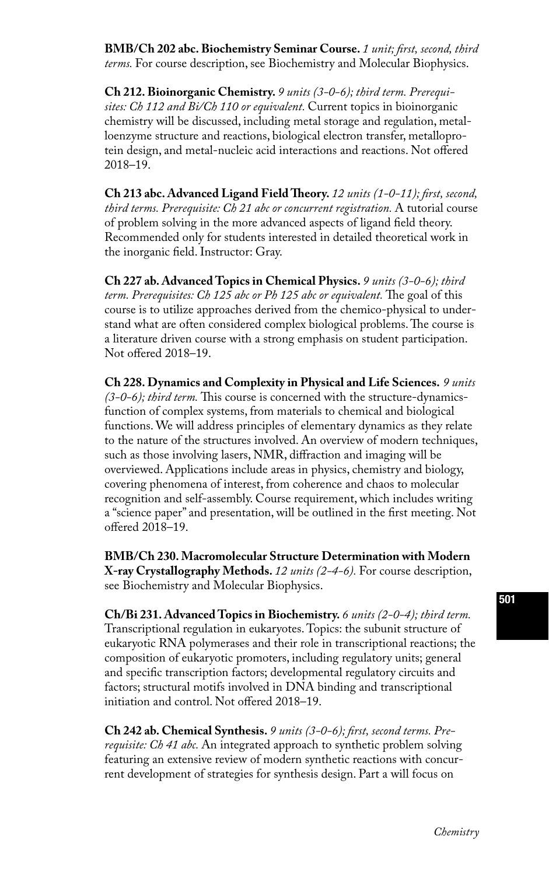**BMB/Ch 202 abc. Biochemistry Seminar Course.** *1 unit; first, second, third terms.* For course description, see Biochemistry and Molecular Biophysics.

**Ch 212. Bioinorganic Chemistry.** *9 units (3-0-6); third term. Prerequisites: Ch 112 and Bi/Ch 110 or equivalent.* Current topics in bioinorganic chemistry will be discussed, including metal storage and regulation, metalloenzyme structure and reactions, biological electron transfer, metalloprotein design, and metal-nucleic acid interactions and reactions. Not offered 2018–19.

**Ch 213 abc. Advanced Ligand Field Theory.** *12 units (1-0-11); first, second, third terms. Prerequisite: Ch 21 abc or concurrent registration.* A tutorial course of problem solving in the more advanced aspects of ligand field theory. Recommended only for students interested in detailed theoretical work in the inorganic field. Instructor: Gray.

**Ch 227 ab. Advanced Topics in Chemical Physics.** *9 units (3-0-6); third term. Prerequisites: Ch 125 abc or Ph 125 abc or equivalent.* The goal of this course is to utilize approaches derived from the chemico-physical to understand what are often considered complex biological problems. The course is a literature driven course with a strong emphasis on student participation. Not offered 2018–19.

**Ch 228. Dynamics and Complexity in Physical and Life Sciences.** *9 units (3-0-6); third term.* This course is concerned with the structure-dynamicsfunction of complex systems, from materials to chemical and biological functions. We will address principles of elementary dynamics as they relate to the nature of the structures involved. An overview of modern techniques, such as those involving lasers, NMR, diffraction and imaging will be overviewed. Applications include areas in physics, chemistry and biology, covering phenomena of interest, from coherence and chaos to molecular recognition and self-assembly. Course requirement, which includes writing a "science paper" and presentation, will be outlined in the first meeting. Not offered 2018–19.

**BMB/Ch 230. Macromolecular Structure Determination with Modern X-ray Crystallography Methods.** *12 units (2-4-6).* For course description, see Biochemistry and Molecular Biophysics.

**Ch/Bi 231. Advanced Topics in Biochemistry.** *6 units (2-0-4); third term.*  Transcriptional regulation in eukaryotes. Topics: the subunit structure of eukaryotic RNA polymerases and their role in transcriptional reactions; the composition of eukaryotic promoters, including regulatory units; general and specific transcription factors; developmental regulatory circuits and factors; structural motifs involved in DNA binding and transcriptional initiation and control. Not offered 2018–19.

**Ch 242 ab. Chemical Synthesis.** *9 units (3-0-6); first, second terms. Prerequisite: Ch 41 abc.* An integrated approach to synthetic problem solving featuring an extensive review of modern synthetic reactions with concurrent development of strategies for synthesis design. Part a will focus on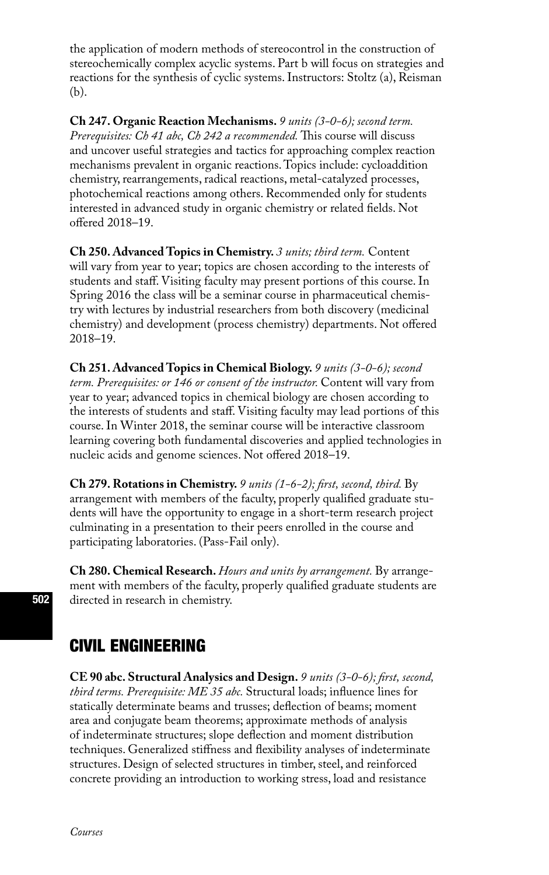the application of modern methods of stereocontrol in the construction of stereochemically complex acyclic systems. Part b will focus on strategies and reactions for the synthesis of cyclic systems. Instructors: Stoltz (a), Reisman (b).

**Ch 247. Organic Reaction Mechanisms.** *9 units (3-0-6); second term. Prerequisites: Ch 41 abc, Ch 242 a recommended.* This course will discuss and uncover useful strategies and tactics for approaching complex reaction mechanisms prevalent in organic reactions. Topics include: cycloaddition chemistry, rearrangements, radical reactions, metal-catalyzed processes, photochemical reactions among others. Recommended only for students interested in advanced study in organic chemistry or related fields. Not offered 2018–19.

**Ch 250. Advanced Topics in Chemistry.** *3 units; third term.* Content will vary from year to year; topics are chosen according to the interests of students and staff. Visiting faculty may present portions of this course. In Spring 2016 the class will be a seminar course in pharmaceutical chemistry with lectures by industrial researchers from both discovery (medicinal chemistry) and development (process chemistry) departments. Not offered 2018–19.

**Ch 251. Advanced Topics in Chemical Biology.** *9 units (3-0-6); second term. Prerequisites: or 146 or consent of the instructor.* Content will vary from year to year; advanced topics in chemical biology are chosen according to the interests of students and staff. Visiting faculty may lead portions of this course. In Winter 2018, the seminar course will be interactive classroom learning covering both fundamental discoveries and applied technologies in nucleic acids and genome sciences. Not offered 2018–19.

**Ch 279. Rotations in Chemistry.** *9 units (1-6-2); first, second, third.* By arrangement with members of the faculty, properly qualified graduate students will have the opportunity to engage in a short-term research project culminating in a presentation to their peers enrolled in the course and participating laboratories. (Pass-Fail only).

**Ch 280. Chemical Research.** *Hours and units by arrangement.* By arrangement with members of the faculty, properly qualified graduate students are directed in research in chemistry.

# CIVIL ENGINEERING

**CE 90 abc. Structural Analysics and Design.** *9 units (3-0-6); first, second, third terms. Prerequisite: ME 35 abc.* Structural loads; influence lines for statically determinate beams and trusses; deflection of beams; moment area and conjugate beam theorems; approximate methods of analysis of indeterminate structures; slope deflection and moment distribution techniques. Generalized stiffness and flexibility analyses of indeterminate structures. Design of selected structures in timber, steel, and reinforced concrete providing an introduction to working stress, load and resistance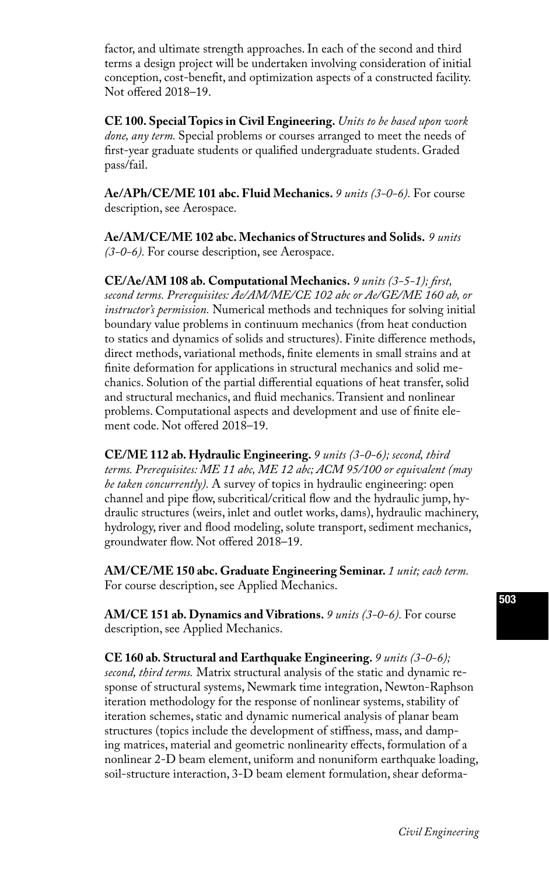factor, and ultimate strength approaches. In each of the second and third terms a design project will be undertaken involving consideration of initial conception, cost-benefit, and optimization aspects of a constructed facility. Not offered 2018–19.

**CE 100. Special Topics in Civil Engineering.** *Units to be based upon work done, any term.* Special problems or courses arranged to meet the needs of first-year graduate students or qualified undergraduate students. Graded pass/fail.

**Ae/APh/CE/ME 101 abc. Fluid Mechanics.** *9 units (3-0-6).* For course description, see Aerospace.

**Ae/AM/CE/ME 102 abc. Mechanics of Structures and Solids.** *9 units (3-0-6).* For course description, see Aerospace.

**CE/Ae/AM 108 ab. Computational Mechanics.** *9 units (3-5-1); first, second terms. Prerequisites: Ae/AM/ME/CE 102 abc or Ae/GE/ME 160 ab, or instructor's permission.* Numerical methods and techniques for solving initial boundary value problems in continuum mechanics (from heat conduction to statics and dynamics of solids and structures). Finite difference methods, direct methods, variational methods, finite elements in small strains and at finite deformation for applications in structural mechanics and solid mechanics. Solution of the partial differential equations of heat transfer, solid and structural mechanics, and fluid mechanics. Transient and nonlinear problems. Computational aspects and development and use of finite element code. Not offered 2018–19.

**CE/ME 112 ab. Hydraulic Engineering.** *9 units (3-0-6); second, third terms. Prerequisites: ME 11 abc, ME 12 abc; ACM 95/100 or equivalent (may be taken concurrently).* A survey of topics in hydraulic engineering: open channel and pipe flow, subcritical/critical flow and the hydraulic jump, hydraulic structures (weirs, inlet and outlet works, dams), hydraulic machinery, hydrology, river and flood modeling, solute transport, sediment mechanics, groundwater flow. Not offered 2018–19.

**AM/CE/ME 150 abc. Graduate Engineering Seminar.** *1 unit; each term.*  For course description, see Applied Mechanics.

**AM/CE 151 ab. Dynamics and Vibrations.** *9 units (3-0-6).* For course description, see Applied Mechanics.

**CE 160 ab. Structural and Earthquake Engineering.** *9 units (3-0-6); second, third terms.* Matrix structural analysis of the static and dynamic response of structural systems, Newmark time integration, Newton-Raphson iteration methodology for the response of nonlinear systems, stability of iteration schemes, static and dynamic numerical analysis of planar beam structures (topics include the development of stiffness, mass, and damping matrices, material and geometric nonlinearity effects, formulation of a nonlinear 2-D beam element, uniform and nonuniform earthquake loading, soil-structure interaction, 3-D beam element formulation, shear deforma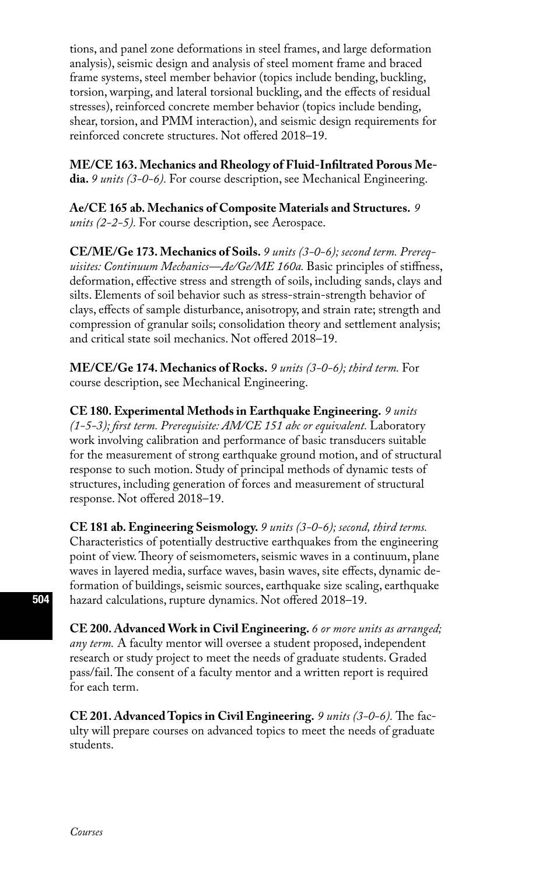tions, and panel zone deformations in steel frames, and large deformation analysis), seismic design and analysis of steel moment frame and braced frame systems, steel member behavior (topics include bending, buckling, torsion, warping, and lateral torsional buckling, and the effects of residual stresses), reinforced concrete member behavior (topics include bending, shear, torsion, and PMM interaction), and seismic design requirements for reinforced concrete structures. Not offered 2018–19.

**ME/CE 163. Mechanics and Rheology of Fluid-Infiltrated Porous Media.** *9 units (3-0-6).* For course description, see Mechanical Engineering.

**Ae/CE 165 ab. Mechanics of Composite Materials and Structures.** *9 units (2-2-5).* For course description, see Aerospace.

**CE/ME/Ge 173. Mechanics of Soils.** *9 units (3-0-6); second term. Prerequisites: Continuum Mechanics—Ae/Ge/ME 160a.* Basic principles of stiffness, deformation, effective stress and strength of soils, including sands, clays and silts. Elements of soil behavior such as stress-strain-strength behavior of clays, effects of sample disturbance, anisotropy, and strain rate; strength and compression of granular soils; consolidation theory and settlement analysis; and critical state soil mechanics. Not offered 2018–19.

**ME/CE/Ge 174. Mechanics of Rocks.** *9 units (3-0-6); third term.* For course description, see Mechanical Engineering.

**CE 180. Experimental Methods in Earthquake Engineering.** *9 units (1-5-3); first term. Prerequisite: AM/CE 151 abc or equivalent.* Laboratory work involving calibration and performance of basic transducers suitable for the measurement of strong earthquake ground motion, and of structural response to such motion. Study of principal methods of dynamic tests of structures, including generation of forces and measurement of structural response. Not offered 2018–19.

**CE 181 ab. Engineering Seismology.** *9 units (3-0-6); second, third terms.*  Characteristics of potentially destructive earthquakes from the engineering point of view. Theory of seismometers, seismic waves in a continuum, plane waves in layered media, surface waves, basin waves, site effects, dynamic deformation of buildings, seismic sources, earthquake size scaling, earthquake hazard calculations, rupture dynamics. Not offered 2018–19.

**CE 200. Advanced Work in Civil Engineering.** *6 or more units as arranged; any term.* A faculty mentor will oversee a student proposed, independent research or study project to meet the needs of graduate students. Graded pass/fail. The consent of a faculty mentor and a written report is required for each term.

**CE 201. Advanced Topics in Civil Engineering.** *9 units (3-0-6).* The faculty will prepare courses on advanced topics to meet the needs of graduate students.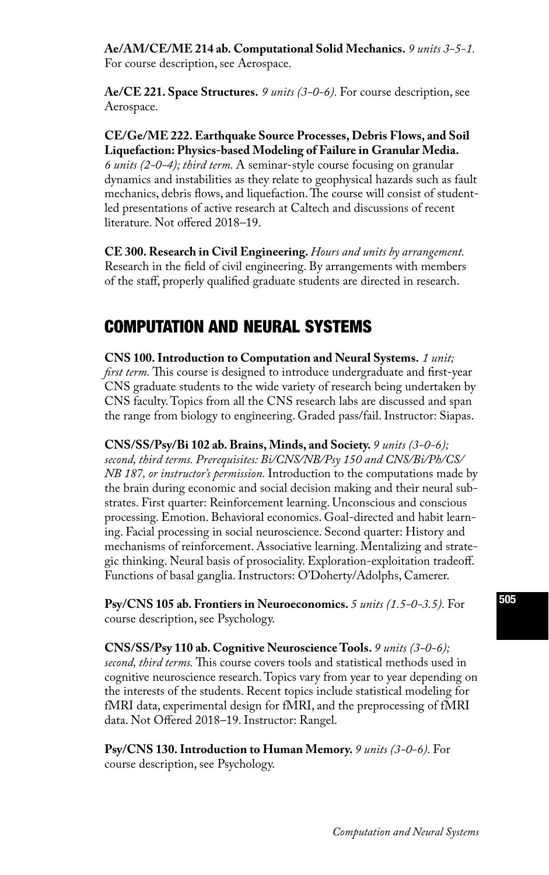**Ae/AM/CE/ME 214 ab. Computational Solid Mechanics.** *9 units 3-5-1.*  For course description, see Aerospace.

**Ae/CE 221. Space Structures.** *9 units (3-0-6).* For course description, see Aerospace.

#### **CE/Ge/ME 222. Earthquake Source Processes, Debris Flows, and Soil Liquefaction: Physics-based Modeling of Failure in Granular Media.**

*6 units (2-0-4); third term.* A seminar-style course focusing on granular dynamics and instabilities as they relate to geophysical hazards such as fault mechanics, debris flows, and liquefaction. The course will consist of studentled presentations of active research at Caltech and discussions of recent literature. Not offered 2018–19.

**CE 300. Research in Civil Engineering.** *Hours and units by arrangement.*  Research in the field of civil engineering. By arrangements with members of the staff, properly qualified graduate students are directed in research.

## COMPUTATION AND NEURAL SYSTEMS

**CNS 100. Introduction to Computation and Neural Systems.** *1 unit; first term.* This course is designed to introduce undergraduate and first-year CNS graduate students to the wide variety of research being undertaken by CNS faculty. Topics from all the CNS research labs are discussed and span the range from biology to engineering. Graded pass/fail. Instructor: Siapas.

**CNS/SS/Psy/Bi 102 ab. Brains, Minds, and Society.** *9 units (3-0-6); second, third terms. Prerequisites: Bi/CNS/NB/Psy 150 and CNS/Bi/Ph/CS/ NB 187, or instructor's permission.* Introduction to the computations made by the brain during economic and social decision making and their neural substrates. First quarter: Reinforcement learning. Unconscious and conscious processing. Emotion. Behavioral economics. Goal-directed and habit learning. Facial processing in social neuroscience. Second quarter: History and mechanisms of reinforcement. Associative learning. Mentalizing and strategic thinking. Neural basis of prosociality. Exploration-exploitation tradeoff. Functions of basal ganglia. Instructors: O'Doherty/Adolphs, Camerer.

**Psy/CNS 105 ab. Frontiers in Neuroeconomics.** *5 units (1.5-0-3.5).* For course description, see Psychology.

**CNS/SS/Psy 110 ab. Cognitive Neuroscience Tools.** *9 units (3-0-6); second, third terms.* This course covers tools and statistical methods used in cognitive neuroscience research. Topics vary from year to year depending on the interests of the students. Recent topics include statistical modeling for fMRI data, experimental design for fMRI, and the preprocessing of fMRI data. Not Offered 2018–19. Instructor: Rangel.

**Psy/CNS 130. Introduction to Human Memory.** *9 units (3-0-6).* For course description, see Psychology.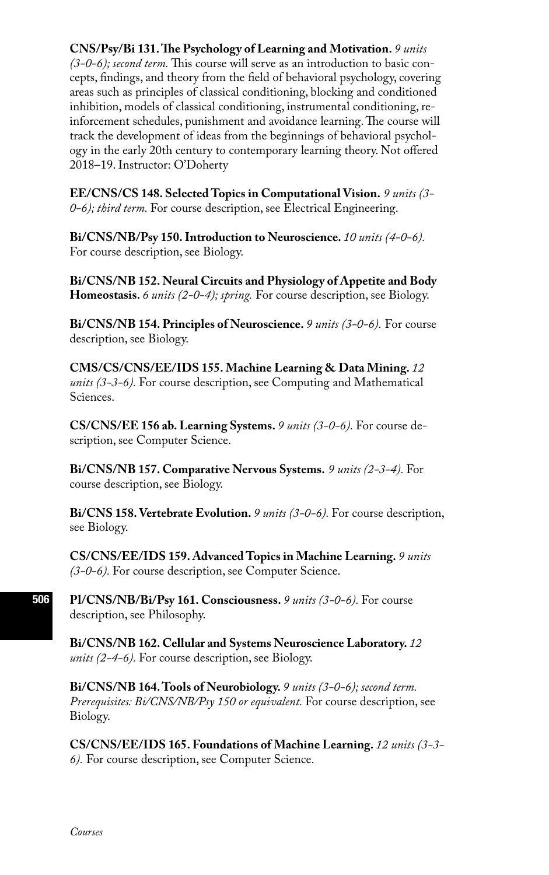### **CNS/Psy/Bi 131. The Psychology of Learning and Motivation.** *9 units*

*(3-0-6); second term.* This course will serve as an introduction to basic concepts, findings, and theory from the field of behavioral psychology, covering areas such as principles of classical conditioning, blocking and conditioned inhibition, models of classical conditioning, instrumental conditioning, reinforcement schedules, punishment and avoidance learning. The course will track the development of ideas from the beginnings of behavioral psychology in the early 20th century to contemporary learning theory. Not offered 2018–19. Instructor: O'Doherty

**EE/CNS/CS 148. Selected Topics in Computational Vision.** *9 units (3- 0-6); third term.* For course description, see Electrical Engineering.

**Bi/CNS/NB/Psy 150. Introduction to Neuroscience.** *10 units (4-0-6).*  For course description, see Biology.

**Bi/CNS/NB 152. Neural Circuits and Physiology of Appetite and Body Homeostasis.** *6 units (2-0-4); spring.* For course description, see Biology.

**Bi/CNS/NB 154. Principles of Neuroscience.** *9 units (3-0-6).* For course description, see Biology.

**CMS/CS/CNS/EE/IDS 155. Machine Learning & Data Mining.** *12 units (3-3-6).* For course description, see Computing and Mathematical Sciences.

**CS/CNS/EE 156 ab. Learning Systems.** *9 units (3-0-6).* For course description, see Computer Science.

**Bi/CNS/NB 157. Comparative Nervous Systems.** *9 units (2-3-4).* For course description, see Biology.

**Bi/CNS 158. Vertebrate Evolution.** *9 units (3-0-6).* For course description, see Biology.

**CS/CNS/EE/IDS 159. Advanced Topics in Machine Learning.** *9 units (3-0-6).* For course description, see Computer Science.

**Pl/CNS/NB/Bi/Psy 161. Consciousness.** *9 units (3-0-6).* For course description, see Philosophy.

**Bi/CNS/NB 162. Cellular and Systems Neuroscience Laboratory.** *12 units (2-4-6).* For course description, see Biology.

**Bi/CNS/NB 164. Tools of Neurobiology.** *9 units (3-0-6); second term. Prerequisites: Bi/CNS/NB/Psy 150 or equivalent.* For course description, see Biology.

**CS/CNS/EE/IDS 165. Foundations of Machine Learning.** *12 units (3-3- 6).* For course description, see Computer Science.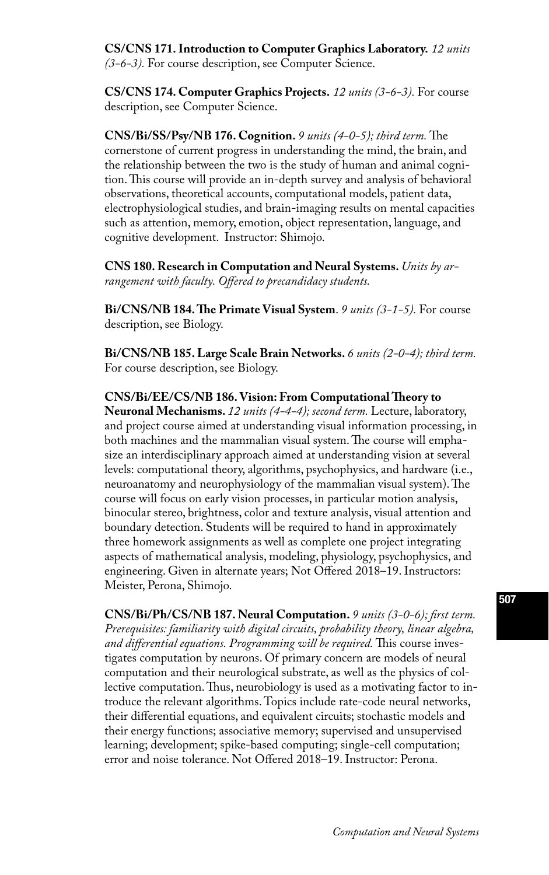**CS/CNS 171. Introduction to Computer Graphics Laboratory.** *12 units (3-6-3).* For course description, see Computer Science.

**CS/CNS 174. Computer Graphics Projects.** *12 units (3-6-3).* For course description, see Computer Science.

**CNS/Bi/SS/Psy/NB 176. Cognition.** *9 units (4-0-5); third term.* The cornerstone of current progress in understanding the mind, the brain, and the relationship between the two is the study of human and animal cognition. This course will provide an in-depth survey and analysis of behavioral observations, theoretical accounts, computational models, patient data, electrophysiological studies, and brain-imaging results on mental capacities such as attention, memory, emotion, object representation, language, and cognitive development. Instructor: Shimojo.

**CNS 180. Research in Computation and Neural Systems.** *Units by arrangement with faculty. Offered to precandidacy students.* 

**Bi/CNS/NB 184. The Primate Visual System**. *9 units (3-1-5).* For course description, see Biology.

**Bi/CNS/NB 185. Large Scale Brain Networks.** *6 units (2-0-4); third term.*  For course description, see Biology.

**CNS/Bi/EE/CS/NB 186. Vision: From Computational Theory to Neuronal Mechanisms.** *12 units (4-4-4); second term.* Lecture, laboratory, and project course aimed at understanding visual information processing, in both machines and the mammalian visual system. The course will emphasize an interdisciplinary approach aimed at understanding vision at several levels: computational theory, algorithms, psychophysics, and hardware (i.e., neuroanatomy and neurophysiology of the mammalian visual system). The course will focus on early vision processes, in particular motion analysis, binocular stereo, brightness, color and texture analysis, visual attention and boundary detection. Students will be required to hand in approximately three homework assignments as well as complete one project integrating aspects of mathematical analysis, modeling, physiology, psychophysics, and engineering. Given in alternate years; Not Offered 2018–19. Instructors: Meister, Perona, Shimojo.

**CNS/Bi/Ph/CS/NB 187. Neural Computation.** *9 units (3-0-6); first term. Prerequisites: familiarity with digital circuits, probability theory, linear algebra, and differential equations. Programming will be required.* This course investigates computation by neurons. Of primary concern are models of neural computation and their neurological substrate, as well as the physics of collective computation. Thus, neurobiology is used as a motivating factor to introduce the relevant algorithms. Topics include rate-code neural networks, their differential equations, and equivalent circuits; stochastic models and their energy functions; associative memory; supervised and unsupervised learning; development; spike-based computing; single-cell computation; error and noise tolerance. Not Offered 2018–19. Instructor: Perona.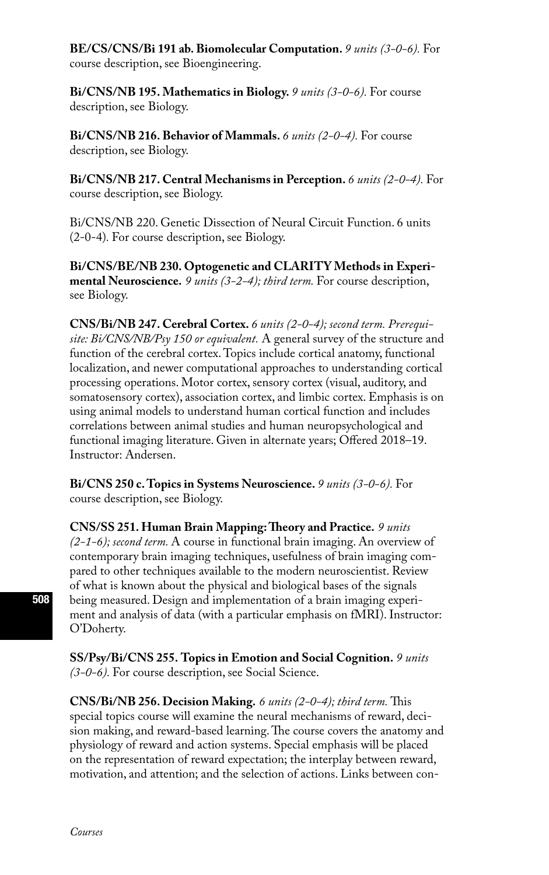**BE/CS/CNS/Bi 191 ab. Biomolecular Computation.** *9 units (3-0-6).* For course description, see Bioengineering.

**Bi/CNS/NB 195. Mathematics in Biology.** *9 units (3-0-6).* For course description, see Biology.

**Bi/CNS/NB 216. Behavior of Mammals.** *6 units (2-0-4).* For course description, see Biology.

**Bi/CNS/NB 217. Central Mechanisms in Perception.** *6 units (2-0-4).* For course description, see Biology.

Bi/CNS/NB 220. Genetic Dissection of Neural Circuit Function. 6 units (2-0-4)*.* For course description, see Biology.

**Bi/CNS/BE/NB 230. Optogenetic and CLARITY Methods in Experimental Neuroscience.** *9 units (3-2-4); third term.* For course description, see Biology.

**CNS/Bi/NB 247. Cerebral Cortex.** *6 units (2-0-4); second term. Prerequisite: Bi/CNS/NB/Psy 150 or equivalent.* A general survey of the structure and function of the cerebral cortex. Topics include cortical anatomy, functional localization, and newer computational approaches to understanding cortical processing operations. Motor cortex, sensory cortex (visual, auditory, and somatosensory cortex), association cortex, and limbic cortex. Emphasis is on using animal models to understand human cortical function and includes correlations between animal studies and human neuropsychological and functional imaging literature. Given in alternate years; Offered 2018–19. Instructor: Andersen.

**Bi/CNS 250 c. Topics in Systems Neuroscience.** *9 units (3-0-6).* For course description, see Biology.

**CNS/SS 251. Human Brain Mapping: Theory and Practice.** *9 units (2-1-6); second term.* A course in functional brain imaging. An overview of contemporary brain imaging techniques, usefulness of brain imaging compared to other techniques available to the modern neuroscientist. Review of what is known about the physical and biological bases of the signals being measured. Design and implementation of a brain imaging experiment and analysis of data (with a particular emphasis on fMRI). Instructor: O'Doherty.

**SS/Psy/Bi/CNS 255. Topics in Emotion and Social Cognition.** *9 units (3-0-6).* For course description, see Social Science.

**CNS/Bi/NB 256. Decision Making.** *6 units (2-0-4); third term.* This special topics course will examine the neural mechanisms of reward, decision making, and reward-based learning. The course covers the anatomy and physiology of reward and action systems. Special emphasis will be placed on the representation of reward expectation; the interplay between reward, motivation, and attention; and the selection of actions. Links between con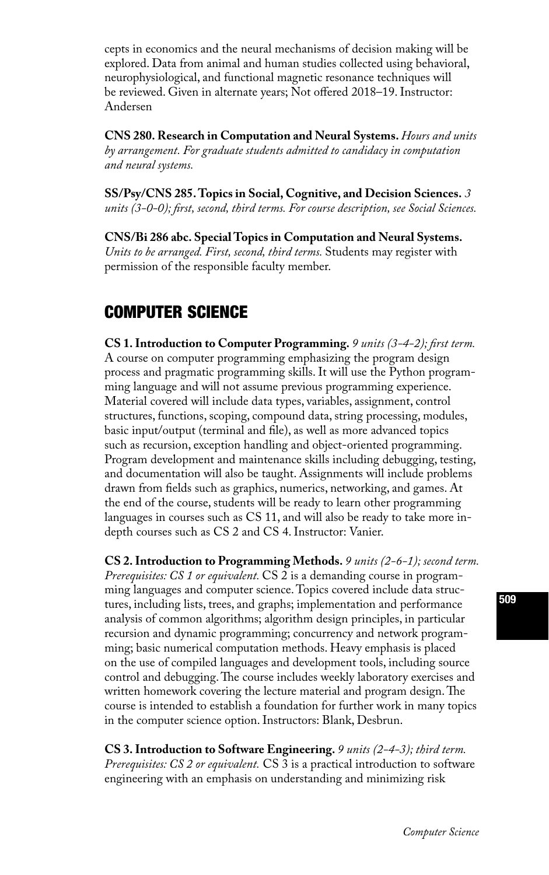cepts in economics and the neural mechanisms of decision making will be explored. Data from animal and human studies collected using behavioral, neurophysiological, and functional magnetic resonance techniques will be reviewed. Given in alternate years; Not offered 2018–19. Instructor: Andersen

**CNS 280. Research in Computation and Neural Systems.** *Hours and units by arrangement. For graduate students admitted to candidacy in computation and neural systems.* 

**SS/Psy/CNS 285. Topics in Social, Cognitive, and Decision Sciences.** *3 units (3-0-0); first, second, third terms. For course description, see Social Sciences.*

**CNS/Bi 286 abc. Special Topics in Computation and Neural Systems.** *Units to be arranged. First, second, third terms.* Students may register with permission of the responsible faculty member.

# COMPUTER SCIENCE

**CS 1. Introduction to Computer Programming.** *9 units (3-4-2); first term.*  A course on computer programming emphasizing the program design process and pragmatic programming skills. It will use the Python programming language and will not assume previous programming experience. Material covered will include data types, variables, assignment, control structures, functions, scoping, compound data, string processing, modules, basic input/output (terminal and file), as well as more advanced topics such as recursion, exception handling and object-oriented programming. Program development and maintenance skills including debugging, testing, and documentation will also be taught. Assignments will include problems drawn from fields such as graphics, numerics, networking, and games. At the end of the course, students will be ready to learn other programming languages in courses such as CS 11, and will also be ready to take more indepth courses such as CS 2 and CS 4. Instructor: Vanier.

**CS 2. Introduction to Programming Methods.** *9 units (2-6-1); second term. Prerequisites: CS 1 or equivalent.* CS 2 is a demanding course in programming languages and computer science. Topics covered include data structures, including lists, trees, and graphs; implementation and performance analysis of common algorithms; algorithm design principles, in particular recursion and dynamic programming; concurrency and network programming; basic numerical computation methods. Heavy emphasis is placed on the use of compiled languages and development tools, including source control and debugging. The course includes weekly laboratory exercises and written homework covering the lecture material and program design. The course is intended to establish a foundation for further work in many topics in the computer science option. Instructors: Blank, Desbrun.

**CS 3. Introduction to Software Engineering.** *9 units (2-4-3); third term. Prerequisites: CS 2 or equivalent.* CS 3 is a practical introduction to software engineering with an emphasis on understanding and minimizing risk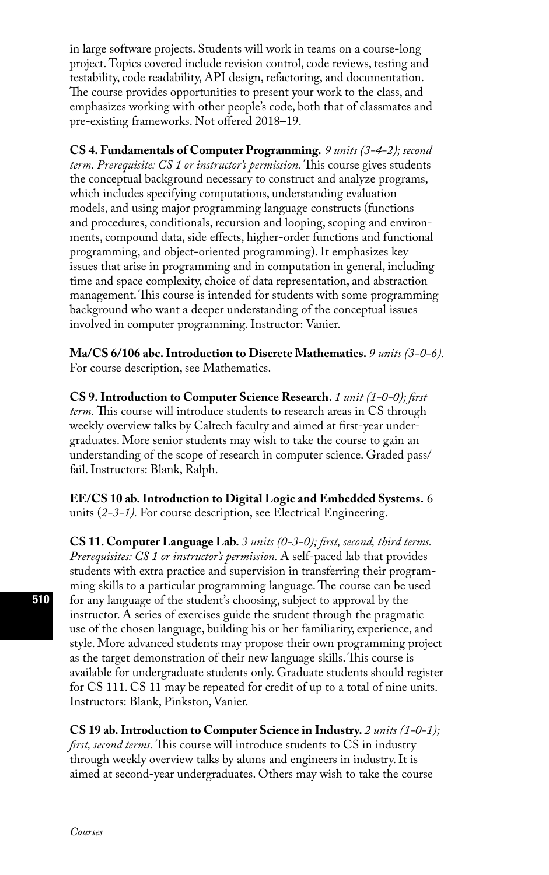in large software projects. Students will work in teams on a course-long project. Topics covered include revision control, code reviews, testing and testability, code readability, API design, refactoring, and documentation. The course provides opportunities to present your work to the class, and emphasizes working with other people's code, both that of classmates and pre-existing frameworks. Not offered 2018–19.

**CS 4. Fundamentals of Computer Programming.** *9 units (3-4-2); second term. Prerequisite: CS 1 or instructor's permission.* This course gives students the conceptual background necessary to construct and analyze programs, which includes specifying computations, understanding evaluation models, and using major programming language constructs (functions and procedures, conditionals, recursion and looping, scoping and environments, compound data, side effects, higher-order functions and functional programming, and object-oriented programming). It emphasizes key issues that arise in programming and in computation in general, including time and space complexity, choice of data representation, and abstraction management. This course is intended for students with some programming background who want a deeper understanding of the conceptual issues involved in computer programming. Instructor: Vanier.

**Ma/CS 6/106 abc. Introduction to Discrete Mathematics.** *9 units (3-0-6).*  For course description, see Mathematics.

**CS 9. Introduction to Computer Science Research.** *1 unit (1-0-0); first term.* This course will introduce students to research areas in CS through weekly overview talks by Caltech faculty and aimed at first-year undergraduates. More senior students may wish to take the course to gain an understanding of the scope of research in computer science. Graded pass/ fail. Instructors: Blank, Ralph.

**EE/CS 10 ab. Introduction to Digital Logic and Embedded Systems.** 6 units (*2-3-1).* For course description, see Electrical Engineering.

**CS 11. Computer Language Lab.** *3 units (0-3-0); first, second, third terms. Prerequisites: CS 1 or instructor's permission.* A self-paced lab that provides students with extra practice and supervision in transferring their programming skills to a particular programming language. The course can be used for any language of the student's choosing, subject to approval by the instructor. A series of exercises guide the student through the pragmatic use of the chosen language, building his or her familiarity, experience, and style. More advanced students may propose their own programming project as the target demonstration of their new language skills. This course is available for undergraduate students only. Graduate students should register for CS 111. CS 11 may be repeated for credit of up to a total of nine units. Instructors: Blank, Pinkston, Vanier.

**CS 19 ab. Introduction to Computer Science in Industry.** *2 units (1-0-1); first, second terms.* This course will introduce students to CS in industry through weekly overview talks by alums and engineers in industry. It is aimed at second-year undergraduates. Others may wish to take the course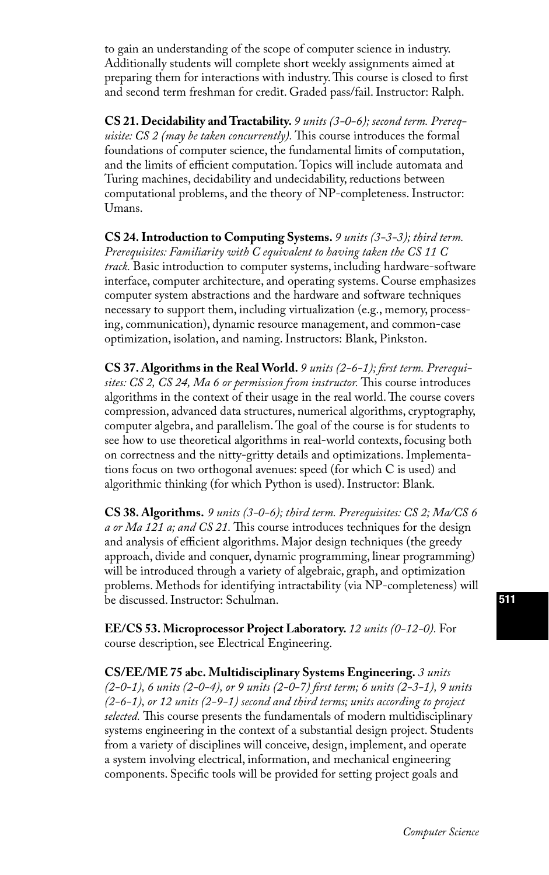to gain an understanding of the scope of computer science in industry. Additionally students will complete short weekly assignments aimed at preparing them for interactions with industry. This course is closed to first and second term freshman for credit. Graded pass/fail. Instructor: Ralph.

**CS 21. Decidability and Tractability.** *9 units (3-0-6); second term. Prerequisite: CS 2 (may be taken concurrently).* This course introduces the formal foundations of computer science, the fundamental limits of computation, and the limits of efficient computation. Topics will include automata and Turing machines, decidability and undecidability, reductions between computational problems, and the theory of NP-completeness. Instructor: Umans.

**CS 24. Introduction to Computing Systems.** *9 units (3-3-3); third term. Prerequisites: Familiarity with C equivalent to having taken the CS 11 C track.* Basic introduction to computer systems, including hardware-software interface, computer architecture, and operating systems. Course emphasizes computer system abstractions and the hardware and software techniques necessary to support them, including virtualization (e.g., memory, processing, communication), dynamic resource management, and common-case optimization, isolation, and naming. Instructors: Blank, Pinkston.

**CS 37. Algorithms in the Real World.** *9 units (2-6-1); first term. Prerequisites: CS 2, CS 24, Ma 6 or permission from instructor.* This course introduces algorithms in the context of their usage in the real world. The course covers compression, advanced data structures, numerical algorithms, cryptography, computer algebra, and parallelism. The goal of the course is for students to see how to use theoretical algorithms in real-world contexts, focusing both on correctness and the nitty-gritty details and optimizations. Implementations focus on two orthogonal avenues: speed (for which C is used) and algorithmic thinking (for which Python is used). Instructor: Blank.

**CS 38. Algorithms.** *9 units (3-0-6); third term. Prerequisites: CS 2; Ma/CS 6 a or Ma 121 a; and CS 21.* This course introduces techniques for the design and analysis of efficient algorithms. Major design techniques (the greedy approach, divide and conquer, dynamic programming, linear programming) will be introduced through a variety of algebraic, graph, and optimization problems. Methods for identifying intractability (via NP-completeness) will be discussed. Instructor: Schulman.

**EE/CS 53. Microprocessor Project Laboratory.** *12 units (0-12-0).* For course description, see Electrical Engineering.

**CS/EE/ME 75 abc. Multidisciplinary Systems Engineering.** *3 units (2-0-1), 6 units (2-0-4), or 9 units (2-0-7) first term; 6 units (2-3-1), 9 units (2-6-1), or 12 units (2-9-1) second and third terms; units according to project selected.* This course presents the fundamentals of modern multidisciplinary systems engineering in the context of a substantial design project. Students from a variety of disciplines will conceive, design, implement, and operate a system involving electrical, information, and mechanical engineering components. Specific tools will be provided for setting project goals and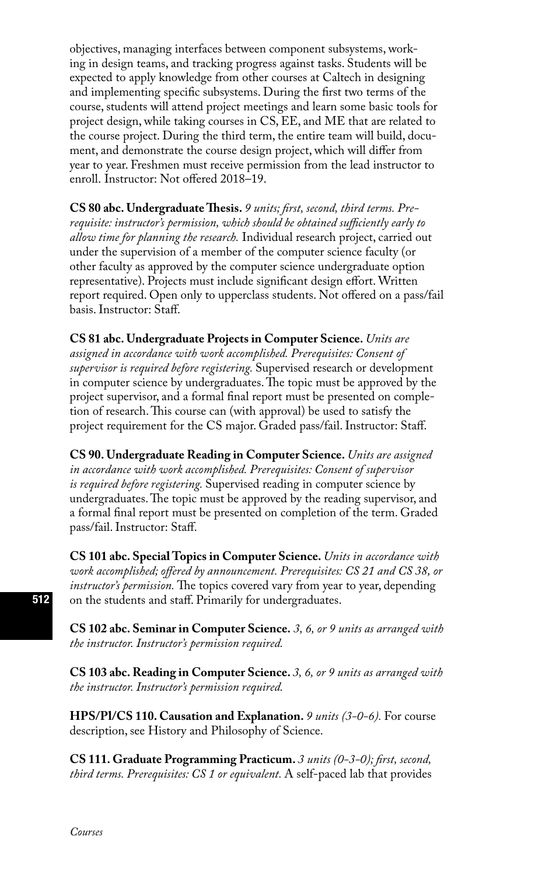objectives, managing interfaces between component subsystems, working in design teams, and tracking progress against tasks. Students will be expected to apply knowledge from other courses at Caltech in designing and implementing specific subsystems. During the first two terms of the course, students will attend project meetings and learn some basic tools for project design, while taking courses in CS, EE, and ME that are related to the course project. During the third term, the entire team will build, document, and demonstrate the course design project, which will differ from year to year. Freshmen must receive permission from the lead instructor to enroll. Instructor: Not offered 2018–19.

**CS 80 abc. Undergraduate Thesis.** *9 units; first, second, third terms. Prerequisite: instructor's permission, which should be obtained sufficiently early to allow time for planning the research.* Individual research project, carried out under the supervision of a member of the computer science faculty (or other faculty as approved by the computer science undergraduate option representative). Projects must include significant design effort. Written report required. Open only to upperclass students. Not offered on a pass/fail basis. Instructor: Staff.

**CS 81 abc. Undergraduate Projects in Computer Science.** *Units are assigned in accordance with work accomplished. Prerequisites: Consent of supervisor is required before registering.* Supervised research or development in computer science by undergraduates. The topic must be approved by the project supervisor, and a formal final report must be presented on completion of research. This course can (with approval) be used to satisfy the project requirement for the CS major. Graded pass/fail. Instructor: Staff.

**CS 90. Undergraduate Reading in Computer Science.** *Units are assigned in accordance with work accomplished. Prerequisites: Consent of supervisor is required before registering.* Supervised reading in computer science by undergraduates. The topic must be approved by the reading supervisor, and a formal final report must be presented on completion of the term. Graded pass/fail. Instructor: Staff.

**CS 101 abc. Special Topics in Computer Science.** *Units in accordance with work accomplished; offered by announcement. Prerequisites: CS 21 and CS 38, or instructor's permission.* The topics covered vary from year to year, depending on the students and staff. Primarily for undergraduates.

**CS 102 abc. Seminar in Computer Science.** *3, 6, or 9 units as arranged with the instructor. Instructor's permission required.*

**CS 103 abc. Reading in Computer Science.** *3, 6, or 9 units as arranged with the instructor. Instructor's permission required.*

**HPS/Pl/CS 110. Causation and Explanation.** *9 units (3-0-6).* For course description, see History and Philosophy of Science.

**CS 111. Graduate Programming Practicum.** *3 units (0-3-0); first, second, third terms. Prerequisites: CS 1 or equivalent.* A self-paced lab that provides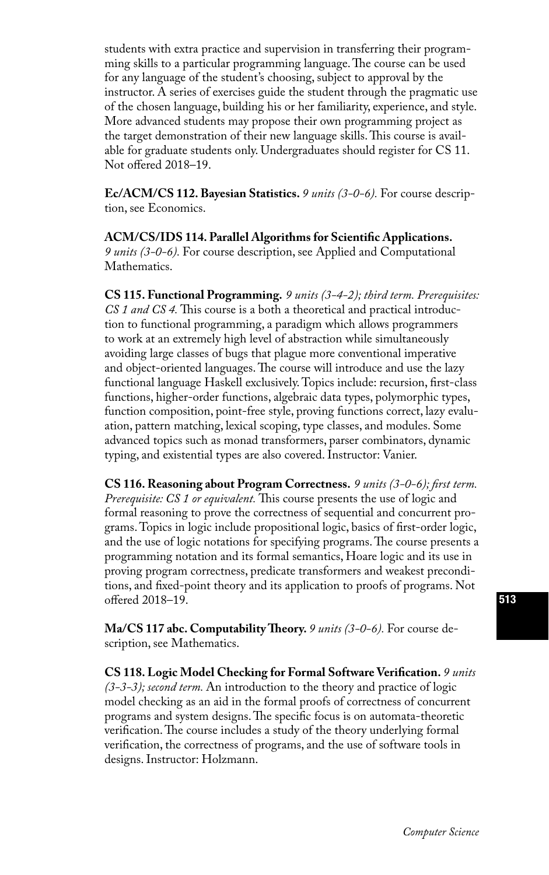students with extra practice and supervision in transferring their programming skills to a particular programming language. The course can be used for any language of the student's choosing, subject to approval by the instructor. A series of exercises guide the student through the pragmatic use of the chosen language, building his or her familiarity, experience, and style. More advanced students may propose their own programming project as the target demonstration of their new language skills. This course is available for graduate students only. Undergraduates should register for CS 11. Not offered 2018–19.

**Ec/ACM/CS 112. Bayesian Statistics.** *9 units (3-0-6).* For course description, see Economics.

**ACM/CS/IDS 114. Parallel Algorithms for Scientific Applications.**  *9 units (3-0-6).* For course description, see Applied and Computational Mathematics.

**CS 115. Functional Programming.** *9 units (3-4-2); third term. Prerequisites: CS 1 and CS 4.* This course is a both a theoretical and practical introduction to functional programming, a paradigm which allows programmers to work at an extremely high level of abstraction while simultaneously avoiding large classes of bugs that plague more conventional imperative and object-oriented languages. The course will introduce and use the lazy functional language Haskell exclusively. Topics include: recursion, first-class functions, higher-order functions, algebraic data types, polymorphic types, function composition, point-free style, proving functions correct, lazy evaluation, pattern matching, lexical scoping, type classes, and modules. Some advanced topics such as monad transformers, parser combinators, dynamic typing, and existential types are also covered. Instructor: Vanier.

**CS 116. Reasoning about Program Correctness.** *9 units (3-0-6); first term. Prerequisite: CS 1 or equivalent.* This course presents the use of logic and formal reasoning to prove the correctness of sequential and concurrent programs. Topics in logic include propositional logic, basics of first-order logic, and the use of logic notations for specifying programs. The course presents a programming notation and its formal semantics, Hoare logic and its use in proving program correctness, predicate transformers and weakest preconditions, and fixed-point theory and its application to proofs of programs. Not offered 2018–19.

**Ma/CS 117 abc. Computability Theory.** *9 units (3-0-6).* For course description, see Mathematics.

**CS 118. Logic Model Checking for Formal Software Verification.** *9 units (3-3-3); second term.* An introduction to the theory and practice of logic model checking as an aid in the formal proofs of correctness of concurrent programs and system designs. The specific focus is on automata-theoretic verification. The course includes a study of the theory underlying formal verification, the correctness of programs, and the use of software tools in designs. Instructor: Holzmann.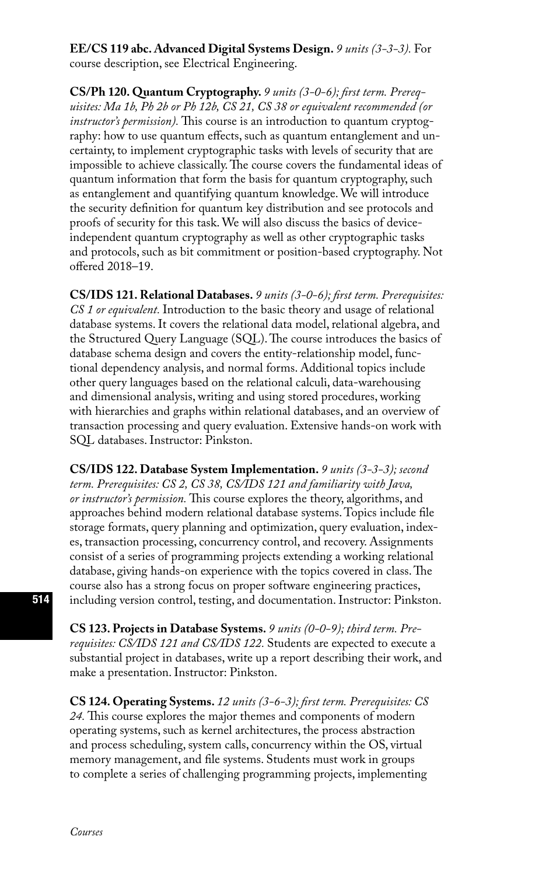### **EE/CS 119 abc. Advanced Digital Systems Design.** *9 units (3-3-3).* For course description, see Electrical Engineering.

**CS/Ph 120. Quantum Cryptography.** *9 units (3-0-6); first term. Prerequisites: Ma 1b, Ph 2b or Ph 12b, CS 21, CS 38 or equivalent recommended (or instructor's permission).* This course is an introduction to quantum cryptography: how to use quantum effects, such as quantum entanglement and uncertainty, to implement cryptographic tasks with levels of security that are impossible to achieve classically. The course covers the fundamental ideas of quantum information that form the basis for quantum cryptography, such as entanglement and quantifying quantum knowledge. We will introduce the security definition for quantum key distribution and see protocols and proofs of security for this task. We will also discuss the basics of deviceindependent quantum cryptography as well as other cryptographic tasks and protocols, such as bit commitment or position-based cryptography. Not offered 2018–19.

**CS/IDS 121. Relational Databases.** *9 units (3-0-6); first term. Prerequisites: CS 1 or equivalent.* Introduction to the basic theory and usage of relational database systems. It covers the relational data model, relational algebra, and the Structured Query Language (SQL). The course introduces the basics of database schema design and covers the entity-relationship model, functional dependency analysis, and normal forms. Additional topics include other query languages based on the relational calculi, data-warehousing and dimensional analysis, writing and using stored procedures, working with hierarchies and graphs within relational databases, and an overview of transaction processing and query evaluation. Extensive hands-on work with SQL databases. Instructor: Pinkston.

**CS/IDS 122. Database System Implementation.** *9 units (3-3-3); second term. Prerequisites: CS 2, CS 38, CS/IDS 121 and familiarity with Java, or instructor's permission.* This course explores the theory, algorithms, and approaches behind modern relational database systems. Topics include file storage formats, query planning and optimization, query evaluation, indexes, transaction processing, concurrency control, and recovery. Assignments consist of a series of programming projects extending a working relational database, giving hands-on experience with the topics covered in class. The course also has a strong focus on proper software engineering practices, including version control, testing, and documentation. Instructor: Pinkston.

**CS 123. Projects in Database Systems.** *9 units (0-0-9); third term. Prerequisites: CS/IDS 121 and CS/IDS 122.* Students are expected to execute a substantial project in databases, write up a report describing their work, and make a presentation. Instructor: Pinkston.

**CS 124. Operating Systems.** *12 units (3-6-3); first term. Prerequisites: CS 24.* This course explores the major themes and components of modern operating systems, such as kernel architectures, the process abstraction and process scheduling, system calls, concurrency within the OS, virtual memory management, and file systems. Students must work in groups to complete a series of challenging programming projects, implementing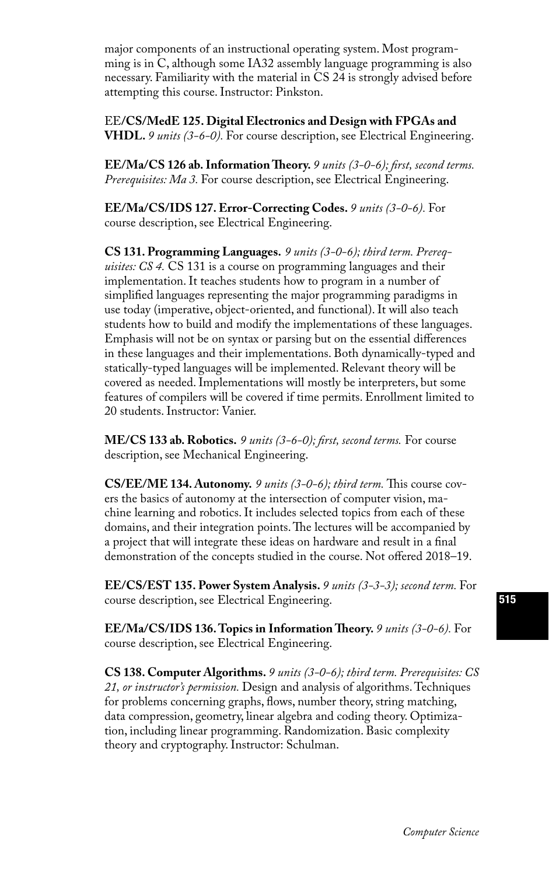major components of an instructional operating system. Most programming is in C, although some IA32 assembly language programming is also necessary. Familiarity with the material in CS 24 is strongly advised before attempting this course. Instructor: Pinkston.

EE**/CS/MedE 125. Digital Electronics and Design with FPGAs and VHDL.** *9 units (3-6-0).* For course description, see Electrical Engineering.

**EE/Ma/CS 126 ab. Information Theory.** *9 units (3-0-6); first, second terms. Prerequisites: Ma 3.* For course description, see Electrical Engineering.

**EE/Ma/CS/IDS 127. Error-Correcting Codes.** *9 units (3-0-6).* For course description, see Electrical Engineering.

**CS 131. Programming Languages.** *9 units (3-0-6); third term. Prerequisites: CS 4.* CS 131 is a course on programming languages and their implementation. It teaches students how to program in a number of simplified languages representing the major programming paradigms in use today (imperative, object-oriented, and functional). It will also teach students how to build and modify the implementations of these languages. Emphasis will not be on syntax or parsing but on the essential differences in these languages and their implementations. Both dynamically-typed and statically-typed languages will be implemented. Relevant theory will be covered as needed. Implementations will mostly be interpreters, but some features of compilers will be covered if time permits. Enrollment limited to 20 students. Instructor: Vanier.

**ME/CS 133 ab. Robotics.** *9 units (3-6-0); first, second terms.* For course description, see Mechanical Engineering.

**CS/EE/ME 134. Autonomy.** *9 units (3-0-6); third term.* This course covers the basics of autonomy at the intersection of computer vision, machine learning and robotics. It includes selected topics from each of these domains, and their integration points. The lectures will be accompanied by a project that will integrate these ideas on hardware and result in a final demonstration of the concepts studied in the course. Not offered 2018–19.

**EE/CS/EST 135. Power System Analysis.** *9 units (3-3-3); second term.* For course description, see Electrical Engineering.

**EE/Ma/CS/IDS 136. Topics in Information Theory.** *9 units (3-0-6).* For course description, see Electrical Engineering.

**CS 138. Computer Algorithms.** *9 units (3-0-6); third term. Prerequisites: CS 21, or instructor's permission.* Design and analysis of algorithms. Techniques for problems concerning graphs, flows, number theory, string matching, data compression, geometry, linear algebra and coding theory. Optimization, including linear programming. Randomization. Basic complexity theory and cryptography. Instructor: Schulman.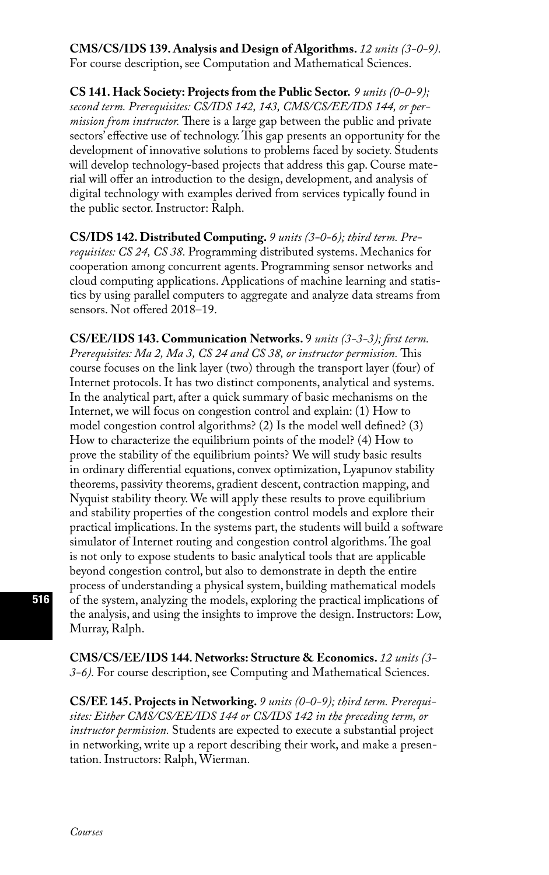**CMS/CS/IDS 139. Analysis and Design of Algorithms.** *12 units (3-0-9).*  For course description, see Computation and Mathematical Sciences.

**CS 141. Hack Society: Projects from the Public Sector.** *9 units (0-0-9); second term. Prerequisites: CS/IDS 142, 143, CMS/CS/EE/IDS 144, or permission from instructor.* There is a large gap between the public and private sectors' effective use of technology. This gap presents an opportunity for the development of innovative solutions to problems faced by society. Students will develop technology-based projects that address this gap. Course material will offer an introduction to the design, development, and analysis of digital technology with examples derived from services typically found in the public sector. Instructor: Ralph.

**CS/IDS 142. Distributed Computing.** *9 units (3-0-6); third term. Prerequisites: CS 24, CS 38.* Programming distributed systems. Mechanics for cooperation among concurrent agents. Programming sensor networks and cloud computing applications. Applications of machine learning and statistics by using parallel computers to aggregate and analyze data streams from sensors. Not offered 2018–19.

**CS/EE/IDS 143. Communication Networks.** 9 *units (3-3-3); first term. Prerequisites: Ma 2, Ma 3, CS 24 and CS 38, or instructor permission.* This course focuses on the link layer (two) through the transport layer (four) of Internet protocols. It has two distinct components, analytical and systems. In the analytical part, after a quick summary of basic mechanisms on the Internet, we will focus on congestion control and explain: (1) How to model congestion control algorithms? (2) Is the model well defined? (3) How to characterize the equilibrium points of the model? (4) How to prove the stability of the equilibrium points? We will study basic results in ordinary differential equations, convex optimization, Lyapunov stability theorems, passivity theorems, gradient descent, contraction mapping, and Nyquist stability theory. We will apply these results to prove equilibrium and stability properties of the congestion control models and explore their practical implications. In the systems part, the students will build a software simulator of Internet routing and congestion control algorithms. The goal is not only to expose students to basic analytical tools that are applicable beyond congestion control, but also to demonstrate in depth the entire process of understanding a physical system, building mathematical models of the system, analyzing the models, exploring the practical implications of the analysis, and using the insights to improve the design. Instructors: Low, Murray, Ralph.

**CMS/CS/EE/IDS 144. Networks: Structure & Economics.** *12 units (3- 3-6).* For course description, see Computing and Mathematical Sciences.

**CS/EE 145. Projects in Networking.** *9 units (0-0-9); third term. Prerequisites: Either CMS/CS/EE/IDS 144 or CS/IDS 142 in the preceding term, or instructor permission.* Students are expected to execute a substantial project in networking, write up a report describing their work, and make a presentation. Instructors: Ralph, Wierman.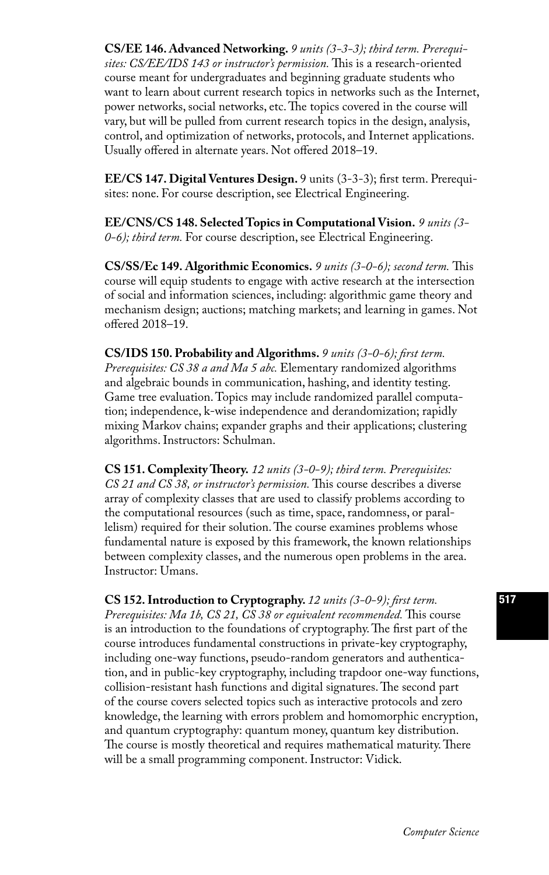**CS/EE 146. Advanced Networking.** *9 units (3-3-3); third term. Prerequisites: CS/EE/IDS 143 or instructor's permission.* This is a research-oriented course meant for undergraduates and beginning graduate students who want to learn about current research topics in networks such as the Internet, power networks, social networks, etc. The topics covered in the course will vary, but will be pulled from current research topics in the design, analysis, control, and optimization of networks, protocols, and Internet applications. Usually offered in alternate years. Not offered 2018–19.

**EE/CS 147. Digital Ventures Design.** 9 units (3-3-3); first term. Prerequisites: none. For course description, see Electrical Engineering.

**EE/CNS/CS 148. Selected Topics in Computational Vision.** *9 units (3- 0-6); third term.* For course description, see Electrical Engineering.

**CS/SS/Ec 149. Algorithmic Economics.** *9 units (3-0-6); second term.* This course will equip students to engage with active research at the intersection of social and information sciences, including: algorithmic game theory and mechanism design; auctions; matching markets; and learning in games. Not offered 2018–19.

**CS/IDS 150. Probability and Algorithms.** *9 units (3-0-6); first term. Prerequisites: CS 38 a and Ma 5 abc.* Elementary randomized algorithms and algebraic bounds in communication, hashing, and identity testing. Game tree evaluation. Topics may include randomized parallel computation; independence, k-wise independence and derandomization; rapidly mixing Markov chains; expander graphs and their applications; clustering algorithms. Instructors: Schulman.

**CS 151. Complexity Theory.** *12 units (3-0-9); third term. Prerequisites: CS 21 and CS 38, or instructor's permission.* This course describes a diverse array of complexity classes that are used to classify problems according to the computational resources (such as time, space, randomness, or parallelism) required for their solution. The course examines problems whose fundamental nature is exposed by this framework, the known relationships between complexity classes, and the numerous open problems in the area. Instructor: Umans.

**CS 152. Introduction to Cryptography.** *12 units (3-0-9); first term. Prerequisites: Ma 1b, CS 21, CS 38 or equivalent recommended.* This course is an introduction to the foundations of cryptography. The first part of the course introduces fundamental constructions in private-key cryptography, including one-way functions, pseudo-random generators and authentication, and in public-key cryptography, including trapdoor one-way functions, collision-resistant hash functions and digital signatures. The second part of the course covers selected topics such as interactive protocols and zero knowledge, the learning with errors problem and homomorphic encryption, and quantum cryptography: quantum money, quantum key distribution. The course is mostly theoretical and requires mathematical maturity. There will be a small programming component. Instructor: Vidick.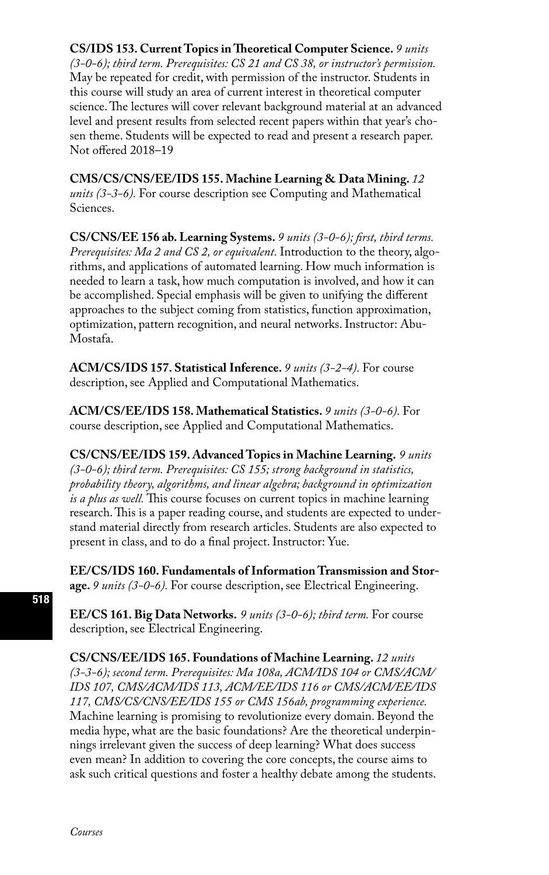### **CS/IDS 153. Current Topics in Theoretical Computer Science.** *9 units*

*(3-0-6); third term. Prerequisites: CS 21 and CS 38, or instructor's permission.*  May be repeated for credit, with permission of the instructor. Students in this course will study an area of current interest in theoretical computer science. The lectures will cover relevant background material at an advanced level and present results from selected recent papers within that year's chosen theme. Students will be expected to read and present a research paper. Not offered 2018–19

**CMS/CS/CNS/EE/IDS 155. Machine Learning & Data Mining.** *12 units (3-3-6).* For course description see Computing and Mathematical Sciences.

**CS/CNS/EE 156 ab. Learning Systems.** *9 units (3-0-6); first, third terms. Prerequisites: Ma 2 and CS 2, or equivalent.* Introduction to the theory, algorithms, and applications of automated learning. How much information is needed to learn a task, how much computation is involved, and how it can be accomplished. Special emphasis will be given to unifying the different approaches to the subject coming from statistics, function approximation, optimization, pattern recognition, and neural networks. Instructor: Abu-Mostafa.

**ACM/CS/IDS 157. Statistical Inference.** *9 units (3-2-4).* For course description, see Applied and Computational Mathematics.

**ACM/CS/EE/IDS 158. Mathematical Statistics.** *9 units (3-0-6).* For course description, see Applied and Computational Mathematics.

**CS/CNS/EE/IDS 159. Advanced Topics in Machine Learning.** *9 units (3-0-6); third term. Prerequisites: CS 155; strong background in statistics, probability theory, algorithms, and linear algebra; background in optimization is a plus as well.* This course focuses on current topics in machine learning research. This is a paper reading course, and students are expected to understand material directly from research articles. Students are also expected to present in class, and to do a final project. Instructor: Yue.

**EE/CS/IDS 160. Fundamentals of Information Transmission and Storage.** *9 units (3-0-6).* For course description, see Electrical Engineering.

**EE/CS 161. Big Data Networks.** *9 units (3-0-6); third term.* For course description, see Electrical Engineering.

**CS/CNS/EE/IDS 165. Foundations of Machine Learning.** *12 units (3-3-6); second term. Prerequisites: Ma 108a, ACM/IDS 104 or CMS/ACM/ IDS 107, CMS/ACM/IDS 113, ACM/EE/IDS 116 or CMS/ACM/EE/IDS 117, CMS/CS/CNS/EE/IDS 155 or CMS 156ab, programming experience.* Machine learning is promising to revolutionize every domain. Beyond the media hype, what are the basic foundations? Are the theoretical underpinnings irrelevant given the success of deep learning? What does success even mean? In addition to covering the core concepts, the course aims to ask such critical questions and foster a healthy debate among the students.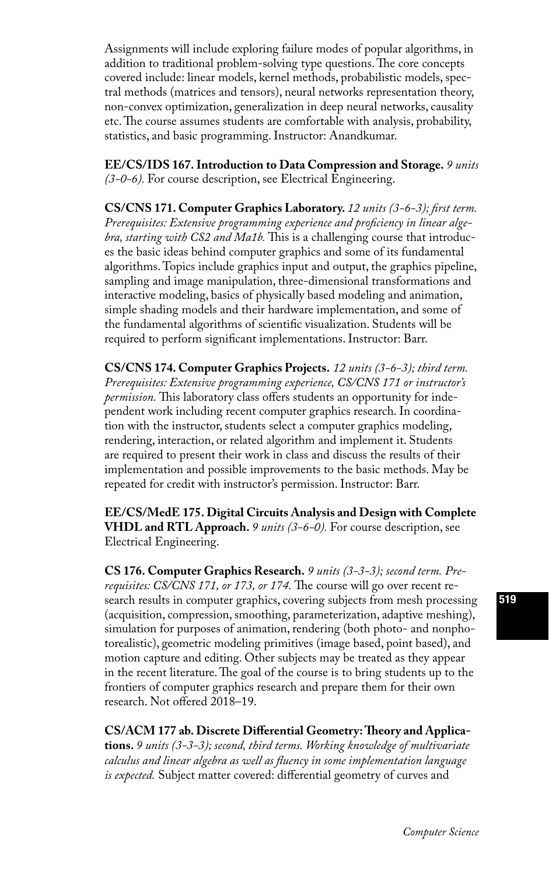Assignments will include exploring failure modes of popular algorithms, in addition to traditional problem-solving type questions. The core concepts covered include: linear models, kernel methods, probabilistic models, spectral methods (matrices and tensors), neural networks representation theory, non-convex optimization, generalization in deep neural networks, causality etc. The course assumes students are comfortable with analysis, probability, statistics, and basic programming. Instructor: Anandkumar.

**EE/CS/IDS 167. Introduction to Data Compression and Storage.** *9 units (3-0-6).* For course description, see Electrical Engineering.

**CS/CNS 171. Computer Graphics Laboratory.** *12 units (3-6-3); first term. Prerequisites: Extensive programming experience and proficiency in linear algebra, starting with CS2 and Ma1b.* This is a challenging course that introduces the basic ideas behind computer graphics and some of its fundamental algorithms. Topics include graphics input and output, the graphics pipeline, sampling and image manipulation, three-dimensional transformations and interactive modeling, basics of physically based modeling and animation, simple shading models and their hardware implementation, and some of the fundamental algorithms of scientific visualization. Students will be required to perform significant implementations. Instructor: Barr.

**CS/CNS 174. Computer Graphics Projects.** *12 units (3-6-3); third term. Prerequisites: Extensive programming experience, CS/CNS 171 or instructor's permission.* This laboratory class offers students an opportunity for independent work including recent computer graphics research. In coordination with the instructor, students select a computer graphics modeling, rendering, interaction, or related algorithm and implement it. Students are required to present their work in class and discuss the results of their implementation and possible improvements to the basic methods. May be repeated for credit with instructor's permission. Instructor: Barr.

**EE/CS/MedE 175. Digital Circuits Analysis and Design with Complete VHDL and RTL Approach.** *9 units (3-6-0).* For course description, see Electrical Engineering.

**CS 176. Computer Graphics Research.** *9 units (3-3-3); second term. Prerequisites: CS/CNS 171, or 173, or 174.* The course will go over recent research results in computer graphics, covering subjects from mesh processing (acquisition, compression, smoothing, parameterization, adaptive meshing), simulation for purposes of animation, rendering (both photo- and nonphotorealistic), geometric modeling primitives (image based, point based), and motion capture and editing. Other subjects may be treated as they appear in the recent literature. The goal of the course is to bring students up to the frontiers of computer graphics research and prepare them for their own research. Not offered 2018–19.

**CS/ACM 177 ab. Discrete Differential Geometry: Theory and Applications.** *9 units (3-3-3); second, third terms. Working knowledge of multivariate calculus and linear algebra as well as fluency in some implementation language is expected.* Subject matter covered: differential geometry of curves and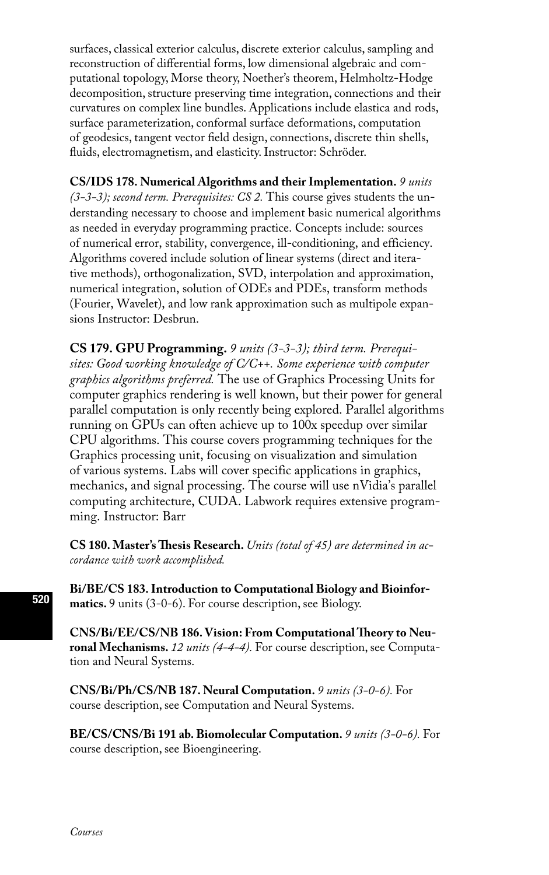surfaces, classical exterior calculus, discrete exterior calculus, sampling and reconstruction of differential forms, low dimensional algebraic and computational topology, Morse theory, Noether's theorem, Helmholtz-Hodge decomposition, structure preserving time integration, connections and their curvatures on complex line bundles. Applications include elastica and rods, surface parameterization, conformal surface deformations, computation of geodesics, tangent vector field design, connections, discrete thin shells, fluids, electromagnetism, and elasticity. Instructor: Schröder.

**CS/IDS 178. Numerical Algorithms and their Implementation.** *9 units (3-3-3); second term. Prerequisites: CS 2.* This course gives students the understanding necessary to choose and implement basic numerical algorithms as needed in everyday programming practice. Concepts include: sources of numerical error, stability, convergence, ill-conditioning, and efficiency. Algorithms covered include solution of linear systems (direct and iterative methods), orthogonalization, SVD, interpolation and approximation, numerical integration, solution of ODEs and PDEs, transform methods (Fourier, Wavelet), and low rank approximation such as multipole expansions Instructor: Desbrun.

**CS 179. GPU Programming.** *9 units (3-3-3); third term. Prerequisites: Good working knowledge of C/C++. Some experience with computer graphics algorithms preferred.* The use of Graphics Processing Units for computer graphics rendering is well known, but their power for general parallel computation is only recently being explored. Parallel algorithms running on GPUs can often achieve up to 100x speedup over similar CPU algorithms. This course covers programming techniques for the Graphics processing unit, focusing on visualization and simulation of various systems. Labs will cover specific applications in graphics, mechanics, and signal processing. The course will use nVidia's parallel computing architecture, CUDA. Labwork requires extensive programming. Instructor: Barr

**CS 180. Master's Thesis Research.** *Units (total of 45) are determined in accordance with work accomplished.* 

**Bi/BE/CS 183. Introduction to Computational Biology and Bioinformatics.** 9 units (3-0-6). For course description, see Biology.

**CNS/Bi/EE/CS/NB 186. Vision: From Computational Theory to Neuronal Mechanisms.** *12 units (4-4-4).* For course description, see Computation and Neural Systems.

**CNS/Bi/Ph/CS/NB 187. Neural Computation.** *9 units (3-0-6).* For course description, see Computation and Neural Systems.

**BE/CS/CNS/Bi 191 ab. Biomolecular Computation.** *9 units (3-0-6).* For course description, see Bioengineering.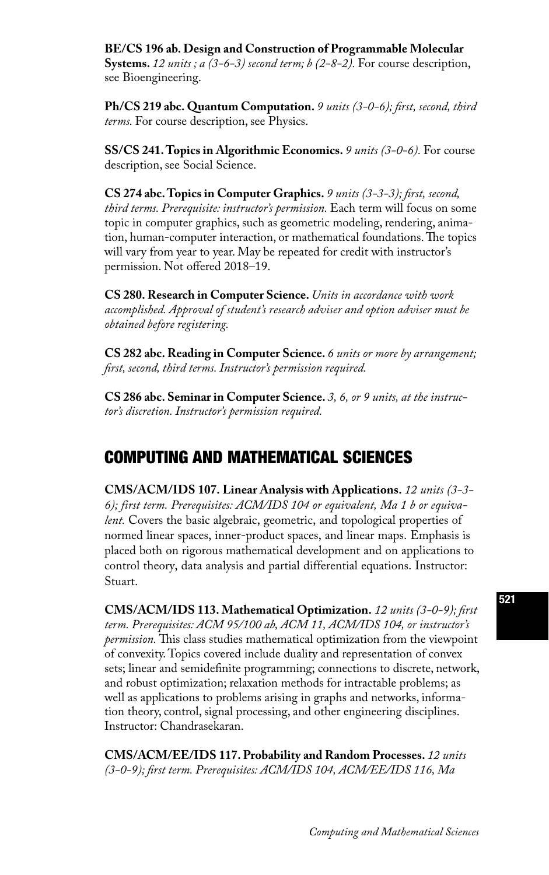**BE/CS 196 ab. Design and Construction of Programmable Molecular Systems.** *12 units ; a (3-6-3) second term; b (2-8-2).* For course description, see Bioengineering.

**Ph/CS 219 abc. Quantum Computation.** *9 units (3-0-6); first, second, third terms.* For course description, see Physics.

**SS/CS 241. Topics in Algorithmic Economics.** *9 units (3-0-6).* For course description, see Social Science.

**CS 274 abc. Topics in Computer Graphics.** *9 units (3-3-3); first, second, third terms. Prerequisite: instructor's permission.* Each term will focus on some topic in computer graphics, such as geometric modeling, rendering, animation, human-computer interaction, or mathematical foundations. The topics will vary from year to year. May be repeated for credit with instructor's permission. Not offered 2018–19.

**CS 280. Research in Computer Science.** *Units in accordance with work accomplished. Approval of student's research adviser and option adviser must be obtained before registering.* 

**CS 282 abc. Reading in Computer Science.** *6 units or more by arrangement; first, second, third terms. Instructor's permission required.* 

**CS 286 abc. Seminar in Computer Science.** *3, 6, or 9 units, at the instructor's discretion. Instructor's permission required.*

# COMPUTING AND MATHEMATICAL SCIENCES

**CMS/ACM/IDS 107. Linear Analysis with Applications.** *12 units (3-3- 6); first term. Prerequisites: ACM/IDS 104 or equivalent, Ma 1 b or equivalent.* Covers the basic algebraic, geometric, and topological properties of normed linear spaces, inner-product spaces, and linear maps. Emphasis is placed both on rigorous mathematical development and on applications to control theory, data analysis and partial differential equations. Instructor: Stuart.

**CMS/ACM/IDS 113. Mathematical Optimization.** *12 units (3-0-9); first term. Prerequisites: ACM 95/100 ab, ACM 11, ACM/IDS 104, or instructor's permission.* This class studies mathematical optimization from the viewpoint of convexity. Topics covered include duality and representation of convex sets; linear and semidefinite programming; connections to discrete, network, and robust optimization; relaxation methods for intractable problems; as well as applications to problems arising in graphs and networks, information theory, control, signal processing, and other engineering disciplines. Instructor: Chandrasekaran.

**CMS/ACM/EE/IDS 117. Probability and Random Processes.** *12 units (3-0-9); first term. Prerequisites: ACM/IDS 104, ACM/EE/IDS 116, Ma*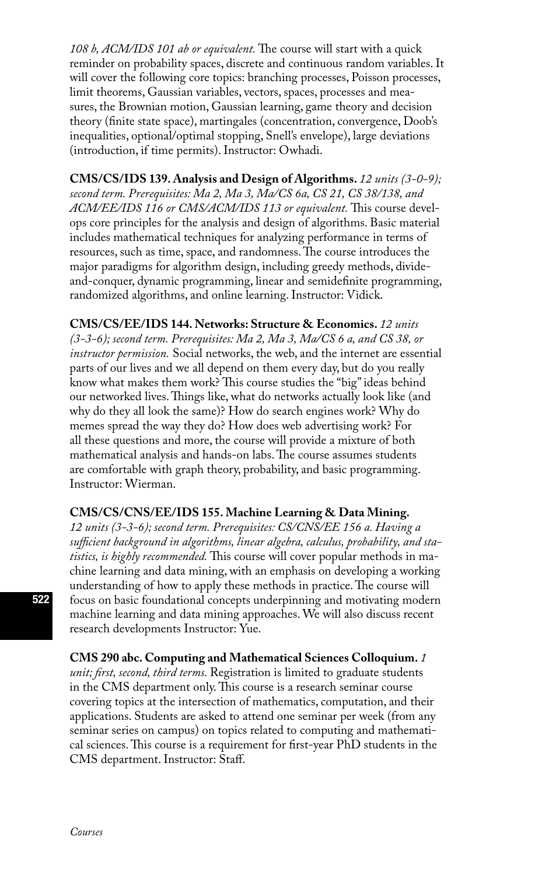*108 b, ACM/IDS 101 ab or equivalent.* The course will start with a quick reminder on probability spaces, discrete and continuous random variables. It will cover the following core topics: branching processes, Poisson processes, limit theorems, Gaussian variables, vectors, spaces, processes and measures, the Brownian motion, Gaussian learning, game theory and decision theory (finite state space), martingales (concentration, convergence, Doob's inequalities, optional/optimal stopping, Snell's envelope), large deviations (introduction, if time permits). Instructor: Owhadi.

**CMS/CS/IDS 139. Analysis and Design of Algorithms.** *12 units (3-0-9); second term. Prerequisites: Ma 2, Ma 3, Ma/CS 6a, CS 21, CS 38/138, and ACM/EE/IDS 116 or CMS/ACM/IDS 113 or equivalent.* This course develops core principles for the analysis and design of algorithms. Basic material includes mathematical techniques for analyzing performance in terms of resources, such as time, space, and randomness. The course introduces the major paradigms for algorithm design, including greedy methods, divideand-conquer, dynamic programming, linear and semidefinite programming, randomized algorithms, and online learning. Instructor: Vidick.

**CMS/CS/EE/IDS 144. Networks: Structure & Economics.** *12 units* 

*(3-3-6); second term. Prerequisites: Ma 2, Ma 3, Ma/CS 6 a, and CS 38, or instructor permission.* Social networks, the web, and the internet are essential parts of our lives and we all depend on them every day, but do you really know what makes them work? This course studies the "big" ideas behind our networked lives. Things like, what do networks actually look like (and why do they all look the same)? How do search engines work? Why do memes spread the way they do? How does web advertising work? For all these questions and more, the course will provide a mixture of both mathematical analysis and hands-on labs. The course assumes students are comfortable with graph theory, probability, and basic programming. Instructor: Wierman.

#### **CMS/CS/CNS/EE/IDS 155. Machine Learning & Data Mining.**

*12 units (3-3-6); second term. Prerequisites: CS/CNS/EE 156 a. Having a sufficient background in algorithms, linear algebra, calculus, probability, and statistics, is highly recommended.* This course will cover popular methods in machine learning and data mining, with an emphasis on developing a working understanding of how to apply these methods in practice. The course will focus on basic foundational concepts underpinning and motivating modern machine learning and data mining approaches. We will also discuss recent research developments Instructor: Yue.

**CMS 290 abc. Computing and Mathematical Sciences Colloquium.** *1 unit; first, second, third terms.* Registration is limited to graduate students in the CMS department only. This course is a research seminar course covering topics at the intersection of mathematics, computation, and their applications. Students are asked to attend one seminar per week (from any seminar series on campus) on topics related to computing and mathematical sciences. This course is a requirement for first-year PhD students in the CMS department. Instructor: Staff.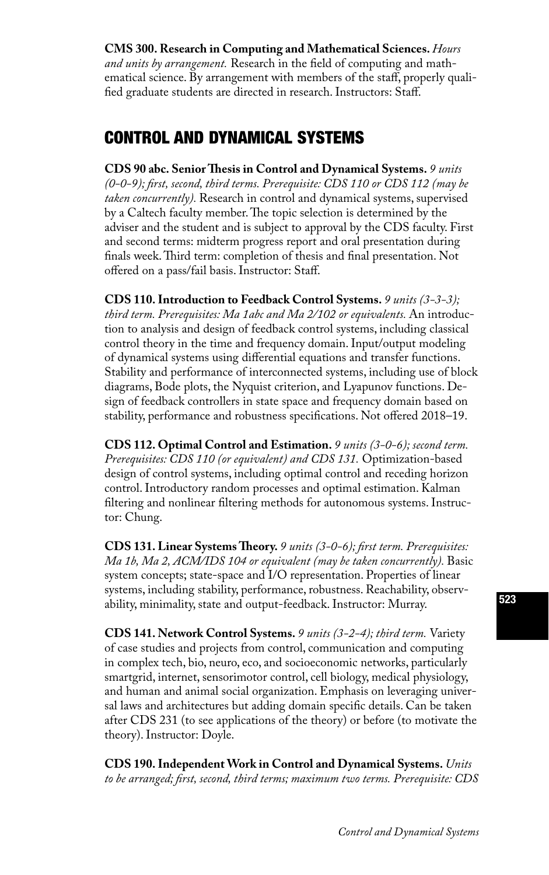### **CMS 300. Research in Computing and Mathematical Sciences.** *Hours*

*and units by arrangement.* Research in the field of computing and mathematical science. By arrangement with members of the staff, properly qualified graduate students are directed in research. Instructors: Staff.

### CONTROL AND DYNAMICAL SYSTEMS

**CDS 90 abc. Senior Thesis in Control and Dynamical Systems.** *9 units (0-0-9); first, second, third terms. Prerequisite: CDS 110 or CDS 112 (may be taken concurrently).* Research in control and dynamical systems, supervised by a Caltech faculty member. The topic selection is determined by the adviser and the student and is subject to approval by the CDS faculty. First and second terms: midterm progress report and oral presentation during finals week. Third term: completion of thesis and final presentation. Not offered on a pass/fail basis. Instructor: Staff.

**CDS 110. Introduction to Feedback Control Systems.** *9 units (3-3-3); third term. Prerequisites: Ma 1abc and Ma 2/102 or equivalents.* An introduction to analysis and design of feedback control systems, including classical control theory in the time and frequency domain. Input/output modeling of dynamical systems using differential equations and transfer functions. Stability and performance of interconnected systems, including use of block diagrams, Bode plots, the Nyquist criterion, and Lyapunov functions. Design of feedback controllers in state space and frequency domain based on stability, performance and robustness specifications. Not offered 2018–19.

**CDS 112. Optimal Control and Estimation.** *9 units (3-0-6); second term. Prerequisites: CDS 110 (or equivalent) and CDS 131.* Optimization-based design of control systems, including optimal control and receding horizon control. Introductory random processes and optimal estimation. Kalman filtering and nonlinear filtering methods for autonomous systems. Instructor: Chung.

**CDS 131. Linear Systems Theory.** *9 units (3-0-6); first term. Prerequisites: Ma 1b, Ma 2, ACM/IDS 104 or equivalent (may be taken concurrently).* Basic system concepts; state-space and I/O representation. Properties of linear systems, including stability, performance, robustness. Reachability, observability, minimality, state and output-feedback. Instructor: Murray.

**CDS 141. Network Control Systems.** *9 units (3-2-4); third term.* Variety of case studies and projects from control, communication and computing in complex tech, bio, neuro, eco, and socioeconomic networks, particularly smartgrid, internet, sensorimotor control, cell biology, medical physiology, and human and animal social organization. Emphasis on leveraging universal laws and architectures but adding domain specific details. Can be taken after CDS 231 (to see applications of the theory) or before (to motivate the theory). Instructor: Doyle.

**CDS 190. Independent Work in Control and Dynamical Systems.** *Units to be arranged; first, second, third terms; maximum two terms. Prerequisite: CDS*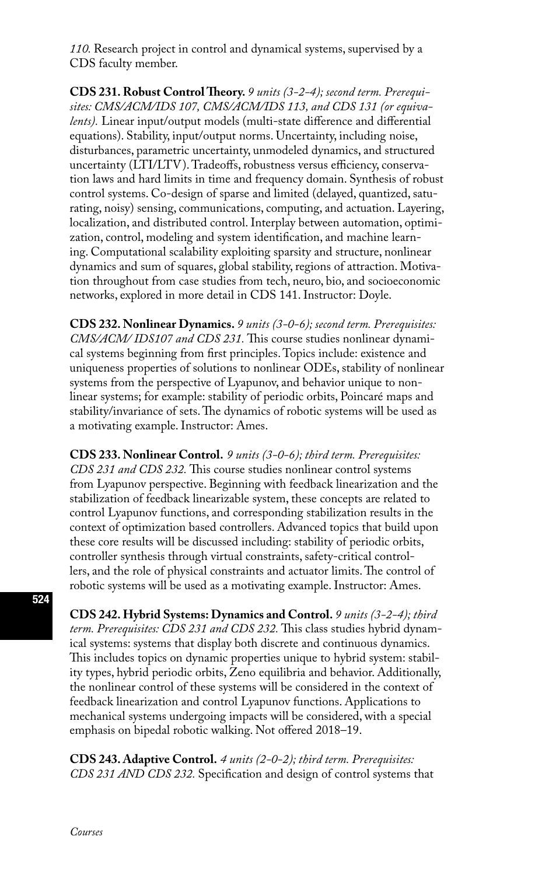*110.* Research project in control and dynamical systems, supervised by a CDS faculty member.

**CDS 231. Robust Control Theory.** *9 units (3-2-4); second term. Prerequisites: CMS/ACM/IDS 107, CMS/ACM/IDS 113, and CDS 131 (or equivalents).* Linear input/output models (multi-state difference and differential equations). Stability, input/output norms. Uncertainty, including noise, disturbances, parametric uncertainty, unmodeled dynamics, and structured uncertainty (LTI/LTV). Tradeoffs, robustness versus efficiency, conservation laws and hard limits in time and frequency domain. Synthesis of robust control systems. Co-design of sparse and limited (delayed, quantized, saturating, noisy) sensing, communications, computing, and actuation. Layering, localization, and distributed control. Interplay between automation, optimization, control, modeling and system identification, and machine learning. Computational scalability exploiting sparsity and structure, nonlinear dynamics and sum of squares, global stability, regions of attraction. Motivation throughout from case studies from tech, neuro, bio, and socioeconomic networks, explored in more detail in CDS 141. Instructor: Doyle.

**CDS 232. Nonlinear Dynamics.** *9 units (3-0-6); second term. Prerequisites: CMS/ACM/ IDS107 and CDS 231.* This course studies nonlinear dynamical systems beginning from first principles. Topics include: existence and uniqueness properties of solutions to nonlinear ODEs, stability of nonlinear systems from the perspective of Lyapunov, and behavior unique to nonlinear systems; for example: stability of periodic orbits, Poincaré maps and stability/invariance of sets. The dynamics of robotic systems will be used as a motivating example. Instructor: Ames.

**CDS 233. Nonlinear Control.** *9 units (3-0-6); third term. Prerequisites: CDS 231 and CDS 232.* This course studies nonlinear control systems from Lyapunov perspective. Beginning with feedback linearization and the stabilization of feedback linearizable system, these concepts are related to control Lyapunov functions, and corresponding stabilization results in the context of optimization based controllers. Advanced topics that build upon these core results will be discussed including: stability of periodic orbits, controller synthesis through virtual constraints, safety-critical controllers, and the role of physical constraints and actuator limits. The control of robotic systems will be used as a motivating example. Instructor: Ames.

**CDS 242. Hybrid Systems: Dynamics and Control.** *9 units (3-2-4); third term. Prerequisites: CDS 231 and CDS 232.* This class studies hybrid dynamical systems: systems that display both discrete and continuous dynamics. This includes topics on dynamic properties unique to hybrid system: stability types, hybrid periodic orbits, Zeno equilibria and behavior. Additionally, the nonlinear control of these systems will be considered in the context of feedback linearization and control Lyapunov functions. Applications to mechanical systems undergoing impacts will be considered, with a special emphasis on bipedal robotic walking. Not offered 2018–19.

**CDS 243. Adaptive Control.** *4 units (2-0-2); third term. Prerequisites: CDS 231 AND CDS 232.* Specification and design of control systems that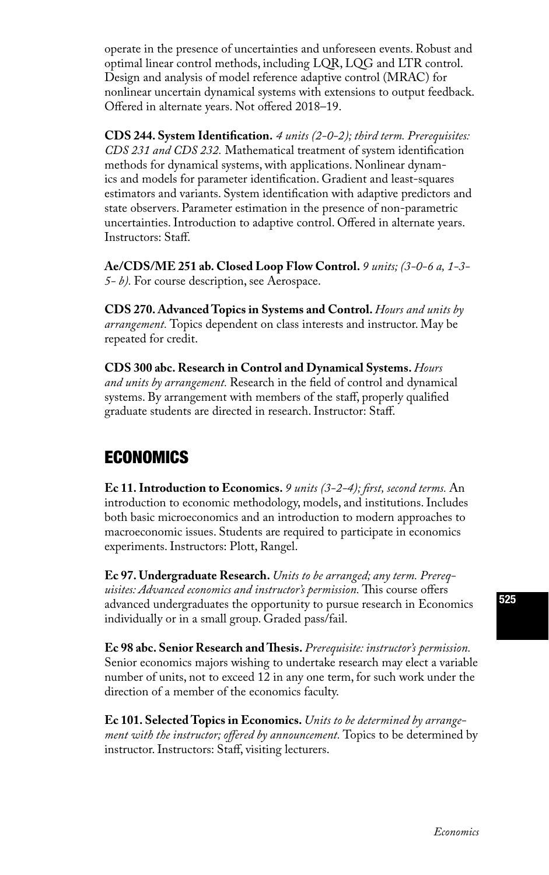operate in the presence of uncertainties and unforeseen events. Robust and optimal linear control methods, including LQR, LQG and LTR control. Design and analysis of model reference adaptive control (MRAC) for nonlinear uncertain dynamical systems with extensions to output feedback. Offered in alternate years. Not offered 2018–19.

**CDS 244. System Identification.** *4 units (2-0-2); third term. Prerequisites: CDS 231 and CDS 232.* Mathematical treatment of system identification methods for dynamical systems, with applications. Nonlinear dynamics and models for parameter identification. Gradient and least-squares estimators and variants. System identification with adaptive predictors and state observers. Parameter estimation in the presence of non-parametric uncertainties. Introduction to adaptive control. Offered in alternate years. Instructors: Staff.

**Ae/CDS/ME 251 ab. Closed Loop Flow Control.** *9 units; (3-0-6 a, 1-3- 5- b).* For course description, see Aerospace.

**CDS 270. Advanced Topics in Systems and Control.** *Hours and units by arrangement.* Topics dependent on class interests and instructor. May be repeated for credit.

**CDS 300 abc. Research in Control and Dynamical Systems.** *Hours and units by arrangement.* Research in the field of control and dynamical systems. By arrangement with members of the staff, properly qualified graduate students are directed in research. Instructor: Staff.

# ECONOMICS

**Ec 11. Introduction to Economics.** *9 units (3-2-4); first, second terms.* An introduction to economic methodology, models, and institutions. Includes both basic microeconomics and an introduction to modern approaches to macroeconomic issues. Students are required to participate in economics experiments. Instructors: Plott, Rangel.

**Ec 97. Undergraduate Research.** *Units to be arranged; any term. Prerequisites: Advanced economics and instructor's permission.* This course offers advanced undergraduates the opportunity to pursue research in Economics individually or in a small group. Graded pass/fail.

**Ec 98 abc. Senior Research and Thesis.** *Prerequisite: instructor's permission.*  Senior economics majors wishing to undertake research may elect a variable number of units, not to exceed 12 in any one term, for such work under the direction of a member of the economics faculty.

**Ec 101. Selected Topics in Economics.** *Units to be determined by arrangement with the instructor; offered by announcement.* Topics to be determined by instructor. Instructors: Staff, visiting lecturers.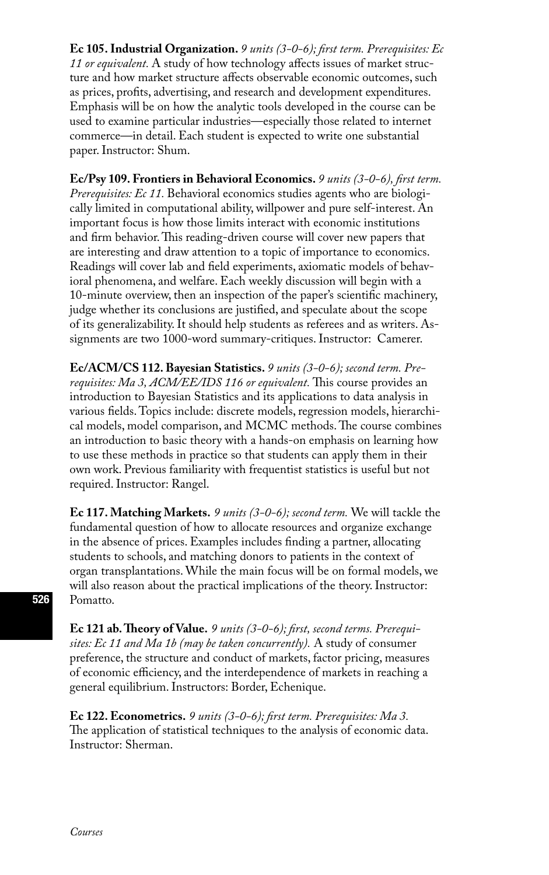**Ec 105. Industrial Organization.** *9 units (3-0-6); first term. Prerequisites: Ec 11 or equivalent.* A study of how technology affects issues of market structure and how market structure affects observable economic outcomes, such as prices, profits, advertising, and research and development expenditures. Emphasis will be on how the analytic tools developed in the course can be used to examine particular industries—especially those related to internet commerce—in detail. Each student is expected to write one substantial paper. Instructor: Shum.

**Ec/Psy 109. Frontiers in Behavioral Economics.** *9 units (3-0-6), first term. Prerequisites: Ec 11.* Behavioral economics studies agents who are biologically limited in computational ability, willpower and pure self-interest. An important focus is how those limits interact with economic institutions and firm behavior. This reading-driven course will cover new papers that are interesting and draw attention to a topic of importance to economics. Readings will cover lab and field experiments, axiomatic models of behavioral phenomena, and welfare. Each weekly discussion will begin with a 10-minute overview, then an inspection of the paper's scientific machinery, judge whether its conclusions are justified, and speculate about the scope of its generalizability. It should help students as referees and as writers. Assignments are two 1000-word summary-critiques. Instructor: Camerer.

**Ec/ACM/CS 112. Bayesian Statistics.** *9 units (3-0-6); second term. Prerequisites: Ma 3, ACM/EE/IDS 116 or equivalent.* This course provides an introduction to Bayesian Statistics and its applications to data analysis in various fields. Topics include: discrete models, regression models, hierarchical models, model comparison, and MCMC methods. The course combines an introduction to basic theory with a hands-on emphasis on learning how to use these methods in practice so that students can apply them in their own work. Previous familiarity with frequentist statistics is useful but not required. Instructor: Rangel.

**Ec 117. Matching Markets.** *9 units (3-0-6); second term.* We will tackle the fundamental question of how to allocate resources and organize exchange in the absence of prices. Examples includes finding a partner, allocating students to schools, and matching donors to patients in the context of organ transplantations. While the main focus will be on formal models, we will also reason about the practical implications of the theory. Instructor: Pomatto.

**Ec 121 ab. Theory of Value.** *9 units (3-0-6); first, second terms. Prerequisites: Ec 11 and Ma 1b (may be taken concurrently).* A study of consumer preference, the structure and conduct of markets, factor pricing, measures of economic efficiency, and the interdependence of markets in reaching a general equilibrium. Instructors: Border, Echenique.

**Ec 122. Econometrics.** *9 units (3-0-6); first term. Prerequisites: Ma 3.* The application of statistical techniques to the analysis of economic data. Instructor: Sherman.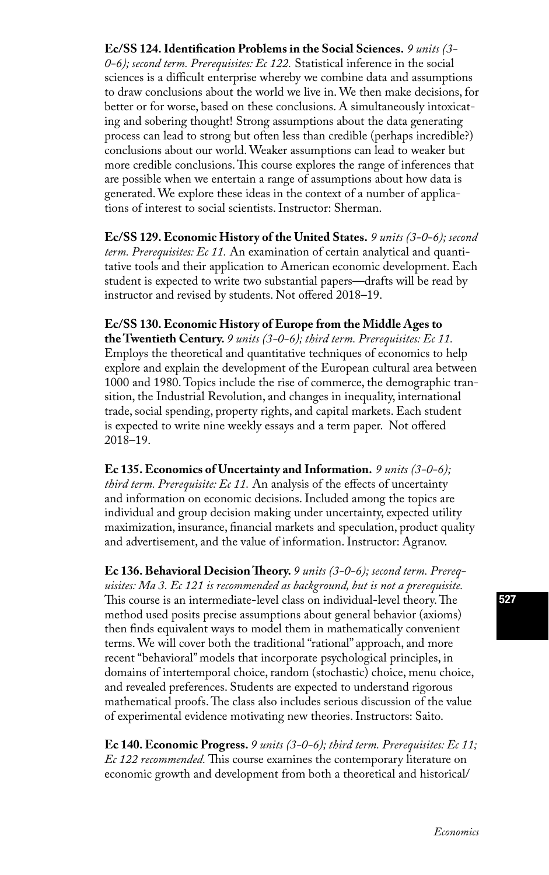**Ec/SS 124. Identification Problems in the Social Sciences.** *9 units (3- 0-6); second term. Prerequisites: Ec 122.* Statistical inference in the social sciences is a difficult enterprise whereby we combine data and assumptions to draw conclusions about the world we live in. We then make decisions, for better or for worse, based on these conclusions. A simultaneously intoxicating and sobering thought! Strong assumptions about the data generating process can lead to strong but often less than credible (perhaps incredible?) conclusions about our world. Weaker assumptions can lead to weaker but more credible conclusions. This course explores the range of inferences that are possible when we entertain a range of assumptions about how data is generated. We explore these ideas in the context of a number of applications of interest to social scientists. Instructor: Sherman.

**Ec/SS 129. Economic History of the United States.** *9 units (3-0-6); second term. Prerequisites: Ec 11.* An examination of certain analytical and quantitative tools and their application to American economic development. Each student is expected to write two substantial papers—drafts will be read by instructor and revised by students. Not offered 2018–19.

### **Ec/SS 130. Economic History of Europe from the Middle Ages to the Twentieth Century.** *9 units (3-0-6); third term. Prerequisites: Ec 11.*

Employs the theoretical and quantitative techniques of economics to help explore and explain the development of the European cultural area between 1000 and 1980. Topics include the rise of commerce, the demographic transition, the Industrial Revolution, and changes in inequality, international trade, social spending, property rights, and capital markets. Each student is expected to write nine weekly essays and a term paper. Not offered 2018–19.

**Ec 135. Economics of Uncertainty and Information.** *9 units (3-0-6); third term. Prerequisite: Ec 11.* An analysis of the effects of uncertainty and information on economic decisions. Included among the topics are individual and group decision making under uncertainty, expected utility maximization, insurance, financial markets and speculation, product quality and advertisement, and the value of information. Instructor: Agranov.

**Ec 136. Behavioral Decision Theory.** *9 units (3-0-6); second term. Prerequisites: Ma 3. Ec 121 is recommended as background, but is not a prerequisite.*  This course is an intermediate-level class on individual-level theory. The method used posits precise assumptions about general behavior (axioms) then finds equivalent ways to model them in mathematically convenient terms. We will cover both the traditional "rational'' approach, and more recent "behavioral'' models that incorporate psychological principles, in domains of intertemporal choice, random (stochastic) choice, menu choice, and revealed preferences. Students are expected to understand rigorous mathematical proofs. The class also includes serious discussion of the value of experimental evidence motivating new theories. Instructors: Saito.

**Ec 140. Economic Progress.** *9 units (3-0-6); third term. Prerequisites: Ec 11; Ec 122 recommended.* This course examines the contemporary literature on economic growth and development from both a theoretical and historical/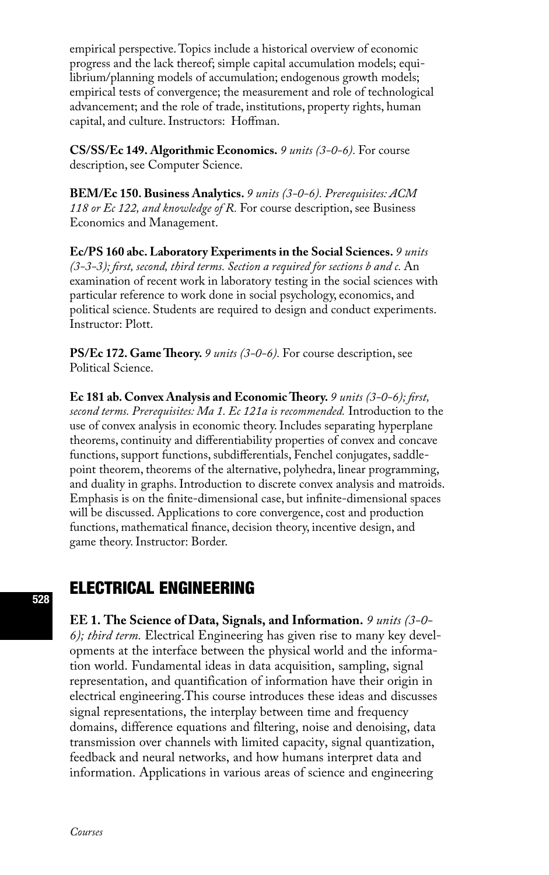empirical perspective. Topics include a historical overview of economic progress and the lack thereof; simple capital accumulation models; equilibrium/planning models of accumulation; endogenous growth models; empirical tests of convergence; the measurement and role of technological advancement; and the role of trade, institutions, property rights, human capital, and culture. Instructors: Hoffman.

**CS/SS/Ec 149. Algorithmic Economics.** *9 units (3-0-6).* For course description, see Computer Science.

**BEM/Ec 150. Business Analytics.** *9 units (3-0-6). Prerequisites: ACM 118 or Ec 122, and knowledge of R.* For course description, see Business Economics and Management.

**Ec/PS 160 abc. Laboratory Experiments in the Social Sciences.** *9 units (3-3-3); first, second, third terms. Section a required for sections b and c.* An examination of recent work in laboratory testing in the social sciences with particular reference to work done in social psychology, economics, and political science. Students are required to design and conduct experiments. Instructor: Plott.

**PS/Ec 172. Game Theory.** *9 units (3-0-6).* For course description, see Political Science.

**Ec 181 ab. Convex Analysis and Economic Theory.** *9 units (3-0-6); first, second terms. Prerequisites: Ma 1. Ec 121a is recommended.* Introduction to the use of convex analysis in economic theory. Includes separating hyperplane theorems, continuity and differentiability properties of convex and concave functions, support functions, subdifferentials, Fenchel conjugates, saddlepoint theorem, theorems of the alternative, polyhedra, linear programming, and duality in graphs. Introduction to discrete convex analysis and matroids. Emphasis is on the finite-dimensional case, but infinite-dimensional spaces will be discussed. Applications to core convergence, cost and production functions, mathematical finance, decision theory, incentive design, and game theory. Instructor: Border.

# ELECTRICAL ENGINEERING

**EE 1. The Science of Data, Signals, and Information.** *9 units (3-0- 6); third term.* Electrical Engineering has given rise to many key developments at the interface between the physical world and the information world. Fundamental ideas in data acquisition, sampling, signal representation, and quantification of information have their origin in electrical engineering.This course introduces these ideas and discusses signal representations, the interplay between time and frequency domains, difference equations and filtering, noise and denoising, data transmission over channels with limited capacity, signal quantization, feedback and neural networks, and how humans interpret data and information. Applications in various areas of science and engineering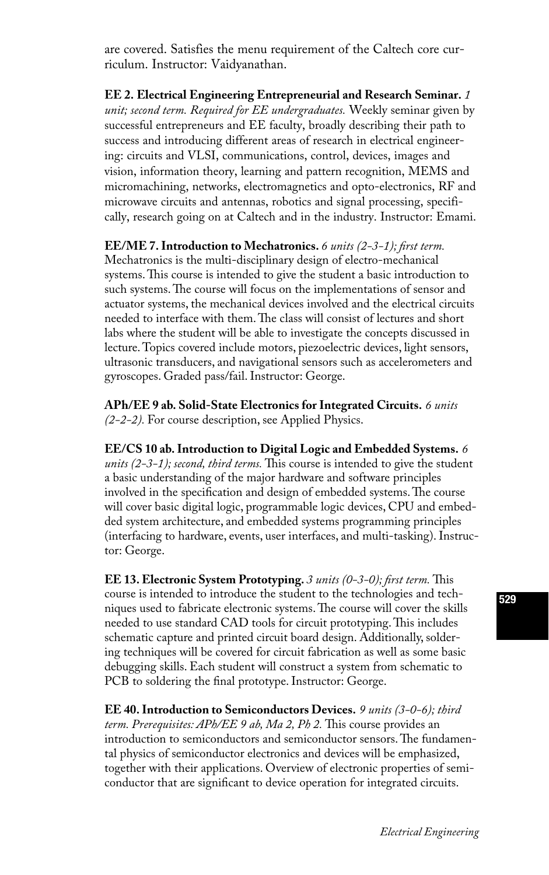are covered. Satisfies the menu requirement of the Caltech core curriculum. Instructor: Vaidyanathan.

**EE 2. Electrical Engineering Entrepreneurial and Research Seminar.** *1 unit; second term. Required for EE undergraduates.* Weekly seminar given by successful entrepreneurs and EE faculty, broadly describing their path to success and introducing different areas of research in electrical engineering: circuits and VLSI, communications, control, devices, images and vision, information theory, learning and pattern recognition, MEMS and micromachining, networks, electromagnetics and opto-electronics, RF and microwave circuits and antennas, robotics and signal processing, specifically, research going on at Caltech and in the industry. Instructor: Emami.

**EE/ME 7. Introduction to Mechatronics.** *6 units (2-3-1); first term.*

Mechatronics is the multi-disciplinary design of electro-mechanical systems. This course is intended to give the student a basic introduction to such systems. The course will focus on the implementations of sensor and actuator systems, the mechanical devices involved and the electrical circuits needed to interface with them. The class will consist of lectures and short labs where the student will be able to investigate the concepts discussed in lecture. Topics covered include motors, piezoelectric devices, light sensors, ultrasonic transducers, and navigational sensors such as accelerometers and gyroscopes. Graded pass/fail. Instructor: George.

**APh/EE 9 ab. Solid-State Electronics for Integrated Circuits.** *6 units (2-2-2).* For course description, see Applied Physics.

**EE/CS 10 ab. Introduction to Digital Logic and Embedded Systems.** *6 units (2-3-1); second, third terms.* This course is intended to give the student a basic understanding of the major hardware and software principles involved in the specification and design of embedded systems. The course will cover basic digital logic, programmable logic devices, CPU and embedded system architecture, and embedded systems programming principles (interfacing to hardware, events, user interfaces, and multi-tasking). Instructor: George.

**EE 13. Electronic System Prototyping.** *3 units (0-3-0); first term.* This course is intended to introduce the student to the technologies and techniques used to fabricate electronic systems. The course will cover the skills needed to use standard CAD tools for circuit prototyping. This includes schematic capture and printed circuit board design. Additionally, soldering techniques will be covered for circuit fabrication as well as some basic debugging skills. Each student will construct a system from schematic to PCB to soldering the final prototype. Instructor: George.

**EE 40. Introduction to Semiconductors Devices.** *9 units (3-0-6); third term. Prerequisites: APh/EE 9 ab, Ma 2, Ph 2.* This course provides an introduction to semiconductors and semiconductor sensors. The fundamental physics of semiconductor electronics and devices will be emphasized, together with their applications. Overview of electronic properties of semiconductor that are significant to device operation for integrated circuits.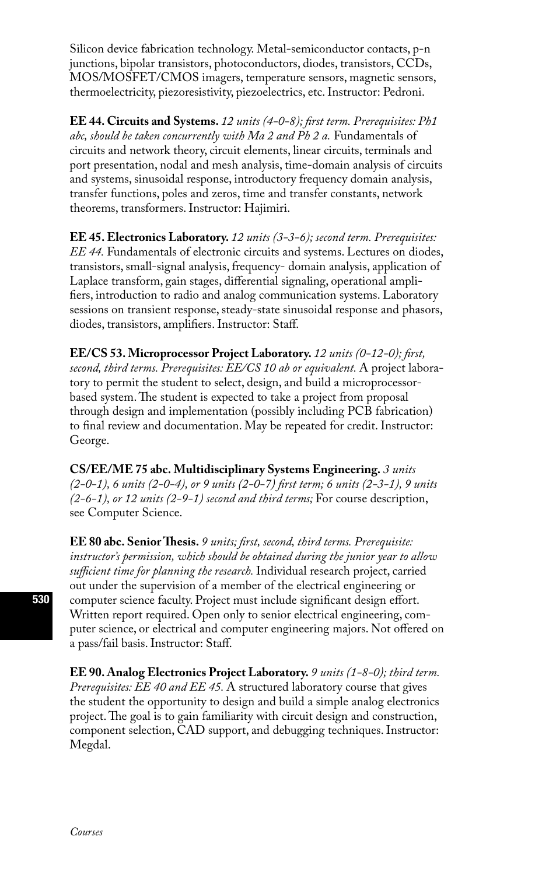Silicon device fabrication technology. Metal-semiconductor contacts, p-n junctions, bipolar transistors, photoconductors, diodes, transistors, CCDs, MOS/MOSFET/CMOS imagers, temperature sensors, magnetic sensors, thermoelectricity, piezoresistivity, piezoelectrics, etc. Instructor: Pedroni.

**EE 44. Circuits and Systems.** *12 units (4-0-8); first term. Prerequisites: Ph1 abc, should be taken concurrently with Ma 2 and Ph 2 a.* Fundamentals of circuits and network theory, circuit elements, linear circuits, terminals and port presentation, nodal and mesh analysis, time-domain analysis of circuits and systems, sinusoidal response, introductory frequency domain analysis, transfer functions, poles and zeros, time and transfer constants, network theorems, transformers. Instructor: Hajimiri.

**EE 45. Electronics Laboratory.** *12 units (3-3-6); second term. Prerequisites: EE 44.* Fundamentals of electronic circuits and systems. Lectures on diodes, transistors, small-signal analysis, frequency- domain analysis, application of Laplace transform, gain stages, differential signaling, operational amplifiers, introduction to radio and analog communication systems. Laboratory sessions on transient response, steady-state sinusoidal response and phasors, diodes, transistors, amplifiers. Instructor: Staff.

**EE/CS 53. Microprocessor Project Laboratory.** *12 units (0-12-0); first, second, third terms. Prerequisites: EE/CS 10 ab or equivalent.* A project laboratory to permit the student to select, design, and build a microprocessorbased system. The student is expected to take a project from proposal through design and implementation (possibly including PCB fabrication) to final review and documentation. May be repeated for credit. Instructor: George.

**CS/EE/ME 75 abc. Multidisciplinary Systems Engineering.** *3 units (2-0-1), 6 units (2-0-4), or 9 units (2-0-7) first term; 6 units (2-3-1), 9 units (2-6-1), or 12 units (2-9-1) second and third terms;* For course description, see Computer Science.

**EE 80 abc. Senior Thesis.** *9 units; first, second, third terms. Prerequisite: instructor's permission, which should be obtained during the junior year to allow sufficient time for planning the research.* Individual research project, carried out under the supervision of a member of the electrical engineering or computer science faculty. Project must include significant design effort. Written report required. Open only to senior electrical engineering, computer science, or electrical and computer engineering majors. Not offered on a pass/fail basis. Instructor: Staff.

**EE 90. Analog Electronics Project Laboratory.** *9 units (1-8-0); third term. Prerequisites: EE 40 and EE 45.* A structured laboratory course that gives the student the opportunity to design and build a simple analog electronics project. The goal is to gain familiarity with circuit design and construction, component selection, CAD support, and debugging techniques. Instructor: Megdal.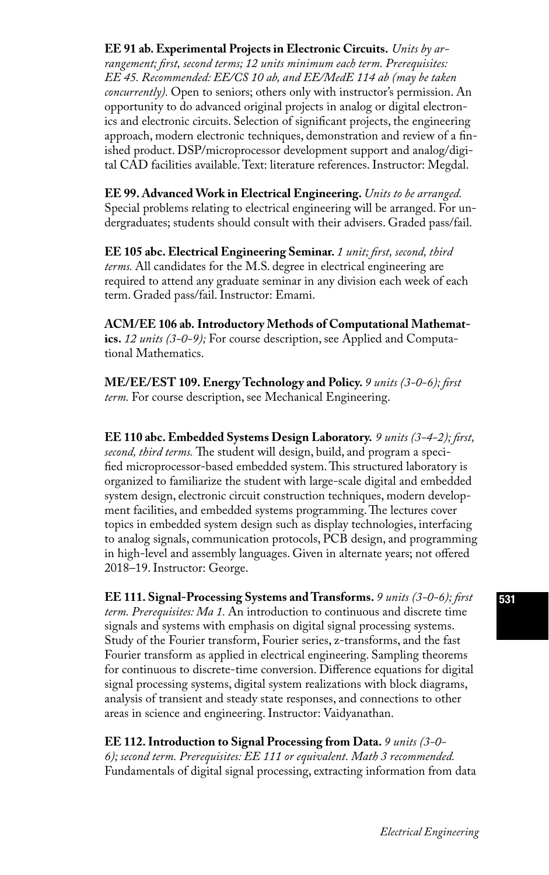### **EE 91 ab. Experimental Projects in Electronic Circuits.** *Units by ar-*

*rangement; first, second terms; 12 units minimum each term. Prerequisites: EE 45. Recommended: EE/CS 10 ab, and EE/MedE 114 ab (may be taken concurrently).* Open to seniors; others only with instructor's permission. An opportunity to do advanced original projects in analog or digital electronics and electronic circuits. Selection of significant projects, the engineering approach, modern electronic techniques, demonstration and review of a finished product. DSP/microprocessor development support and analog/digital CAD facilities available. Text: literature references. Instructor: Megdal.

**EE 99. Advanced Work in Electrical Engineering.** *Units to be arranged.*  Special problems relating to electrical engineering will be arranged. For undergraduates; students should consult with their advisers. Graded pass/fail.

**EE 105 abc. Electrical Engineering Seminar.** *1 unit; first, second, third terms.* All candidates for the M.S. degree in electrical engineering are required to attend any graduate seminar in any division each week of each term. Graded pass/fail. Instructor: Emami.

**ACM/EE 106 ab. Introductory Methods of Computational Mathematics.** *12 units (3-0-9);* For course description, see Applied and Computational Mathematics.

**ME/EE/EST 109. Energy Technology and Policy.** *9 units (3-0-6); first term.* For course description, see Mechanical Engineering.

**EE 110 abc. Embedded Systems Design Laboratory.** *9 units (3-4-2); first, second, third terms.* The student will design, build, and program a specified microprocessor-based embedded system. This structured laboratory is organized to familiarize the student with large-scale digital and embedded system design, electronic circuit construction techniques, modern development facilities, and embedded systems programming. The lectures cover topics in embedded system design such as display technologies, interfacing to analog signals, communication protocols, PCB design, and programming in high-level and assembly languages. Given in alternate years; not offered 2018–19. Instructor: George.

**EE 111. Signal-Processing Systems and Transforms.** *9 units (3-0-6); first term. Prerequisites: Ma 1.* An introduction to continuous and discrete time signals and systems with emphasis on digital signal processing systems. Study of the Fourier transform, Fourier series, z-transforms, and the fast Fourier transform as applied in electrical engineering. Sampling theorems for continuous to discrete-time conversion. Difference equations for digital signal processing systems, digital system realizations with block diagrams, analysis of transient and steady state responses, and connections to other areas in science and engineering. Instructor: Vaidyanathan.

**EE 112. Introduction to Signal Processing from Data.** *9 units (3-0- 6); second term. Prerequisites: EE 111 or equivalent. Math 3 recommended.*  Fundamentals of digital signal processing, extracting information from data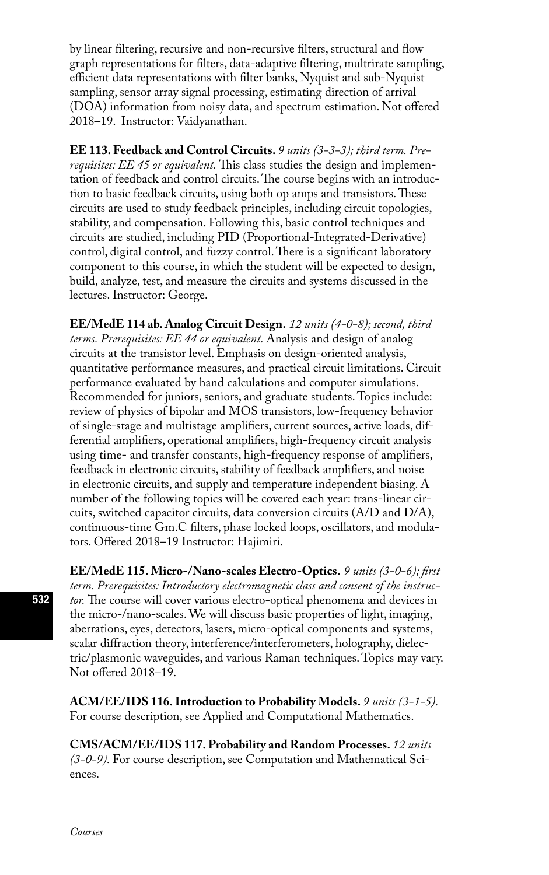by linear filtering, recursive and non-recursive filters, structural and flow graph representations for filters, data-adaptive filtering, multrirate sampling, efficient data representations with filter banks, Nyquist and sub-Nyquist sampling, sensor array signal processing, estimating direction of arrival (DOA) information from noisy data, and spectrum estimation. Not offered 2018–19. Instructor: Vaidyanathan.

**EE 113. Feedback and Control Circuits.** *9 units (3-3-3); third term. Prerequisites: EE 45 or equivalent.* This class studies the design and implementation of feedback and control circuits. The course begins with an introduction to basic feedback circuits, using both op amps and transistors. These circuits are used to study feedback principles, including circuit topologies, stability, and compensation. Following this, basic control techniques and circuits are studied, including PID (Proportional-Integrated-Derivative) control, digital control, and fuzzy control. There is a significant laboratory component to this course, in which the student will be expected to design, build, analyze, test, and measure the circuits and systems discussed in the lectures. Instructor: George.

**EE/MedE 114 ab. Analog Circuit Design.** *12 units (4-0-8); second, third terms. Prerequisites: EE 44 or equivalent.* Analysis and design of analog circuits at the transistor level. Emphasis on design-oriented analysis, quantitative performance measures, and practical circuit limitations. Circuit performance evaluated by hand calculations and computer simulations. Recommended for juniors, seniors, and graduate students. Topics include: review of physics of bipolar and MOS transistors, low-frequency behavior of single-stage and multistage amplifiers, current sources, active loads, differential amplifiers, operational amplifiers, high-frequency circuit analysis using time- and transfer constants, high-frequency response of amplifiers, feedback in electronic circuits, stability of feedback amplifiers, and noise in electronic circuits, and supply and temperature independent biasing. A number of the following topics will be covered each year: trans-linear circuits, switched capacitor circuits, data conversion circuits (A/D and D/A), continuous-time Gm.C filters, phase locked loops, oscillators, and modulators. Offered 2018–19 Instructor: Hajimiri.

**EE/MedE 115. Micro-/Nano-scales Electro-Optics.** *9 units (3-0-6); first term. Prerequisites: Introductory electromagnetic class and consent of the instructor.* The course will cover various electro-optical phenomena and devices in the micro-/nano-scales. We will discuss basic properties of light, imaging, aberrations, eyes, detectors, lasers, micro-optical components and systems, scalar diffraction theory, interference/interferometers, holography, dielectric/plasmonic waveguides, and various Raman techniques. Topics may vary. Not offered 2018–19.

**ACM/EE/IDS 116. Introduction to Probability Models.** *9 units (3-1-5).*  For course description, see Applied and Computational Mathematics.

**CMS/ACM/EE/IDS 117. Probability and Random Processes.** *12 units (3-0-9).* For course description, see Computation and Mathematical Sciences.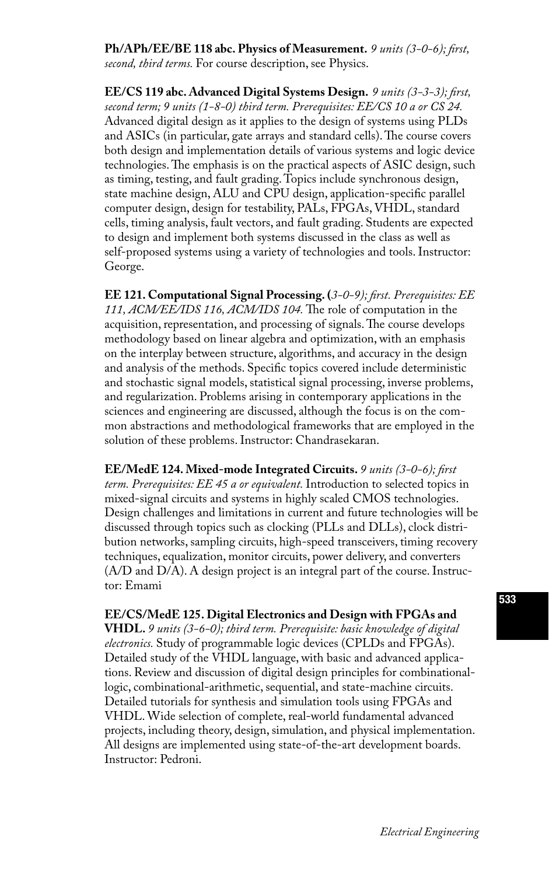**Ph/APh/EE/BE 118 abc. Physics of Measurement.** *9 units (3-0-6); first, second, third terms.* For course description, see Physics.

**EE/CS 119 abc. Advanced Digital Systems Design.** *9 units (3-3-3); first, second term; 9 units (1-8-0) third term. Prerequisites: EE/CS 10 a or CS 24.*  Advanced digital design as it applies to the design of systems using PLDs and ASICs (in particular, gate arrays and standard cells). The course covers both design and implementation details of various systems and logic device technologies. The emphasis is on the practical aspects of ASIC design, such as timing, testing, and fault grading. Topics include synchronous design, state machine design, ALU and CPU design, application-specific parallel computer design, design for testability, PALs, FPGAs, VHDL, standard cells, timing analysis, fault vectors, and fault grading. Students are expected to design and implement both systems discussed in the class as well as self-proposed systems using a variety of technologies and tools. Instructor: George.

**EE 121. Computational Signal Processing. (***3-0-9); first. Prerequisites: EE 111, ACM/EE/IDS 116, ACM/IDS 104.* The role of computation in the acquisition, representation, and processing of signals. The course develops methodology based on linear algebra and optimization, with an emphasis on the interplay between structure, algorithms, and accuracy in the design and analysis of the methods. Specific topics covered include deterministic and stochastic signal models, statistical signal processing, inverse problems, and regularization. Problems arising in contemporary applications in the sciences and engineering are discussed, although the focus is on the common abstractions and methodological frameworks that are employed in the solution of these problems. Instructor: Chandrasekaran.

**EE/MedE 124. Mixed-mode Integrated Circuits.** *9 units (3-0-6); first term. Prerequisites: EE 45 a or equivalent.* Introduction to selected topics in mixed-signal circuits and systems in highly scaled CMOS technologies. Design challenges and limitations in current and future technologies will be discussed through topics such as clocking (PLLs and DLLs), clock distribution networks, sampling circuits, high-speed transceivers, timing recovery techniques, equalization, monitor circuits, power delivery, and converters (A/D and D/A). A design project is an integral part of the course. Instructor: Emami

**EE/CS/MedE 125. Digital Electronics and Design with FPGAs and VHDL.** *9 units (3-6-0); third term. Prerequisite: basic knowledge of digital electronics.* Study of programmable logic devices (CPLDs and FPGAs). Detailed study of the VHDL language, with basic and advanced applications. Review and discussion of digital design principles for combinationallogic, combinational-arithmetic, sequential, and state-machine circuits. Detailed tutorials for synthesis and simulation tools using FPGAs and VHDL. Wide selection of complete, real-world fundamental advanced projects, including theory, design, simulation, and physical implementation. All designs are implemented using state-of-the-art development boards. Instructor: Pedroni.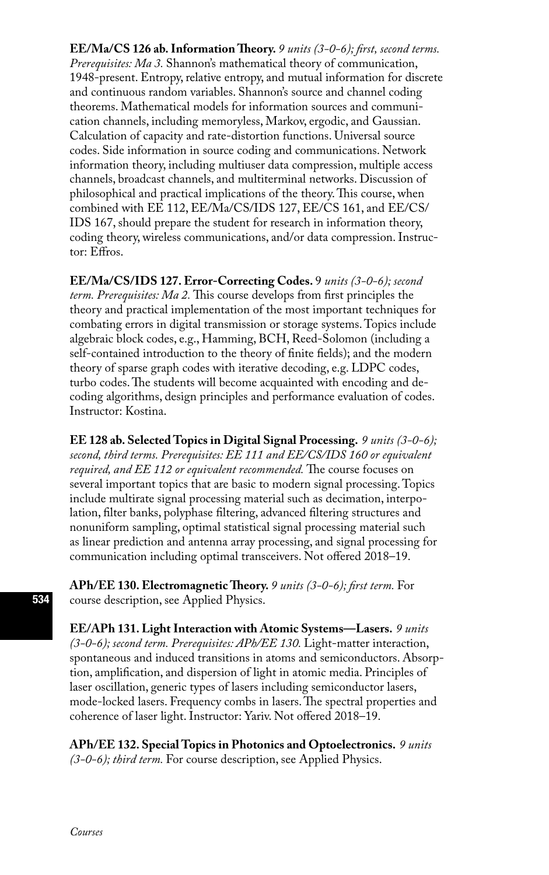**EE/Ma/CS 126 ab. Information Theory.** *9 units (3-0-6); first, second terms. Prerequisites: Ma 3.* Shannon's mathematical theory of communication, 1948-present. Entropy, relative entropy, and mutual information for discrete and continuous random variables. Shannon's source and channel coding theorems. Mathematical models for information sources and communication channels, including memoryless, Markov, ergodic, and Gaussian. Calculation of capacity and rate-distortion functions. Universal source codes. Side information in source coding and communications. Network information theory, including multiuser data compression, multiple access channels, broadcast channels, and multiterminal networks. Discussion of philosophical and practical implications of the theory. This course, when combined with EE 112, EE/Ma/CS/IDS 127, EE/CS 161, and EE/CS/ IDS 167, should prepare the student for research in information theory, coding theory, wireless communications, and/or data compression. Instructor: Effros.

**EE/Ma/CS/IDS 127. Error-Correcting Codes.** 9 *units (3-0-6); second term. Prerequisites: Ma 2.* This course develops from first principles the theory and practical implementation of the most important techniques for combating errors in digital transmission or storage systems. Topics include algebraic block codes, e.g., Hamming, BCH, Reed-Solomon (including a self-contained introduction to the theory of finite fields); and the modern theory of sparse graph codes with iterative decoding, e.g. LDPC codes, turbo codes. The students will become acquainted with encoding and decoding algorithms, design principles and performance evaluation of codes. Instructor: Kostina.

**EE 128 ab. Selected Topics in Digital Signal Processing.** *9 units (3-0-6); second, third terms. Prerequisites: EE 111 and EE/CS/IDS 160 or equivalent required, and EE 112 or equivalent recommended.* The course focuses on several important topics that are basic to modern signal processing. Topics include multirate signal processing material such as decimation, interpolation, filter banks, polyphase filtering, advanced filtering structures and nonuniform sampling, optimal statistical signal processing material such as linear prediction and antenna array processing, and signal processing for communication including optimal transceivers. Not offered 2018–19.

**APh/EE 130. Electromagnetic Theory.** *9 units (3-0-6); first term.* For course description, see Applied Physics.

**EE/APh 131. Light Interaction with Atomic Systems—Lasers.** *9 units (3-0-6); second term. Prerequisites: APh/EE 130.* Light-matter interaction, spontaneous and induced transitions in atoms and semiconductors. Absorption, amplification, and dispersion of light in atomic media. Principles of laser oscillation, generic types of lasers including semiconductor lasers, mode-locked lasers. Frequency combs in lasers. The spectral properties and coherence of laser light. Instructor: Yariv. Not offered 2018–19.

**APh/EE 132. Special Topics in Photonics and Optoelectronics.** *9 units (3-0-6); third term.* For course description, see Applied Physics.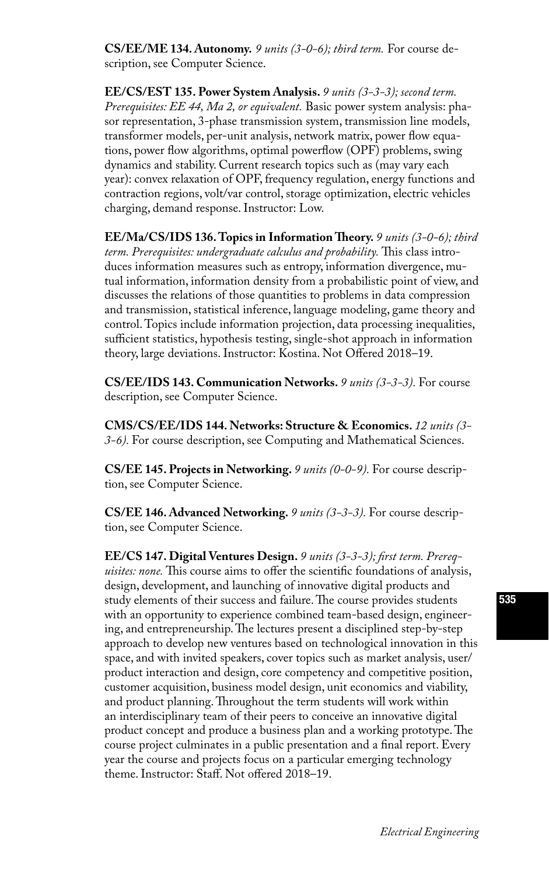**CS/EE/ME 134. Autonomy.** *9 units (3-0-6); third term.* For course description, see Computer Science.

**EE/CS/EST 135. Power System Analysis.** *9 units (3-3-3); second term. Prerequisites: EE 44, Ma 2, or equivalent.* Basic power system analysis: phasor representation, 3-phase transmission system, transmission line models, transformer models, per-unit analysis, network matrix, power flow equations, power flow algorithms, optimal powerflow (OPF) problems, swing dynamics and stability. Current research topics such as (may vary each year): convex relaxation of OPF, frequency regulation, energy functions and contraction regions, volt/var control, storage optimization, electric vehicles charging, demand response. Instructor: Low.

**EE/Ma/CS/IDS 136. Topics in Information Theory.** *9 units (3-0-6); third term. Prerequisites: undergraduate calculus and probability.* This class introduces information measures such as entropy, information divergence, mutual information, information density from a probabilistic point of view, and discusses the relations of those quantities to problems in data compression and transmission, statistical inference, language modeling, game theory and control. Topics include information projection, data processing inequalities, sufficient statistics, hypothesis testing, single-shot approach in information theory, large deviations. Instructor: Kostina. Not Offered 2018–19.

**CS/EE/IDS 143. Communication Networks.** *9 units (3-3-3).* For course description, see Computer Science.

**CMS/CS/EE/IDS 144. Networks: Structure & Economics.** *12 units (3- 3-6).* For course description, see Computing and Mathematical Sciences.

**CS/EE 145. Projects in Networking.** *9 units (0-0-9).* For course description, see Computer Science.

**CS/EE 146. Advanced Networking.** *9 units (3-3-3).* For course description, see Computer Science.

**EE/CS 147. Digital Ventures Design.** *9 units (3-3-3); first term. Prerequisites: none.* This course aims to offer the scientific foundations of analysis, design, development, and launching of innovative digital products and study elements of their success and failure. The course provides students with an opportunity to experience combined team-based design, engineering, and entrepreneurship. The lectures present a disciplined step-by-step approach to develop new ventures based on technological innovation in this space, and with invited speakers, cover topics such as market analysis, user/ product interaction and design, core competency and competitive position, customer acquisition, business model design, unit economics and viability, and product planning. Throughout the term students will work within an interdisciplinary team of their peers to conceive an innovative digital product concept and produce a business plan and a working prototype. The course project culminates in a public presentation and a final report. Every year the course and projects focus on a particular emerging technology theme. Instructor: Staff. Not offered 2018–19.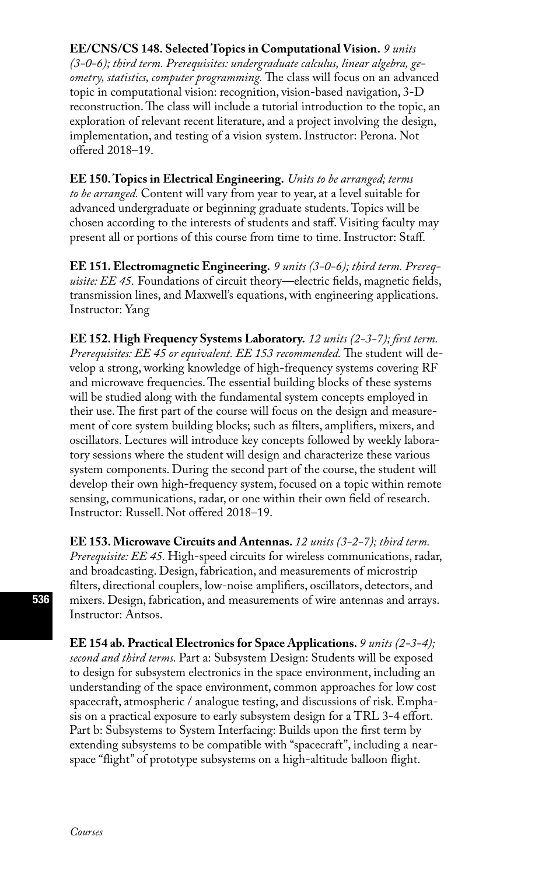### **EE/CNS/CS 148. Selected Topics in Computational Vision.** *9 units*

*(3-0-6); third term. Prerequisites: undergraduate calculus, linear algebra, geometry, statistics, computer programming.* The class will focus on an advanced topic in computational vision: recognition, vision-based navigation, 3-D reconstruction. The class will include a tutorial introduction to the topic, an exploration of relevant recent literature, and a project involving the design, implementation, and testing of a vision system. Instructor: Perona. Not offered 2018–19.

**EE 150. Topics in Electrical Engineering.** *Units to be arranged; terms to be arranged.* Content will vary from year to year, at a level suitable for advanced undergraduate or beginning graduate students. Topics will be chosen according to the interests of students and staff. Visiting faculty may present all or portions of this course from time to time. Instructor: Staff.

**EE 151. Electromagnetic Engineering.** *9 units (3-0-6); third term. Prerequisite: EE 45.* Foundations of circuit theory—electric fields, magnetic fields, transmission lines, and Maxwell's equations, with engineering applications. Instructor: Yang

**EE 152. High Frequency Systems Laboratory.** *12 units (2-3-7); first term. Prerequisites: EE 45 or equivalent. EE 153 recommended.* The student will develop a strong, working knowledge of high-frequency systems covering RF and microwave frequencies. The essential building blocks of these systems will be studied along with the fundamental system concepts employed in their use. The first part of the course will focus on the design and measurement of core system building blocks; such as filters, amplifiers, mixers, and oscillators. Lectures will introduce key concepts followed by weekly laboratory sessions where the student will design and characterize these various system components. During the second part of the course, the student will develop their own high-frequency system, focused on a topic within remote sensing, communications, radar, or one within their own field of research. Instructor: Russell. Not offered 2018–19.

**EE 153. Microwave Circuits and Antennas.** *12 units (3-2-7); third term. Prerequisite: EE 45.* High-speed circuits for wireless communications, radar, and broadcasting. Design, fabrication, and measurements of microstrip filters, directional couplers, low-noise amplifiers, oscillators, detectors, and mixers. Design, fabrication, and measurements of wire antennas and arrays. Instructor: Antsos.

**EE 154 ab. Practical Electronics for Space Applications.** *9 units (2-3-4); second and third terms.* Part a: Subsystem Design: Students will be exposed to design for subsystem electronics in the space environment, including an understanding of the space environment, common approaches for low cost spacecraft, atmospheric / analogue testing, and discussions of risk. Emphasis on a practical exposure to early subsystem design for a TRL 3-4 effort. Part b: Subsystems to System Interfacing: Builds upon the first term by extending subsystems to be compatible with "spacecraft", including a nearspace "flight" of prototype subsystems on a high-altitude balloon flight.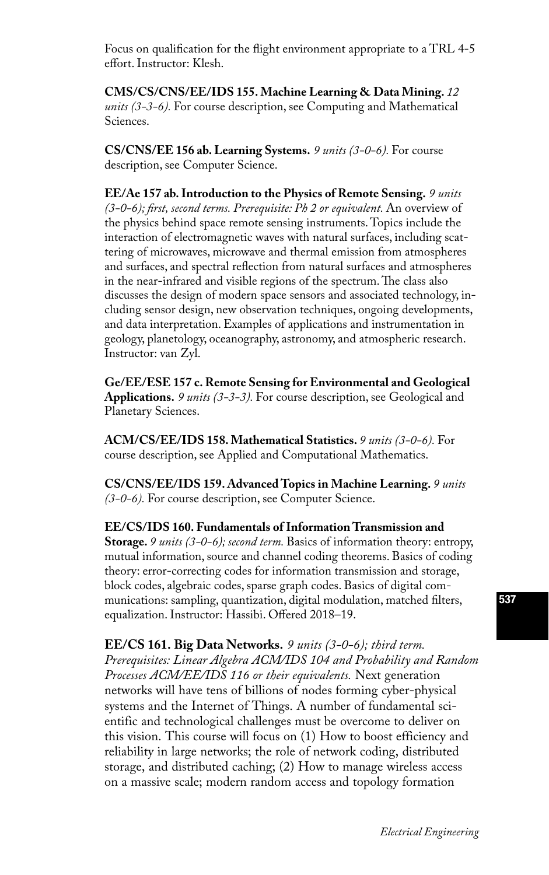Focus on qualification for the flight environment appropriate to a TRL 4-5 effort. Instructor: Klesh.

**CMS/CS/CNS/EE/IDS 155. Machine Learning & Data Mining.** *12 units (3-3-6).* For course description, see Computing and Mathematical Sciences.

**CS/CNS/EE 156 ab. Learning Systems.** *9 units (3-0-6).* For course description, see Computer Science.

**EE/Ae 157 ab. Introduction to the Physics of Remote Sensing.** *9 units (3-0-6); first, second terms. Prerequisite: Ph 2 or equivalent.* An overview of the physics behind space remote sensing instruments. Topics include the interaction of electromagnetic waves with natural surfaces, including scattering of microwaves, microwave and thermal emission from atmospheres and surfaces, and spectral reflection from natural surfaces and atmospheres in the near-infrared and visible regions of the spectrum. The class also discusses the design of modern space sensors and associated technology, including sensor design, new observation techniques, ongoing developments, and data interpretation. Examples of applications and instrumentation in geology, planetology, oceanography, astronomy, and atmospheric research. Instructor: van Zyl.

**Ge/EE/ESE 157 c. Remote Sensing for Environmental and Geological Applications.** *9 units (3-3-3).* For course description, see Geological and Planetary Sciences.

**ACM/CS/EE/IDS 158. Mathematical Statistics.** *9 units (3-0-6).* For course description, see Applied and Computational Mathematics.

**CS/CNS/EE/IDS 159. Advanced Topics in Machine Learning.** *9 units (3-0-6).* For course description, see Computer Science.

**EE/CS/IDS 160. Fundamentals of Information Transmission and Storage.** *9 units (3-0-6); second term.* Basics of information theory: entropy, mutual information, source and channel coding theorems. Basics of coding theory: error-correcting codes for information transmission and storage, block codes, algebraic codes, sparse graph codes. Basics of digital communications: sampling, quantization, digital modulation, matched filters, equalization. Instructor: Hassibi. Offered 2018–19.

**EE/CS 161. Big Data Networks.** *9 units (3-0-6); third term. Prerequisites: Linear Algebra ACM/IDS 104 and Probability and Random Processes ACM/EE/IDS 116 or their equivalents.* Next generation networks will have tens of billions of nodes forming cyber-physical systems and the Internet of Things. A number of fundamental scientific and technological challenges must be overcome to deliver on this vision. This course will focus on (1) How to boost efficiency and reliability in large networks; the role of network coding, distributed storage, and distributed caching; (2) How to manage wireless access on a massive scale; modern random access and topology formation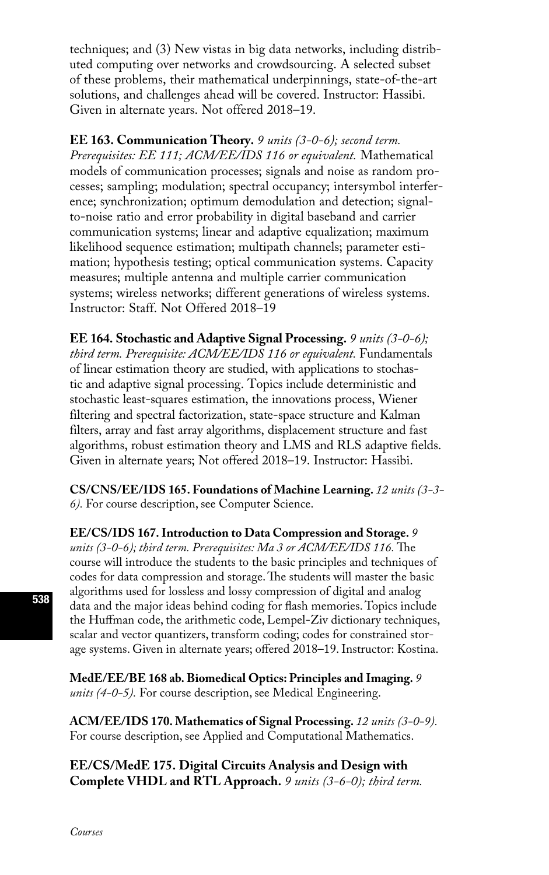techniques; and (3) New vistas in big data networks, including distributed computing over networks and crowdsourcing. A selected subset of these problems, their mathematical underpinnings, state-of-the-art solutions, and challenges ahead will be covered. Instructor: Hassibi. Given in alternate years. Not offered 2018–19.

**EE 163. Communication Theory.** *9 units (3-0-6); second term. Prerequisites: EE 111; ACM/EE/IDS 116 or equivalent.* Mathematical models of communication processes; signals and noise as random processes; sampling; modulation; spectral occupancy; intersymbol interference; synchronization; optimum demodulation and detection; signalto-noise ratio and error probability in digital baseband and carrier communication systems; linear and adaptive equalization; maximum likelihood sequence estimation; multipath channels; parameter estimation; hypothesis testing; optical communication systems. Capacity measures; multiple antenna and multiple carrier communication systems; wireless networks; different generations of wireless systems. Instructor: Staff. Not Offered 2018–19

**EE 164. Stochastic and Adaptive Signal Processing.** *9 units (3-0-6); third term. Prerequisite: ACM/EE/IDS 116 or equivalent.* Fundamentals of linear estimation theory are studied, with applications to stochastic and adaptive signal processing. Topics include deterministic and stochastic least-squares estimation, the innovations process, Wiener filtering and spectral factorization, state-space structure and Kalman filters, array and fast array algorithms, displacement structure and fast algorithms, robust estimation theory and LMS and RLS adaptive fields. Given in alternate years; Not offered 2018–19. Instructor: Hassibi.

**CS/CNS/EE/IDS 165. Foundations of Machine Learning.** *12 units (3-3- 6).* For course description, see Computer Science.

**EE/CS/IDS 167. Introduction to Data Compression and Storage.** *9 units (3-0-6); third term. Prerequisites: Ma 3 or ACM/EE/IDS 116.* The course will introduce the students to the basic principles and techniques of codes for data compression and storage. The students will master the basic algorithms used for lossless and lossy compression of digital and analog data and the major ideas behind coding for flash memories. Topics include the Huffman code, the arithmetic code, Lempel-Ziv dictionary techniques, scalar and vector quantizers, transform coding; codes for constrained storage systems. Given in alternate years; offered 2018–19. Instructor: Kostina.

**MedE/EE/BE 168 ab. Biomedical Optics: Principles and Imaging.** *9 units (4-0-5).* For course description, see Medical Engineering.

**ACM/EE/IDS 170. Mathematics of Signal Processing.** *12 units (3-0-9).* For course description, see Applied and Computational Mathematics.

**EE/CS/MedE 175. Digital Circuits Analysis and Design with Complete VHDL and RTL Approach.** *9 units (3-6-0); third term.*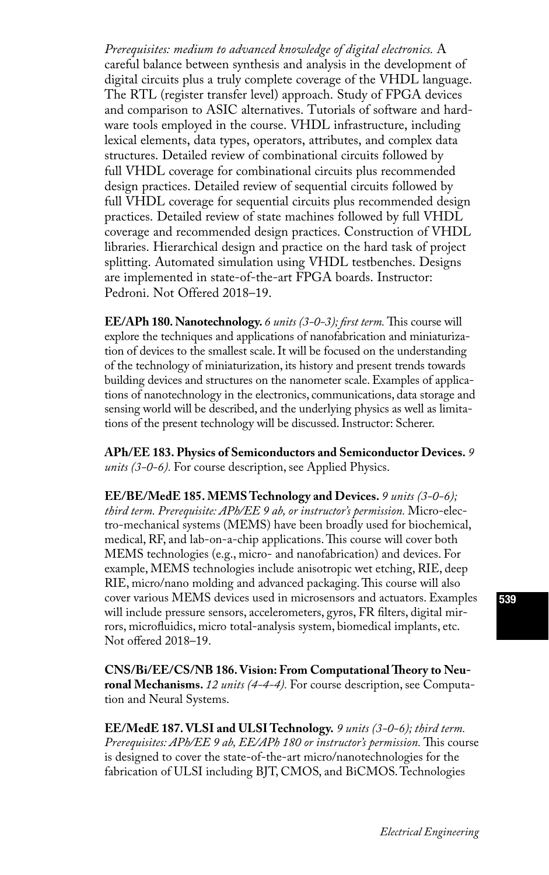*Prerequisites: medium to advanced knowledge of digital electronics.* A careful balance between synthesis and analysis in the development of digital circuits plus a truly complete coverage of the VHDL language. The RTL (register transfer level) approach. Study of FPGA devices and comparison to ASIC alternatives. Tutorials of software and hardware tools employed in the course. VHDL infrastructure, including lexical elements, data types, operators, attributes, and complex data structures. Detailed review of combinational circuits followed by full VHDL coverage for combinational circuits plus recommended design practices. Detailed review of sequential circuits followed by full VHDL coverage for sequential circuits plus recommended design practices. Detailed review of state machines followed by full VHDL coverage and recommended design practices. Construction of VHDL libraries. Hierarchical design and practice on the hard task of project splitting. Automated simulation using VHDL testbenches. Designs are implemented in state-of-the-art FPGA boards. Instructor: Pedroni. Not Offered 2018–19.

**EE/APh 180. Nanotechnology.** *6 units (3-0-3); first term.* This course will explore the techniques and applications of nanofabrication and miniaturization of devices to the smallest scale. It will be focused on the understanding of the technology of miniaturization, its history and present trends towards building devices and structures on the nanometer scale. Examples of applications of nanotechnology in the electronics, communications, data storage and sensing world will be described, and the underlying physics as well as limitations of the present technology will be discussed. Instructor: Scherer.

**APh/EE 183. Physics of Semiconductors and Semiconductor Devices.** *9 units (3-0-6).* For course description, see Applied Physics.

**EE/BE/MedE 185. MEMS Technology and Devices.** *9 units (3-0-6); third term. Prerequisite: APh/EE 9 ab, or instructor's permission.* Micro-electro-mechanical systems (MEMS) have been broadly used for biochemical, medical, RF, and lab-on-a-chip applications. This course will cover both MEMS technologies (e.g., micro- and nanofabrication) and devices. For example, MEMS technologies include anisotropic wet etching, RIE, deep RIE, micro/nano molding and advanced packaging. This course will also cover various MEMS devices used in microsensors and actuators. Examples will include pressure sensors, accelerometers, gyros, FR filters, digital mirrors, microfluidics, micro total-analysis system, biomedical implants, etc. Not offered 2018–19.

**CNS/Bi/EE/CS/NB 186. Vision: From Computational Theory to Neuronal Mechanisms.** *12 units (4-4-4).* For course description, see Computation and Neural Systems.

**EE/MedE 187. VLSI and ULSI Technology.** *9 units (3-0-6); third term. Prerequisites: APh/EE 9 ab, EE/APh 180 or instructor's permission.* This course is designed to cover the state-of-the-art micro/nanotechnologies for the fabrication of ULSI including BJT, CMOS, and BiCMOS. Technologies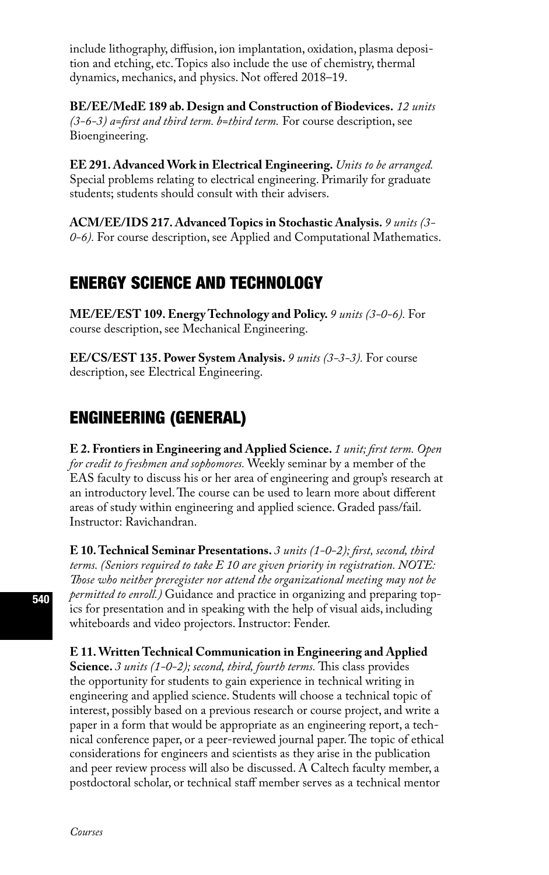include lithography, diffusion, ion implantation, oxidation, plasma deposition and etching, etc. Topics also include the use of chemistry, thermal dynamics, mechanics, and physics. Not offered 2018–19.

**BE/EE/MedE 189 ab. Design and Construction of Biodevices.** *12 units (3-6-3) a=first and third term. b=third term.* For course description, see Bioengineering.

**EE 291. Advanced Work in Electrical Engineering.** *Units to be arranged.*  Special problems relating to electrical engineering. Primarily for graduate students; students should consult with their advisers.

**ACM/EE/IDS 217. Advanced Topics in Stochastic Analysis.** *9 units (3- 0-6).* For course description, see Applied and Computational Mathematics.

# ENERGY SCIENCE AND TECHNOLOGY

**ME/EE/EST 109. Energy Technology and Policy.** *9 units (3-0-6).* For course description, see Mechanical Engineering.

**EE/CS/EST 135. Power System Analysis.** *9 units (3-3-3).* For course description, see Electrical Engineering.

# ENGINEERING (GENERAL)

**E 2. Frontiers in Engineering and Applied Science.** *1 unit; first term. Open for credit to freshmen and sophomores.* Weekly seminar by a member of the EAS faculty to discuss his or her area of engineering and group's research at an introductory level. The course can be used to learn more about different areas of study within engineering and applied science. Graded pass/fail. Instructor: Ravichandran.

**E 10. Technical Seminar Presentations.** *3 units (1-0-2); first, second, third terms. (Seniors required to take E 10 are given priority in registration. NOTE: Those who neither preregister nor attend the organizational meeting may not be permitted to enroll.)* Guidance and practice in organizing and preparing topics for presentation and in speaking with the help of visual aids, including whiteboards and video projectors. Instructor: Fender.

**E 11. Written Technical Communication in Engineering and Applied Science.** *3 units (1-0-2); second, third, fourth terms.* This class provides the opportunity for students to gain experience in technical writing in engineering and applied science. Students will choose a technical topic of interest, possibly based on a previous research or course project, and write a paper in a form that would be appropriate as an engineering report, a technical conference paper, or a peer-reviewed journal paper. The topic of ethical considerations for engineers and scientists as they arise in the publication and peer review process will also be discussed. A Caltech faculty member, a postdoctoral scholar, or technical staff member serves as a technical mentor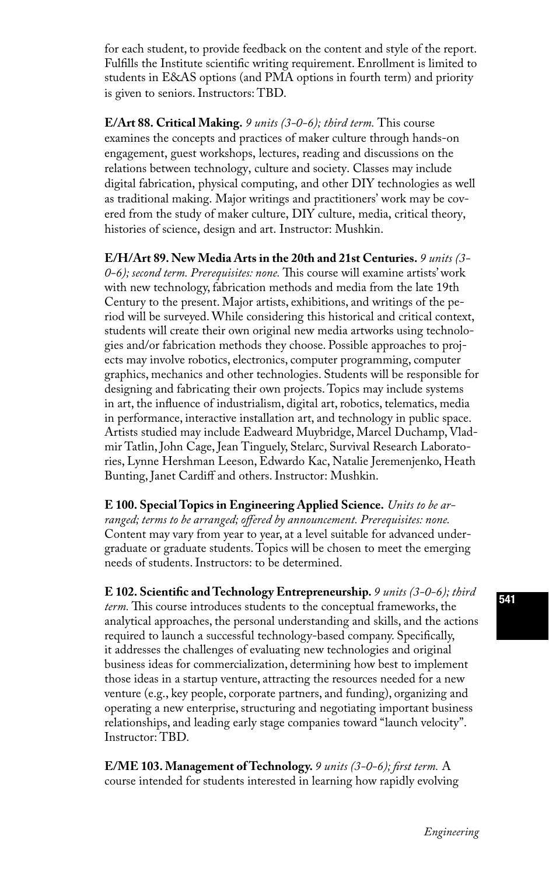for each student, to provide feedback on the content and style of the report. Fulfills the Institute scientific writing requirement. Enrollment is limited to students in E&AS options (and PMA options in fourth term) and priority is given to seniors. Instructors: TBD.

**E/Art 88. Critical Making.** *9 units (3-0-6); third term.* This course examines the concepts and practices of maker culture through hands-on engagement, guest workshops, lectures, reading and discussions on the relations between technology, culture and society. Classes may include digital fabrication, physical computing, and other DIY technologies as well as traditional making. Major writings and practitioners' work may be covered from the study of maker culture, DIY culture, media, critical theory, histories of science, design and art. Instructor: Mushkin.

**E/H/Art 89. New Media Arts in the 20th and 21st Centuries.** *9 units (3- 0-6); second term. Prerequisites: none.* This course will examine artists' work with new technology, fabrication methods and media from the late 19th Century to the present. Major artists, exhibitions, and writings of the period will be surveyed. While considering this historical and critical context, students will create their own original new media artworks using technologies and/or fabrication methods they choose. Possible approaches to projects may involve robotics, electronics, computer programming, computer graphics, mechanics and other technologies. Students will be responsible for designing and fabricating their own projects. Topics may include systems in art, the influence of industrialism, digital art, robotics, telematics, media in performance, interactive installation art, and technology in public space. Artists studied may include Eadweard Muybridge, Marcel Duchamp, Vladmir Tatlin, John Cage, Jean Tinguely, Stelarc, Survival Research Laboratories, Lynne Hershman Leeson, Edwardo Kac, Natalie Jeremenjenko, Heath Bunting, Janet Cardiff and others. Instructor: Mushkin.

**E 100. Special Topics in Engineering Applied Science.** *Units to be arranged; terms to be arranged; offered by announcement. Prerequisites: none.*  Content may vary from year to year, at a level suitable for advanced undergraduate or graduate students. Topics will be chosen to meet the emerging needs of students. Instructors: to be determined.

**E 102. Scientific and Technology Entrepreneurship.** *9 units (3-0-6); third term.* This course introduces students to the conceptual frameworks, the analytical approaches, the personal understanding and skills, and the actions required to launch a successful technology-based company. Specifically, it addresses the challenges of evaluating new technologies and original business ideas for commercialization, determining how best to implement those ideas in a startup venture, attracting the resources needed for a new venture (e.g., key people, corporate partners, and funding), organizing and operating a new enterprise, structuring and negotiating important business relationships, and leading early stage companies toward "launch velocity". Instructor: TBD.

**E/ME 103. Management of Technology.** *9 units (3-0-6); first term.* A course intended for students interested in learning how rapidly evolving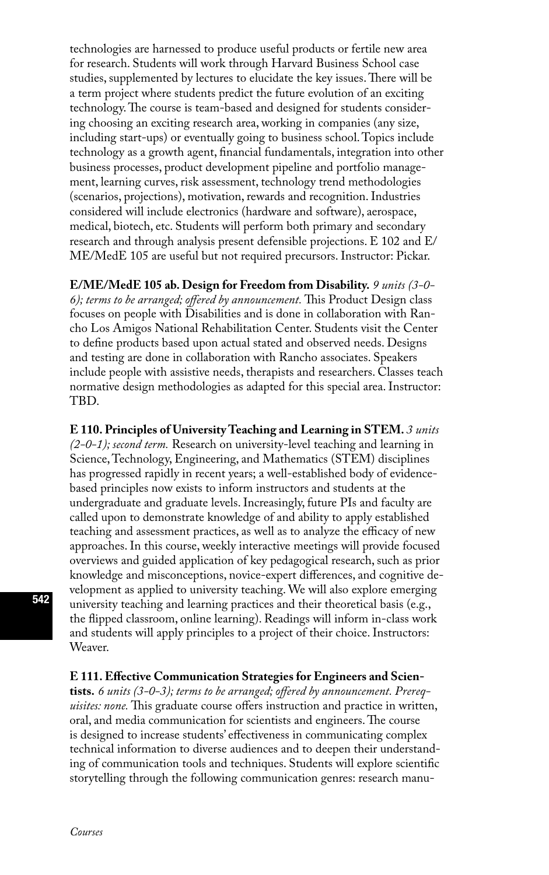technologies are harnessed to produce useful products or fertile new area for research. Students will work through Harvard Business School case studies, supplemented by lectures to elucidate the key issues. There will be a term project where students predict the future evolution of an exciting technology. The course is team-based and designed for students considering choosing an exciting research area, working in companies (any size, including start-ups) or eventually going to business school. Topics include technology as a growth agent, financial fundamentals, integration into other business processes, product development pipeline and portfolio management, learning curves, risk assessment, technology trend methodologies (scenarios, projections), motivation, rewards and recognition. Industries considered will include electronics (hardware and software), aerospace, medical, biotech, etc. Students will perform both primary and secondary research and through analysis present defensible projections. E 102 and E/ ME/MedE 105 are useful but not required precursors. Instructor: Pickar.

**E/ME/MedE 105 ab. Design for Freedom from Disability.** *9 units (3-0- 6); terms to be arranged; offered by announcement.* This Product Design class focuses on people with Disabilities and is done in collaboration with Rancho Los Amigos National Rehabilitation Center. Students visit the Center to define products based upon actual stated and observed needs. Designs and testing are done in collaboration with Rancho associates. Speakers include people with assistive needs, therapists and researchers. Classes teach normative design methodologies as adapted for this special area. Instructor: TBD.

**E 110. Principles of University Teaching and Learning in STEM.** *3 units (2-0-1); second term.* Research on university-level teaching and learning in Science, Technology, Engineering, and Mathematics (STEM) disciplines has progressed rapidly in recent years; a well-established body of evidencebased principles now exists to inform instructors and students at the undergraduate and graduate levels. Increasingly, future PIs and faculty are called upon to demonstrate knowledge of and ability to apply established teaching and assessment practices, as well as to analyze the efficacy of new approaches. In this course, weekly interactive meetings will provide focused overviews and guided application of key pedagogical research, such as prior knowledge and misconceptions, novice-expert differences, and cognitive development as applied to university teaching. We will also explore emerging university teaching and learning practices and their theoretical basis (e.g., the flipped classroom, online learning). Readings will inform in-class work and students will apply principles to a project of their choice. Instructors: Weaver.

#### **E 111. Effective Communication Strategies for Engineers and Scien-**

**tists.** *6 units (3-0-3); terms to be arranged; offered by announcement. Prerequisites: none.* This graduate course offers instruction and practice in written, oral, and media communication for scientists and engineers. The course is designed to increase students' effectiveness in communicating complex technical information to diverse audiences and to deepen their understanding of communication tools and techniques. Students will explore scientific storytelling through the following communication genres: research manu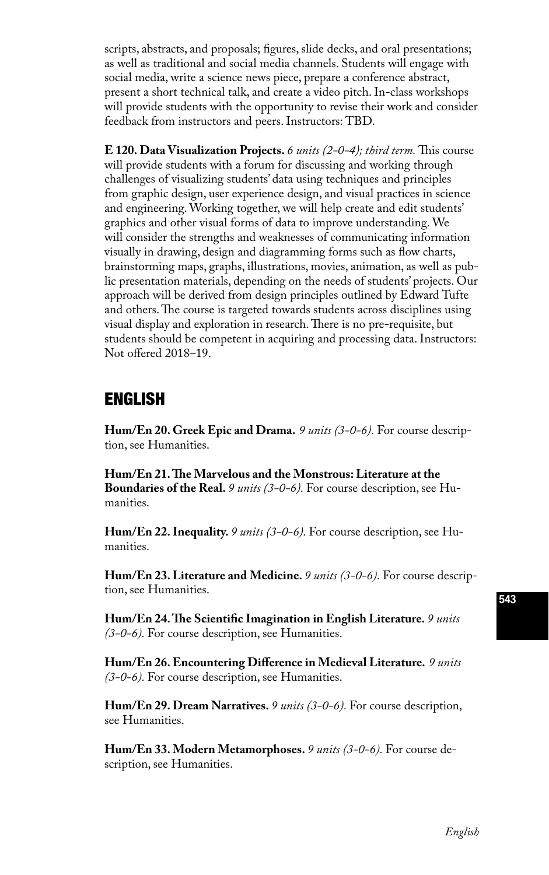scripts, abstracts, and proposals; figures, slide decks, and oral presentations; as well as traditional and social media channels. Students will engage with social media, write a science news piece, prepare a conference abstract, present a short technical talk, and create a video pitch. In-class workshops will provide students with the opportunity to revise their work and consider feedback from instructors and peers. Instructors: TBD.

**E 120. Data Visualization Projects.** *6 units (2-0-4); third term.* This course will provide students with a forum for discussing and working through challenges of visualizing students' data using techniques and principles from graphic design, user experience design, and visual practices in science and engineering. Working together, we will help create and edit students' graphics and other visual forms of data to improve understanding. We will consider the strengths and weaknesses of communicating information visually in drawing, design and diagramming forms such as flow charts, brainstorming maps, graphs, illustrations, movies, animation, as well as public presentation materials, depending on the needs of students' projects. Our approach will be derived from design principles outlined by Edward Tufte and others. The course is targeted towards students across disciplines using visual display and exploration in research. There is no pre-requisite, but students should be competent in acquiring and processing data. Instructors: Not offered 2018–19.

# ENGLISH

**Hum/En 20. Greek Epic and Drama.** *9 units (3-0-6).* For course description, see Humanities.

**Hum/En 21. The Marvelous and the Monstrous: Literature at the Boundaries of the Real.** *9 units (3-0-6).* For course description, see Humanities.

**Hum/En 22. Inequality.** *9 units (3-0-6).* For course description, see Humanities.

**Hum/En 23. Literature and Medicine.** *9 units (3-0-6).* For course description, see Humanities.

**Hum/En 24. The Scientific Imagination in English Literature.** *9 units (3-0-6).* For course description, see Humanities.

**Hum/En 26. Encountering Difference in Medieval Literature.** *9 units (3-0-6).* For course description, see Humanities.

**Hum/En 29. Dream Narratives.** *9 units (3-0-6).* For course description, see Humanities.

**Hum/En 33. Modern Metamorphoses.** *9 units (3-0-6).* For course description, see Humanities.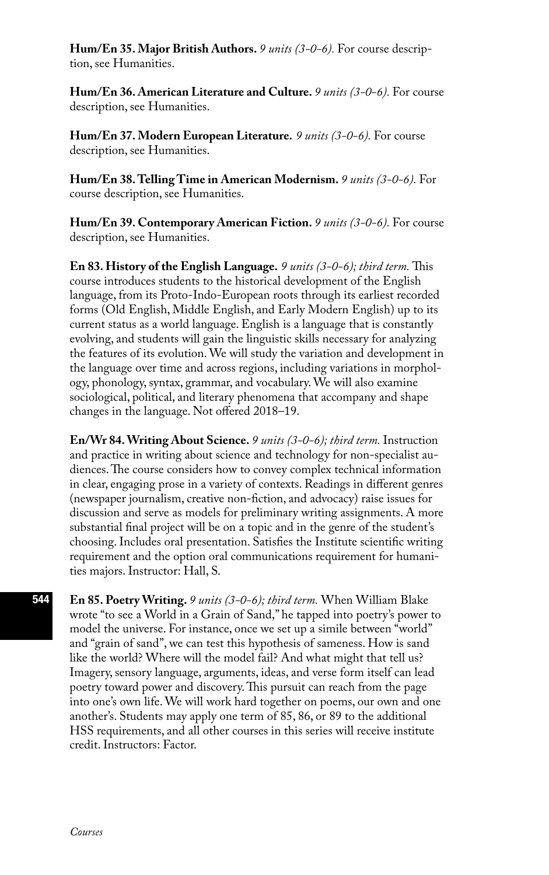**Hum/En 35. Major British Authors.** *9 units (3-0-6).* For course description, see Humanities.

**Hum/En 36. American Literature and Culture.** *9 units (3-0-6).* For course description, see Humanities.

**Hum/En 37. Modern European Literature.** *9 units (3-0-6).* For course description, see Humanities.

**Hum/En 38. Telling Time in American Modernism.** *9 units (3-0-6).* For course description, see Humanities.

**Hum/En 39. Contemporary American Fiction.** *9 units (3-0-6).* For course description, see Humanities.

**En 83. History of the English Language.** *9 units (3-0-6); third term.* This course introduces students to the historical development of the English language, from its Proto-Indo-European roots through its earliest recorded forms (Old English, Middle English, and Early Modern English) up to its current status as a world language. English is a language that is constantly evolving, and students will gain the linguistic skills necessary for analyzing the features of its evolution. We will study the variation and development in the language over time and across regions, including variations in morphology, phonology, syntax, grammar, and vocabulary. We will also examine sociological, political, and literary phenomena that accompany and shape changes in the language. Not offered 2018–19.

**En/Wr 84. Writing About Science.** *9 units (3-0-6); third term.* Instruction and practice in writing about science and technology for non-specialist audiences. The course considers how to convey complex technical information in clear, engaging prose in a variety of contexts. Readings in different genres (newspaper journalism, creative non-fiction, and advocacy) raise issues for discussion and serve as models for preliminary writing assignments. A more substantial final project will be on a topic and in the genre of the student's choosing. Includes oral presentation. Satisfies the Institute scientific writing requirement and the option oral communications requirement for humanities majors. Instructor: Hall, S.

**En 85. Poetry Writing.** *9 units (3-0-6); third term.* When William Blake wrote "to see a World in a Grain of Sand," he tapped into poetry's power to model the universe. For instance, once we set up a simile between "world" and "grain of sand", we can test this hypothesis of sameness. How is sand like the world? Where will the model fail? And what might that tell us? Imagery, sensory language, arguments, ideas, and verse form itself can lead poetry toward power and discovery. This pursuit can reach from the page into one's own life. We will work hard together on poems, our own and one another's. Students may apply one term of 85, 86, or 89 to the additional HSS requirements, and all other courses in this series will receive institute credit. Instructors: Factor.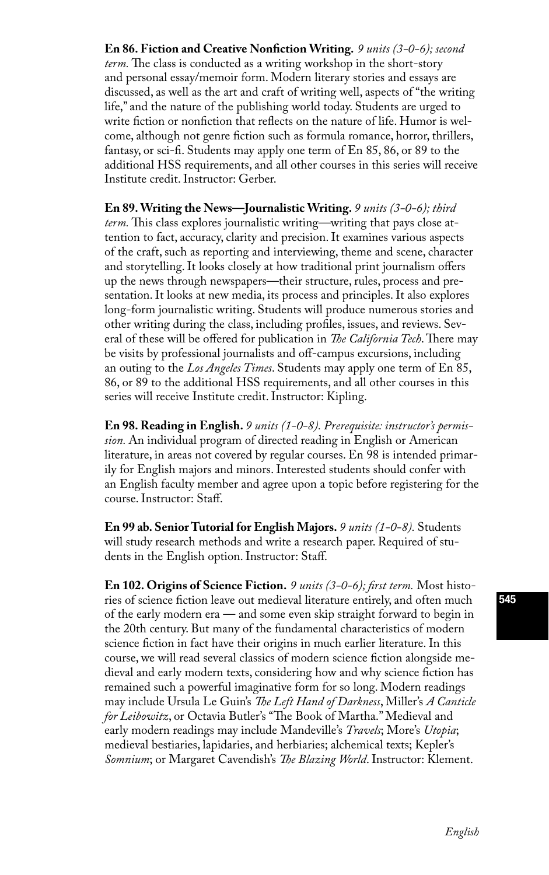**En 86. Fiction and Creative Nonfiction Writing.** *9 units (3-0-6); second term.* The class is conducted as a writing workshop in the short-story and personal essay/memoir form. Modern literary stories and essays are discussed, as well as the art and craft of writing well, aspects of "the writing life," and the nature of the publishing world today. Students are urged to write fiction or nonfiction that reflects on the nature of life. Humor is welcome, although not genre fiction such as formula romance, horror, thrillers, fantasy, or sci-fi. Students may apply one term of En 85, 86, or 89 to the additional HSS requirements, and all other courses in this series will receive Institute credit. Instructor: Gerber.

**En 89. Writing the News—Journalistic Writing.** *9 units (3-0-6); third term.* This class explores journalistic writing—writing that pays close attention to fact, accuracy, clarity and precision. It examines various aspects of the craft, such as reporting and interviewing, theme and scene, character and storytelling. It looks closely at how traditional print journalism offers up the news through newspapers—their structure, rules, process and presentation. It looks at new media, its process and principles. It also explores long-form journalistic writing. Students will produce numerous stories and other writing during the class, including profiles, issues, and reviews. Several of these will be offered for publication in *The California Tech*. There may be visits by professional journalists and off-campus excursions, including an outing to the *Los Angeles Times*. Students may apply one term of En 85, 86, or 89 to the additional HSS requirements, and all other courses in this series will receive Institute credit. Instructor: Kipling.

**En 98. Reading in English.** *9 units (1-0-8). Prerequisite: instructor's permission.* An individual program of directed reading in English or American literature, in areas not covered by regular courses. En 98 is intended primarily for English majors and minors. Interested students should confer with an English faculty member and agree upon a topic before registering for the course. Instructor: Staff.

**En 99 ab. Senior Tutorial for English Majors.** *9 units (1-0-8).* Students will study research methods and write a research paper. Required of students in the English option. Instructor: Staff.

**En 102. Origins of Science Fiction.** *9 units (3-0-6); first term.* Most histories of science fiction leave out medieval literature entirely, and often much of the early modern era — and some even skip straight forward to begin in the 20th century. But many of the fundamental characteristics of modern science fiction in fact have their origins in much earlier literature. In this course, we will read several classics of modern science fiction alongside medieval and early modern texts, considering how and why science fiction has remained such a powerful imaginative form for so long. Modern readings may include Ursula Le Guin's *The Left Hand of Darkness*, Miller's *A Canticle for Leibowitz*, or Octavia Butler's "The Book of Martha." Medieval and early modern readings may include Mandeville's *Travels*; More's *Utopia*; medieval bestiaries, lapidaries, and herbiaries; alchemical texts; Kepler's *Somnium*; or Margaret Cavendish's *The Blazing World*. Instructor: Klement.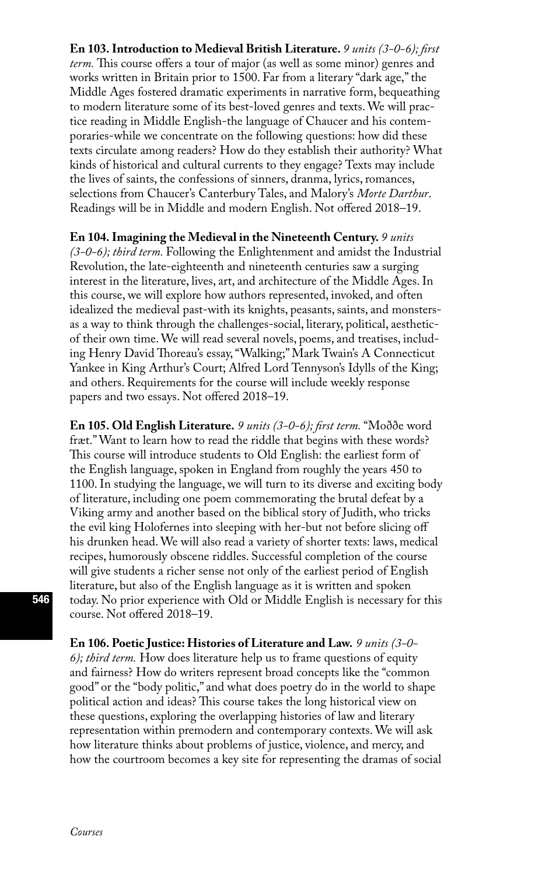**En 103. Introduction to Medieval British Literature.** *9 units (3-0-6); first term.* This course offers a tour of major (as well as some minor) genres and works written in Britain prior to 1500. Far from a literary "dark age," the Middle Ages fostered dramatic experiments in narrative form, bequeathing to modern literature some of its best-loved genres and texts. We will practice reading in Middle English-the language of Chaucer and his contemporaries-while we concentrate on the following questions: how did these texts circulate among readers? How do they establish their authority? What kinds of historical and cultural currents to they engage? Texts may include the lives of saints, the confessions of sinners, dranma, lyrics, romances, selections from Chaucer's Canterbury Tales, and Malory's *Morte Darthur*. Readings will be in Middle and modern English. Not offered 2018–19.

**En 104. Imagining the Medieval in the Nineteenth Century.** *9 units (3-0-6); third term.* Following the Enlightenment and amidst the Industrial Revolution, the late-eighteenth and nineteenth centuries saw a surging interest in the literature, lives, art, and architecture of the Middle Ages. In this course, we will explore how authors represented, invoked, and often idealized the medieval past-with its knights, peasants, saints, and monstersas a way to think through the challenges-social, literary, political, aestheticof their own time. We will read several novels, poems, and treatises, including Henry David Thoreau's essay, "Walking;" Mark Twain's A Connecticut Yankee in King Arthur's Court; Alfred Lord Tennyson's Idylls of the King; and others. Requirements for the course will include weekly response papers and two essays. Not offered 2018–19.

**En 105. Old English Literature.** *9 units (3-0-6); first term.* "Moððe word fræt." Want to learn how to read the riddle that begins with these words? This course will introduce students to Old English: the earliest form of the English language, spoken in England from roughly the years 450 to 1100. In studying the language, we will turn to its diverse and exciting body of literature, including one poem commemorating the brutal defeat by a Viking army and another based on the biblical story of Judith, who tricks the evil king Holofernes into sleeping with her-but not before slicing off his drunken head. We will also read a variety of shorter texts: laws, medical recipes, humorously obscene riddles. Successful completion of the course will give students a richer sense not only of the earliest period of English literature, but also of the English language as it is written and spoken today. No prior experience with Old or Middle English is necessary for this course. Not offered 2018–19.

**En 106. Poetic Justice: Histories of Literature and Law.** *9 units (3-0- 6); third term.* How does literature help us to frame questions of equity and fairness? How do writers represent broad concepts like the "common good" or the "body politic," and what does poetry do in the world to shape political action and ideas? This course takes the long historical view on these questions, exploring the overlapping histories of law and literary representation within premodern and contemporary contexts. We will ask how literature thinks about problems of justice, violence, and mercy, and how the courtroom becomes a key site for representing the dramas of social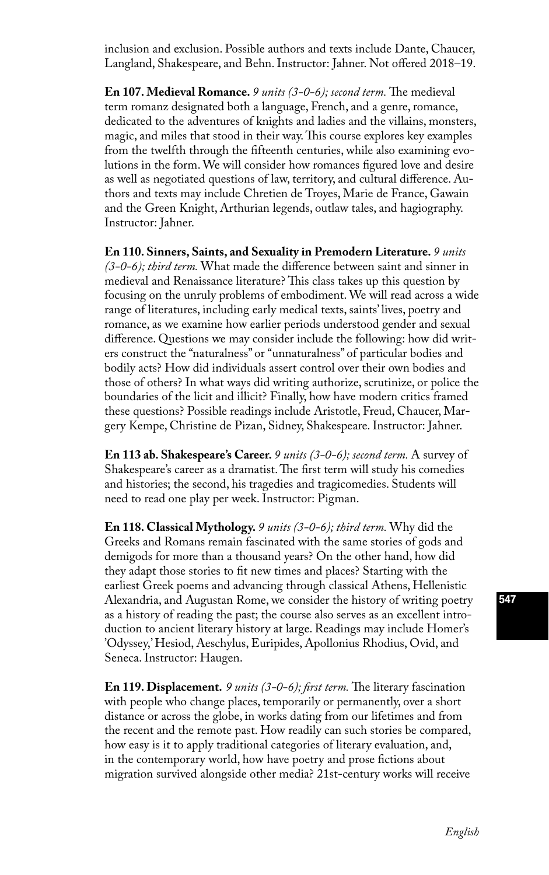inclusion and exclusion. Possible authors and texts include Dante, Chaucer, Langland, Shakespeare, and Behn. Instructor: Jahner. Not offered 2018–19.

**En 107. Medieval Romance.** *9 units (3-0-6); second term.* The medieval term romanz designated both a language, French, and a genre, romance, dedicated to the adventures of knights and ladies and the villains, monsters, magic, and miles that stood in their way. This course explores key examples from the twelfth through the fifteenth centuries, while also examining evolutions in the form. We will consider how romances figured love and desire as well as negotiated questions of law, territory, and cultural difference. Authors and texts may include Chretien de Troyes, Marie de France, Gawain and the Green Knight, Arthurian legends, outlaw tales, and hagiography. Instructor: Jahner.

**En 110. Sinners, Saints, and Sexuality in Premodern Literature.** *9 units (3-0-6); third term.* What made the difference between saint and sinner in medieval and Renaissance literature? This class takes up this question by focusing on the unruly problems of embodiment. We will read across a wide range of literatures, including early medical texts, saints' lives, poetry and romance, as we examine how earlier periods understood gender and sexual difference. Questions we may consider include the following: how did writers construct the "naturalness" or "unnaturalness" of particular bodies and bodily acts? How did individuals assert control over their own bodies and those of others? In what ways did writing authorize, scrutinize, or police the boundaries of the licit and illicit? Finally, how have modern critics framed these questions? Possible readings include Aristotle, Freud, Chaucer, Margery Kempe, Christine de Pizan, Sidney, Shakespeare. Instructor: Jahner.

**En 113 ab. Shakespeare's Career.** *9 units (3-0-6); second term.* A survey of Shakespeare's career as a dramatist. The first term will study his comedies and histories; the second, his tragedies and tragicomedies. Students will need to read one play per week. Instructor: Pigman.

**En 118. Classical Mythology.** *9 units (3-0-6); third term.* Why did the Greeks and Romans remain fascinated with the same stories of gods and demigods for more than a thousand years? On the other hand, how did they adapt those stories to fit new times and places? Starting with the earliest Greek poems and advancing through classical Athens, Hellenistic Alexandria, and Augustan Rome, we consider the history of writing poetry as a history of reading the past; the course also serves as an excellent introduction to ancient literary history at large. Readings may include Homer's 'Odyssey,' Hesiod, Aeschylus, Euripides, Apollonius Rhodius, Ovid, and Seneca. Instructor: Haugen.

**En 119. Displacement.** *9 units (3-0-6); first term.* The literary fascination with people who change places, temporarily or permanently, over a short distance or across the globe, in works dating from our lifetimes and from the recent and the remote past. How readily can such stories be compared, how easy is it to apply traditional categories of literary evaluation, and, in the contemporary world, how have poetry and prose fictions about migration survived alongside other media? 21st-century works will receive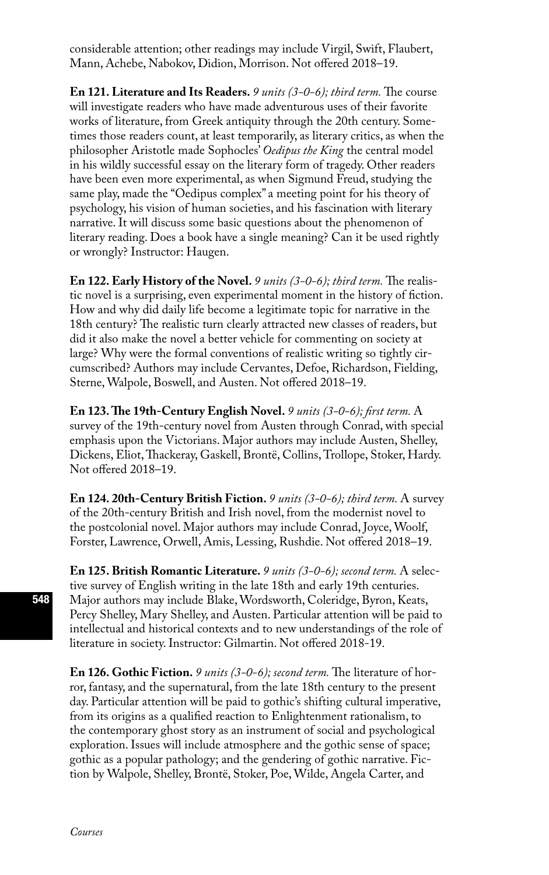considerable attention; other readings may include Virgil, Swift, Flaubert, Mann, Achebe, Nabokov, Didion, Morrison. Not offered 2018–19.

**En 121. Literature and Its Readers.** *9 units (3-0-6); third term.* The course will investigate readers who have made adventurous uses of their favorite works of literature, from Greek antiquity through the 20th century. Sometimes those readers count, at least temporarily, as literary critics, as when the philosopher Aristotle made Sophocles' *Oedipus the King* the central model in his wildly successful essay on the literary form of tragedy. Other readers have been even more experimental, as when Sigmund Freud, studying the same play, made the "Oedipus complex" a meeting point for his theory of psychology, his vision of human societies, and his fascination with literary narrative. It will discuss some basic questions about the phenomenon of literary reading. Does a book have a single meaning? Can it be used rightly or wrongly? Instructor: Haugen.

**En 122. Early History of the Novel.** *9 units (3-0-6); third term.* The realistic novel is a surprising, even experimental moment in the history of fiction. How and why did daily life become a legitimate topic for narrative in the 18th century? The realistic turn clearly attracted new classes of readers, but did it also make the novel a better vehicle for commenting on society at large? Why were the formal conventions of realistic writing so tightly circumscribed? Authors may include Cervantes, Defoe, Richardson, Fielding, Sterne, Walpole, Boswell, and Austen. Not offered 2018–19.

**En 123. The 19th-Century English Novel.** *9 units (3-0-6); first term.* A survey of the 19th-century novel from Austen through Conrad, with special emphasis upon the Victorians. Major authors may include Austen, Shelley, Dickens, Eliot, Thackeray, Gaskell, Brontë, Collins, Trollope, Stoker, Hardy. Not offered 2018–19.

**En 124. 20th-Century British Fiction.** *9 units (3-0-6); third term.* A survey of the 20th-century British and Irish novel, from the modernist novel to the postcolonial novel. Major authors may include Conrad, Joyce, Woolf, Forster, Lawrence, Orwell, Amis, Lessing, Rushdie. Not offered 2018–19.

**En 125. British Romantic Literature.** *9 units (3-0-6); second term.* A selective survey of English writing in the late 18th and early 19th centuries. Major authors may include Blake, Wordsworth, Coleridge, Byron, Keats, Percy Shelley, Mary Shelley, and Austen. Particular attention will be paid to intellectual and historical contexts and to new understandings of the role of literature in society. Instructor: Gilmartin. Not offered 2018-19.

**En 126. Gothic Fiction.** *9 units (3-0-6); second term.* The literature of horror, fantasy, and the supernatural, from the late 18th century to the present day. Particular attention will be paid to gothic's shifting cultural imperative, from its origins as a qualified reaction to Enlightenment rationalism, to the contemporary ghost story as an instrument of social and psychological exploration. Issues will include atmosphere and the gothic sense of space; gothic as a popular pathology; and the gendering of gothic narrative. Fiction by Walpole, Shelley, Brontë, Stoker, Poe, Wilde, Angela Carter, and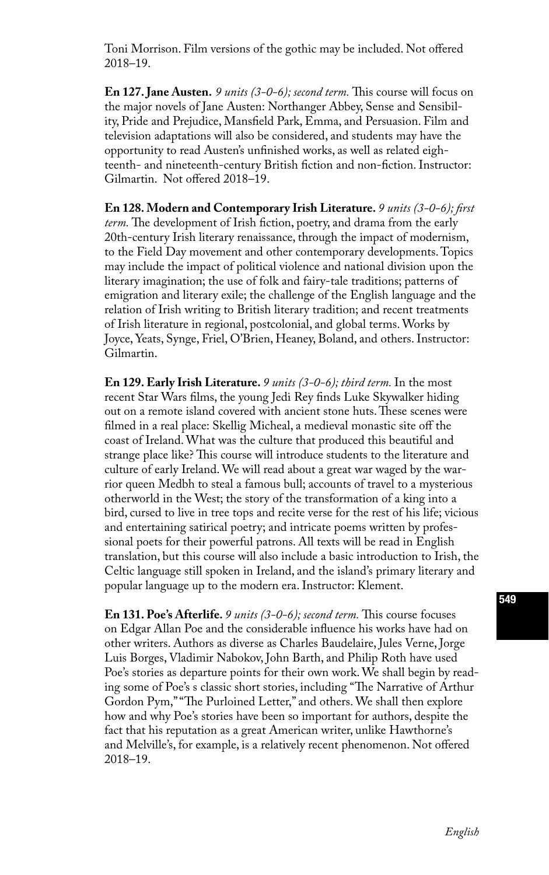Toni Morrison. Film versions of the gothic may be included. Not offered 2018–19.

**En 127. Jane Austen.** *9 units (3-0-6); second term.* This course will focus on the major novels of Jane Austen: Northanger Abbey, Sense and Sensibility, Pride and Prejudice, Mansfield Park, Emma, and Persuasion. Film and television adaptations will also be considered, and students may have the opportunity to read Austen's unfinished works, as well as related eighteenth- and nineteenth-century British fiction and non-fiction. Instructor: Gilmartin. Not offered 2018–19.

**En 128. Modern and Contemporary Irish Literature.** *9 units (3-0-6); first term.* The development of Irish fiction, poetry, and drama from the early 20th-century Irish literary renaissance, through the impact of modernism, to the Field Day movement and other contemporary developments. Topics may include the impact of political violence and national division upon the literary imagination; the use of folk and fairy-tale traditions; patterns of emigration and literary exile; the challenge of the English language and the relation of Irish writing to British literary tradition; and recent treatments of Irish literature in regional, postcolonial, and global terms. Works by Joyce, Yeats, Synge, Friel, O'Brien, Heaney, Boland, and others. Instructor: Gilmartin.

**En 129. Early Irish Literature.** *9 units (3-0-6); third term.* In the most recent Star Wars films, the young Jedi Rey finds Luke Skywalker hiding out on a remote island covered with ancient stone huts. These scenes were filmed in a real place: Skellig Micheal, a medieval monastic site off the coast of Ireland. What was the culture that produced this beautiful and strange place like? This course will introduce students to the literature and culture of early Ireland. We will read about a great war waged by the warrior queen Medbh to steal a famous bull; accounts of travel to a mysterious otherworld in the West; the story of the transformation of a king into a bird, cursed to live in tree tops and recite verse for the rest of his life; vicious and entertaining satirical poetry; and intricate poems written by professional poets for their powerful patrons. All texts will be read in English translation, but this course will also include a basic introduction to Irish, the Celtic language still spoken in Ireland, and the island's primary literary and popular language up to the modern era. Instructor: Klement.

**En 131. Poe's Afterlife.** *9 units (3-0-6); second term.* This course focuses on Edgar Allan Poe and the considerable influence his works have had on other writers. Authors as diverse as Charles Baudelaire, Jules Verne, Jorge Luis Borges, Vladimir Nabokov, John Barth, and Philip Roth have used Poe's stories as departure points for their own work. We shall begin by reading some of Poe's s classic short stories, including "The Narrative of Arthur Gordon Pym," "The Purloined Letter," and others. We shall then explore how and why Poe's stories have been so important for authors, despite the fact that his reputation as a great American writer, unlike Hawthorne's and Melville's, for example, is a relatively recent phenomenon. Not offered 2018–19.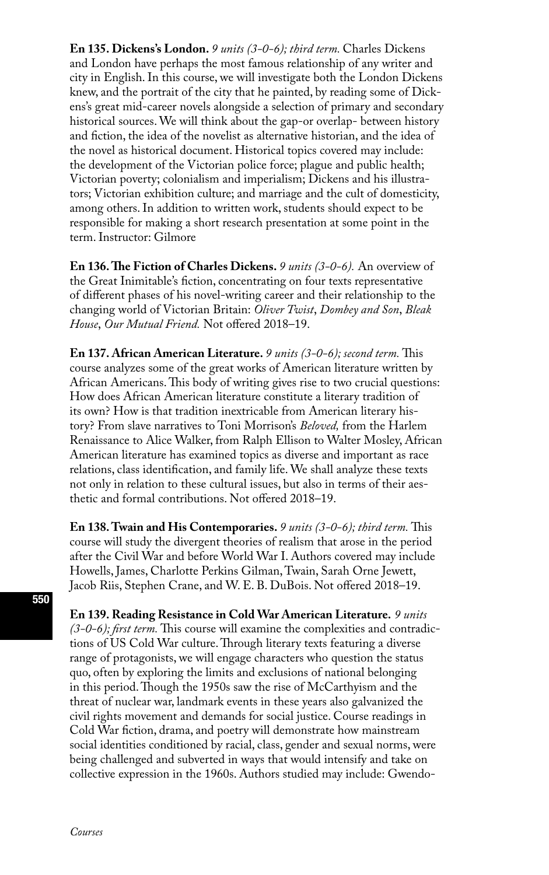**En 135. Dickens's London.** *9 units (3-0-6); third term.* Charles Dickens and London have perhaps the most famous relationship of any writer and city in English. In this course, we will investigate both the London Dickens knew, and the portrait of the city that he painted, by reading some of Dickens's great mid-career novels alongside a selection of primary and secondary historical sources. We will think about the gap-or overlap- between history and fiction, the idea of the novelist as alternative historian, and the idea of the novel as historical document. Historical topics covered may include: the development of the Victorian police force; plague and public health; Victorian poverty; colonialism and imperialism; Dickens and his illustrators; Victorian exhibition culture; and marriage and the cult of domesticity, among others. In addition to written work, students should expect to be responsible for making a short research presentation at some point in the term. Instructor: Gilmore

**En 136. The Fiction of Charles Dickens.** *9 units (3-0-6).* An overview of the Great Inimitable's fiction, concentrating on four texts representative of different phases of his novel-writing career and their relationship to the changing world of Victorian Britain: *Oliver Twist*, *Dombey and Son*, *Bleak House*, *Our Mutual Friend.* Not offered 2018–19.

**En 137. African American Literature.** *9 units (3-0-6); second term.* This course analyzes some of the great works of American literature written by African Americans. This body of writing gives rise to two crucial questions: How does African American literature constitute a literary tradition of its own? How is that tradition inextricable from American literary history? From slave narratives to Toni Morrison's *Beloved,* from the Harlem Renaissance to Alice Walker, from Ralph Ellison to Walter Mosley, African American literature has examined topics as diverse and important as race relations, class identification, and family life. We shall analyze these texts not only in relation to these cultural issues, but also in terms of their aesthetic and formal contributions. Not offered 2018–19.

**En 138. Twain and His Contemporaries.** *9 units (3-0-6); third term.* This course will study the divergent theories of realism that arose in the period after the Civil War and before World War I. Authors covered may include Howells, James, Charlotte Perkins Gilman, Twain, Sarah Orne Jewett, Jacob Riis, Stephen Crane, and W. E. B. DuBois. Not offered 2018–19.

**En 139. Reading Resistance in Cold War American Literature.** *9 units (3-0-6); first term.* This course will examine the complexities and contradictions of US Cold War culture. Through literary texts featuring a diverse range of protagonists, we will engage characters who question the status quo, often by exploring the limits and exclusions of national belonging in this period. Though the 1950s saw the rise of McCarthyism and the threat of nuclear war, landmark events in these years also galvanized the civil rights movement and demands for social justice. Course readings in Cold War fiction, drama, and poetry will demonstrate how mainstream social identities conditioned by racial, class, gender and sexual norms, were being challenged and subverted in ways that would intensify and take on collective expression in the 1960s. Authors studied may include: Gwendo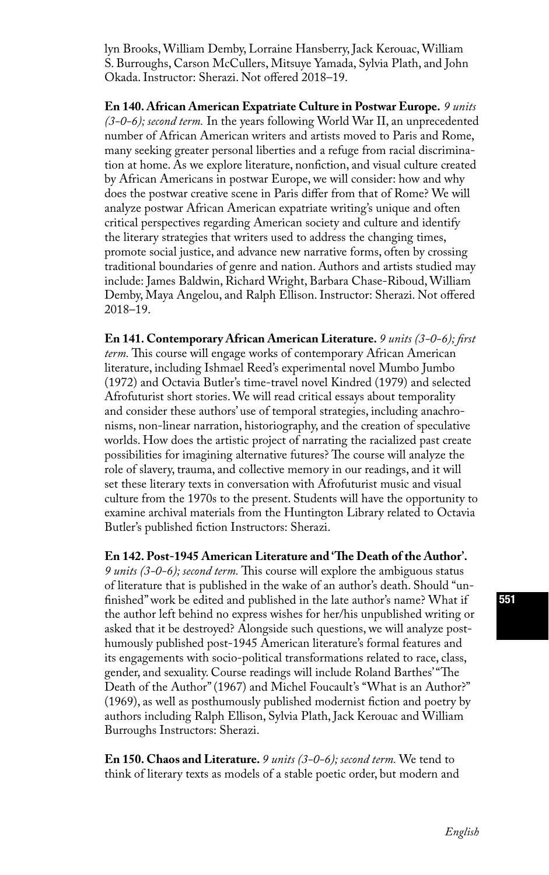lyn Brooks, William Demby, Lorraine Hansberry, Jack Kerouac, William S. Burroughs, Carson McCullers, Mitsuye Yamada, Sylvia Plath, and John Okada. Instructor: Sherazi. Not offered 2018–19.

**En 140. African American Expatriate Culture in Postwar Europe.** *9 units (3-0-6); second term.* In the years following World War II, an unprecedented number of African American writers and artists moved to Paris and Rome, many seeking greater personal liberties and a refuge from racial discrimination at home. As we explore literature, nonfiction, and visual culture created by African Americans in postwar Europe, we will consider: how and why does the postwar creative scene in Paris differ from that of Rome? We will analyze postwar African American expatriate writing's unique and often critical perspectives regarding American society and culture and identify the literary strategies that writers used to address the changing times, promote social justice, and advance new narrative forms, often by crossing traditional boundaries of genre and nation. Authors and artists studied may include: James Baldwin, Richard Wright, Barbara Chase-Riboud, William Demby, Maya Angelou, and Ralph Ellison. Instructor: Sherazi. Not offered 2018–19.

**En 141. Contemporary African American Literature.** *9 units (3-0-6); first term.* This course will engage works of contemporary African American literature, including Ishmael Reed's experimental novel Mumbo Jumbo (1972) and Octavia Butler's time-travel novel Kindred (1979) and selected Afrofuturist short stories. We will read critical essays about temporality and consider these authors' use of temporal strategies, including anachronisms, non-linear narration, historiography, and the creation of speculative worlds. How does the artistic project of narrating the racialized past create possibilities for imagining alternative futures? The course will analyze the role of slavery, trauma, and collective memory in our readings, and it will set these literary texts in conversation with Afrofuturist music and visual culture from the 1970s to the present. Students will have the opportunity to examine archival materials from the Huntington Library related to Octavia Butler's published fiction Instructors: Sherazi.

**En 142. Post-1945 American Literature and 'The Death of the Author'.**  *9 units (3-0-6); second term.* This course will explore the ambiguous status of literature that is published in the wake of an author's death. Should "unfinished" work be edited and published in the late author's name? What if the author left behind no express wishes for her/his unpublished writing or asked that it be destroyed? Alongside such questions, we will analyze posthumously published post-1945 American literature's formal features and its engagements with socio-political transformations related to race, class, gender, and sexuality. Course readings will include Roland Barthes' "The Death of the Author" (1967) and Michel Foucault's "What is an Author?" (1969), as well as posthumously published modernist fiction and poetry by authors including Ralph Ellison, Sylvia Plath, Jack Kerouac and William Burroughs Instructors: Sherazi.

**En 150. Chaos and Literature.** *9 units (3-0-6); second term.* We tend to think of literary texts as models of a stable poetic order, but modern and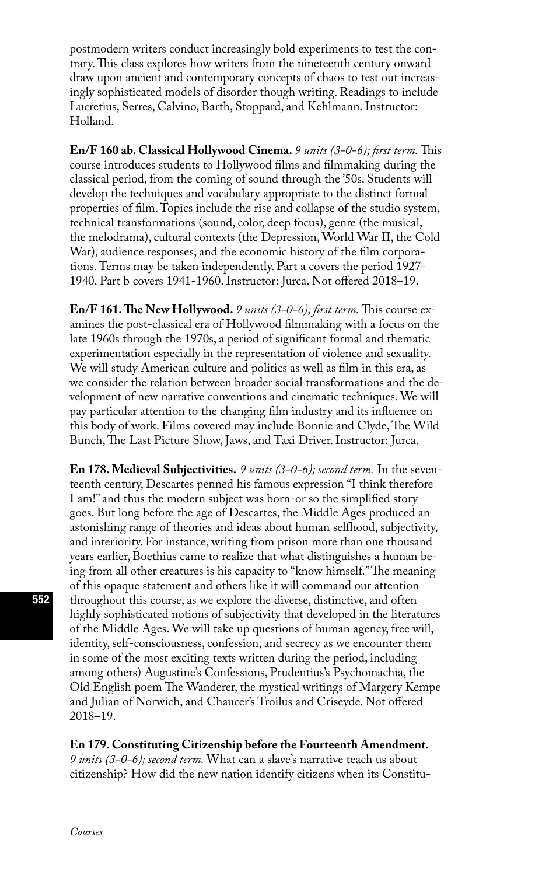postmodern writers conduct increasingly bold experiments to test the contrary. This class explores how writers from the nineteenth century onward draw upon ancient and contemporary concepts of chaos to test out increasingly sophisticated models of disorder though writing. Readings to include Lucretius, Serres, Calvino, Barth, Stoppard, and Kehlmann. Instructor: Holland.

**En/F 160 ab. Classical Hollywood Cinema.** *9 units (3-0-6); first term.* This course introduces students to Hollywood films and filmmaking during the classical period, from the coming of sound through the '50s. Students will develop the techniques and vocabulary appropriate to the distinct formal properties of film. Topics include the rise and collapse of the studio system, technical transformations (sound, color, deep focus), genre (the musical, the melodrama), cultural contexts (the Depression, World War II, the Cold War), audience responses, and the economic history of the film corporations. Terms may be taken independently. Part a covers the period 1927- 1940. Part b covers 1941-1960. Instructor: Jurca. Not offered 2018–19.

**En/F 161. The New Hollywood.** *9 units (3-0-6); first term.* This course examines the post-classical era of Hollywood filmmaking with a focus on the late 1960s through the 1970s, a period of significant formal and thematic experimentation especially in the representation of violence and sexuality. We will study American culture and politics as well as film in this era, as we consider the relation between broader social transformations and the development of new narrative conventions and cinematic techniques. We will pay particular attention to the changing film industry and its influence on this body of work. Films covered may include Bonnie and Clyde, The Wild Bunch, The Last Picture Show, Jaws, and Taxi Driver. Instructor: Jurca.

**En 178. Medieval Subjectivities.** *9 units (3-0-6); second term.* In the seventeenth century, Descartes penned his famous expression "I think therefore I am!" and thus the modern subject was born-or so the simplified story goes. But long before the age of Descartes, the Middle Ages produced an astonishing range of theories and ideas about human selfhood, subjectivity, and interiority. For instance, writing from prison more than one thousand years earlier, Boethius came to realize that what distinguishes a human being from all other creatures is his capacity to "know himself." The meaning of this opaque statement and others like it will command our attention throughout this course, as we explore the diverse, distinctive, and often highly sophisticated notions of subjectivity that developed in the literatures of the Middle Ages. We will take up questions of human agency, free will, identity, self-consciousness, confession, and secrecy as we encounter them in some of the most exciting texts written during the period, including among others) Augustine's Confessions, Prudentius's Psychomachia, the Old English poem The Wanderer, the mystical writings of Margery Kempe and Julian of Norwich, and Chaucer's Troilus and Criseyde. Not offered 2018–19.

#### **En 179. Constituting Citizenship before the Fourteenth Amendment.**

*9 units (3-0-6); second term.* What can a slave's narrative teach us about citizenship? How did the new nation identify citizens when its Constitu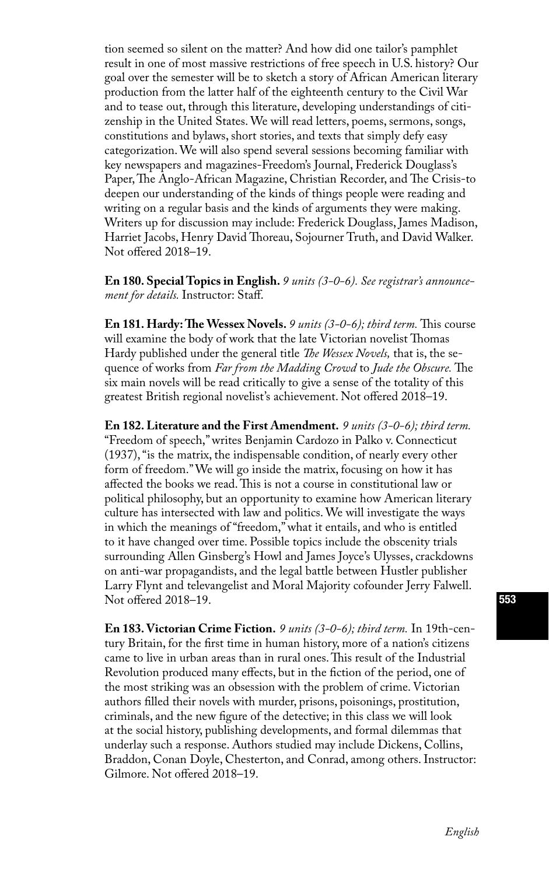tion seemed so silent on the matter? And how did one tailor's pamphlet result in one of most massive restrictions of free speech in U.S. history? Our goal over the semester will be to sketch a story of African American literary production from the latter half of the eighteenth century to the Civil War and to tease out, through this literature, developing understandings of citizenship in the United States. We will read letters, poems, sermons, songs, constitutions and bylaws, short stories, and texts that simply defy easy categorization. We will also spend several sessions becoming familiar with key newspapers and magazines-Freedom's Journal, Frederick Douglass's Paper, The Anglo-African Magazine, Christian Recorder, and The Crisis-to deepen our understanding of the kinds of things people were reading and writing on a regular basis and the kinds of arguments they were making. Writers up for discussion may include: Frederick Douglass, James Madison, Harriet Jacobs, Henry David Thoreau, Sojourner Truth, and David Walker. Not offered 2018–19.

**En 180. Special Topics in English.** *9 units (3-0-6). See registrar's announcement for details.* Instructor: Staff.

**En 181. Hardy: The Wessex Novels.** *9 units (3-0-6); third term.* This course will examine the body of work that the late Victorian novelist Thomas Hardy published under the general title *The Wessex Novels,* that is, the sequence of works from *Far from the Madding Crowd* to *Jude the Obscure.* The six main novels will be read critically to give a sense of the totality of this greatest British regional novelist's achievement. Not offered 2018–19.

**En 182. Literature and the First Amendment.** *9 units (3-0-6); third term.* "Freedom of speech," writes Benjamin Cardozo in Palko v. Connecticut (1937), "is the matrix, the indispensable condition, of nearly every other form of freedom." We will go inside the matrix, focusing on how it has affected the books we read. This is not a course in constitutional law or political philosophy, but an opportunity to examine how American literary culture has intersected with law and politics. We will investigate the ways in which the meanings of "freedom," what it entails, and who is entitled to it have changed over time. Possible topics include the obscenity trials surrounding Allen Ginsberg's Howl and James Joyce's Ulysses, crackdowns on anti-war propagandists, and the legal battle between Hustler publisher Larry Flynt and televangelist and Moral Majority cofounder Jerry Falwell. Not offered 2018–19.

**En 183. Victorian Crime Fiction.** *9 units (3-0-6); third term.* In 19th-century Britain, for the first time in human history, more of a nation's citizens came to live in urban areas than in rural ones. This result of the Industrial Revolution produced many effects, but in the fiction of the period, one of the most striking was an obsession with the problem of crime. Victorian authors filled their novels with murder, prisons, poisonings, prostitution, criminals, and the new figure of the detective; in this class we will look at the social history, publishing developments, and formal dilemmas that underlay such a response. Authors studied may include Dickens, Collins, Braddon, Conan Doyle, Chesterton, and Conrad, among others. Instructor: Gilmore. Not offered 2018–19.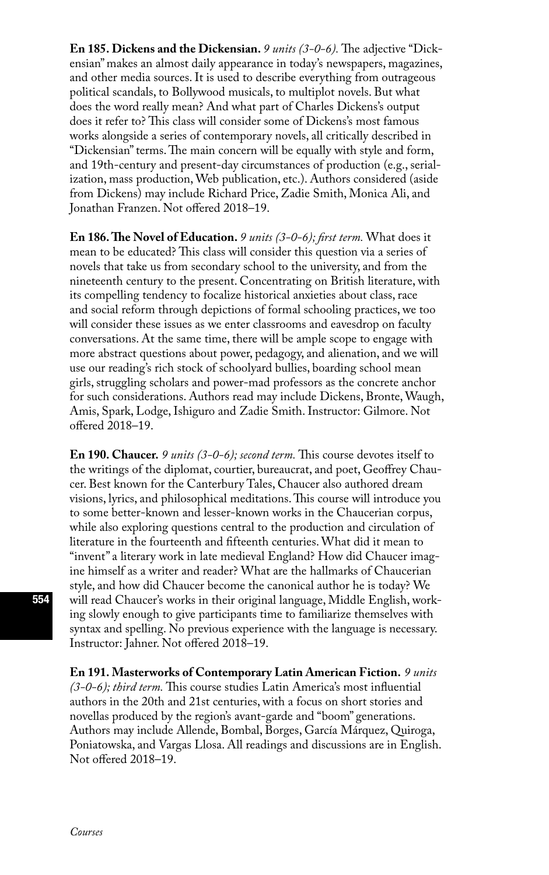**En 185. Dickens and the Dickensian.** *9 units (3-0-6).* The adjective "Dickensian" makes an almost daily appearance in today's newspapers, magazines, and other media sources. It is used to describe everything from outrageous political scandals, to Bollywood musicals, to multiplot novels. But what does the word really mean? And what part of Charles Dickens's output does it refer to? This class will consider some of Dickens's most famous works alongside a series of contemporary novels, all critically described in "Dickensian" terms. The main concern will be equally with style and form, and 19th-century and present-day circumstances of production (e.g., serialization, mass production, Web publication, etc.). Authors considered (aside from Dickens) may include Richard Price, Zadie Smith, Monica Ali, and Jonathan Franzen. Not offered 2018–19.

**En 186. The Novel of Education.** *9 units (3-0-6); first term.* What does it mean to be educated? This class will consider this question via a series of novels that take us from secondary school to the university, and from the nineteenth century to the present. Concentrating on British literature, with its compelling tendency to focalize historical anxieties about class, race and social reform through depictions of formal schooling practices, we too will consider these issues as we enter classrooms and eavesdrop on faculty conversations. At the same time, there will be ample scope to engage with more abstract questions about power, pedagogy, and alienation, and we will use our reading's rich stock of schoolyard bullies, boarding school mean girls, struggling scholars and power-mad professors as the concrete anchor for such considerations. Authors read may include Dickens, Bronte, Waugh, Amis, Spark, Lodge, Ishiguro and Zadie Smith. Instructor: Gilmore. Not offered 2018–19.

**En 190. Chaucer.** *9 units (3-0-6); second term.* This course devotes itself to the writings of the diplomat, courtier, bureaucrat, and poet, Geoffrey Chaucer. Best known for the Canterbury Tales, Chaucer also authored dream visions, lyrics, and philosophical meditations. This course will introduce you to some better-known and lesser-known works in the Chaucerian corpus, while also exploring questions central to the production and circulation of literature in the fourteenth and fifteenth centuries. What did it mean to "invent" a literary work in late medieval England? How did Chaucer imagine himself as a writer and reader? What are the hallmarks of Chaucerian style, and how did Chaucer become the canonical author he is today? We will read Chaucer's works in their original language, Middle English, working slowly enough to give participants time to familiarize themselves with syntax and spelling. No previous experience with the language is necessary. Instructor: Jahner. Not offered 2018–19.

**En 191. Masterworks of Contemporary Latin American Fiction.** *9 units (3-0-6); third term.* This course studies Latin America's most influential authors in the 20th and 21st centuries, with a focus on short stories and novellas produced by the region's avant-garde and "boom" generations. Authors may include Allende, Bombal, Borges, García Márquez, Quiroga, Poniatowska, and Vargas Llosa. All readings and discussions are in English. Not offered 2018–19.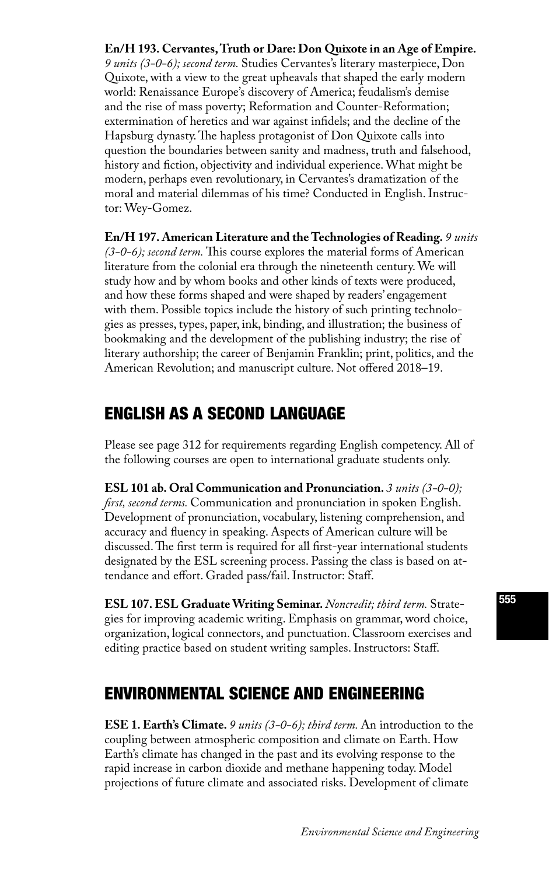### **En/H 193. Cervantes, Truth or Dare: Don Quixote in an Age of Empire.**

*9 units (3-0-6); second term.* Studies Cervantes's literary masterpiece, Don Quixote, with a view to the great upheavals that shaped the early modern world: Renaissance Europe's discovery of America; feudalism's demise and the rise of mass poverty; Reformation and Counter-Reformation; extermination of heretics and war against infidels; and the decline of the Hapsburg dynasty. The hapless protagonist of Don Quixote calls into question the boundaries between sanity and madness, truth and falsehood, history and fiction, objectivity and individual experience. What might be modern, perhaps even revolutionary, in Cervantes's dramatization of the moral and material dilemmas of his time? Conducted in English. Instructor: Wey-Gomez.

**En/H 197. American Literature and the Technologies of Reading.** *9 units (3-0-6); second term.* This course explores the material forms of American literature from the colonial era through the nineteenth century. We will study how and by whom books and other kinds of texts were produced, and how these forms shaped and were shaped by readers' engagement with them. Possible topics include the history of such printing technologies as presses, types, paper, ink, binding, and illustration; the business of bookmaking and the development of the publishing industry; the rise of literary authorship; the career of Benjamin Franklin; print, politics, and the American Revolution; and manuscript culture. Not offered 2018–19.

# ENGLISH AS A SECOND LANGUAGE

Please see page 312 for requirements regarding English competency. All of the following courses are open to international graduate students only.

**ESL 101 ab. Oral Communication and Pronunciation.** *3 units (3-0-0); first, second terms.* Communication and pronunciation in spoken English. Development of pronunciation, vocabulary, listening comprehension, and accuracy and fluency in speaking. Aspects of American culture will be discussed. The first term is required for all first-year international students designated by the ESL screening process. Passing the class is based on attendance and effort. Graded pass/fail. Instructor: Staff.

**ESL 107. ESL Graduate Writing Seminar.** *Noncredit; third term.* Strategies for improving academic writing. Emphasis on grammar, word choice, organization, logical connectors, and punctuation. Classroom exercises and editing practice based on student writing samples. Instructors: Staff.

# ENVIRONMENTAL SCIENCE AND ENGINEERING

**ESE 1. Earth's Climate.** *9 units (3-0-6); third term.* An introduction to the coupling between atmospheric composition and climate on Earth. How Earth's climate has changed in the past and its evolving response to the rapid increase in carbon dioxide and methane happening today. Model projections of future climate and associated risks. Development of climate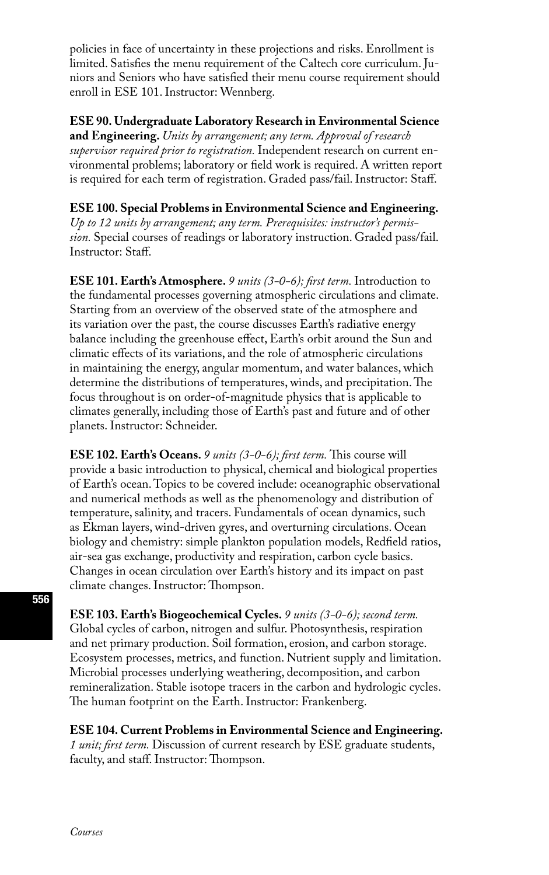policies in face of uncertainty in these projections and risks. Enrollment is limited. Satisfies the menu requirement of the Caltech core curriculum. Juniors and Seniors who have satisfied their menu course requirement should enroll in ESE 101. Instructor: Wennberg.

### **ESE 90. Undergraduate Laboratory Research in Environmental Science**

**and Engineering.** *Units by arrangement; any term. Approval of research supervisor required prior to registration.* Independent research on current environmental problems; laboratory or field work is required. A written report is required for each term of registration. Graded pass/fail. Instructor: Staff.

### **ESE 100. Special Problems in Environmental Science and Engineering.**

*Up to 12 units by arrangement; any term. Prerequisites: instructor's permission.* Special courses of readings or laboratory instruction. Graded pass/fail. Instructor: Staff.

**ESE 101. Earth's Atmosphere.** *9 units (3-0-6); first term.* Introduction to the fundamental processes governing atmospheric circulations and climate. Starting from an overview of the observed state of the atmosphere and its variation over the past, the course discusses Earth's radiative energy balance including the greenhouse effect, Earth's orbit around the Sun and climatic effects of its variations, and the role of atmospheric circulations in maintaining the energy, angular momentum, and water balances, which determine the distributions of temperatures, winds, and precipitation. The focus throughout is on order-of-magnitude physics that is applicable to climates generally, including those of Earth's past and future and of other planets. Instructor: Schneider.

**ESE 102. Earth's Oceans.** *9 units (3-0-6); first term.* This course will provide a basic introduction to physical, chemical and biological properties of Earth's ocean. Topics to be covered include: oceanographic observational and numerical methods as well as the phenomenology and distribution of temperature, salinity, and tracers. Fundamentals of ocean dynamics, such as Ekman layers, wind-driven gyres, and overturning circulations. Ocean biology and chemistry: simple plankton population models, Redfield ratios, air-sea gas exchange, productivity and respiration, carbon cycle basics. Changes in ocean circulation over Earth's history and its impact on past climate changes. Instructor: Thompson.

**ESE 103. Earth's Biogeochemical Cycles.** *9 units (3-0-6); second term.*  Global cycles of carbon, nitrogen and sulfur. Photosynthesis, respiration and net primary production. Soil formation, erosion, and carbon storage. Ecosystem processes, metrics, and function. Nutrient supply and limitation. Microbial processes underlying weathering, decomposition, and carbon remineralization. Stable isotope tracers in the carbon and hydrologic cycles. The human footprint on the Earth. Instructor: Frankenberg.

**ESE 104. Current Problems in Environmental Science and Engineering.**  *1 unit; first term.* Discussion of current research by ESE graduate students, faculty, and staff. Instructor: Thompson.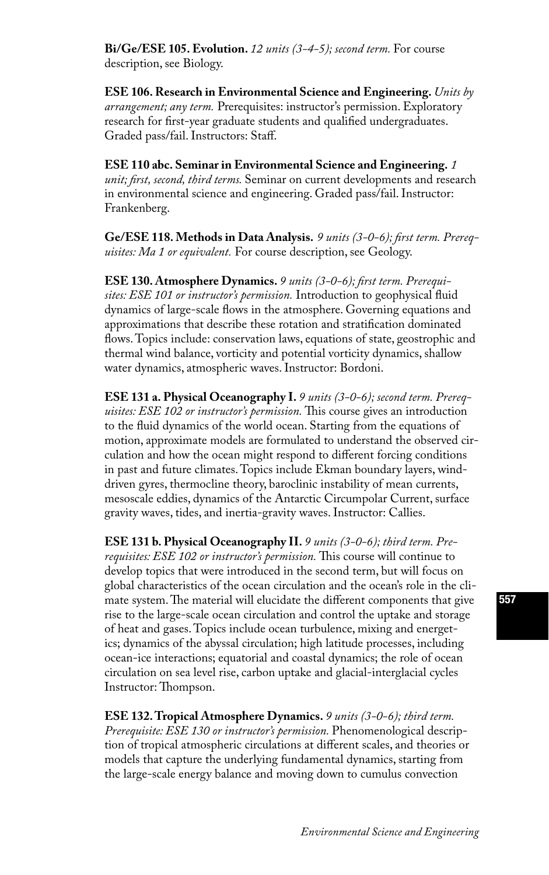**Bi/Ge/ESE 105. Evolution.** *12 units (3-4-5); second term.* For course description, see Biology.

**ESE 106. Research in Environmental Science and Engineering.** *Units by arrangement; any term.* Prerequisites: instructor's permission. Exploratory research for first-year graduate students and qualified undergraduates. Graded pass/fail. Instructors: Staff.

**ESE 110 abc. Seminar in Environmental Science and Engineering.** *1 unit; first, second, third terms.* Seminar on current developments and research in environmental science and engineering. Graded pass/fail. Instructor: Frankenberg.

**Ge/ESE 118. Methods in Data Analysis.** *9 units (3-0-6); first term. Prerequisites: Ma 1 or equivalent.* For course description, see Geology.

**ESE 130. Atmosphere Dynamics.** *9 units (3-0-6); first term. Prerequisites: ESE 101 or instructor's permission.* Introduction to geophysical fluid dynamics of large-scale flows in the atmosphere. Governing equations and approximations that describe these rotation and stratification dominated flows. Topics include: conservation laws, equations of state, geostrophic and thermal wind balance, vorticity and potential vorticity dynamics, shallow water dynamics, atmospheric waves. Instructor: Bordoni.

**ESE 131 a. Physical Oceanography I.** *9 units (3-0-6); second term. Prerequisites: ESE 102 or instructor's permission.* This course gives an introduction to the fluid dynamics of the world ocean. Starting from the equations of motion, approximate models are formulated to understand the observed circulation and how the ocean might respond to different forcing conditions in past and future climates. Topics include Ekman boundary layers, winddriven gyres, thermocline theory, baroclinic instability of mean currents, mesoscale eddies, dynamics of the Antarctic Circumpolar Current, surface gravity waves, tides, and inertia-gravity waves. Instructor: Callies.

**ESE 131 b. Physical Oceanography II.** *9 units (3-0-6); third term. Prerequisites: ESE 102 or instructor's permission.* This course will continue to develop topics that were introduced in the second term, but will focus on global characteristics of the ocean circulation and the ocean's role in the climate system. The material will elucidate the different components that give rise to the large-scale ocean circulation and control the uptake and storage of heat and gases. Topics include ocean turbulence, mixing and energetics; dynamics of the abyssal circulation; high latitude processes, including ocean-ice interactions; equatorial and coastal dynamics; the role of ocean circulation on sea level rise, carbon uptake and glacial-interglacial cycles Instructor: Thompson.

**ESE 132. Tropical Atmosphere Dynamics.** *9 units (3-0-6); third term. Prerequisite: ESE 130 or instructor's permission.* Phenomenological description of tropical atmospheric circulations at different scales, and theories or models that capture the underlying fundamental dynamics, starting from the large-scale energy balance and moving down to cumulus convection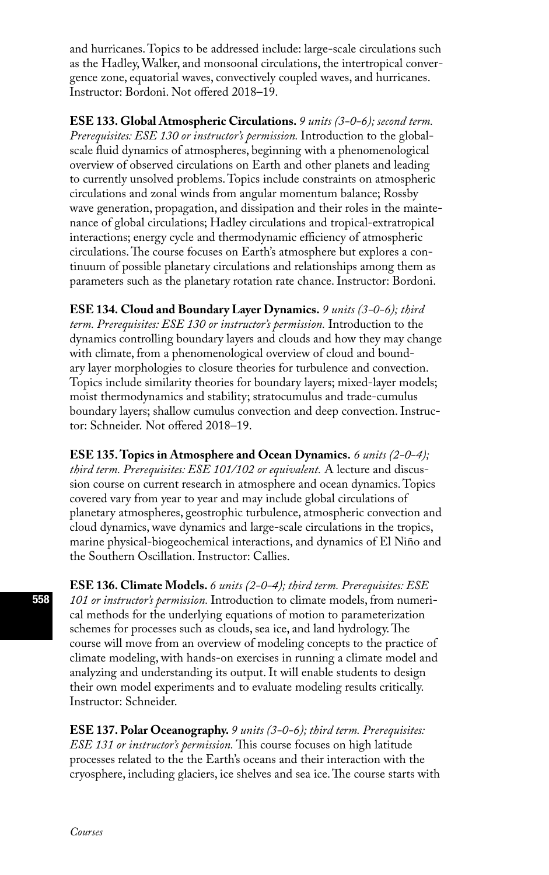and hurricanes. Topics to be addressed include: large-scale circulations such as the Hadley, Walker, and monsoonal circulations, the intertropical convergence zone, equatorial waves, convectively coupled waves, and hurricanes. Instructor: Bordoni. Not offered 2018–19.

**ESE 133. Global Atmospheric Circulations.** *9 units (3-0-6); second term. Prerequisites: ESE 130 or instructor's permission.* Introduction to the globalscale fluid dynamics of atmospheres, beginning with a phenomenological overview of observed circulations on Earth and other planets and leading to currently unsolved problems. Topics include constraints on atmospheric circulations and zonal winds from angular momentum balance; Rossby wave generation, propagation, and dissipation and their roles in the maintenance of global circulations; Hadley circulations and tropical-extratropical interactions; energy cycle and thermodynamic efficiency of atmospheric circulations. The course focuses on Earth's atmosphere but explores a continuum of possible planetary circulations and relationships among them as parameters such as the planetary rotation rate chance. Instructor: Bordoni.

**ESE 134. Cloud and Boundary Layer Dynamics.** *9 units (3-0-6); third term. Prerequisites: ESE 130 or instructor's permission.* Introduction to the dynamics controlling boundary layers and clouds and how they may change with climate, from a phenomenological overview of cloud and boundary layer morphologies to closure theories for turbulence and convection. Topics include similarity theories for boundary layers; mixed-layer models; moist thermodynamics and stability; stratocumulus and trade-cumulus boundary layers; shallow cumulus convection and deep convection. Instructor: Schneider. Not offered 2018–19.

**ESE 135. Topics in Atmosphere and Ocean Dynamics.** *6 units (2-0-4); third term. Prerequisites: ESE 101/102 or equivalent.* A lecture and discussion course on current research in atmosphere and ocean dynamics. Topics covered vary from year to year and may include global circulations of planetary atmospheres, geostrophic turbulence, atmospheric convection and cloud dynamics, wave dynamics and large-scale circulations in the tropics, marine physical-biogeochemical interactions, and dynamics of El Niño and the Southern Oscillation. Instructor: Callies.

**ESE 136. Climate Models.** *6 units (2-0-4); third term. Prerequisites: ESE 101 or instructor's permission.* Introduction to climate models, from numerical methods for the underlying equations of motion to parameterization schemes for processes such as clouds, sea ice, and land hydrology. The course will move from an overview of modeling concepts to the practice of climate modeling, with hands-on exercises in running a climate model and analyzing and understanding its output. It will enable students to design their own model experiments and to evaluate modeling results critically. Instructor: Schneider.

**ESE 137. Polar Oceanography.** *9 units (3-0-6); third term. Prerequisites: ESE 131 or instructor's permission.* This course focuses on high latitude processes related to the the Earth's oceans and their interaction with the cryosphere, including glaciers, ice shelves and sea ice. The course starts with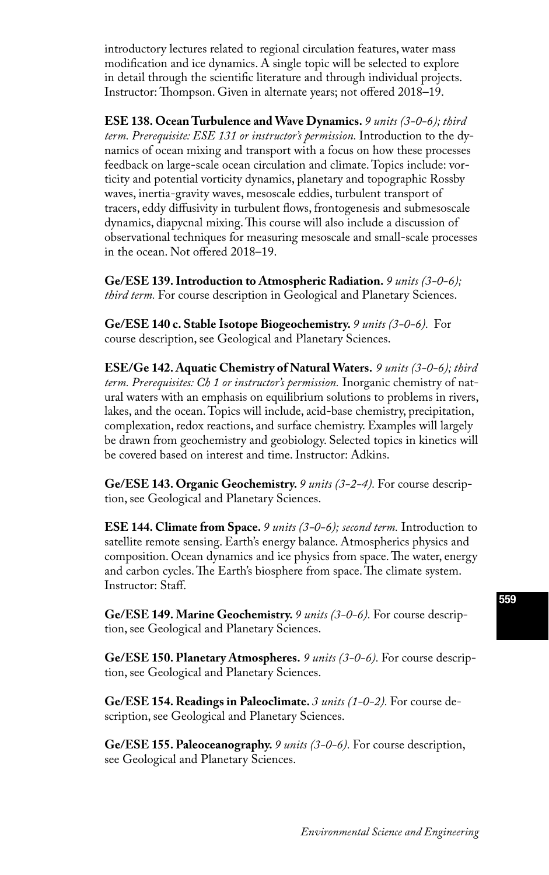introductory lectures related to regional circulation features, water mass modification and ice dynamics. A single topic will be selected to explore in detail through the scientific literature and through individual projects. Instructor: Thompson. Given in alternate years; not offered 2018–19.

**ESE 138. Ocean Turbulence and Wave Dynamics.** *9 units (3-0-6); third term. Prerequisite: ESE 131 or instructor's permission.* Introduction to the dynamics of ocean mixing and transport with a focus on how these processes feedback on large-scale ocean circulation and climate. Topics include: vorticity and potential vorticity dynamics, planetary and topographic Rossby waves, inertia-gravity waves, mesoscale eddies, turbulent transport of tracers, eddy diffusivity in turbulent flows, frontogenesis and submesoscale dynamics, diapycnal mixing. This course will also include a discussion of observational techniques for measuring mesoscale and small-scale processes in the ocean. Not offered 2018–19.

**Ge/ESE 139. Introduction to Atmospheric Radiation.** *9 units (3-0-6); third term.* For course description in Geological and Planetary Sciences.

**Ge/ESE 140 c. Stable Isotope Biogeochemistry.** *9 units (3-0-6).* For course description, see Geological and Planetary Sciences.

**ESE/Ge 142. Aquatic Chemistry of Natural Waters.** *9 units (3-0-6); third term. Prerequisites: Ch 1 or instructor's permission.* Inorganic chemistry of natural waters with an emphasis on equilibrium solutions to problems in rivers, lakes, and the ocean. Topics will include, acid-base chemistry, precipitation, complexation, redox reactions, and surface chemistry. Examples will largely be drawn from geochemistry and geobiology. Selected topics in kinetics will be covered based on interest and time. Instructor: Adkins.

**Ge/ESE 143. Organic Geochemistry.** *9 units (3-2-4).* For course description, see Geological and Planetary Sciences.

**ESE 144. Climate from Space.** *9 units (3-0-6); second term.* Introduction to satellite remote sensing. Earth's energy balance. Atmospherics physics and composition. Ocean dynamics and ice physics from space. The water, energy and carbon cycles. The Earth's biosphere from space. The climate system. Instructor: Staff.

**Ge/ESE 149. Marine Geochemistry.** *9 units (3-0-6).* For course description, see Geological and Planetary Sciences.

**Ge/ESE 150. Planetary Atmospheres.** *9 units (3-0-6).* For course description, see Geological and Planetary Sciences.

**Ge/ESE 154. Readings in Paleoclimate.** *3 units (1-0-2).* For course description, see Geological and Planetary Sciences.

**Ge/ESE 155. Paleoceanography.** *9 units (3-0-6).* For course description, see Geological and Planetary Sciences.

### 559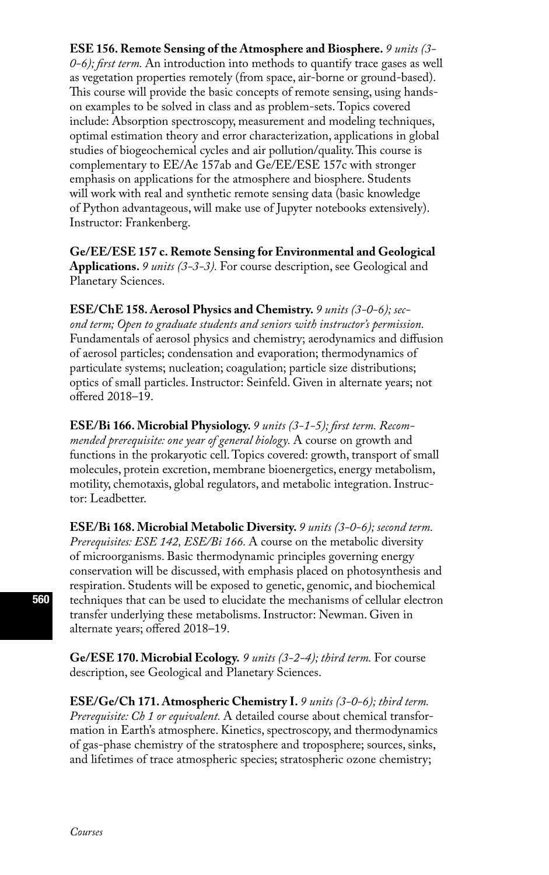**ESE 156. Remote Sensing of the Atmosphere and Biosphere.** *9 units (3- 0-6); first term.* An introduction into methods to quantify trace gases as well as vegetation properties remotely (from space, air-borne or ground-based). This course will provide the basic concepts of remote sensing, using handson examples to be solved in class and as problem-sets. Topics covered include: Absorption spectroscopy, measurement and modeling techniques, optimal estimation theory and error characterization, applications in global studies of biogeochemical cycles and air pollution/quality. This course is complementary to EE/Ae 157ab and Ge/EE/ESE 157c with stronger emphasis on applications for the atmosphere and biosphere. Students will work with real and synthetic remote sensing data (basic knowledge of Python advantageous, will make use of Jupyter notebooks extensively). Instructor: Frankenberg.

**Ge/EE/ESE 157 c. Remote Sensing for Environmental and Geological Applications.** *9 units (3-3-3).* For course description, see Geological and Planetary Sciences.

**ESE/ChE 158. Aerosol Physics and Chemistry.** *9 units (3-0-6); second term; Open to graduate students and seniors with instructor's permission.*  Fundamentals of aerosol physics and chemistry; aerodynamics and diffusion of aerosol particles; condensation and evaporation; thermodynamics of particulate systems; nucleation; coagulation; particle size distributions; optics of small particles. Instructor: Seinfeld. Given in alternate years; not offered 2018–19.

**ESE/Bi 166. Microbial Physiology.** *9 units (3-1-5); first term. Recommended prerequisite: one year of general biology.* A course on growth and functions in the prokaryotic cell. Topics covered: growth, transport of small molecules, protein excretion, membrane bioenergetics, energy metabolism, motility, chemotaxis, global regulators, and metabolic integration. Instructor: Leadbetter.

**ESE/Bi 168. Microbial Metabolic Diversity.** *9 units (3-0-6); second term. Prerequisites: ESE 142, ESE/Bi 166.* A course on the metabolic diversity of microorganisms. Basic thermodynamic principles governing energy conservation will be discussed, with emphasis placed on photosynthesis and respiration. Students will be exposed to genetic, genomic, and biochemical techniques that can be used to elucidate the mechanisms of cellular electron transfer underlying these metabolisms. Instructor: Newman. Given in alternate years; offered 2018–19.

**Ge/ESE 170. Microbial Ecology.** *9 units (3-2-4); third term.* For course description, see Geological and Planetary Sciences.

**ESE/Ge/Ch 171. Atmospheric Chemistry I.** *9 units (3-0-6); third term. Prerequisite: Ch 1 or equivalent.* A detailed course about chemical transformation in Earth's atmosphere. Kinetics, spectroscopy, and thermodynamics of gas-phase chemistry of the stratosphere and troposphere; sources, sinks, and lifetimes of trace atmospheric species; stratospheric ozone chemistry;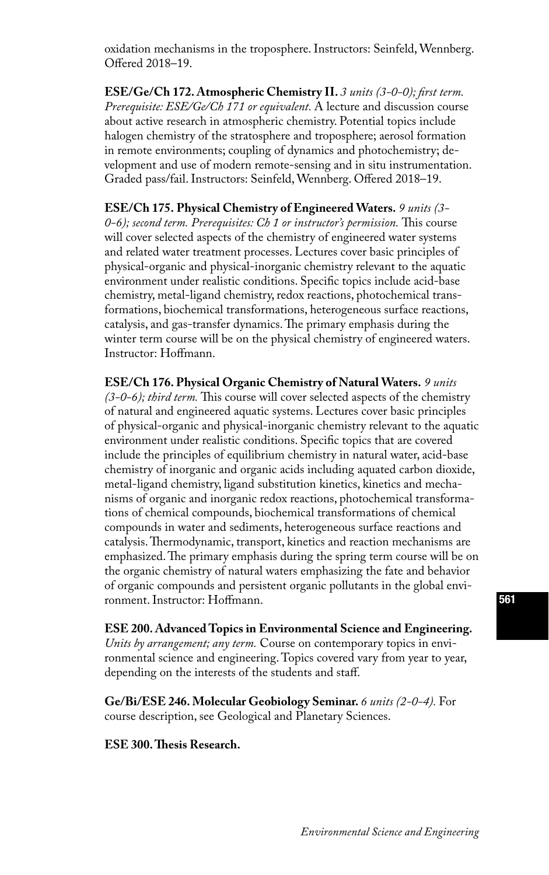oxidation mechanisms in the troposphere. Instructors: Seinfeld, Wennberg. Offered 2018–19.

**ESE/Ge/Ch 172. Atmospheric Chemistry II.** *3 units (3-0-0); first term. Prerequisite: ESE/Ge/Ch 171 or equivalent.* A lecture and discussion course about active research in atmospheric chemistry. Potential topics include halogen chemistry of the stratosphere and troposphere; aerosol formation in remote environments; coupling of dynamics and photochemistry; development and use of modern remote-sensing and in situ instrumentation. Graded pass/fail. Instructors: Seinfeld, Wennberg. Offered 2018–19.

**ESE/Ch 175. Physical Chemistry of Engineered Waters.** *9 units (3- 0-6); second term. Prerequisites: Ch 1 or instructor's permission.* This course will cover selected aspects of the chemistry of engineered water systems and related water treatment processes. Lectures cover basic principles of physical-organic and physical-inorganic chemistry relevant to the aquatic environment under realistic conditions. Specific topics include acid-base chemistry, metal-ligand chemistry, redox reactions, photochemical transformations, biochemical transformations, heterogeneous surface reactions, catalysis, and gas-transfer dynamics. The primary emphasis during the winter term course will be on the physical chemistry of engineered waters. Instructor: Hoffmann.

**ESE/Ch 176. Physical Organic Chemistry of Natural Waters.** *9 units (3-0-6); third term.* This course will cover selected aspects of the chemistry of natural and engineered aquatic systems. Lectures cover basic principles of physical-organic and physical-inorganic chemistry relevant to the aquatic environment under realistic conditions. Specific topics that are covered include the principles of equilibrium chemistry in natural water, acid-base chemistry of inorganic and organic acids including aquated carbon dioxide, metal-ligand chemistry, ligand substitution kinetics, kinetics and mechanisms of organic and inorganic redox reactions, photochemical transformations of chemical compounds, biochemical transformations of chemical compounds in water and sediments, heterogeneous surface reactions and catalysis. Thermodynamic, transport, kinetics and reaction mechanisms are emphasized. The primary emphasis during the spring term course will be on the organic chemistry of natural waters emphasizing the fate and behavior of organic compounds and persistent organic pollutants in the global environment. Instructor: Hoffmann.

**ESE 200. Advanced Topics in Environmental Science and Engineering.**  *Units by arrangement; any term.* Course on contemporary topics in environmental science and engineering. Topics covered vary from year to year, depending on the interests of the students and staff.

**Ge/Bi/ESE 246. Molecular Geobiology Seminar.** *6 units (2-0-4).* For course description, see Geological and Planetary Sciences.

**ESE 300. Thesis Research.**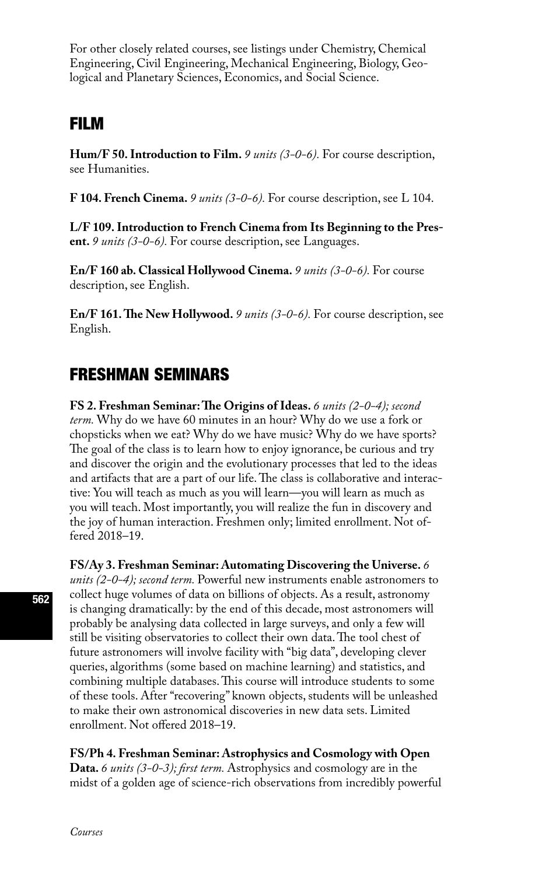For other closely related courses, see listings under Chemistry, Chemical Engineering, Civil Engineering, Mechanical Engineering, Biology, Geological and Planetary Sciences, Economics, and Social Science.

# FILM

**Hum/F 50. Introduction to Film.** *9 units (3-0-6).* For course description, see Humanities.

**F 104. French Cinema.** *9 units (3-0-6).* For course description, see L 104.

**L/F 109. Introduction to French Cinema from Its Beginning to the Present.** *9 units (3-0-6).* For course description, see Languages.

**En/F 160 ab. Classical Hollywood Cinema.** *9 units (3-0-6).* For course description, see English.

**En/F 161. The New Hollywood.** *9 units (3-0-6).* For course description, see English.

# FRESHMAN SEMINARS

**FS 2. Freshman Seminar: The Origins of Ideas.** *6 units (2-0-4); second term.* Why do we have 60 minutes in an hour? Why do we use a fork or chopsticks when we eat? Why do we have music? Why do we have sports? The goal of the class is to learn how to enjoy ignorance, be curious and try and discover the origin and the evolutionary processes that led to the ideas and artifacts that are a part of our life. The class is collaborative and interactive: You will teach as much as you will learn—you will learn as much as you will teach. Most importantly, you will realize the fun in discovery and the joy of human interaction. Freshmen only; limited enrollment. Not offered 2018–19.

**FS/Ay 3. Freshman Seminar: Automating Discovering the Universe.** *6 units (2-0-4); second term.* Powerful new instruments enable astronomers to collect huge volumes of data on billions of objects. As a result, astronomy is changing dramatically: by the end of this decade, most astronomers will probably be analysing data collected in large surveys, and only a few will still be visiting observatories to collect their own data. The tool chest of future astronomers will involve facility with "big data", developing clever queries, algorithms (some based on machine learning) and statistics, and combining multiple databases. This course will introduce students to some of these tools. After "recovering" known objects, students will be unleashed to make their own astronomical discoveries in new data sets. Limited enrollment. Not offered 2018–19.

**FS/Ph 4. Freshman Seminar: Astrophysics and Cosmology with Open Data.** *6 units (3-0-3); first term.* Astrophysics and cosmology are in the midst of a golden age of science-rich observations from incredibly powerful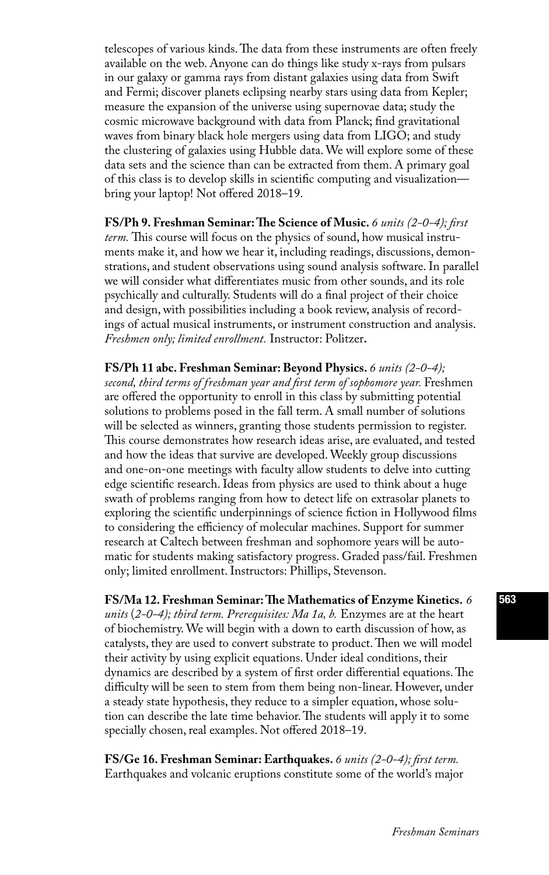telescopes of various kinds. The data from these instruments are often freely available on the web. Anyone can do things like study x-rays from pulsars in our galaxy or gamma rays from distant galaxies using data from Swift and Fermi; discover planets eclipsing nearby stars using data from Kepler; measure the expansion of the universe using supernovae data; study the cosmic microwave background with data from Planck; find gravitational waves from binary black hole mergers using data from LIGO; and study the clustering of galaxies using Hubble data. We will explore some of these data sets and the science than can be extracted from them. A primary goal of this class is to develop skills in scientific computing and visualization bring your laptop! Not offered 2018–19.

**FS/Ph 9. Freshman Seminar: The Science of Music.** *6 units (2-0-4); first term.* This course will focus on the physics of sound, how musical instruments make it, and how we hear it, including readings, discussions, demonstrations, and student observations using sound analysis software. In parallel we will consider what differentiates music from other sounds, and its role psychically and culturally. Students will do a final project of their choice and design, with possibilities including a book review, analysis of recordings of actual musical instruments, or instrument construction and analysis. *Freshmen only; limited enrollment.* Instructor: Politzer**.**

**FS/Ph 11 abc. Freshman Seminar: Beyond Physics.** *6 units (2-0-4); second, third terms of freshman year and first term of sophomore year.* Freshmen are offered the opportunity to enroll in this class by submitting potential solutions to problems posed in the fall term. A small number of solutions will be selected as winners, granting those students permission to register. This course demonstrates how research ideas arise, are evaluated, and tested and how the ideas that survive are developed. Weekly group discussions and one-on-one meetings with faculty allow students to delve into cutting edge scientific research. Ideas from physics are used to think about a huge swath of problems ranging from how to detect life on extrasolar planets to exploring the scientific underpinnings of science fiction in Hollywood films to considering the efficiency of molecular machines. Support for summer research at Caltech between freshman and sophomore years will be automatic for students making satisfactory progress. Graded pass/fail. Freshmen only; limited enrollment. Instructors: Phillips, Stevenson.

**FS/Ma 12. Freshman Seminar: The Mathematics of Enzyme Kinetics.** *6 units* (*2-0-4); third term. Prerequisites: Ma 1a, b.* Enzymes are at the heart of biochemistry. We will begin with a down to earth discussion of how, as catalysts, they are used to convert substrate to product. Then we will model their activity by using explicit equations. Under ideal conditions, their dynamics are described by a system of first order differential equations. The difficulty will be seen to stem from them being non-linear. However, under a steady state hypothesis, they reduce to a simpler equation, whose solution can describe the late time behavior. The students will apply it to some specially chosen, real examples. Not offered 2018–19.

**FS/Ge 16. Freshman Seminar: Earthquakes.** *6 units (2-0-4); first term.* Earthquakes and volcanic eruptions constitute some of the world's major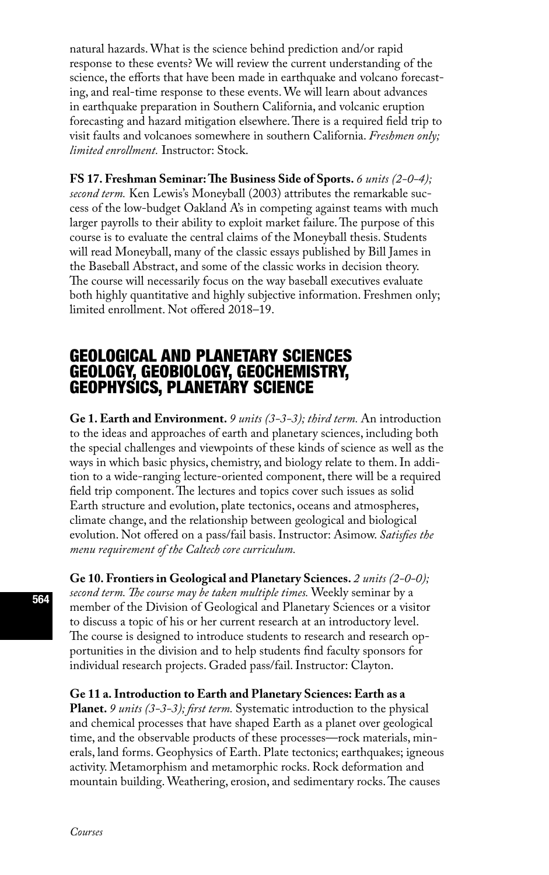natural hazards. What is the science behind prediction and/or rapid response to these events? We will review the current understanding of the science, the efforts that have been made in earthquake and volcano forecasting, and real-time response to these events. We will learn about advances in earthquake preparation in Southern California, and volcanic eruption forecasting and hazard mitigation elsewhere. There is a required field trip to visit faults and volcanoes somewhere in southern California. *Freshmen only; limited enrollment.* Instructor: Stock.

### **FS 17. Freshman Seminar: The Business Side of Sports.** *6 units (2-0-4);*

*second term.* Ken Lewis's Moneyball (2003) attributes the remarkable success of the low-budget Oakland A's in competing against teams with much larger payrolls to their ability to exploit market failure. The purpose of this course is to evaluate the central claims of the Moneyball thesis. Students will read Moneyball, many of the classic essays published by Bill James in the Baseball Abstract, and some of the classic works in decision theory. The course will necessarily focus on the way baseball executives evaluate both highly quantitative and highly subjective information. Freshmen only; limited enrollment. Not offered 2018–19.

# GEOLOGICAL AND PLANETARY SCIENCES GEOLOGY, GEOBIOLOGY, GEOCHEMISTRY, GEOPHYSICS, PLANETARY SCIENCE

**Ge 1. Earth and Environment.** *9 units (3-3-3); third term.* An introduction to the ideas and approaches of earth and planetary sciences, including both the special challenges and viewpoints of these kinds of science as well as the ways in which basic physics, chemistry, and biology relate to them. In addition to a wide-ranging lecture-oriented component, there will be a required field trip component. The lectures and topics cover such issues as solid Earth structure and evolution, plate tectonics, oceans and atmospheres, climate change, and the relationship between geological and biological evolution. Not offered on a pass/fail basis. Instructor: Asimow. *Satisfies the menu requirement of the Caltech core curriculum.*

**Ge 10. Frontiers in Geological and Planetary Sciences.** *2 units (2-0-0); second term. The course may be taken multiple times.* Weekly seminar by a member of the Division of Geological and Planetary Sciences or a visitor to discuss a topic of his or her current research at an introductory level. The course is designed to introduce students to research and research opportunities in the division and to help students find faculty sponsors for individual research projects. Graded pass/fail. Instructor: Clayton.

**Ge 11 a. Introduction to Earth and Planetary Sciences: Earth as a Planet.** *9 units (3-3-3); first term.* Systematic introduction to the physical and chemical processes that have shaped Earth as a planet over geological time, and the observable products of these processes—rock materials, minerals, land forms. Geophysics of Earth. Plate tectonics; earthquakes; igneous activity. Metamorphism and metamorphic rocks. Rock deformation and mountain building. Weathering, erosion, and sedimentary rocks. The causes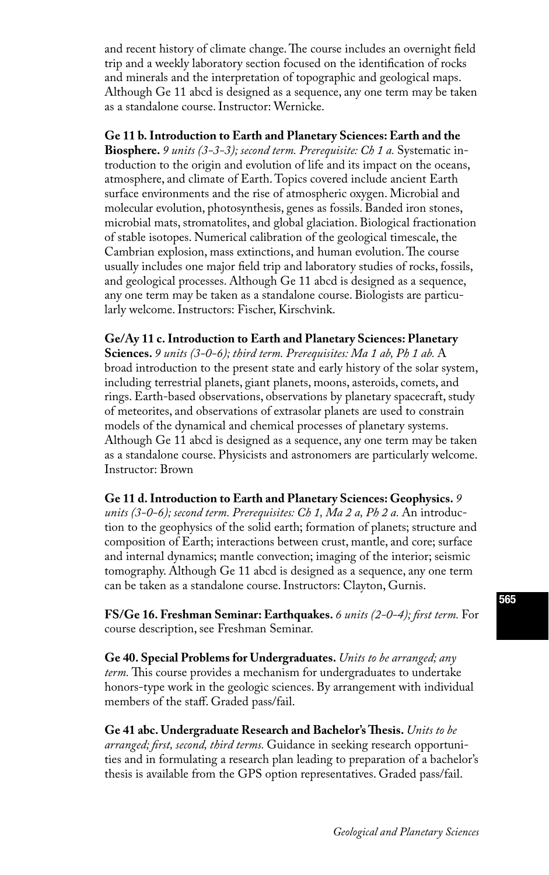and recent history of climate change. The course includes an overnight field trip and a weekly laboratory section focused on the identification of rocks and minerals and the interpretation of topographic and geological maps. Although Ge 11 abcd is designed as a sequence, any one term may be taken as a standalone course. Instructor: Wernicke.

**Ge 11 b. Introduction to Earth and Planetary Sciences: Earth and the Biosphere.** *9 units (3-3-3); second term. Prerequisite: Ch 1 a.* Systematic introduction to the origin and evolution of life and its impact on the oceans, atmosphere, and climate of Earth. Topics covered include ancient Earth surface environments and the rise of atmospheric oxygen. Microbial and molecular evolution, photosynthesis, genes as fossils. Banded iron stones, microbial mats, stromatolites, and global glaciation. Biological fractionation of stable isotopes. Numerical calibration of the geological timescale, the Cambrian explosion, mass extinctions, and human evolution. The course usually includes one major field trip and laboratory studies of rocks, fossils, and geological processes. Although Ge 11 abcd is designed as a sequence, any one term may be taken as a standalone course. Biologists are particularly welcome. Instructors: Fischer, Kirschvink.

**Ge/Ay 11 c. Introduction to Earth and Planetary Sciences: Planetary Sciences.** *9 units (3-0-6); third term. Prerequisites: Ma 1 ab, Ph 1 ab.* A broad introduction to the present state and early history of the solar system, including terrestrial planets, giant planets, moons, asteroids, comets, and rings. Earth-based observations, observations by planetary spacecraft, study of meteorites, and observations of extrasolar planets are used to constrain models of the dynamical and chemical processes of planetary systems. Although Ge 11 abcd is designed as a sequence, any one term may be taken as a standalone course. Physicists and astronomers are particularly welcome. Instructor: Brown

**Ge 11 d. Introduction to Earth and Planetary Sciences: Geophysics.** *9*  units (3-0-6); second term. Prerequisites: Ch 1, Ma 2 a, Ph 2 a. An introduction to the geophysics of the solid earth; formation of planets; structure and composition of Earth; interactions between crust, mantle, and core; surface and internal dynamics; mantle convection; imaging of the interior; seismic tomography. Although Ge 11 abcd is designed as a sequence, any one term can be taken as a standalone course. Instructors: Clayton, Gurnis.

**FS/Ge 16. Freshman Seminar: Earthquakes.** *6 units (2-0-4); first term.* For course description, see Freshman Seminar.

**Ge 40. Special Problems for Undergraduates.** *Units to be arranged; any term.* This course provides a mechanism for undergraduates to undertake honors-type work in the geologic sciences. By arrangement with individual members of the staff. Graded pass/fail.

**Ge 41 abc. Undergraduate Research and Bachelor's Thesis.** *Units to be arranged; first, second, third terms.* Guidance in seeking research opportunities and in formulating a research plan leading to preparation of a bachelor's thesis is available from the GPS option representatives. Graded pass/fail.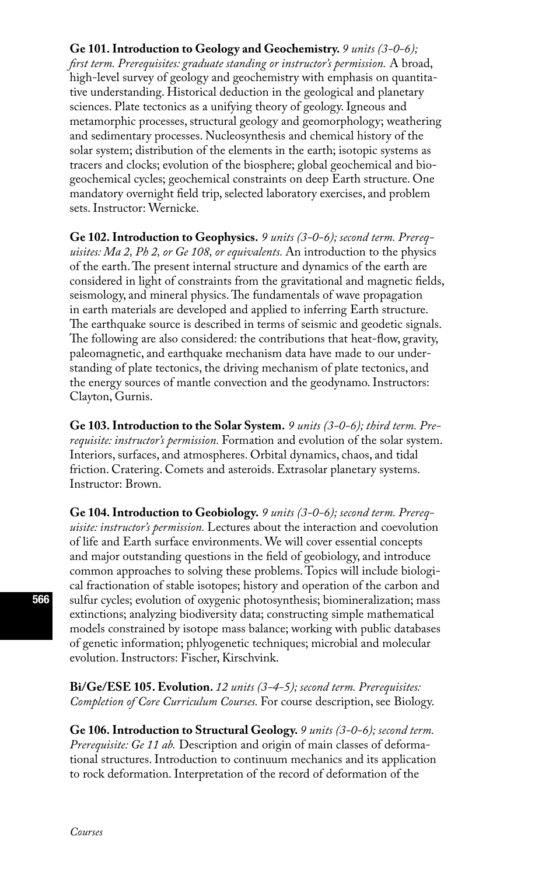### **Ge 101. Introduction to Geology and Geochemistry.** *9 units (3-0-6);*

*first term. Prerequisites: graduate standing or instructor's permission.* A broad, high-level survey of geology and geochemistry with emphasis on quantitative understanding. Historical deduction in the geological and planetary sciences. Plate tectonics as a unifying theory of geology. Igneous and metamorphic processes, structural geology and geomorphology; weathering and sedimentary processes. Nucleosynthesis and chemical history of the solar system; distribution of the elements in the earth; isotopic systems as tracers and clocks; evolution of the biosphere; global geochemical and biogeochemical cycles; geochemical constraints on deep Earth structure. One mandatory overnight field trip, selected laboratory exercises, and problem sets. Instructor: Wernicke.

**Ge 102. Introduction to Geophysics.** *9 units (3-0-6); second term. Prerequisites: Ma 2, Ph 2, or Ge 108, or equivalents.* An introduction to the physics of the earth. The present internal structure and dynamics of the earth are considered in light of constraints from the gravitational and magnetic fields, seismology, and mineral physics. The fundamentals of wave propagation in earth materials are developed and applied to inferring Earth structure. The earthquake source is described in terms of seismic and geodetic signals. The following are also considered: the contributions that heat-flow, gravity, paleomagnetic, and earthquake mechanism data have made to our understanding of plate tectonics, the driving mechanism of plate tectonics, and the energy sources of mantle convection and the geodynamo. Instructors: Clayton, Gurnis.

**Ge 103. Introduction to the Solar System.** *9 units (3-0-6); third term. Prerequisite: instructor's permission.* Formation and evolution of the solar system. Interiors, surfaces, and atmospheres. Orbital dynamics, chaos, and tidal friction. Cratering. Comets and asteroids. Extrasolar planetary systems. Instructor: Brown.

**Ge 104. Introduction to Geobiology.** *9 units (3-0-6); second term. Prerequisite: instructor's permission.* Lectures about the interaction and coevolution of life and Earth surface environments. We will cover essential concepts and major outstanding questions in the field of geobiology, and introduce common approaches to solving these problems. Topics will include biological fractionation of stable isotopes; history and operation of the carbon and sulfur cycles; evolution of oxygenic photosynthesis; biomineralization; mass extinctions; analyzing biodiversity data; constructing simple mathematical models constrained by isotope mass balance; working with public databases of genetic information; phlyogenetic techniques; microbial and molecular evolution. Instructors: Fischer, Kirschvink.

**Bi/Ge/ESE 105. Evolution.** *12 units (3-4-5); second term. Prerequisites: Completion of Core Curriculum Courses.* For course description, see Biology.

**Ge 106. Introduction to Structural Geology.** *9 units (3-0-6); second term. Prerequisite: Ge 11 ab.* Description and origin of main classes of deformational structures. Introduction to continuum mechanics and its application to rock deformation. Interpretation of the record of deformation of the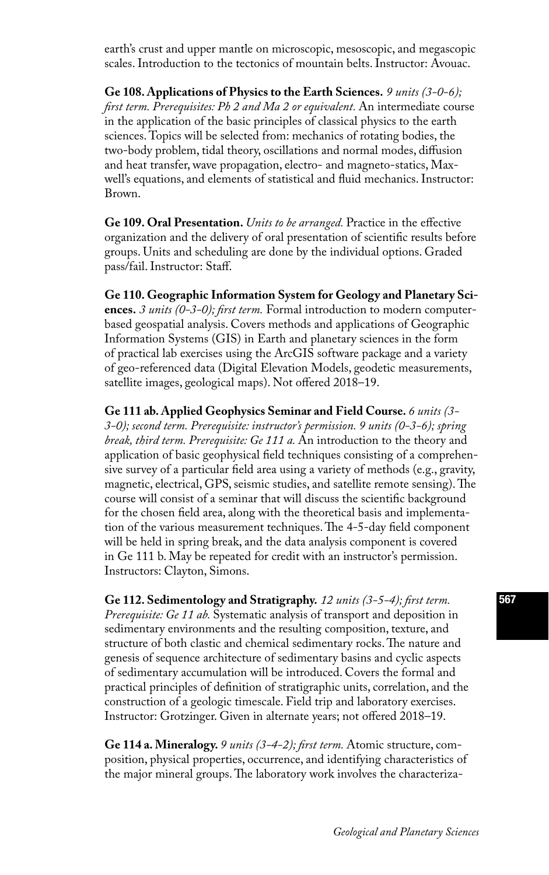earth's crust and upper mantle on microscopic, mesoscopic, and megascopic scales. Introduction to the tectonics of mountain belts. Instructor: Avouac.

**Ge 108. Applications of Physics to the Earth Sciences.** *9 units (3-0-6); first term. Prerequisites: Ph 2 and Ma 2 or equivalent.* An intermediate course in the application of the basic principles of classical physics to the earth sciences. Topics will be selected from: mechanics of rotating bodies, the two-body problem, tidal theory, oscillations and normal modes, diffusion and heat transfer, wave propagation, electro- and magneto-statics, Maxwell's equations, and elements of statistical and fluid mechanics. Instructor: Brown.

**Ge 109. Oral Presentation.** *Units to be arranged.* Practice in the effective organization and the delivery of oral presentation of scientific results before groups. Units and scheduling are done by the individual options. Graded pass/fail. Instructor: Staff.

**Ge 110. Geographic Information System for Geology and Planetary Sciences.** *3 units (0-3-0); first term.* Formal introduction to modern computerbased geospatial analysis. Covers methods and applications of Geographic Information Systems (GIS) in Earth and planetary sciences in the form of practical lab exercises using the ArcGIS software package and a variety of geo-referenced data (Digital Elevation Models, geodetic measurements, satellite images, geological maps). Not offered 2018–19.

**Ge 111 ab. Applied Geophysics Seminar and Field Course.** *6 units (3- 3-0); second term. Prerequisite: instructor's permission. 9 units (0-3-6); spring break, third term. Prerequisite: Ge 111 a.* An introduction to the theory and application of basic geophysical field techniques consisting of a comprehensive survey of a particular field area using a variety of methods (e.g., gravity, magnetic, electrical, GPS, seismic studies, and satellite remote sensing). The course will consist of a seminar that will discuss the scientific background for the chosen field area, along with the theoretical basis and implementation of the various measurement techniques. The 4-5-day field component will be held in spring break, and the data analysis component is covered in Ge 111 b. May be repeated for credit with an instructor's permission. Instructors: Clayton, Simons.

**Ge 112. Sedimentology and Stratigraphy.** *12 units (3-5-4); first term. Prerequisite: Ge 11 ab.* Systematic analysis of transport and deposition in sedimentary environments and the resulting composition, texture, and structure of both clastic and chemical sedimentary rocks. The nature and genesis of sequence architecture of sedimentary basins and cyclic aspects of sedimentary accumulation will be introduced. Covers the formal and practical principles of definition of stratigraphic units, correlation, and the construction of a geologic timescale. Field trip and laboratory exercises. Instructor: Grotzinger. Given in alternate years; not offered 2018–19.

**Ge 114 a. Mineralogy.** *9 units (3-4-2); first term.* Atomic structure, composition, physical properties, occurrence, and identifying characteristics of the major mineral groups. The laboratory work involves the characteriza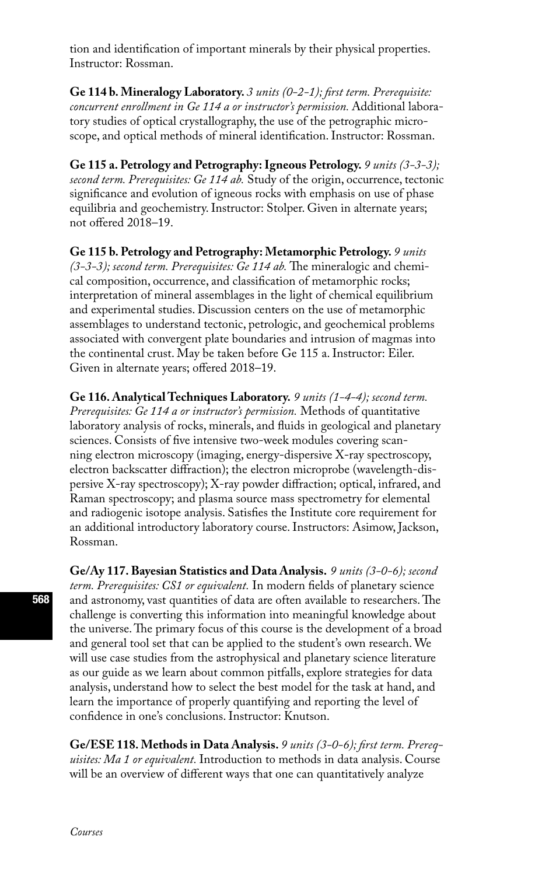tion and identification of important minerals by their physical properties. Instructor: Rossman.

**Ge 114 b. Mineralogy Laboratory.** *3 units (0-2-1); first term. Prerequisite: concurrent enrollment in Ge 114 a or instructor's permission.* Additional laboratory studies of optical crystallography, the use of the petrographic microscope, and optical methods of mineral identification. Instructor: Rossman.

**Ge 115 a. Petrology and Petrography: Igneous Petrology.** *9 units (3-3-3); second term. Prerequisites: Ge 114 ab.* Study of the origin, occurrence, tectonic significance and evolution of igneous rocks with emphasis on use of phase equilibria and geochemistry. Instructor: Stolper. Given in alternate years; not offered 2018–19.

**Ge 115 b. Petrology and Petrography: Metamorphic Petrology.** *9 units (3-3-3); second term. Prerequisites: Ge 114 ab.* The mineralogic and chemical composition, occurrence, and classification of metamorphic rocks; interpretation of mineral assemblages in the light of chemical equilibrium and experimental studies. Discussion centers on the use of metamorphic assemblages to understand tectonic, petrologic, and geochemical problems associated with convergent plate boundaries and intrusion of magmas into the continental crust. May be taken before Ge 115 a. Instructor: Eiler. Given in alternate years; offered 2018–19.

**Ge 116. Analytical Techniques Laboratory.** *9 units (1-4-4); second term. Prerequisites: Ge 114 a or instructor's permission.* Methods of quantitative laboratory analysis of rocks, minerals, and fluids in geological and planetary sciences. Consists of five intensive two-week modules covering scanning electron microscopy (imaging, energy-dispersive X-ray spectroscopy, electron backscatter diffraction); the electron microprobe (wavelength-dispersive X-ray spectroscopy); X-ray powder diffraction; optical, infrared, and Raman spectroscopy; and plasma source mass spectrometry for elemental and radiogenic isotope analysis. Satisfies the Institute core requirement for an additional introductory laboratory course. Instructors: Asimow, Jackson, Rossman.

**Ge/Ay 117. Bayesian Statistics and Data Analysis.** *9 units (3-0-6); second term. Prerequisites: CS1 or equivalent.* In modern fields of planetary science and astronomy, vast quantities of data are often available to researchers. The challenge is converting this information into meaningful knowledge about the universe. The primary focus of this course is the development of a broad and general tool set that can be applied to the student's own research. We will use case studies from the astrophysical and planetary science literature as our guide as we learn about common pitfalls, explore strategies for data analysis, understand how to select the best model for the task at hand, and learn the importance of properly quantifying and reporting the level of confidence in one's conclusions. Instructor: Knutson.

**Ge/ESE 118. Methods in Data Analysis.** *9 units (3-0-6); first term. Prerequisites: Ma 1 or equivalent.* Introduction to methods in data analysis. Course will be an overview of different ways that one can quantitatively analyze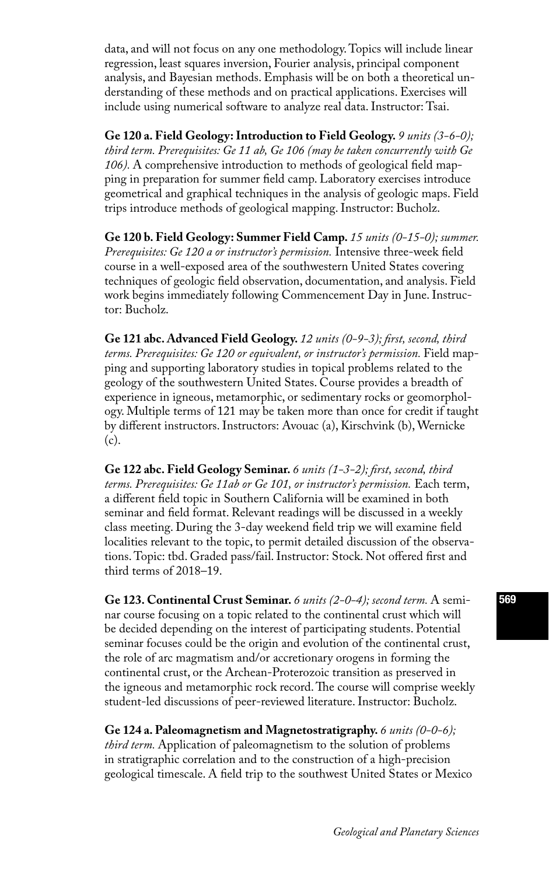data, and will not focus on any one methodology. Topics will include linear regression, least squares inversion, Fourier analysis, principal component analysis, and Bayesian methods. Emphasis will be on both a theoretical understanding of these methods and on practical applications. Exercises will include using numerical software to analyze real data. Instructor: Tsai.

**Ge 120 a. Field Geology: Introduction to Field Geology.** *9 units (3-6-0); third term. Prerequisites: Ge 11 ab, Ge 106 (may be taken concurrently with Ge 106).* A comprehensive introduction to methods of geological field mapping in preparation for summer field camp. Laboratory exercises introduce geometrical and graphical techniques in the analysis of geologic maps. Field trips introduce methods of geological mapping. Instructor: Bucholz.

**Ge 120 b. Field Geology: Summer Field Camp.** *15 units (0-15-0); summer. Prerequisites: Ge 120 a or instructor's permission.* Intensive three-week field course in a well-exposed area of the southwestern United States covering techniques of geologic field observation, documentation, and analysis. Field work begins immediately following Commencement Day in June. Instructor: Bucholz.

**Ge 121 abc. Advanced Field Geology.** *12 units (0-9-3); first, second, third terms. Prerequisites: Ge 120 or equivalent, or instructor's permission.* Field mapping and supporting laboratory studies in topical problems related to the geology of the southwestern United States. Course provides a breadth of experience in igneous, metamorphic, or sedimentary rocks or geomorphology. Multiple terms of 121 may be taken more than once for credit if taught by different instructors. Instructors: Avouac (a), Kirschvink (b), Wernicke (c).

**Ge 122 abc. Field Geology Seminar.** *6 units (1-3-2); first, second, third terms. Prerequisites: Ge 11ab or Ge 101, or instructor's permission.* Each term, a different field topic in Southern California will be examined in both seminar and field format. Relevant readings will be discussed in a weekly class meeting. During the 3-day weekend field trip we will examine field localities relevant to the topic, to permit detailed discussion of the observations. Topic: tbd. Graded pass/fail. Instructor: Stock. Not offered first and third terms of 2018–19.

**Ge 123. Continental Crust Seminar.** *6 units (2-0-4); second term.* A seminar course focusing on a topic related to the continental crust which will be decided depending on the interest of participating students. Potential seminar focuses could be the origin and evolution of the continental crust, the role of arc magmatism and/or accretionary orogens in forming the continental crust, or the Archean-Proterozoic transition as preserved in the igneous and metamorphic rock record. The course will comprise weekly student-led discussions of peer-reviewed literature. Instructor: Bucholz.

**Ge 124 a. Paleomagnetism and Magnetostratigraphy.** *6 units (0-0-6); third term.* Application of paleomagnetism to the solution of problems in stratigraphic correlation and to the construction of a high-precision geological timescale. A field trip to the southwest United States or Mexico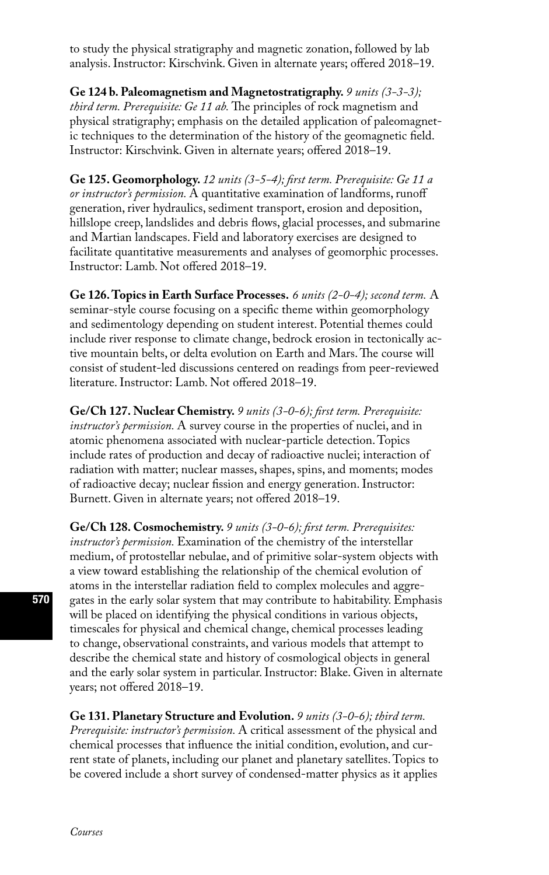to study the physical stratigraphy and magnetic zonation, followed by lab analysis. Instructor: Kirschvink. Given in alternate years; offered 2018–19.

**Ge 124 b. Paleomagnetism and Magnetostratigraphy.** *9 units (3-3-3); third term. Prerequisite: Ge 11 ab.* The principles of rock magnetism and physical stratigraphy; emphasis on the detailed application of paleomagnetic techniques to the determination of the history of the geomagnetic field. Instructor: Kirschvink. Given in alternate years; offered 2018–19.

**Ge 125. Geomorphology.** *12 units (3-5-4); first term. Prerequisite: Ge 11 a or instructor's permission.* A quantitative examination of landforms, runoff generation, river hydraulics, sediment transport, erosion and deposition, hillslope creep, landslides and debris flows, glacial processes, and submarine and Martian landscapes. Field and laboratory exercises are designed to facilitate quantitative measurements and analyses of geomorphic processes. Instructor: Lamb. Not offered 2018–19.

**Ge 126. Topics in Earth Surface Processes.** *6 units (2-0-4); second term.* A seminar-style course focusing on a specific theme within geomorphology and sedimentology depending on student interest. Potential themes could include river response to climate change, bedrock erosion in tectonically active mountain belts, or delta evolution on Earth and Mars. The course will consist of student-led discussions centered on readings from peer-reviewed literature. Instructor: Lamb. Not offered 2018–19.

**Ge/Ch 127. Nuclear Chemistry.** *9 units (3-0-6); first term. Prerequisite: instructor's permission.* A survey course in the properties of nuclei, and in atomic phenomena associated with nuclear-particle detection. Topics include rates of production and decay of radioactive nuclei; interaction of radiation with matter; nuclear masses, shapes, spins, and moments; modes of radioactive decay; nuclear fission and energy generation. Instructor: Burnett. Given in alternate years; not offered 2018–19.

**Ge/Ch 128. Cosmochemistry.** *9 units (3-0-6); first term. Prerequisites: instructor's permission.* Examination of the chemistry of the interstellar medium, of protostellar nebulae, and of primitive solar-system objects with a view toward establishing the relationship of the chemical evolution of atoms in the interstellar radiation field to complex molecules and aggregates in the early solar system that may contribute to habitability. Emphasis will be placed on identifying the physical conditions in various objects, timescales for physical and chemical change, chemical processes leading to change, observational constraints, and various models that attempt to describe the chemical state and history of cosmological objects in general and the early solar system in particular. Instructor: Blake. Given in alternate years; not offered 2018–19.

**Ge 131. Planetary Structure and Evolution.** *9 units (3-0-6); third term. Prerequisite: instructor's permission.* A critical assessment of the physical and chemical processes that influence the initial condition, evolution, and current state of planets, including our planet and planetary satellites. Topics to be covered include a short survey of condensed-matter physics as it applies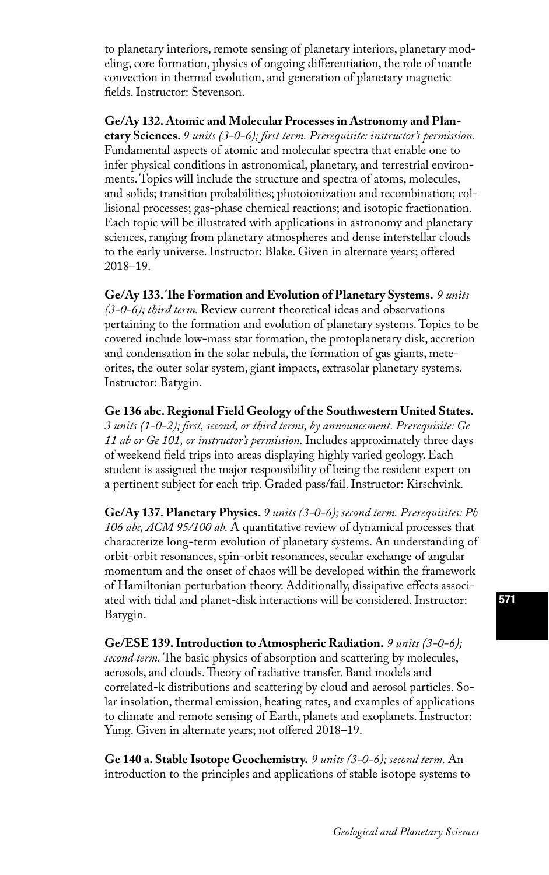to planetary interiors, remote sensing of planetary interiors, planetary modeling, core formation, physics of ongoing differentiation, the role of mantle convection in thermal evolution, and generation of planetary magnetic fields. Instructor: Stevenson.

**Ge/Ay 132. Atomic and Molecular Processes in Astronomy and Plan-**

**etary Sciences.** *9 units (3-0-6); first term. Prerequisite: instructor's permission.*  Fundamental aspects of atomic and molecular spectra that enable one to infer physical conditions in astronomical, planetary, and terrestrial environments. Topics will include the structure and spectra of atoms, molecules, and solids; transition probabilities; photoionization and recombination; collisional processes; gas-phase chemical reactions; and isotopic fractionation. Each topic will be illustrated with applications in astronomy and planetary sciences, ranging from planetary atmospheres and dense interstellar clouds to the early universe. Instructor: Blake. Given in alternate years; offered 2018–19.

**Ge/Ay 133. The Formation and Evolution of Planetary Systems.** *9 units (3-0-6); third term.* Review current theoretical ideas and observations pertaining to the formation and evolution of planetary systems. Topics to be covered include low-mass star formation, the protoplanetary disk, accretion and condensation in the solar nebula, the formation of gas giants, meteorites, the outer solar system, giant impacts, extrasolar planetary systems. Instructor: Batygin.

**Ge 136 abc. Regional Field Geology of the Southwestern United States.**  *3 units (1-0-2); first, second, or third terms, by announcement. Prerequisite: Ge 11 ab or Ge 101, or instructor's permission.* Includes approximately three days of weekend field trips into areas displaying highly varied geology. Each student is assigned the major responsibility of being the resident expert on a pertinent subject for each trip. Graded pass/fail. Instructor: Kirschvink.

**Ge/Ay 137. Planetary Physics.** *9 units (3-0-6); second term. Prerequisites: Ph 106 abc, ACM 95/100 ab.* A quantitative review of dynamical processes that characterize long-term evolution of planetary systems. An understanding of orbit-orbit resonances, spin-orbit resonances, secular exchange of angular momentum and the onset of chaos will be developed within the framework of Hamiltonian perturbation theory. Additionally, dissipative effects associated with tidal and planet-disk interactions will be considered. Instructor: Batygin.

**Ge/ESE 139. Introduction to Atmospheric Radiation.** *9 units (3-0-6); second term*. The basic physics of absorption and scattering by molecules, aerosols, and clouds. Theory of radiative transfer. Band models and correlated-k distributions and scattering by cloud and aerosol particles. Solar insolation, thermal emission, heating rates, and examples of applications to climate and remote sensing of Earth, planets and exoplanets. Instructor: Yung. Given in alternate years; not offered 2018–19.

**Ge 140 a. Stable Isotope Geochemistry.** *9 units (3-0-6); second term.* An introduction to the principles and applications of stable isotope systems to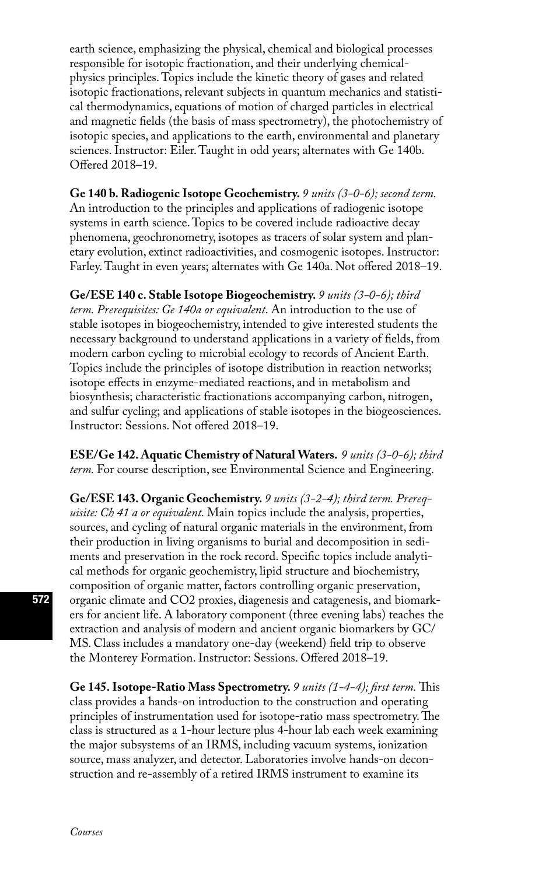earth science, emphasizing the physical, chemical and biological processes responsible for isotopic fractionation, and their underlying chemicalphysics principles. Topics include the kinetic theory of gases and related isotopic fractionations, relevant subjects in quantum mechanics and statistical thermodynamics, equations of motion of charged particles in electrical and magnetic fields (the basis of mass spectrometry), the photochemistry of isotopic species, and applications to the earth, environmental and planetary sciences. Instructor: Eiler. Taught in odd years; alternates with Ge 140b. Offered 2018–19.

**Ge 140 b. Radiogenic Isotope Geochemistry.** *9 units (3-0-6); second term.* An introduction to the principles and applications of radiogenic isotope systems in earth science. Topics to be covered include radioactive decay phenomena, geochronometry, isotopes as tracers of solar system and planetary evolution, extinct radioactivities, and cosmogenic isotopes. Instructor: Farley. Taught in even years; alternates with Ge 140a. Not offered 2018–19.

**Ge/ESE 140 c. Stable Isotope Biogeochemistry.** *9 units (3-0-6); third term. Prerequisites: Ge 140a or equivalent.* An introduction to the use of stable isotopes in biogeochemistry, intended to give interested students the necessary background to understand applications in a variety of fields, from modern carbon cycling to microbial ecology to records of Ancient Earth. Topics include the principles of isotope distribution in reaction networks; isotope effects in enzyme-mediated reactions, and in metabolism and biosynthesis; characteristic fractionations accompanying carbon, nitrogen, and sulfur cycling; and applications of stable isotopes in the biogeosciences. Instructor: Sessions. Not offered 2018–19.

**ESE/Ge 142. Aquatic Chemistry of Natural Waters.** *9 units (3-0-6); third term.* For course description, see Environmental Science and Engineering.

**Ge/ESE 143. Organic Geochemistry.** *9 units (3-2-4); third term. Prerequisite: Ch 41 a or equivalent.* Main topics include the analysis, properties, sources, and cycling of natural organic materials in the environment, from their production in living organisms to burial and decomposition in sediments and preservation in the rock record. Specific topics include analytical methods for organic geochemistry, lipid structure and biochemistry, composition of organic matter, factors controlling organic preservation, organic climate and CO2 proxies, diagenesis and catagenesis, and biomarkers for ancient life. A laboratory component (three evening labs) teaches the extraction and analysis of modern and ancient organic biomarkers by GC/ MS. Class includes a mandatory one-day (weekend) field trip to observe the Monterey Formation. Instructor: Sessions. Offered 2018–19.

**Ge 145. Isotope-Ratio Mass Spectrometry.** *9 units (1-4-4); first term.* This class provides a hands-on introduction to the construction and operating principles of instrumentation used for isotope-ratio mass spectrometry. The class is structured as a 1-hour lecture plus 4-hour lab each week examining the major subsystems of an IRMS, including vacuum systems, ionization source, mass analyzer, and detector. Laboratories involve hands-on deconstruction and re-assembly of a retired IRMS instrument to examine its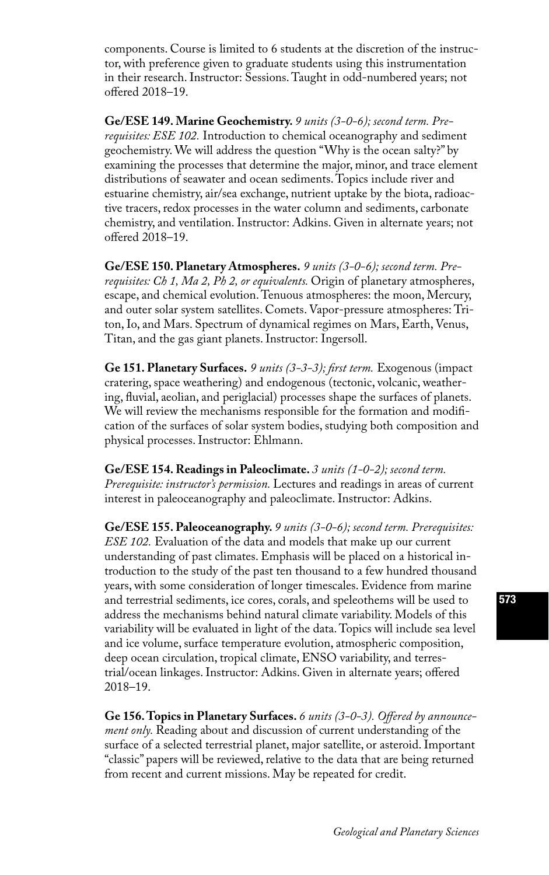components. Course is limited to 6 students at the discretion of the instructor, with preference given to graduate students using this instrumentation in their research. Instructor: Sessions. Taught in odd-numbered years; not offered 2018–19.

**Ge/ESE 149. Marine Geochemistry.** *9 units (3-0-6); second term. Prerequisites: ESE 102.* Introduction to chemical oceanography and sediment geochemistry. We will address the question "Why is the ocean salty?" by examining the processes that determine the major, minor, and trace element distributions of seawater and ocean sediments. Topics include river and estuarine chemistry, air/sea exchange, nutrient uptake by the biota, radioactive tracers, redox processes in the water column and sediments, carbonate chemistry, and ventilation. Instructor: Adkins. Given in alternate years; not offered 2018–19.

**Ge/ESE 150. Planetary Atmospheres.** *9 units (3-0-6); second term. Prerequisites: Ch 1, Ma 2, Ph 2, or equivalents.* Origin of planetary atmospheres, escape, and chemical evolution. Tenuous atmospheres: the moon, Mercury, and outer solar system satellites. Comets. Vapor-pressure atmospheres: Triton, Io, and Mars. Spectrum of dynamical regimes on Mars, Earth, Venus, Titan, and the gas giant planets. Instructor: Ingersoll.

**Ge 151. Planetary Surfaces.** *9 units (3-3-3); first term.* Exogenous (impact cratering, space weathering) and endogenous (tectonic, volcanic, weathering, fluvial, aeolian, and periglacial) processes shape the surfaces of planets. We will review the mechanisms responsible for the formation and modification of the surfaces of solar system bodies, studying both composition and physical processes. Instructor: Ehlmann.

**Ge/ESE 154. Readings in Paleoclimate.** *3 units (1-0-2); second term. Prerequisite: instructor's permission.* Lectures and readings in areas of current interest in paleoceanography and paleoclimate. Instructor: Adkins.

**Ge/ESE 155. Paleoceanography.** *9 units (3-0-6); second term. Prerequisites: ESE 102.* Evaluation of the data and models that make up our current understanding of past climates. Emphasis will be placed on a historical introduction to the study of the past ten thousand to a few hundred thousand years, with some consideration of longer timescales. Evidence from marine and terrestrial sediments, ice cores, corals, and speleothems will be used to address the mechanisms behind natural climate variability. Models of this variability will be evaluated in light of the data. Topics will include sea level and ice volume, surface temperature evolution, atmospheric composition, deep ocean circulation, tropical climate, ENSO variability, and terrestrial/ocean linkages. Instructor: Adkins. Given in alternate years; offered 2018–19.

**Ge 156. Topics in Planetary Surfaces.** *6 units (3-0-3). Offered by announcement only.* Reading about and discussion of current understanding of the surface of a selected terrestrial planet, major satellite, or asteroid. Important "classic" papers will be reviewed, relative to the data that are being returned from recent and current missions. May be repeated for credit.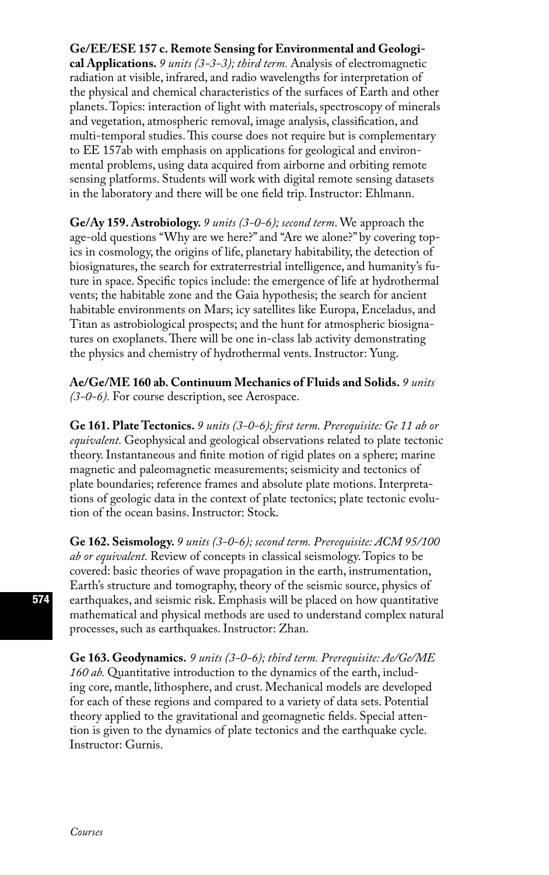### **Ge/EE/ESE 157 c. Remote Sensing for Environmental and Geologi-**

**cal Applications.** *9 units (3-3-3); third term.* Analysis of electromagnetic radiation at visible, infrared, and radio wavelengths for interpretation of the physical and chemical characteristics of the surfaces of Earth and other planets. Topics: interaction of light with materials, spectroscopy of minerals and vegetation, atmospheric removal, image analysis, classification, and multi-temporal studies. This course does not require but is complementary to EE 157ab with emphasis on applications for geological and environmental problems, using data acquired from airborne and orbiting remote sensing platforms. Students will work with digital remote sensing datasets in the laboratory and there will be one field trip. Instructor: Ehlmann.

**Ge/Ay 159. Astrobiology.** *9 units (3-0-6); second term*. We approach the age-old questions "Why are we here?" and "Are we alone?" by covering topics in cosmology, the origins of life, planetary habitability, the detection of biosignatures, the search for extraterrestrial intelligence, and humanity's future in space. Specific topics include: the emergence of life at hydrothermal vents; the habitable zone and the Gaia hypothesis; the search for ancient habitable environments on Mars; icy satellites like Europa, Enceladus, and Titan as astrobiological prospects; and the hunt for atmospheric biosignatures on exoplanets. There will be one in-class lab activity demonstrating the physics and chemistry of hydrothermal vents. Instructor: Yung.

**Ae/Ge/ME 160 ab. Continuum Mechanics of Fluids and Solids.** *9 units (3-0-6).* For course description, see Aerospace.

**Ge 161. Plate Tectonics.** *9 units (3-0-6); first term. Prerequisite: Ge 11 ab or equivalent.* Geophysical and geological observations related to plate tectonic theory. Instantaneous and finite motion of rigid plates on a sphere; marine magnetic and paleomagnetic measurements; seismicity and tectonics of plate boundaries; reference frames and absolute plate motions. Interpretations of geologic data in the context of plate tectonics; plate tectonic evolution of the ocean basins. Instructor: Stock.

**Ge 162. Seismology.** *9 units (3-0-6); second term. Prerequisite: ACM 95/100 ab or equivalent.* Review of concepts in classical seismology. Topics to be covered: basic theories of wave propagation in the earth, instrumentation, Earth's structure and tomography, theory of the seismic source, physics of earthquakes, and seismic risk. Emphasis will be placed on how quantitative mathematical and physical methods are used to understand complex natural processes, such as earthquakes. Instructor: Zhan.

**Ge 163. Geodynamics.** *9 units (3-0-6); third term. Prerequisite: Ae/Ge/ME 160 ab.* Quantitative introduction to the dynamics of the earth, including core, mantle, lithosphere, and crust. Mechanical models are developed for each of these regions and compared to a variety of data sets. Potential theory applied to the gravitational and geomagnetic fields. Special attention is given to the dynamics of plate tectonics and the earthquake cycle. Instructor: Gurnis.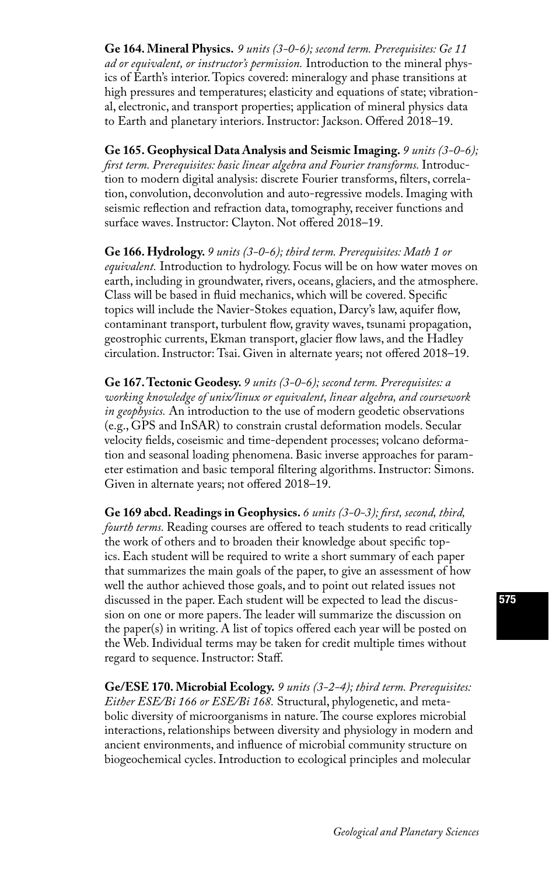**Ge 164. Mineral Physics.** *9 units (3-0-6); second term. Prerequisites: Ge 11 ad or equivalent, or instructor's permission.* Introduction to the mineral physics of Earth's interior. Topics covered: mineralogy and phase transitions at high pressures and temperatures; elasticity and equations of state; vibrational, electronic, and transport properties; application of mineral physics data to Earth and planetary interiors. Instructor: Jackson. Offered 2018–19.

**Ge 165. Geophysical Data Analysis and Seismic Imaging.** *9 units (3-0-6); first term. Prerequisites: basic linear algebra and Fourier transforms.* Introduction to modern digital analysis: discrete Fourier transforms, filters, correlation, convolution, deconvolution and auto-regressive models. Imaging with seismic reflection and refraction data, tomography, receiver functions and surface waves. Instructor: Clayton. Not offered 2018–19.

**Ge 166. Hydrology.** *9 units (3-0-6); third term. Prerequisites: Math 1 or equivalent.* Introduction to hydrology. Focus will be on how water moves on earth, including in groundwater, rivers, oceans, glaciers, and the atmosphere. Class will be based in fluid mechanics, which will be covered. Specific topics will include the Navier-Stokes equation, Darcy's law, aquifer flow, contaminant transport, turbulent flow, gravity waves, tsunami propagation, geostrophic currents, Ekman transport, glacier flow laws, and the Hadley circulation. Instructor: Tsai. Given in alternate years; not offered 2018–19.

**Ge 167. Tectonic Geodesy.** *9 units (3-0-6); second term. Prerequisites: a working knowledge of unix/linux or equivalent, linear algebra, and coursework in geophysics.* An introduction to the use of modern geodetic observations (e.g., GPS and InSAR) to constrain crustal deformation models. Secular velocity fields, coseismic and time-dependent processes; volcano deformation and seasonal loading phenomena. Basic inverse approaches for parameter estimation and basic temporal filtering algorithms. Instructor: Simons. Given in alternate years; not offered 2018–19.

**Ge 169 abcd. Readings in Geophysics.** *6 units (3-0-3); first, second, third, fourth terms.* Reading courses are offered to teach students to read critically the work of others and to broaden their knowledge about specific topics. Each student will be required to write a short summary of each paper that summarizes the main goals of the paper, to give an assessment of how well the author achieved those goals, and to point out related issues not discussed in the paper. Each student will be expected to lead the discussion on one or more papers. The leader will summarize the discussion on the paper(s) in writing. A list of topics offered each year will be posted on the Web. Individual terms may be taken for credit multiple times without regard to sequence. Instructor: Staff.

**Ge/ESE 170. Microbial Ecology.** *9 units (3-2-4); third term. Prerequisites: Either ESE/Bi 166 or ESE/Bi 168.* Structural, phylogenetic, and metabolic diversity of microorganisms in nature. The course explores microbial interactions, relationships between diversity and physiology in modern and ancient environments, and influence of microbial community structure on biogeochemical cycles. Introduction to ecological principles and molecular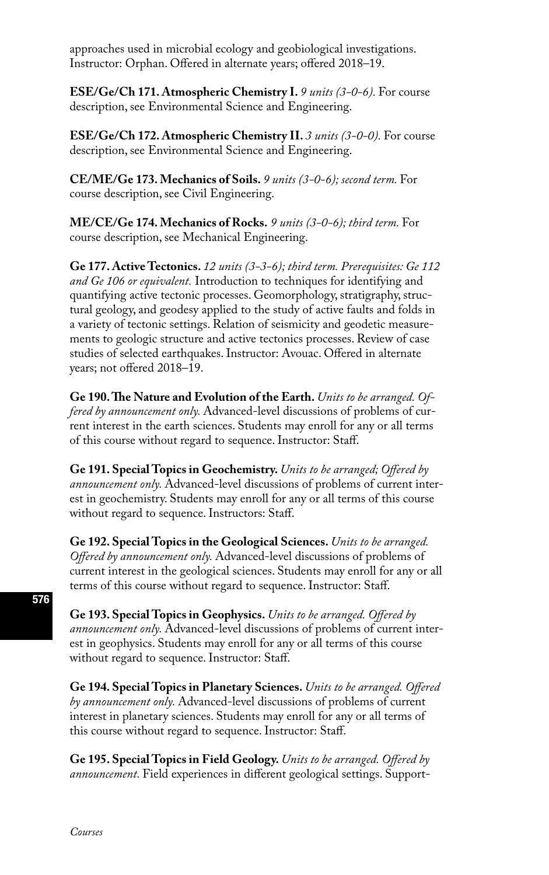approaches used in microbial ecology and geobiological investigations. Instructor: Orphan. Offered in alternate years; offered 2018–19.

**ESE/Ge/Ch 171. Atmospheric Chemistry I.** *9 units (3-0-6).* For course description, see Environmental Science and Engineering.

**ESE/Ge/Ch 172. Atmospheric Chemistry II.** *3 units (3-0-0).* For course description, see Environmental Science and Engineering.

**CE/ME/Ge 173. Mechanics of Soils.** *9 units (3-0-6); second term.* For course description, see Civil Engineering.

**ME/CE/Ge 174. Mechanics of Rocks.** *9 units (3-0-6); third term.* For course description, see Mechanical Engineering.

**Ge 177. Active Tectonics.** *12 units (3-3-6); third term. Prerequisites: Ge 112 and Ge 106 or equivalent.* Introduction to techniques for identifying and quantifying active tectonic processes. Geomorphology, stratigraphy, structural geology, and geodesy applied to the study of active faults and folds in a variety of tectonic settings. Relation of seismicity and geodetic measurements to geologic structure and active tectonics processes. Review of case studies of selected earthquakes. Instructor: Avouac. Offered in alternate years; not offered 2018–19.

**Ge 190. The Nature and Evolution of the Earth.** *Units to be arranged. Offered by announcement only.* Advanced-level discussions of problems of current interest in the earth sciences. Students may enroll for any or all terms of this course without regard to sequence. Instructor: Staff.

**Ge 191. Special Topics in Geochemistry.** *Units to be arranged; Offered by announcement only.* Advanced-level discussions of problems of current interest in geochemistry. Students may enroll for any or all terms of this course without regard to sequence. Instructors: Staff.

**Ge 192. Special Topics in the Geological Sciences.** *Units to be arranged. Offered by announcement only.* Advanced-level discussions of problems of current interest in the geological sciences. Students may enroll for any or all terms of this course without regard to sequence. Instructor: Staff.

**Ge 193. Special Topics in Geophysics.** *Units to be arranged. Offered by announcement only.* Advanced-level discussions of problems of current interest in geophysics. Students may enroll for any or all terms of this course without regard to sequence. Instructor: Staff.

**Ge 194. Special Topics in Planetary Sciences.** *Units to be arranged. Offered by announcement only.* Advanced-level discussions of problems of current interest in planetary sciences. Students may enroll for any or all terms of this course without regard to sequence. Instructor: Staff.

**Ge 195. Special Topics in Field Geology.** *Units to be arranged. Offered by announcement.* Field experiences in different geological settings. Support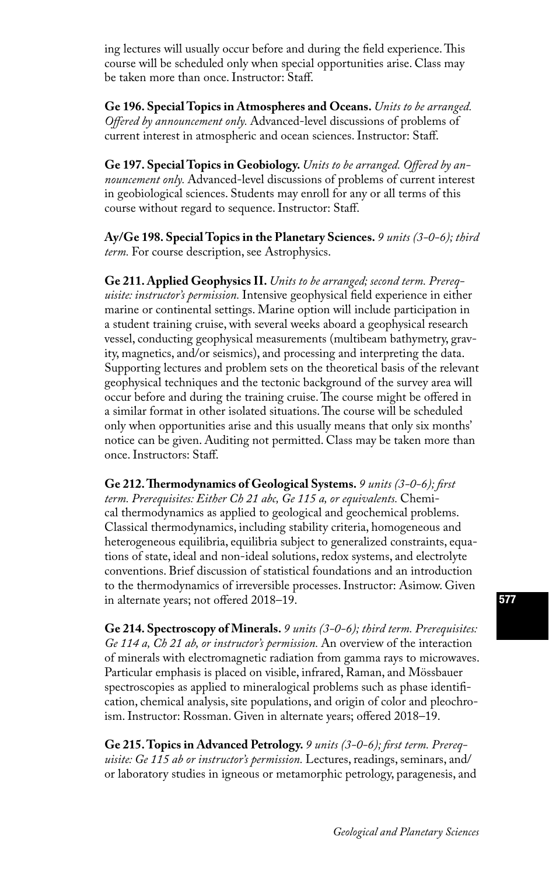ing lectures will usually occur before and during the field experience. This course will be scheduled only when special opportunities arise. Class may be taken more than once. Instructor: Staff.

**Ge 196. Special Topics in Atmospheres and Oceans.** *Units to be arranged. Offered by announcement only.* Advanced-level discussions of problems of current interest in atmospheric and ocean sciences. Instructor: Staff.

**Ge 197. Special Topics in Geobiology.** *Units to be arranged. Offered by announcement only.* Advanced-level discussions of problems of current interest in geobiological sciences. Students may enroll for any or all terms of this course without regard to sequence. Instructor: Staff.

**Ay/Ge 198. Special Topics in the Planetary Sciences.** *9 units (3-0-6); third term.* For course description, see Astrophysics.

**Ge 211. Applied Geophysics II.** *Units to be arranged; second term. Prerequisite: instructor's permission.* Intensive geophysical field experience in either marine or continental settings. Marine option will include participation in a student training cruise, with several weeks aboard a geophysical research vessel, conducting geophysical measurements (multibeam bathymetry, gravity, magnetics, and/or seismics), and processing and interpreting the data. Supporting lectures and problem sets on the theoretical basis of the relevant geophysical techniques and the tectonic background of the survey area will occur before and during the training cruise. The course might be offered in a similar format in other isolated situations. The course will be scheduled only when opportunities arise and this usually means that only six months' notice can be given. Auditing not permitted. Class may be taken more than once. Instructors: Staff.

**Ge 212. Thermodynamics of Geological Systems.** *9 units (3-0-6); first term. Prerequisites: Either Ch 21 abc, Ge 115 a, or equivalents.* Chemical thermodynamics as applied to geological and geochemical problems. Classical thermodynamics, including stability criteria, homogeneous and heterogeneous equilibria, equilibria subject to generalized constraints, equations of state, ideal and non-ideal solutions, redox systems, and electrolyte conventions. Brief discussion of statistical foundations and an introduction to the thermodynamics of irreversible processes. Instructor: Asimow. Given in alternate years; not offered 2018–19.

**Ge 214. Spectroscopy of Minerals.** *9 units (3-0-6); third term. Prerequisites: Ge 114 a, Ch 21 ab, or instructor's permission.* An overview of the interaction of minerals with electromagnetic radiation from gamma rays to microwaves. Particular emphasis is placed on visible, infrared, Raman, and Mössbauer spectroscopies as applied to mineralogical problems such as phase identification, chemical analysis, site populations, and origin of color and pleochroism. Instructor: Rossman. Given in alternate years; offered 2018–19.

**Ge 215. Topics in Advanced Petrology.** *9 units (3-0-6); first term. Prerequisite: Ge 115 ab or instructor's permission.* Lectures, readings, seminars, and/ or laboratory studies in igneous or metamorphic petrology, paragenesis, and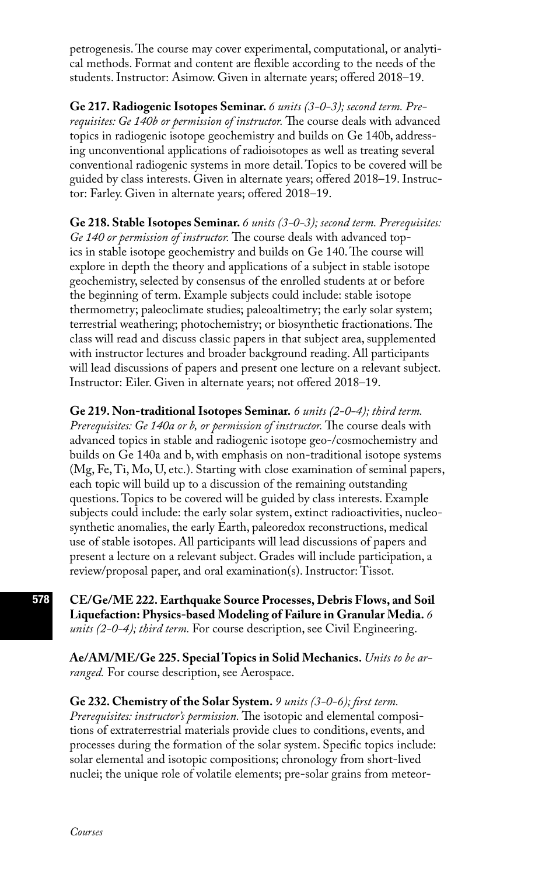petrogenesis. The course may cover experimental, computational, or analytical methods. Format and content are flexible according to the needs of the students. Instructor: Asimow. Given in alternate years; offered 2018–19.

**Ge 217. Radiogenic Isotopes Seminar.** *6 units (3-0-3); second term. Prerequisites: Ge 140b or permission of instructor.* The course deals with advanced topics in radiogenic isotope geochemistry and builds on Ge 140b, addressing unconventional applications of radioisotopes as well as treating several conventional radiogenic systems in more detail. Topics to be covered will be guided by class interests. Given in alternate years; offered 2018–19. Instructor: Farley. Given in alternate years; offered 2018–19.

**Ge 218. Stable Isotopes Seminar.** *6 units (3-0-3); second term. Prerequisites: Ge 140 or permission of instructor.* The course deals with advanced topics in stable isotope geochemistry and builds on Ge 140. The course will explore in depth the theory and applications of a subject in stable isotope geochemistry, selected by consensus of the enrolled students at or before the beginning of term. Example subjects could include: stable isotope thermometry; paleoclimate studies; paleoaltimetry; the early solar system; terrestrial weathering; photochemistry; or biosynthetic fractionations. The class will read and discuss classic papers in that subject area, supplemented with instructor lectures and broader background reading. All participants will lead discussions of papers and present one lecture on a relevant subject. Instructor: Eiler. Given in alternate years; not offered 2018–19.

**Ge 219. Non-traditional Isotopes Seminar.** *6 units (2-0-4); third term. Prerequisites: Ge 140a or b, or permission of instructor.* The course deals with advanced topics in stable and radiogenic isotope geo-/cosmochemistry and builds on Ge 140a and b, with emphasis on non-traditional isotope systems (Mg, Fe, Ti, Mo, U, etc.). Starting with close examination of seminal papers, each topic will build up to a discussion of the remaining outstanding questions. Topics to be covered will be guided by class interests. Example subjects could include: the early solar system, extinct radioactivities, nucleosynthetic anomalies, the early Earth, paleoredox reconstructions, medical use of stable isotopes. All participants will lead discussions of papers and present a lecture on a relevant subject. Grades will include participation, a review/proposal paper, and oral examination(s). Instructor: Tissot.

**CE/Ge/ME 222. Earthquake Source Processes, Debris Flows, and Soil Liquefaction: Physics-based Modeling of Failure in Granular Media.** *6 units (2-0-4); third term.* For course description, see Civil Engineering.

**Ae/AM/ME/Ge 225. Special Topics in Solid Mechanics.** *Units to be arranged.* For course description, see Aerospace.

#### **Ge 232. Chemistry of the Solar System.** *9 units (3-0-6); first term.*

*Prerequisites: instructor's permission.* The isotopic and elemental compositions of extraterrestrial materials provide clues to conditions, events, and processes during the formation of the solar system. Specific topics include: solar elemental and isotopic compositions; chronology from short-lived nuclei; the unique role of volatile elements; pre-solar grains from meteor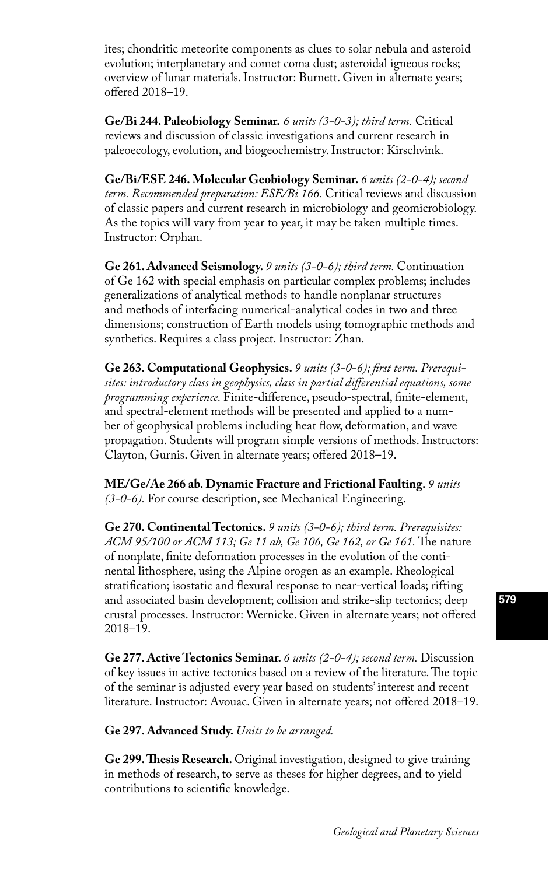ites; chondritic meteorite components as clues to solar nebula and asteroid evolution; interplanetary and comet coma dust; asteroidal igneous rocks; overview of lunar materials. Instructor: Burnett. Given in alternate years; offered 2018–19.

**Ge/Bi 244. Paleobiology Seminar.** *6 units (3-0-3); third term.* Critical reviews and discussion of classic investigations and current research in paleoecology, evolution, and biogeochemistry. Instructor: Kirschvink.

**Ge/Bi/ESE 246. Molecular Geobiology Seminar.** *6 units (2-0-4); second term. Recommended preparation: ESE/Bi 166.* Critical reviews and discussion of classic papers and current research in microbiology and geomicrobiology. As the topics will vary from year to year, it may be taken multiple times. Instructor: Orphan.

**Ge 261. Advanced Seismology.** *9 units (3-0-6); third term.* Continuation of Ge 162 with special emphasis on particular complex problems; includes generalizations of analytical methods to handle nonplanar structures and methods of interfacing numerical-analytical codes in two and three dimensions; construction of Earth models using tomographic methods and synthetics. Requires a class project. Instructor: Zhan.

**Ge 263. Computational Geophysics.** *9 units (3-0-6); first term. Prerequisites: introductory class in geophysics, class in partial differential equations, some programming experience.* Finite-difference, pseudo-spectral, finite-element, and spectral-element methods will be presented and applied to a number of geophysical problems including heat flow, deformation, and wave propagation. Students will program simple versions of methods. Instructors: Clayton, Gurnis. Given in alternate years; offered 2018–19.

**ME/Ge/Ae 266 ab. Dynamic Fracture and Frictional Faulting.** *9 units (3-0-6).* For course description, see Mechanical Engineering.

**Ge 270. Continental Tectonics.** *9 units (3-0-6); third term. Prerequisites: ACM 95/100 or ACM 113; Ge 11 ab, Ge 106, Ge 162, or Ge 161.* The nature of nonplate, finite deformation processes in the evolution of the continental lithosphere, using the Alpine orogen as an example. Rheological stratification; isostatic and flexural response to near-vertical loads; rifting and associated basin development; collision and strike-slip tectonics; deep crustal processes. Instructor: Wernicke. Given in alternate years; not offered 2018–19.

**Ge 277. Active Tectonics Seminar.** *6 units (2-0-4); second term.* Discussion of key issues in active tectonics based on a review of the literature. The topic of the seminar is adjusted every year based on students' interest and recent literature. Instructor: Avouac. Given in alternate years; not offered 2018–19.

**Ge 297. Advanced Study.** *Units to be arranged.* 

**Ge 299. Thesis Research.** Original investigation, designed to give training in methods of research, to serve as theses for higher degrees, and to yield contributions to scientific knowledge.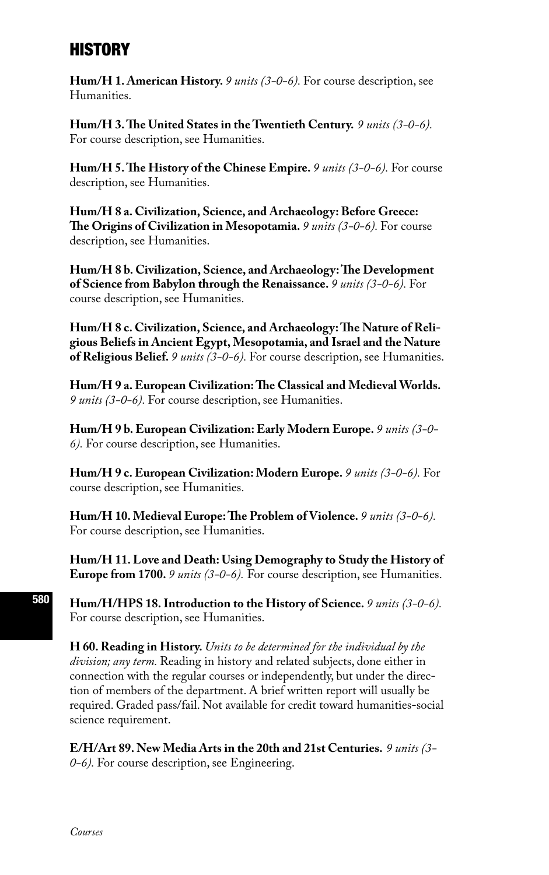# **HISTORY**

**Hum/H 1. American History.** *9 units (3-0-6).* For course description, see Humanities.

**Hum/H 3. The United States in the Twentieth Century.** *9 units (3-0-6).* For course description, see Humanities.

**Hum/H 5. The History of the Chinese Empire.** *9 units (3-0-6).* For course description, see Humanities.

**Hum/H 8 a. Civilization, Science, and Archaeology: Before Greece: The Origins of Civilization in Mesopotamia.** *9 units (3-0-6).* For course description, see Humanities.

**Hum/H 8 b. Civilization, Science, and Archaeology: The Development of Science from Babylon through the Renaissance.** *9 units (3-0-6).* For course description, see Humanities.

**Hum/H 8 c. Civilization, Science, and Archaeology: The Nature of Religious Beliefs in Ancient Egypt, Mesopotamia, and Israel and the Nature of Religious Belief.** *9 units (3-0-6).* For course description, see Humanities.

**Hum/H 9 a. European Civilization: The Classical and Medieval Worlds.**  *9 units (3-0-6).* For course description, see Humanities.

**Hum/H 9 b. European Civilization: Early Modern Europe.** *9 units (3-0- 6).* For course description, see Humanities.

**Hum/H 9 c. European Civilization: Modern Europe.** *9 units (3-0-6).* For course description, see Humanities.

**Hum/H 10. Medieval Europe: The Problem of Violence.** *9 units (3-0-6).*  For course description, see Humanities.

**Hum/H 11. Love and Death: Using Demography to Study the History of Europe from 1700.** *9 units (3-0-6).* For course description, see Humanities.

**Hum/H/HPS 18. Introduction to the History of Science.** *9 units (3-0-6).*  For course description, see Humanities.

**H 60. Reading in History.** *Units to be determined for the individual by the division; any term.* Reading in history and related subjects, done either in connection with the regular courses or independently, but under the direction of members of the department. A brief written report will usually be required. Graded pass/fail. Not available for credit toward humanities-social science requirement.

**E/H/Art 89. New Media Arts in the 20th and 21st Centuries.** *9 units (3- 0-6).* For course description, see Engineering.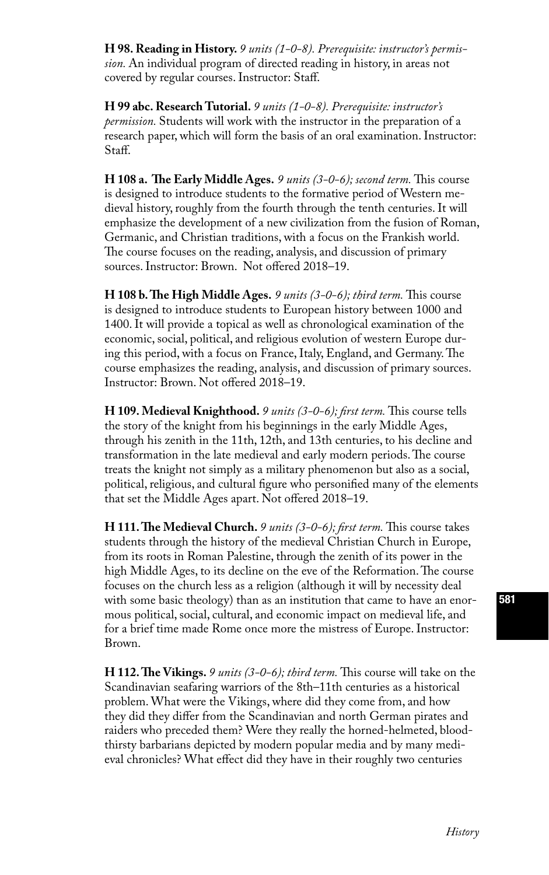**H 98. Reading in History.** *9 units (1-0-8). Prerequisite: instructor's permission.* An individual program of directed reading in history, in areas not covered by regular courses. Instructor: Staff.

**H 99 abc. Research Tutorial.** *9 units (1-0-8). Prerequisite: instructor's permission.* Students will work with the instructor in the preparation of a research paper, which will form the basis of an oral examination. Instructor: Staff.

**H 108 a. The Early Middle Ages.** *9 units (3-0-6); second term.* This course is designed to introduce students to the formative period of Western medieval history, roughly from the fourth through the tenth centuries. It will emphasize the development of a new civilization from the fusion of Roman, Germanic, and Christian traditions, with a focus on the Frankish world. The course focuses on the reading, analysis, and discussion of primary sources. Instructor: Brown. Not offered 2018–19.

**H 108 b. The High Middle Ages.** *9 units (3-0-6); third term.* This course is designed to introduce students to European history between 1000 and 1400. It will provide a topical as well as chronological examination of the economic, social, political, and religious evolution of western Europe during this period, with a focus on France, Italy, England, and Germany. The course emphasizes the reading, analysis, and discussion of primary sources. Instructor: Brown. Not offered 2018–19.

**H 109. Medieval Knighthood.** *9 units (3-0-6); first term.* This course tells the story of the knight from his beginnings in the early Middle Ages, through his zenith in the 11th, 12th, and 13th centuries, to his decline and transformation in the late medieval and early modern periods. The course treats the knight not simply as a military phenomenon but also as a social, political, religious, and cultural figure who personified many of the elements that set the Middle Ages apart. Not offered 2018–19.

**H 111. The Medieval Church.** *9 units (3-0-6); first term.* This course takes students through the history of the medieval Christian Church in Europe, from its roots in Roman Palestine, through the zenith of its power in the high Middle Ages, to its decline on the eve of the Reformation. The course focuses on the church less as a religion (although it will by necessity deal with some basic theology) than as an institution that came to have an enormous political, social, cultural, and economic impact on medieval life, and for a brief time made Rome once more the mistress of Europe. Instructor: Brown.

**H 112. The Vikings.** *9 units (3-0-6); third term.* This course will take on the Scandinavian seafaring warriors of the 8th–11th centuries as a historical problem. What were the Vikings, where did they come from, and how they did they differ from the Scandinavian and north German pirates and raiders who preceded them? Were they really the horned-helmeted, bloodthirsty barbarians depicted by modern popular media and by many medieval chronicles? What effect did they have in their roughly two centuries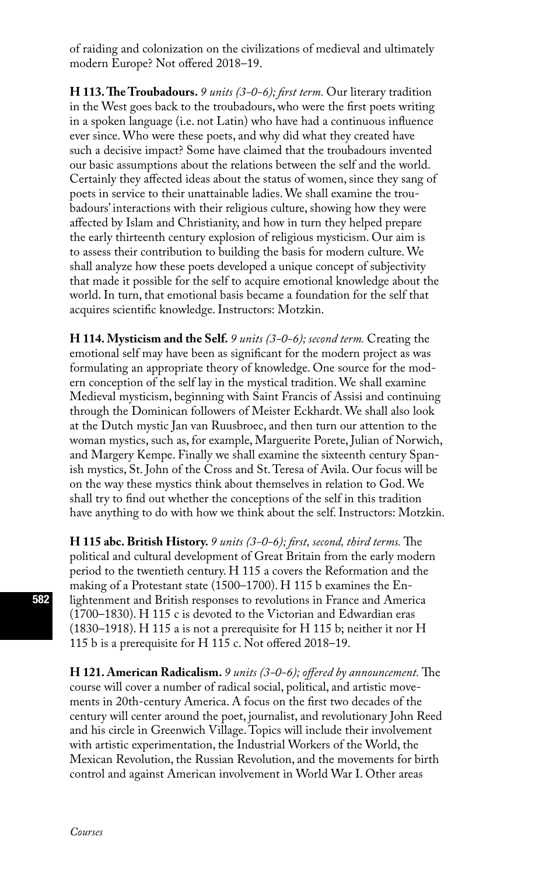of raiding and colonization on the civilizations of medieval and ultimately modern Europe? Not offered 2018–19.

**H 113. The Troubadours.** *9 units (3-0-6); first term.* Our literary tradition in the West goes back to the troubadours, who were the first poets writing in a spoken language (i.e. not Latin) who have had a continuous influence ever since. Who were these poets, and why did what they created have such a decisive impact? Some have claimed that the troubadours invented our basic assumptions about the relations between the self and the world. Certainly they affected ideas about the status of women, since they sang of poets in service to their unattainable ladies. We shall examine the troubadours' interactions with their religious culture, showing how they were affected by Islam and Christianity, and how in turn they helped prepare the early thirteenth century explosion of religious mysticism. Our aim is to assess their contribution to building the basis for modern culture. We shall analyze how these poets developed a unique concept of subjectivity that made it possible for the self to acquire emotional knowledge about the world. In turn, that emotional basis became a foundation for the self that acquires scientific knowledge. Instructors: Motzkin.

**H 114. Mysticism and the Self.** *9 units (3-0-6); second term.* Creating the emotional self may have been as significant for the modern project as was formulating an appropriate theory of knowledge. One source for the modern conception of the self lay in the mystical tradition. We shall examine Medieval mysticism, beginning with Saint Francis of Assisi and continuing through the Dominican followers of Meister Eckhardt. We shall also look at the Dutch mystic Jan van Ruusbroec, and then turn our attention to the woman mystics, such as, for example, Marguerite Porete, Julian of Norwich, and Margery Kempe. Finally we shall examine the sixteenth century Spanish mystics, St. John of the Cross and St. Teresa of Avila. Our focus will be on the way these mystics think about themselves in relation to God. We shall try to find out whether the conceptions of the self in this tradition have anything to do with how we think about the self. Instructors: Motzkin.

**H 115 abc. British History.** *9 units (3-0-6); first, second, third terms.* The political and cultural development of Great Britain from the early modern period to the twentieth century. H 115 a covers the Reformation and the making of a Protestant state (1500–1700). H 115 b examines the Enlightenment and British responses to revolutions in France and America (1700–1830). H 115 c is devoted to the Victorian and Edwardian eras (1830–1918). H 115 a is not a prerequisite for H 115 b; neither it nor H 115 b is a prerequisite for H 115 c. Not offered 2018–19.

**H 121. American Radicalism.** *9 units (3-0-6); offered by announcement.* The course will cover a number of radical social, political, and artistic movements in 20th-century America. A focus on the first two decades of the century will center around the poet, journalist, and revolutionary John Reed and his circle in Greenwich Village. Topics will include their involvement with artistic experimentation, the Industrial Workers of the World, the Mexican Revolution, the Russian Revolution, and the movements for birth control and against American involvement in World War I. Other areas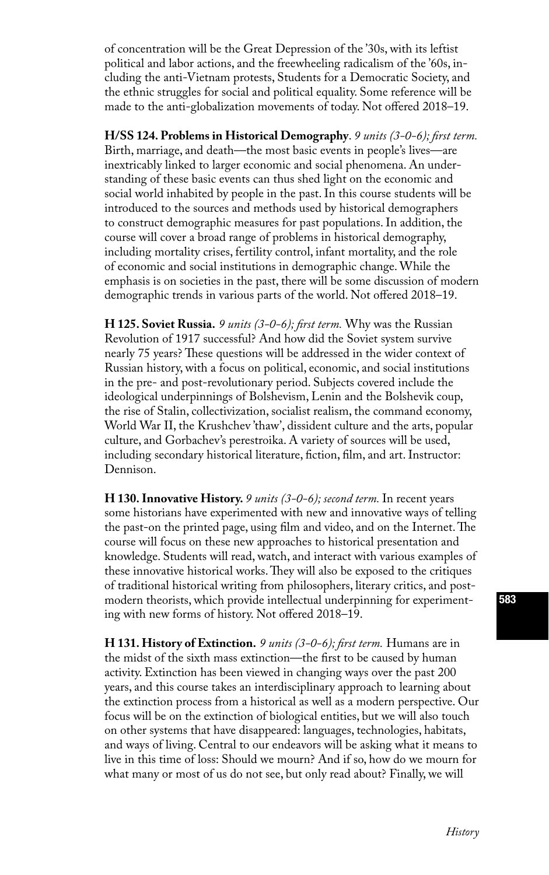of concentration will be the Great Depression of the '30s, with its leftist political and labor actions, and the freewheeling radicalism of the '60s, including the anti-Vietnam protests, Students for a Democratic Society, and the ethnic struggles for social and political equality. Some reference will be made to the anti-globalization movements of today. Not offered 2018–19.

**H/SS 124. Problems in Historical Demography**. *9 units (3-0-6); first term.* Birth, marriage, and death—the most basic events in people's lives—are inextricably linked to larger economic and social phenomena. An understanding of these basic events can thus shed light on the economic and social world inhabited by people in the past. In this course students will be introduced to the sources and methods used by historical demographers to construct demographic measures for past populations. In addition, the course will cover a broad range of problems in historical demography, including mortality crises, fertility control, infant mortality, and the role of economic and social institutions in demographic change. While the emphasis is on societies in the past, there will be some discussion of modern demographic trends in various parts of the world. Not offered 2018–19.

**H 125. Soviet Russia.** *9 units (3-0-6); first term.* Why was the Russian Revolution of 1917 successful? And how did the Soviet system survive nearly 75 years? These questions will be addressed in the wider context of Russian history, with a focus on political, economic, and social institutions in the pre- and post-revolutionary period. Subjects covered include the ideological underpinnings of Bolshevism, Lenin and the Bolshevik coup, the rise of Stalin, collectivization, socialist realism, the command economy, World War II, the Krushchev 'thaw', dissident culture and the arts, popular culture, and Gorbachev's perestroika. A variety of sources will be used, including secondary historical literature, fiction, film, and art. Instructor: Dennison.

**H 130. Innovative History.** *9 units (3-0-6); second term.* In recent years some historians have experimented with new and innovative ways of telling the past-on the printed page, using film and video, and on the Internet. The course will focus on these new approaches to historical presentation and knowledge. Students will read, watch, and interact with various examples of these innovative historical works. They will also be exposed to the critiques of traditional historical writing from philosophers, literary critics, and postmodern theorists, which provide intellectual underpinning for experimenting with new forms of history. Not offered 2018–19.

**H 131. History of Extinction.** *9 units (3-0-6); first term.* Humans are in the midst of the sixth mass extinction—the first to be caused by human activity. Extinction has been viewed in changing ways over the past 200 years, and this course takes an interdisciplinary approach to learning about the extinction process from a historical as well as a modern perspective. Our focus will be on the extinction of biological entities, but we will also touch on other systems that have disappeared: languages, technologies, habitats, and ways of living. Central to our endeavors will be asking what it means to live in this time of loss: Should we mourn? And if so, how do we mourn for what many or most of us do not see, but only read about? Finally, we will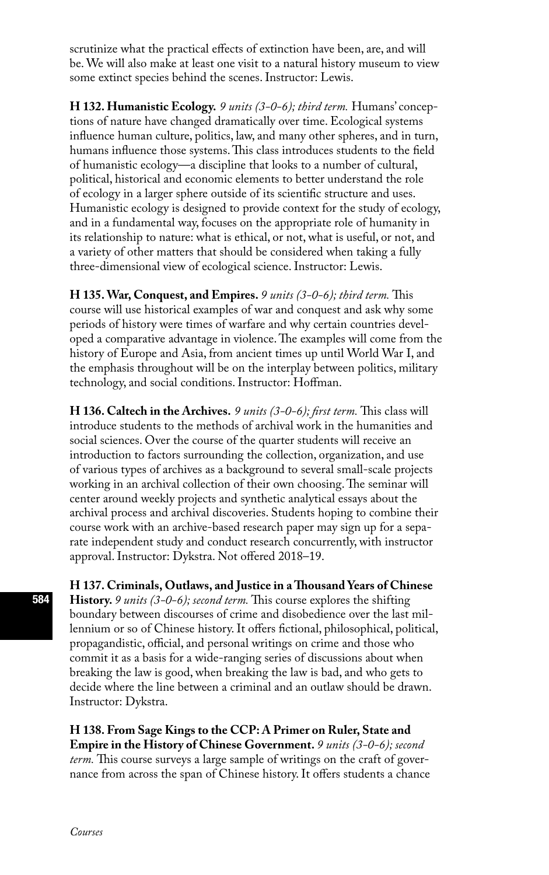scrutinize what the practical effects of extinction have been, are, and will be. We will also make at least one visit to a natural history museum to view some extinct species behind the scenes. Instructor: Lewis.

**H 132. Humanistic Ecology.** *9 units (3-0-6); third term.* Humans' conceptions of nature have changed dramatically over time. Ecological systems influence human culture, politics, law, and many other spheres, and in turn, humans influence those systems. This class introduces students to the field of humanistic ecology—a discipline that looks to a number of cultural, political, historical and economic elements to better understand the role of ecology in a larger sphere outside of its scientific structure and uses. Humanistic ecology is designed to provide context for the study of ecology, and in a fundamental way, focuses on the appropriate role of humanity in its relationship to nature: what is ethical, or not, what is useful, or not, and a variety of other matters that should be considered when taking a fully three-dimensional view of ecological science. Instructor: Lewis.

**H 135. War, Conquest, and Empires.** *9 units (3-0-6); third term.* This course will use historical examples of war and conquest and ask why some periods of history were times of warfare and why certain countries developed a comparative advantage in violence. The examples will come from the history of Europe and Asia, from ancient times up until World War I, and the emphasis throughout will be on the interplay between politics, military technology, and social conditions. Instructor: Hoffman.

**H 136. Caltech in the Archives.** *9 units (3-0-6); first term.* This class will introduce students to the methods of archival work in the humanities and social sciences. Over the course of the quarter students will receive an introduction to factors surrounding the collection, organization, and use of various types of archives as a background to several small-scale projects working in an archival collection of their own choosing. The seminar will center around weekly projects and synthetic analytical essays about the archival process and archival discoveries. Students hoping to combine their course work with an archive-based research paper may sign up for a separate independent study and conduct research concurrently, with instructor approval. Instructor: Dykstra. Not offered 2018–19.

**H 137. Criminals, Outlaws, and Justice in a Thousand Years of Chinese History.** *9 units (3-0-6); second term.* This course explores the shifting boundary between discourses of crime and disobedience over the last millennium or so of Chinese history. It offers fictional, philosophical, political, propagandistic, official, and personal writings on crime and those who commit it as a basis for a wide-ranging series of discussions about when breaking the law is good, when breaking the law is bad, and who gets to decide where the line between a criminal and an outlaw should be drawn. Instructor: Dykstra.

**H 138. From Sage Kings to the CCP: A Primer on Ruler, State and Empire in the History of Chinese Government.** *9 units (3-0-6); second term.* This course surveys a large sample of writings on the craft of governance from across the span of Chinese history. It offers students a chance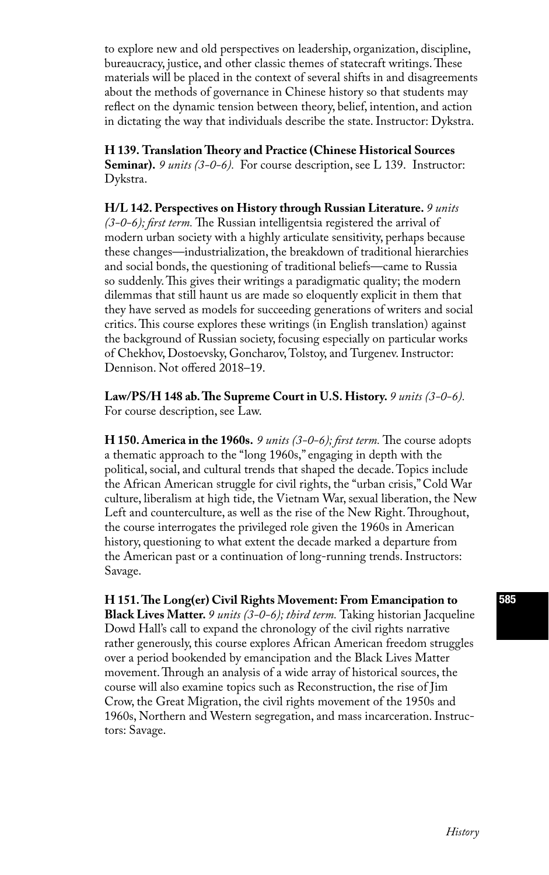to explore new and old perspectives on leadership, organization, discipline, bureaucracy, justice, and other classic themes of statecraft writings. These materials will be placed in the context of several shifts in and disagreements about the methods of governance in Chinese history so that students may reflect on the dynamic tension between theory, belief, intention, and action in dictating the way that individuals describe the state. Instructor: Dykstra.

**H 139. Translation Theory and Practice (Chinese Historical Sources Seminar).** *9 units (3-0-6)*. For course description, see L 139. Instructor: Dykstra.

**H/L 142. Perspectives on History through Russian Literature.** *9 units (3-0-6); first term.* The Russian intelligentsia registered the arrival of modern urban society with a highly articulate sensitivity, perhaps because these changes—industrialization, the breakdown of traditional hierarchies and social bonds, the questioning of traditional beliefs—came to Russia so suddenly. This gives their writings a paradigmatic quality; the modern dilemmas that still haunt us are made so eloquently explicit in them that they have served as models for succeeding generations of writers and social critics. This course explores these writings (in English translation) against the background of Russian society, focusing especially on particular works of Chekhov, Dostoevsky, Goncharov, Tolstoy, and Turgenev. Instructor: Dennison. Not offered 2018–19.

Law/PS/H 148 ab. The Supreme Court in U.S. History. 9 units (3-0-6). For course description, see Law.

**H 150. America in the 1960s.** *9 units (3-0-6); first term.* The course adopts a thematic approach to the "long 1960s," engaging in depth with the political, social, and cultural trends that shaped the decade. Topics include the African American struggle for civil rights, the "urban crisis," Cold War culture, liberalism at high tide, the Vietnam War, sexual liberation, the New Left and counterculture, as well as the rise of the New Right. Throughout, the course interrogates the privileged role given the 1960s in American history, questioning to what extent the decade marked a departure from the American past or a continuation of long-running trends. Instructors: Savage.

**H 151. The Long(er) Civil Rights Movement: From Emancipation to Black Lives Matter.** *9 units (3-0-6); third term.* Taking historian Jacqueline Dowd Hall's call to expand the chronology of the civil rights narrative rather generously, this course explores African American freedom struggles over a period bookended by emancipation and the Black Lives Matter movement. Through an analysis of a wide array of historical sources, the course will also examine topics such as Reconstruction, the rise of Jim Crow, the Great Migration, the civil rights movement of the 1950s and 1960s, Northern and Western segregation, and mass incarceration. Instructors: Savage.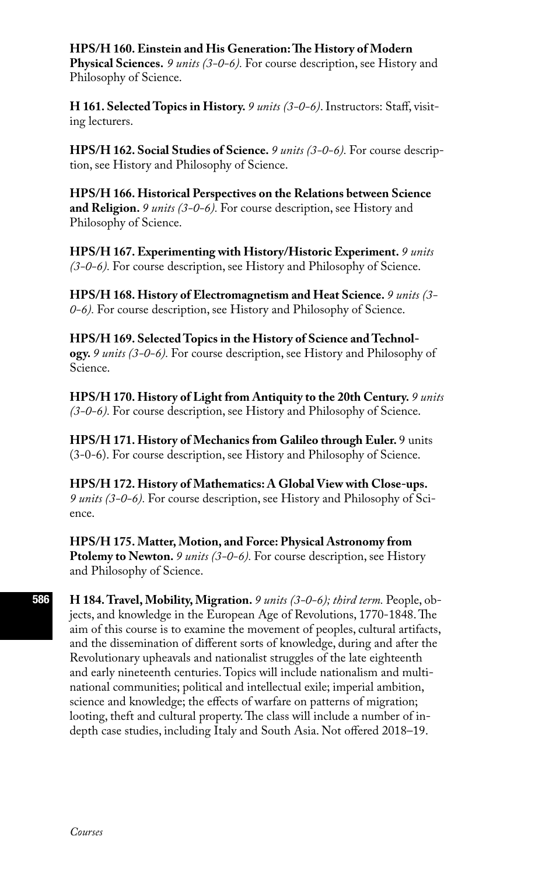### **HPS/H 160. Einstein and His Generation: The History of Modern**

**Physical Sciences.** *9 units (3-0-6).* For course description, see History and Philosophy of Science.

**H 161. Selected Topics in History.** *9 units (3-0-6)*. Instructors: Staff, visiting lecturers.

**HPS/H 162. Social Studies of Science.** *9 units (3-0-6).* For course description, see History and Philosophy of Science.

**HPS/H 166. Historical Perspectives on the Relations between Science and Religion.** *9 units (3-0-6).* For course description, see History and Philosophy of Science.

**HPS/H 167. Experimenting with History/Historic Experiment.** *9 units (3-0-6).* For course description, see History and Philosophy of Science.

**HPS/H 168. History of Electromagnetism and Heat Science.** *9 units (3- 0-6).* For course description, see History and Philosophy of Science.

**HPS/H 169. Selected Topics in the History of Science and Technology.** *9 units (3-0-6).* For course description, see History and Philosophy of Science.

**HPS/H 170. History of Light from Antiquity to the 20th Century.** *9 units (3-0-6).* For course description, see History and Philosophy of Science.

**HPS/H 171. History of Mechanics from Galileo through Euler.** 9 units (3-0-6). For course description, see History and Philosophy of Science.

**HPS/H 172. History of Mathematics: A Global View with Close-ups.**  *9 units (3-0-6).* For course description, see History and Philosophy of Science.

**HPS/H 175. Matter, Motion, and Force: Physical Astronomy from Ptolemy to Newton.** *9 units (3-0-6).* For course description, see History and Philosophy of Science.

**H 184. Travel, Mobility, Migration.** *9 units (3-0-6); third term.* People, objects, and knowledge in the European Age of Revolutions, 1770-1848. The aim of this course is to examine the movement of peoples, cultural artifacts, and the dissemination of different sorts of knowledge, during and after the Revolutionary upheavals and nationalist struggles of the late eighteenth and early nineteenth centuries. Topics will include nationalism and multinational communities; political and intellectual exile; imperial ambition, science and knowledge; the effects of warfare on patterns of migration; looting, theft and cultural property. The class will include a number of indepth case studies, including Italy and South Asia. Not offered 2018–19.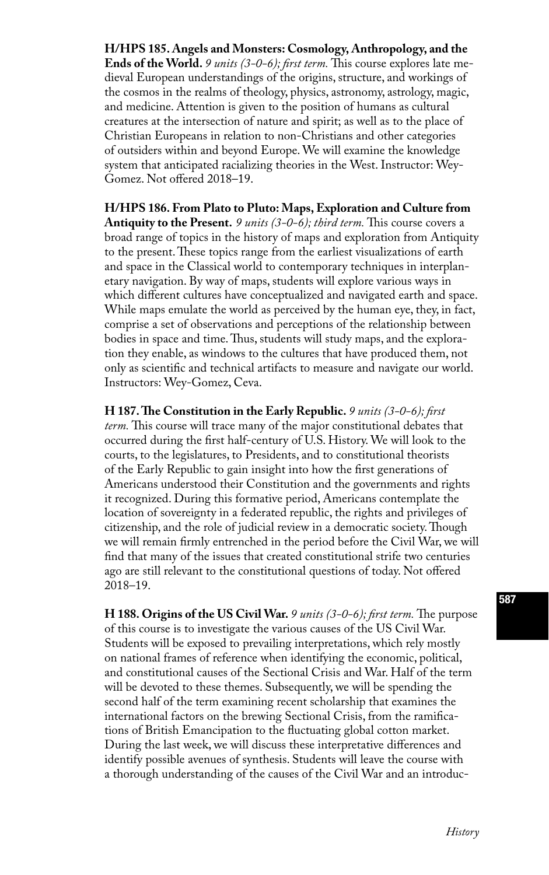**H/HPS 185. Angels and Monsters: Cosmology, Anthropology, and the Ends of the World.** *9 units (3-0-6); first term.* This course explores late medieval European understandings of the origins, structure, and workings of the cosmos in the realms of theology, physics, astronomy, astrology, magic, and medicine. Attention is given to the position of humans as cultural creatures at the intersection of nature and spirit; as well as to the place of Christian Europeans in relation to non-Christians and other categories of outsiders within and beyond Europe. We will examine the knowledge system that anticipated racializing theories in the West. Instructor: Wey-Gomez. Not offered 2018–19.

**H/HPS 186. From Plato to Pluto: Maps, Exploration and Culture from Antiquity to the Present.** *9 units (3-0-6); third term.* This course covers a broad range of topics in the history of maps and exploration from Antiquity to the present. These topics range from the earliest visualizations of earth and space in the Classical world to contemporary techniques in interplanetary navigation. By way of maps, students will explore various ways in which different cultures have conceptualized and navigated earth and space. While maps emulate the world as perceived by the human eye, they, in fact, comprise a set of observations and perceptions of the relationship between bodies in space and time. Thus, students will study maps, and the exploration they enable, as windows to the cultures that have produced them, not only as scientific and technical artifacts to measure and navigate our world. Instructors: Wey-Gomez, Ceva.

**H 187. The Constitution in the Early Republic.** *9 units (3-0-6); first term.* This course will trace many of the major constitutional debates that occurred during the first half-century of U.S. History. We will look to the courts, to the legislatures, to Presidents, and to constitutional theorists of the Early Republic to gain insight into how the first generations of Americans understood their Constitution and the governments and rights it recognized. During this formative period, Americans contemplate the location of sovereignty in a federated republic, the rights and privileges of citizenship, and the role of judicial review in a democratic society. Though we will remain firmly entrenched in the period before the Civil War, we will find that many of the issues that created constitutional strife two centuries ago are still relevant to the constitutional questions of today. Not offered 2018–19.

**H 188. Origins of the US Civil War.** *9 units (3-0-6); first term.* The purpose of this course is to investigate the various causes of the US Civil War. Students will be exposed to prevailing interpretations, which rely mostly on national frames of reference when identifying the economic, political, and constitutional causes of the Sectional Crisis and War. Half of the term will be devoted to these themes. Subsequently, we will be spending the second half of the term examining recent scholarship that examines the international factors on the brewing Sectional Crisis, from the ramifications of British Emancipation to the fluctuating global cotton market. During the last week, we will discuss these interpretative differences and identify possible avenues of synthesis. Students will leave the course with a thorough understanding of the causes of the Civil War and an introduc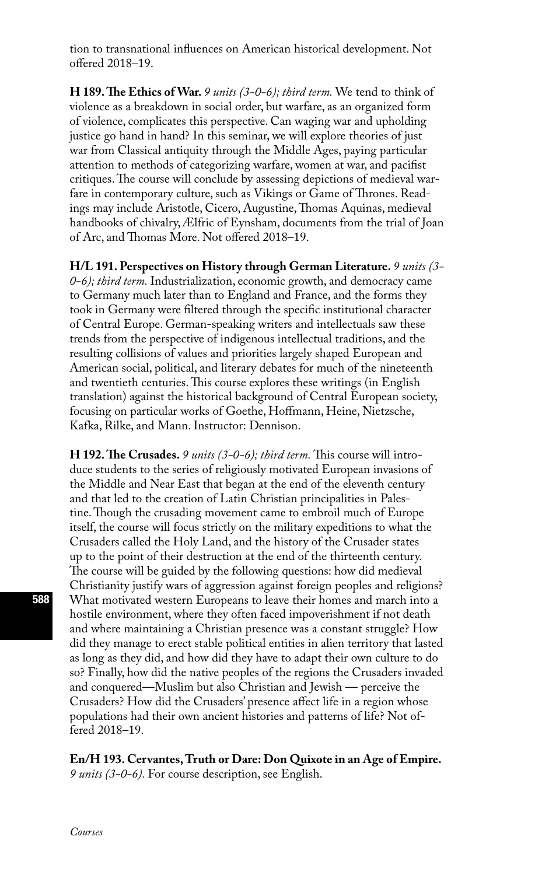tion to transnational influences on American historical development. Not offered 2018–19.

**H 189. The Ethics of War.** *9 units (3-0-6); third term.* We tend to think of violence as a breakdown in social order, but warfare, as an organized form of violence, complicates this perspective. Can waging war and upholding justice go hand in hand? In this seminar, we will explore theories of just war from Classical antiquity through the Middle Ages, paying particular attention to methods of categorizing warfare, women at war, and pacifist critiques. The course will conclude by assessing depictions of medieval warfare in contemporary culture, such as Vikings or Game of Thrones. Readings may include Aristotle, Cicero, Augustine, Thomas Aquinas, medieval handbooks of chivalry, Ælfric of Eynsham, documents from the trial of Joan of Arc, and Thomas More. Not offered 2018–19.

**H/L 191. Perspectives on History through German Literature.** *9 units (3- 0-6); third term.* Industrialization, economic growth, and democracy came to Germany much later than to England and France, and the forms they took in Germany were filtered through the specific institutional character of Central Europe. German-speaking writers and intellectuals saw these trends from the perspective of indigenous intellectual traditions, and the resulting collisions of values and priorities largely shaped European and American social, political, and literary debates for much of the nineteenth and twentieth centuries. This course explores these writings (in English translation) against the historical background of Central European society, focusing on particular works of Goethe, Hoffmann, Heine, Nietzsche, Kafka, Rilke, and Mann. Instructor: Dennison.

**H 192. The Crusades.** *9 units (3-0-6); third term.* This course will introduce students to the series of religiously motivated European invasions of the Middle and Near East that began at the end of the eleventh century and that led to the creation of Latin Christian principalities in Palestine. Though the crusading movement came to embroil much of Europe itself, the course will focus strictly on the military expeditions to what the Crusaders called the Holy Land, and the history of the Crusader states up to the point of their destruction at the end of the thirteenth century. The course will be guided by the following questions: how did medieval Christianity justify wars of aggression against foreign peoples and religions? What motivated western Europeans to leave their homes and march into a hostile environment, where they often faced impoverishment if not death and where maintaining a Christian presence was a constant struggle? How did they manage to erect stable political entities in alien territory that lasted as long as they did, and how did they have to adapt their own culture to do so? Finally, how did the native peoples of the regions the Crusaders invaded and conquered—Muslim but also Christian and Jewish — perceive the Crusaders? How did the Crusaders' presence affect life in a region whose populations had their own ancient histories and patterns of life? Not offered 2018–19.

### **En/H 193. Cervantes, Truth or Dare: Don Quixote in an Age of Empire.**

*9 units (3-0-6).* For course description, see English.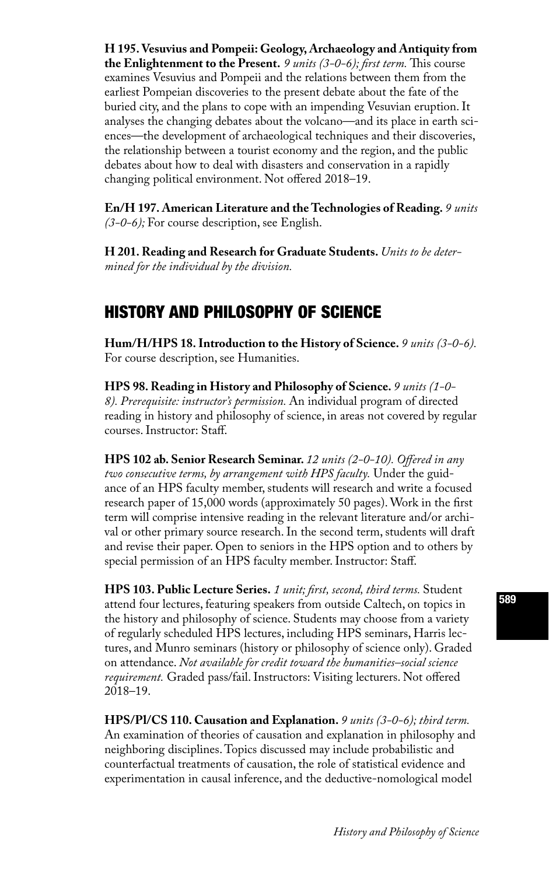**H 195. Vesuvius and Pompeii: Geology, Archaeology and Antiquity from the Enlightenment to the Present.** *9 units (3-0-6); first term.* This course examines Vesuvius and Pompeii and the relations between them from the earliest Pompeian discoveries to the present debate about the fate of the buried city, and the plans to cope with an impending Vesuvian eruption. It analyses the changing debates about the volcano—and its place in earth sciences—the development of archaeological techniques and their discoveries, the relationship between a tourist economy and the region, and the public debates about how to deal with disasters and conservation in a rapidly changing political environment. Not offered 2018–19.

**En/H 197. American Literature and the Technologies of Reading.** *9 units (3-0-6);* For course description, see English.

**H 201. Reading and Research for Graduate Students.** *Units to be determined for the individual by the division.* 

# HISTORY AND PHILOSOPHY OF SCIENCE

**Hum/H/HPS 18. Introduction to the History of Science.** *9 units (3-0-6).*  For course description, see Humanities.

**HPS 98. Reading in History and Philosophy of Science.** *9 units (1-0- 8). Prerequisite: instructor's permission.* An individual program of directed reading in history and philosophy of science, in areas not covered by regular courses. Instructor: Staff.

**HPS 102 ab. Senior Research Seminar.** *12 units (2-0-10). Offered in any two consecutive terms, by arrangement with HPS faculty.* Under the guidance of an HPS faculty member, students will research and write a focused research paper of 15,000 words (approximately 50 pages). Work in the first term will comprise intensive reading in the relevant literature and/or archival or other primary source research. In the second term, students will draft and revise their paper. Open to seniors in the HPS option and to others by special permission of an HPS faculty member. Instructor: Staff.

**HPS 103. Public Lecture Series.** *1 unit; first, second, third terms.* Student attend four lectures, featuring speakers from outside Caltech, on topics in the history and philosophy of science. Students may choose from a variety of regularly scheduled HPS lectures, including HPS seminars, Harris lectures, and Munro seminars (history or philosophy of science only). Graded on attendance. *Not available for credit toward the humanities–social science requirement.* Graded pass/fail. Instructors: Visiting lecturers. Not offered 2018–19.

**HPS/Pl/CS 110. Causation and Explanation.** *9 units (3-0-6); third term.* An examination of theories of causation and explanation in philosophy and neighboring disciplines. Topics discussed may include probabilistic and counterfactual treatments of causation, the role of statistical evidence and experimentation in causal inference, and the deductive-nomological model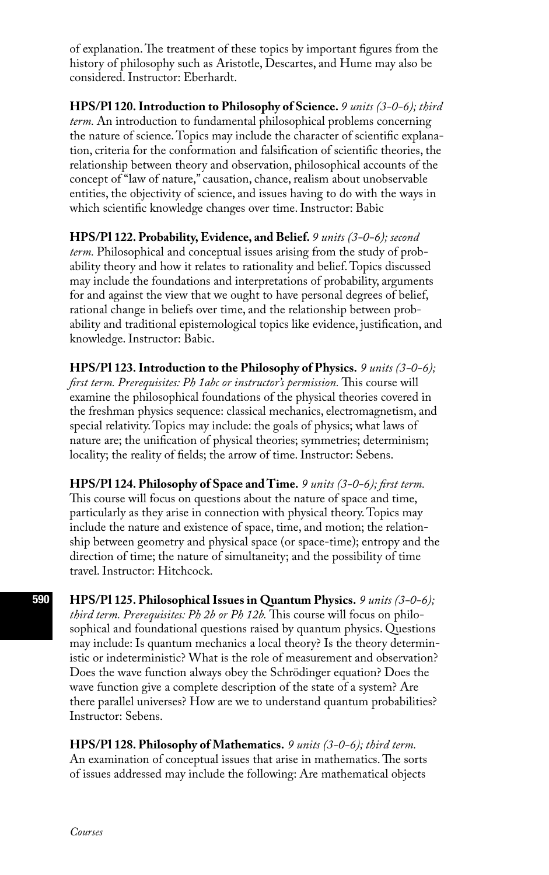of explanation. The treatment of these topics by important figures from the history of philosophy such as Aristotle, Descartes, and Hume may also be considered. Instructor: Eberhardt.

**HPS/Pl 120. Introduction to Philosophy of Science.** *9 units (3-0-6); third term.* An introduction to fundamental philosophical problems concerning the nature of science. Topics may include the character of scientific explanation, criteria for the conformation and falsification of scientific theories, the relationship between theory and observation, philosophical accounts of the concept of "law of nature," causation, chance, realism about unobservable entities, the objectivity of science, and issues having to do with the ways in which scientific knowledge changes over time. Instructor: Babic

**HPS/Pl 122. Probability, Evidence, and Belief.** *9 units (3-0-6); second term.* Philosophical and conceptual issues arising from the study of probability theory and how it relates to rationality and belief. Topics discussed may include the foundations and interpretations of probability, arguments for and against the view that we ought to have personal degrees of belief, rational change in beliefs over time, and the relationship between probability and traditional epistemological topics like evidence, justification, and knowledge. Instructor: Babic.

**HPS/Pl 123. Introduction to the Philosophy of Physics.** *9 units (3-0-6); first term. Prerequisites: Ph 1abc or instructor's permission.* This course will examine the philosophical foundations of the physical theories covered in the freshman physics sequence: classical mechanics, electromagnetism, and special relativity. Topics may include: the goals of physics; what laws of nature are; the unification of physical theories; symmetries; determinism; locality; the reality of fields; the arrow of time. Instructor: Sebens.

**HPS/Pl 124. Philosophy of Space and Time.** *9 units (3-0-6); first term.*  This course will focus on questions about the nature of space and time, particularly as they arise in connection with physical theory. Topics may include the nature and existence of space, time, and motion; the relationship between geometry and physical space (or space-time); entropy and the direction of time; the nature of simultaneity; and the possibility of time travel. Instructor: Hitchcock.

**HPS/Pl 125. Philosophical Issues in Quantum Physics.** *9 units (3-0-6); third term. Prerequisites: Ph 2b or Ph 12b.* This course will focus on philosophical and foundational questions raised by quantum physics. Questions may include: Is quantum mechanics a local theory? Is the theory deterministic or indeterministic? What is the role of measurement and observation? Does the wave function always obey the Schrödinger equation? Does the wave function give a complete description of the state of a system? Are there parallel universes? How are we to understand quantum probabilities? Instructor: Sebens.

**HPS/Pl 128. Philosophy of Mathematics.** *9 units (3-0-6); third term.*  An examination of conceptual issues that arise in mathematics. The sorts of issues addressed may include the following: Are mathematical objects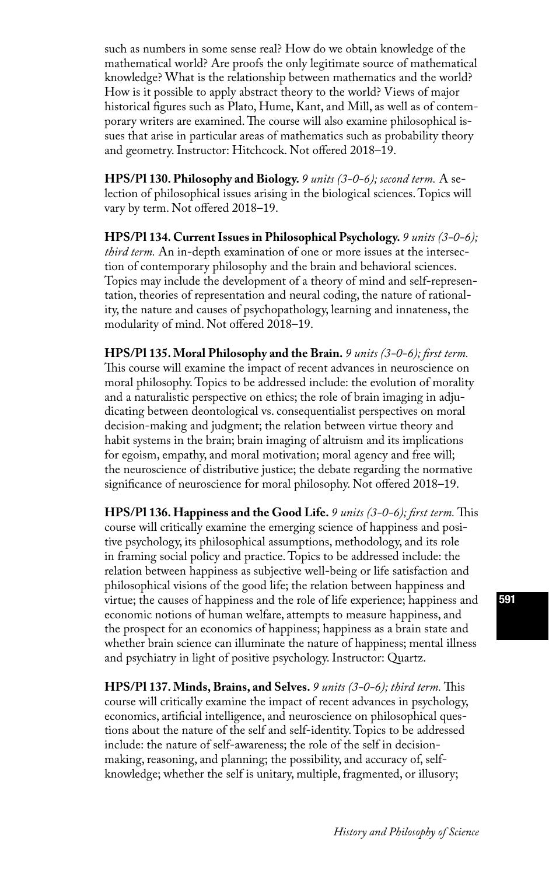such as numbers in some sense real? How do we obtain knowledge of the mathematical world? Are proofs the only legitimate source of mathematical knowledge? What is the relationship between mathematics and the world? How is it possible to apply abstract theory to the world? Views of major historical figures such as Plato, Hume, Kant, and Mill, as well as of contemporary writers are examined. The course will also examine philosophical issues that arise in particular areas of mathematics such as probability theory and geometry. Instructor: Hitchcock. Not offered 2018–19.

**HPS/Pl 130. Philosophy and Biology.** *9 units (3-0-6); second term.* A selection of philosophical issues arising in the biological sciences. Topics will vary by term. Not offered 2018–19.

**HPS/Pl 134. Current Issues in Philosophical Psychology.** *9 units (3-0-6); third term.* An in-depth examination of one or more issues at the intersection of contemporary philosophy and the brain and behavioral sciences. Topics may include the development of a theory of mind and self-representation, theories of representation and neural coding, the nature of rationality, the nature and causes of psychopathology, learning and innateness, the modularity of mind. Not offered 2018–19.

**HPS/Pl 135. Moral Philosophy and the Brain.** *9 units (3-0-6); first term.* This course will examine the impact of recent advances in neuroscience on moral philosophy. Topics to be addressed include: the evolution of morality and a naturalistic perspective on ethics; the role of brain imaging in adjudicating between deontological vs. consequentialist perspectives on moral decision-making and judgment; the relation between virtue theory and habit systems in the brain; brain imaging of altruism and its implications for egoism, empathy, and moral motivation; moral agency and free will; the neuroscience of distributive justice; the debate regarding the normative significance of neuroscience for moral philosophy. Not offered 2018–19.

**HPS/Pl 136. Happiness and the Good Life.** *9 units (3-0-6); first term.* This course will critically examine the emerging science of happiness and positive psychology, its philosophical assumptions, methodology, and its role in framing social policy and practice. Topics to be addressed include: the relation between happiness as subjective well-being or life satisfaction and philosophical visions of the good life; the relation between happiness and virtue; the causes of happiness and the role of life experience; happiness and economic notions of human welfare, attempts to measure happiness, and the prospect for an economics of happiness; happiness as a brain state and whether brain science can illuminate the nature of happiness; mental illness and psychiatry in light of positive psychology. Instructor: Quartz.

**HPS/Pl 137. Minds, Brains, and Selves.** *9 units (3-0-6); third term.* This course will critically examine the impact of recent advances in psychology, economics, artificial intelligence, and neuroscience on philosophical questions about the nature of the self and self-identity. Topics to be addressed include: the nature of self-awareness; the role of the self in decisionmaking, reasoning, and planning; the possibility, and accuracy of, selfknowledge; whether the self is unitary, multiple, fragmented, or illusory;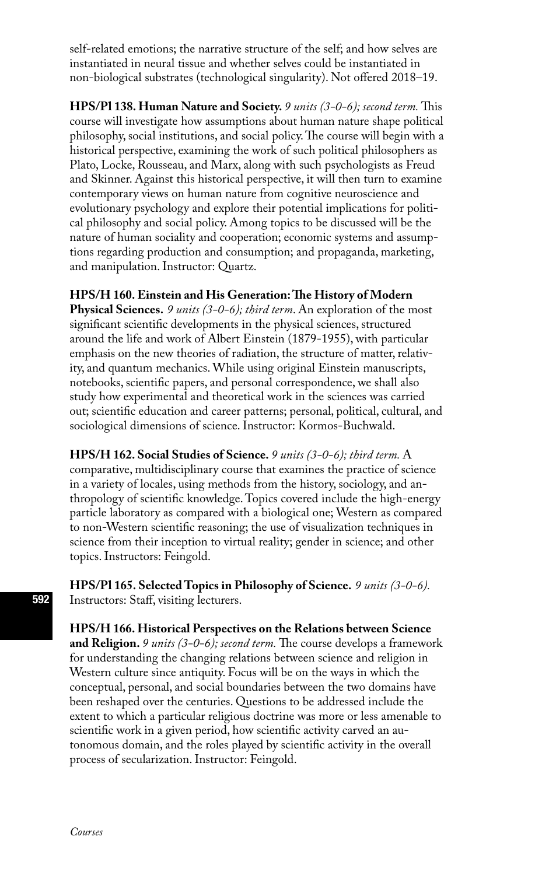self-related emotions; the narrative structure of the self; and how selves are instantiated in neural tissue and whether selves could be instantiated in non-biological substrates (technological singularity). Not offered 2018–19.

**HPS/Pl 138. Human Nature and Society.** *9 units (3-0-6); second term.* This course will investigate how assumptions about human nature shape political philosophy, social institutions, and social policy. The course will begin with a historical perspective, examining the work of such political philosophers as Plato, Locke, Rousseau, and Marx, along with such psychologists as Freud and Skinner. Against this historical perspective, it will then turn to examine contemporary views on human nature from cognitive neuroscience and evolutionary psychology and explore their potential implications for political philosophy and social policy. Among topics to be discussed will be the nature of human sociality and cooperation; economic systems and assumptions regarding production and consumption; and propaganda, marketing, and manipulation. Instructor: Quartz.

**HPS/H 160. Einstein and His Generation: The History of Modern** 

**Physical Sciences.** *9 units (3-0-6); third term*. An exploration of the most significant scientific developments in the physical sciences, structured around the life and work of Albert Einstein (1879-1955), with particular emphasis on the new theories of radiation, the structure of matter, relativity, and quantum mechanics. While using original Einstein manuscripts, notebooks, scientific papers, and personal correspondence, we shall also study how experimental and theoretical work in the sciences was carried out; scientific education and career patterns; personal, political, cultural, and sociological dimensions of science. Instructor: Kormos-Buchwald.

**HPS/H 162. Social Studies of Science.** *9 units (3-0-6); third term.* A comparative, multidisciplinary course that examines the practice of science in a variety of locales, using methods from the history, sociology, and anthropology of scientific knowledge. Topics covered include the high-energy particle laboratory as compared with a biological one; Western as compared to non-Western scientific reasoning; the use of visualization techniques in science from their inception to virtual reality; gender in science; and other topics. Instructors: Feingold.

**HPS/Pl 165. Selected Topics in Philosophy of Science.** *9 units (3-0-6).* Instructors: Staff, visiting lecturers.

**HPS/H 166. Historical Perspectives on the Relations between Science and Religion.** *9 units (3-0-6); second term.* The course develops a framework for understanding the changing relations between science and religion in Western culture since antiquity. Focus will be on the ways in which the conceptual, personal, and social boundaries between the two domains have been reshaped over the centuries. Questions to be addressed include the extent to which a particular religious doctrine was more or less amenable to scientific work in a given period, how scientific activity carved an autonomous domain, and the roles played by scientific activity in the overall process of secularization. Instructor: Feingold.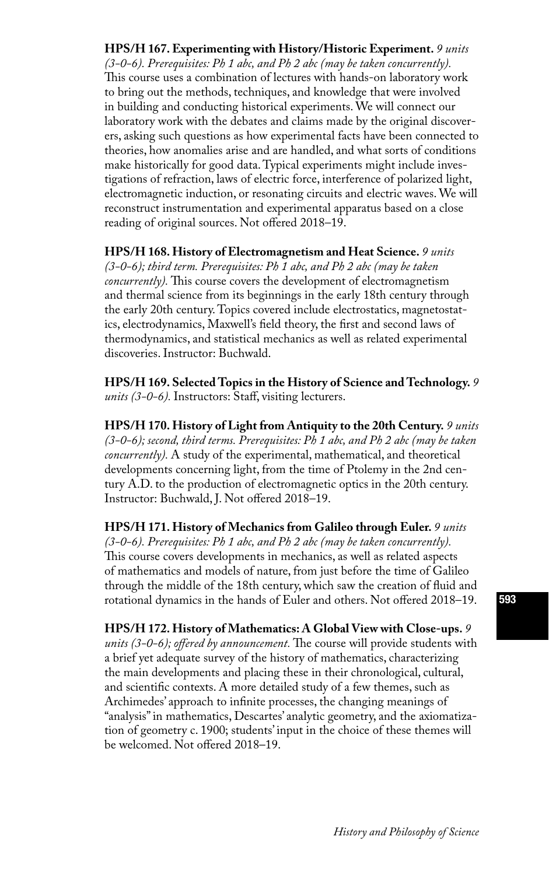**HPS/H 167. Experimenting with History/Historic Experiment.** *9 units (3-0-6). Prerequisites: Ph 1 abc, and Ph 2 abc (may be taken concurrently).*  This course uses a combination of lectures with hands-on laboratory work to bring out the methods, techniques, and knowledge that were involved in building and conducting historical experiments. We will connect our laboratory work with the debates and claims made by the original discoverers, asking such questions as how experimental facts have been connected to theories, how anomalies arise and are handled, and what sorts of conditions make historically for good data. Typical experiments might include investigations of refraction, laws of electric force, interference of polarized light, electromagnetic induction, or resonating circuits and electric waves. We will reconstruct instrumentation and experimental apparatus based on a close reading of original sources. Not offered 2018–19.

**HPS/H 168. History of Electromagnetism and Heat Science.** *9 units (3-0-6); third term. Prerequisites: Ph 1 abc, and Ph 2 abc (may be taken concurrently).* This course covers the development of electromagnetism and thermal science from its beginnings in the early 18th century through the early 20th century. Topics covered include electrostatics, magnetostatics, electrodynamics, Maxwell's field theory, the first and second laws of thermodynamics, and statistical mechanics as well as related experimental discoveries. Instructor: Buchwald.

**HPS/H 169. Selected Topics in the History of Science and Technology.** *9 units (3-0-6).* Instructors: Staff, visiting lecturers.

**HPS/H 170. History of Light from Antiquity to the 20th Century.** *9 units (3-0-6); second, third terms. Prerequisites: Ph 1 abc, and Ph 2 abc (may be taken concurrently).* A study of the experimental, mathematical, and theoretical developments concerning light, from the time of Ptolemy in the 2nd century A.D. to the production of electromagnetic optics in the 20th century. Instructor: Buchwald, J. Not offered 2018–19.

**HPS/H 171. History of Mechanics from Galileo through Euler.** *9 units (3-0-6). Prerequisites: Ph 1 abc, and Ph 2 abc (may be taken concurrently).*  This course covers developments in mechanics, as well as related aspects of mathematics and models of nature, from just before the time of Galileo through the middle of the 18th century, which saw the creation of fluid and rotational dynamics in the hands of Euler and others. Not offered 2018–19.

**HPS/H 172. History of Mathematics: A Global View with Close-ups.** *9 units (3-0-6); offered by announcement.* The course will provide students with a brief yet adequate survey of the history of mathematics, characterizing the main developments and placing these in their chronological, cultural, and scientific contexts. A more detailed study of a few themes, such as Archimedes' approach to infinite processes, the changing meanings of "analysis" in mathematics, Descartes' analytic geometry, and the axiomatization of geometry c. 1900; students' input in the choice of these themes will be welcomed. Not offered 2018–19.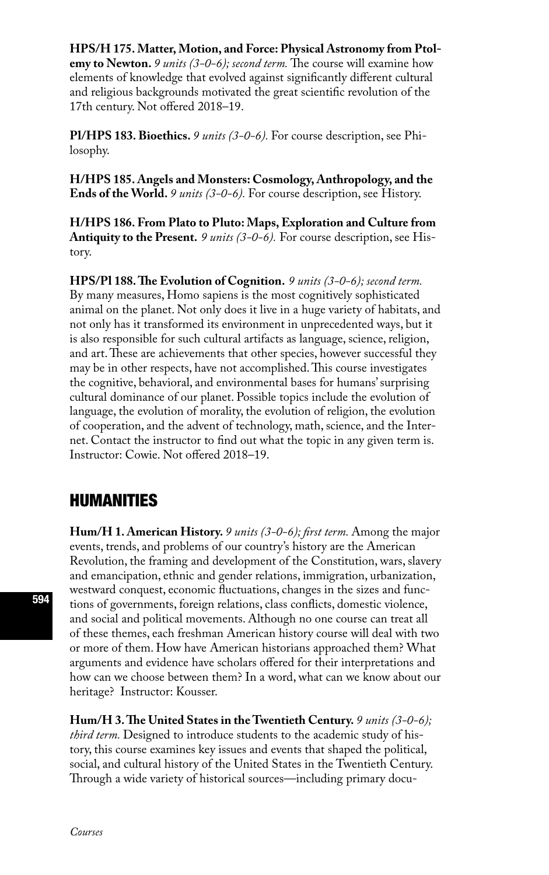#### **HPS/H 175. Matter, Motion, and Force: Physical Astronomy from Ptol-**

**emy to Newton.** *9 units (3-0-6); second term.* The course will examine how elements of knowledge that evolved against significantly different cultural and religious backgrounds motivated the great scientific revolution of the 17th century. Not offered 2018–19.

**Pl/HPS 183. Bioethics.** *9 units (3-0-6).* For course description, see Philosophy.

**H/HPS 185. Angels and Monsters: Cosmology, Anthropology, and the Ends of the World.** *9 units (3-0-6).* For course description, see History.

**H/HPS 186. From Plato to Pluto: Maps, Exploration and Culture from Antiquity to the Present.** *9 units (3-0-6).* For course description, see History.

**HPS/Pl 188. The Evolution of Cognition.** *9 units (3-0-6); second term.*  By many measures, Homo sapiens is the most cognitively sophisticated animal on the planet. Not only does it live in a huge variety of habitats, and not only has it transformed its environment in unprecedented ways, but it is also responsible for such cultural artifacts as language, science, religion, and art. These are achievements that other species, however successful they may be in other respects, have not accomplished. This course investigates the cognitive, behavioral, and environmental bases for humans' surprising cultural dominance of our planet. Possible topics include the evolution of language, the evolution of morality, the evolution of religion, the evolution of cooperation, and the advent of technology, math, science, and the Internet. Contact the instructor to find out what the topic in any given term is. Instructor: Cowie. Not offered 2018–19.

### HUMANITIES

**Hum/H 1. American History.** *9 units (3-0-6); first term.* Among the major events, trends, and problems of our country's history are the American Revolution, the framing and development of the Constitution, wars, slavery and emancipation, ethnic and gender relations, immigration, urbanization, westward conquest, economic fluctuations, changes in the sizes and functions of governments, foreign relations, class conflicts, domestic violence, and social and political movements. Although no one course can treat all of these themes, each freshman American history course will deal with two or more of them. How have American historians approached them? What arguments and evidence have scholars offered for their interpretations and how can we choose between them? In a word, what can we know about our heritage? Instructor: Kousser.

**Hum/H 3. The United States in the Twentieth Century.** *9 units (3-0-6); third term.* Designed to introduce students to the academic study of history, this course examines key issues and events that shaped the political, social, and cultural history of the United States in the Twentieth Century. Through a wide variety of historical sources—including primary docu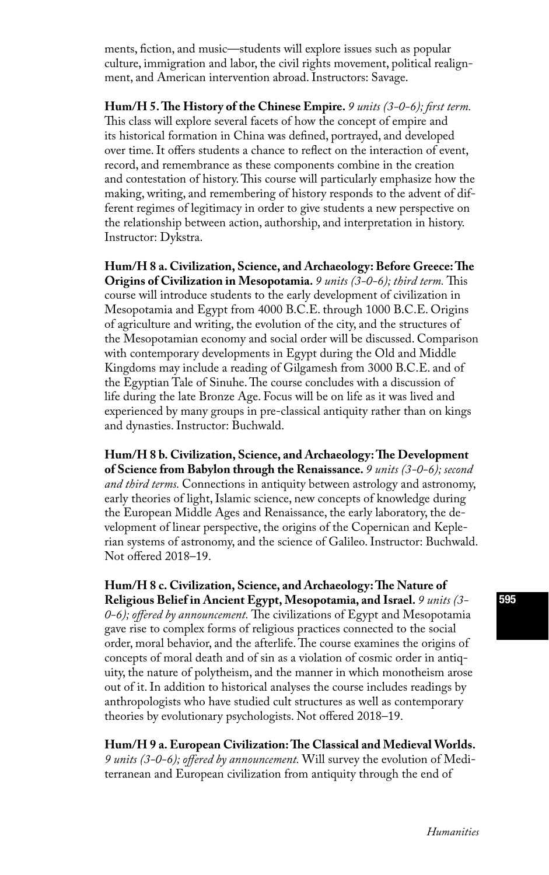ments, fiction, and music—students will explore issues such as popular culture, immigration and labor, the civil rights movement, political realignment, and American intervention abroad. Instructors: Savage.

**Hum/H 5. The History of the Chinese Empire.** *9 units (3-0-6); first term.*  This class will explore several facets of how the concept of empire and its historical formation in China was defined, portrayed, and developed over time. It offers students a chance to reflect on the interaction of event, record, and remembrance as these components combine in the creation and contestation of history. This course will particularly emphasize how the making, writing, and remembering of history responds to the advent of different regimes of legitimacy in order to give students a new perspective on the relationship between action, authorship, and interpretation in history. Instructor: Dykstra.

**Hum/H 8 a. Civilization, Science, and Archaeology: Before Greece: The Origins of Civilization in Mesopotamia.** *9 units (3-0-6); third term.* This course will introduce students to the early development of civilization in Mesopotamia and Egypt from 4000 B.C.E. through 1000 B.C.E. Origins of agriculture and writing, the evolution of the city, and the structures of the Mesopotamian economy and social order will be discussed. Comparison with contemporary developments in Egypt during the Old and Middle Kingdoms may include a reading of Gilgamesh from 3000 B.C.E. and of the Egyptian Tale of Sinuhe. The course concludes with a discussion of life during the late Bronze Age. Focus will be on life as it was lived and experienced by many groups in pre-classical antiquity rather than on kings and dynasties. Instructor: Buchwald.

**Hum/H 8 b. Civilization, Science, and Archaeology: The Development of Science from Babylon through the Renaissance.** *9 units (3-0-6); second and third terms.* Connections in antiquity between astrology and astronomy, early theories of light, Islamic science, new concepts of knowledge during the European Middle Ages and Renaissance, the early laboratory, the development of linear perspective, the origins of the Copernican and Keplerian systems of astronomy, and the science of Galileo. Instructor: Buchwald. Not offered 2018–19.

**Hum/H 8 c. Civilization, Science, and Archaeology: The Nature of Religious Belief in Ancient Egypt, Mesopotamia, and Israel.** *9 units (3- 0-6); offered by announcement.* The civilizations of Egypt and Mesopotamia gave rise to complex forms of religious practices connected to the social order, moral behavior, and the afterlife. The course examines the origins of concepts of moral death and of sin as a violation of cosmic order in antiquity, the nature of polytheism, and the manner in which monotheism arose out of it. In addition to historical analyses the course includes readings by anthropologists who have studied cult structures as well as contemporary theories by evolutionary psychologists. Not offered 2018–19.

**Hum/H 9 a. European Civilization: The Classical and Medieval Worlds.**  *9 units (3-0-6); offered by announcement.* Will survey the evolution of Mediterranean and European civilization from antiquity through the end of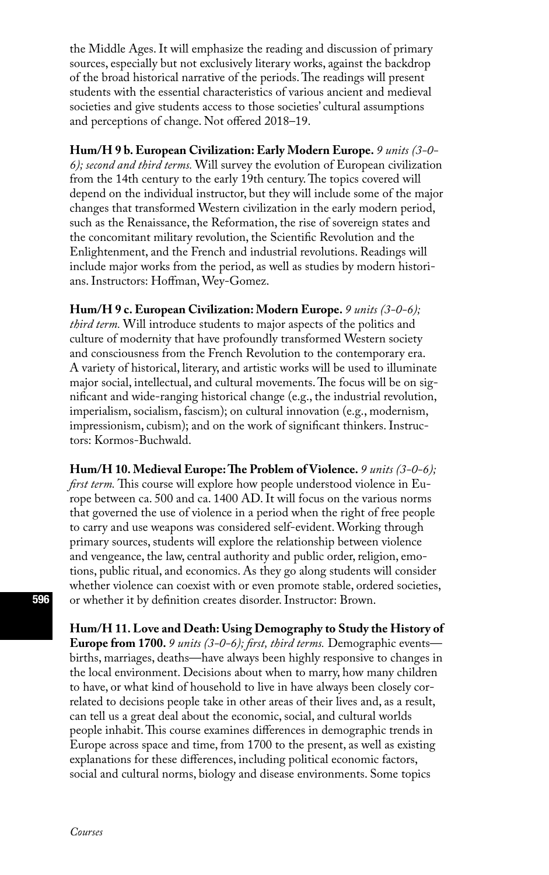the Middle Ages. It will emphasize the reading and discussion of primary sources, especially but not exclusively literary works, against the backdrop of the broad historical narrative of the periods. The readings will present students with the essential characteristics of various ancient and medieval societies and give students access to those societies' cultural assumptions and perceptions of change. Not offered 2018–19.

**Hum/H 9 b. European Civilization: Early Modern Europe.** *9 units (3-0- 6); second and third terms.* Will survey the evolution of European civilization from the 14th century to the early 19th century. The topics covered will depend on the individual instructor, but they will include some of the major changes that transformed Western civilization in the early modern period, such as the Renaissance, the Reformation, the rise of sovereign states and the concomitant military revolution, the Scientific Revolution and the Enlightenment, and the French and industrial revolutions. Readings will include major works from the period, as well as studies by modern historians. Instructors: Hoffman, Wey-Gomez.

**Hum/H 9 c. European Civilization: Modern Europe.** *9 units (3-0-6); third term.* Will introduce students to major aspects of the politics and culture of modernity that have profoundly transformed Western society and consciousness from the French Revolution to the contemporary era. A variety of historical, literary, and artistic works will be used to illuminate major social, intellectual, and cultural movements. The focus will be on significant and wide-ranging historical change (e.g., the industrial revolution, imperialism, socialism, fascism); on cultural innovation (e.g., modernism, impressionism, cubism); and on the work of significant thinkers. Instructors: Kormos-Buchwald.

**Hum/H 10. Medieval Europe: The Problem of Violence.** *9 units (3-0-6); first term.* This course will explore how people understood violence in Europe between ca. 500 and ca. 1400 AD. It will focus on the various norms that governed the use of violence in a period when the right of free people to carry and use weapons was considered self-evident. Working through primary sources, students will explore the relationship between violence and vengeance, the law, central authority and public order, religion, emotions, public ritual, and economics. As they go along students will consider whether violence can coexist with or even promote stable, ordered societies, or whether it by definition creates disorder. Instructor: Brown.

**Hum/H 11. Love and Death: Using Demography to Study the History of Europe from 1700.** *9 units (3-0-6); first, third terms.* Demographic events births, marriages, deaths—have always been highly responsive to changes in the local environment. Decisions about when to marry, how many children to have, or what kind of household to live in have always been closely correlated to decisions people take in other areas of their lives and, as a result, can tell us a great deal about the economic, social, and cultural worlds people inhabit. This course examines differences in demographic trends in Europe across space and time, from 1700 to the present, as well as existing explanations for these differences, including political economic factors, social and cultural norms, biology and disease environments. Some topics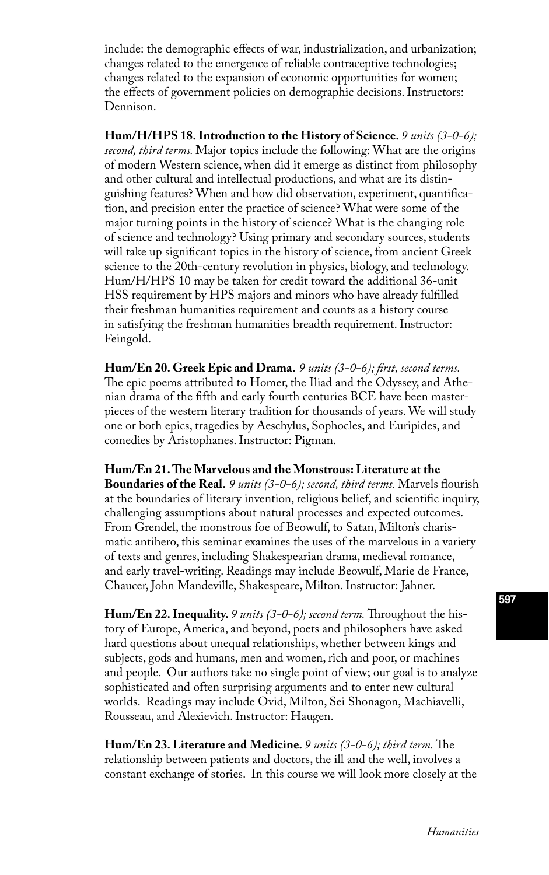include: the demographic effects of war, industrialization, and urbanization; changes related to the emergence of reliable contraceptive technologies; changes related to the expansion of economic opportunities for women; the effects of government policies on demographic decisions. Instructors: Dennison.

**Hum/H/HPS 18. Introduction to the History of Science.** *9 units (3-0-6); second, third terms.* Major topics include the following: What are the origins of modern Western science, when did it emerge as distinct from philosophy and other cultural and intellectual productions, and what are its distinguishing features? When and how did observation, experiment, quantification, and precision enter the practice of science? What were some of the major turning points in the history of science? What is the changing role of science and technology? Using primary and secondary sources, students will take up significant topics in the history of science, from ancient Greek science to the 20th-century revolution in physics, biology, and technology. Hum/H/HPS 10 may be taken for credit toward the additional 36-unit HSS requirement by HPS majors and minors who have already fulfilled their freshman humanities requirement and counts as a history course in satisfying the freshman humanities breadth requirement. Instructor: Feingold.

**Hum/En 20. Greek Epic and Drama.** *9 units (3-0-6); first, second terms.*  The epic poems attributed to Homer, the Iliad and the Odyssey, and Athenian drama of the fifth and early fourth centuries BCE have been masterpieces of the western literary tradition for thousands of years. We will study one or both epics, tragedies by Aeschylus, Sophocles, and Euripides, and comedies by Aristophanes. Instructor: Pigman.

**Hum/En 21. The Marvelous and the Monstrous: Literature at the Boundaries of the Real.** *9 units (3-0-6); second, third terms.* Marvels flourish at the boundaries of literary invention, religious belief, and scientific inquiry, challenging assumptions about natural processes and expected outcomes. From Grendel, the monstrous foe of Beowulf, to Satan, Milton's charismatic antihero, this seminar examines the uses of the marvelous in a variety of texts and genres, including Shakespearian drama, medieval romance, and early travel-writing. Readings may include Beowulf, Marie de France, Chaucer, John Mandeville, Shakespeare, Milton. Instructor: Jahner.

**Hum/En 22. Inequality.** *9 units (3-0-6); second term.* Throughout the history of Europe, America, and beyond, poets and philosophers have asked hard questions about unequal relationships, whether between kings and subjects, gods and humans, men and women, rich and poor, or machines and people. Our authors take no single point of view; our goal is to analyze sophisticated and often surprising arguments and to enter new cultural worlds. Readings may include Ovid, Milton, Sei Shonagon, Machiavelli, Rousseau, and Alexievich. Instructor: Haugen.

**Hum/En 23. Literature and Medicine.** *9 units (3-0-6); third term.* The relationship between patients and doctors, the ill and the well, involves a constant exchange of stories. In this course we will look more closely at the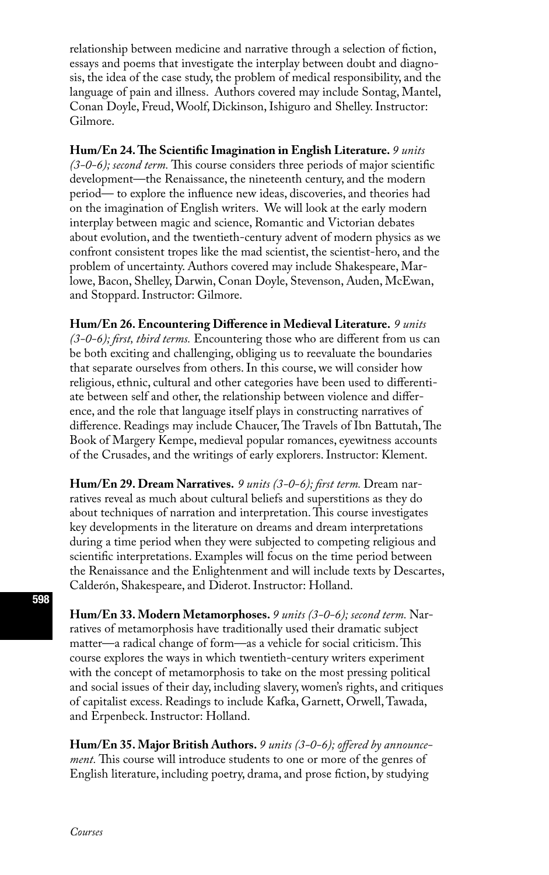relationship between medicine and narrative through a selection of fiction, essays and poems that investigate the interplay between doubt and diagnosis, the idea of the case study, the problem of medical responsibility, and the language of pain and illness. Authors covered may include Sontag, Mantel, Conan Doyle, Freud, Woolf, Dickinson, Ishiguro and Shelley. Instructor: Gilmore.

**Hum/En 24. The Scientific Imagination in English Literature.** *9 units (3-0-6); second term.* This course considers three periods of major scientific development—the Renaissance, the nineteenth century, and the modern period— to explore the influence new ideas, discoveries, and theories had on the imagination of English writers. We will look at the early modern interplay between magic and science, Romantic and Victorian debates about evolution, and the twentieth-century advent of modern physics as we confront consistent tropes like the mad scientist, the scientist-hero, and the problem of uncertainty. Authors covered may include Shakespeare, Marlowe, Bacon, Shelley, Darwin, Conan Doyle, Stevenson, Auden, McEwan, and Stoppard. Instructor: Gilmore.

**Hum/En 26. Encountering Difference in Medieval Literature.** *9 units (3-0-6); first, third terms.* Encountering those who are different from us can be both exciting and challenging, obliging us to reevaluate the boundaries that separate ourselves from others. In this course, we will consider how religious, ethnic, cultural and other categories have been used to differentiate between self and other, the relationship between violence and difference, and the role that language itself plays in constructing narratives of difference. Readings may include Chaucer, The Travels of Ibn Battutah, The Book of Margery Kempe, medieval popular romances, eyewitness accounts of the Crusades, and the writings of early explorers. Instructor: Klement.

**Hum/En 29. Dream Narratives.** *9 units (3-0-6); first term.* Dream narratives reveal as much about cultural beliefs and superstitions as they do about techniques of narration and interpretation. This course investigates key developments in the literature on dreams and dream interpretations during a time period when they were subjected to competing religious and scientific interpretations. Examples will focus on the time period between the Renaissance and the Enlightenment and will include texts by Descartes, Calderón, Shakespeare, and Diderot. Instructor: Holland.

**Hum/En 33. Modern Metamorphoses.** *9 units (3-0-6); second term.* Narratives of metamorphosis have traditionally used their dramatic subject matter—a radical change of form—as a vehicle for social criticism. This course explores the ways in which twentieth-century writers experiment with the concept of metamorphosis to take on the most pressing political and social issues of their day, including slavery, women's rights, and critiques of capitalist excess. Readings to include Kafka, Garnett, Orwell, Tawada, and Erpenbeck. Instructor: Holland.

**Hum/En 35. Major British Authors.** *9 units (3-0-6); offered by announcement.* This course will introduce students to one or more of the genres of English literature, including poetry, drama, and prose fiction, by studying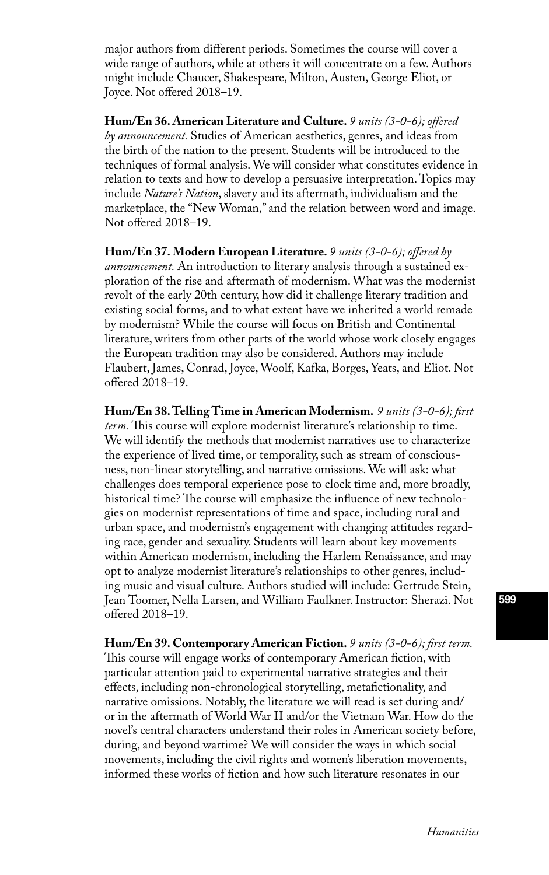major authors from different periods. Sometimes the course will cover a wide range of authors, while at others it will concentrate on a few. Authors might include Chaucer, Shakespeare, Milton, Austen, George Eliot, or Joyce. Not offered 2018–19.

**Hum/En 36. American Literature and Culture.** *9 units (3-0-6); offered by announcement.* Studies of American aesthetics, genres, and ideas from the birth of the nation to the present. Students will be introduced to the techniques of formal analysis. We will consider what constitutes evidence in relation to texts and how to develop a persuasive interpretation. Topics may include *Nature's Nation*, slavery and its aftermath, individualism and the marketplace, the "New Woman," and the relation between word and image. Not offered 2018–19.

**Hum/En 37. Modern European Literature.** *9 units (3-0-6); offered by announcement.* An introduction to literary analysis through a sustained exploration of the rise and aftermath of modernism. What was the modernist revolt of the early 20th century, how did it challenge literary tradition and existing social forms, and to what extent have we inherited a world remade by modernism? While the course will focus on British and Continental literature, writers from other parts of the world whose work closely engages the European tradition may also be considered. Authors may include Flaubert, James, Conrad, Joyce, Woolf, Kafka, Borges, Yeats, and Eliot. Not offered 2018–19.

**Hum/En 38. Telling Time in American Modernism.** *9 units (3-0-6); first term.* This course will explore modernist literature's relationship to time. We will identify the methods that modernist narratives use to characterize the experience of lived time, or temporality, such as stream of consciousness, non-linear storytelling, and narrative omissions. We will ask: what challenges does temporal experience pose to clock time and, more broadly, historical time? The course will emphasize the influence of new technologies on modernist representations of time and space, including rural and urban space, and modernism's engagement with changing attitudes regarding race, gender and sexuality. Students will learn about key movements within American modernism, including the Harlem Renaissance, and may opt to analyze modernist literature's relationships to other genres, including music and visual culture. Authors studied will include: Gertrude Stein, Jean Toomer, Nella Larsen, and William Faulkner. Instructor: Sherazi. Not offered 2018–19.

**Hum/En 39. Contemporary American Fiction.** *9 units (3-0-6); first term.*  This course will engage works of contemporary American fiction, with particular attention paid to experimental narrative strategies and their effects, including non-chronological storytelling, metafictionality, and narrative omissions. Notably, the literature we will read is set during and/ or in the aftermath of World War II and/or the Vietnam War. How do the novel's central characters understand their roles in American society before, during, and beyond wartime? We will consider the ways in which social movements, including the civil rights and women's liberation movements, informed these works of fiction and how such literature resonates in our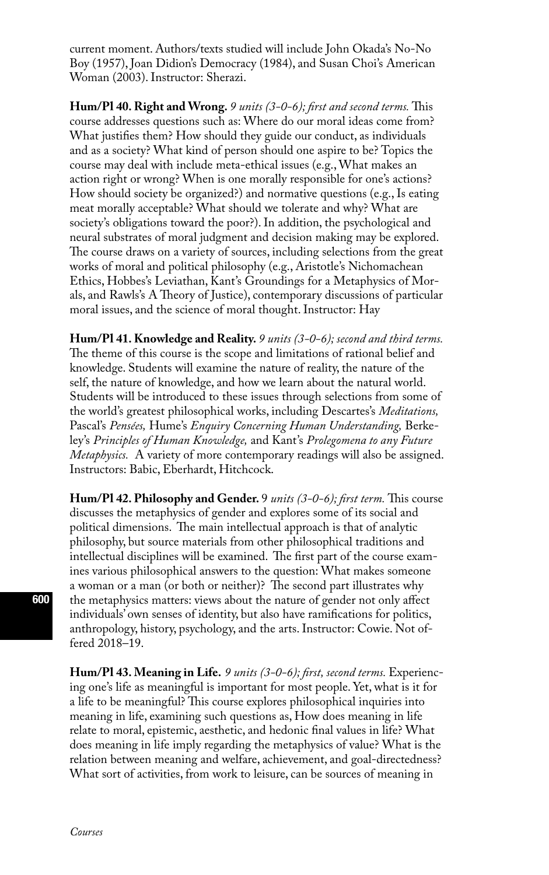current moment. Authors/texts studied will include John Okada's No-No Boy (1957), Joan Didion's Democracy (1984), and Susan Choi's American Woman (2003). Instructor: Sherazi.

**Hum/Pl 40. Right and Wrong.** *9 units (3-0-6); first and second terms.* This course addresses questions such as: Where do our moral ideas come from? What justifies them? How should they guide our conduct, as individuals and as a society? What kind of person should one aspire to be? Topics the course may deal with include meta-ethical issues (e.g., What makes an action right or wrong? When is one morally responsible for one's actions? How should society be organized?) and normative questions (e.g., Is eating meat morally acceptable? What should we tolerate and why? What are society's obligations toward the poor?). In addition, the psychological and neural substrates of moral judgment and decision making may be explored. The course draws on a variety of sources, including selections from the great works of moral and political philosophy (e.g., Aristotle's Nichomachean Ethics, Hobbes's Leviathan, Kant's Groundings for a Metaphysics of Morals, and Rawls's A Theory of Justice), contemporary discussions of particular moral issues, and the science of moral thought. Instructor: Hay

**Hum/Pl 41. Knowledge and Reality.** *9 units (3-0-6); second and third terms.*  The theme of this course is the scope and limitations of rational belief and knowledge. Students will examine the nature of reality, the nature of the self, the nature of knowledge, and how we learn about the natural world. Students will be introduced to these issues through selections from some of the world's greatest philosophical works, including Descartes's *Meditations,* Pascal's *Pensées,* Hume's *Enquiry Concerning Human Understanding,* Berkeley's *Principles of Human Knowledge,* and Kant's *Prolegomena to any Future Metaphysics.* A variety of more contemporary readings will also be assigned. Instructors: Babic, Eberhardt, Hitchcock.

**Hum/Pl 42. Philosophy and Gender.** 9 *units (3-0-6); first term.* This course discusses the metaphysics of gender and explores some of its social and political dimensions. The main intellectual approach is that of analytic philosophy, but source materials from other philosophical traditions and intellectual disciplines will be examined. The first part of the course examines various philosophical answers to the question: What makes someone a woman or a man (or both or neither)? The second part illustrates why the metaphysics matters: views about the nature of gender not only affect individuals' own senses of identity, but also have ramifications for politics, anthropology, history, psychology, and the arts. Instructor: Cowie. Not offered 2018–19.

**Hum/Pl 43. Meaning in Life.** *9 units (3-0-6); first, second terms.* Experiencing one's life as meaningful is important for most people. Yet, what is it for a life to be meaningful? This course explores philosophical inquiries into meaning in life, examining such questions as, How does meaning in life relate to moral, epistemic, aesthetic, and hedonic final values in life? What does meaning in life imply regarding the metaphysics of value? What is the relation between meaning and welfare, achievement, and goal-directedness? What sort of activities, from work to leisure, can be sources of meaning in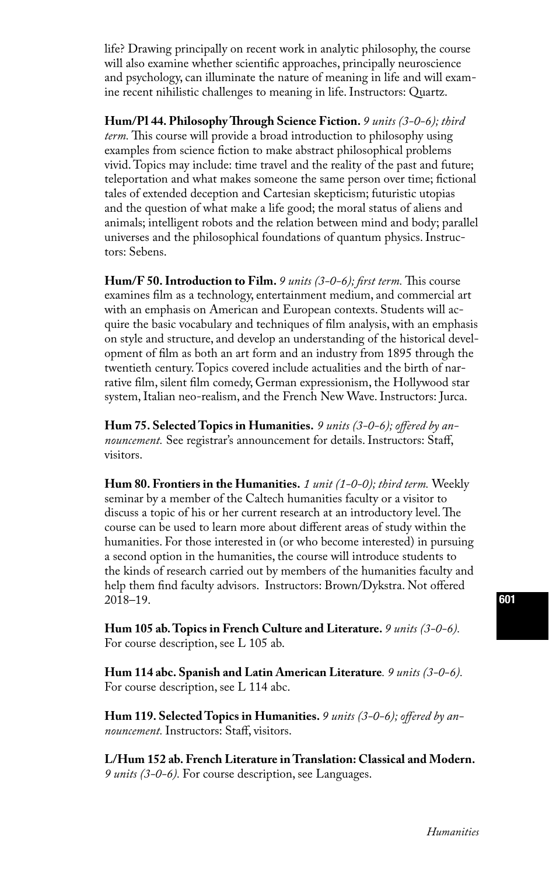life? Drawing principally on recent work in analytic philosophy, the course will also examine whether scientific approaches, principally neuroscience and psychology, can illuminate the nature of meaning in life and will examine recent nihilistic challenges to meaning in life. Instructors: Quartz.

**Hum/Pl 44. Philosophy Through Science Fiction.** *9 units (3-0-6); third term.* This course will provide a broad introduction to philosophy using examples from science fiction to make abstract philosophical problems vivid. Topics may include: time travel and the reality of the past and future; teleportation and what makes someone the same person over time; fictional tales of extended deception and Cartesian skepticism; futuristic utopias and the question of what make a life good; the moral status of aliens and animals; intelligent robots and the relation between mind and body; parallel universes and the philosophical foundations of quantum physics. Instructors: Sebens.

**Hum/F 50. Introduction to Film.** *9 units (3-0-6); first term.* This course examines film as a technology, entertainment medium, and commercial art with an emphasis on American and European contexts. Students will acquire the basic vocabulary and techniques of film analysis, with an emphasis on style and structure, and develop an understanding of the historical development of film as both an art form and an industry from 1895 through the twentieth century. Topics covered include actualities and the birth of narrative film, silent film comedy, German expressionism, the Hollywood star system, Italian neo-realism, and the French New Wave. Instructors: Jurca.

**Hum 75. Selected Topics in Humanities.** *9 units (3-0-6); offered by announcement.* See registrar's announcement for details. Instructors: Staff, visitors.

**Hum 80. Frontiers in the Humanities.** *1 unit (1-0-0); third term.* Weekly seminar by a member of the Caltech humanities faculty or a visitor to discuss a topic of his or her current research at an introductory level. The course can be used to learn more about different areas of study within the humanities. For those interested in (or who become interested) in pursuing a second option in the humanities, the course will introduce students to the kinds of research carried out by members of the humanities faculty and help them find faculty advisors. Instructors: Brown/Dykstra. Not offered 2018–19.

**Hum 105 ab. Topics in French Culture and Literature.** *9 units (3-0-6).*  For course description, see L 105 ab.

**Hum 114 abc. Spanish and Latin American Literature***. 9 units (3-0-6).*  For course description, see L 114 abc.

**Hum 119. Selected Topics in Humanities.** *9 units (3-0-6); offered by announcement.* Instructors: Staff, visitors.

**L/Hum 152 ab. French Literature in Translation: Classical and Modern.**  *9 units (3-0-6).* For course description, see Languages.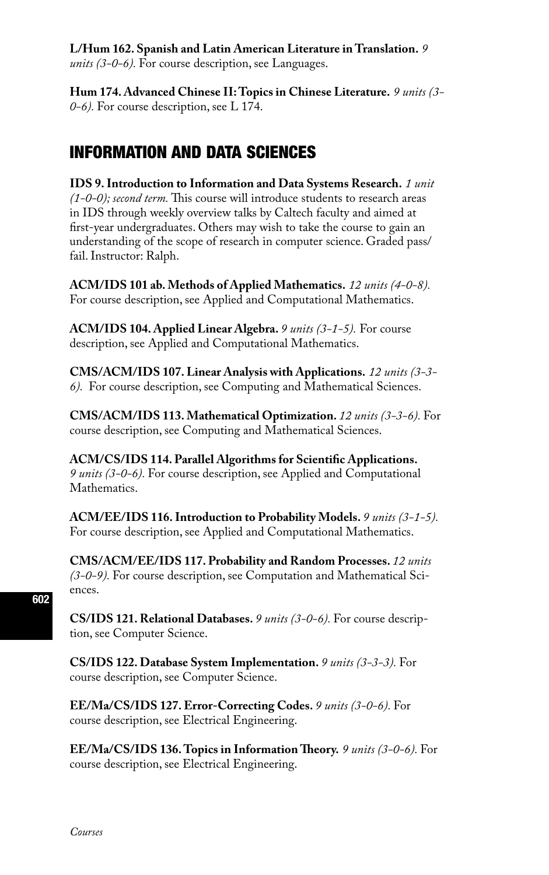### **L/Hum 162. Spanish and Latin American Literature in Translation.** *9*

*units (3-0-6).* For course description, see Languages.

**Hum 174. Advanced Chinese II: Topics in Chinese Literature.** *9 units (3- 0-6).* For course description, see L 174.

# INFORMATION AND DATA SCIENCES

**IDS 9. Introduction to Information and Data Systems Research.** *1 unit (1-0-0); second term.* This course will introduce students to research areas in IDS through weekly overview talks by Caltech faculty and aimed at first-year undergraduates. Others may wish to take the course to gain an understanding of the scope of research in computer science. Graded pass/ fail. Instructor: Ralph.

**ACM/IDS 101 ab. Methods of Applied Mathematics.** *12 units (4-0-8).*  For course description, see Applied and Computational Mathematics.

**ACM/IDS 104. Applied Linear Algebra.** *9 units (3-1-5).* For course description, see Applied and Computational Mathematics.

**CMS/ACM/IDS 107. Linear Analysis with Applications.** *12 units (3-3- 6).* For course description, see Computing and Mathematical Sciences.

**CMS/ACM/IDS 113. Mathematical Optimization.** *12 units (3-3-6).* For course description, see Computing and Mathematical Sciences.

**ACM/CS/IDS 114. Parallel Algorithms for Scientific Applications.** *9 units (3-0-6).* For course description, see Applied and Computational **Mathematics** 

**ACM/EE/IDS 116. Introduction to Probability Models.** *9 units (3-1-5).*  For course description, see Applied and Computational Mathematics.

**CMS/ACM/EE/IDS 117. Probability and Random Processes.** *12 units (3-0-9).* For course description, see Computation and Mathematical Sciences.

**CS/IDS 121. Relational Databases.** *9 units (3-0-6).* For course description, see Computer Science.

**CS/IDS 122. Database System Implementation.** *9 units (3-3-3).* For course description, see Computer Science.

**EE/Ma/CS/IDS 127. Error-Correcting Codes.** *9 units (3-0-6).* For course description, see Electrical Engineering.

**EE/Ma/CS/IDS 136. Topics in Information Theory.** *9 units (3-0-6).* For course description, see Electrical Engineering.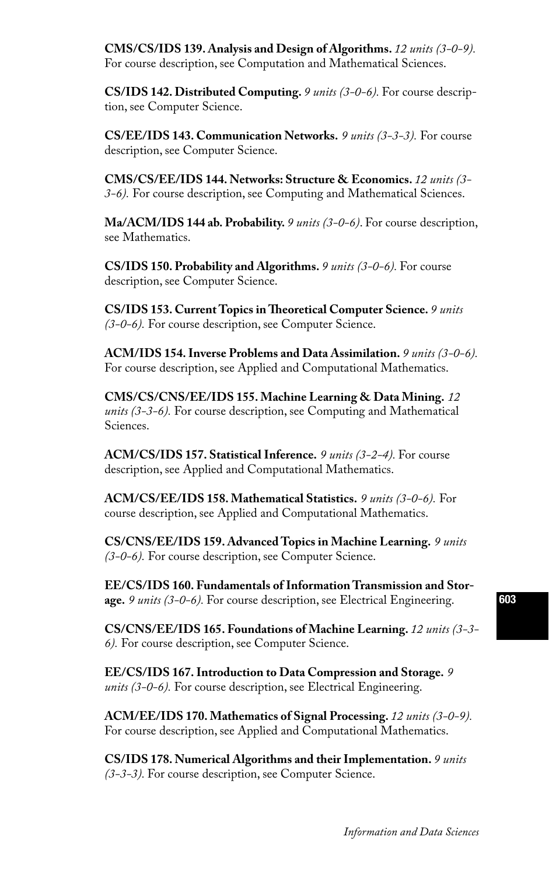**CMS/CS/IDS 139. Analysis and Design of Algorithms.** *12 units (3-0-9).*  For course description, see Computation and Mathematical Sciences.

**CS/IDS 142. Distributed Computing.** *9 units (3-0-6).* For course description, see Computer Science.

**CS/EE/IDS 143. Communication Networks.** *9 units (3-3-3).* For course description, see Computer Science.

**CMS/CS/EE/IDS 144. Networks: Structure & Economics.** *12 units (3- 3-6).* For course description, see Computing and Mathematical Sciences.

**Ma/ACM/IDS 144 ab. Probability.** *9 units (3-0-6)*. For course description, see Mathematics.

**CS/IDS 150. Probability and Algorithms.** *9 units (3-0-6).* For course description, see Computer Science.

**CS/IDS 153. Current Topics in Theoretical Computer Science.** *9 units (3-0-6).* For course description, see Computer Science.

**ACM/IDS 154. Inverse Problems and Data Assimilation.** *9 units (3-0-6).* For course description, see Applied and Computational Mathematics.

**CMS/CS/CNS/EE/IDS 155. Machine Learning & Data Mining.** *12 units (3-3-6).* For course description, see Computing and Mathematical Sciences.

**ACM/CS/IDS 157. Statistical Inference.** *9 units (3-2-4).* For course description, see Applied and Computational Mathematics.

**ACM/CS/EE/IDS 158. Mathematical Statistics.** *9 units (3-0-6).* For course description, see Applied and Computational Mathematics.

**CS/CNS/EE/IDS 159. Advanced Topics in Machine Learning.** *9 units (3-0-6).* For course description, see Computer Science.

**EE/CS/IDS 160. Fundamentals of Information Transmission and Storage.** *9 units (3-0-6).* For course description, see Electrical Engineering.

**CS/CNS/EE/IDS 165. Foundations of Machine Learning.** *12 units (3-3- 6).* For course description, see Computer Science.

**EE/CS/IDS 167. Introduction to Data Compression and Storage.** *9 units (3-0-6).* For course description, see Electrical Engineering.

**ACM/EE/IDS 170. Mathematics of Signal Processing.** *12 units (3-0-9).*  For course description, see Applied and Computational Mathematics.

**CS/IDS 178. Numerical Algorithms and their Implementation.** *9 units (3-3-3).* For course description, see Computer Science.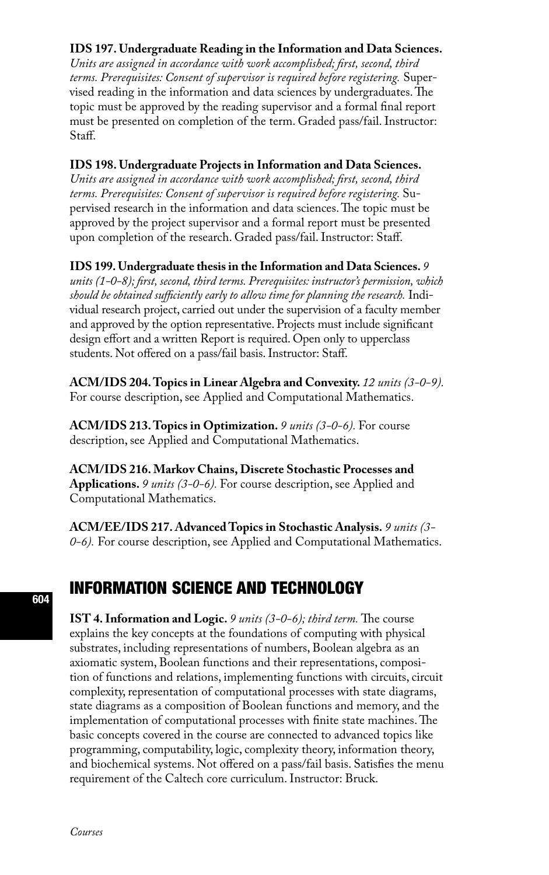### **IDS 197. Undergraduate Reading in the Information and Data Sciences.**

*Units are assigned in accordance with work accomplished; first, second, third terms. Prerequisites: Consent of supervisor is required before registering.* Supervised reading in the information and data sciences by undergraduates. The topic must be approved by the reading supervisor and a formal final report must be presented on completion of the term. Graded pass/fail. Instructor: Staff.

#### **IDS 198. Undergraduate Projects in Information and Data Sciences.**

*Units are assigned in accordance with work accomplished; first, second, third terms. Prerequisites: Consent of supervisor is required before registering.* Supervised research in the information and data sciences. The topic must be approved by the project supervisor and a formal report must be presented upon completion of the research. Graded pass/fail. Instructor: Staff.

#### **IDS 199. Undergraduate thesis in the Information and Data Sciences.** *9*

*units (1-0-8); first, second, third terms. Prerequisites: instructor's permission, which should be obtained sufficiently early to allow time for planning the research.* Individual research project, carried out under the supervision of a faculty member and approved by the option representative. Projects must include significant design effort and a written Report is required. Open only to upperclass students. Not offered on a pass/fail basis. Instructor: Staff.

**ACM/IDS 204. Topics in Linear Algebra and Convexity.** *12 units (3-0-9).*  For course description, see Applied and Computational Mathematics.

**ACM/IDS 213. Topics in Optimization.** *9 units (3-0-6).* For course description, see Applied and Computational Mathematics.

**ACM/IDS 216. Markov Chains, Discrete Stochastic Processes and Applications.** *9 units (3-0-6).* For course description, see Applied and Computational Mathematics.

**ACM/EE/IDS 217. Advanced Topics in Stochastic Analysis.** *9 units (3- 0-6).* For course description, see Applied and Computational Mathematics.

# INFORMATION SCIENCE AND TECHNOLOGY

**IST 4. Information and Logic.** *9 units (3-0-6); third term.* The course explains the key concepts at the foundations of computing with physical substrates, including representations of numbers, Boolean algebra as an axiomatic system, Boolean functions and their representations, composition of functions and relations, implementing functions with circuits, circuit complexity, representation of computational processes with state diagrams, state diagrams as a composition of Boolean functions and memory, and the implementation of computational processes with finite state machines. The basic concepts covered in the course are connected to advanced topics like programming, computability, logic, complexity theory, information theory, and biochemical systems. Not offered on a pass/fail basis. Satisfies the menu requirement of the Caltech core curriculum. Instructor: Bruck.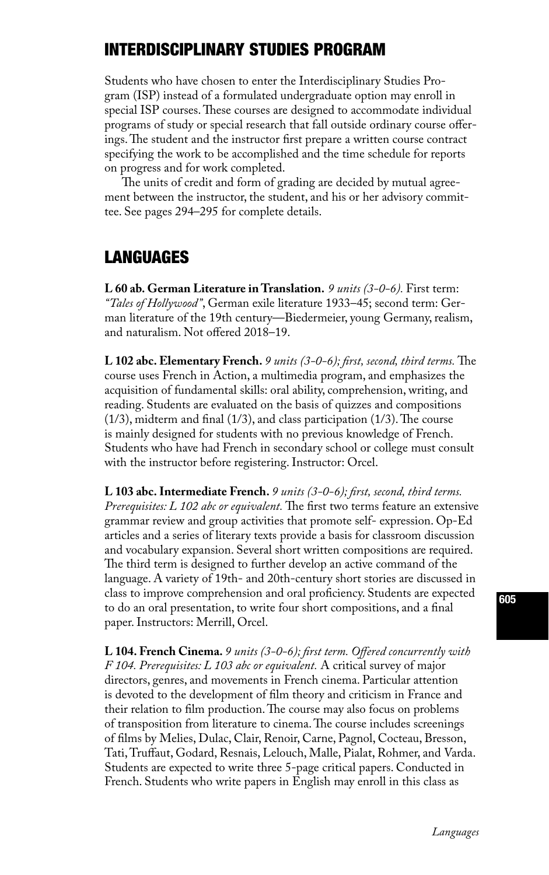# INTERDISCIPLINARY STUDIES PROGRAM

Students who have chosen to enter the Interdisciplinary Studies Program (ISP) instead of a formulated undergraduate option may enroll in special ISP courses. These courses are designed to accommodate individual programs of study or special research that fall outside ordinary course offerings. The student and the instructor first prepare a written course contract specifying the work to be accomplished and the time schedule for reports on progress and for work completed.

The units of credit and form of grading are decided by mutual agreement between the instructor, the student, and his or her advisory committee. See pages 294–295 for complete details.

## LANGUAGES

**L 60 ab. German Literature in Translation.** *9 units (3-0-6).* First term: *"Tales of Hollywood"*, German exile literature 1933–45; second term: German literature of the 19th century—Biedermeier, young Germany, realism, and naturalism. Not offered 2018–19.

**L 102 abc. Elementary French.** *9 units (3-0-6); first, second, third terms.* The course uses French in Action, a multimedia program, and emphasizes the acquisition of fundamental skills: oral ability, comprehension, writing, and reading. Students are evaluated on the basis of quizzes and compositions (1/3), midterm and final (1/3), and class participation (1/3). The course is mainly designed for students with no previous knowledge of French. Students who have had French in secondary school or college must consult with the instructor before registering. Instructor: Orcel.

**L 103 abc. Intermediate French.** *9 units (3-0-6); first, second, third terms. Prerequisites: L 102 abc or equivalent.* The first two terms feature an extensive grammar review and group activities that promote self- expression. Op-Ed articles and a series of literary texts provide a basis for classroom discussion and vocabulary expansion. Several short written compositions are required. The third term is designed to further develop an active command of the language. A variety of 19th- and 20th-century short stories are discussed in class to improve comprehension and oral proficiency. Students are expected to do an oral presentation, to write four short compositions, and a final paper. Instructors: Merrill, Orcel.

**L 104. French Cinema.** *9 units (3-0-6); first term. Offered concurrently with F 104. Prerequisites: L 103 abc or equivalent.* A critical survey of major directors, genres, and movements in French cinema. Particular attention is devoted to the development of film theory and criticism in France and their relation to film production. The course may also focus on problems of transposition from literature to cinema. The course includes screenings of films by Melies, Dulac, Clair, Renoir, Carne, Pagnol, Cocteau, Bresson, Tati, Truffaut, Godard, Resnais, Lelouch, Malle, Pialat, Rohmer, and Varda. Students are expected to write three 5-page critical papers. Conducted in French. Students who write papers in English may enroll in this class as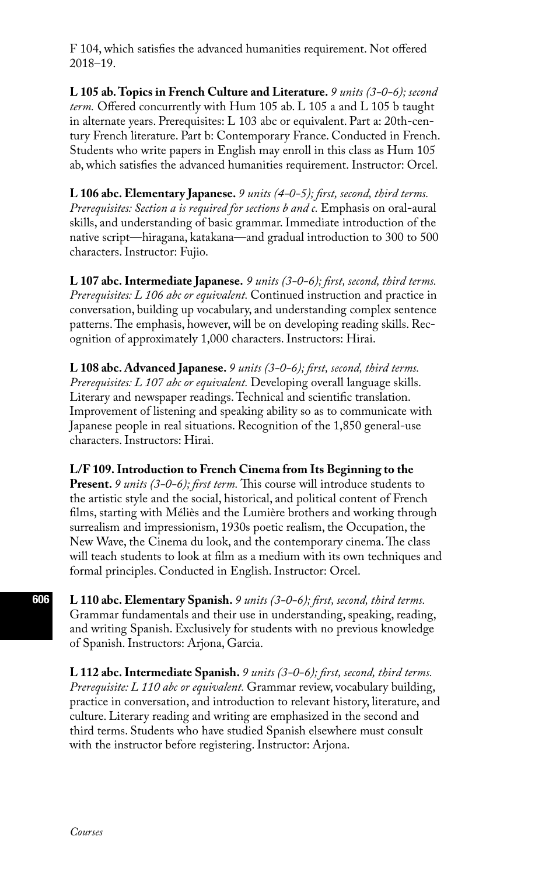F 104, which satisfies the advanced humanities requirement. Not offered 2018–19.

**L 105 ab. Topics in French Culture and Literature.** *9 units (3-0-6); second term.* Offered concurrently with Hum 105 ab. L 105 a and L 105 b taught in alternate years. Prerequisites: L 103 abc or equivalent. Part a: 20th-century French literature. Part b: Contemporary France. Conducted in French. Students who write papers in English may enroll in this class as Hum 105 ab, which satisfies the advanced humanities requirement. Instructor: Orcel.

**L 106 abc. Elementary Japanese.** *9 units (4-0-5); first, second, third terms. Prerequisites: Section a is required for sections b and c. Emphasis on oral-aural* skills, and understanding of basic grammar. Immediate introduction of the native script—hiragana, katakana—and gradual introduction to 300 to 500 characters. Instructor: Fujio.

**L 107 abc. Intermediate Japanese.** *9 units (3-0-6); first, second, third terms. Prerequisites: L 106 abc or equivalent.* Continued instruction and practice in conversation, building up vocabulary, and understanding complex sentence patterns. The emphasis, however, will be on developing reading skills. Recognition of approximately 1,000 characters. Instructors: Hirai.

**L 108 abc. Advanced Japanese.** *9 units (3-0-6); first, second, third terms. Prerequisites: L 107 abc or equivalent.* Developing overall language skills. Literary and newspaper readings. Technical and scientific translation. Improvement of listening and speaking ability so as to communicate with Japanese people in real situations. Recognition of the 1,850 general-use characters. Instructors: Hirai.

**L/F 109. Introduction to French Cinema from Its Beginning to the Present.** *9 units (3-0-6); first term.* This course will introduce students to the artistic style and the social, historical, and political content of French films, starting with Méliès and the Lumière brothers and working through surrealism and impressionism, 1930s poetic realism, the Occupation, the New Wave, the Cinema du look, and the contemporary cinema. The class will teach students to look at film as a medium with its own techniques and formal principles. Conducted in English. Instructor: Orcel.

**L 110 abc. Elementary Spanish.** *9 units (3-0-6); first, second, third terms.*  Grammar fundamentals and their use in understanding, speaking, reading, and writing Spanish. Exclusively for students with no previous knowledge of Spanish. Instructors: Arjona, Garcia.

**L 112 abc. Intermediate Spanish.** *9 units (3-0-6); first, second, third terms. Prerequisite: L 110 abc or equivalent.* Grammar review, vocabulary building, practice in conversation, and introduction to relevant history, literature, and culture. Literary reading and writing are emphasized in the second and third terms. Students who have studied Spanish elsewhere must consult with the instructor before registering. Instructor: Arjona.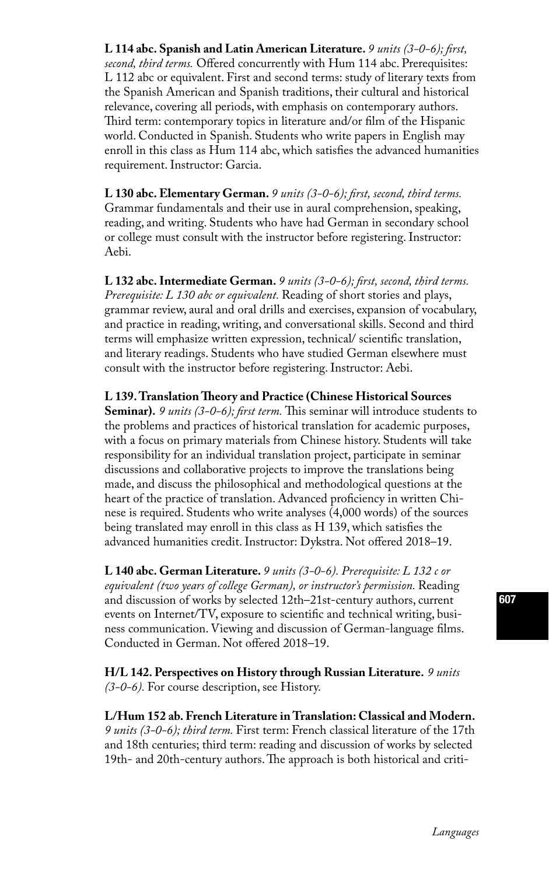**L 114 abc. Spanish and Latin American Literature.** *9 units (3-0-6); first, second, third terms.* Offered concurrently with Hum 114 abc. Prerequisites: L 112 abc or equivalent. First and second terms: study of literary texts from the Spanish American and Spanish traditions, their cultural and historical relevance, covering all periods, with emphasis on contemporary authors. Third term: contemporary topics in literature and/or film of the Hispanic world. Conducted in Spanish. Students who write papers in English may enroll in this class as Hum 114 abc, which satisfies the advanced humanities requirement. Instructor: Garcia.

**L 130 abc. Elementary German.** *9 units (3-0-6); first, second, third terms.*  Grammar fundamentals and their use in aural comprehension, speaking, reading, and writing. Students who have had German in secondary school or college must consult with the instructor before registering. Instructor: Aebi.

**L 132 abc. Intermediate German.** *9 units (3-0-6); first, second, third terms. Prerequisite: L 130 abc or equivalent.* Reading of short stories and plays, grammar review, aural and oral drills and exercises, expansion of vocabulary, and practice in reading, writing, and conversational skills. Second and third terms will emphasize written expression, technical/ scientific translation, and literary readings. Students who have studied German elsewhere must consult with the instructor before registering. Instructor: Aebi.

**L 139. Translation Theory and Practice (Chinese Historical Sources Seminar).** *9 units (3-0-6); first term.* This seminar will introduce students to the problems and practices of historical translation for academic purposes, with a focus on primary materials from Chinese history. Students will take responsibility for an individual translation project, participate in seminar discussions and collaborative projects to improve the translations being made, and discuss the philosophical and methodological questions at the heart of the practice of translation. Advanced proficiency in written Chinese is required. Students who write analyses (4,000 words) of the sources being translated may enroll in this class as H 139, which satisfies the advanced humanities credit. Instructor: Dykstra. Not offered 2018–19.

**L 140 abc. German Literature.** *9 units (3-0-6). Prerequisite: L 132 c or equivalent (two years of college German), or instructor's permission.* Reading and discussion of works by selected 12th–21st-century authors, current events on Internet/TV, exposure to scientific and technical writing, business communication. Viewing and discussion of German-language films. Conducted in German. Not offered 2018–19.

**H/L 142. Perspectives on History through Russian Literature.** *9 units (3-0-6).* For course description, see History.

**L/Hum 152 ab. French Literature in Translation: Classical and Modern.**  *9 units (3-0-6); third term.* First term: French classical literature of the 17th and 18th centuries; third term: reading and discussion of works by selected 19th- and 20th-century authors. The approach is both historical and criti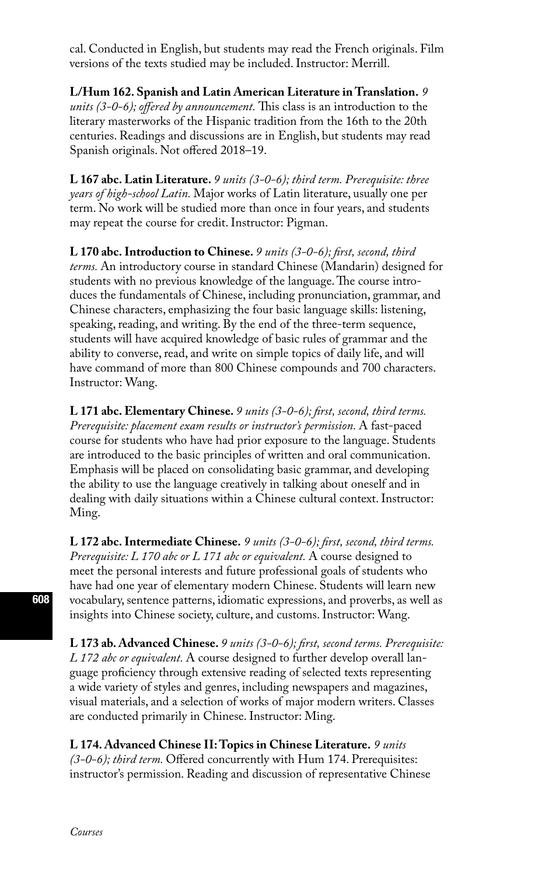cal. Conducted in English, but students may read the French originals. Film versions of the texts studied may be included. Instructor: Merrill.

**L/Hum 162. Spanish and Latin American Literature in Translation.** *9 units (3-0-6); offered by announcement.* This class is an introduction to the literary masterworks of the Hispanic tradition from the 16th to the 20th centuries. Readings and discussions are in English, but students may read Spanish originals. Not offered 2018–19.

**L 167 abc. Latin Literature.** *9 units (3-0-6); third term. Prerequisite: three years of high-school Latin.* Major works of Latin literature, usually one per term. No work will be studied more than once in four years, and students may repeat the course for credit. Instructor: Pigman.

**L 170 abc. Introduction to Chinese.** *9 units (3-0-6); first, second, third terms.* An introductory course in standard Chinese (Mandarin) designed for students with no previous knowledge of the language. The course introduces the fundamentals of Chinese, including pronunciation, grammar, and Chinese characters, emphasizing the four basic language skills: listening, speaking, reading, and writing. By the end of the three-term sequence, students will have acquired knowledge of basic rules of grammar and the ability to converse, read, and write on simple topics of daily life, and will have command of more than 800 Chinese compounds and 700 characters. Instructor: Wang.

**L 171 abc. Elementary Chinese.** *9 units (3-0-6); first, second, third terms. Prerequisite: placement exam results or instructor's permission.* A fast-paced course for students who have had prior exposure to the language. Students are introduced to the basic principles of written and oral communication. Emphasis will be placed on consolidating basic grammar, and developing the ability to use the language creatively in talking about oneself and in dealing with daily situations within a Chinese cultural context. Instructor: Ming.

**L 172 abc. Intermediate Chinese.** *9 units (3-0-6); first, second, third terms. Prerequisite: L 170 abc or L 171 abc or equivalent.* A course designed to meet the personal interests and future professional goals of students who have had one year of elementary modern Chinese. Students will learn new vocabulary, sentence patterns, idiomatic expressions, and proverbs, as well as insights into Chinese society, culture, and customs. Instructor: Wang.

**L 173 ab. Advanced Chinese.** *9 units (3-0-6); first, second terms. Prerequisite: L 172 abc or equivalent.* A course designed to further develop overall language proficiency through extensive reading of selected texts representing a wide variety of styles and genres, including newspapers and magazines, visual materials, and a selection of works of major modern writers. Classes are conducted primarily in Chinese. Instructor: Ming.

**L 174. Advanced Chinese II: Topics in Chinese Literature.** *9 units (3-0-6); third term.* Offered concurrently with Hum 174. Prerequisites: instructor's permission. Reading and discussion of representative Chinese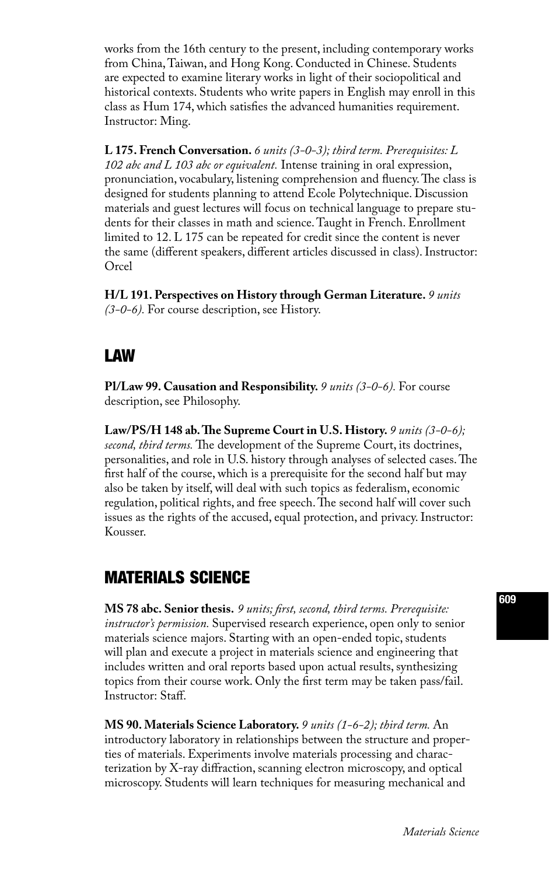works from the 16th century to the present, including contemporary works from China, Taiwan, and Hong Kong. Conducted in Chinese. Students are expected to examine literary works in light of their sociopolitical and historical contexts. Students who write papers in English may enroll in this class as Hum 174, which satisfies the advanced humanities requirement. Instructor: Ming.

**L 175. French Conversation.** *6 units (3-0-3); third term. Prerequisites: L 102 abc and L 103 abc or equivalent.* Intense training in oral expression, pronunciation, vocabulary, listening comprehension and fluency. The class is designed for students planning to attend Ecole Polytechnique. Discussion materials and guest lectures will focus on technical language to prepare students for their classes in math and science. Taught in French. Enrollment limited to 12. L 175 can be repeated for credit since the content is never the same (different speakers, different articles discussed in class). Instructor: Orcel

**H/L 191. Perspectives on History through German Literature.** *9 units (3-0-6).* For course description, see History.

### LAW

**Pl/Law 99. Causation and Responsibility.** *9 units (3-0-6).* For course description, see Philosophy.

Law/PS/H 148 ab. The Supreme Court in U.S. History. 9 units (3-0-6); *second, third terms.* The development of the Supreme Court, its doctrines, personalities, and role in U.S. history through analyses of selected cases. The first half of the course, which is a prerequisite for the second half but may also be taken by itself, will deal with such topics as federalism, economic regulation, political rights, and free speech. The second half will cover such issues as the rights of the accused, equal protection, and privacy. Instructor: Kousser.

# MATERIALS SCIENCE

**MS 78 abc. Senior thesis.** *9 units; first, second, third terms. Prerequisite: instructor's permission.* Supervised research experience, open only to senior materials science majors. Starting with an open-ended topic, students will plan and execute a project in materials science and engineering that includes written and oral reports based upon actual results, synthesizing topics from their course work. Only the first term may be taken pass/fail. Instructor: Staff.

**MS 90. Materials Science Laboratory.** *9 units (1-6-2); third term.* An introductory laboratory in relationships between the structure and properties of materials. Experiments involve materials processing and characterization by X-ray diffraction, scanning electron microscopy, and optical microscopy. Students will learn techniques for measuring mechanical and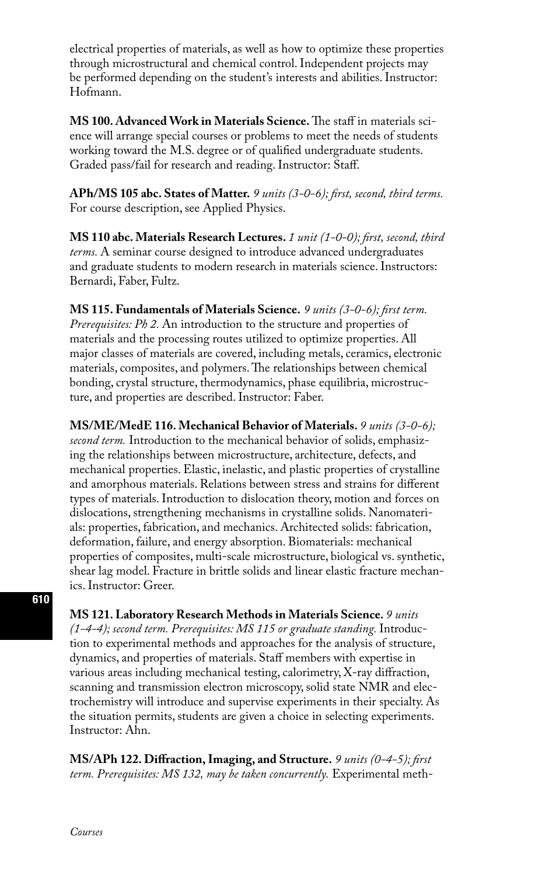electrical properties of materials, as well as how to optimize these properties through microstructural and chemical control. Independent projects may be performed depending on the student's interests and abilities. Instructor: Hofmann.

**MS 100. Advanced Work in Materials Science.** The staff in materials science will arrange special courses or problems to meet the needs of students working toward the M.S. degree or of qualified undergraduate students. Graded pass/fail for research and reading. Instructor: Staff.

**APh/MS 105 abc. States of Matter.** *9 units (3-0-6); first, second, third terms.*  For course description, see Applied Physics.

**MS 110 abc. Materials Research Lectures.** *1 unit (1-0-0); first, second, third terms.* A seminar course designed to introduce advanced undergraduates and graduate students to modern research in materials science. Instructors: Bernardi, Faber, Fultz.

**MS 115. Fundamentals of Materials Science.** *9 units (3-0-6); first term. Prerequisites: Ph 2.* An introduction to the structure and properties of materials and the processing routes utilized to optimize properties. All major classes of materials are covered, including metals, ceramics, electronic materials, composites, and polymers. The relationships between chemical bonding, crystal structure, thermodynamics, phase equilibria, microstructure, and properties are described. Instructor: Faber.

**MS/ME/MedE 116. Mechanical Behavior of Materials.** *9 units (3-0-6); second term.* Introduction to the mechanical behavior of solids, emphasizing the relationships between microstructure, architecture, defects, and mechanical properties. Elastic, inelastic, and plastic properties of crystalline and amorphous materials. Relations between stress and strains for different types of materials. Introduction to dislocation theory, motion and forces on dislocations, strengthening mechanisms in crystalline solids. Nanomaterials: properties, fabrication, and mechanics. Architected solids: fabrication, deformation, failure, and energy absorption. Biomaterials: mechanical properties of composites, multi-scale microstructure, biological vs. synthetic, shear lag model. Fracture in brittle solids and linear elastic fracture mechanics. Instructor: Greer.

**MS 121. Laboratory Research Methods in Materials Science.** *9 units (1-4-4); second term. Prerequisites: MS 115 or graduate standing.* Introduction to experimental methods and approaches for the analysis of structure, dynamics, and properties of materials. Staff members with expertise in various areas including mechanical testing, calorimetry, X-ray diffraction, scanning and transmission electron microscopy, solid state NMR and electrochemistry will introduce and supervise experiments in their specialty. As the situation permits, students are given a choice in selecting experiments. Instructor: Ahn.

**MS/APh 122. Diffraction, Imaging, and Structure.** *9 units (0-4-5); first term. Prerequisites: MS 132, may be taken concurrently.* Experimental meth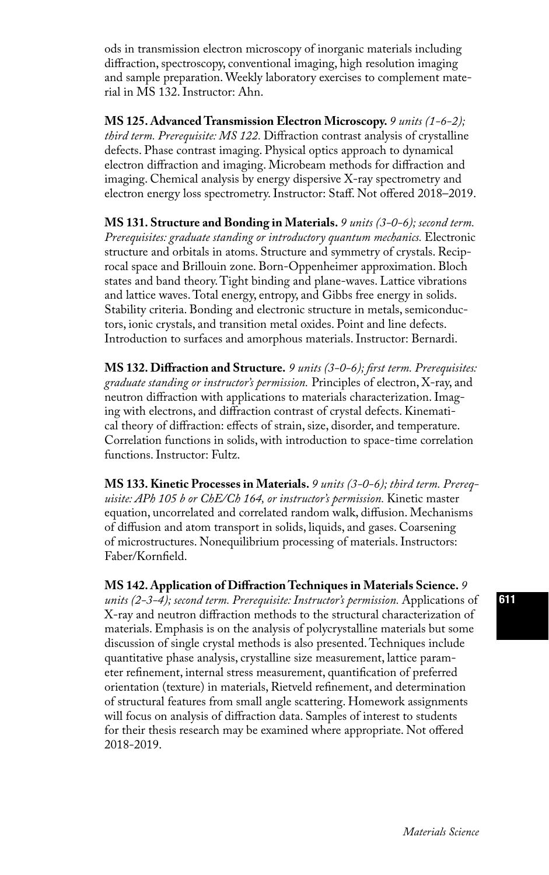ods in transmission electron microscopy of inorganic materials including diffraction, spectroscopy, conventional imaging, high resolution imaging and sample preparation. Weekly laboratory exercises to complement material in MS 132. Instructor: Ahn.

**MS 125. Advanced Transmission Electron Microscopy.** *9 units (1-6-2); third term. Prerequisite: MS 122.* Diffraction contrast analysis of crystalline defects. Phase contrast imaging. Physical optics approach to dynamical electron diffraction and imaging. Microbeam methods for diffraction and imaging. Chemical analysis by energy dispersive X-ray spectrometry and electron energy loss spectrometry. Instructor: Staff. Not offered 2018–2019.

**MS 131. Structure and Bonding in Materials.** *9 units (3-0-6); second term. Prerequisites: graduate standing or introductory quantum mechanics.* Electronic structure and orbitals in atoms. Structure and symmetry of crystals. Reciprocal space and Brillouin zone. Born-Oppenheimer approximation. Bloch states and band theory. Tight binding and plane-waves. Lattice vibrations and lattice waves. Total energy, entropy, and Gibbs free energy in solids. Stability criteria. Bonding and electronic structure in metals, semiconductors, ionic crystals, and transition metal oxides. Point and line defects. Introduction to surfaces and amorphous materials. Instructor: Bernardi.

**MS 132. Diffraction and Structure.** *9 units (3-0-6); first term. Prerequisites: graduate standing or instructor's permission.* Principles of electron, X-ray, and neutron diffraction with applications to materials characterization. Imaging with electrons, and diffraction contrast of crystal defects. Kinematical theory of diffraction: effects of strain, size, disorder, and temperature. Correlation functions in solids, with introduction to space-time correlation functions. Instructor: Fultz.

**MS 133. Kinetic Processes in Materials.** *9 units (3-0-6); third term. Prerequisite: APh 105 b or ChE/Ch 164, or instructor's permission.* Kinetic master equation, uncorrelated and correlated random walk, diffusion. Mechanisms of diffusion and atom transport in solids, liquids, and gases. Coarsening of microstructures. Nonequilibrium processing of materials. Instructors: Faber/Kornfield.

**MS 142. Application of Diffraction Techniques in Materials Science.** *9 units (2-3-4); second term. Prerequisite: Instructor's permission.* Applications of X-ray and neutron diffraction methods to the structural characterization of materials. Emphasis is on the analysis of polycrystalline materials but some discussion of single crystal methods is also presented. Techniques include quantitative phase analysis, crystalline size measurement, lattice parameter refinement, internal stress measurement, quantification of preferred orientation (texture) in materials, Rietveld refinement, and determination of structural features from small angle scattering. Homework assignments will focus on analysis of diffraction data. Samples of interest to students for their thesis research may be examined where appropriate. Not offered 2018-2019.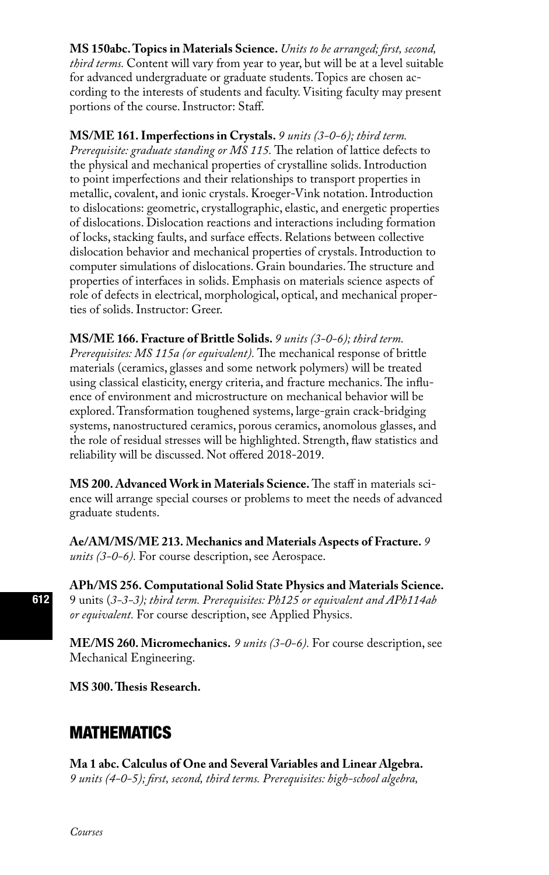### **MS 150abc. Topics in Materials Science.** *Units to be arranged; first, second,*

*third terms.* Content will vary from year to year, but will be at a level suitable for advanced undergraduate or graduate students. Topics are chosen according to the interests of students and faculty. Visiting faculty may present portions of the course. Instructor: Staff.

**MS/ME 161. Imperfections in Crystals.** *9 units (3-0-6); third term. Prerequisite: graduate standing or MS 115.* The relation of lattice defects to the physical and mechanical properties of crystalline solids. Introduction to point imperfections and their relationships to transport properties in metallic, covalent, and ionic crystals. Kroeger-Vink notation. Introduction to dislocations: geometric, crystallographic, elastic, and energetic properties of dislocations. Dislocation reactions and interactions including formation of locks, stacking faults, and surface effects. Relations between collective dislocation behavior and mechanical properties of crystals. Introduction to computer simulations of dislocations. Grain boundaries. The structure and properties of interfaces in solids. Emphasis on materials science aspects of role of defects in electrical, morphological, optical, and mechanical properties of solids. Instructor: Greer.

**MS/ME 166. Fracture of Brittle Solids.** *9 units (3-0-6); third term. Prerequisites: MS 115a (or equivalent).* The mechanical response of brittle materials (ceramics, glasses and some network polymers) will be treated using classical elasticity, energy criteria, and fracture mechanics. The influence of environment and microstructure on mechanical behavior will be explored. Transformation toughened systems, large-grain crack-bridging systems, nanostructured ceramics, porous ceramics, anomolous glasses, and the role of residual stresses will be highlighted. Strength, flaw statistics and reliability will be discussed. Not offered 2018-2019.

**MS 200. Advanced Work in Materials Science.** The staff in materials science will arrange special courses or problems to meet the needs of advanced graduate students.

**Ae/AM/MS/ME 213. Mechanics and Materials Aspects of Fracture.** *9 units (3-0-6).* For course description, see Aerospace.

**APh/MS 256. Computational Solid State Physics and Materials Science.** 9 units (*3-3-3); third term. Prerequisites: Ph125 or equivalent and APh114ab or equivalent.* For course description, see Applied Physics.

**ME/MS 260. Micromechanics.** *9 units (3-0-6).* For course description, see Mechanical Engineering.

**MS 300. Thesis Research.**

# MATHEMATICS

**Ma 1 abc. Calculus of One and Several Variables and Linear Algebra.**  *9 units (4-0-5); first, second, third terms. Prerequisites: high-school algebra,*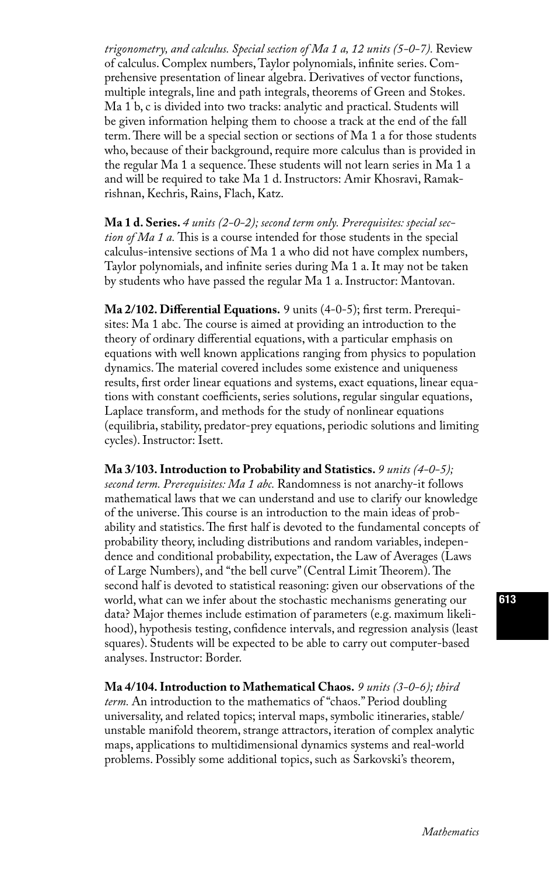*trigonometry, and calculus. Special section of Ma 1 a, 12 units (5-0-7).* Review of calculus. Complex numbers, Taylor polynomials, infinite series. Comprehensive presentation of linear algebra. Derivatives of vector functions, multiple integrals, line and path integrals, theorems of Green and Stokes. Ma 1 b, c is divided into two tracks: analytic and practical. Students will be given information helping them to choose a track at the end of the fall term. There will be a special section or sections of Ma 1 a for those students who, because of their background, require more calculus than is provided in the regular Ma 1 a sequence. These students will not learn series in Ma 1 a and will be required to take Ma 1 d. Instructors: Amir Khosravi, Ramakrishnan, Kechris, Rains, Flach, Katz.

**Ma 1 d. Series.** *4 units (2-0-2); second term only. Prerequisites: special section of Ma 1 a.* This is a course intended for those students in the special calculus-intensive sections of Ma 1 a who did not have complex numbers, Taylor polynomials, and infinite series during Ma 1 a. It may not be taken by students who have passed the regular Ma 1 a. Instructor: Mantovan.

**Ma 2/102. Differential Equations.** 9 units (4-0-5); first term. Prerequisites: Ma 1 abc. The course is aimed at providing an introduction to the theory of ordinary differential equations, with a particular emphasis on equations with well known applications ranging from physics to population dynamics. The material covered includes some existence and uniqueness results, first order linear equations and systems, exact equations, linear equations with constant coefficients, series solutions, regular singular equations, Laplace transform, and methods for the study of nonlinear equations (equilibria, stability, predator-prey equations, periodic solutions and limiting cycles). Instructor: Isett.

**Ma 3/103. Introduction to Probability and Statistics.** *9 units (4-0-5); second term. Prerequisites: Ma 1 abc.* Randomness is not anarchy-it follows mathematical laws that we can understand and use to clarify our knowledge of the universe. This course is an introduction to the main ideas of probability and statistics. The first half is devoted to the fundamental concepts of probability theory, including distributions and random variables, independence and conditional probability, expectation, the Law of Averages (Laws of Large Numbers), and "the bell curve" (Central Limit Theorem). The second half is devoted to statistical reasoning: given our observations of the world, what can we infer about the stochastic mechanisms generating our data? Major themes include estimation of parameters (e.g. maximum likelihood), hypothesis testing, confidence intervals, and regression analysis (least squares). Students will be expected to be able to carry out computer-based analyses. Instructor: Border.

**Ma 4/104. Introduction to Mathematical Chaos.** *9 units (3-0-6); third term.* An introduction to the mathematics of "chaos." Period doubling universality, and related topics; interval maps, symbolic itineraries, stable/ unstable manifold theorem, strange attractors, iteration of complex analytic maps, applications to multidimensional dynamics systems and real-world problems. Possibly some additional topics, such as Sarkovski's theorem,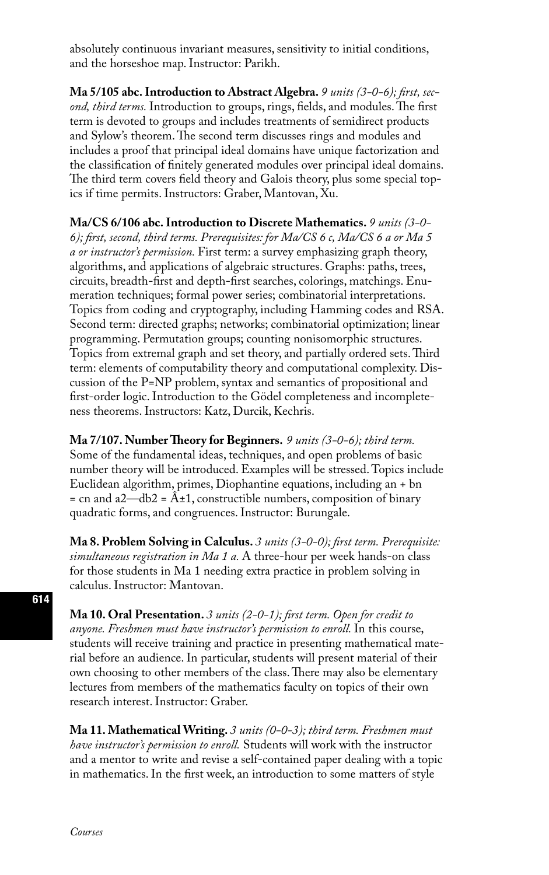absolutely continuous invariant measures, sensitivity to initial conditions, and the horseshoe map. Instructor: Parikh.

**Ma 5/105 abc. Introduction to Abstract Algebra.** *9 units (3-0-6); first, second, third terms.* Introduction to groups, rings, fields, and modules. The first term is devoted to groups and includes treatments of semidirect products and Sylow's theorem. The second term discusses rings and modules and includes a proof that principal ideal domains have unique factorization and the classification of finitely generated modules over principal ideal domains. The third term covers field theory and Galois theory, plus some special topics if time permits. Instructors: Graber, Mantovan, Xu.

**Ma/CS 6/106 abc. Introduction to Discrete Mathematics.** *9 units (3-0- 6); first, second, third terms. Prerequisites: for Ma/CS 6 c, Ma/CS 6 a or Ma 5 a or instructor's permission.* First term: a survey emphasizing graph theory, algorithms, and applications of algebraic structures. Graphs: paths, trees, circuits, breadth-first and depth-first searches, colorings, matchings. Enumeration techniques; formal power series; combinatorial interpretations. Topics from coding and cryptography, including Hamming codes and RSA. Second term: directed graphs; networks; combinatorial optimization; linear programming. Permutation groups; counting nonisomorphic structures. Topics from extremal graph and set theory, and partially ordered sets. Third term: elements of computability theory and computational complexity. Discussion of the P=NP problem, syntax and semantics of propositional and first-order logic. Introduction to the Gödel completeness and incompleteness theorems. Instructors: Katz, Durcik, Kechris.

**Ma 7/107. Number Theory for Beginners.** *9 units (3-0-6); third term.* Some of the fundamental ideas, techniques, and open problems of basic number theory will be introduced. Examples will be stressed. Topics include Euclidean algorithm, primes, Diophantine equations, including an + bn  $=$  cn and a2—db2 =  $\hat{A} \pm 1$ , constructible numbers, composition of binary quadratic forms, and congruences. Instructor: Burungale.

**Ma 8. Problem Solving in Calculus.** *3 units (3-0-0); first term. Prerequisite: simultaneous registration in Ma 1 a.* A three-hour per week hands-on class for those students in Ma 1 needing extra practice in problem solving in calculus. Instructor: Mantovan.

**Ma 10. Oral Presentation.** *3 units (2-0-1); first term. Open for credit to*  anyone. Freshmen must have instructor's permission to enroll. In this course, students will receive training and practice in presenting mathematical material before an audience. In particular, students will present material of their own choosing to other members of the class. There may also be elementary lectures from members of the mathematics faculty on topics of their own research interest. Instructor: Graber.

**Ma 11. Mathematical Writing.** *3 units (0-0-3); third term. Freshmen must have instructor's permission to enroll.* Students will work with the instructor and a mentor to write and revise a self-contained paper dealing with a topic in mathematics. In the first week, an introduction to some matters of style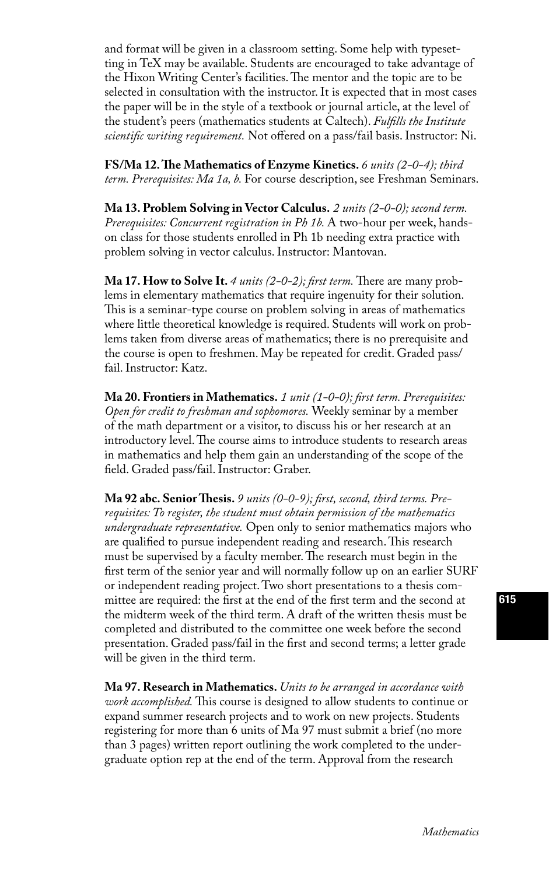and format will be given in a classroom setting. Some help with typesetting in TeX may be available. Students are encouraged to take advantage of the Hixon Writing Center's facilities. The mentor and the topic are to be selected in consultation with the instructor. It is expected that in most cases the paper will be in the style of a textbook or journal article, at the level of the student's peers (mathematics students at Caltech). *Fulfills the Institute scientific writing requirement.* Not offered on a pass/fail basis. Instructor: Ni.

**FS/Ma 12. The Mathematics of Enzyme Kinetics.** *6 units (2-0-4); third term. Prerequisites: Ma 1a, b.* For course description, see Freshman Seminars.

**Ma 13. Problem Solving in Vector Calculus.** *2 units (2-0-0); second term. Prerequisites: Concurrent registration in Ph 1b.* A two-hour per week, handson class for those students enrolled in Ph 1b needing extra practice with problem solving in vector calculus. Instructor: Mantovan.

**Ma 17. How to Solve It.** 4 units (2-0-2); first term. There are many problems in elementary mathematics that require ingenuity for their solution. This is a seminar-type course on problem solving in areas of mathematics where little theoretical knowledge is required. Students will work on problems taken from diverse areas of mathematics; there is no prerequisite and the course is open to freshmen. May be repeated for credit. Graded pass/ fail. Instructor: Katz.

**Ma 20. Frontiers in Mathematics.** *1 unit (1-0-0); first term. Prerequisites: Open for credit to freshman and sophomores.* Weekly seminar by a member of the math department or a visitor, to discuss his or her research at an introductory level. The course aims to introduce students to research areas in mathematics and help them gain an understanding of the scope of the field. Graded pass/fail. Instructor: Graber.

**Ma 92 abc. Senior Thesis.** *9 units (0-0-9); first, second, third terms. Prerequisites: To register, the student must obtain permission of the mathematics undergraduate representative.* Open only to senior mathematics majors who are qualified to pursue independent reading and research. This research must be supervised by a faculty member. The research must begin in the first term of the senior year and will normally follow up on an earlier SURF or independent reading project. Two short presentations to a thesis committee are required: the first at the end of the first term and the second at the midterm week of the third term. A draft of the written thesis must be completed and distributed to the committee one week before the second presentation. Graded pass/fail in the first and second terms; a letter grade will be given in the third term.

**Ma 97. Research in Mathematics.** *Units to be arranged in accordance with work accomplished.* This course is designed to allow students to continue or expand summer research projects and to work on new projects. Students registering for more than 6 units of Ma 97 must submit a brief (no more than 3 pages) written report outlining the work completed to the undergraduate option rep at the end of the term. Approval from the research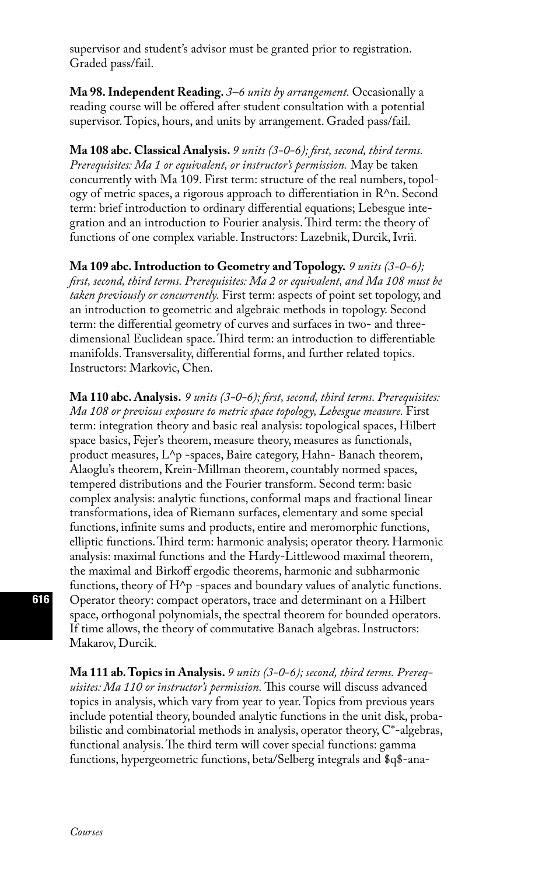supervisor and student's advisor must be granted prior to registration. Graded pass/fail.

**Ma 98. Independent Reading.** *3–6 units by arrangement.* Occasionally a reading course will be offered after student consultation with a potential supervisor. Topics, hours, and units by arrangement. Graded pass/fail.

**Ma 108 abc. Classical Analysis.** *9 units (3-0-6); first, second, third terms. Prerequisites: Ma 1 or equivalent, or instructor's permission.* May be taken concurrently with Ma 109. First term: structure of the real numbers, topology of metric spaces, a rigorous approach to differentiation in R^n. Second term: brief introduction to ordinary differential equations; Lebesgue integration and an introduction to Fourier analysis. Third term: the theory of functions of one complex variable. Instructors: Lazebnik, Durcik, Ivrii.

**Ma 109 abc. Introduction to Geometry and Topology.** *9 units (3-0-6); first, second, third terms. Prerequisites: Ma 2 or equivalent, and Ma 108 must be taken previously or concurrently.* First term: aspects of point set topology, and an introduction to geometric and algebraic methods in topology. Second term: the differential geometry of curves and surfaces in two- and threedimensional Euclidean space. Third term: an introduction to differentiable manifolds. Transversality, differential forms, and further related topics. Instructors: Markovic, Chen.

**Ma 110 abc. Analysis.** *9 units (3-0-6); first, second, third terms. Prerequisites: Ma 108 or previous exposure to metric space topology, Lebesgue measure.* First term: integration theory and basic real analysis: topological spaces, Hilbert space basics, Fejer's theorem, measure theory, measures as functionals, product measures, L^p -spaces, Baire category, Hahn- Banach theorem, Alaoglu's theorem, Krein-Millman theorem, countably normed spaces, tempered distributions and the Fourier transform. Second term: basic complex analysis: analytic functions, conformal maps and fractional linear transformations, idea of Riemann surfaces, elementary and some special functions, infinite sums and products, entire and meromorphic functions, elliptic functions. Third term: harmonic analysis; operator theory. Harmonic analysis: maximal functions and the Hardy-Littlewood maximal theorem, the maximal and Birkoff ergodic theorems, harmonic and subharmonic functions, theory of  $H^{\wedge}p$  -spaces and boundary values of analytic functions. Operator theory: compact operators, trace and determinant on a Hilbert space, orthogonal polynomials, the spectral theorem for bounded operators. If time allows, the theory of commutative Banach algebras. Instructors: Makarov, Durcik.

**Ma 111 ab. Topics in Analysis.** *9 units (3-0-6); second, third terms. Prerequisites: Ma 110 or instructor's permission.* This course will discuss advanced topics in analysis, which vary from year to year. Topics from previous years include potential theory, bounded analytic functions in the unit disk, probabilistic and combinatorial methods in analysis, operator theory, C\*-algebras, functional analysis. The third term will cover special functions: gamma functions, hypergeometric functions, beta/Selberg integrals and \$q\$-ana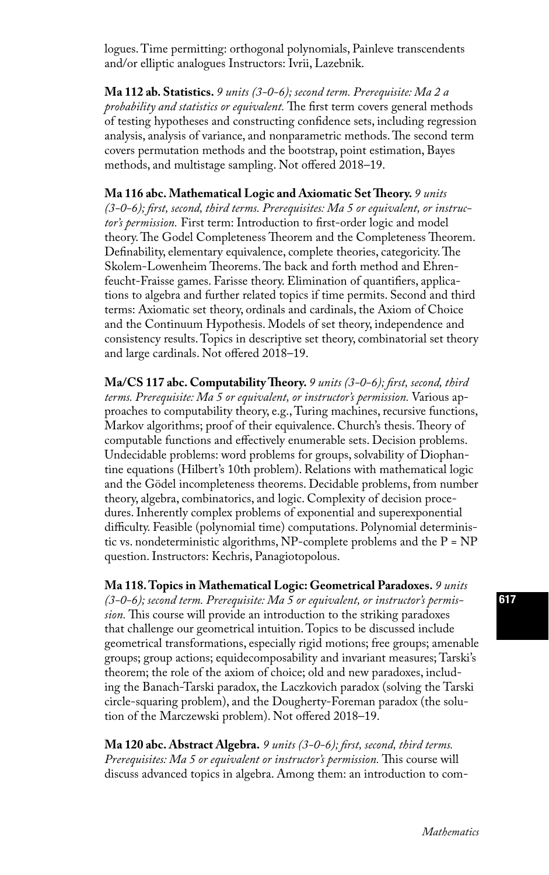logues. Time permitting: orthogonal polynomials, Painleve transcendents and/or elliptic analogues Instructors: Ivrii, Lazebnik.

**Ma 112 ab. Statistics.** *9 units (3-0-6); second term. Prerequisite: Ma 2 a probability and statistics or equivalent.* The first term covers general methods of testing hypotheses and constructing confidence sets, including regression analysis, analysis of variance, and nonparametric methods. The second term covers permutation methods and the bootstrap, point estimation, Bayes methods, and multistage sampling. Not offered 2018–19.

**Ma 116 abc. Mathematical Logic and Axiomatic Set Theory.** *9 units (3-0-6); first, second, third terms. Prerequisites: Ma 5 or equivalent, or instructor's permission.* First term: Introduction to first-order logic and model theory. The Godel Completeness Theorem and the Completeness Theorem. Definability, elementary equivalence, complete theories, categoricity. The Skolem-Lowenheim Theorems. The back and forth method and Ehrenfeucht-Fraisse games. Farisse theory. Elimination of quantifiers, applications to algebra and further related topics if time permits. Second and third terms: Axiomatic set theory, ordinals and cardinals, the Axiom of Choice and the Continuum Hypothesis. Models of set theory, independence and consistency results. Topics in descriptive set theory, combinatorial set theory and large cardinals. Not offered 2018–19.

**Ma/CS 117 abc. Computability Theory.** *9 units (3-0-6); first, second, third terms. Prerequisite: Ma 5 or equivalent, or instructor's permission.* Various approaches to computability theory, e.g., Turing machines, recursive functions, Markov algorithms; proof of their equivalence. Church's thesis. Theory of computable functions and effectively enumerable sets. Decision problems. Undecidable problems: word problems for groups, solvability of Diophantine equations (Hilbert's 10th problem). Relations with mathematical logic and the Gödel incompleteness theorems. Decidable problems, from number theory, algebra, combinatorics, and logic. Complexity of decision procedures. Inherently complex problems of exponential and superexponential difficulty. Feasible (polynomial time) computations. Polynomial deterministic vs. nondeterministic algorithms,  $NP$ -complete problems and the  $P = NP$ question. Instructors: Kechris, Panagiotopolous.

**Ma 118. Topics in Mathematical Logic: Geometrical Paradoxes.** *9 units (3-0-6); second term. Prerequisite: Ma 5 or equivalent, or instructor's permission.* This course will provide an introduction to the striking paradoxes that challenge our geometrical intuition. Topics to be discussed include geometrical transformations, especially rigid motions; free groups; amenable groups; group actions; equidecomposability and invariant measures; Tarski's theorem; the role of the axiom of choice; old and new paradoxes, including the Banach-Tarski paradox, the Laczkovich paradox (solving the Tarski circle-squaring problem), and the Dougherty-Foreman paradox (the solution of the Marczewski problem). Not offered 2018–19.

**Ma 120 abc. Abstract Algebra.** *9 units (3-0-6); first, second, third terms. Prerequisites: Ma 5 or equivalent or instructor's permission.* This course will discuss advanced topics in algebra. Among them: an introduction to com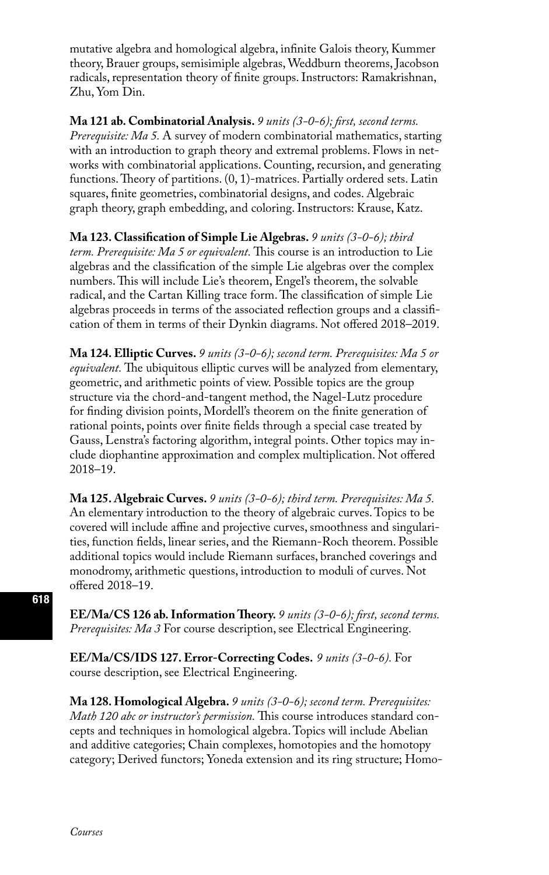mutative algebra and homological algebra, infinite Galois theory, Kummer theory, Brauer groups, semisimiple algebras, Weddburn theorems, Jacobson radicals, representation theory of finite groups. Instructors: Ramakrishnan, Zhu, Yom Din.

**Ma 121 ab. Combinatorial Analysis.** *9 units (3-0-6); first, second terms. Prerequisite: Ma 5.* A survey of modern combinatorial mathematics, starting with an introduction to graph theory and extremal problems. Flows in networks with combinatorial applications. Counting, recursion, and generating functions. Theory of partitions. (0, 1)-matrices. Partially ordered sets. Latin squares, finite geometries, combinatorial designs, and codes. Algebraic graph theory, graph embedding, and coloring. Instructors: Krause, Katz.

**Ma 123. Classification of Simple Lie Algebras.** *9 units (3-0-6); third term. Prerequisite: Ma 5 or equivalent.* This course is an introduction to Lie algebras and the classification of the simple Lie algebras over the complex numbers. This will include Lie's theorem, Engel's theorem, the solvable radical, and the Cartan Killing trace form. The classification of simple Lie algebras proceeds in terms of the associated reflection groups and a classification of them in terms of their Dynkin diagrams. Not offered 2018–2019.

**Ma 124. Elliptic Curves.** *9 units (3-0-6); second term. Prerequisites: Ma 5 or equivalent.* The ubiquitous elliptic curves will be analyzed from elementary, geometric, and arithmetic points of view. Possible topics are the group structure via the chord-and-tangent method, the Nagel-Lutz procedure for finding division points, Mordell's theorem on the finite generation of rational points, points over finite fields through a special case treated by Gauss, Lenstra's factoring algorithm, integral points. Other topics may include diophantine approximation and complex multiplication. Not offered 2018–19.

**Ma 125. Algebraic Curves.** *9 units (3-0-6); third term. Prerequisites: Ma 5.*  An elementary introduction to the theory of algebraic curves. Topics to be covered will include affine and projective curves, smoothness and singularities, function fields, linear series, and the Riemann-Roch theorem. Possible additional topics would include Riemann surfaces, branched coverings and monodromy, arithmetic questions, introduction to moduli of curves. Not offered 2018–19.

**EE/Ma/CS 126 ab. Information Theory.** *9 units (3-0-6); first, second terms. Prerequisites: Ma 3* For course description, see Electrical Engineering.

**EE/Ma/CS/IDS 127. Error-Correcting Codes.** *9 units (3-0-6).* For course description, see Electrical Engineering.

**Ma 128. Homological Algebra.** *9 units (3-0-6); second term. Prerequisites: Math 120 abc or instructor's permission.* This course introduces standard concepts and techniques in homological algebra. Topics will include Abelian and additive categories; Chain complexes, homotopies and the homotopy category; Derived functors; Yoneda extension and its ring structure; Homo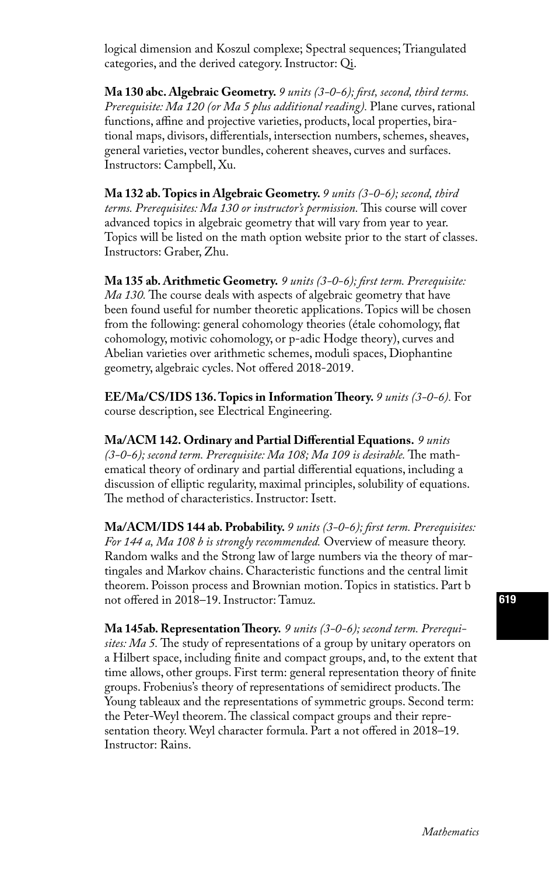logical dimension and Koszul complexe; Spectral sequences; Triangulated categories, and the derived category. Instructor: Qi.

**Ma 130 abc. Algebraic Geometry.** *9 units (3-0-6); first, second, third terms. Prerequisite: Ma 120 (or Ma 5 plus additional reading).* Plane curves, rational functions, affine and projective varieties, products, local properties, birational maps, divisors, differentials, intersection numbers, schemes, sheaves, general varieties, vector bundles, coherent sheaves, curves and surfaces. Instructors: Campbell, Xu.

**Ma 132 ab. Topics in Algebraic Geometry.** *9 units (3-0-6); second, third terms. Prerequisites: Ma 130 or instructor's permission.* This course will cover advanced topics in algebraic geometry that will vary from year to year. Topics will be listed on the math option website prior to the start of classes. Instructors: Graber, Zhu.

**Ma 135 ab. Arithmetic Geometry.** *9 units (3-0-6); first term. Prerequisite: Ma 130.* The course deals with aspects of algebraic geometry that have been found useful for number theoretic applications. Topics will be chosen from the following: general cohomology theories (étale cohomology, flat cohomology, motivic cohomology, or p-adic Hodge theory), curves and Abelian varieties over arithmetic schemes, moduli spaces, Diophantine geometry, algebraic cycles. Not offered 2018-2019.

**EE/Ma/CS/IDS 136. Topics in Information Theory.** *9 units (3-0-6).* For course description, see Electrical Engineering.

**Ma/ACM 142. Ordinary and Partial Differential Equations.** *9 units (3-0-6); second term. Prerequisite: Ma 108; Ma 109 is desirable.* The mathematical theory of ordinary and partial differential equations, including a discussion of elliptic regularity, maximal principles, solubility of equations. The method of characteristics. Instructor: Isett.

**Ma/ACM/IDS 144 ab. Probability.** *9 units (3-0-6); first term. Prerequisites: For 144 a, Ma 108 b is strongly recommended.* Overview of measure theory. Random walks and the Strong law of large numbers via the theory of martingales and Markov chains. Characteristic functions and the central limit theorem. Poisson process and Brownian motion. Topics in statistics. Part b not offered in 2018–19. Instructor: Tamuz.

**Ma 145ab. Representation Theory.** *9 units (3-0-6); second term. Prerequisites: Ma 5.* The study of representations of a group by unitary operators on a Hilbert space, including finite and compact groups, and, to the extent that time allows, other groups. First term: general representation theory of finite groups. Frobenius's theory of representations of semidirect products. The Young tableaux and the representations of symmetric groups. Second term: the Peter-Weyl theorem. The classical compact groups and their representation theory. Weyl character formula. Part a not offered in 2018–19. Instructor: Rains.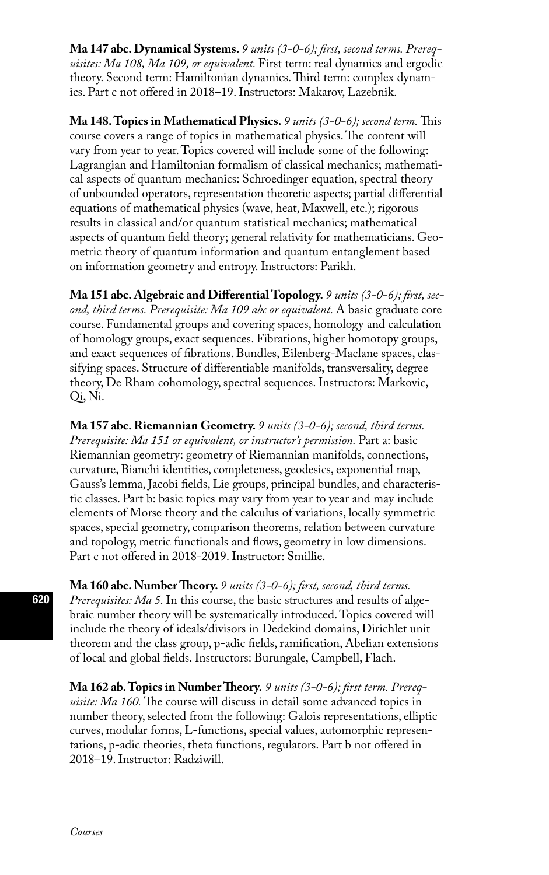**Ma 147 abc. Dynamical Systems.** *9 units (3-0-6); first, second terms. Prerequisites: Ma 108, Ma 109, or equivalent.* First term: real dynamics and ergodic theory. Second term: Hamiltonian dynamics. Third term: complex dynamics. Part c not offered in 2018–19. Instructors: Makarov, Lazebnik.

**Ma 148. Topics in Mathematical Physics.** *9 units (3-0-6); second term.* This course covers a range of topics in mathematical physics. The content will vary from year to year. Topics covered will include some of the following: Lagrangian and Hamiltonian formalism of classical mechanics; mathematical aspects of quantum mechanics: Schroedinger equation, spectral theory of unbounded operators, representation theoretic aspects; partial differential equations of mathematical physics (wave, heat, Maxwell, etc.); rigorous results in classical and/or quantum statistical mechanics; mathematical aspects of quantum field theory; general relativity for mathematicians. Geometric theory of quantum information and quantum entanglement based on information geometry and entropy. Instructors: Parikh.

**Ma 151 abc. Algebraic and Differential Topology.** *9 units (3-0-6); first, second, third terms. Prerequisite: Ma 109 abc or equivalent.* A basic graduate core course. Fundamental groups and covering spaces, homology and calculation of homology groups, exact sequences. Fibrations, higher homotopy groups, and exact sequences of fibrations. Bundles, Eilenberg-Maclane spaces, classifying spaces. Structure of differentiable manifolds, transversality, degree theory, De Rham cohomology, spectral sequences. Instructors: Markovic, Qi, Ni.

**Ma 157 abc. Riemannian Geometry.** *9 units (3-0-6); second, third terms. Prerequisite: Ma 151 or equivalent, or instructor's permission. Part a: basic* Riemannian geometry: geometry of Riemannian manifolds, connections, curvature, Bianchi identities, completeness, geodesics, exponential map, Gauss's lemma, Jacobi fields, Lie groups, principal bundles, and characteristic classes. Part b: basic topics may vary from year to year and may include elements of Morse theory and the calculus of variations, locally symmetric spaces, special geometry, comparison theorems, relation between curvature and topology, metric functionals and flows, geometry in low dimensions. Part c not offered in 2018-2019. Instructor: Smillie.

**Ma 160 abc. Number Theory.** *9 units (3-0-6); first, second, third terms. Prerequisites: Ma 5.* In this course, the basic structures and results of algebraic number theory will be systematically introduced. Topics covered will include the theory of ideals/divisors in Dedekind domains, Dirichlet unit theorem and the class group, p-adic fields, ramification, Abelian extensions of local and global fields. Instructors: Burungale, Campbell, Flach.

**Ma 162 ab. Topics in Number Theory.** *9 units (3-0-6); first term. Prerequisite: Ma 160.* The course will discuss in detail some advanced topics in number theory, selected from the following: Galois representations, elliptic curves, modular forms, L-functions, special values, automorphic representations, p-adic theories, theta functions, regulators. Part b not offered in 2018–19. Instructor: Radziwill.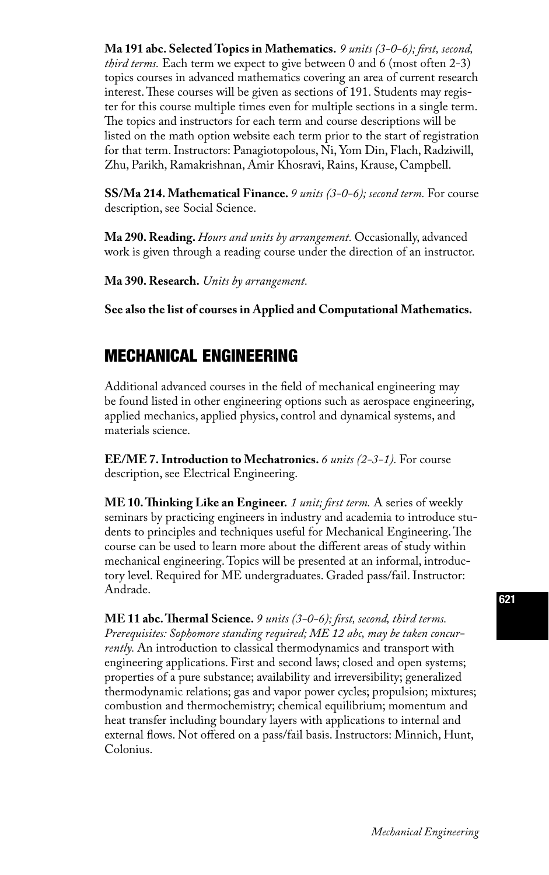**Ma 191 abc. Selected Topics in Mathematics.** *9 units (3-0-6); first, second, third terms.* Each term we expect to give between 0 and 6 (most often 2-3) topics courses in advanced mathematics covering an area of current research interest. These courses will be given as sections of 191. Students may register for this course multiple times even for multiple sections in a single term. The topics and instructors for each term and course descriptions will be listed on the math option website each term prior to the start of registration for that term. Instructors: Panagiotopolous, Ni, Yom Din, Flach, Radziwill, Zhu, Parikh, Ramakrishnan, Amir Khosravi, Rains, Krause, Campbell.

**SS/Ma 214. Mathematical Finance.** *9 units (3-0-6); second term.* For course description, see Social Science.

**Ma 290. Reading.** *Hours and units by arrangement.* Occasionally, advanced work is given through a reading course under the direction of an instructor.

**Ma 390. Research.** *Units by arrangement.*

**See also the list of courses in Applied and Computational Mathematics.**

### MECHANICAL ENGINEERING

Additional advanced courses in the field of mechanical engineering may be found listed in other engineering options such as aerospace engineering, applied mechanics, applied physics, control and dynamical systems, and materials science.

**EE/ME 7. Introduction to Mechatronics.** *6 units (2-3-1).* For course description, see Electrical Engineering.

**ME 10. Thinking Like an Engineer.** *1 unit; first term.* A series of weekly seminars by practicing engineers in industry and academia to introduce students to principles and techniques useful for Mechanical Engineering. The course can be used to learn more about the different areas of study within mechanical engineering. Topics will be presented at an informal, introductory level. Required for ME undergraduates. Graded pass/fail. Instructor: Andrade.

**ME 11 abc. Thermal Science.** *9 units (3-0-6); first, second, third terms. Prerequisites: Sophomore standing required; ME 12 abc, may be taken concurrently.* An introduction to classical thermodynamics and transport with engineering applications. First and second laws; closed and open systems; properties of a pure substance; availability and irreversibility; generalized thermodynamic relations; gas and vapor power cycles; propulsion; mixtures; combustion and thermochemistry; chemical equilibrium; momentum and heat transfer including boundary layers with applications to internal and external flows. Not offered on a pass/fail basis. Instructors: Minnich, Hunt, Colonius.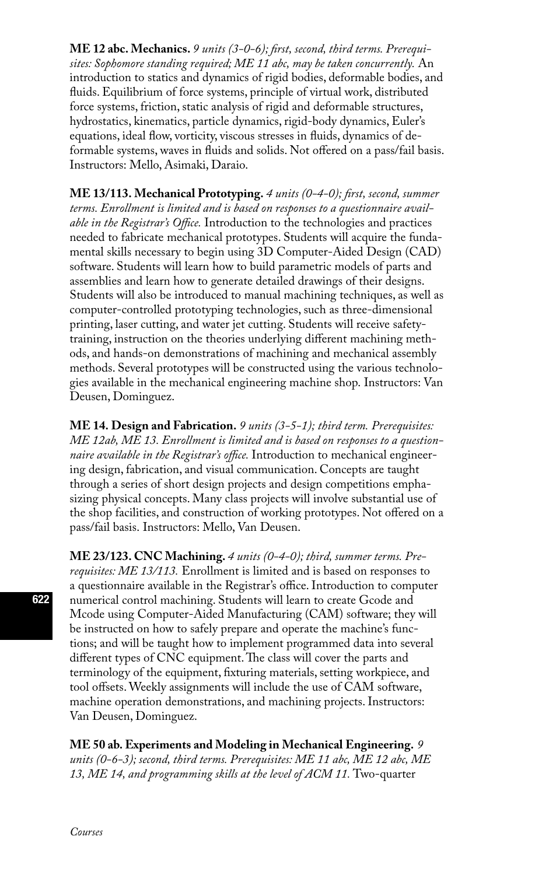**ME 12 abc. Mechanics.** *9 units (3-0-6); first, second, third terms. Prerequisites: Sophomore standing required; ME 11 abc, may be taken concurrently.* An introduction to statics and dynamics of rigid bodies, deformable bodies, and fluids. Equilibrium of force systems, principle of virtual work, distributed force systems, friction, static analysis of rigid and deformable structures, hydrostatics, kinematics, particle dynamics, rigid-body dynamics, Euler's equations, ideal flow, vorticity, viscous stresses in fluids, dynamics of deformable systems, waves in fluids and solids. Not offered on a pass/fail basis. Instructors: Mello, Asimaki, Daraio.

**ME 13/113. Mechanical Prototyping.** *4 units (0-4-0); first, second, summer terms. Enrollment is limited and is based on responses to a questionnaire available in the Registrar's Office.* Introduction to the technologies and practices needed to fabricate mechanical prototypes. Students will acquire the fundamental skills necessary to begin using 3D Computer-Aided Design (CAD) software. Students will learn how to build parametric models of parts and assemblies and learn how to generate detailed drawings of their designs. Students will also be introduced to manual machining techniques, as well as computer-controlled prototyping technologies, such as three-dimensional printing, laser cutting, and water jet cutting. Students will receive safetytraining, instruction on the theories underlying different machining methods, and hands-on demonstrations of machining and mechanical assembly methods. Several prototypes will be constructed using the various technologies available in the mechanical engineering machine shop. Instructors: Van Deusen, Dominguez.

**ME 14. Design and Fabrication.** *9 units (3-5-1); third term. Prerequisites: ME 12ab, ME 13. Enrollment is limited and is based on responses to a questionnaire available in the Registrar's office.* Introduction to mechanical engineering design, fabrication, and visual communication. Concepts are taught through a series of short design projects and design competitions emphasizing physical concepts. Many class projects will involve substantial use of the shop facilities, and construction of working prototypes. Not offered on a pass/fail basis. Instructors: Mello, Van Deusen.

**ME 23/123. CNC Machining.** *4 units (0-4-0); third, summer terms. Prerequisites: ME 13/113.* Enrollment is limited and is based on responses to a questionnaire available in the Registrar's office. Introduction to computer numerical control machining. Students will learn to create Gcode and Mcode using Computer-Aided Manufacturing (CAM) software; they will be instructed on how to safely prepare and operate the machine's functions; and will be taught how to implement programmed data into several different types of CNC equipment. The class will cover the parts and terminology of the equipment, fixturing materials, setting workpiece, and tool offsets. Weekly assignments will include the use of CAM software, machine operation demonstrations, and machining projects. Instructors: Van Deusen, Dominguez.

**ME 50 ab. Experiments and Modeling in Mechanical Engineering.** *9 units (0-6-3); second, third terms. Prerequisites: ME 11 abc, ME 12 abc, ME 13, ME 14, and programming skills at the level of ACM 11.* Two-quarter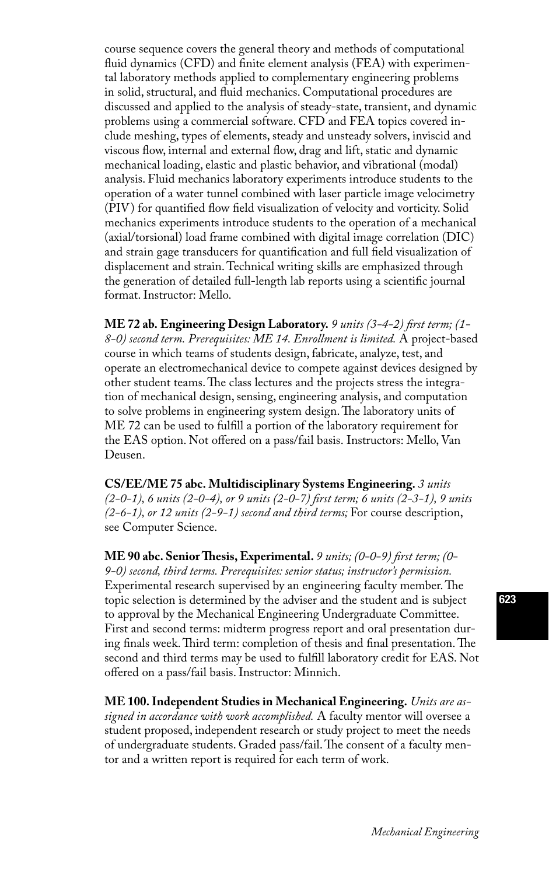course sequence covers the general theory and methods of computational fluid dynamics (CFD) and finite element analysis (FEA) with experimental laboratory methods applied to complementary engineering problems in solid, structural, and fluid mechanics. Computational procedures are discussed and applied to the analysis of steady-state, transient, and dynamic problems using a commercial software. CFD and FEA topics covered include meshing, types of elements, steady and unsteady solvers, inviscid and viscous flow, internal and external flow, drag and lift, static and dynamic mechanical loading, elastic and plastic behavior, and vibrational (modal) analysis. Fluid mechanics laboratory experiments introduce students to the operation of a water tunnel combined with laser particle image velocimetry (PIV) for quantified flow field visualization of velocity and vorticity. Solid mechanics experiments introduce students to the operation of a mechanical (axial/torsional) load frame combined with digital image correlation (DIC) and strain gage transducers for quantification and full field visualization of displacement and strain. Technical writing skills are emphasized through the generation of detailed full-length lab reports using a scientific journal format. Instructor: Mello.

**ME 72 ab. Engineering Design Laboratory.** *9 units (3-4-2) first term; (1- 8-0) second term. Prerequisites: ME 14. Enrollment is limited.* A project-based course in which teams of students design, fabricate, analyze, test, and operate an electromechanical device to compete against devices designed by other student teams. The class lectures and the projects stress the integration of mechanical design, sensing, engineering analysis, and computation to solve problems in engineering system design. The laboratory units of ME 72 can be used to fulfill a portion of the laboratory requirement for the EAS option. Not offered on a pass/fail basis. Instructors: Mello, Van Deusen.

**CS/EE/ME 75 abc. Multidisciplinary Systems Engineering.** *3 units (2-0-1), 6 units (2-0-4), or 9 units (2-0-7) first term; 6 units (2-3-1), 9 units (2-6-1), or 12 units (2-9-1) second and third terms;* For course description, see Computer Science.

**ME 90 abc. Senior Thesis, Experimental.** *9 units; (0-0-9) first term; (0- 9-0) second, third terms. Prerequisites: senior status; instructor's permission.*  Experimental research supervised by an engineering faculty member. The topic selection is determined by the adviser and the student and is subject to approval by the Mechanical Engineering Undergraduate Committee. First and second terms: midterm progress report and oral presentation during finals week. Third term: completion of thesis and final presentation. The second and third terms may be used to fulfill laboratory credit for EAS. Not offered on a pass/fail basis. Instructor: Minnich.

**ME 100. Independent Studies in Mechanical Engineering.** *Units are assigned in accordance with work accomplished.* A faculty mentor will oversee a student proposed, independent research or study project to meet the needs of undergraduate students. Graded pass/fail. The consent of a faculty mentor and a written report is required for each term of work.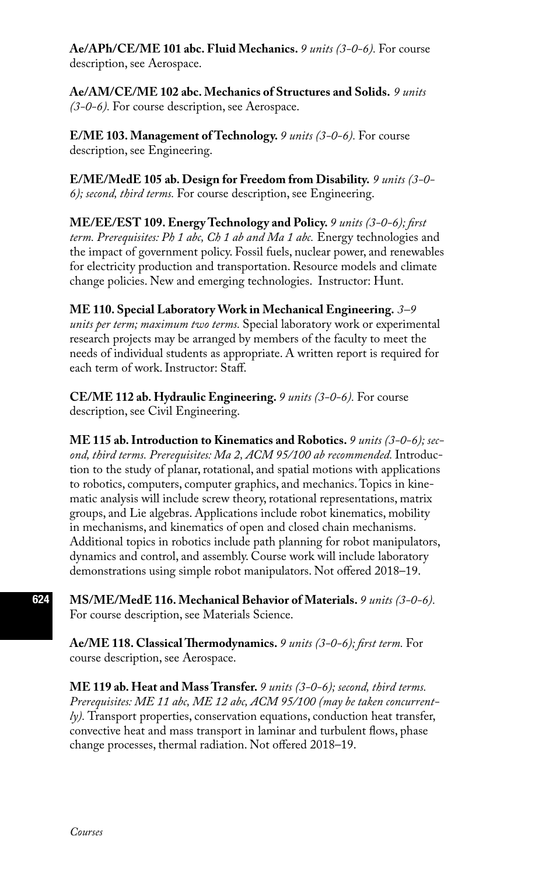**Ae/APh/CE/ME 101 abc. Fluid Mechanics.** *9 units (3-0-6).* For course description, see Aerospace.

**Ae/AM/CE/ME 102 abc. Mechanics of Structures and Solids.** *9 units (3-0-6).* For course description, see Aerospace.

**E/ME 103. Management of Technology.** *9 units (3-0-6).* For course description, see Engineering.

**E/ME/MedE 105 ab. Design for Freedom from Disability.** *9 units (3-0- 6); second, third terms.* For course description, see Engineering.

**ME/EE/EST 109. Energy Technology and Policy.** *9 units (3-0-6); first term. Prerequisites: Ph 1 abc, Ch 1 ab and Ma 1 abc.* Energy technologies and the impact of government policy. Fossil fuels, nuclear power, and renewables for electricity production and transportation. Resource models and climate change policies. New and emerging technologies. Instructor: Hunt.

**ME 110. Special Laboratory Work in Mechanical Engineering.** *3–9 units per term; maximum two terms.* Special laboratory work or experimental research projects may be arranged by members of the faculty to meet the needs of individual students as appropriate. A written report is required for each term of work. Instructor: Staff.

**CE/ME 112 ab. Hydraulic Engineering.** *9 units (3-0-6).* For course description, see Civil Engineering.

**ME 115 ab. Introduction to Kinematics and Robotics.** *9 units (3-0-6); second, third terms. Prerequisites: Ma 2, ACM 95/100 ab recommended.* Introduction to the study of planar, rotational, and spatial motions with applications to robotics, computers, computer graphics, and mechanics. Topics in kinematic analysis will include screw theory, rotational representations, matrix groups, and Lie algebras. Applications include robot kinematics, mobility in mechanisms, and kinematics of open and closed chain mechanisms. Additional topics in robotics include path planning for robot manipulators, dynamics and control, and assembly. Course work will include laboratory demonstrations using simple robot manipulators. Not offered 2018–19.

**MS/ME/MedE 116. Mechanical Behavior of Materials.** *9 units (3-0-6).* For course description, see Materials Science.

**Ae/ME 118. Classical Thermodynamics.** *9 units (3-0-6); first term.* For course description, see Aerospace.

**ME 119 ab. Heat and Mass Transfer.** *9 units (3-0-6); second, third terms. Prerequisites: ME 11 abc, ME 12 abc, ACM 95/100 (may be taken concurrently).* Transport properties, conservation equations, conduction heat transfer, convective heat and mass transport in laminar and turbulent flows, phase change processes, thermal radiation. Not offered 2018–19.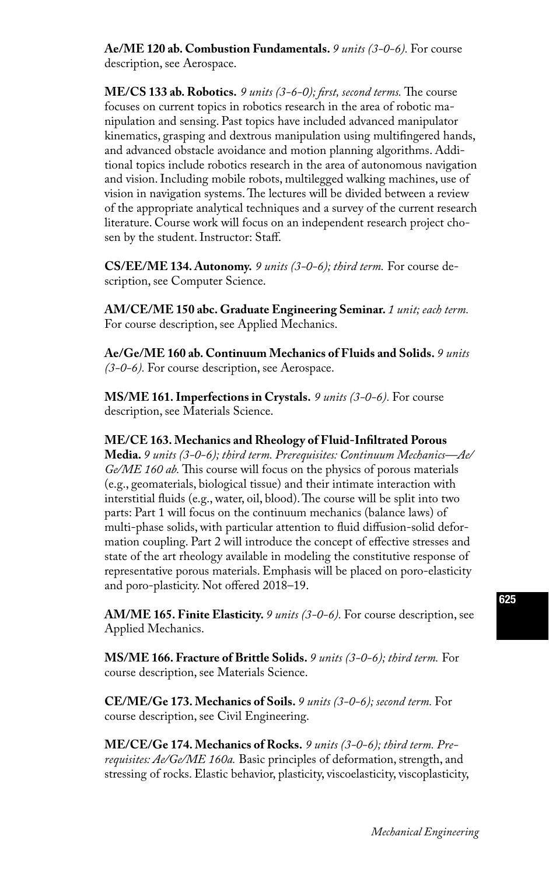**Ae/ME 120 ab. Combustion Fundamentals.** *9 units (3-0-6).* For course description, see Aerospace.

**ME/CS 133 ab. Robotics.** *9 units (3-6-0); first, second terms.* The course focuses on current topics in robotics research in the area of robotic manipulation and sensing. Past topics have included advanced manipulator kinematics, grasping and dextrous manipulation using multifingered hands, and advanced obstacle avoidance and motion planning algorithms. Additional topics include robotics research in the area of autonomous navigation and vision. Including mobile robots, multilegged walking machines, use of vision in navigation systems. The lectures will be divided between a review of the appropriate analytical techniques and a survey of the current research literature. Course work will focus on an independent research project chosen by the student. Instructor: Staff.

**CS/EE/ME 134. Autonomy.** *9 units (3-0-6); third term.* For course description, see Computer Science.

**AM/CE/ME 150 abc. Graduate Engineering Seminar.** *1 unit; each term.*  For course description, see Applied Mechanics.

**Ae/Ge/ME 160 ab. Continuum Mechanics of Fluids and Solids.** *9 units (3-0-6).* For course description, see Aerospace.

**MS/ME 161. Imperfections in Crystals.** *9 units (3-0-6).* For course description, see Materials Science.

#### **ME/CE 163. Mechanics and Rheology of Fluid-Infiltrated Porous**

**Media.** *9 units (3-0-6); third term. Prerequisites: Continuum Mechanics—Ae/ Ge/ME 160 ab.* This course will focus on the physics of porous materials (e.g., geomaterials, biological tissue) and their intimate interaction with interstitial fluids (e.g., water, oil, blood). The course will be split into two parts: Part 1 will focus on the continuum mechanics (balance laws) of multi-phase solids, with particular attention to fluid diffusion-solid deformation coupling. Part 2 will introduce the concept of effective stresses and state of the art rheology available in modeling the constitutive response of representative porous materials. Emphasis will be placed on poro-elasticity and poro-plasticity. Not offered 2018–19.

**AM/ME 165. Finite Elasticity.** *9 units (3-0-6).* For course description, see Applied Mechanics.

**MS/ME 166. Fracture of Brittle Solids.** *9 units (3-0-6); third term.* For course description, see Materials Science.

**CE/ME/Ge 173. Mechanics of Soils.** *9 units (3-0-6); second term.* For course description, see Civil Engineering.

**ME/CE/Ge 174. Mechanics of Rocks.** *9 units (3-0-6); third term. Prerequisites: Ae/Ge/ME 160a.* Basic principles of deformation, strength, and stressing of rocks. Elastic behavior, plasticity, viscoelasticity, viscoplasticity,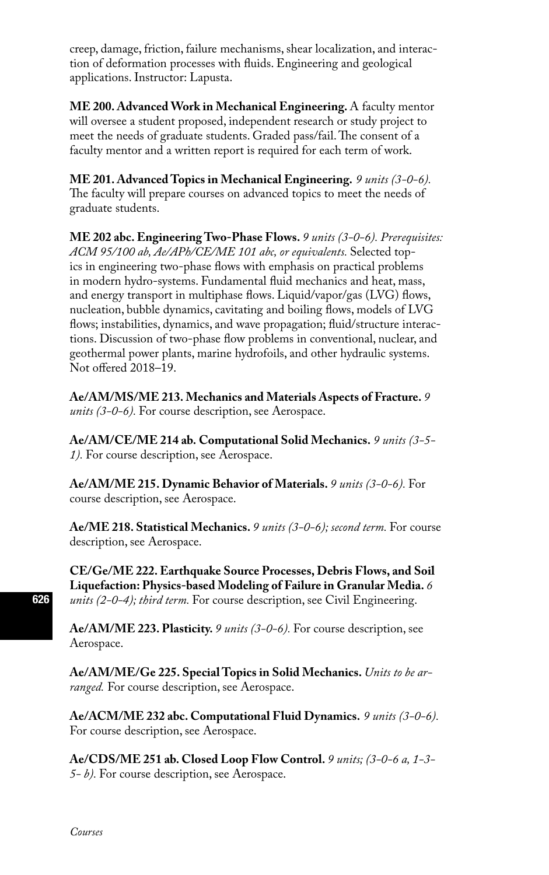creep, damage, friction, failure mechanisms, shear localization, and interaction of deformation processes with fluids. Engineering and geological applications. Instructor: Lapusta.

**ME 200. Advanced Work in Mechanical Engineering.** A faculty mentor will oversee a student proposed, independent research or study project to meet the needs of graduate students. Graded pass/fail. The consent of a faculty mentor and a written report is required for each term of work.

**ME 201. Advanced Topics in Mechanical Engineering.** *9 units (3-0-6).* The faculty will prepare courses on advanced topics to meet the needs of graduate students.

**ME 202 abc. Engineering Two-Phase Flows.** *9 units (3-0-6). Prerequisites: ACM 95/100 ab, Ae/APh/CE/ME 101 abc, or equivalents.* Selected topics in engineering two-phase flows with emphasis on practical problems in modern hydro-systems. Fundamental fluid mechanics and heat, mass, and energy transport in multiphase flows. Liquid/vapor/gas (LVG) flows, nucleation, bubble dynamics, cavitating and boiling flows, models of LVG flows; instabilities, dynamics, and wave propagation; fluid/structure interactions. Discussion of two-phase flow problems in conventional, nuclear, and geothermal power plants, marine hydrofoils, and other hydraulic systems. Not offered 2018–19.

**Ae/AM/MS/ME 213. Mechanics and Materials Aspects of Fracture.** *9 units (3-0-6).* For course description, see Aerospace.

**Ae/AM/CE/ME 214 ab. Computational Solid Mechanics.** *9 units (3-5- 1).* For course description, see Aerospace.

**Ae/AM/ME 215. Dynamic Behavior of Materials.** *9 units (3-0-6).* For course description, see Aerospace.

**Ae/ME 218. Statistical Mechanics.** *9 units (3-0-6); second term.* For course description, see Aerospace.

**CE/Ge/ME 222. Earthquake Source Processes, Debris Flows, and Soil Liquefaction: Physics-based Modeling of Failure in Granular Media.** *6 units (2-0-4); third term.* For course description, see Civil Engineering.

**Ae/AM/ME 223. Plasticity.** *9 units (3-0-6).* For course description, see Aerospace.

**Ae/AM/ME/Ge 225. Special Topics in Solid Mechanics.** *Units to be arranged.* For course description, see Aerospace.

**Ae/ACM/ME 232 abc. Computational Fluid Dynamics.** *9 units (3-0-6).*  For course description, see Aerospace.

**Ae/CDS/ME 251 ab. Closed Loop Flow Control.** *9 units; (3-0-6 a, 1-3- 5- b).* For course description, see Aerospace.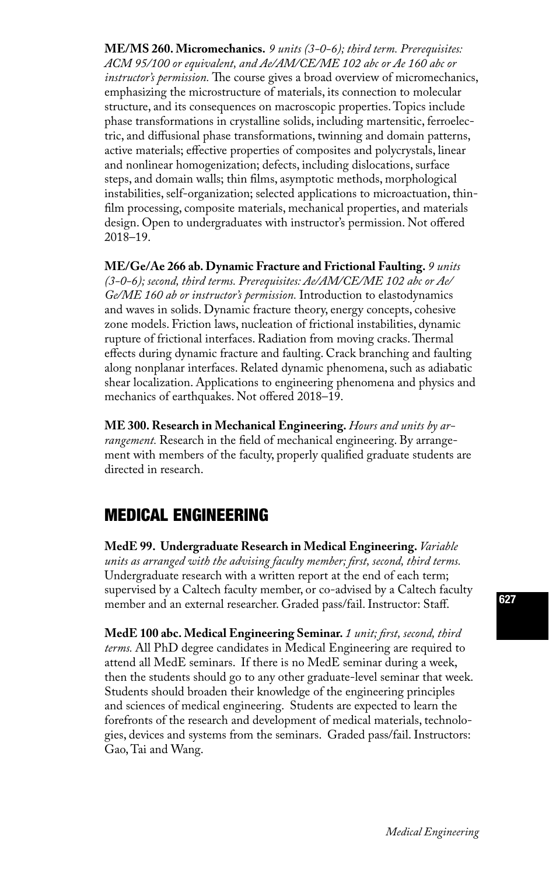**ME/MS 260. Micromechanics.** *9 units (3-0-6); third term. Prerequisites: ACM 95/100 or equivalent, and Ae/AM/CE/ME 102 abc or Ae 160 abc or instructor's permission.* The course gives a broad overview of micromechanics, emphasizing the microstructure of materials, its connection to molecular structure, and its consequences on macroscopic properties. Topics include phase transformations in crystalline solids, including martensitic, ferroelectric, and diffusional phase transformations, twinning and domain patterns, active materials; effective properties of composites and polycrystals, linear and nonlinear homogenization; defects, including dislocations, surface steps, and domain walls; thin films, asymptotic methods, morphological instabilities, self-organization; selected applications to microactuation, thinfilm processing, composite materials, mechanical properties, and materials design. Open to undergraduates with instructor's permission. Not offered 2018–19.

**ME/Ge/Ae 266 ab. Dynamic Fracture and Frictional Faulting.** *9 units (3-0-6); second, third terms. Prerequisites: Ae/AM/CE/ME 102 abc or Ae/ Ge/ME 160 ab or instructor's permission.* Introduction to elastodynamics and waves in solids. Dynamic fracture theory, energy concepts, cohesive zone models. Friction laws, nucleation of frictional instabilities, dynamic rupture of frictional interfaces. Radiation from moving cracks. Thermal effects during dynamic fracture and faulting. Crack branching and faulting along nonplanar interfaces. Related dynamic phenomena, such as adiabatic shear localization. Applications to engineering phenomena and physics and mechanics of earthquakes. Not offered 2018–19.

**ME 300. Research in Mechanical Engineering.** *Hours and units by arrangement.* Research in the field of mechanical engineering. By arrangement with members of the faculty, properly qualified graduate students are directed in research.

# MEDICAL ENGINEERING

**MedE 99. Undergraduate Research in Medical Engineering.** *Variable units as arranged with the advising faculty member; first, second, third terms.* Undergraduate research with a written report at the end of each term; supervised by a Caltech faculty member, or co-advised by a Caltech faculty member and an external researcher. Graded pass/fail. Instructor: Staff.

**MedE 100 abc. Medical Engineering Seminar.** *1 unit; first, second, third terms.* All PhD degree candidates in Medical Engineering are required to attend all MedE seminars. If there is no MedE seminar during a week, then the students should go to any other graduate-level seminar that week. Students should broaden their knowledge of the engineering principles and sciences of medical engineering. Students are expected to learn the forefronts of the research and development of medical materials, technologies, devices and systems from the seminars. Graded pass/fail. Instructors: Gao, Tai and Wang.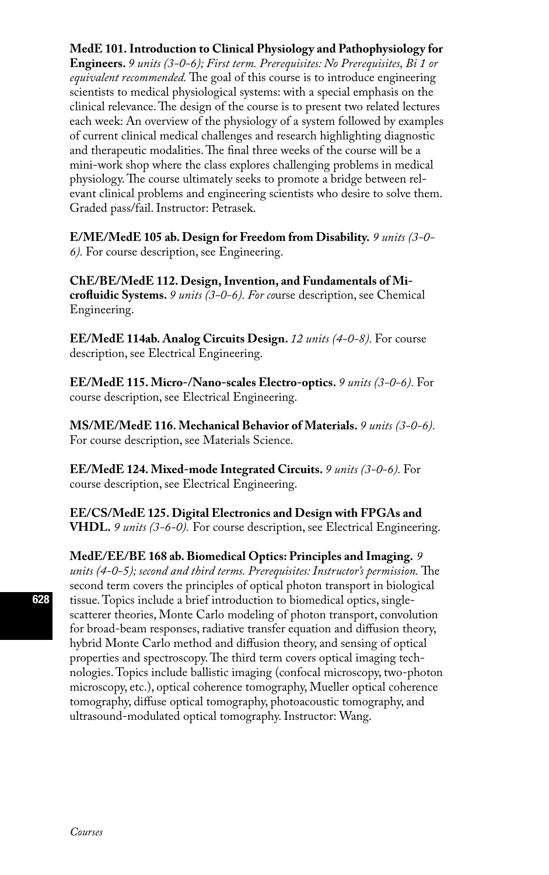#### **MedE 101. Introduction to Clinical Physiology and Pathophysiology for**

**Engineers.** *9 units (3-0-6); First term. Prerequisites: No Prerequisites, Bi 1 or equivalent recommended.* The goal of this course is to introduce engineering scientists to medical physiological systems: with a special emphasis on the clinical relevance. The design of the course is to present two related lectures each week: An overview of the physiology of a system followed by examples of current clinical medical challenges and research highlighting diagnostic and therapeutic modalities. The final three weeks of the course will be a mini-work shop where the class explores challenging problems in medical physiology. The course ultimately seeks to promote a bridge between relevant clinical problems and engineering scientists who desire to solve them. Graded pass/fail. Instructor: Petrasek.

**E/ME/MedE 105 ab. Design for Freedom from Disability.** *9 units (3-0- 6).* For course description, see Engineering.

**ChE/BE/MedE 112. Design, Invention, and Fundamentals of Microfluidic Systems.** *9 units (3-0-6). For co*urse description, see Chemical Engineering.

**EE/MedE 114ab. Analog Circuits Design.** *12 units (4-0-8).* For course description, see Electrical Engineering.

**EE/MedE 115. Micro-/Nano-scales Electro-optics.** *9 units (3-0-6).* For course description, see Electrical Engineering.

**MS/ME/MedE 116. Mechanical Behavior of Materials.** *9 units (3-0-6).* For course description, see Materials Science.

**EE/MedE 124. Mixed-mode Integrated Circuits.** *9 units (3-0-6).* For course description, see Electrical Engineering.

**EE/CS/MedE 125. Digital Electronics and Design with FPGAs and VHDL.** *9 units (3-6-0).* For course description, see Electrical Engineering.

**MedE/EE/BE 168 ab. Biomedical Optics: Principles and Imaging.** *9 units (4-0-5); second and third terms. Prerequisites: Instructor's permission.* The second term covers the principles of optical photon transport in biological tissue. Topics include a brief introduction to biomedical optics, singlescatterer theories, Monte Carlo modeling of photon transport, convolution for broad-beam responses, radiative transfer equation and diffusion theory, hybrid Monte Carlo method and diffusion theory, and sensing of optical properties and spectroscopy. The third term covers optical imaging technologies. Topics include ballistic imaging (confocal microscopy, two-photon microscopy, etc.), optical coherence tomography, Mueller optical coherence tomography, diffuse optical tomography, photoacoustic tomography, and ultrasound-modulated optical tomography. Instructor: Wang.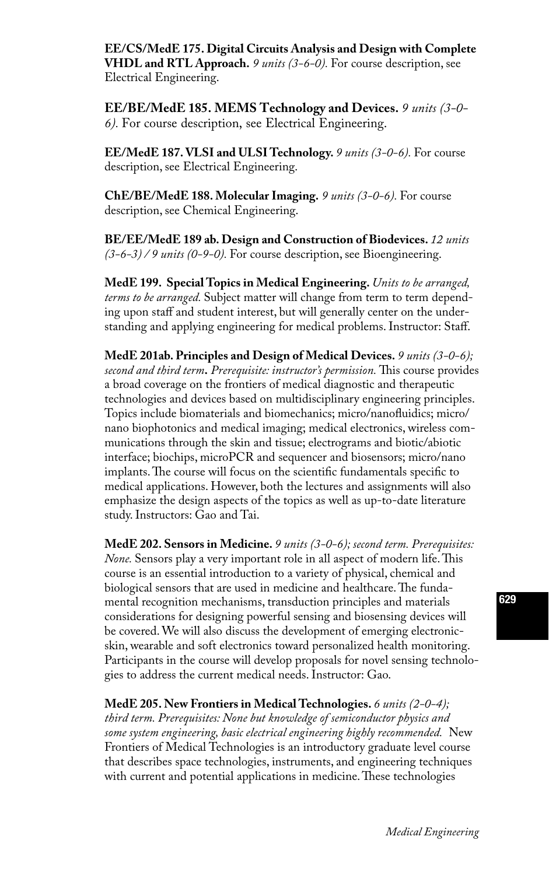**EE/CS/MedE 175. Digital Circuits Analysis and Design with Complete VHDL and RTL Approach.** *9 units (3-6-0).* For course description, see Electrical Engineering.

**EE/BE/MedE 185. MEMS Technology and Devices.** *9 units (3-0- 6).* For course description, see Electrical Engineering.

**EE/MedE 187. VLSI and ULSI Technology.** *9 units (3-0-6).* For course description, see Electrical Engineering.

**ChE/BE/MedE 188. Molecular Imaging.** *9 units (3-0-6).* For course description, see Chemical Engineering.

**BE/EE/MedE 189 ab. Design and Construction of Biodevices.** *12 units (3-6-3) / 9 units (0-9-0).* For course description, see Bioengineering.

**MedE 199. Special Topics in Medical Engineering.** *Units to be arranged, terms to be arranged.* Subject matter will change from term to term depending upon staff and student interest, but will generally center on the understanding and applying engineering for medical problems. Instructor: Staff.

**MedE 201ab. Principles and Design of Medical Devices.** *9 units (3-0-6); second and third term***.** *Prerequisite: instructor's permission.* This course provides a broad coverage on the frontiers of medical diagnostic and therapeutic technologies and devices based on multidisciplinary engineering principles. Topics include biomaterials and biomechanics; micro/nanofluidics; micro/ nano biophotonics and medical imaging; medical electronics, wireless communications through the skin and tissue; electrograms and biotic/abiotic interface; biochips, microPCR and sequencer and biosensors; micro/nano implants. The course will focus on the scientific fundamentals specific to medical applications. However, both the lectures and assignments will also emphasize the design aspects of the topics as well as up-to-date literature study. Instructors: Gao and Tai.

**MedE 202. Sensors in Medicine.** *9 units (3-0-6); second term. Prerequisites: None.* Sensors play a very important role in all aspect of modern life. This course is an essential introduction to a variety of physical, chemical and biological sensors that are used in medicine and healthcare. The fundamental recognition mechanisms, transduction principles and materials considerations for designing powerful sensing and biosensing devices will be covered. We will also discuss the development of emerging electronicskin, wearable and soft electronics toward personalized health monitoring. Participants in the course will develop proposals for novel sensing technologies to address the current medical needs. Instructor: Gao.

**MedE 205. New Frontiers in Medical Technologies.** *6 units (2-0-4);* 

*third term. Prerequisites: None but knowledge of semiconductor physics and some system engineering, basic electrical engineering highly recommended.* New Frontiers of Medical Technologies is an introductory graduate level course that describes space technologies, instruments, and engineering techniques with current and potential applications in medicine. These technologies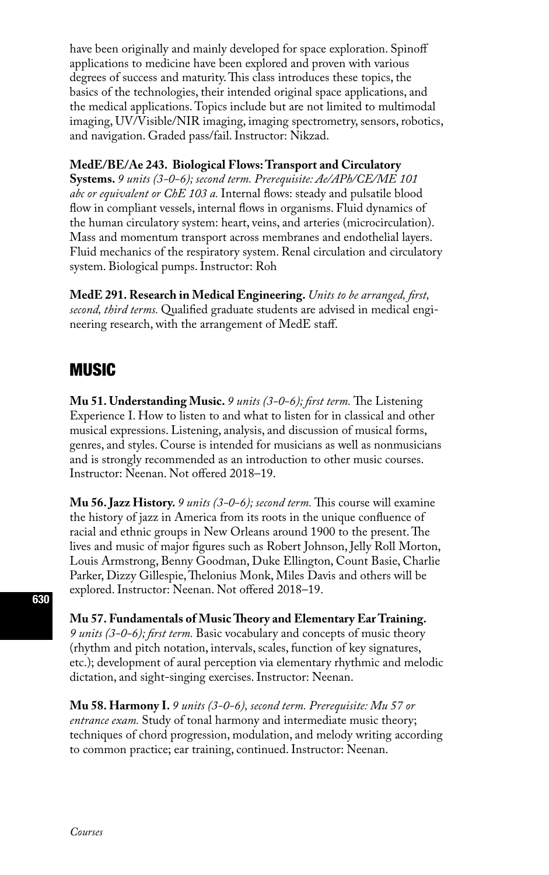have been originally and mainly developed for space exploration. Spinoff applications to medicine have been explored and proven with various degrees of success and maturity. This class introduces these topics, the basics of the technologies, their intended original space applications, and the medical applications. Topics include but are not limited to multimodal imaging, UV/Visible/NIR imaging, imaging spectrometry, sensors, robotics, and navigation. Graded pass/fail. Instructor: Nikzad.

#### **MedE/BE/Ae 243. Biological Flows: Transport and Circulatory**

**Systems.** *9 units (3-0-6); second term. Prerequisite: Ae/APh/CE/ME 101 abc or equivalent or ChE 103 a.* Internal flows: steady and pulsatile blood flow in compliant vessels, internal flows in organisms. Fluid dynamics of the human circulatory system: heart, veins, and arteries (microcirculation). Mass and momentum transport across membranes and endothelial layers. Fluid mechanics of the respiratory system. Renal circulation and circulatory system. Biological pumps. Instructor: Roh

**MedE 291. Research in Medical Engineering.** *Units to be arranged, first, second, third terms.* Qualified graduate students are advised in medical engineering research, with the arrangement of MedE staff.

## MUSIC

**Mu 51. Understanding Music.** *9 units (3-0-6); first term.* The Listening Experience I. How to listen to and what to listen for in classical and other musical expressions. Listening, analysis, and discussion of musical forms, genres, and styles. Course is intended for musicians as well as nonmusicians and is strongly recommended as an introduction to other music courses. Instructor: Neenan. Not offered 2018–19.

**Mu 56. Jazz History.** *9 units (3-0-6); second term.* This course will examine the history of jazz in America from its roots in the unique confluence of racial and ethnic groups in New Orleans around 1900 to the present. The lives and music of major figures such as Robert Johnson, Jelly Roll Morton, Louis Armstrong, Benny Goodman, Duke Ellington, Count Basie, Charlie Parker, Dizzy Gillespie, Thelonius Monk, Miles Davis and others will be explored. Instructor: Neenan. Not offered 2018–19.

**Mu 57. Fundamentals of Music Theory and Elementary Ear Training.**  *9 units (3-0-6); first term.* Basic vocabulary and concepts of music theory (rhythm and pitch notation, intervals, scales, function of key signatures, etc.); development of aural perception via elementary rhythmic and melodic dictation, and sight-singing exercises. Instructor: Neenan.

**Mu 58. Harmony I.** *9 units (3-0-6), second term. Prerequisite: Mu 57 or entrance exam.* Study of tonal harmony and intermediate music theory; techniques of chord progression, modulation, and melody writing according to common practice; ear training, continued. Instructor: Neenan.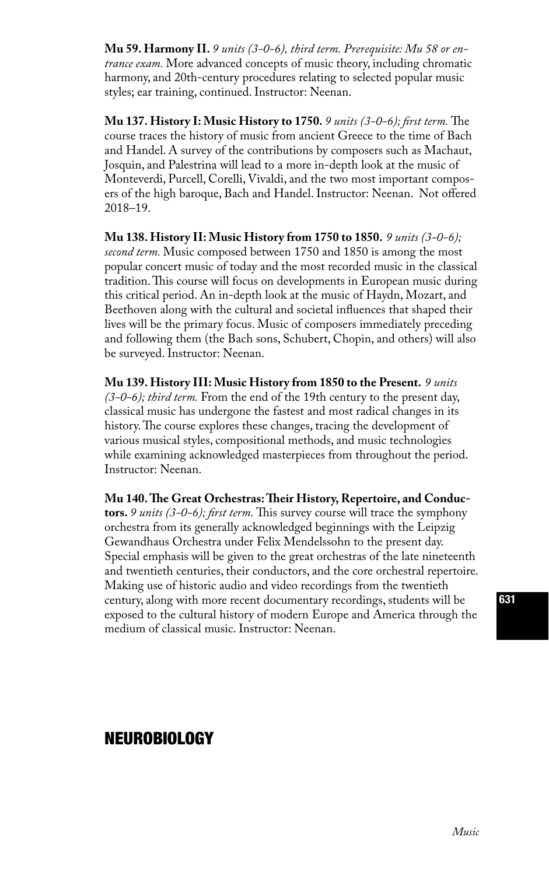**Mu 59. Harmony II.** *9 units (3-0-6), third term. Prerequisite: Mu 58 or entrance exam.* More advanced concepts of music theory, including chromatic harmony, and 20th-century procedures relating to selected popular music styles; ear training, continued. Instructor: Neenan.

**Mu 137. History I: Music History to 1750.** *9 units (3-0-6); first term.* The course traces the history of music from ancient Greece to the time of Bach and Handel. A survey of the contributions by composers such as Machaut, Josquin, and Palestrina will lead to a more in-depth look at the music of Monteverdi, Purcell, Corelli, Vivaldi, and the two most important composers of the high baroque, Bach and Handel. Instructor: Neenan. Not offered 2018–19.

**Mu 138. History II: Music History from 1750 to 1850.** *9 units (3-0-6); second term.* Music composed between 1750 and 1850 is among the most popular concert music of today and the most recorded music in the classical tradition. This course will focus on developments in European music during this critical period. An in-depth look at the music of Haydn, Mozart, and Beethoven along with the cultural and societal influences that shaped their lives will be the primary focus. Music of composers immediately preceding and following them (the Bach sons, Schubert, Chopin, and others) will also be surveyed. Instructor: Neenan.

**Mu 139. History III: Music History from 1850 to the Present.** *9 units (3-0-6); third term.* From the end of the 19th century to the present day, classical music has undergone the fastest and most radical changes in its history. The course explores these changes, tracing the development of various musical styles, compositional methods, and music technologies while examining acknowledged masterpieces from throughout the period. Instructor: Neenan.

**Mu 140. The Great Orchestras: Their History, Repertoire, and Conductors.** *9 units (3-0-6); first term.* This survey course will trace the symphony orchestra from its generally acknowledged beginnings with the Leipzig Gewandhaus Orchestra under Felix Mendelssohn to the present day. Special emphasis will be given to the great orchestras of the late nineteenth and twentieth centuries, their conductors, and the core orchestral repertoire. Making use of historic audio and video recordings from the twentieth century, along with more recent documentary recordings, students will be exposed to the cultural history of modern Europe and America through the medium of classical music. Instructor: Neenan.

### NEUROBIOLOGY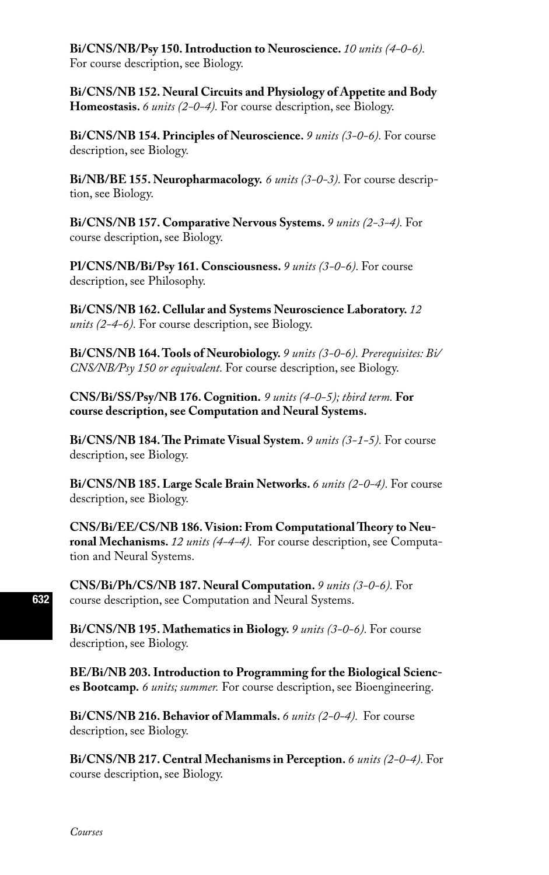**Bi/CNS/NB/Psy 150. Introduction to Neuroscience.** *10 units (4-0-6).* For course description, see Biology.

**Bi/CNS/NB 152. Neural Circuits and Physiology of Appetite and Body Homeostasis.** *6 units (2-0-4).* For course description, see Biology.

**Bi/CNS/NB 154. Principles of Neuroscience.** *9 units (3-0-6).* For course description, see Biology.

**Bi/NB/BE 155. Neuropharmacology.** *6 units (3-0-3).* For course description, see Biology.

**Bi/CNS/NB 157. Comparative Nervous Systems.** *9 units (2-3-4).* For course description, see Biology.

**Pl/CNS/NB/Bi/Psy 161. Consciousness.** *9 units (3-0-6).* For course description, see Philosophy.

**Bi/CNS/NB 162. Cellular and Systems Neuroscience Laboratory.** *12 units (2-4-6).* For course description, see Biology.

**Bi/CNS/NB 164. Tools of Neurobiology.** *9 units (3-0-6). Prerequisites: Bi/ CNS/NB/Psy 150 or equivalent.* For course description, see Biology.

**CNS/Bi/SS/Psy/NB 176. Cognition.** *9 units (4-0-5); third term.* **For course description, see Computation and Neural Systems.**

**Bi/CNS/NB 184. The Primate Visual System.** *9 units (3-1-5).* For course description, see Biology.

**Bi/CNS/NB 185. Large Scale Brain Networks.** *6 units (2-0-4).* For course description, see Biology.

**CNS/Bi/EE/CS/NB 186. Vision: From Computational Theory to Neuronal Mechanisms.** *12 units (4-4-4).* For course description, see Computation and Neural Systems.

**CNS/Bi/Ph/CS/NB 187. Neural Computation.** *9 units (3-0-6).* For course description, see Computation and Neural Systems.

**Bi/CNS/NB 195. Mathematics in Biology.** *9 units (3-0-6).* For course description, see Biology.

**BE/Bi/NB 203. Introduction to Programming for the Biological Sciences Bootcamp.** *6 units; summer.* For course description, see Bioengineering.

**Bi/CNS/NB 216. Behavior of Mammals.** *6 units (2-0-4).* For course description, see Biology.

**Bi/CNS/NB 217. Central Mechanisms in Perception.** *6 units (2-0-4).* For course description, see Biology.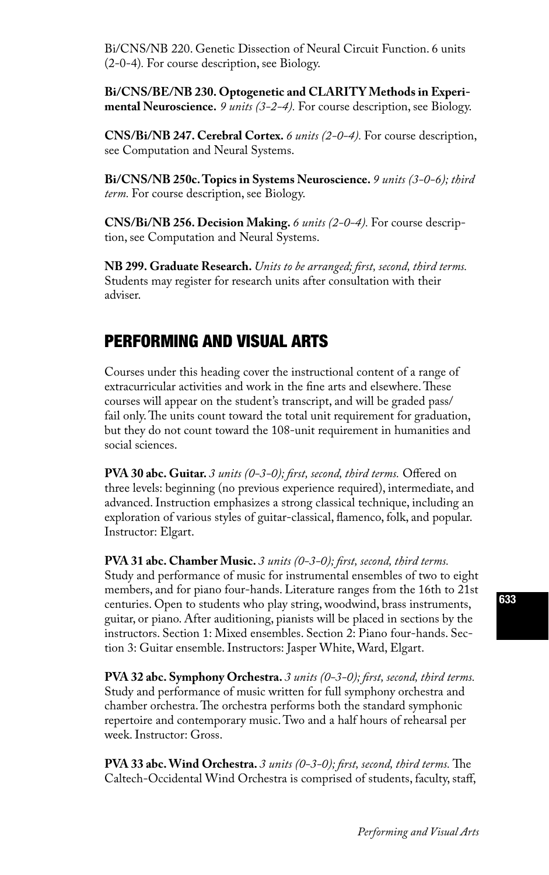Bi/CNS/NB 220. Genetic Dissection of Neural Circuit Function. 6 units (2-0-4)*.* For course description, see Biology.

**Bi/CNS/BE/NB 230. Optogenetic and CLARITY Methods in Experimental Neuroscience.** *9 units (3-2-4).* For course description, see Biology.

**CNS/Bi/NB 247. Cerebral Cortex.** *6 units (2-0-4).* For course description, see Computation and Neural Systems.

**Bi/CNS/NB 250c. Topics in Systems Neuroscience.** *9 units (3-0-6); third term.* For course description, see Biology.

**CNS/Bi/NB 256. Decision Making.** *6 units (2-0-4).* For course description, see Computation and Neural Systems.

**NB 299. Graduate Research.** *Units to be arranged; first, second, third terms.*  Students may register for research units after consultation with their adviser.

### PERFORMING AND VISUAL ARTS

Courses under this heading cover the instructional content of a range of extracurricular activities and work in the fine arts and elsewhere. These courses will appear on the student's transcript, and will be graded pass/ fail only. The units count toward the total unit requirement for graduation, but they do not count toward the 108-unit requirement in humanities and social sciences.

**PVA 30 abc. Guitar.** *3 units (0-3-0); first, second, third terms.* Offered on three levels: beginning (no previous experience required), intermediate, and advanced. Instruction emphasizes a strong classical technique, including an exploration of various styles of guitar-classical, flamenco, folk, and popular. Instructor: Elgart.

**PVA 31 abc. Chamber Music.** *3 units (0-3-0); first, second, third terms.* Study and performance of music for instrumental ensembles of two to eight members, and for piano four-hands. Literature ranges from the 16th to 21st centuries. Open to students who play string, woodwind, brass instruments, guitar, or piano. After auditioning, pianists will be placed in sections by the instructors. Section 1: Mixed ensembles. Section 2: Piano four-hands. Section 3: Guitar ensemble. Instructors: Jasper White, Ward, Elgart.

**PVA 32 abc. Symphony Orchestra.** *3 units (0-3-0); first, second, third terms.* Study and performance of music written for full symphony orchestra and chamber orchestra. The orchestra performs both the standard symphonic repertoire and contemporary music. Two and a half hours of rehearsal per week. Instructor: Gross.

**PVA 33 abc. Wind Orchestra.** *3 units (0-3-0); first, second, third terms.* The Caltech-Occidental Wind Orchestra is comprised of students, faculty, staff,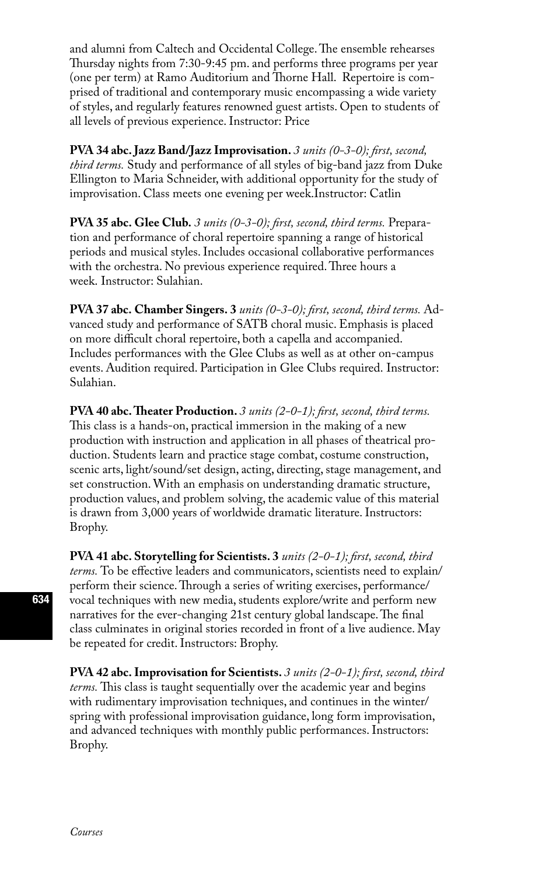and alumni from Caltech and Occidental College. The ensemble rehearses Thursday nights from 7:30-9:45 pm. and performs three programs per year (one per term) at Ramo Auditorium and Thorne Hall. Repertoire is comprised of traditional and contemporary music encompassing a wide variety of styles, and regularly features renowned guest artists. Open to students of all levels of previous experience. Instructor: Price

**PVA 34 abc. Jazz Band/Jazz Improvisation.** *3 units (0-3-0); first, second, third terms.* Study and performance of all styles of big-band jazz from Duke Ellington to Maria Schneider, with additional opportunity for the study of improvisation. Class meets one evening per week.Instructor: Catlin

**PVA 35 abc. Glee Club.** *3 units (0-3-0); first, second, third terms.* Preparation and performance of choral repertoire spanning a range of historical periods and musical styles. Includes occasional collaborative performances with the orchestra. No previous experience required. Three hours a week. Instructor: Sulahian.

**PVA 37 abc. Chamber Singers. 3** *units (0-3-0); first, second, third terms.* Advanced study and performance of SATB choral music. Emphasis is placed on more difficult choral repertoire, both a capella and accompanied. Includes performances with the Glee Clubs as well as at other on-campus events. Audition required. Participation in Glee Clubs required. Instructor: Sulahian.

**PVA 40 abc. Theater Production.** *3 units (2-0-1); first, second, third terms.*  This class is a hands-on, practical immersion in the making of a new production with instruction and application in all phases of theatrical production. Students learn and practice stage combat, costume construction, scenic arts, light/sound/set design, acting, directing, stage management, and set construction. With an emphasis on understanding dramatic structure, production values, and problem solving, the academic value of this material is drawn from 3,000 years of worldwide dramatic literature. Instructors: Brophy.

**PVA 41 abc. Storytelling for Scientists. 3** *units (2-0-1); first, second, third terms.* To be effective leaders and communicators, scientists need to explain/ perform their science. Through a series of writing exercises, performance/ vocal techniques with new media, students explore/write and perform new narratives for the ever-changing 21st century global landscape. The final class culminates in original stories recorded in front of a live audience. May be repeated for credit. Instructors: Brophy.

**PVA 42 abc. Improvisation for Scientists.** *3 units (2-0-1); first, second, third terms.* This class is taught sequentially over the academic year and begins with rudimentary improvisation techniques, and continues in the winter/ spring with professional improvisation guidance, long form improvisation, and advanced techniques with monthly public performances. Instructors: Brophy.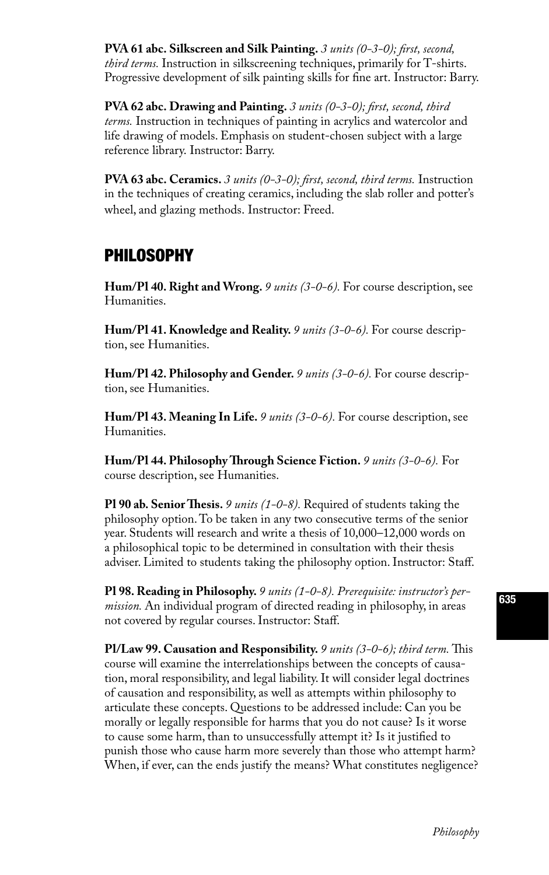**PVA 61 abc. Silkscreen and Silk Painting.** *3 units (0-3-0); first, second, third terms.* Instruction in silkscreening techniques, primarily for T-shirts. Progressive development of silk painting skills for fine art. Instructor: Barry.

**PVA 62 abc. Drawing and Painting.** *3 units (0-3-0); first, second, third terms.* Instruction in techniques of painting in acrylics and watercolor and life drawing of models. Emphasis on student-chosen subject with a large reference library. Instructor: Barry.

**PVA 63 abc. Ceramics.** *3 units (0-3-0); first, second, third terms.* Instruction in the techniques of creating ceramics, including the slab roller and potter's wheel, and glazing methods. Instructor: Freed.

### **PHILOSOPHY**

**Hum/Pl 40. Right and Wrong.** *9 units (3-0-6).* For course description, see Humanities.

**Hum/Pl 41. Knowledge and Reality.** *9 units (3-0-6).* For course description, see Humanities.

**Hum/Pl 42. Philosophy and Gender.** *9 units (3-0-6).* For course description, see Humanities.

**Hum/Pl 43. Meaning In Life.** *9 units (3-0-6).* For course description, see Humanities.

**Hum/Pl 44. Philosophy Through Science Fiction.** *9 units (3-0-6).* For course description, see Humanities.

**Pl 90 ab. Senior Thesis.** *9 units (1-0-8).* Required of students taking the philosophy option. To be taken in any two consecutive terms of the senior year. Students will research and write a thesis of 10,000–12,000 words on a philosophical topic to be determined in consultation with their thesis adviser. Limited to students taking the philosophy option. Instructor: Staff.

**Pl 98. Reading in Philosophy.** *9 units (1-0-8). Prerequisite: instructor's permission.* An individual program of directed reading in philosophy, in areas not covered by regular courses. Instructor: Staff.

**Pl/Law 99. Causation and Responsibility.** *9 units (3-0-6); third term.* This course will examine the interrelationships between the concepts of causation, moral responsibility, and legal liability. It will consider legal doctrines of causation and responsibility, as well as attempts within philosophy to articulate these concepts. Questions to be addressed include: Can you be morally or legally responsible for harms that you do not cause? Is it worse to cause some harm, than to unsuccessfully attempt it? Is it justified to punish those who cause harm more severely than those who attempt harm? When, if ever, can the ends justify the means? What constitutes negligence?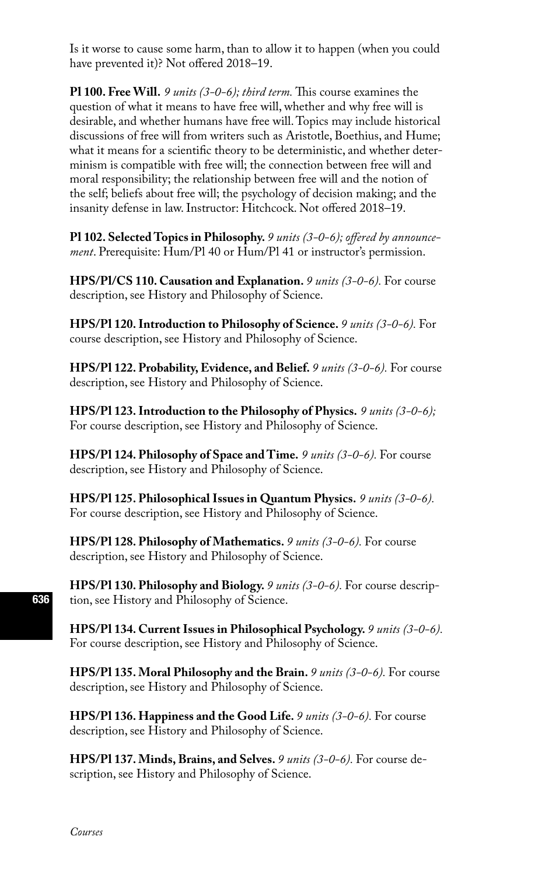Is it worse to cause some harm, than to allow it to happen (when you could have prevented it)? Not offered 2018–19.

**Pl 100. Free Will.** *9 units (3-0-6); third term.* This course examines the question of what it means to have free will, whether and why free will is desirable, and whether humans have free will. Topics may include historical discussions of free will from writers such as Aristotle, Boethius, and Hume; what it means for a scientific theory to be deterministic, and whether determinism is compatible with free will; the connection between free will and moral responsibility; the relationship between free will and the notion of the self; beliefs about free will; the psychology of decision making; and the insanity defense in law. Instructor: Hitchcock. Not offered 2018–19.

**Pl 102. Selected Topics in Philosophy.** *9 units (3-0-6); offered by announcement*. Prerequisite: Hum/Pl 40 or Hum/Pl 41 or instructor's permission.

**HPS/Pl/CS 110. Causation and Explanation.** *9 units (3-0-6).* For course description, see History and Philosophy of Science.

**HPS/Pl 120. Introduction to Philosophy of Science.** *9 units (3-0-6).* For course description, see History and Philosophy of Science.

**HPS/Pl 122. Probability, Evidence, and Belief.** *9 units (3-0-6).* For course description, see History and Philosophy of Science.

**HPS/Pl 123. Introduction to the Philosophy of Physics.** *9 units (3-0-6);*  For course description, see History and Philosophy of Science.

**HPS/Pl 124. Philosophy of Space and Time.** *9 units (3-0-6).* For course description, see History and Philosophy of Science.

**HPS/Pl 125. Philosophical Issues in Quantum Physics.** *9 units (3-0-6).*  For course description, see History and Philosophy of Science.

**HPS/Pl 128. Philosophy of Mathematics.** *9 units (3-0-6).* For course description, see History and Philosophy of Science.

**HPS/Pl 130. Philosophy and Biology.** *9 units (3-0-6).* For course description, see History and Philosophy of Science.

**HPS/Pl 134. Current Issues in Philosophical Psychology.** *9 units (3-0-6).*  For course description, see History and Philosophy of Science.

**HPS/Pl 135. Moral Philosophy and the Brain.** *9 units (3-0-6).* For course description, see History and Philosophy of Science.

**HPS/Pl 136. Happiness and the Good Life.** *9 units (3-0-6).* For course description, see History and Philosophy of Science.

**HPS/Pl 137. Minds, Brains, and Selves.** *9 units (3-0-6).* For course description, see History and Philosophy of Science.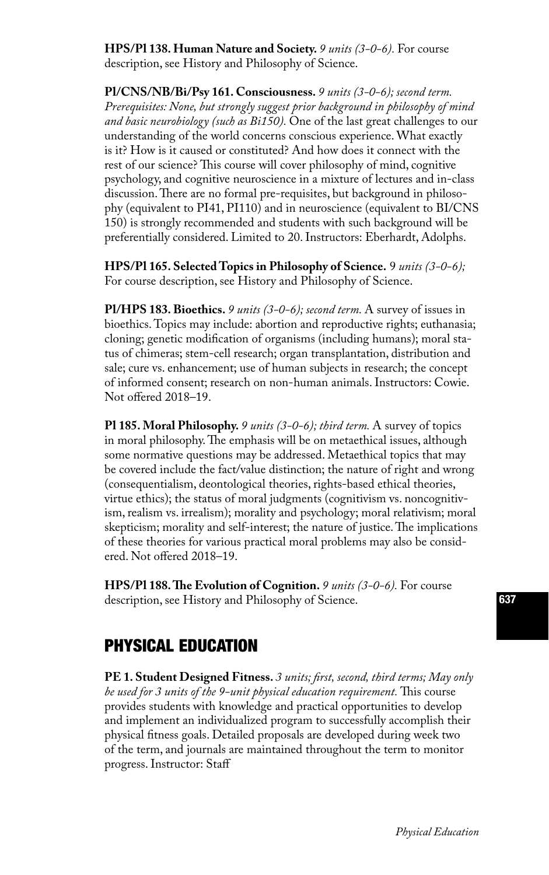**HPS/Pl 138. Human Nature and Society.** *9 units (3-0-6).* For course description, see History and Philosophy of Science.

**Pl/CNS/NB/Bi/Psy 161. Consciousness.** *9 units (3-0-6); second term. Prerequisites: None, but strongly suggest prior background in philosophy of mind and basic neurobiology (such as Bi150).* One of the last great challenges to our understanding of the world concerns conscious experience. What exactly is it? How is it caused or constituted? And how does it connect with the rest of our science? This course will cover philosophy of mind, cognitive psychology, and cognitive neuroscience in a mixture of lectures and in-class discussion. There are no formal pre-requisites, but background in philosophy (equivalent to PI41, PI110) and in neuroscience (equivalent to BI/CNS 150) is strongly recommended and students with such background will be preferentially considered. Limited to 20. Instructors: Eberhardt, Adolphs.

**HPS/Pl 165. Selected Topics in Philosophy of Science.** 9 *units (3-0-6);* For course description, see History and Philosophy of Science.

**Pl/HPS 183. Bioethics.** *9 units (3-0-6); second term.* A survey of issues in bioethics. Topics may include: abortion and reproductive rights; euthanasia; cloning; genetic modification of organisms (including humans); moral status of chimeras; stem-cell research; organ transplantation, distribution and sale; cure vs. enhancement; use of human subjects in research; the concept of informed consent; research on non-human animals. Instructors: Cowie. Not offered 2018–19.

**Pl 185. Moral Philosophy.** *9 units (3-0-6); third term.* A survey of topics in moral philosophy. The emphasis will be on metaethical issues, although some normative questions may be addressed. Metaethical topics that may be covered include the fact/value distinction; the nature of right and wrong (consequentialism, deontological theories, rights-based ethical theories, virtue ethics); the status of moral judgments (cognitivism vs. noncognitivism, realism vs. irrealism); morality and psychology; moral relativism; moral skepticism; morality and self-interest; the nature of justice. The implications of these theories for various practical moral problems may also be considered. Not offered 2018–19.

**HPS/Pl 188. The Evolution of Cognition.** *9 units (3-0-6).* For course description, see History and Philosophy of Science.

## PHYSICAL EDUCATION

**PE 1. Student Designed Fitness.** *3 units; first, second, third terms; May only be used for 3 units of the 9-unit physical education requirement.* This course provides students with knowledge and practical opportunities to develop and implement an individualized program to successfully accomplish their physical fitness goals. Detailed proposals are developed during week two of the term, and journals are maintained throughout the term to monitor progress. Instructor: Staff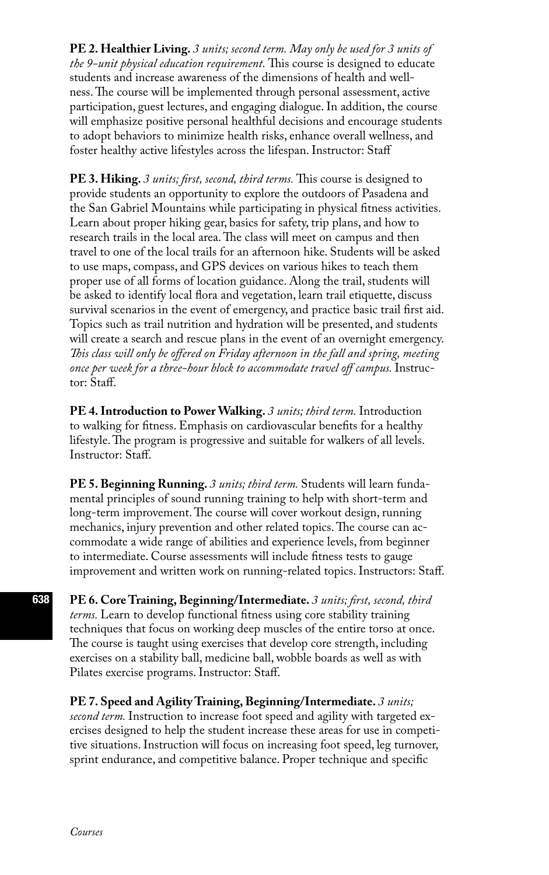**PE 2. Healthier Living.** *3 units; second term. May only be used for 3 units of the 9-unit physical education requirement.* This course is designed to educate students and increase awareness of the dimensions of health and wellness. The course will be implemented through personal assessment, active participation, guest lectures, and engaging dialogue. In addition, the course will emphasize positive personal healthful decisions and encourage students to adopt behaviors to minimize health risks, enhance overall wellness, and foster healthy active lifestyles across the lifespan. Instructor: Staff

**PE 3. Hiking.** *3 units; first, second, third terms.* This course is designed to provide students an opportunity to explore the outdoors of Pasadena and the San Gabriel Mountains while participating in physical fitness activities. Learn about proper hiking gear, basics for safety, trip plans, and how to research trails in the local area. The class will meet on campus and then travel to one of the local trails for an afternoon hike. Students will be asked to use maps, compass, and GPS devices on various hikes to teach them proper use of all forms of location guidance. Along the trail, students will be asked to identify local flora and vegetation, learn trail etiquette, discuss survival scenarios in the event of emergency, and practice basic trail first aid. Topics such as trail nutrition and hydration will be presented, and students will create a search and rescue plans in the event of an overnight emergency. *This class will only be offered on Friday afternoon in the fall and spring, meeting once per week for a three-hour block to accommodate travel off campus.* Instructor: Staff.

**PE 4. Introduction to Power Walking.** *3 units; third term.* Introduction to walking for fitness. Emphasis on cardiovascular benefits for a healthy lifestyle. The program is progressive and suitable for walkers of all levels. Instructor: Staff.

**PE 5. Beginning Running.** *3 units; third term.* Students will learn fundamental principles of sound running training to help with short-term and long-term improvement. The course will cover workout design, running mechanics, injury prevention and other related topics. The course can accommodate a wide range of abilities and experience levels, from beginner to intermediate. Course assessments will include fitness tests to gauge improvement and written work on running-related topics. Instructors: Staff.

**PE 6. Core Training, Beginning/Intermediate.** *3 units; first, second, third terms.* Learn to develop functional fitness using core stability training techniques that focus on working deep muscles of the entire torso at once. The course is taught using exercises that develop core strength, including exercises on a stability ball, medicine ball, wobble boards as well as with Pilates exercise programs. Instructor: Staff.

**PE 7. Speed and Agility Training, Beginning/Intermediate.** *3 units; second term.* Instruction to increase foot speed and agility with targeted exercises designed to help the student increase these areas for use in competitive situations. Instruction will focus on increasing foot speed, leg turnover, sprint endurance, and competitive balance. Proper technique and specific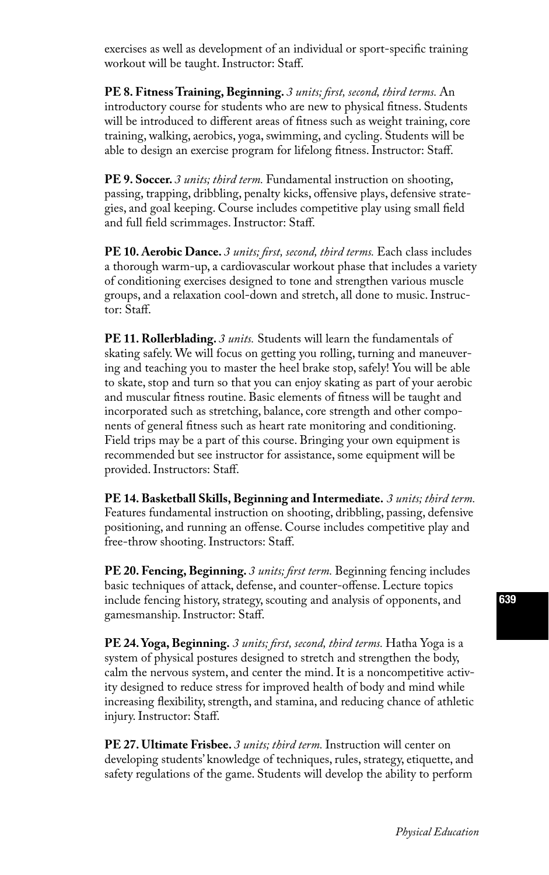exercises as well as development of an individual or sport-specific training workout will be taught. Instructor: Staff.

**PE 8. Fitness Training, Beginning.** *3 units; first, second, third terms.* An introductory course for students who are new to physical fitness. Students will be introduced to different areas of fitness such as weight training, core training, walking, aerobics, yoga, swimming, and cycling. Students will be able to design an exercise program for lifelong fitness. Instructor: Staff.

**PE 9. Soccer.** *3 units; third term.* Fundamental instruction on shooting, passing, trapping, dribbling, penalty kicks, offensive plays, defensive strategies, and goal keeping. Course includes competitive play using small field and full field scrimmages. Instructor: Staff.

**PE 10. Aerobic Dance.** *3 units; first, second, third terms.* Each class includes a thorough warm-up, a cardiovascular workout phase that includes a variety of conditioning exercises designed to tone and strengthen various muscle groups, and a relaxation cool-down and stretch, all done to music. Instructor: Staff.

**PE 11. Rollerblading.** *3 units.* Students will learn the fundamentals of skating safely. We will focus on getting you rolling, turning and maneuvering and teaching you to master the heel brake stop, safely! You will be able to skate, stop and turn so that you can enjoy skating as part of your aerobic and muscular fitness routine. Basic elements of fitness will be taught and incorporated such as stretching, balance, core strength and other components of general fitness such as heart rate monitoring and conditioning. Field trips may be a part of this course. Bringing your own equipment is recommended but see instructor for assistance, some equipment will be provided. Instructors: Staff.

**PE 14. Basketball Skills, Beginning and Intermediate.** *3 units; third term.*  Features fundamental instruction on shooting, dribbling, passing, defensive positioning, and running an offense. Course includes competitive play and free-throw shooting. Instructors: Staff.

**PE 20. Fencing, Beginning.** *3 units; first term.* Beginning fencing includes basic techniques of attack, defense, and counter-offense. Lecture topics include fencing history, strategy, scouting and analysis of opponents, and gamesmanship. Instructor: Staff.

**PE 24. Yoga, Beginning.** *3 units; first, second, third terms.* Hatha Yoga is a system of physical postures designed to stretch and strengthen the body, calm the nervous system, and center the mind. It is a noncompetitive activity designed to reduce stress for improved health of body and mind while increasing flexibility, strength, and stamina, and reducing chance of athletic injury. Instructor: Staff.

**PE 27. Ultimate Frisbee.** *3 units; third term.* Instruction will center on developing students' knowledge of techniques, rules, strategy, etiquette, and safety regulations of the game. Students will develop the ability to perform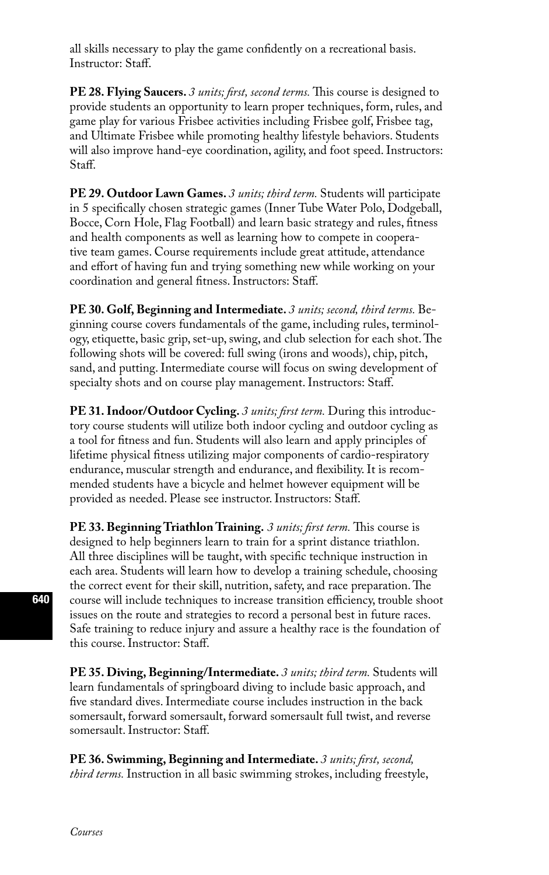all skills necessary to play the game confidently on a recreational basis. Instructor: Staff.

**PE 28. Flying Saucers.** *3 units; first, second terms.* This course is designed to provide students an opportunity to learn proper techniques, form, rules, and game play for various Frisbee activities including Frisbee golf, Frisbee tag, and Ultimate Frisbee while promoting healthy lifestyle behaviors. Students will also improve hand-eye coordination, agility, and foot speed. Instructors: Staff.

**PE 29. Outdoor Lawn Games.** *3 units; third term.* Students will participate in 5 specifically chosen strategic games (Inner Tube Water Polo, Dodgeball, Bocce, Corn Hole, Flag Football) and learn basic strategy and rules, fitness and health components as well as learning how to compete in cooperative team games. Course requirements include great attitude, attendance and effort of having fun and trying something new while working on your coordination and general fitness. Instructors: Staff.

**PE 30. Golf, Beginning and Intermediate.** *3 units; second, third terms.* Beginning course covers fundamentals of the game, including rules, terminology, etiquette, basic grip, set-up, swing, and club selection for each shot. The following shots will be covered: full swing (irons and woods), chip, pitch, sand, and putting. Intermediate course will focus on swing development of specialty shots and on course play management. Instructors: Staff.

**PE 31. Indoor/Outdoor Cycling.** *3 units; first term.* During this introductory course students will utilize both indoor cycling and outdoor cycling as a tool for fitness and fun. Students will also learn and apply principles of lifetime physical fitness utilizing major components of cardio-respiratory endurance, muscular strength and endurance, and flexibility. It is recommended students have a bicycle and helmet however equipment will be provided as needed. Please see instructor. Instructors: Staff.

**PE 33. Beginning Triathlon Training.** *3 units; first term.* This course is designed to help beginners learn to train for a sprint distance triathlon. All three disciplines will be taught, with specific technique instruction in each area. Students will learn how to develop a training schedule, choosing the correct event for their skill, nutrition, safety, and race preparation. The course will include techniques to increase transition efficiency, trouble shoot issues on the route and strategies to record a personal best in future races. Safe training to reduce injury and assure a healthy race is the foundation of this course. Instructor: Staff.

**PE 35. Diving, Beginning/Intermediate.** *3 units; third term.* Students will learn fundamentals of springboard diving to include basic approach, and five standard dives. Intermediate course includes instruction in the back somersault, forward somersault, forward somersault full twist, and reverse somersault. Instructor: Staff.

**PE 36. Swimming, Beginning and Intermediate.** *3 units; first, second, third terms.* Instruction in all basic swimming strokes, including freestyle,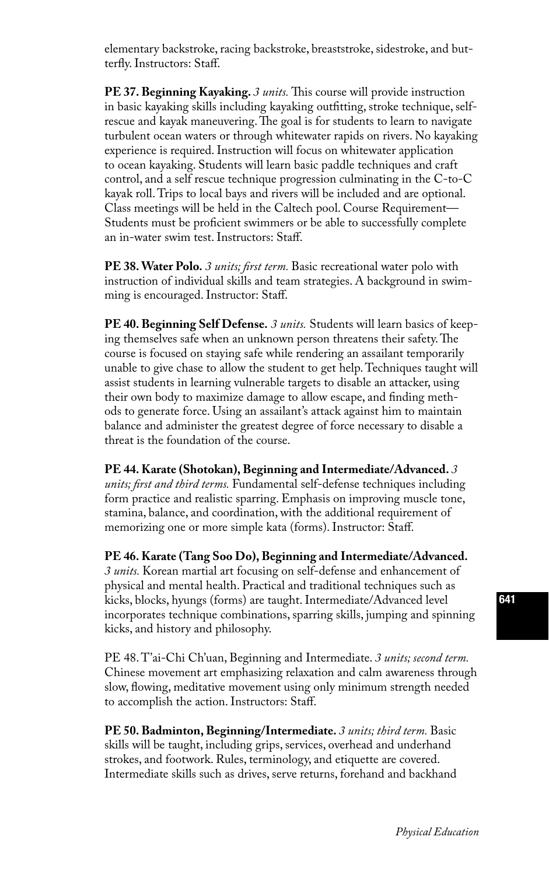elementary backstroke, racing backstroke, breaststroke, sidestroke, and butterfly. Instructors: Staff.

**PE 37. Beginning Kayaking.** *3 units.* This course will provide instruction in basic kayaking skills including kayaking outfitting, stroke technique, selfrescue and kayak maneuvering. The goal is for students to learn to navigate turbulent ocean waters or through whitewater rapids on rivers. No kayaking experience is required. Instruction will focus on whitewater application to ocean kayaking. Students will learn basic paddle techniques and craft control, and a self rescue technique progression culminating in the C-to-C kayak roll. Trips to local bays and rivers will be included and are optional. Class meetings will be held in the Caltech pool. Course Requirement— Students must be proficient swimmers or be able to successfully complete an in-water swim test. Instructors: Staff.

**PE 38. Water Polo.** *3 units; first term.* Basic recreational water polo with instruction of individual skills and team strategies. A background in swimming is encouraged. Instructor: Staff.

**PE 40. Beginning Self Defense.** *3 units.* Students will learn basics of keeping themselves safe when an unknown person threatens their safety. The course is focused on staying safe while rendering an assailant temporarily unable to give chase to allow the student to get help. Techniques taught will assist students in learning vulnerable targets to disable an attacker, using their own body to maximize damage to allow escape, and finding methods to generate force. Using an assailant's attack against him to maintain balance and administer the greatest degree of force necessary to disable a threat is the foundation of the course.

**PE 44. Karate (Shotokan), Beginning and Intermediate/Advanced.** *3 units; first and third terms.* Fundamental self-defense techniques including form practice and realistic sparring. Emphasis on improving muscle tone, stamina, balance, and coordination, with the additional requirement of memorizing one or more simple kata (forms). Instructor: Staff.

**PE 46. Karate (Tang Soo Do), Beginning and Intermediate/Advanced.**  *3 units.* Korean martial art focusing on self-defense and enhancement of physical and mental health. Practical and traditional techniques such as kicks, blocks, hyungs (forms) are taught. Intermediate/Advanced level incorporates technique combinations, sparring skills, jumping and spinning kicks, and history and philosophy.

PE 48. T'ai-Chi Ch'uan, Beginning and Intermediate. *3 units; second term.* Chinese movement art emphasizing relaxation and calm awareness through slow, flowing, meditative movement using only minimum strength needed to accomplish the action. Instructors: Staff.

**PE 50. Badminton, Beginning/Intermediate.** *3 units; third term.* Basic skills will be taught, including grips, services, overhead and underhand strokes, and footwork. Rules, terminology, and etiquette are covered. Intermediate skills such as drives, serve returns, forehand and backhand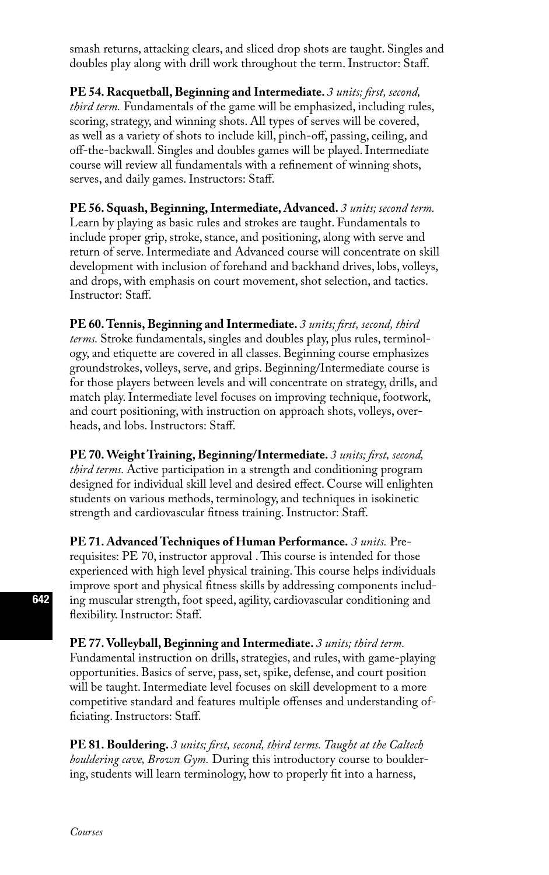smash returns, attacking clears, and sliced drop shots are taught. Singles and doubles play along with drill work throughout the term. Instructor: Staff.

**PE 54. Racquetball, Beginning and Intermediate.** *3 units; first, second, third term.* Fundamentals of the game will be emphasized, including rules, scoring, strategy, and winning shots. All types of serves will be covered, as well as a variety of shots to include kill, pinch-off, passing, ceiling, and off-the-backwall. Singles and doubles games will be played. Intermediate course will review all fundamentals with a refinement of winning shots, serves, and daily games. Instructors: Staff.

**PE 56. Squash, Beginning, Intermediate, Advanced.** *3 units; second term.*  Learn by playing as basic rules and strokes are taught. Fundamentals to include proper grip, stroke, stance, and positioning, along with serve and return of serve. Intermediate and Advanced course will concentrate on skill development with inclusion of forehand and backhand drives, lobs, volleys, and drops, with emphasis on court movement, shot selection, and tactics. Instructor: Staff.

**PE 60. Tennis, Beginning and Intermediate.** *3 units; first, second, third terms.* Stroke fundamentals, singles and doubles play, plus rules, terminology, and etiquette are covered in all classes. Beginning course emphasizes groundstrokes, volleys, serve, and grips. Beginning/Intermediate course is for those players between levels and will concentrate on strategy, drills, and match play. Intermediate level focuses on improving technique, footwork, and court positioning, with instruction on approach shots, volleys, overheads, and lobs. Instructors: Staff.

**PE 70. Weight Training, Beginning/Intermediate.** *3 units; first, second, third terms.* Active participation in a strength and conditioning program designed for individual skill level and desired effect. Course will enlighten students on various methods, terminology, and techniques in isokinetic strength and cardiovascular fitness training. Instructor: Staff.

**PE 71. Advanced Techniques of Human Performance.** *3 units.* Prerequisites: PE 70, instructor approval . This course is intended for those experienced with high level physical training. This course helps individuals improve sport and physical fitness skills by addressing components including muscular strength, foot speed, agility, cardiovascular conditioning and flexibility. Instructor: Staff.

**PE 77. Volleyball, Beginning and Intermediate.** *3 units; third term.*  Fundamental instruction on drills, strategies, and rules, with game-playing opportunities. Basics of serve, pass, set, spike, defense, and court position will be taught. Intermediate level focuses on skill development to a more competitive standard and features multiple offenses and understanding officiating. Instructors: Staff.

**PE 81. Bouldering.** *3 units; first, second, third terms. Taught at the Caltech bouldering cave, Brown Gym.* During this introductory course to bouldering, students will learn terminology, how to properly fit into a harness,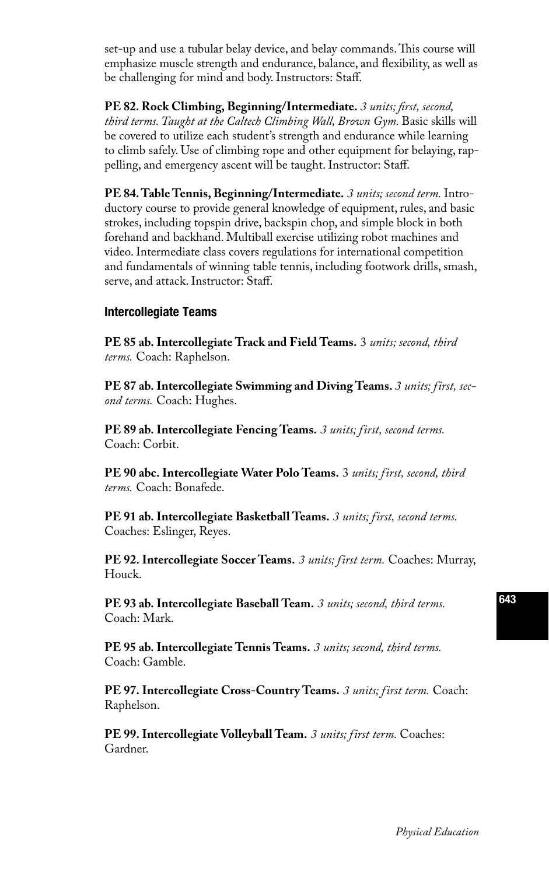set-up and use a tubular belay device, and belay commands. This course will emphasize muscle strength and endurance, balance, and flexibility, as well as be challenging for mind and body. Instructors: Staff.

**PE 82. Rock Climbing, Beginning/Intermediate.** *3 units; first, second, third terms. Taught at the Caltech Climbing Wall, Brown Gym.* Basic skills will be covered to utilize each student's strength and endurance while learning to climb safely. Use of climbing rope and other equipment for belaying, rappelling, and emergency ascent will be taught. Instructor: Staff.

**PE 84. Table Tennis, Beginning/Intermediate.** *3 units; second term.* Introductory course to provide general knowledge of equipment, rules, and basic strokes, including topspin drive, backspin chop, and simple block in both forehand and backhand. Multiball exercise utilizing robot machines and video. Intermediate class covers regulations for international competition and fundamentals of winning table tennis, including footwork drills, smash, serve, and attack. Instructor: Staff.

#### Intercollegiate Teams

**PE 85 ab. Intercollegiate Track and Field Teams.** 3 *units; second, third terms.* Coach: Raphelson.

**PE 87 ab. Intercollegiate Swimming and Diving Teams.** *3 units; first, second terms.* Coach: Hughes.

**PE 89 ab. Intercollegiate Fencing Teams.** *3 units; first, second terms.* Coach: Corbit.

**PE 90 abc. Intercollegiate Water Polo Teams.** 3 *units; first, second, third terms.* Coach: Bonafede.

**PE 91 ab. Intercollegiate Basketball Teams.** *3 units; first, second terms.* Coaches: Eslinger, Reyes.

**PE 92. Intercollegiate Soccer Teams.** *3 units; first term.* Coaches: Murray, Houck.

**PE 93 ab. Intercollegiate Baseball Team.** *3 units; second, third terms.* Coach: Mark.

**PE 95 ab. Intercollegiate Tennis Teams.** *3 units; second, third terms.* Coach: Gamble.

**PE 97. Intercollegiate Cross-Country Teams.** *3 units; first term.* Coach: Raphelson.

**PE 99. Intercollegiate Volleyball Team.** *3 units; first term.* Coaches: Gardner.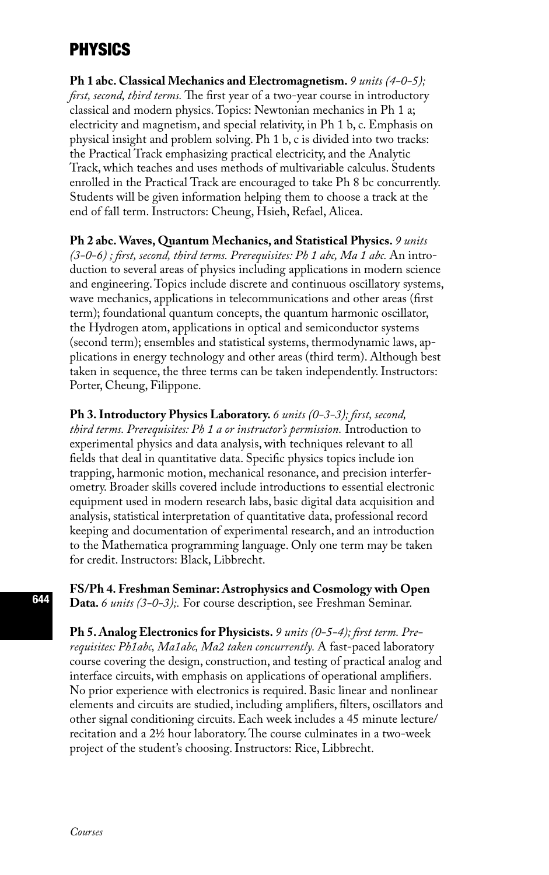# PHYSICS

**Ph 1 abc. Classical Mechanics and Electromagnetism.** *9 units (4-0-5); first, second, third terms.* The first year of a two-year course in introductory classical and modern physics. Topics: Newtonian mechanics in Ph 1 a; electricity and magnetism, and special relativity, in Ph 1 b, c. Emphasis on physical insight and problem solving. Ph 1 b, c is divided into two tracks: the Practical Track emphasizing practical electricity, and the Analytic Track, which teaches and uses methods of multivariable calculus. Students enrolled in the Practical Track are encouraged to take Ph 8 bc concurrently. Students will be given information helping them to choose a track at the end of fall term. Instructors: Cheung, Hsieh, Refael, Alicea.

**Ph 2 abc. Waves, Quantum Mechanics, and Statistical Physics.** *9 units (3-0-6) ; first, second, third terms. Prerequisites: Ph 1 abc, Ma 1 abc.* An introduction to several areas of physics including applications in modern science and engineering. Topics include discrete and continuous oscillatory systems, wave mechanics, applications in telecommunications and other areas (first term); foundational quantum concepts, the quantum harmonic oscillator, the Hydrogen atom, applications in optical and semiconductor systems (second term); ensembles and statistical systems, thermodynamic laws, applications in energy technology and other areas (third term). Although best taken in sequence, the three terms can be taken independently. Instructors: Porter, Cheung, Filippone.

**Ph 3. Introductory Physics Laboratory.** *6 units (0-3-3); first, second, third terms. Prerequisites: Ph 1 a or instructor's permission.* Introduction to experimental physics and data analysis, with techniques relevant to all fields that deal in quantitative data. Specific physics topics include ion trapping, harmonic motion, mechanical resonance, and precision interferometry. Broader skills covered include introductions to essential electronic equipment used in modern research labs, basic digital data acquisition and analysis, statistical interpretation of quantitative data, professional record keeping and documentation of experimental research, and an introduction to the Mathematica programming language. Only one term may be taken for credit. Instructors: Black, Libbrecht.

**FS/Ph 4. Freshman Seminar: Astrophysics and Cosmology with Open Data.** *6 units (3-0-3);.* For course description, see Freshman Seminar.

**Ph 5. Analog Electronics for Physicists.** *9 units (0-5-4); first term. Prerequisites: Ph1abc, Ma1abc, Ma2 taken concurrently.* A fast-paced laboratory course covering the design, construction, and testing of practical analog and interface circuits, with emphasis on applications of operational amplifiers. No prior experience with electronics is required. Basic linear and nonlinear elements and circuits are studied, including amplifiers, filters, oscillators and other signal conditioning circuits. Each week includes a 45 minute lecture/ recitation and a 2½ hour laboratory. The course culminates in a two-week project of the student's choosing. Instructors: Rice, Libbrecht.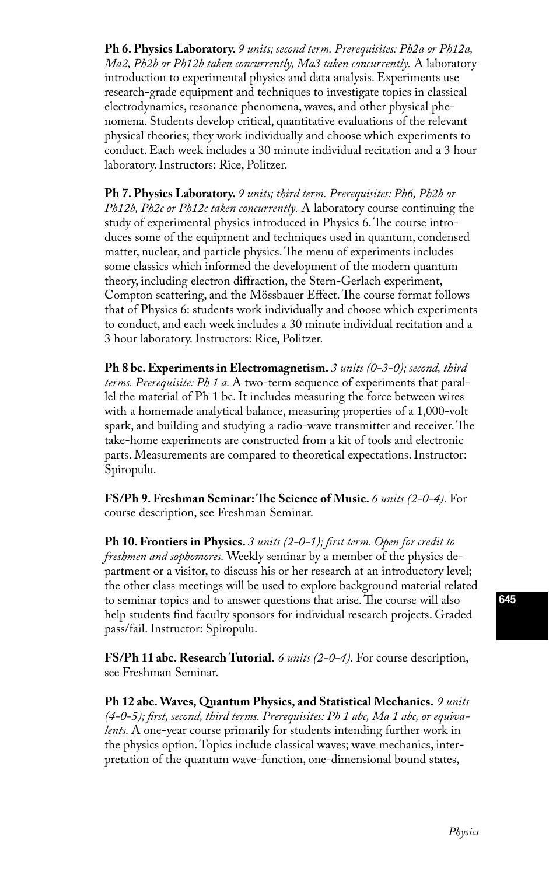**Ph 6. Physics Laboratory.** *9 units; second term. Prerequisites: Ph2a or Ph12a, Ma2, Ph2b or Ph12b taken concurrently, Ma3 taken concurrently.* A laboratory introduction to experimental physics and data analysis. Experiments use research-grade equipment and techniques to investigate topics in classical electrodynamics, resonance phenomena, waves, and other physical phenomena. Students develop critical, quantitative evaluations of the relevant physical theories; they work individually and choose which experiments to conduct. Each week includes a 30 minute individual recitation and a 3 hour laboratory. Instructors: Rice, Politzer.

**Ph 7. Physics Laboratory.** *9 units; third term. Prerequisites: Ph6, Ph2b or Ph12b, Ph2c or Ph12c taken concurrently.* A laboratory course continuing the study of experimental physics introduced in Physics 6. The course introduces some of the equipment and techniques used in quantum, condensed matter, nuclear, and particle physics. The menu of experiments includes some classics which informed the development of the modern quantum theory, including electron diffraction, the Stern-Gerlach experiment, Compton scattering, and the Mössbauer Effect. The course format follows that of Physics 6: students work individually and choose which experiments to conduct, and each week includes a 30 minute individual recitation and a 3 hour laboratory. Instructors: Rice, Politzer.

**Ph 8 bc. Experiments in Electromagnetism.** *3 units (0-3-0); second, third terms. Prerequisite: Ph 1 a.* A two-term sequence of experiments that parallel the material of Ph 1 bc. It includes measuring the force between wires with a homemade analytical balance, measuring properties of a 1,000-volt spark, and building and studying a radio-wave transmitter and receiver. The take-home experiments are constructed from a kit of tools and electronic parts. Measurements are compared to theoretical expectations. Instructor: Spiropulu.

**FS/Ph 9. Freshman Seminar: The Science of Music.** *6 units (2-0-4).* For course description, see Freshman Seminar.

**Ph 10. Frontiers in Physics.** *3 units (2-0-1); first term. Open for credit to freshmen and sophomores.* Weekly seminar by a member of the physics department or a visitor, to discuss his or her research at an introductory level; the other class meetings will be used to explore background material related to seminar topics and to answer questions that arise. The course will also help students find faculty sponsors for individual research projects. Graded pass/fail. Instructor: Spiropulu.

**FS/Ph 11 abc. Research Tutorial.** *6 units (2-0-4).* For course description, see Freshman Seminar.

**Ph 12 abc. Waves, Quantum Physics, and Statistical Mechanics.** *9 units (4-0-5); first, second, third terms. Prerequisites: Ph 1 abc, Ma 1 abc, or equivalents.* A one-year course primarily for students intending further work in the physics option. Topics include classical waves; wave mechanics, interpretation of the quantum wave-function, one-dimensional bound states,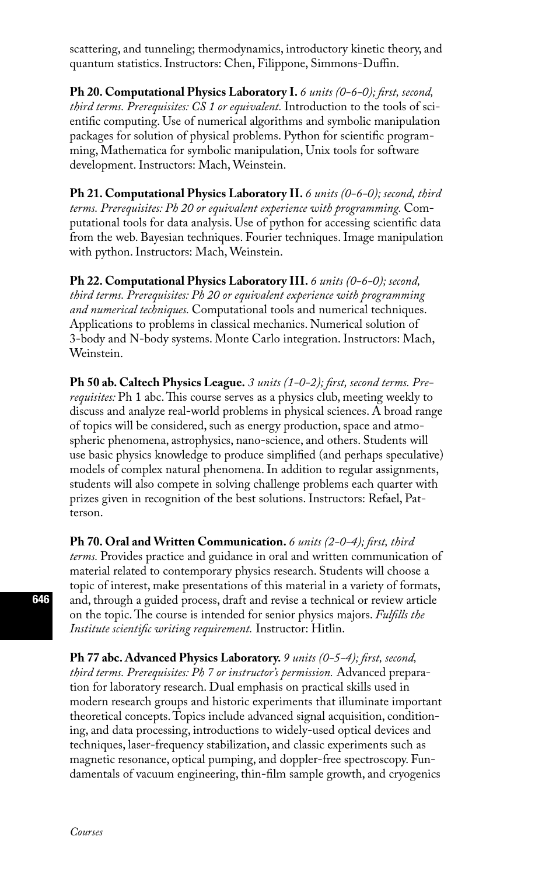scattering, and tunneling; thermodynamics, introductory kinetic theory, and quantum statistics. Instructors: Chen, Filippone, Simmons-Duffin.

**Ph 20. Computational Physics Laboratory I.** 6 units (0-6-0); first, second, *third terms. Prerequisites: CS 1 or equivalent.* Introduction to the tools of scientific computing. Use of numerical algorithms and symbolic manipulation packages for solution of physical problems. Python for scientific programming, Mathematica for symbolic manipulation, Unix tools for software development. Instructors: Mach, Weinstein.

**Ph 21. Computational Physics Laboratory II.** *6 units (0-6-0); second, third terms. Prerequisites: Ph 20 or equivalent experience with programming.* Computational tools for data analysis. Use of python for accessing scientific data from the web. Bayesian techniques. Fourier techniques. Image manipulation with python. Instructors: Mach, Weinstein.

**Ph 22. Computational Physics Laboratory III.** *6 units (0-6-0); second, third terms. Prerequisites: Ph 20 or equivalent experience with programming and numerical techniques.* Computational tools and numerical techniques. Applications to problems in classical mechanics. Numerical solution of 3-body and N-body systems. Monte Carlo integration. Instructors: Mach, Weinstein.

**Ph 50 ab. Caltech Physics League.** *3 units (1-0-2); first, second terms. Prerequisites:* Ph 1 abc. This course serves as a physics club, meeting weekly to discuss and analyze real-world problems in physical sciences. A broad range of topics will be considered, such as energy production, space and atmospheric phenomena, astrophysics, nano-science, and others. Students will use basic physics knowledge to produce simplified (and perhaps speculative) models of complex natural phenomena. In addition to regular assignments, students will also compete in solving challenge problems each quarter with prizes given in recognition of the best solutions. Instructors: Refael, Patterson.

**Ph 70. Oral and Written Communication.** *6 units (2-0-4); first, third terms.* Provides practice and guidance in oral and written communication of material related to contemporary physics research. Students will choose a topic of interest, make presentations of this material in a variety of formats, and, through a guided process, draft and revise a technical or review article on the topic. The course is intended for senior physics majors. *Fulfills the Institute scientific writing requirement.* Instructor: Hitlin.

**Ph 77 abc. Advanced Physics Laboratory.** *9 units (0-5-4); first, second, third terms. Prerequisites: Ph 7 or instructor's permission.* Advanced preparation for laboratory research. Dual emphasis on practical skills used in modern research groups and historic experiments that illuminate important theoretical concepts. Topics include advanced signal acquisition, conditioning, and data processing, introductions to widely-used optical devices and techniques, laser-frequency stabilization, and classic experiments such as magnetic resonance, optical pumping, and doppler-free spectroscopy. Fundamentals of vacuum engineering, thin-film sample growth, and cryogenics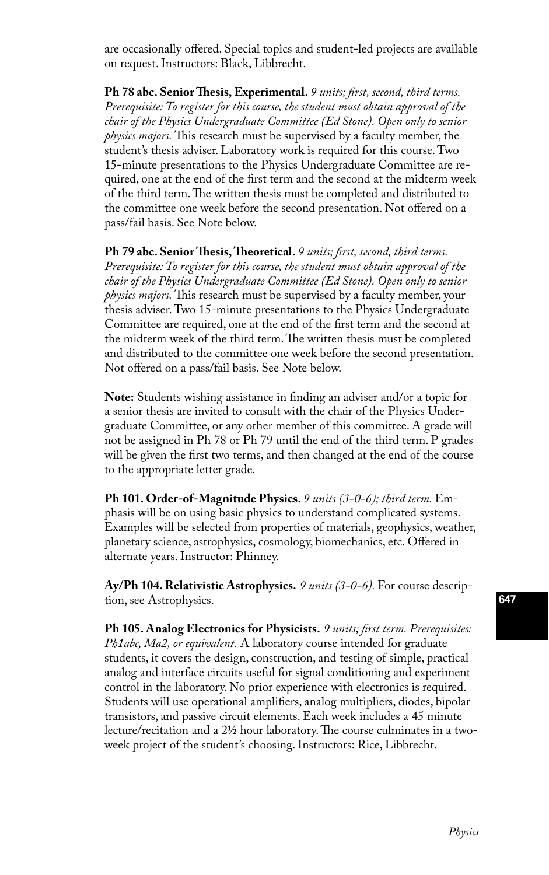are occasionally offered. Special topics and student-led projects are available on request. Instructors: Black, Libbrecht.

**Ph 78 abc. Senior Thesis, Experimental.** *9 units; first, second, third terms. Prerequisite: To register for this course, the student must obtain approval of the chair of the Physics Undergraduate Committee (Ed Stone). Open only to senior physics majors.* This research must be supervised by a faculty member, the student's thesis adviser. Laboratory work is required for this course. Two 15-minute presentations to the Physics Undergraduate Committee are required, one at the end of the first term and the second at the midterm week of the third term. The written thesis must be completed and distributed to the committee one week before the second presentation. Not offered on a pass/fail basis. See Note below.

**Ph 79 abc. Senior Thesis, Theoretical.** *9 units; first, second, third terms. Prerequisite: To register for this course, the student must obtain approval of the chair of the Physics Undergraduate Committee (Ed Stone). Open only to senior physics majors.* This research must be supervised by a faculty member, your thesis adviser. Two 15-minute presentations to the Physics Undergraduate Committee are required, one at the end of the first term and the second at the midterm week of the third term. The written thesis must be completed and distributed to the committee one week before the second presentation. Not offered on a pass/fail basis. See Note below.

**Note:** Students wishing assistance in finding an adviser and/or a topic for a senior thesis are invited to consult with the chair of the Physics Undergraduate Committee, or any other member of this committee. A grade will not be assigned in Ph 78 or Ph 79 until the end of the third term. P grades will be given the first two terms, and then changed at the end of the course to the appropriate letter grade.

**Ph 101. Order-of-Magnitude Physics.** *9 units (3-0-6); third term.* Emphasis will be on using basic physics to understand complicated systems. Examples will be selected from properties of materials, geophysics, weather, planetary science, astrophysics, cosmology, biomechanics, etc. Offered in alternate years. Instructor: Phinney.

**Ay/Ph 104. Relativistic Astrophysics.** *9 units (3-0-6).* For course description, see Astrophysics.

**Ph 105. Analog Electronics for Physicists.** *9 units; first term. Prerequisites: Ph1abc, Ma2, or equivalent.* A laboratory course intended for graduate students, it covers the design, construction, and testing of simple, practical analog and interface circuits useful for signal conditioning and experiment control in the laboratory. No prior experience with electronics is required. Students will use operational amplifiers, analog multipliers, diodes, bipolar transistors, and passive circuit elements. Each week includes a 45 minute lecture/recitation and a 2½ hour laboratory. The course culminates in a twoweek project of the student's choosing. Instructors: Rice, Libbrecht.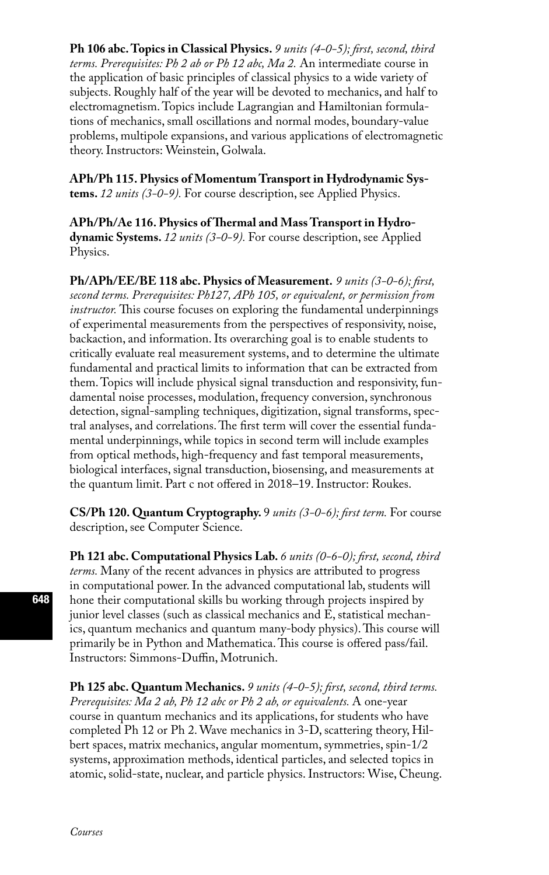**Ph 106 abc. Topics in Classical Physics.** *9 units (4-0-5); first, second, third terms. Prerequisites: Ph 2 ab or Ph 12 abc, Ma 2.* An intermediate course in the application of basic principles of classical physics to a wide variety of subjects. Roughly half of the year will be devoted to mechanics, and half to electromagnetism. Topics include Lagrangian and Hamiltonian formulations of mechanics, small oscillations and normal modes, boundary-value problems, multipole expansions, and various applications of electromagnetic theory. Instructors: Weinstein, Golwala.

**APh/Ph 115. Physics of Momentum Transport in Hydrodynamic Systems.** *12 units (3-0-9).* For course description, see Applied Physics.

**APh/Ph/Ae 116. Physics of Thermal and Mass Transport in Hydrodynamic Systems.** *12 units (3-0-9).* For course description, see Applied Physics.

**Ph/APh/EE/BE 118 abc. Physics of Measurement.** *9 units (3-0-6); first, second terms. Prerequisites: Ph127, APh 105, or equivalent, or permission from instructor.* This course focuses on exploring the fundamental underpinnings of experimental measurements from the perspectives of responsivity, noise, backaction, and information. Its overarching goal is to enable students to critically evaluate real measurement systems, and to determine the ultimate fundamental and practical limits to information that can be extracted from them. Topics will include physical signal transduction and responsivity, fundamental noise processes, modulation, frequency conversion, synchronous detection, signal-sampling techniques, digitization, signal transforms, spectral analyses, and correlations. The first term will cover the essential fundamental underpinnings, while topics in second term will include examples from optical methods, high-frequency and fast temporal measurements, biological interfaces, signal transduction, biosensing, and measurements at the quantum limit. Part c not offered in 2018–19. Instructor: Roukes.

**CS/Ph 120. Quantum Cryptography.** 9 *units (3-0-6); first term.* For course description, see Computer Science.

**Ph 121 abc. Computational Physics Lab.** *6 units (0-6-0); first, second, third terms.* Many of the recent advances in physics are attributed to progress in computational power. In the advanced computational lab, students will hone their computational skills bu working through projects inspired by junior level classes (such as classical mechanics and E, statistical mechanics, quantum mechanics and quantum many-body physics). This course will primarily be in Python and Mathematica. This course is offered pass/fail. Instructors: Simmons-Duffin, Motrunich.

**Ph 125 abc. Quantum Mechanics.** *9 units (4-0-5); first, second, third terms. Prerequisites: Ma 2 ab, Ph 12 abc or Ph 2 ab, or equivalents.* A one-year course in quantum mechanics and its applications, for students who have completed Ph 12 or Ph 2. Wave mechanics in 3-D, scattering theory, Hilbert spaces, matrix mechanics, angular momentum, symmetries, spin-1/2 systems, approximation methods, identical particles, and selected topics in atomic, solid-state, nuclear, and particle physics. Instructors: Wise, Cheung.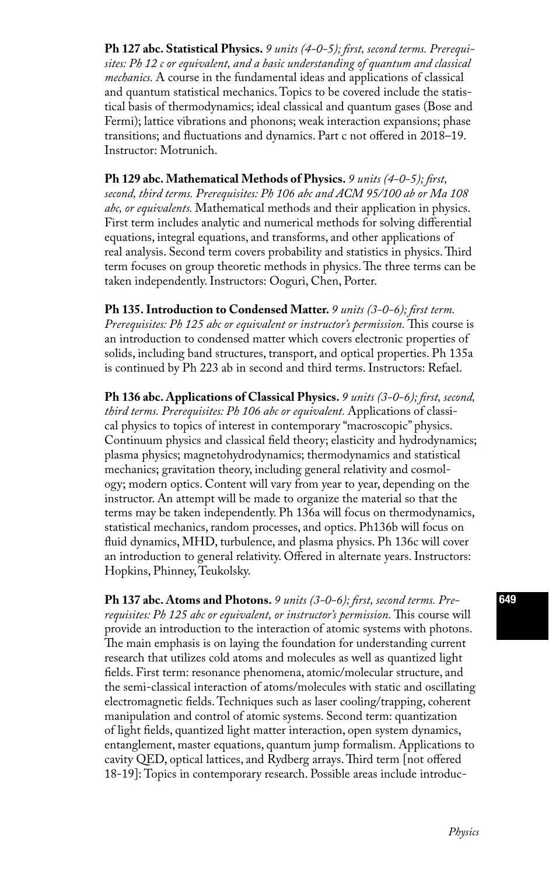**Ph 127 abc. Statistical Physics.** *9 units (4-0-5); first, second terms. Prerequisites: Ph 12 c or equivalent, and a basic understanding of quantum and classical mechanics.* A course in the fundamental ideas and applications of classical and quantum statistical mechanics. Topics to be covered include the statistical basis of thermodynamics; ideal classical and quantum gases (Bose and Fermi); lattice vibrations and phonons; weak interaction expansions; phase transitions; and fluctuations and dynamics. Part c not offered in 2018–19. Instructor: Motrunich.

**Ph 129 abc. Mathematical Methods of Physics.** *9 units (4-0-5); first, second, third terms. Prerequisites: Ph 106 abc and ACM 95/100 ab or Ma 108 abc, or equivalents.* Mathematical methods and their application in physics. First term includes analytic and numerical methods for solving differential equations, integral equations, and transforms, and other applications of real analysis. Second term covers probability and statistics in physics. Third term focuses on group theoretic methods in physics. The three terms can be taken independently. Instructors: Ooguri, Chen, Porter.

**Ph 135. Introduction to Condensed Matter.** *9 units (3-0-6); first term. Prerequisites: Ph 125 abc or equivalent or instructor's permission.* This course is an introduction to condensed matter which covers electronic properties of solids, including band structures, transport, and optical properties. Ph 135a is continued by Ph 223 ab in second and third terms. Instructors: Refael.

**Ph 136 abc. Applications of Classical Physics.** *9 units (3-0-6); first, second, third terms. Prerequisites: Ph 106 abc or equivalent.* Applications of classical physics to topics of interest in contemporary "macroscopic'' physics. Continuum physics and classical field theory; elasticity and hydrodynamics; plasma physics; magnetohydrodynamics; thermodynamics and statistical mechanics; gravitation theory, including general relativity and cosmology; modern optics. Content will vary from year to year, depending on the instructor. An attempt will be made to organize the material so that the terms may be taken independently. Ph 136a will focus on thermodynamics, statistical mechanics, random processes, and optics. Ph136b will focus on fluid dynamics, MHD, turbulence, and plasma physics. Ph 136c will cover an introduction to general relativity. Offered in alternate years. Instructors: Hopkins, Phinney, Teukolsky.

**Ph 137 abc. Atoms and Photons.** *9 units (3-0-6); first, second terms. Prerequisites: Ph 125 abc or equivalent, or instructor's permission.* This course will provide an introduction to the interaction of atomic systems with photons. The main emphasis is on laying the foundation for understanding current research that utilizes cold atoms and molecules as well as quantized light fields. First term: resonance phenomena, atomic/molecular structure, and the semi-classical interaction of atoms/molecules with static and oscillating electromagnetic fields. Techniques such as laser cooling/trapping, coherent manipulation and control of atomic systems. Second term: quantization of light fields, quantized light matter interaction, open system dynamics, entanglement, master equations, quantum jump formalism. Applications to cavity QED, optical lattices, and Rydberg arrays. Third term [not offered 18-19]: Topics in contemporary research. Possible areas include introduc-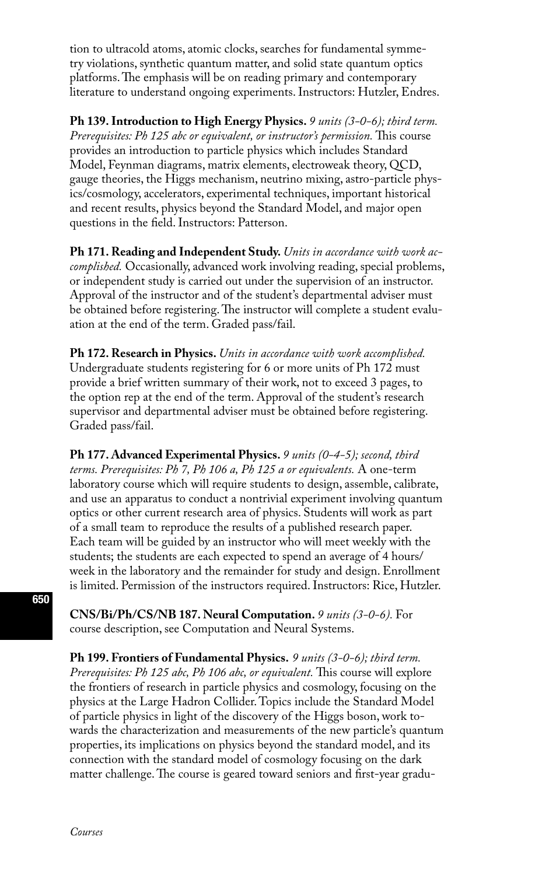tion to ultracold atoms, atomic clocks, searches for fundamental symmetry violations, synthetic quantum matter, and solid state quantum optics platforms. The emphasis will be on reading primary and contemporary literature to understand ongoing experiments. Instructors: Hutzler, Endres.

**Ph 139. Introduction to High Energy Physics.** *9 units (3-0-6); third term. Prerequisites: Ph 125 abc or equivalent, or instructor's permission.* This course provides an introduction to particle physics which includes Standard Model, Feynman diagrams, matrix elements, electroweak theory, QCD, gauge theories, the Higgs mechanism, neutrino mixing, astro-particle physics/cosmology, accelerators, experimental techniques, important historical and recent results, physics beyond the Standard Model, and major open questions in the field. Instructors: Patterson.

**Ph 171. Reading and Independent Study.** *Units in accordance with work accomplished.* Occasionally, advanced work involving reading, special problems, or independent study is carried out under the supervision of an instructor. Approval of the instructor and of the student's departmental adviser must be obtained before registering. The instructor will complete a student evaluation at the end of the term. Graded pass/fail.

**Ph 172. Research in Physics.** *Units in accordance with work accomplished.*  Undergraduate students registering for 6 or more units of Ph 172 must provide a brief written summary of their work, not to exceed 3 pages, to the option rep at the end of the term. Approval of the student's research supervisor and departmental adviser must be obtained before registering. Graded pass/fail.

**Ph 177. Advanced Experimental Physics.** *9 units (0-4-5); second, third terms. Prerequisites: Ph 7, Ph 106 a, Ph 125 a or equivalents.* A one-term laboratory course which will require students to design, assemble, calibrate, and use an apparatus to conduct a nontrivial experiment involving quantum optics or other current research area of physics. Students will work as part of a small team to reproduce the results of a published research paper. Each team will be guided by an instructor who will meet weekly with the students; the students are each expected to spend an average of 4 hours/ week in the laboratory and the remainder for study and design. Enrollment is limited. Permission of the instructors required. Instructors: Rice, Hutzler.

**CNS/Bi/Ph/CS/NB 187. Neural Computation.** *9 units (3-0-6).* For course description, see Computation and Neural Systems.

**Ph 199. Frontiers of Fundamental Physics.** *9 units (3-0-6); third term. Prerequisites: Ph 125 abc, Ph 106 abc, or equivalent.* This course will explore the frontiers of research in particle physics and cosmology, focusing on the physics at the Large Hadron Collider. Topics include the Standard Model of particle physics in light of the discovery of the Higgs boson, work towards the characterization and measurements of the new particle's quantum properties, its implications on physics beyond the standard model, and its connection with the standard model of cosmology focusing on the dark matter challenge. The course is geared toward seniors and first-year gradu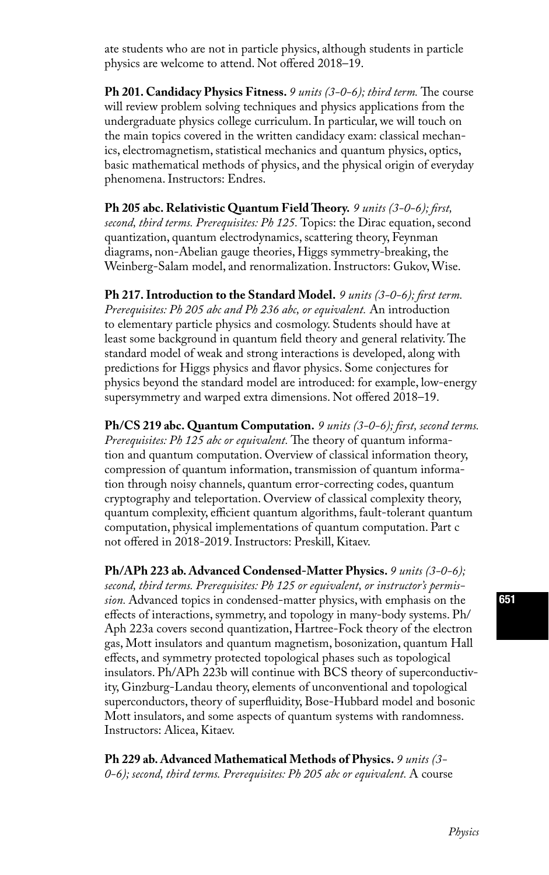ate students who are not in particle physics, although students in particle physics are welcome to attend. Not offered 2018–19.

**Ph 201. Candidacy Physics Fitness.** *9 units (3-0-6); third term.* The course will review problem solving techniques and physics applications from the undergraduate physics college curriculum. In particular, we will touch on the main topics covered in the written candidacy exam: classical mechanics, electromagnetism, statistical mechanics and quantum physics, optics, basic mathematical methods of physics, and the physical origin of everyday phenomena. Instructors: Endres.

**Ph 205 abc. Relativistic Quantum Field Theory.** *9 units (3-0-6); first, second, third terms. Prerequisites: Ph 125.* Topics: the Dirac equation, second quantization, quantum electrodynamics, scattering theory, Feynman diagrams, non-Abelian gauge theories, Higgs symmetry-breaking, the Weinberg-Salam model, and renormalization. Instructors: Gukov, Wise.

**Ph 217. Introduction to the Standard Model.** *9 units (3-0-6); first term. Prerequisites: Ph 205 abc and Ph 236 abc, or equivalent.* An introduction to elementary particle physics and cosmology. Students should have at least some background in quantum field theory and general relativity. The standard model of weak and strong interactions is developed, along with predictions for Higgs physics and flavor physics. Some conjectures for physics beyond the standard model are introduced: for example, low-energy supersymmetry and warped extra dimensions. Not offered 2018–19.

**Ph/CS 219 abc. Quantum Computation.** *9 units (3-0-6); first, second terms. Prerequisites: Ph 125 abc or equivalent.* The theory of quantum information and quantum computation. Overview of classical information theory, compression of quantum information, transmission of quantum information through noisy channels, quantum error-correcting codes, quantum cryptography and teleportation. Overview of classical complexity theory, quantum complexity, efficient quantum algorithms, fault-tolerant quantum computation, physical implementations of quantum computation. Part c not offered in 2018-2019. Instructors: Preskill, Kitaev.

**Ph/APh 223 ab. Advanced Condensed-Matter Physics.** *9 units (3-0-6); second, third terms. Prerequisites: Ph 125 or equivalent, or instructor's permission.* Advanced topics in condensed-matter physics, with emphasis on the effects of interactions, symmetry, and topology in many-body systems. Ph/ Aph 223a covers second quantization, Hartree-Fock theory of the electron gas, Mott insulators and quantum magnetism, bosonization, quantum Hall effects, and symmetry protected topological phases such as topological insulators. Ph/APh 223b will continue with BCS theory of superconductivity, Ginzburg-Landau theory, elements of unconventional and topological superconductors, theory of superfluidity, Bose-Hubbard model and bosonic Mott insulators, and some aspects of quantum systems with randomness. Instructors: Alicea, Kitaev.

**Ph 229 ab. Advanced Mathematical Methods of Physics.** *9 units (3- 0-6); second, third terms. Prerequisites: Ph 205 abc or equivalent.* A course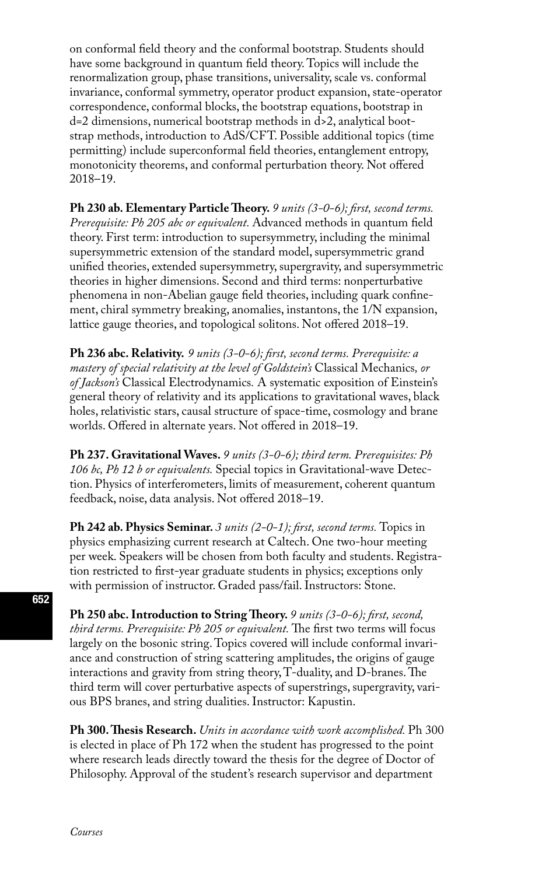on conformal field theory and the conformal bootstrap. Students should have some background in quantum field theory. Topics will include the renormalization group, phase transitions, universality, scale vs. conformal invariance, conformal symmetry, operator product expansion, state-operator correspondence, conformal blocks, the bootstrap equations, bootstrap in d=2 dimensions, numerical bootstrap methods in d>2, analytical bootstrap methods, introduction to AdS/CFT. Possible additional topics (time permitting) include superconformal field theories, entanglement entropy, monotonicity theorems, and conformal perturbation theory. Not offered 2018–19.

**Ph 230 ab. Elementary Particle Theory.** *9 units (3-0-6); first, second terms. Prerequisite: Ph 205 abc or equivalent.* Advanced methods in quantum field theory. First term: introduction to supersymmetry, including the minimal supersymmetric extension of the standard model, supersymmetric grand unified theories, extended supersymmetry, supergravity, and supersymmetric theories in higher dimensions. Second and third terms: nonperturbative phenomena in non-Abelian gauge field theories, including quark confinement, chiral symmetry breaking, anomalies, instantons, the 1/N expansion, lattice gauge theories, and topological solitons. Not offered 2018–19.

**Ph 236 abc. Relativity.** *9 units (3-0-6); first, second terms. Prerequisite: a mastery of special relativity at the level of Goldstein's* Classical Mechanics*, or of Jackson's* Classical Electrodynamics*.* A systematic exposition of Einstein's general theory of relativity and its applications to gravitational waves, black holes, relativistic stars, causal structure of space-time, cosmology and brane worlds. Offered in alternate years. Not offered in 2018–19.

**Ph 237. Gravitational Waves.** *9 units (3-0-6); third term. Prerequisites: Ph 106 bc, Ph 12 b or equivalents.* Special topics in Gravitational-wave Detection. Physics of interferometers, limits of measurement, coherent quantum feedback, noise, data analysis. Not offered 2018–19.

**Ph 242 ab. Physics Seminar.** *3 units (2-0-1); first, second terms.* Topics in physics emphasizing current research at Caltech. One two-hour meeting per week. Speakers will be chosen from both faculty and students. Registration restricted to first-year graduate students in physics; exceptions only with permission of instructor. Graded pass/fail. Instructors: Stone.

**Ph 250 abc. Introduction to String Theory.** *9 units (3-0-6); first, second, third terms. Prerequisite: Ph 205 or equivalent.* The first two terms will focus largely on the bosonic string. Topics covered will include conformal invariance and construction of string scattering amplitudes, the origins of gauge interactions and gravity from string theory, T-duality, and D-branes. The third term will cover perturbative aspects of superstrings, supergravity, various BPS branes, and string dualities. Instructor: Kapustin.

**Ph 300. Thesis Research.** *Units in accordance with work accomplished.* Ph 300 is elected in place of Ph 172 when the student has progressed to the point where research leads directly toward the thesis for the degree of Doctor of Philosophy. Approval of the student's research supervisor and department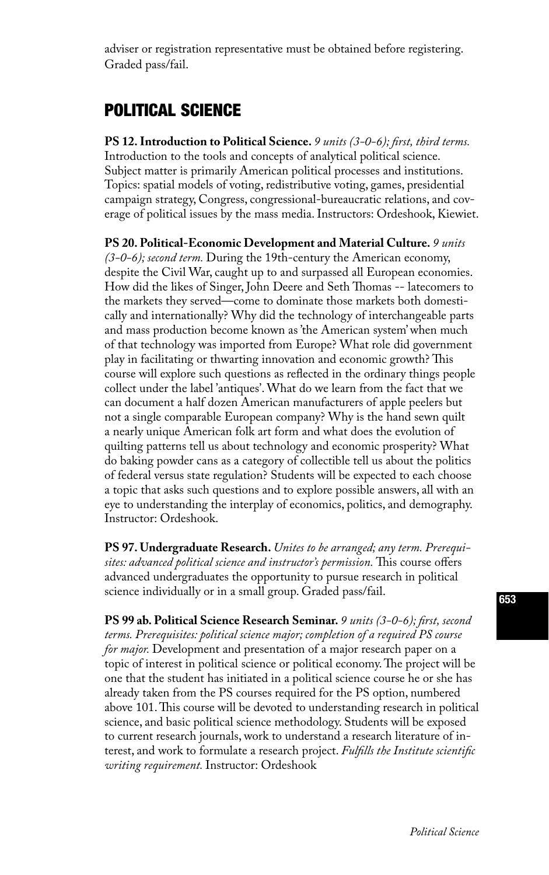adviser or registration representative must be obtained before registering. Graded pass/fail.

## POLITICAL SCIENCE

**PS 12. Introduction to Political Science.** *9 units (3-0-6); first, third terms.*  Introduction to the tools and concepts of analytical political science. Subject matter is primarily American political processes and institutions. Topics: spatial models of voting, redistributive voting, games, presidential campaign strategy, Congress, congressional-bureaucratic relations, and coverage of political issues by the mass media. Instructors: Ordeshook, Kiewiet.

**PS 20. Political-Economic Development and Material Culture.** *9 units (3-0-6); second term.* During the 19th-century the American economy, despite the Civil War, caught up to and surpassed all European economies. How did the likes of Singer, John Deere and Seth Thomas -- latecomers to the markets they served—come to dominate those markets both domestically and internationally? Why did the technology of interchangeable parts and mass production become known as 'the American system' when much of that technology was imported from Europe? What role did government play in facilitating or thwarting innovation and economic growth? This course will explore such questions as reflected in the ordinary things people collect under the label 'antiques'. What do we learn from the fact that we can document a half dozen American manufacturers of apple peelers but not a single comparable European company? Why is the hand sewn quilt a nearly unique American folk art form and what does the evolution of quilting patterns tell us about technology and economic prosperity? What do baking powder cans as a category of collectible tell us about the politics of federal versus state regulation? Students will be expected to each choose a topic that asks such questions and to explore possible answers, all with an eye to understanding the interplay of economics, politics, and demography. Instructor: Ordeshook.

**PS 97. Undergraduate Research.** *Unites to be arranged; any term. Prerequisites: advanced political science and instructor's permission.* This course offers advanced undergraduates the opportunity to pursue research in political science individually or in a small group. Graded pass/fail.

**PS 99 ab. Political Science Research Seminar.** *9 units (3-0-6); first, second terms. Prerequisites: political science major; completion of a required PS course for major.* Development and presentation of a major research paper on a topic of interest in political science or political economy. The project will be one that the student has initiated in a political science course he or she has already taken from the PS courses required for the PS option, numbered above 101. This course will be devoted to understanding research in political science, and basic political science methodology. Students will be exposed to current research journals, work to understand a research literature of interest, and work to formulate a research project. *Fulfills the Institute scientific writing requirement.* Instructor: Ordeshook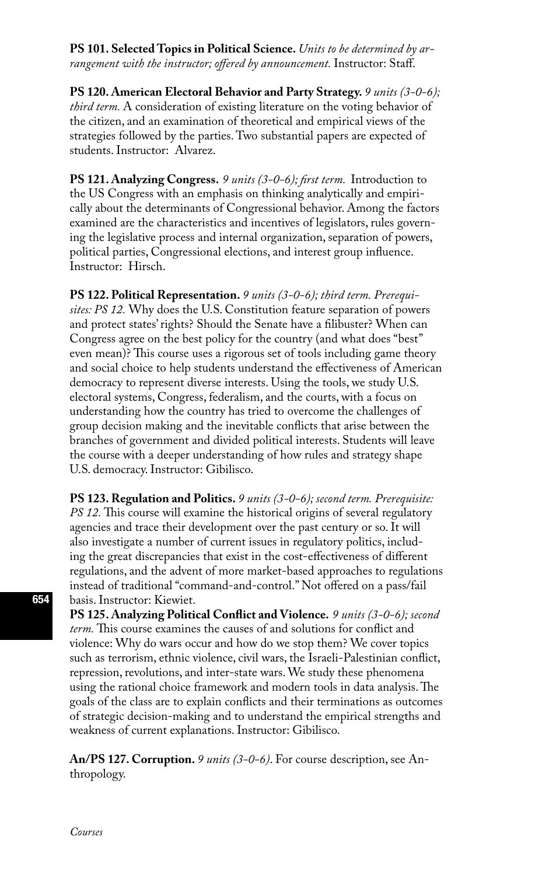**PS 101. Selected Topics in Political Science.** *Units to be determined by arrangement with the instructor; offered by announcement.* Instructor: Staff.

**PS 120. American Electoral Behavior and Party Strategy.** *9 units (3-0-6); third term.* A consideration of existing literature on the voting behavior of the citizen, and an examination of theoretical and empirical views of the strategies followed by the parties. Two substantial papers are expected of students. Instructor: Alvarez.

**PS 121. Analyzing Congress.** *9 units (3-0-6); first term.*Introduction to the US Congress with an emphasis on thinking analytically and empirically about the determinants of Congressional behavior. Among the factors examined are the characteristics and incentives of legislators, rules governing the legislative process and internal organization, separation of powers, political parties, Congressional elections, and interest group influence. Instructor: Hirsch.

**PS 122. Political Representation.** *9 units (3-0-6); third term. Prerequisites: PS 12.* Why does the U.S. Constitution feature separation of powers and protect states' rights? Should the Senate have a filibuster? When can Congress agree on the best policy for the country (and what does "best" even mean)? This course uses a rigorous set of tools including game theory and social choice to help students understand the effectiveness of American democracy to represent diverse interests. Using the tools, we study U.S. electoral systems, Congress, federalism, and the courts, with a focus on understanding how the country has tried to overcome the challenges of group decision making and the inevitable conflicts that arise between the branches of government and divided political interests. Students will leave the course with a deeper understanding of how rules and strategy shape U.S. democracy. Instructor: Gibilisco.

**PS 123. Regulation and Politics.** *9 units (3-0-6); second term. Prerequisite: PS 12.* This course will examine the historical origins of several regulatory agencies and trace their development over the past century or so. It will also investigate a number of current issues in regulatory politics, including the great discrepancies that exist in the cost-effectiveness of different regulations, and the advent of more market-based approaches to regulations instead of traditional "command-and-control." Not offered on a pass/fail basis. Instructor: Kiewiet.

**PS 125. Analyzing Political Conflict and Violence.** *9 units (3-0-6); second term.* This course examines the causes of and solutions for conflict and violence: Why do wars occur and how do we stop them? We cover topics such as terrorism, ethnic violence, civil wars, the Israeli-Palestinian conflict, repression, revolutions, and inter-state wars. We study these phenomena using the rational choice framework and modern tools in data analysis. The goals of the class are to explain conflicts and their terminations as outcomes of strategic decision-making and to understand the empirical strengths and weakness of current explanations. Instructor: Gibilisco.

**An/PS 127. Corruption.** *9 units (3-0-6)*. For course description, see Anthropology.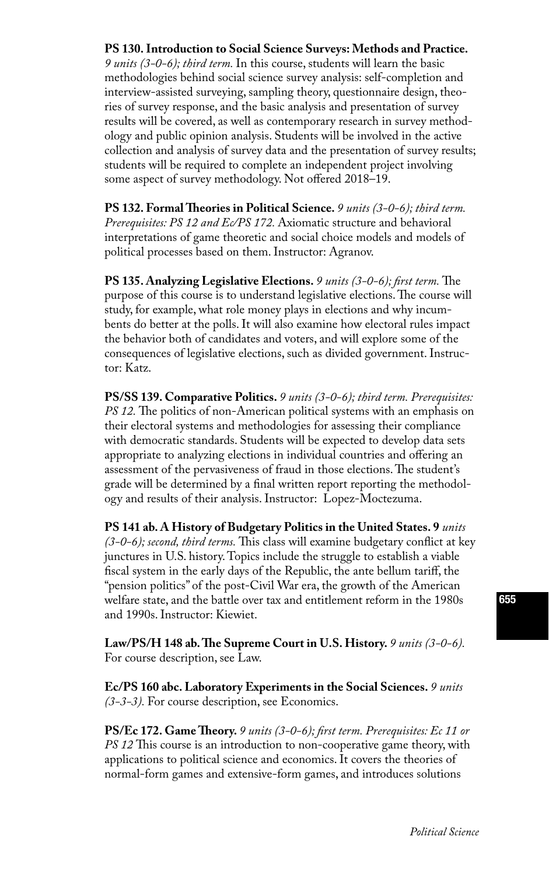#### **PS 130. Introduction to Social Science Surveys: Methods and Practice.**

*9 units (3-0-6); third term.* In this course, students will learn the basic methodologies behind social science survey analysis: self-completion and interview-assisted surveying, sampling theory, questionnaire design, theories of survey response, and the basic analysis and presentation of survey results will be covered, as well as contemporary research in survey methodology and public opinion analysis. Students will be involved in the active collection and analysis of survey data and the presentation of survey results; students will be required to complete an independent project involving some aspect of survey methodology. Not offered 2018–19.

**PS 132. Formal Theories in Political Science.** *9 units (3-0-6); third term. Prerequisites: PS 12 and Ec/PS 172.* Axiomatic structure and behavioral interpretations of game theoretic and social choice models and models of political processes based on them. Instructor: Agranov.

**PS 135. Analyzing Legislative Elections.** *9 units (3-0-6); first term.* The purpose of this course is to understand legislative elections. The course will study, for example, what role money plays in elections and why incumbents do better at the polls. It will also examine how electoral rules impact the behavior both of candidates and voters, and will explore some of the consequences of legislative elections, such as divided government. Instructor: Katz.

**PS/SS 139. Comparative Politics.** *9 units (3-0-6); third term. Prerequisites: PS 12.* The politics of non-American political systems with an emphasis on their electoral systems and methodologies for assessing their compliance with democratic standards. Students will be expected to develop data sets appropriate to analyzing elections in individual countries and offering an assessment of the pervasiveness of fraud in those elections. The student's grade will be determined by a final written report reporting the methodology and results of their analysis. Instructor: Lopez-Moctezuma.

**PS 141 ab. A History of Budgetary Politics in the United States. 9** *units (3-0-6); second, third terms.* This class will examine budgetary conflict at key junctures in U.S. history. Topics include the struggle to establish a viable fiscal system in the early days of the Republic, the ante bellum tariff, the "pension politics" of the post-Civil War era, the growth of the American welfare state, and the battle over tax and entitlement reform in the 1980s and 1990s. Instructor: Kiewiet.

Law/PS/H 148 ab. The Supreme Court in U.S. History. 9 units (3-0-6). [For course description, see Law.](http://www.deans.caltech.edu/Services/student_taught_courses) 

**Ec/PS 160 abc. Laboratory Experiments in the Social Sciences.** *9 units (3-3-3).* For course description, see Economics.

**PS/Ec 172. Game Theory.** *9 units (3-0-6); first term. Prerequisites: Ec 11 or PS 12* This course is an introduction to non-cooperative game theory, with applications to political science and economics. It covers the theories of normal-form games and extensive-form games, and introduces solutions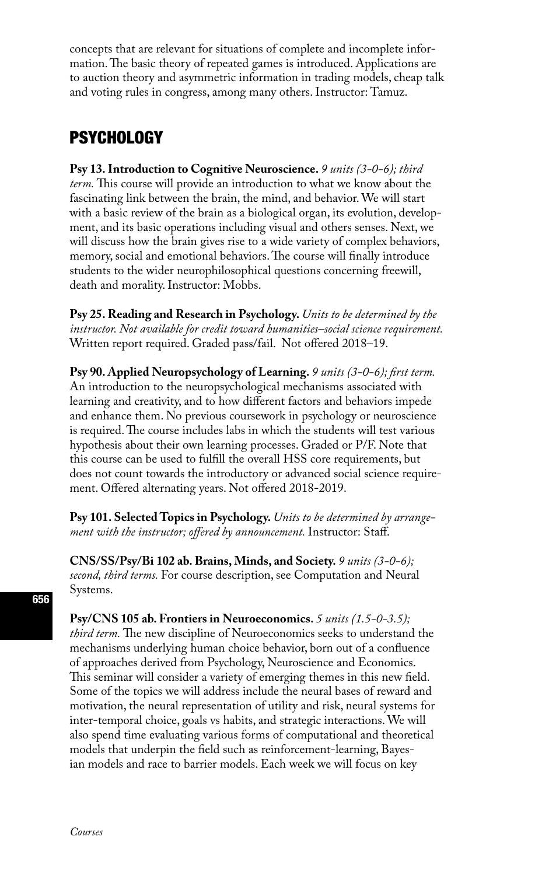concepts that are relevant for situations of complete and incomplete information. The basic theory of repeated games is introduced. Applications are to auction theory and asymmetric information in trading models, cheap talk and voting rules in congress, among many others. Instructor: Tamuz.

### **PSYCHOLOGY**

**Psy 13. Introduction to Cognitive Neuroscience.** *9 units (3-0-6); third term.* This course will provide an introduction to what we know about the fascinating link between the brain, the mind, and behavior. We will start with a basic review of the brain as a biological organ, its evolution, development, and its basic operations including visual and others senses. Next, we will discuss how the brain gives rise to a wide variety of complex behaviors, memory, social and emotional behaviors. The course will finally introduce students to the wider neurophilosophical questions concerning freewill, death and morality. Instructor: Mobbs.

**Psy 25. Reading and Research in Psychology.** *Units to be determined by the instructor. Not available for credit toward humanities–social science requirement.*  Written report required. Graded pass/fail. Not offered 2018–19.

**Psy 90. Applied Neuropsychology of Learning.** *9 units (3-0-6); first term.*  An introduction to the neuropsychological mechanisms associated with learning and creativity, and to how different factors and behaviors impede and enhance them. No previous coursework in psychology or neuroscience is required. The course includes labs in which the students will test various hypothesis about their own learning processes. Graded or P/F. Note that this course can be used to fulfill the overall HSS core requirements, but does not count towards the introductory or advanced social science requirement. Offered alternating years. Not offered 2018-2019.

**Psy 101. Selected Topics in Psychology.** *Units to be determined by arrangement with the instructor; offered by announcement.* Instructor: Staff.

**CNS/SS/Psy/Bi 102 ab. Brains, Minds, and Society.** *9 units (3-0-6); second, third terms.* For course description, see Computation and Neural Systems.

**Psy/CNS 105 ab. Frontiers in Neuroeconomics.** *5 units (1.5-0-3.5); third term.* The new discipline of Neuroeconomics seeks to understand the mechanisms underlying human choice behavior, born out of a confluence of approaches derived from Psychology, Neuroscience and Economics. This seminar will consider a variety of emerging themes in this new field. Some of the topics we will address include the neural bases of reward and motivation, the neural representation of utility and risk, neural systems for inter-temporal choice, goals vs habits, and strategic interactions. We will also spend time evaluating various forms of computational and theoretical models that underpin the field such as reinforcement-learning, Bayesian models and race to barrier models. Each week we will focus on key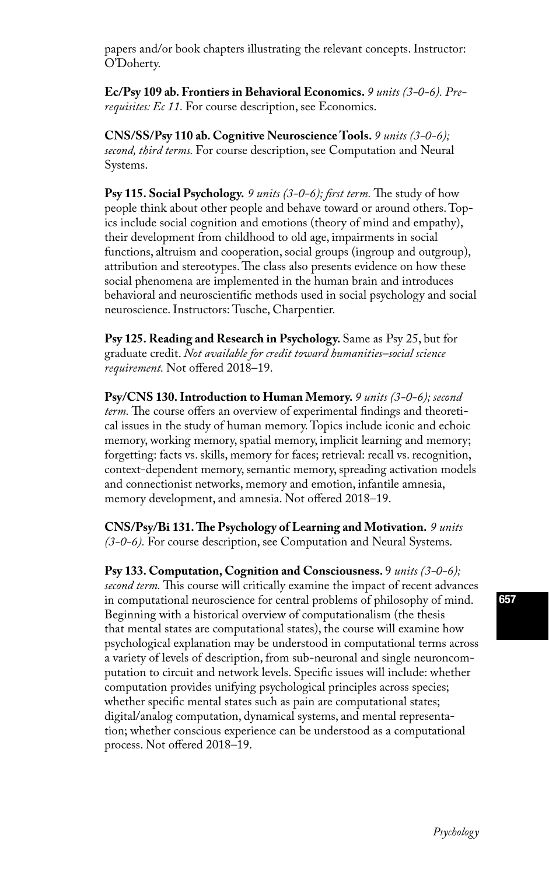papers and/or book chapters illustrating the relevant concepts. Instructor: O'Doherty.

**Ec/Psy 109 ab. Frontiers in Behavioral Economics.** *9 units (3-0-6). Prerequisites: Ec 11.* For course description, see Economics.

**CNS/SS/Psy 110 ab. Cognitive Neuroscience Tools.** *9 units (3-0-6); second, third terms.* For course description, see Computation and Neural Systems.

**Psy 115. Social Psychology.** *9 units (3-0-6); first term.* The study of how people think about other people and behave toward or around others. Topics include social cognition and emotions (theory of mind and empathy), their development from childhood to old age, impairments in social functions, altruism and cooperation, social groups (ingroup and outgroup), attribution and stereotypes. The class also presents evidence on how these social phenomena are implemented in the human brain and introduces behavioral and neuroscientific methods used in social psychology and social neuroscience. Instructors: Tusche, Charpentier.

**Psy 125. Reading and Research in Psychology.** Same as Psy 25, but for graduate credit. *Not available for credit toward humanities–social science requirement.* Not offered 2018–19.

**Psy/CNS 130. Introduction to Human Memory.** *9 units (3-0-6); second term.* The course offers an overview of experimental findings and theoretical issues in the study of human memory. Topics include iconic and echoic memory, working memory, spatial memory, implicit learning and memory; forgetting: facts vs. skills, memory for faces; retrieval: recall vs. recognition, context-dependent memory, semantic memory, spreading activation models and connectionist networks, memory and emotion, infantile amnesia, memory development, and amnesia. Not offered 2018–19.

**CNS/Psy/Bi 131. The Psychology of Learning and Motivation.** *9 units (3-0-6).* For course description, see Computation and Neural Systems.

**Psy 133. Computation, Cognition and Consciousness.** 9 *units (3-0-6); second term.* This course will critically examine the impact of recent advances in computational neuroscience for central problems of philosophy of mind. Beginning with a historical overview of computationalism (the thesis that mental states are computational states), the course will examine how psychological explanation may be understood in computational terms across a variety of levels of description, from sub-neuronal and single neuroncomputation to circuit and network levels. Specific issues will include: whether computation provides unifying psychological principles across species; whether specific mental states such as pain are computational states; digital/analog computation, dynamical systems, and mental representation; whether conscious experience can be understood as a computational process. Not offered 2018–19.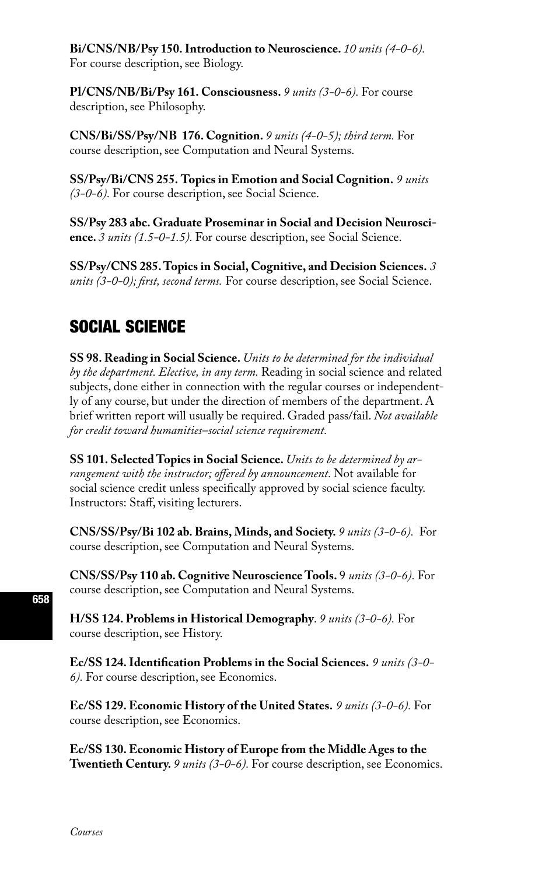**Bi/CNS/NB/Psy 150. Introduction to Neuroscience.** *10 units (4-0-6).*  For course description, see Biology.

**Pl/CNS/NB/Bi/Psy 161. Consciousness.** *9 units (3-0-6).* For course description, see Philosophy.

**CNS/Bi/SS/Psy/NB 176. Cognition.** *9 units (4-0-5); third term.* For course description, see Computation and Neural Systems.

**SS/Psy/Bi/CNS 255. Topics in Emotion and Social Cognition.** *9 units (3-0-6).* For course description, see Social Science.

**SS/Psy 283 abc. Graduate Proseminar in Social and Decision Neuroscience.** *3 units (1.5-0-1.5).* For course description, see Social Science.

**SS/Psy/CNS 285. Topics in Social, Cognitive, and Decision Sciences.** *3 units (3-0-0); first, second terms.* For course description, see Social Science.

# SOCIAL SCIENCE

**SS 98. Reading in Social Science.** *Units to be determined for the individual by the department. Elective, in any term.* Reading in social science and related subjects, done either in connection with the regular courses or independently of any course, but under the direction of members of the department. A brief written report will usually be required. Graded pass/fail. *Not available for credit toward humanities–social science requirement.* 

**SS 101. Selected Topics in Social Science.** *Units to be determined by arrangement with the instructor; offered by announcement.* Not available for social science credit unless specifically approved by social science faculty. Instructors: Staff, visiting lecturers.

**CNS/SS/Psy/Bi 102 ab. Brains, Minds, and Society.** *9 units (3-0-6).* For course description, see Computation and Neural Systems.

**CNS/SS/Psy 110 ab. Cognitive Neuroscience Tools.** 9 *units (3-0-6).* For course description, see Computation and Neural Systems.

**H/SS 124. Problems in Historical Demography**. *9 units (3-0-6).* For course description, see History.

**Ec/SS 124. Identification Problems in the Social Sciences.** *9 units (3-0- 6).* For course description, see Economics.

**Ec/SS 129. Economic History of the United States.** *9 units (3-0-6).* For course description, see Economics.

**Ec/SS 130. Economic History of Europe from the Middle Ages to the Twentieth Century.** *9 units (3-0-6).* For course description, see Economics.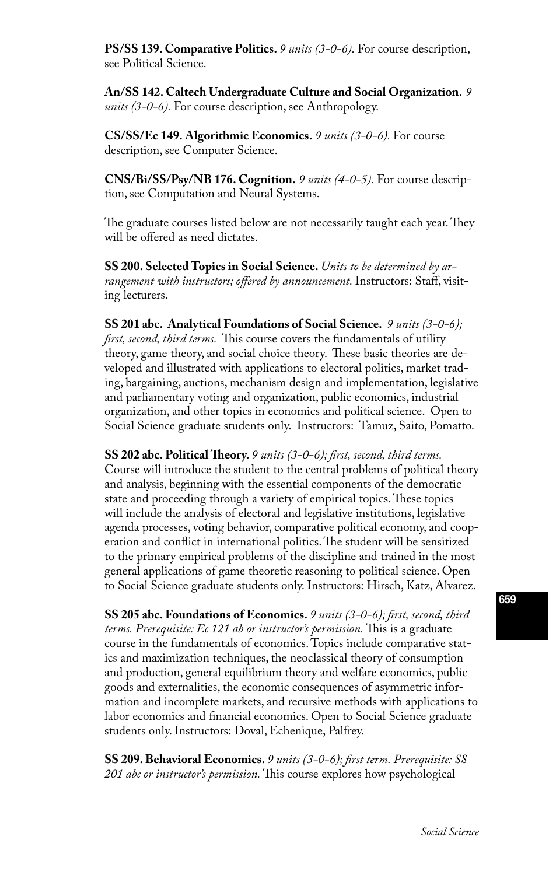**PS/SS 139. Comparative Politics.** *9 units (3-0-6).* For course description, see Political Science.

**An/SS 142. Caltech Undergraduate Culture and Social Organization.** *9 units (3-0-6).* For course description, see Anthropology.

**CS/SS/Ec 149. Algorithmic Economics.** *9 units (3-0-6).* For course description, see Computer Science.

**CNS/Bi/SS/Psy/NB 176. Cognition.** *9 units (4-0-5).* For course description, see Computation and Neural Systems.

The graduate courses listed below are not necessarily taught each year. They will be offered as need dictates.

**SS 200. Selected Topics in Social Science.** *Units to be determined by arrangement with instructors; offered by announcement.* Instructors: Staff, visiting lecturers.

**SS 201 abc. Analytical Foundations of Social Science.** *9 units (3-0-6); first, second, third terms.* This course covers the fundamentals of utility theory, game theory, and social choice theory. These basic theories are developed and illustrated with applications to electoral politics, market trading, bargaining, auctions, mechanism design and implementation, legislative and parliamentary voting and organization, public economics, industrial organization, and other topics in economics and political science. Open to Social Science graduate students only. Instructors: Tamuz, Saito, Pomatto.

**SS 202 abc. Political Theory.** *9 units (3-0-6); first, second, third terms.*  Course will introduce the student to the central problems of political theory and analysis, beginning with the essential components of the democratic state and proceeding through a variety of empirical topics. These topics will include the analysis of electoral and legislative institutions, legislative agenda processes, voting behavior, comparative political economy, and cooperation and conflict in international politics. The student will be sensitized to the primary empirical problems of the discipline and trained in the most general applications of game theoretic reasoning to political science. Open to Social Science graduate students only. Instructors: Hirsch, Katz, Alvarez.

**SS 205 abc. Foundations of Economics.** *9 units (3-0-6); first, second, third terms. Prerequisite: Ec 121 ab or instructor's permission.* This is a graduate course in the fundamentals of economics. Topics include comparative statics and maximization techniques, the neoclassical theory of consumption and production, general equilibrium theory and welfare economics, public goods and externalities, the economic consequences of asymmetric information and incomplete markets, and recursive methods with applications to labor economics and financial economics. Open to Social Science graduate students only. Instructors: Doval, Echenique, Palfrey.

**SS 209. Behavioral Economics.** *9 units (3-0-6); first term. Prerequisite: SS 201 abc or instructor's permission.* This course explores how psychological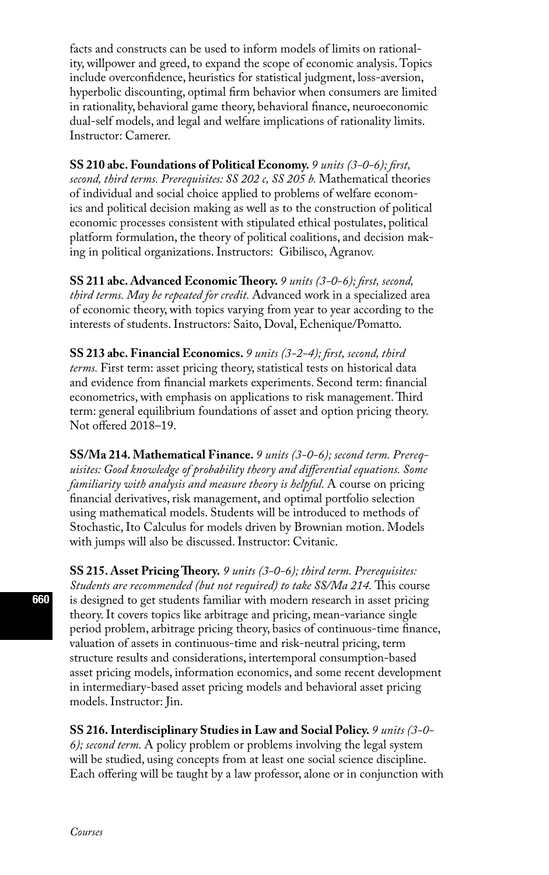facts and constructs can be used to inform models of limits on rationality, willpower and greed, to expand the scope of economic analysis. Topics include overconfidence, heuristics for statistical judgment, loss-aversion, hyperbolic discounting, optimal firm behavior when consumers are limited in rationality, behavioral game theory, behavioral finance, neuroeconomic dual-self models, and legal and welfare implications of rationality limits. Instructor: Camerer.

**SS 210 abc. Foundations of Political Economy.** *9 units (3-0-6); first, second, third terms. Prerequisites: SS 202 c, SS 205 b.* Mathematical theories of individual and social choice applied to problems of welfare economics and political decision making as well as to the construction of political economic processes consistent with stipulated ethical postulates, political platform formulation, the theory of political coalitions, and decision making in political organizations. Instructors: Gibilisco, Agranov.

**SS 211 abc. Advanced Economic Theory.** *9 units (3-0-6); first, second, third terms. May be repeated for credit.* Advanced work in a specialized area of economic theory, with topics varying from year to year according to the interests of students. Instructors: Saito, Doval, Echenique/Pomatto.

**SS 213 abc. Financial Economics.** *9 units (3-2-4); first, second, third terms.* First term: asset pricing theory, statistical tests on historical data and evidence from financial markets experiments. Second term: financial econometrics, with emphasis on applications to risk management. Third term: general equilibrium foundations of asset and option pricing theory. Not offered 2018–19.

**SS/Ma 214. Mathematical Finance.** *9 units (3-0-6); second term. Prerequisites: Good knowledge of probability theory and differential equations. Some familiarity with analysis and measure theory is helpful.* A course on pricing financial derivatives, risk management, and optimal portfolio selection using mathematical models. Students will be introduced to methods of Stochastic, Ito Calculus for models driven by Brownian motion. Models with jumps will also be discussed. Instructor: Cvitanic.

**SS 215. Asset Pricing Theory.** *9 units (3-0-6); third term. Prerequisites: Students are recommended (but not required) to take SS/Ma 214.* This course is designed to get students familiar with modern research in asset pricing theory. It covers topics like arbitrage and pricing, mean-variance single period problem, arbitrage pricing theory, basics of continuous-time finance, valuation of assets in continuous-time and risk-neutral pricing, term structure results and considerations, intertemporal consumption-based asset pricing models, information economics, and some recent development in intermediary-based asset pricing models and behavioral asset pricing models. Instructor: Jin.

**SS 216. Interdisciplinary Studies in Law and Social Policy.** *9 units (3-0- 6); second term.* A policy problem or problems involving the legal system will be studied, using concepts from at least one social science discipline. Each offering will be taught by a law professor, alone or in conjunction with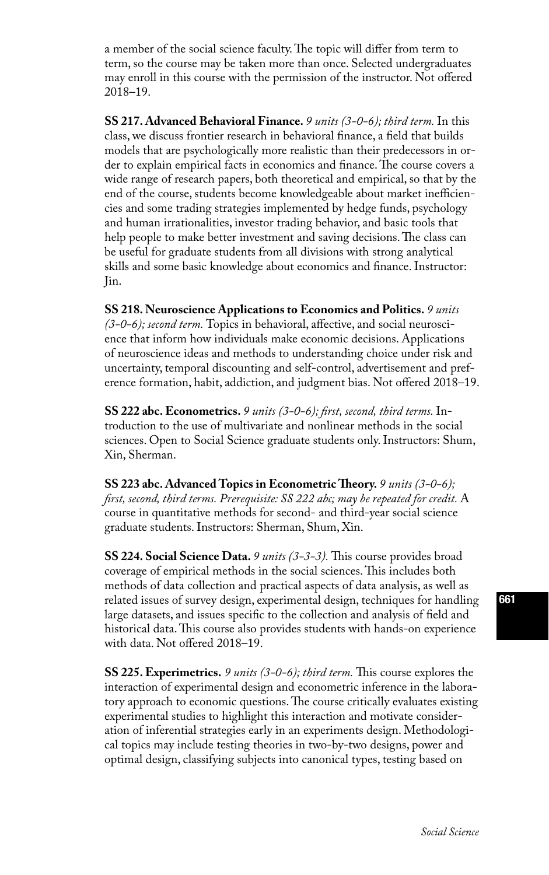a member of the social science faculty. The topic will differ from term to term, so the course may be taken more than once. Selected undergraduates may enroll in this course with the permission of the instructor. Not offered 2018–19.

**SS 217. Advanced Behavioral Finance.** *9 units (3-0-6); third term.* In this class, we discuss frontier research in behavioral finance, a field that builds models that are psychologically more realistic than their predecessors in order to explain empirical facts in economics and finance. The course covers a wide range of research papers, both theoretical and empirical, so that by the end of the course, students become knowledgeable about market inefficiencies and some trading strategies implemented by hedge funds, psychology and human irrationalities, investor trading behavior, and basic tools that help people to make better investment and saving decisions. The class can be useful for graduate students from all divisions with strong analytical skills and some basic knowledge about economics and finance. Instructor: Jin.

**SS 218. Neuroscience Applications to Economics and Politics.** *9 units (3-0-6); second term.* Topics in behavioral, affective, and social neuroscience that inform how individuals make economic decisions. Applications of neuroscience ideas and methods to understanding choice under risk and uncertainty, temporal discounting and self-control, advertisement and preference formation, habit, addiction, and judgment bias. Not offered 2018–19.

**SS 222 abc. Econometrics.** *9 units (3-0-6); first, second, third terms.* Introduction to the use of multivariate and nonlinear methods in the social sciences. Open to Social Science graduate students only. Instructors: Shum, Xin, Sherman.

**SS 223 abc. Advanced Topics in Econometric Theory.** *9 units (3-0-6); first, second, third terms. Prerequisite: SS 222 abc; may be repeated for credit.* A course in quantitative methods for second- and third-year social science graduate students. Instructors: Sherman, Shum, Xin.

**SS 224. Social Science Data.** *9 units (3-3-3).* This course provides broad coverage of empirical methods in the social sciences. This includes both methods of data collection and practical aspects of data analysis, as well as related issues of survey design, experimental design, techniques for handling large datasets, and issues specific to the collection and analysis of field and historical data. This course also provides students with hands-on experience with data. Not offered 2018–19.

**SS 225. Experimetrics.** *9 units (3-0-6); third term.* This course explores the interaction of experimental design and econometric inference in the laboratory approach to economic questions. The course critically evaluates existing experimental studies to highlight this interaction and motivate consideration of inferential strategies early in an experiments design. Methodological topics may include testing theories in two-by-two designs, power and optimal design, classifying subjects into canonical types, testing based on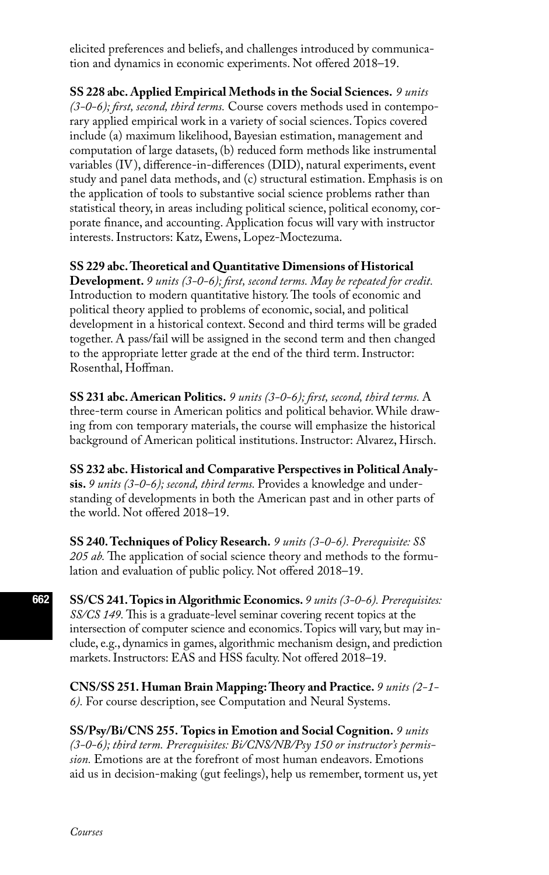elicited preferences and beliefs, and challenges introduced by communication and dynamics in economic experiments. Not offered 2018–19.

**SS 228 abc. Applied Empirical Methods in the Social Sciences.** *9 units (3-0-6); first, second, third terms.* Course covers methods used in contemporary applied empirical work in a variety of social sciences. Topics covered include (a) maximum likelihood, Bayesian estimation, management and computation of large datasets, (b) reduced form methods like instrumental variables (IV), difference-in-differences (DID), natural experiments, event study and panel data methods, and (c) structural estimation. Emphasis is on the application of tools to substantive social science problems rather than statistical theory, in areas including political science, political economy, corporate finance, and accounting. Application focus will vary with instructor interests. Instructors: Katz, Ewens, Lopez-Moctezuma.

**SS 229 abc. Theoretical and Quantitative Dimensions of Historical Development.** *9 units (3-0-6); first, second terms. May be repeated for credit.*  Introduction to modern quantitative history. The tools of economic and political theory applied to problems of economic, social, and political development in a historical context. Second and third terms will be graded together. A pass/fail will be assigned in the second term and then changed to the appropriate letter grade at the end of the third term. Instructor: Rosenthal, Hoffman.

**SS 231 abc. American Politics.** *9 units (3-0-6); first, second, third terms.* A three-term course in American politics and political behavior. While drawing from con temporary materials, the course will emphasize the historical background of American political institutions. Instructor: Alvarez, Hirsch.

**SS 232 abc. Historical and Comparative Perspectives in Political Analysis.** *9 units (3-0-6); second, third terms.* Provides a knowledge and understanding of developments in both the American past and in other parts of the world. Not offered 2018–19.

**SS 240. Techniques of Policy Research.** *9 units (3-0-6). Prerequisite: SS 205 ab.* The application of social science theory and methods to the formulation and evaluation of public policy. Not offered 2018–19.

**SS/CS 241. Topics in Algorithmic Economics.** *9 units (3-0-6). Prerequisites: SS/CS 149.* This is a graduate-level seminar covering recent topics at the intersection of computer science and economics. Topics will vary, but may include, e.g., dynamics in games, algorithmic mechanism design, and prediction markets. Instructors: EAS and HSS faculty. Not offered 2018–19.

**CNS/SS 251. Human Brain Mapping: Theory and Practice.** *9 units (2-1- 6).* For course description, see Computation and Neural Systems.

**SS/Psy/Bi/CNS 255. Topics in Emotion and Social Cognition.** *9 units (3-0-6); third term. Prerequisites: Bi/CNS/NB/Psy 150 or instructor's permission.* Emotions are at the forefront of most human endeavors. Emotions aid us in decision-making (gut feelings), help us remember, torment us, yet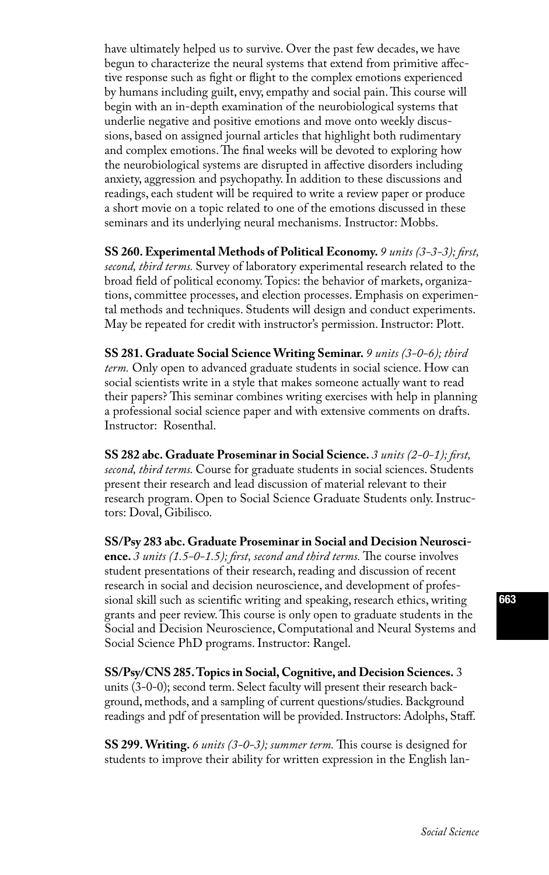have ultimately helped us to survive. Over the past few decades, we have begun to characterize the neural systems that extend from primitive affective response such as fight or flight to the complex emotions experienced by humans including guilt, envy, empathy and social pain. This course will begin with an in-depth examination of the neurobiological systems that underlie negative and positive emotions and move onto weekly discussions, based on assigned journal articles that highlight both rudimentary and complex emotions. The final weeks will be devoted to exploring how the neurobiological systems are disrupted in affective disorders including anxiety, aggression and psychopathy. In addition to these discussions and readings, each student will be required to write a review paper or produce a short movie on a topic related to one of the emotions discussed in these seminars and its underlying neural mechanisms. Instructor: Mobbs.

**SS 260. Experimental Methods of Political Economy.** *9 units (3-3-3); first, second, third terms.* Survey of laboratory experimental research related to the broad field of political economy. Topics: the behavior of markets, organizations, committee processes, and election processes. Emphasis on experimental methods and techniques. Students will design and conduct experiments. May be repeated for credit with instructor's permission. Instructor: Plott.

**SS 281. Graduate Social Science Writing Seminar.** *9 units (3-0-6); third term.* Only open to advanced graduate students in social science. How can social scientists write in a style that makes someone actually want to read their papers? This seminar combines writing exercises with help in planning a professional social science paper and with extensive comments on drafts. Instructor: Rosenthal.

**SS 282 abc. Graduate Proseminar in Social Science.** *3 units (2-0-1); first, second, third terms.* Course for graduate students in social sciences. Students present their research and lead discussion of material relevant to their research program. Open to Social Science Graduate Students only. Instructors: Doval, Gibilisco.

**SS/Psy 283 abc. Graduate Proseminar in Social and Decision Neuroscience.** *3 units (1.5-0-1.5); first, second and third terms.* The course involves student presentations of their research, reading and discussion of recent research in social and decision neuroscience, and development of professional skill such as scientific writing and speaking, research ethics, writing grants and peer review. This course is only open to graduate students in the Social and Decision Neuroscience, Computational and Neural Systems and Social Science PhD programs. Instructor: Rangel.

**SS/Psy/CNS 285. Topics in Social, Cognitive, and Decision Sciences.** 3 units (3-0-0); second term. Select faculty will present their research background, methods, and a sampling of current questions/studies. Background readings and pdf of presentation will be provided. Instructors: Adolphs, Staff.

**SS 299. Writing.** *6 units (3-0-3); summer term.* This course is designed for students to improve their ability for written expression in the English lan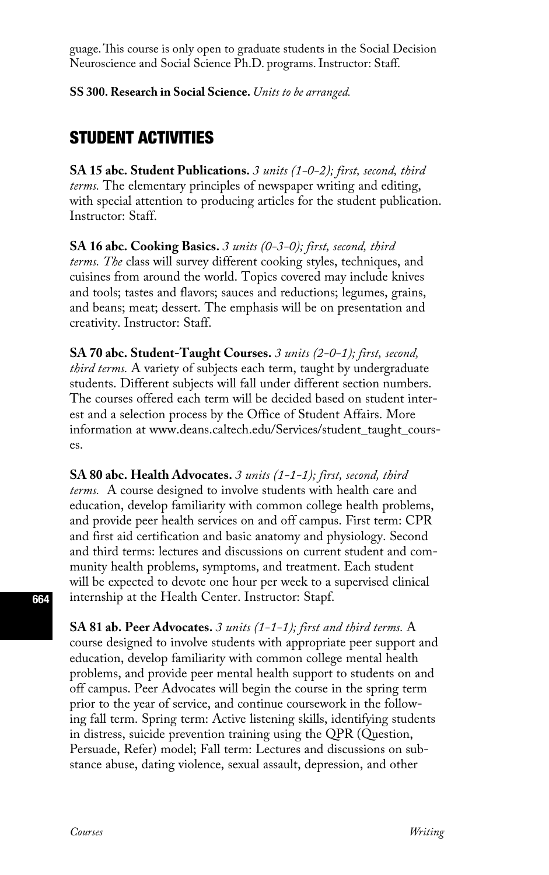guage. This course is only open to graduate students in the Social Decision Neuroscience and Social Science Ph.D. programs. Instructor: Staff.

**SS 300. Research in Social Science.** *Units to be arranged.*

## STUDENT ACTIVITIES

**SA 15 abc. Student Publications.** *3 units (1-0-2); first, second, third terms.* The elementary principles of newspaper writing and editing, with special attention to producing articles for the student publication. Instructor: Staff.

**SA 16 abc. Cooking Basics.** *3 units (0-3-0); first, second, third terms. The* class will survey different cooking styles, techniques, and cuisines from around the world. Topics covered may include knives and tools; tastes and flavors; sauces and reductions; legumes, grains, and beans; meat; dessert. The emphasis will be on presentation and creativity. Instructor: Staff.

**SA 70 abc. Student-Taught Courses.** *3 units (2-0-1); first, second, third terms.* A variety of subjects each term, taught by undergraduate students. Different subjects will fall under different section numbers. The courses offered each term will be decided based on student interest and a selection process by the Office of Student Affairs. More information at www.deans.caltech.edu/Services/student\_taught\_courses.

**SA 80 abc. Health Advocates.** *3 units (1-1-1); first, second, third terms.* A course designed to involve students with health care and education, develop familiarity with common college health problems, and provide peer health services on and off campus. First term: CPR and first aid certification and basic anatomy and physiology. Second and third terms: lectures and discussions on current student and community health problems, symptoms, and treatment. Each student will be expected to devote one hour per week to a supervised clinical internship at the Health Center. Instructor: Stapf.

**SA 81 ab. Peer Advocates.** *3 units (1-1-1); first and third terms.* A course designed to involve students with appropriate peer support and education, develop familiarity with common college mental health problems, and provide peer mental health support to students on and off campus. Peer Advocates will begin the course in the spring term prior to the year of service, and continue coursework in the following fall term. Spring term: Active listening skills, identifying students in distress, suicide prevention training using the QPR (Question, Persuade, Refer) model; Fall term: Lectures and discussions on substance abuse, dating violence, sexual assault, depression, and other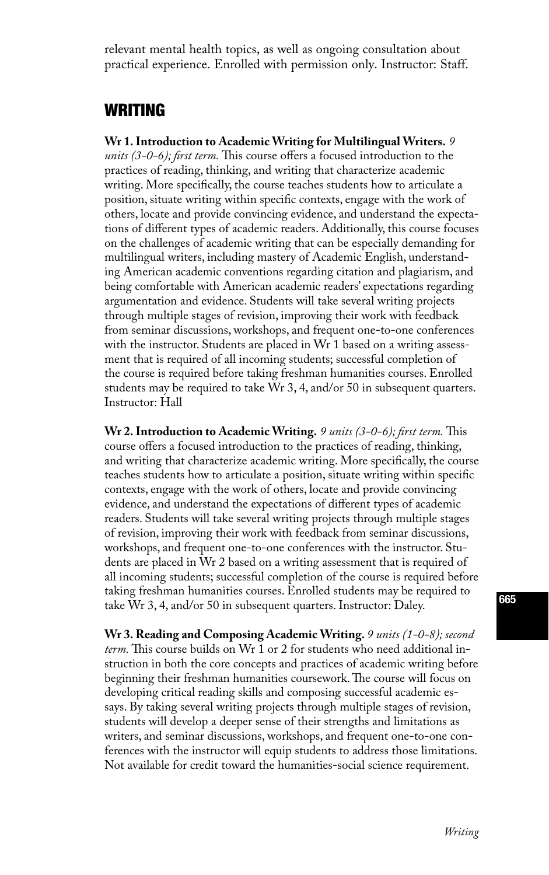relevant mental health topics, as well as ongoing consultation about practical experience. Enrolled with permission only. Instructor: Staff.

#### WRITING

**Wr 1. Introduction to Academic Writing for Multilingual Writers.** *9 units (3-0-6); first term.* This course offers a focused introduction to the practices of reading, thinking, and writing that characterize academic writing. More specifically, the course teaches students how to articulate a position, situate writing within specific contexts, engage with the work of others, locate and provide convincing evidence, and understand the expectations of different types of academic readers. Additionally, this course focuses on the challenges of academic writing that can be especially demanding for multilingual writers, including mastery of Academic English, understanding American academic conventions regarding citation and plagiarism, and being comfortable with American academic readers' expectations regarding argumentation and evidence. Students will take several writing projects through multiple stages of revision, improving their work with feedback from seminar discussions, workshops, and frequent one-to-one conferences with the instructor. Students are placed in Wr 1 based on a writing assessment that is required of all incoming students; successful completion of the course is required before taking freshman humanities courses. Enrolled students may be required to take Wr 3, 4, and/or 50 in subsequent quarters. Instructor: Hall

**Wr 2. Introduction to Academic Writing.** *9 units (3-0-6); first term.* This course offers a focused introduction to the practices of reading, thinking, and writing that characterize academic writing. More specifically, the course teaches students how to articulate a position, situate writing within specific contexts, engage with the work of others, locate and provide convincing evidence, and understand the expectations of different types of academic readers. Students will take several writing projects through multiple stages of revision, improving their work with feedback from seminar discussions, workshops, and frequent one-to-one conferences with the instructor. Students are placed in Wr 2 based on a writing assessment that is required of all incoming students; successful completion of the course is required before taking freshman humanities courses. Enrolled students may be required to take Wr 3, 4, and/or 50 in subsequent quarters. Instructor: Daley.

**Wr 3. Reading and Composing Academic Writing.** *9 units (1-0-8); second term.* This course builds on Wr 1 or 2 for students who need additional instruction in both the core concepts and practices of academic writing before beginning their freshman humanities coursework. The course will focus on developing critical reading skills and composing successful academic essays. By taking several writing projects through multiple stages of revision, students will develop a deeper sense of their strengths and limitations as writers, and seminar discussions, workshops, and frequent one-to-one conferences with the instructor will equip students to address those limitations. Not available for credit toward the humanities-social science requirement.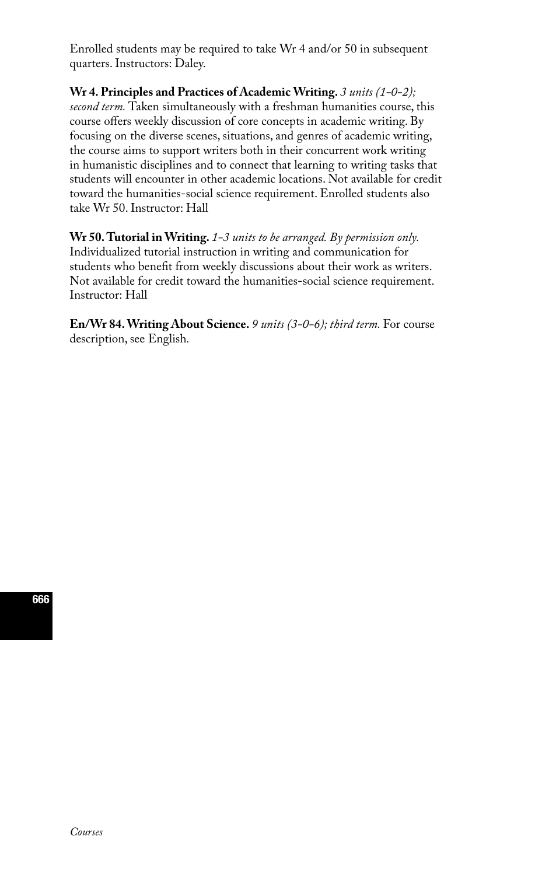Enrolled students may be required to take Wr 4 and/or 50 in subsequent quarters. Instructors: Daley.

**Wr 4. Principles and Practices of Academic Writing.** *3 units (1-0-2); second term.* Taken simultaneously with a freshman humanities course, this course offers weekly discussion of core concepts in academic writing. By focusing on the diverse scenes, situations, and genres of academic writing, the course aims to support writers both in their concurrent work writing in humanistic disciplines and to connect that learning to writing tasks that students will encounter in other academic locations. Not available for credit toward the humanities-social science requirement. Enrolled students also take Wr 50. Instructor: Hall

**Wr 50. Tutorial in Writing.** *1-3 units to be arranged. By permission only.*  Individualized tutorial instruction in writing and communication for students who benefit from weekly discussions about their work as writers. Not available for credit toward the humanities-social science requirement. Instructor: Hall

**En/Wr 84. Writing About Science.** *9 units (3-0-6); third term.* For course description, see English*.*

666